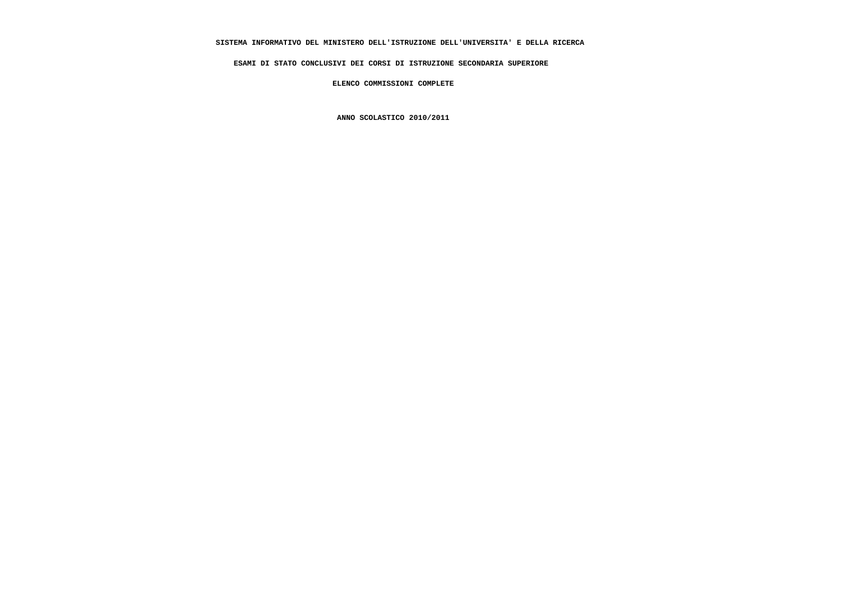# **SISTEMA INFORMATIVO DEL MINISTERO DELL'ISTRUZIONE DELL'UNIVERSITA' E DELLA RICERCA**

 **ESAMI DI STATO CONCLUSIVI DEI CORSI DI ISTRUZIONE SECONDARIA SUPERIORE**

 **ELENCO COMMISSIONI COMPLETE**

 **ANNO SCOLASTICO 2010/2011**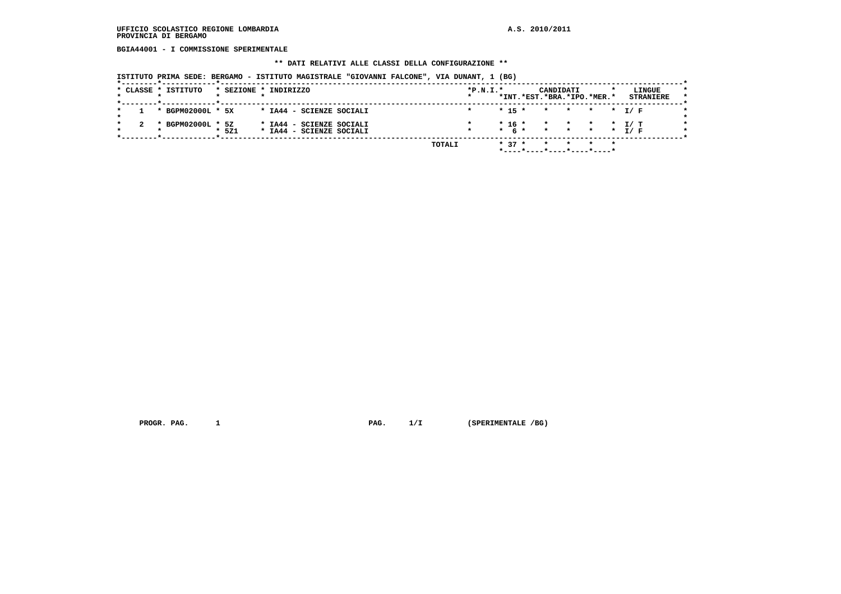**BGIA44001 - I COMMISSIONE SPERIMENTALE**

#### **\*\* DATI RELATIVI ALLE CLASSI DELLA CONFIGURAZIONE \*\***

 **ISTITUTO PRIMA SEDE: BERGAMO - ISTITUTO MAGISTRALE "GIOVANNI FALCONE", VIA DUNANT, 1 (BG)**

|  |         | * CLASSE * ISTITUTO |       | * SEZIONE * INDIRIZZO                                | $*P.N.T.*$ |  |                     |                            | CANDIDATI        |           |                          |     | LINGUE           |
|--|---------|---------------------|-------|------------------------------------------------------|------------|--|---------------------|----------------------------|------------------|-----------|--------------------------|-----|------------------|
|  |         |                     |       |                                                      |            |  |                     | *INT.*EST.*BRA.*IPO.*MER.* |                  |           |                          |     | <b>STRANIERE</b> |
|  |         | * BGPM02000L * 5X   |       | * IA44 - SCIENZE SOCIALI                             |            |  | $* 15 *$            |                            | $\star$ .        | * * * I/F |                          |     |                  |
|  | $\cdot$ | BGPM02000L * 5Z     | * 5Z1 | * IA44 - SCIENZE SOCIALI<br>* IA44 - SCIENZE SOCIALI |            |  | * 16 *<br>$*$ 6 $*$ |                            | * * *<br>$\star$ | * * * T/F | $\overline{\phantom{a}}$ | T/T |                  |
|  |         |                     |       | TOTALI                                               |            |  | $* 37 *$            | *----*----*----*----*----* |                  |           | $\star$                  |     |                  |

 **PROGR. PAG. 1 PAG. 1/I (SPERIMENTALE /BG)**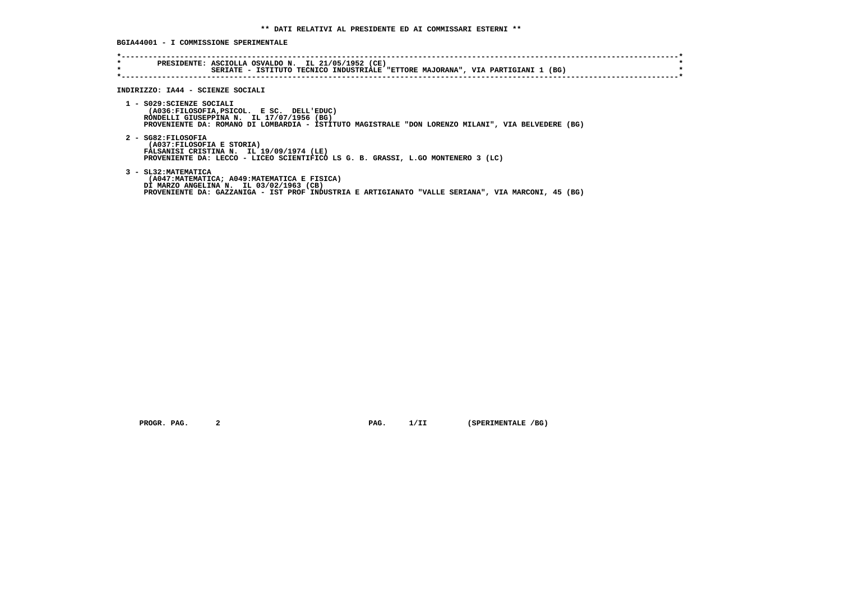**BGIA44001 - I COMMISSIONE SPERIMENTALE**

| SERIATE - ISTITUTO TECNICO INDUSTRIALE "ETTORE MAJORANA", VIA PARTIGIANI 1 (BG)<br>INDIRIZZO: IA44 - SCIENZE SOCIALI                                                                                                      |
|---------------------------------------------------------------------------------------------------------------------------------------------------------------------------------------------------------------------------|
| 1 - S029: SCIENZE SOCIALI<br>(A036:FILOSOFIA, PSICOL. E SC. DELL'EDUC)<br>RONDELLI GIUSEPPINA N. IL 17/07/1956 (BG)<br>PROVENIENTE DA: ROMANO DI LOMBARDIA - ISTITUTO MAGISTRALE "DON LORENZO MILANI", VIA BELVEDERE (BG) |
| 2 - SG82:FILOSOFIA<br>(A037:FILOSOFIA E STORIA)<br>FALSANISI CRISTINA N. IL 19/09/1974 (LE)<br>PROVENIENTE DA: LECCO - LICEO SCIENTIFICO LS G. B. GRASSI, L.GO MONTENERO 3 (LC)                                           |
| 3 - SL32: MATEMATICA<br>(A047:MATEMATICA; A049:MATEMATICA E FISICA)<br>DI MARZO ANGELINA N. IL 03/02/1963 (CB)<br>PROVENIENTE DA: GAZZANIGA - IST PROF INDUSTRIA E ARTIGIANATO "VALLE SERIANA", VIA MARCONI, 45 (BG)      |

 **PROGR. PAG.** 2 **PAG.** 1/II (SPERIMENTALE /BG)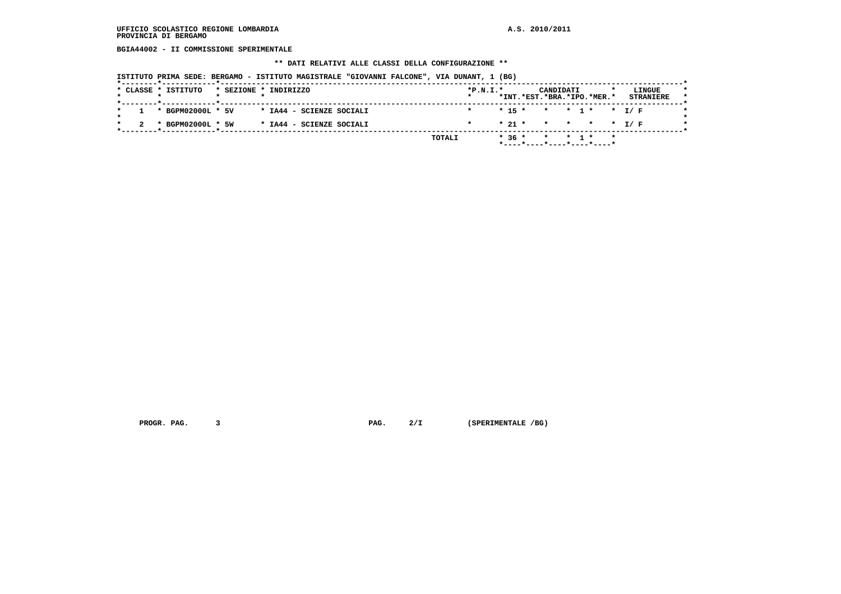**BGIA44002 - II COMMISSIONE SPERIMENTALE**

#### **\*\* DATI RELATIVI ALLE CLASSI DELLA CONFIGURAZIONE \*\***

 **ISTITUTO PRIMA SEDE: BERGAMO - ISTITUTO MAGISTRALE "GIOVANNI FALCONE", VIA DUNANT, 1 (BG)**

| * CLASSE * ISTITUTO |  | * SEZIONE * INDIRIZZO    | $*P.N.I.*$ |  | *INT.*EST.*BRA.*IPO.*MER.* | CANDIDATI |             |         | LINGUE<br><b>STRANIERE</b> |
|---------------------|--|--------------------------|------------|--|----------------------------|-----------|-------------|---------|----------------------------|
|                     |  |                          |            |  |                            |           |             |         |                            |
| * BGPM02000L * 5V   |  | * IA44 - SCIENZE SOCIALI |            |  | $* 15 * * * 1 * * I/F$     |           |             |         |                            |
| * BGPM02000L * 5W   |  | * IA44 - SCIENZE SOCIALI |            |  | $* 21 *$                   |           | * * * * T/F |         |                            |
|                     |  | TOTALI                   |            |  | $*36*$                     | $\star$   |             | $\star$ |                            |

 **PROGR. PAG.** 3 **PAG.** 2/I (SPERIMENTALE /BG)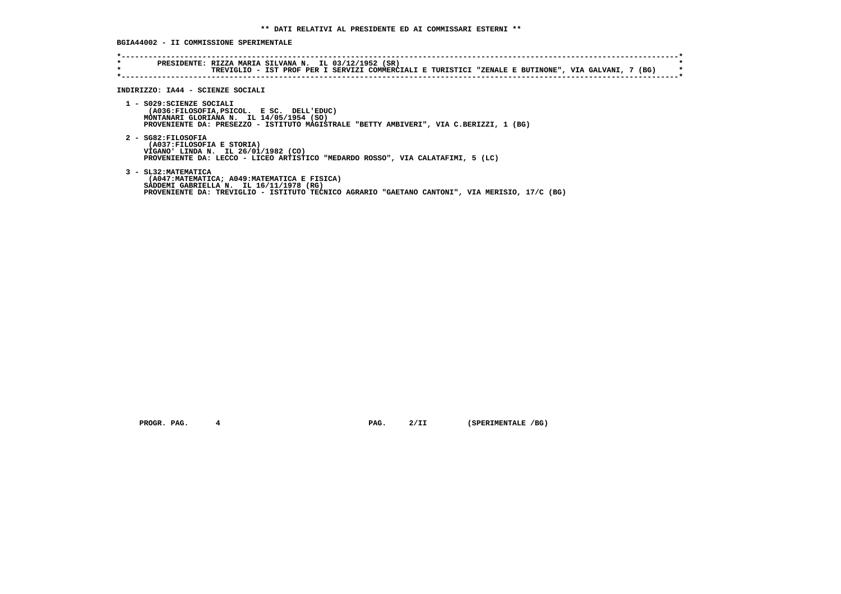# **BGIA44002 - II COMMISSIONE SPERIMENTALE**

| * | PRESIDENTE: RIZZA MARIA SILVANA N. IL 03/12/1952 (SR)<br>TREVIGLIO - IST PROF PER I SERVIZI COMMERCIALI E TURISTICI "ZENALE E BUTINONE", VIA GALVANI, 7 (BG)                                                     |
|---|------------------------------------------------------------------------------------------------------------------------------------------------------------------------------------------------------------------|
|   | INDIRIZZO: IA44 - SCIENZE SOCIALI                                                                                                                                                                                |
|   | 1 - S029: SCIENZE SOCIALI<br>(A036:FILOSOFIA, PSICOL. E SC. DELL'EDUC)<br>MONTANARI GLORIANA N. IL 14/05/1954 (SO)<br>PROVENIENTE DA: PRESEZZO - ISTITUTO MAGISTRALE "BETTY AMBIVERI", VIA C.BERIZZI, 1 (BG)     |
|   | 2 - SG82:FILOSOFIA<br>(A037: FILOSOFIA E STORIA)<br>VIGANO' LINDA N. IL 26/01/1982 (CO)<br>PROVENIENTE DA: LECCO - LICEO ARTISTICO "MEDARDO ROSSO", VIA CALATAFIMI, 5 (LC)                                       |
|   | 3 - SL32: MATEMATICA<br>(A047:MATEMATICA; A049:MATEMATICA E FISICA)<br>SADDEMI GABRIELLA N. IL 16/11/1978 (RG)<br>PROVENIENTE DA: TREVIGLIO - ISTITUTO TECNICO AGRARIO "GAETANO CANTONI", VIA MERISIO, 17/C (BG) |

 **PROGR. PAG.** 4 **PAG.** 2/II (SPERIMENTALE /BG)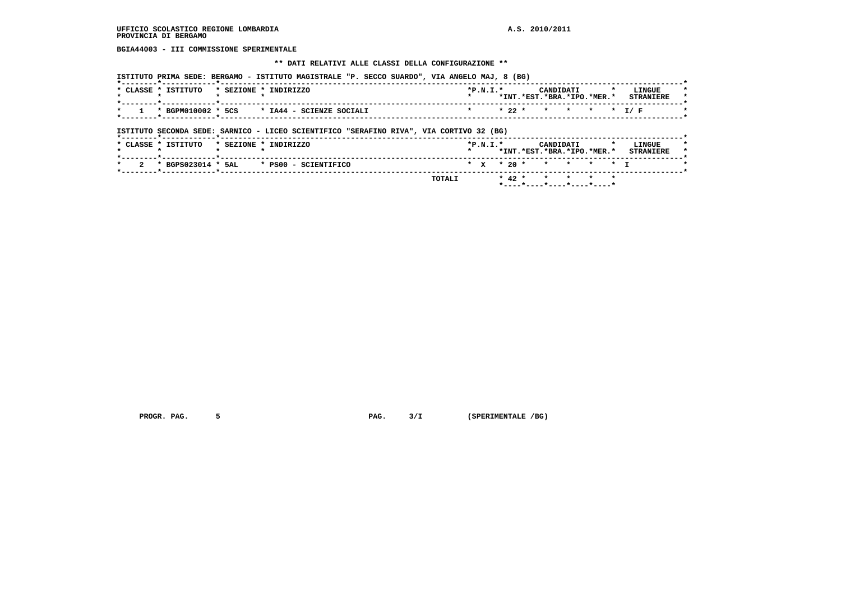**BGIA44003 - III COMMISSIONE SPERIMENTALE**

#### **\*\* DATI RELATIVI ALLE CLASSI DELLA CONFIGURAZIONE \*\***

| * CLASSE * ISTITUTO | * SEZIONE * INDIRIZZO |                                                          |  | $*P.N.T.*$ |  | CANDIDATI                  |  | LINGUE           |
|---------------------|-----------------------|----------------------------------------------------------|--|------------|--|----------------------------|--|------------------|
|                     |                       |                                                          |  |            |  | *INT.*EST.*BRA.*IPO.*MER.* |  | <b>STRANTERE</b> |
|                     |                       |                                                          |  |            |  |                            |  |                  |
|                     |                       | $1 \times$ BGPM010002 $*$ 5CS $*$ IA44 - SCIENZE SOCIALI |  |            |  | * 22 * * * * * * I/F       |  |                  |

 **ISTITUTO SECONDA SEDE: SARNICO - LICEO SCIENTIFICO "SERAFINO RIVA", VIA CORTIVO 32 (BG)**

|                     |  |                                                                     |        |            |  | * 42 * * * * * *                             |  |                            |
|---------------------|--|---------------------------------------------------------------------|--------|------------|--|----------------------------------------------|--|----------------------------|
|                     |  |                                                                     | TOTALI |            |  |                                              |  |                            |
|                     |  | $\star$ 2 $\star$ BGPS023014 $\star$ 5AL $\star$ PS00 - SCIENTIFICO |        |            |  | * x * 20 * * * * * * T                       |  |                            |
| * CLASSE * ISTITUTO |  | * SEZIONE * INDIRIZZO                                               |        | $*P.N.T.*$ |  | CANDIDATI<br>*INT. *EST. *BRA. *IPO. *MER. * |  | LINGUE<br><b>STRANTERE</b> |

 **PROGR. PAG.** 5 5 **PAG. PAG.** 3/I (SPERIMENTALE /BG)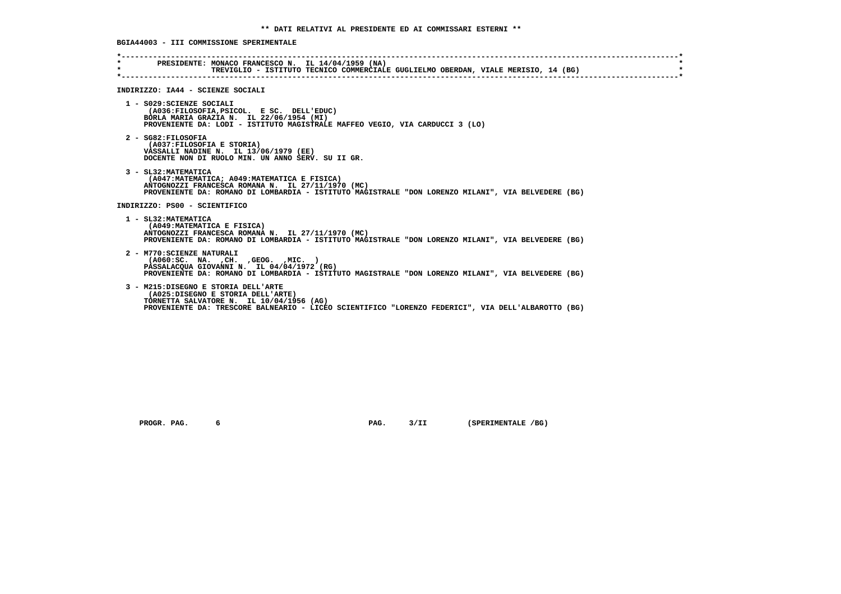**BGIA44003 - III COMMISSIONE SPERIMENTALE**

| $\star$ | PRESIDENTE: MONACO FRANCESCO N. IL 14/04/1959 (NA)<br>TREVIGLIO - ISTITUTO TECNICO COMMERCIALE GUGLIELMO OBERDAN, VIALE MERISIO, 14 (BG)                                                                                         |
|---------|----------------------------------------------------------------------------------------------------------------------------------------------------------------------------------------------------------------------------------|
|         | INDIRIZZO: IA44 - SCIENZE SOCIALI                                                                                                                                                                                                |
|         | 1 - S029: SCIENZE SOCIALI<br>(A036:FILOSOFIA, PSICOL, E SC. DELL'EDUC)<br>BORLA MARIA GRAZIA N. IL 22/06/1954 (MI)<br>PROVENIENTE DA: LODI - ISTITUTO MAGISTRALE MAFFEO VEGIO, VIA CARDUCCI 3 (LO)                               |
|         | 2 - SG82:FILOSOFIA<br>(A037: FILOSOFIA E STORIA)<br>VASSALLI NADINE N. IL 13/06/1979 (EE)<br>DOCENTE NON DI RUOLO MIN. UN ANNO SERV. SU II GR.                                                                                   |
|         | 3 - SL32: MATEMATICA<br>(A047: MATEMATICA; A049: MATEMATICA E FISICA)<br>ANTOGNOZZI FRANCESCA ROMANA N. IL 27/11/1970 (MC)<br>PROVENIENTE DA: ROMANO DI LOMBARDIA - ISTITUTO MAGISTRALE "DON LORENZO MILANI", VIA BELVEDERE (BG) |
|         | INDIRIZZO: PS00 - SCIENTIFICO                                                                                                                                                                                                    |
|         | 1 - SL32: MATEMATICA<br>(A049: MATEMATICA E FISICA)<br>ANTOGNOZZI FRANCESCA ROMANA N. IL 27/11/1970 (MC)<br>PROVENIENTE DA: ROMANO DI LOMBARDIA - ISTITUTO MAGISTRALE "DON LORENZO MILANI", VIA BELVEDERE (BG)                   |
|         | 2 - M770: SCIENZE NATURALI<br>( A060:SC. NA. , CH. , GEOG. , MIC. )<br>PASSALACQUA GIOVANNI N. IL 04/04/1972 (RG)<br>PROVENIENTE DA: ROMANO DI LOMBARDIA - ISTITUTO MAGISTRALE "DON LORENZO MILANI", VIA BELVEDERE (BG)          |
|         | 3 - M215:DISEGNO E STORIA DELL'ARTE<br>(A025:DISEGNO E STORIA DELL'ARTE)<br>TORNETTA SALVATORE N. IL 10/04/1956 (AG)<br>PROVENIENTE DA: TRESCORE BALNEARIO - LICEO SCIENTIFICO "LORENZO FEDERICI", VIA DELL'ALBAROTTO (BG)       |

 **PROGR. PAG.** 6 6 **PAG. PAG.** 3/II (SPERIMENTALE /BG)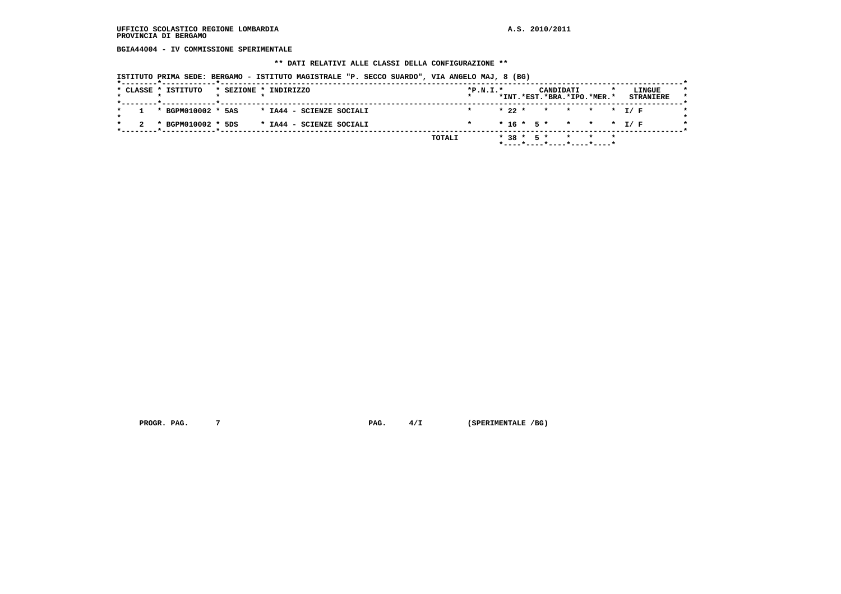**BGIA44004 - IV COMMISSIONE SPERIMENTALE**

#### **\*\* DATI RELATIVI ALLE CLASSI DELLA CONFIGURAZIONE \*\***

 **ISTITUTO PRIMA SEDE: BERGAMO - ISTITUTO MAGISTRALE "P. SECCO SUARDO", VIA ANGELO MAJ, 8 (BG)**

|  | * CLASSE * ISTITUTO  |  | * SEZIONE * INDIRIZZO    |        | $*P.N.I.*$ |  |  | CANDIDATI |                               |  | LINGUE           |
|--|----------------------|--|--------------------------|--------|------------|--|--|-----------|-------------------------------|--|------------------|
|  |                      |  |                          |        |            |  |  |           | *INT.*EST.*BRA.*IPO.*MER.*    |  | <b>STRANIERE</b> |
|  | 1 * BGPM010002 * 5AS |  | * IA44 - SCIENZE SOCIALI |        |            |  |  |           | * 22 * * * * * * I/F          |  |                  |
|  | * BGPM010002 * 5DS   |  | * IA44 - SCIENZE SOCIALI |        |            |  |  |           | $* 16 * 5 * * * * * I/F$      |  |                  |
|  |                      |  |                          | TOTALI |            |  |  |           | $* 38 * 5 * * * * * * *$      |  |                  |
|  |                      |  |                          |        |            |  |  |           | $*$ ----*----*----*----*----* |  |                  |

 **PROGR. PAG.** 7 **PAG.** 4/I (SPERIMENTALE /BG)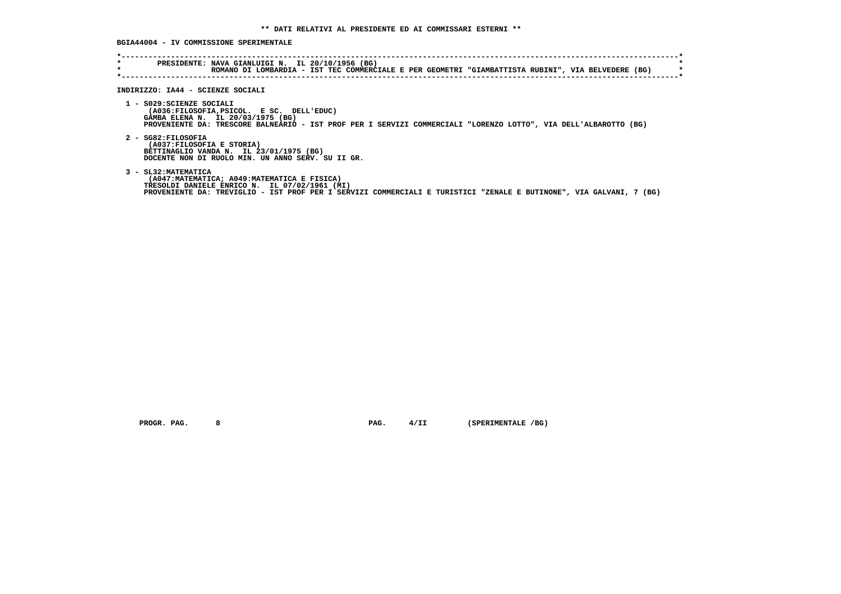# **BGIA44004 - IV COMMISSIONE SPERIMENTALE**

| $\star$ | ROMANO DI LOMBARDIA - IST TEC COMMERCIALE E PER GEOMETRI "GIAMBATTISTA RUBINI", VIA BELVEDERE (BG)<br>INDIRIZZO: IA44 - SCIENZE SOCIALI                                                                                                     |
|---------|---------------------------------------------------------------------------------------------------------------------------------------------------------------------------------------------------------------------------------------------|
|         | 1 - S029: SCIENZE SOCIALI<br>(A036:FILOSOFIA, PSICOL. E SC. DELL'EDUC)<br>GAMBA ELENA N. IL 20/03/1975 (BG)<br>PROVENIENTE DA: TRESCORE BALNEARIO - IST PROF PER I SERVIZI COMMERCIALI "LORENZO LOTTO", VIA DELL'ALBAROTTO (BG)             |
|         | 2 - SG82: FILOSOFIA<br>(A037:FILOSOFIA E STORIA)<br>BETTINAGLIO VANDA N. IL 23/01/1975 (BG)<br>DOCENTE NON DI RUOLO MIN. UN ANNO SERV. SU II GR.                                                                                            |
|         | 3 - SL32: MATEMATICA<br>(A047:MATEMATICA; A049:MATEMATICA E FISICA)<br>TRESOLDI DANIELE ENRICO N. IL 07/02/1961 (MI)<br>PROVENIENTE DA: TREVIGLIO - IST PROF PER I SERVIZI COMMERCIALI E TURISTICI "ZENALE E BUTINONE", VIA GALVANI, 7 (BG) |

 **PROGR. PAG. 8 PAG. 4/II (SPERIMENTALE /BG)**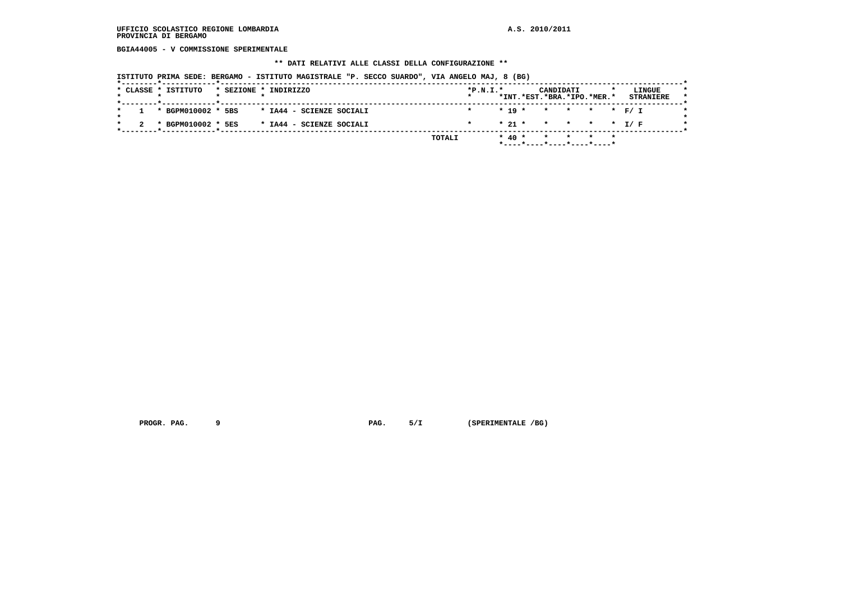**BGIA44005 - V COMMISSIONE SPERIMENTALE**

#### **\*\* DATI RELATIVI ALLE CLASSI DELLA CONFIGURAZIONE \*\***

 **ISTITUTO PRIMA SEDE: BERGAMO - ISTITUTO MAGISTRALE "P. SECCO SUARDO", VIA ANGELO MAJ, 8 (BG)**

|  | * CLASSE * ISTITUTO |  | * SEZIONE * INDIRIZZO    |  |        | $*P.N.T.*$ |  |            | CANDIDATI<br>*INT.*EST.*BRA.*IPO.*MER.* |       |  | LINGUE<br><b>STRANIERE</b> |  |
|--|---------------------|--|--------------------------|--|--------|------------|--|------------|-----------------------------------------|-------|--|----------------------------|--|
|  |                     |  |                          |  |        |            |  |            |                                         |       |  |                            |  |
|  | * BGPM010002 * 5BS  |  | * IA44 - SCIENZE SOCIALI |  |        |            |  | $* 19 *$   | * * * * F/I                             |       |  |                            |  |
|  | * BGPM010002 * 5ES  |  | * IA44 - SCIENZE SOCIALI |  |        |            |  |            | * 21 * * * * * * T/F                    |       |  |                            |  |
|  |                     |  |                          |  | TOTALI |            |  | $*$ 40 $*$ |                                         | * * * |  |                            |  |
|  |                     |  |                          |  |        |            |  |            | *----*----*----*----*----*              |       |  |                            |  |

 **PROGR. PAG. 9 PAG. 5/I (SPERIMENTALE /BG)**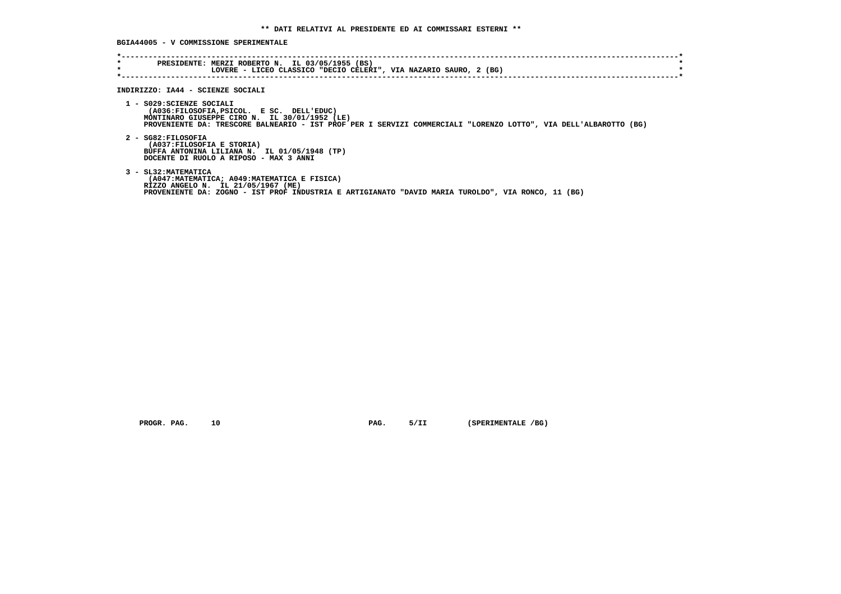**BGIA44005 - V COMMISSIONE SPERIMENTALE**

| INDIRIZZO: IA44 - SCIENZE SOCIALI                                                                                                                                                                                                           |
|---------------------------------------------------------------------------------------------------------------------------------------------------------------------------------------------------------------------------------------------|
| 1 - S029: SCIENZE SOCIALI<br>(A036:FILOSOFIA, PSICOL. E SC. DELL'EDUC)<br>MONTINARO GIUSEPPE CIRO N. IL 30/01/1952 (LE)<br>PROVENIENTE DA: TRESCORE BALNEARIO - IST PROF PER I SERVIZI COMMERCIALI "LORENZO LOTTO", VIA DELL'ALBAROTTO (BG) |
| 2 - SG82:FILOSOFIA<br>(A037: FILOSOFIA E STORIA)<br>BUFFA ANTONINA LILIANA N. IL 01/05/1948 (TP)<br>DOCENTE DI RUOLO A RIPOSO - MAX 3 ANNI                                                                                                  |
| 3 - SL32: MATEMATICA<br>(A047:MATEMATICA; A049:MATEMATICA E FISICA)<br>RIZZO ANGELO N. IL 21/05/1967 (ME)<br>PROVENIENTE DA: ZOGNO - IST PROF INDUSTRIA E ARTIGIANATO "DAVID MARIA TUROLDO", VIA RONCO, 11 (BG)                             |

 **PROGR. PAG.** 10 **PAG.** 5/II (SPERIMENTALE /BG)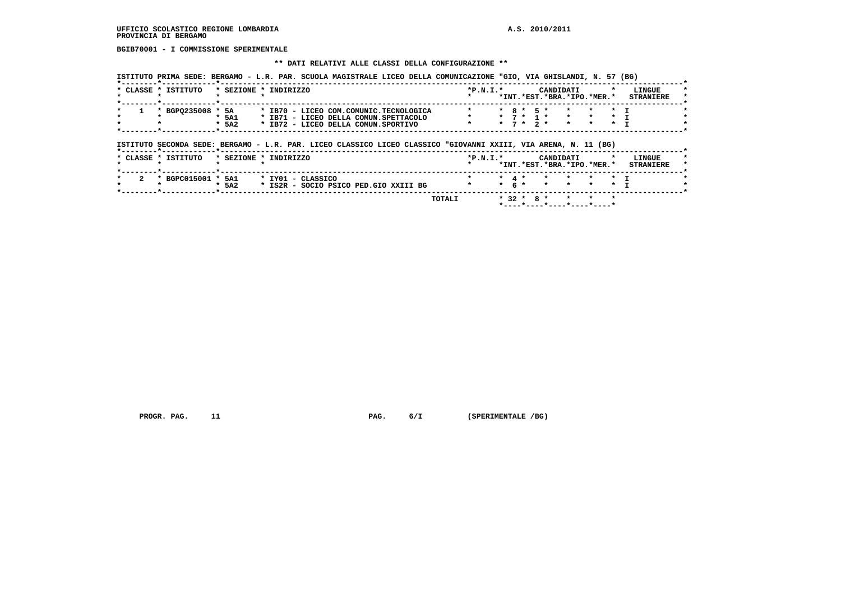**BGIB70001 - I COMMISSIONE SPERIMENTALE**

#### **\*\* DATI RELATIVI ALLE CLASSI DELLA CONFIGURAZIONE \*\***

 **ISTITUTO PRIMA SEDE: BERGAMO - L.R. PAR. SCUOLA MAGISTRALE LICEO DELLA COMUNICAZIONE "GIO, VIA GHISLANDI, N. 57 (BG)**

|  | CLASSE * ISTITUTO | $*$ SEZIONE $*$ | TNDTRTZZO |  |  |                                        | $*P.N.I.*$ |  |                 | <b>CANDIDATI</b> |                                 | LINGUE           |  |
|--|-------------------|-----------------|-----------|--|--|----------------------------------------|------------|--|-----------------|------------------|---------------------------------|------------------|--|
|  |                   |                 |           |  |  |                                        |            |  |                 |                  | *INT. *EST. *BRA. *IPO. *MER. * | <b>STRANTERE</b> |  |
|  |                   |                 |           |  |  |                                        |            |  |                 |                  |                                 |                  |  |
|  | * BGPO235008      | * 5A            |           |  |  | * IB70 - LICEO COM.COMUNIC.TECNOLOGICA |            |  | $*$ 8 $*$ 5 $*$ |                  |                                 |                  |  |
|  |                   | $*$ 5A1         |           |  |  | * IB71 - LICEO DELLA COMUN.SPETTACOLO  |            |  |                 |                  |                                 |                  |  |
|  |                   | $*$ 5A2         |           |  |  | * IB72 - LICEO DELLA COMUN.SPORTIVO    |            |  | * 7 * 2 *       |                  |                                 |                  |  |
|  |                   |                 |           |  |  |                                        |            |  |                 |                  |                                 |                  |  |

# **ISTITUTO SECONDA SEDE: BERGAMO - L.R. PAR. LICEO CLASSICO LICEO CLASSICO "GIOVANNI XXIII, VIA ARENA, N. 11 (BG)**

| * CLASSE * ISTITUTO | * SEZIONE * INDIRIZZO                            | $*P.N.I.*$   |     | CANDIDATI                  | LINGUE           |
|---------------------|--------------------------------------------------|--------------|-----|----------------------------|------------------|
|                     |                                                  |              |     | *INT.*EST.*BRA.*IPO.*MER.* | <b>STRANIERE</b> |
| * BGPC015001 *      | * IYO1 - CLASSICO<br>5A1                         |              |     |                            |                  |
|                     | $*$ 5A2<br>* IS2R - SOCIO PSICO PED.GIO XXIII BG | $\mathbf{r}$ | 6 * |                            |                  |

 **\*----\*----\*----\*----\*----\***

 **PROGR. PAG.** 11 **PAG.** 6/I (SPERIMENTALE /BG)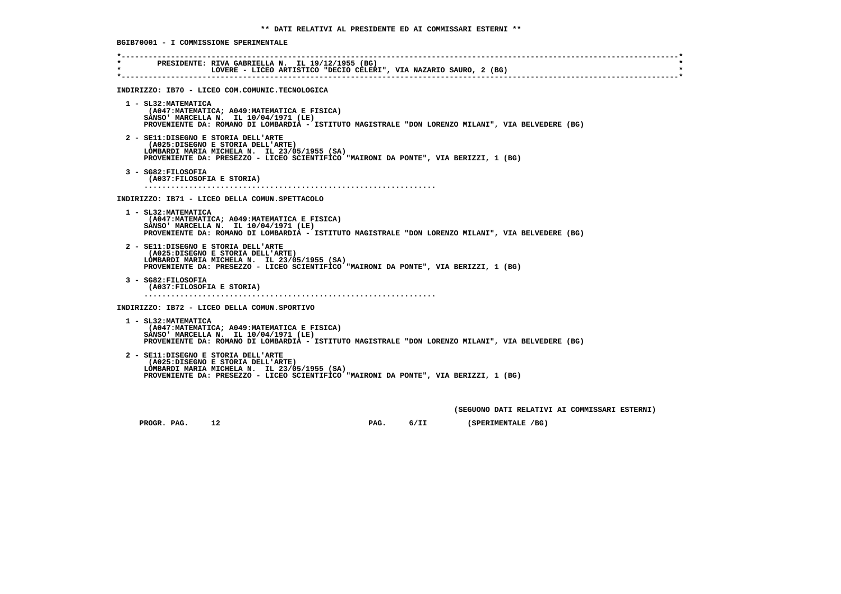**\*----------------------------------------------------------------------------------------------------------------------------\* \* PRESIDENTE: RIVA GABRIELLA N. IL 19/12/1955 (BG) \*E. ATTI CHEATEREM IN THE CONSUMING CELERI", VIA NAZARIO SAURO, 2 (BG) \*----------------------------------------------------------------------------------------------------------------------------\* INDIRIZZO: IB70 - LICEO COM.COMUNIC.TECNOLOGICA 1 - SL32:MATEMATICA (A047:MATEMATICA; A049:MATEMATICA E FISICA) SANSO' MARCELLA N. IL 10/04/1971 (LE) PROVENIENTE DA: ROMANO DI LOMBARDIA - ISTITUTO MAGISTRALE "DON LORENZO MILANI", VIA BELVEDERE (BG) 2 - SE11:DISEGNO E STORIA DELL'ARTE (A025:DISEGNO E STORIA DELL'ARTE) LOMBARDI MARIA MICHELA N. IL 23/05/1955 (SA) PROVENIENTE DA: PRESEZZO - LICEO SCIENTIFICO "MAIRONI DA PONTE", VIA BERIZZI, 1 (BG) 3 - SG82:FILOSOFIA (A037:FILOSOFIA E STORIA) ................................................................. INDIRIZZO: IB71 - LICEO DELLA COMUN.SPETTACOLO 1 - SL32:MATEMATICA (A047:MATEMATICA; A049:MATEMATICA E FISICA) SANSO' MARCELLA N. IL 10/04/1971 (LE) PROVENIENTE DA: ROMANO DI LOMBARDIA - ISTITUTO MAGISTRALE "DON LORENZO MILANI", VIA BELVEDERE (BG) 2 - SE11:DISEGNO E STORIA DELL'ARTE (A025:DISEGNO E STORIA DELL'ARTE) LOMBARDI MARIA MICHELA N. IL 23/05/1955 (SA) PROVENIENTE DA: PRESEZZO - LICEO SCIENTIFICO "MAIRONI DA PONTE", VIA BERIZZI, 1 (BG) 3 - SG82:FILOSOFIA (A037:FILOSOFIA E STORIA) ................................................................. INDIRIZZO: IB72 - LICEO DELLA COMUN.SPORTIVO 1 - SL32:MATEMATICA (A047:MATEMATICA; A049:MATEMATICA E FISICA) SANSO' MARCELLA N. IL 10/04/1971 (LE) PROVENIENTE DA: ROMANO DI LOMBARDIA - ISTITUTO MAGISTRALE "DON LORENZO MILANI", VIA BELVEDERE (BG) 2 - SE11:DISEGNO E STORIA DELL'ARTE (A025:DISEGNO E STORIA DELL'ARTE) LOMBARDI MARIA MICHELA N. IL 23/05/1955 (SA) PROVENIENTE DA: PRESEZZO - LICEO SCIENTIFICO "MAIRONI DA PONTE", VIA BERIZZI, 1 (BG) (SEGUONO DATI RELATIVI AI COMMISSARI ESTERNI)**

 **BGIB70001 - I COMMISSIONE SPERIMENTALE**

 **PROGR. PAG.** 12 **PAG. PAG. 6/II (SPERIMENTALE /BG)**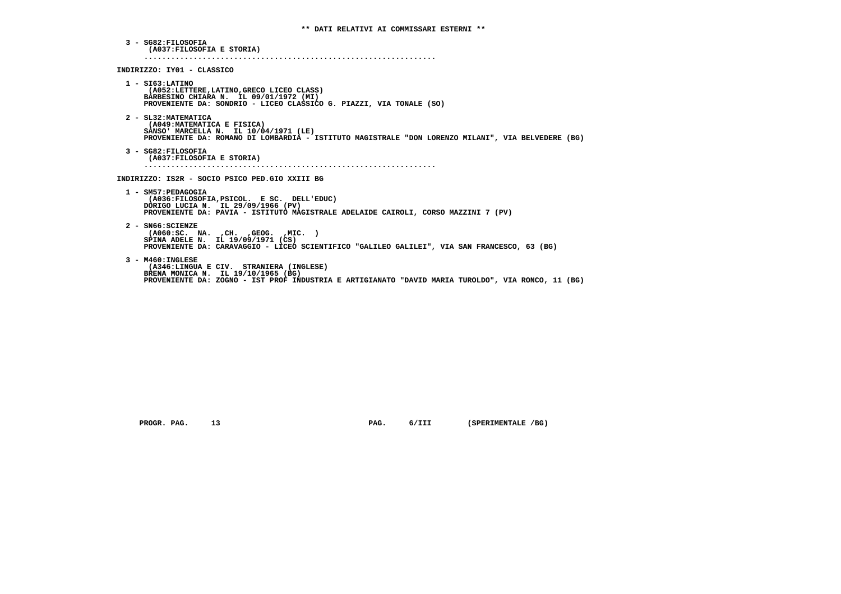**3 - SG82:FILOSOFIA (A037:FILOSOFIA E STORIA) ................................................................. INDIRIZZO: IY01 - CLASSICO 1 - SI63:LATINO (A052:LETTERE,LATINO,GRECO LICEO CLASS) BARBESINO CHIARA N. IL 09/01/1972 (MI) PROVENIENTE DA: SONDRIO - LICEO CLASSICO G. PIAZZI, VIA TONALE (SO) 2 - SL32:MATEMATICA (A049:MATEMATICA E FISICA) SANSO' MARCELLA N. IL 10/04/1971 (LE) PROVENIENTE DA: ROMANO DI LOMBARDIA - ISTITUTO MAGISTRALE "DON LORENZO MILANI", VIA BELVEDERE (BG) 3 - SG82:FILOSOFIA (A037:FILOSOFIA E STORIA) ................................................................. INDIRIZZO: IS2R - SOCIO PSICO PED.GIO XXIII BG 1 - SM57:PEDAGOGIA (A036:FILOSOFIA,PSICOL. E SC. DELL'EDUC) DORIGO LUCIA N. IL 29/09/1966 (PV) PROVENIENTE DA: PAVIA - ISTITUTO MAGISTRALE ADELAIDE CAIROLI, CORSO MAZZINI 7 (PV) 2 - SN66:SCIENZE (A060:SC. NA. ,CH. ,GEOG. ,MIC. ) SPINA ADELE N. IL 19/09/1971 (CS) PROVENIENTE DA: CARAVAGGIO - LICEO SCIENTIFICO "GALILEO GALILEI", VIA SAN FRANCESCO, 63 (BG) 3 - M460:INGLESE (A346:LINGUA E CIV. STRANIERA (INGLESE) BRENA MONICA N. IL 19/10/1965 (BG) PROVENIENTE DA: ZOGNO - IST PROF INDUSTRIA E ARTIGIANATO "DAVID MARIA TUROLDO", VIA RONCO, 11 (BG)**

PROGR. PAG. 13 **PAG.** PAG. 6/III (SPERIMENTALE /BG)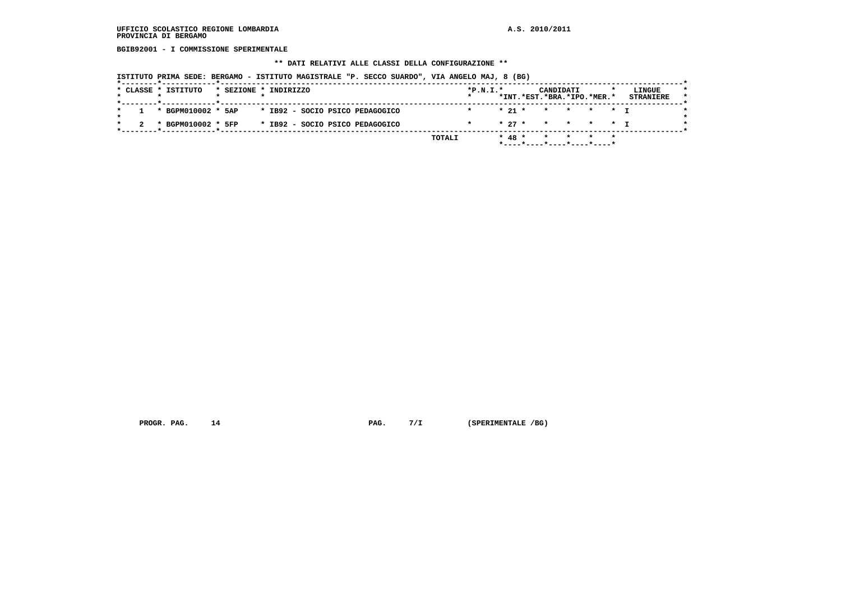**BGIB92001 - I COMMISSIONE SPERIMENTALE**

#### **\*\* DATI RELATIVI ALLE CLASSI DELLA CONFIGURAZIONE \*\***

 **ISTITUTO PRIMA SEDE: BERGAMO - ISTITUTO MAGISTRALE "P. SECCO SUARDO", VIA ANGELO MAJ, 8 (BG)**

|  |                      |                       |  |  |                                 | TOTALI |            | $* 48 *$ |                            |  |                  |  |
|--|----------------------|-----------------------|--|--|---------------------------------|--------|------------|----------|----------------------------|--|------------------|--|
|  | * BGPM010002 * 5FP   |                       |  |  | * IB92 - SOCIO PSICO PEDAGOGICO |        |            |          | * 27 * * * * * T           |  |                  |  |
|  |                      |                       |  |  |                                 |        |            |          |                            |  |                  |  |
|  | 1 * BGPM010002 * 5AP |                       |  |  | * IB92 - SOCIO PSICO PEDAGOGICO |        |            | $* 21 *$ | * * * * T                  |  |                  |  |
|  |                      |                       |  |  |                                 |        |            |          | *INT.*EST.*BRA.*IPO.*MER.* |  | <b>STRANIERE</b> |  |
|  | * CLASSE * ISTITUTO  | * SEZIONE * INDIRIZZO |  |  |                                 |        | $*P.N.I.*$ |          | CANDIDATI                  |  | LINGUE           |  |
|  |                      |                       |  |  |                                 |        |            |          |                            |  |                  |  |

 **PROGR. PAG.** 14 **PAG.** 7/I (SPERIMENTALE /BG)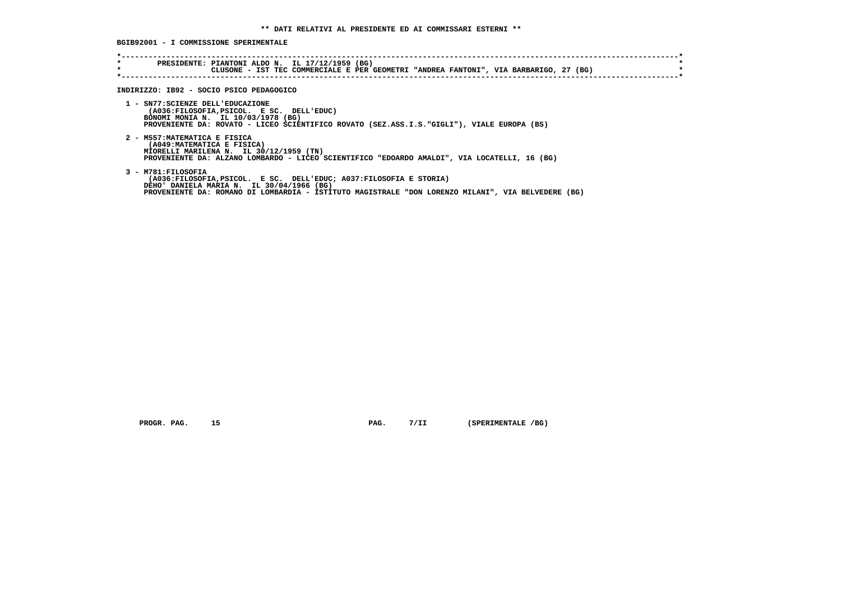**BGIB92001 - I COMMISSIONE SPERIMENTALE**

| $\star$ | PRESIDENTE: PIANTONI ALDO N. IL 17/12/1959 (BG)<br>CLUSONE - IST TEC COMMERCIALE E PER GEOMETRI "ANDREA FANTONI", VIA BARBARIGO, 27 (BG)                                                                                                     |
|---------|----------------------------------------------------------------------------------------------------------------------------------------------------------------------------------------------------------------------------------------------|
|         | INDIRIZZO: IB92 - SOCIO PSICO PEDAGOGICO                                                                                                                                                                                                     |
|         | 1 - SN77: SCIENZE DELL'EDUCAZIONE<br>(A036:FILOSOFIA, PSICOL. E SC. DELL'EDUC)<br>BONOMI MONIA N. IL 10/03/1978 (BG)<br>PROVENIENTE DA: ROVATO - LICEO SCIENTIFICO ROVATO (SEZ.ASS.I.S."GIGLI"), VIALE EUROPA (BS)                           |
|         | 2 - M557: MATEMATICA E FISICA<br>(A049: MATEMATICA E FISICA)<br>MIORELLI MARILENA N. IL 30/12/1959 (TN)<br>PROVENIENTE DA: ALZANO LOMBARDO - LICEO SCIENTIFICO "EDOARDO AMALDI", VIA LOCATELLI, 16 (BG)                                      |
|         | 3 - M781: FILOSOFIA<br>(A036:FILOSOFIA, PSICOL. E SC. DELL'EDUC; A037:FILOSOFIA E STORIA)<br>DEHO' DANIELA MARIA N. IL 30/04/1966 (BG)<br>PROVENIENTE DA: ROMANO DI LOMBARDIA - ISTITUTO MAGISTRALE "DON LORENZO MILANI", VIA BELVEDERE (BG) |

 **PROGR. PAG.** 15 **PAG.** 7/II (SPERIMENTALE /BG)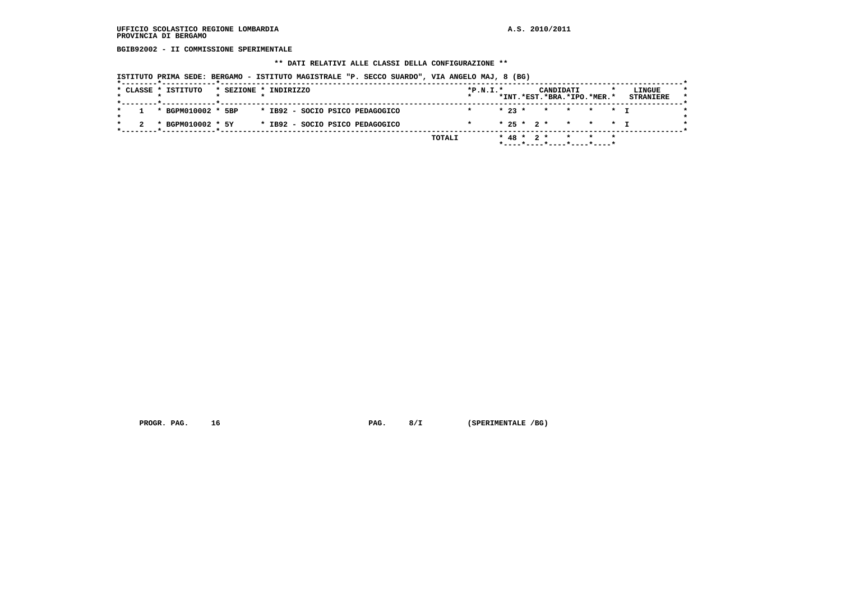**BGIB92002 - II COMMISSIONE SPERIMENTALE**

#### **\*\* DATI RELATIVI ALLE CLASSI DELLA CONFIGURAZIONE \*\***

 **ISTITUTO PRIMA SEDE: BERGAMO - ISTITUTO MAGISTRALE "P. SECCO SUARDO", VIA ANGELO MAJ, 8 (BG)**

| $* 23 *$<br>1 * BGPM010002 * 5BP<br>* IB92 - SOCIO PSICO PEDAGOGICO<br>* * * * * T |                   |                                 |         |  |  | *INT.*EST.*BRA.*IPO.*MER.* | <b>STRANIERE</b> |
|------------------------------------------------------------------------------------|-------------------|---------------------------------|---------|--|--|----------------------------|------------------|
|                                                                                    |                   |                                 |         |  |  |                            |                  |
| * 25 * 2 * * * * I                                                                 | * BGPM010002 * 5Y | * IB92 - SOCIO PSICO PEDAGOGICO | $\star$ |  |  |                            |                  |

 **PROGR. PAG.** 16 **PAG. 8/I** (SPERIMENTALE /BG)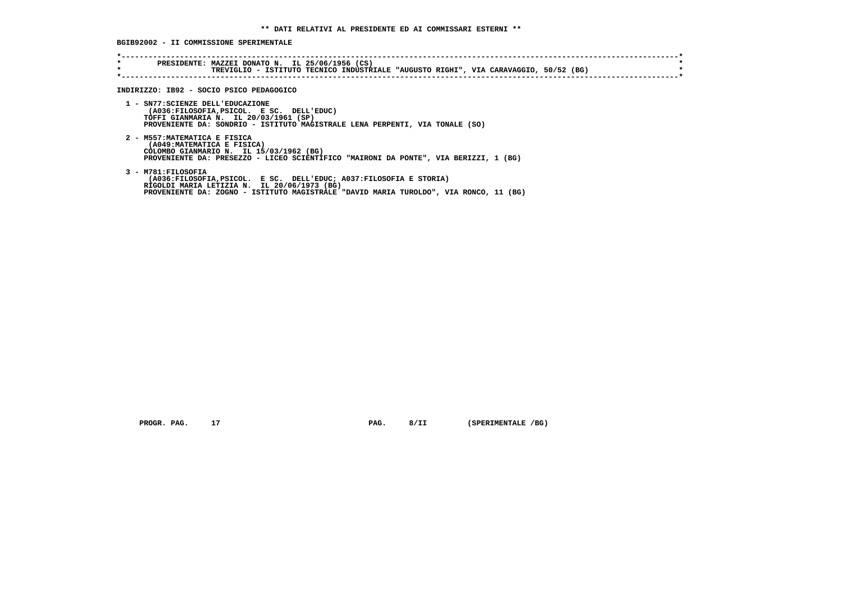**BGIB92002 - II COMMISSIONE SPERIMENTALE**

| $\star$ | PRESIDENTE: MAZZEI DONATO N. IL 25/06/1956 (CS)<br>TREVIGLIO - ISTITUTO TECNICO INDUSTRIALE "AUGUSTO RIGHI", VIA CARAVAGGIO, 50/52 (BG)                                                                                                             |
|---------|-----------------------------------------------------------------------------------------------------------------------------------------------------------------------------------------------------------------------------------------------------|
|         | INDIRIZZO: IB92 - SOCIO PSICO PEDAGOGICO<br>1 - SN77: SCIENZE DELL'EDUCAZIONE<br>(A036:FILOSOFIA, PSICOL. E SC. DELL'EDUC)<br>TOFFI GIANMARIA N. IL 20/03/1961 (SP)<br>PROVENIENTE DA: SONDRIO - ISTITUTO MAGISTRALE LENA PERPENTI, VIA TONALE (SO) |
|         | 2 - M557: MATEMATICA E FISICA<br>(A049: MATEMATICA E FISICA)<br>COLOMBO GIANMARIO N. IL 15/03/1962 (BG)<br>PROVENIENTE DA: PRESEZZO - LICEO SCIENTIFICO "MAIRONI DA PONTE", VIA BERIZZI, 1 (BG)                                                     |
|         | 3 - M781: FILOSOFIA<br>(A036:FILOSOFIA, PSICOL. E SC. DELL'EDUC; A037:FILOSOFIA E STORIA)<br>RIGOLDI MARIA LETIZIA N. IL 20/06/1973 (BG)<br>PROVENIENTE DA: ZOGNO - ISTITUTO MAGISTRALE "DAVID MARIA TUROLDO", VIA RONCO, 11 (BG)                   |

 **PROGR. PAG.** 17 **PAG.** 8/II (SPERIMENTALE /BG)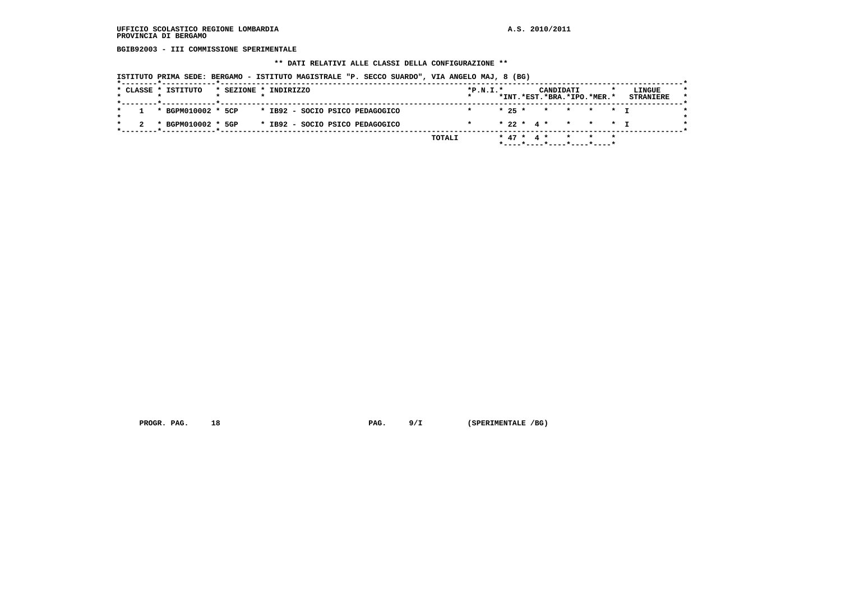**BGIB92003 - III COMMISSIONE SPERIMENTALE**

#### **\*\* DATI RELATIVI ALLE CLASSI DELLA CONFIGURAZIONE \*\***

 **ISTITUTO PRIMA SEDE: BERGAMO - ISTITUTO MAGISTRALE "P. SECCO SUARDO", VIA ANGELO MAJ, 8 (BG)**

| 1 * BGPM010002 * 5CP<br>* IB92 - SOCIO PSICO PEDAGOGICO | $* 25 * * * * * * * T$<br>$\star$ |
|---------------------------------------------------------|-----------------------------------|
| * IB92 - SOCIO PSICO PEDAGOGICO<br>* BGPM010002 * 5GP   | * 22 * 4 * * * * T                |

 **PROGR. PAG.** 18 **PAG.** 9/I (SPERIMENTALE /BG)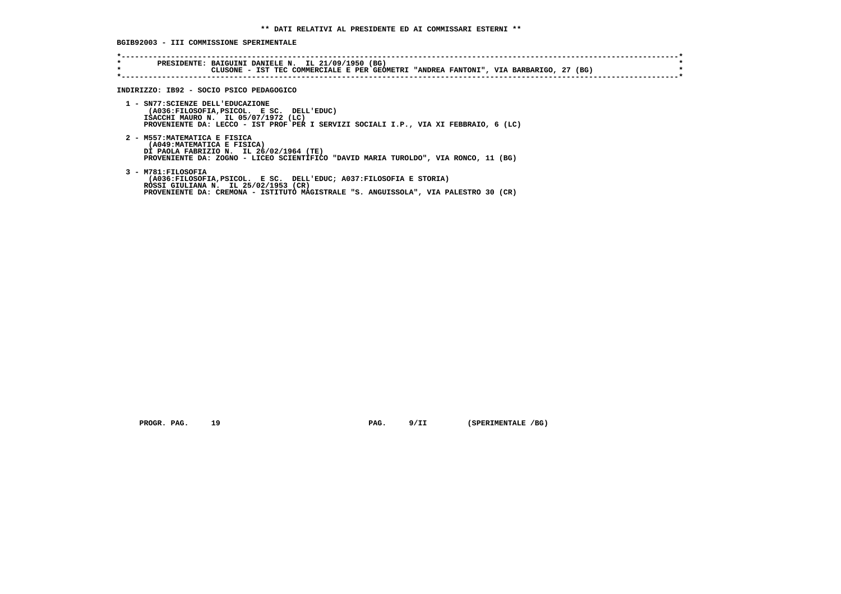**BGIB92003 - III COMMISSIONE SPERIMENTALE**

| INDIRIZZO: IB92 - SOCIO PSICO PEDAGOGICO                                                                                                                                                                                |
|-------------------------------------------------------------------------------------------------------------------------------------------------------------------------------------------------------------------------|
| 1 - SN77: SCIENZE DELL'EDUCAZIONE<br>(A036:FILOSOFIA, PSICOL. E SC. DELL'EDUC)<br>ISACCHI MAURO N. IL 05/07/1972 (LC)<br>PROVENIENTE DA: LECCO - IST PROF PER I SERVIZI SOCIALI I.P., VIA XI FEBBRAIO, 6 (LC)           |
| 2 - M557: MATEMATICA E FISICA<br>(A049: MATEMATICA E FISICA)<br>DI PAOLA FABRIZIO N. IL 26/02/1964 (TE)<br>PROVENIENTE DA: ZOGNO - LICEO SCIENTIFICO "DAVID MARIA TUROLDO", VIA RONCO, 11 (BG)                          |
| 3 - M781:FILOSOFIA<br>(A036:FILOSOFIA, PSICOL. E SC. DELL'EDUC; A037:FILOSOFIA E STORIA)<br>ROSSI GIULIANA N. IL 25/02/1953 (CR)<br>PROVENIENTE DA: CREMONA - ISTITUTO MAGISTRALE "S. ANGUISSOLA", VIA PALESTRO 30 (CR) |

 **PROGR. PAG.** 19 **PAG.** 9/II (SPERIMENTALE /BG)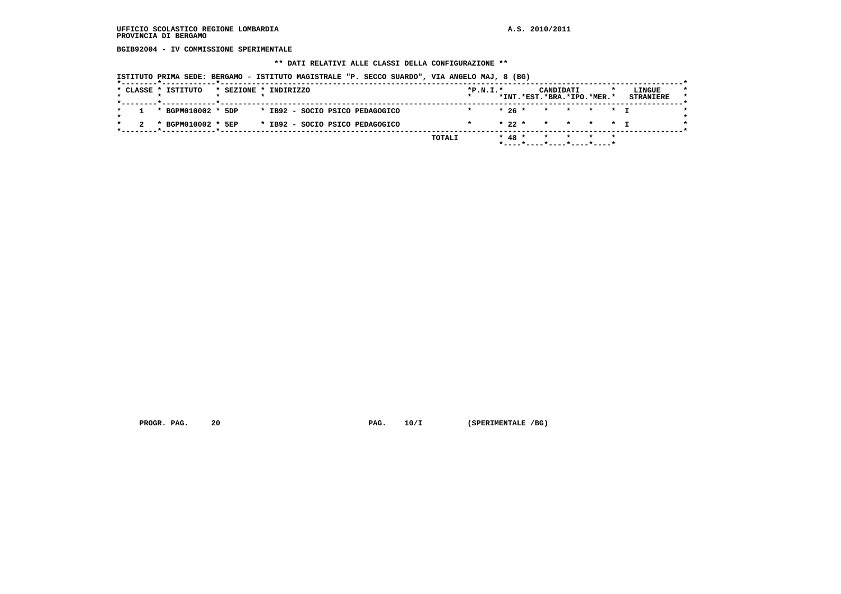**BGIB92004 - IV COMMISSIONE SPERIMENTALE**

#### **\*\* DATI RELATIVI ALLE CLASSI DELLA CONFIGURAZIONE \*\***

 **ISTITUTO PRIMA SEDE: BERGAMO - ISTITUTO MAGISTRALE "P. SECCO SUARDO", VIA ANGELO MAJ, 8 (BG)**

|                     | 1 * BGPM010002 * 5DP<br>* BGPM010002 * 5EP |  | * IB92 - SOCIO PSICO PEDAGOGICO<br>* IB92 - SOCIO PSICO PEDAGOGICO<br>TOTALI |            | $* 48 *$ | $*26*$ | * * * * * T<br>$* 22 * * * * * * + T$<br>$\mathbf{x}$ |  |                  |
|---------------------|--------------------------------------------|--|------------------------------------------------------------------------------|------------|----------|--------|-------------------------------------------------------|--|------------------|
|                     |                                            |  |                                                                              |            |          |        |                                                       |  |                  |
|                     |                                            |  |                                                                              |            |          |        |                                                       |  |                  |
|                     |                                            |  |                                                                              |            |          |        |                                                       |  |                  |
|                     |                                            |  |                                                                              |            |          |        | *INT.*EST.*BRA.*IPO.*MER.*                            |  | <b>STRANIERE</b> |
| * CLASSE * ISTITUTO |                                            |  | * SEZIONE * INDIRIZZO                                                        | $*P.N.I.*$ |          |        | CANDIDATI                                             |  | LINGUE           |

 **PROGR. PAG.** 20 **PAG.** 10/I (SPERIMENTALE /BG)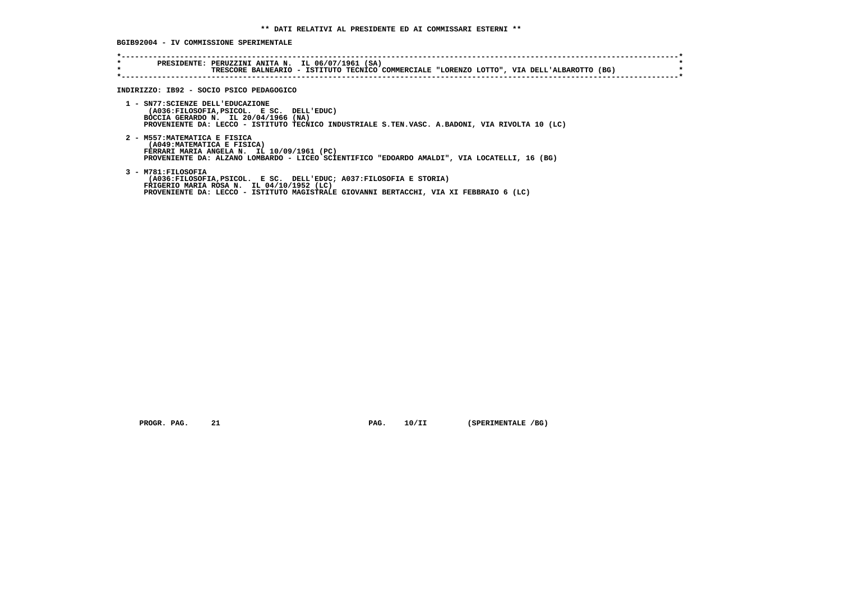**BGIB92004 - IV COMMISSIONE SPERIMENTALE**

| *<br>$\star$ | PRESIDENTE: PERUZZINI ANITA N. IL 06/07/1961 (SA)<br>TRESCORE BALNEARIO - ISTITUTO TECNICO COMMERCIALE "LORENZO LOTTO", VIA DELL'ALBAROTTO (BG)                                                                                 |
|--------------|---------------------------------------------------------------------------------------------------------------------------------------------------------------------------------------------------------------------------------|
|              | INDIRIZZO: IB92 - SOCIO PSICO PEDAGOGICO                                                                                                                                                                                        |
|              | 1 - SN77: SCIENZE DELL'EDUCAZIONE<br>(A036: FILOSOFIA, PSICOL. E SC. DELL'EDUC)<br>BOCCIA GERARDO N. IL 20/04/1966 (NA)<br>PROVENIENTE DA: LECCO - ISTITUTO TECNICO INDUSTRIALE S.TEN.VASC. A.BADONI, VIA RIVOLTA 10 (LC)       |
|              | 2 - M557: MATEMATICA E FISICA<br>(A049: MATEMATICA E FISICA)<br>FERRARI MARIA ANGELA N. IL 10/09/1961 (PC)<br>PROVENIENTE DA: ALZANO LOMBARDO - LICEO SCIENTIFICO "EDOARDO AMALDI", VIA LOCATELLI, 16 (BG)                      |
|              | 3 - M781:FILOSOFIA<br>(A036:FILOSOFIA, PSICOL. E SC. DELL'EDUC; A037:FILOSOFIA E STORIA)<br>FRIGERIO MARIA ROSA N. IL 04/10/1952 (LC)<br>PROVENIENTE DA: LECCO - ISTITUTO MAGISTRALE GIOVANNI BERTACCHI, VIA XI FEBBRAIO 6 (LC) |

 **PROGR. PAG.** 21 **PAG.** 10/II (SPERIMENTALE /BG)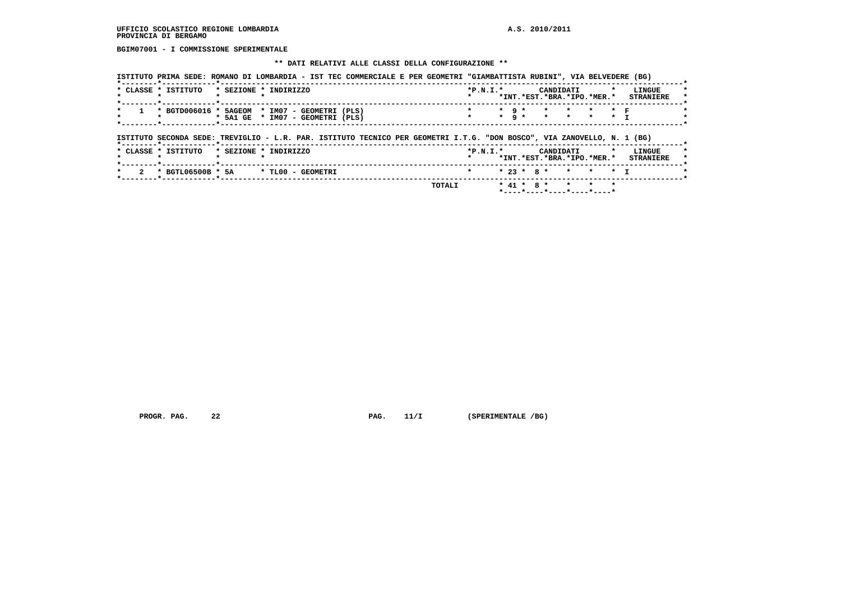**BGIM07001 - I COMMISSIONE SPERIMENTALE**

# **\*\* DATI RELATIVI ALLE CLASSI DELLA CONFIGURAZIONE \*\***

| * CLASSE * ISTITUTO                                                                                                                                                                                                                                                             | * SEZIONE * INDIRIZZO            |  |  |  |  | $*P.N.I.*$ |                                |         | CANDIDATI<br>*INT.*EST.*BRA.*IPO.*MER.* |         |                                   | LINGUE<br><b>STRANIERE</b> |
|---------------------------------------------------------------------------------------------------------------------------------------------------------------------------------------------------------------------------------------------------------------------------------|----------------------------------|--|--|--|--|------------|--------------------------------|---------|-----------------------------------------|---------|-----------------------------------|----------------------------|
| * BGTD006016 * 5AGEOM * IM07 - GEOMETRI (PLS)<br>그 사람들은 그 사람들은 그 사람들은 그 사람들을 지르며 그 사람들을 지르며 그 사람들을 지르며 그 사람들을 지르며 그 사람들을 지르며 그 사람들을 지르며 그 사람들을 지르며 그 사람들을 지르며 그 사람들을 지르며 그 사람들을 지르며 그 사람들을 지르며 그 사람들을 지르며 그 사람들을 지르며 그 사람들을 지르며 그 사람들을 지르며 그 사람들을 지르며 그 사람들을 지르며 그 사람들을 지르며 그 사 | * 5A1 GE * IM07 - GEOMETRI (PLS) |  |  |  |  |            | $*$ 9 $*$<br>$\star$ 9 $\star$ | $\star$ | $\star$                                 | $\star$ | $\star$ $\blacksquare$<br>$\star$ |                            |
|                                                                                                                                                                                                                                                                                 |                                  |  |  |  |  |            |                                |         |                                         |         |                                   |                            |
| ISTITUTO SECONDA SEDE: TREVIGLIO - L.R. PAR. ISTITUTO TECNICO PER GEOMETRI I.T.G. "DON BOSCO", VIA ZANOVELLO, N. 1 (BG)                                                                                                                                                         |                                  |  |  |  |  |            |                                |         |                                         |         |                                   |                            |
| * CLASSE * ISTITUTO                                                                                                                                                                                                                                                             | * SEZIONE * INDIRIZZO            |  |  |  |  | $*P.N.T.*$ |                                |         | CANDIDATI<br>*INT.*EST.*BRA.*IPO.*MER.* |         |                                   | LINGUE<br><b>STRANIERE</b> |

 **PROGR. PAG.** 22 **PAG.** 11/I (SPERIMENTALE /BG)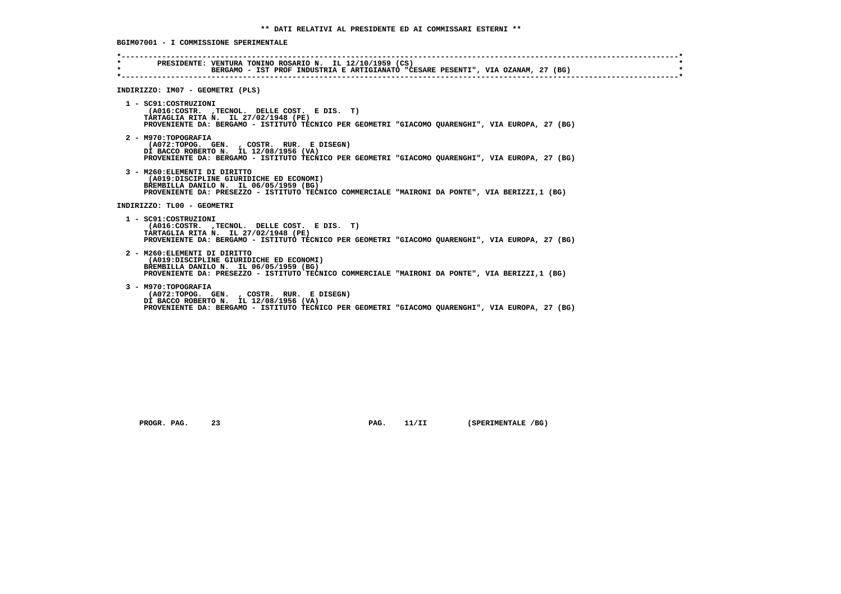**\*----------------------------------------------------------------------------------------------------------------------------\* \* PRESIDENTE: VENTURA TONINO ROSARIO N. IL 12/10/1959 (CS) \* BERGAMO - IST PROF INDUSTRIA E ARTIGIANATO "CESARE PESENTI", VIA OZANAM, 27 (BG) \*----------------------------------------------------------------------------------------------------------------------------\* INDIRIZZO: IM07 - GEOMETRI (PLS) 1 - SC91:COSTRUZIONI (A016:COSTR. ,TECNOL. DELLE COST. E DIS. T) TARTAGLIA RITA N. IL 27/02/1948 (PE) PROVENIENTE DA: BERGAMO - ISTITUTO TECNICO PER GEOMETRI "GIACOMO QUARENGHI", VIA EUROPA, 27 (BG) 2 - M970:TOPOGRAFIA (A072:TOPOG. GEN. , COSTR. RUR. E DISEGN) DI BACCO ROBERTO N. IL 12/08/1956 (VA) PROVENIENTE DA: BERGAMO - ISTITUTO TECNICO PER GEOMETRI "GIACOMO QUARENGHI", VIA EUROPA, 27 (BG) 3 - M260:ELEMENTI DI DIRITTO (A019:DISCIPLINE GIURIDICHE ED ECONOMI) BREMBILLA DANILO N. IL 06/05/1959 (BG) PROVENIENTE DA: PRESEZZO - ISTITUTO TECNICO COMMERCIALE "MAIRONI DA PONTE", VIA BERIZZI,1 (BG) INDIRIZZO: TL00 - GEOMETRI 1 - SC91:COSTRUZIONI (A016:COSTR. ,TECNOL. DELLE COST. E DIS. T) TARTAGLIA RITA N. IL 27/02/1948 (PE) PROVENIENTE DA: BERGAMO - ISTITUTO TECNICO PER GEOMETRI "GIACOMO QUARENGHI", VIA EUROPA, 27 (BG) 2 - M260:ELEMENTI DI DIRITTO (A019:DISCIPLINE GIURIDICHE ED ECONOMI) BREMBILLA DANILO N. IL 06/05/1959 (BG) PROVENIENTE DA: PRESEZZO - ISTITUTO TECNICO COMMERCIALE "MAIRONI DA PONTE", VIA BERIZZI,1 (BG) 3 - M970:TOPOGRAFIA (A072:TOPOG. GEN. , COSTR. RUR. E DISEGN) DI BACCO ROBERTO N. IL 12/08/1956 (VA) PROVENIENTE DA: BERGAMO - ISTITUTO TECNICO PER GEOMETRI "GIACOMO QUARENGHI", VIA EUROPA, 27 (BG)**

**PROGR. PAG.** 23 **PAG. PAG. 11/II** (SPERIMENTALE /BG)

 **BGIM07001 - I COMMISSIONE SPERIMENTALE**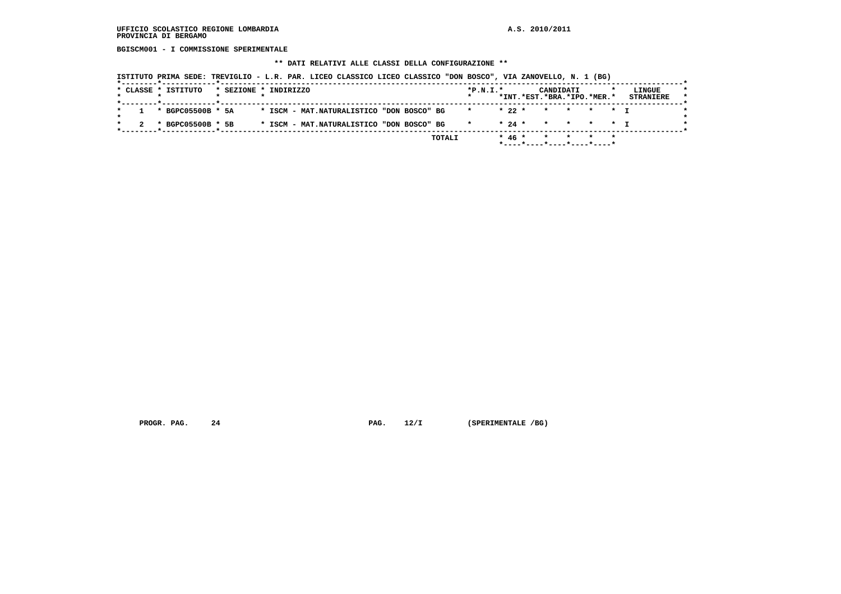**BGISCM001 - I COMMISSIONE SPERIMENTALE**

# **\*\* DATI RELATIVI ALLE CLASSI DELLA CONFIGURAZIONE \*\***

|  | * CLASSE * ISTITUTO   | * SEZIONE * INDIRIZZO |  |  |                                           |  |              | $*P.N.T.*$   |          | CANDIDATI<br>*INT.*EST.*BRA.*IPO.*MER.* |         |  | LINGUE<br><b>STRANIERE</b> |
|--|-----------------------|-----------------------|--|--|-------------------------------------------|--|--------------|--------------|----------|-----------------------------------------|---------|--|----------------------------|
|  | $1 * BGPC05500B * 5A$ |                       |  |  | * ISCM - MAT.NATURALISTICO "DON BOSCO" BG |  |              | $\mathbf{r}$ | $*22$ *  | $\star$                                 | * * * T |  |                            |
|  | * BGPC05500B * 5B     |                       |  |  | * ISCM - MAT.NATURALISTICO "DON BOSCO" BG |  | $\mathbf{r}$ |              | $* 24 *$ | * * * * * T                             |         |  |                            |

 **PROGR. PAG.** 24 **PAG.** 12/I (SPERIMENTALE /BG)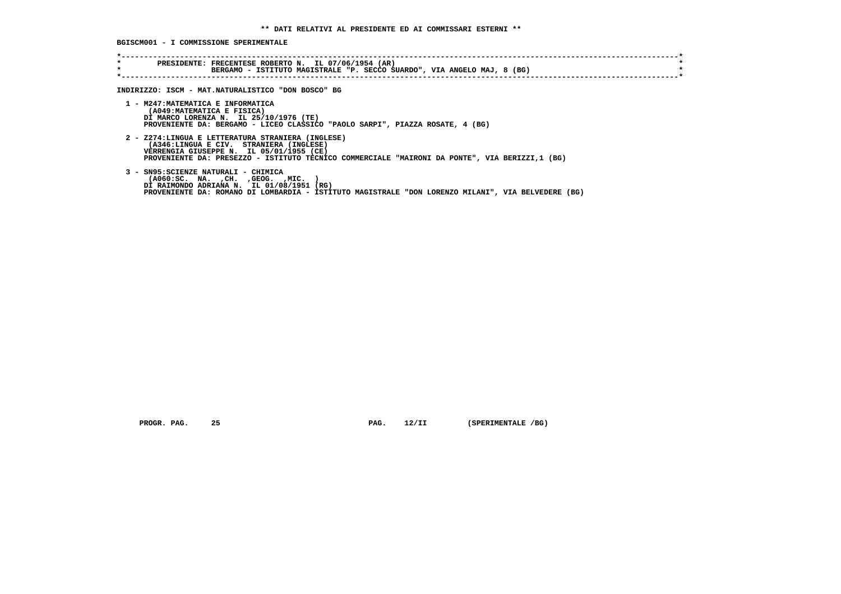**BGISCM001 - I COMMISSIONE SPERIMENTALE**

| * | PRESIDENTE: FRECENTESE ROBERTO N. IL 07/06/1954 (AR)<br>BERGAMO - ISTITUTO MAGISTRALE "P. SECCO SUARDO", VIA ANGELO MAJ, 8 (BG)                                                                                                            |
|---|--------------------------------------------------------------------------------------------------------------------------------------------------------------------------------------------------------------------------------------------|
|   | INDIRIZZO: ISCM - MAT.NATURALISTICO "DON BOSCO" BG                                                                                                                                                                                         |
|   | 1 - M247: MATEMATICA E INFORMATICA<br>(A049: MATEMATICA E FISICA)<br>DI MARCO LORENZA N. IL 25/10/1976 (TE)<br>PROVENIENTE DA: BERGAMO - LICEO CLASSICO "PAOLO SARPI", PIAZZA ROSATE, 4 (BG)                                               |
|   | 2 - Z274:LINGUA E LETTERATURA STRANIERA (INGLESE)<br>(A346:LINGUA E CIV. STRANIERA (INGLESE)<br>VERRENGIA GIUSEPPE N. IL 05/01/1955 (CE)<br>PROVENIENTE DA: PRESEZZO - ISTITUTO TECNICO COMMERCIALE "MAIRONI DA PONTE", VIA BERIZZI,1 (BG) |
|   | 3 - SN95: SCIENZE NATURALI - CHIMICA<br>( A060:SC. NA. , CH. , GEOG. , MIC.<br>DI RAIMONDO ADRIANA N. IL 01/08/1951 (RG)<br>PROVENIENTE DA: ROMANO DI LOMBARDIA - ISTITUTO MAGISTRALE "DON LORENZO MILANI", VIA BELVEDERE (BG)             |

 **PROGR. PAG.** 25 **PAG.** 12/II (SPERIMENTALE /BG)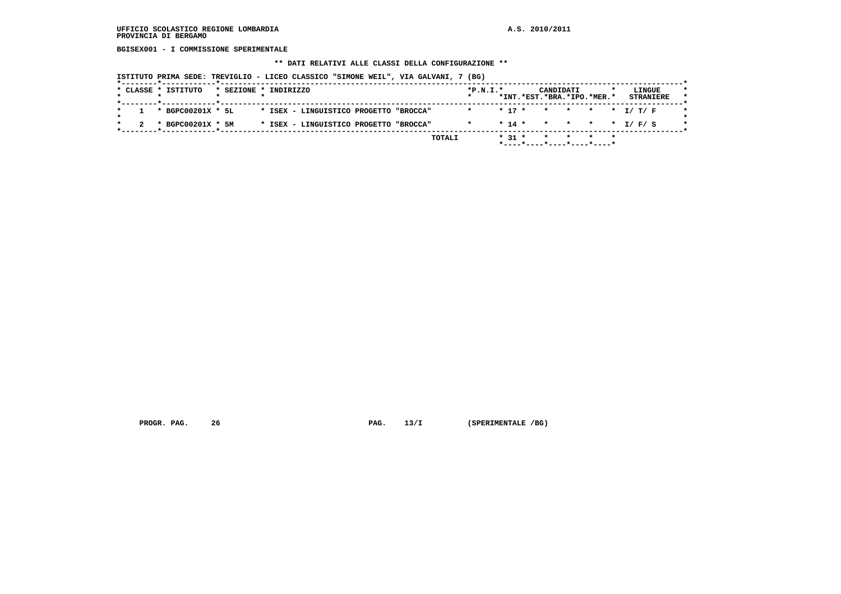**BGISEX001 - I COMMISSIONE SPERIMENTALE**

#### **\*\* DATI RELATIVI ALLE CLASSI DELLA CONFIGURAZIONE \*\***

 **ISTITUTO PRIMA SEDE: TREVIGLIO - LICEO CLASSICO "SIMONE WEIL", VIA GALVANI, 7 (BG)**

|  |                     |                                        |                       |        |                                                                                  |            |                                  |         |           |                                       | LINGUE                                             |
|--|---------------------|----------------------------------------|-----------------------|--------|----------------------------------------------------------------------------------|------------|----------------------------------|---------|-----------|---------------------------------------|----------------------------------------------------|
|  |                     |                                        |                       |        |                                                                                  |            |                                  |         |           |                                       |                                                    |
|  |                     |                                        |                       |        |                                                                                  |            |                                  |         |           |                                       |                                                    |
|  |                     |                                        |                       |        |                                                                                  |            |                                  |         |           |                                       |                                                    |
|  |                     |                                        |                       | TOTALI |                                                                                  |            |                                  |         |           |                                       |                                                    |
|  | * CLASSE * ISTITUTO | * BGPC00201X * 5L<br>* BGPC00201X * 5M | * SEZIONE * INDIRIZZO |        | * ISEX - LINGUISTICO PROGETTO "BROCCA"<br>* ISEX - LINGUISTICO PROGETTO "BROCCA" | $*P.N.T.*$ | $* 17 *$<br>$* 14 *$<br>$* 31 *$ | $\star$ | CANDIDATI | *INT.*EST.*BRA.*IPO.*MER.*<br>$\star$ | <b>STRANIERE</b><br>* * * * T/T/F<br>* * * * I/F/S |

 **PROGR. PAG.** 26 **PROGR. 26 PAG.** 13/I (SPERIMENTALE /BG)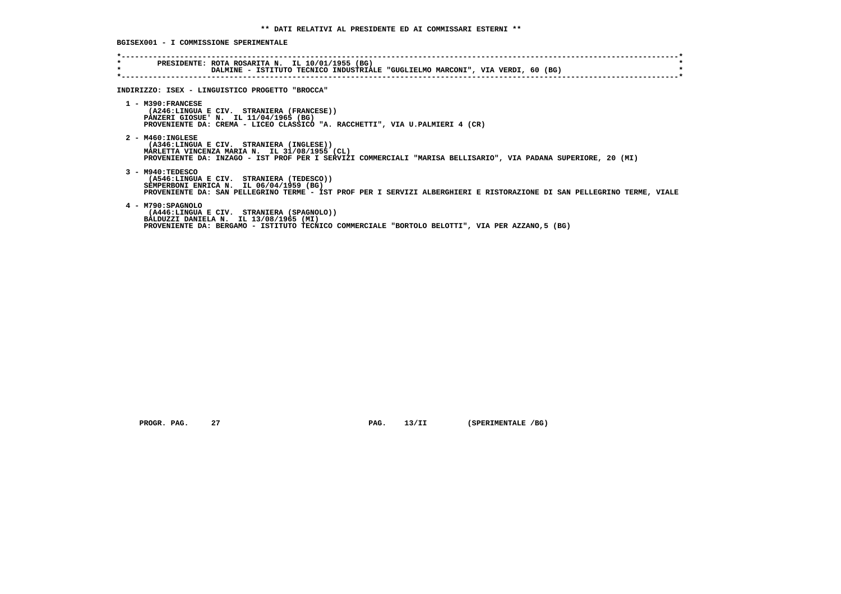**\*----------------------------------------------------------------------------------------------------------------------------\* \* PRESIDENTE: ROTA ROSARITA N. IL 10/01/1955 (BG) \*** $\star$  **PORLAMINE - ISTITUTO TECNICO INDUSTRIALE "GUGLIELMO MARCONI", VIA VERDI, 60 (BG) \*----------------------------------------------------------------------------------------------------------------------------\* INDIRIZZO: ISEX - LINGUISTICO PROGETTO "BROCCA" 1 - M390:FRANCESE (A246:LINGUA E CIV. STRANIERA (FRANCESE)) PANZERI GIOSUE' N. IL 11/04/1965 (BG) PROVENIENTE DA: CREMA - LICEO CLASSICO "A. RACCHETTI", VIA U.PALMIERI 4 (CR) 2 - M460:INGLESE (A346:LINGUA E CIV. STRANIERA (INGLESE)) MARLETTA VINCENZA MARIA N. IL 31/08/1955 (CL) PROVENIENTE DA: INZAGO - IST PROF PER I SERVIZI COMMERCIALI "MARISA BELLISARIO", VIA PADANA SUPERIORE, 20 (MI) 3 - M940:TEDESCO (A546:LINGUA E CIV. STRANIERA (TEDESCO)) SEMPERBONI ENRICA N. IL 06/04/1959 (BG) PROVENIENTE DA: SAN PELLEGRINO TERME - IST PROF PER I SERVIZI ALBERGHIERI E RISTORAZIONE DI SAN PELLEGRINO TERME, VIALE 4 - M790:SPAGNOLO (A446:LINGUA E CIV. STRANIERA (SPAGNOLO)) BALDUZZI DANIELA N. IL 13/08/1965 (MI) PROVENIENTE DA: BERGAMO - ISTITUTO TECNICO COMMERCIALE "BORTOLO BELOTTI", VIA PER AZZANO,5 (BG)**

**PROGR. PAG.** 27 **PAG.** 27 **PAG.** 13/II (SPERIMENTALE /BG)

 **BGISEX001 - I COMMISSIONE SPERIMENTALE**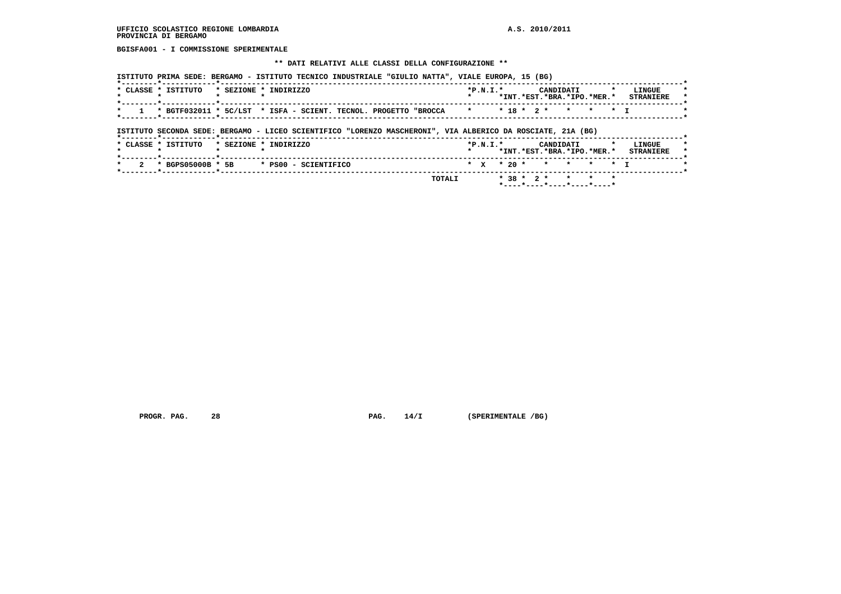**BGISFA001 - I COMMISSIONE SPERIMENTALE**

#### **\*\* DATI RELATIVI ALLE CLASSI DELLA CONFIGURAZIONE \*\***

|         | * CLASSE * ISTITUTO                                                                                                                | * SEZIONE * INDIRIZZO |  |  |  | $*P.N.T.*$ |  |  | CANDIDATI<br>*INT.*EST.*BRA.*IPO.*MER.* |  | LINGUE<br><b>STRANIERE</b> |
|---------|------------------------------------------------------------------------------------------------------------------------------------|-----------------------|--|--|--|------------|--|--|-----------------------------------------|--|----------------------------|
| $\star$ | * BGTF032011 * 5C/LST * ISFA - SCIENT. TECNOL. PROGETTO "BROCCA * * * 2 * * * * * I                                                |                       |  |  |  |            |  |  |                                         |  |                            |
|         |                                                                                                                                    |                       |  |  |  |            |  |  |                                         |  |                            |
|         | ISTITUTO SECONDA SEDE: BERGAMO - LICEO SCIENTIFICO "LORENZO MASCHERONI", VIA ALBERICO DA ROSCIATE, 21A (BG)<br>* CLASSE * ISTITUTO | * SEZIONE * INDIRIZZO |  |  |  | $*P.N.I.*$ |  |  | CANDIDATI                               |  |                            |
|         |                                                                                                                                    |                       |  |  |  |            |  |  | *INT.*EST.*BRA.*IPO.*MER.*              |  | LINGUE<br><b>STRANIERE</b> |

 **PROGR. PAG.** 28 **PROGR. 28 PAG.** 14/I (SPERIMENTALE /BG)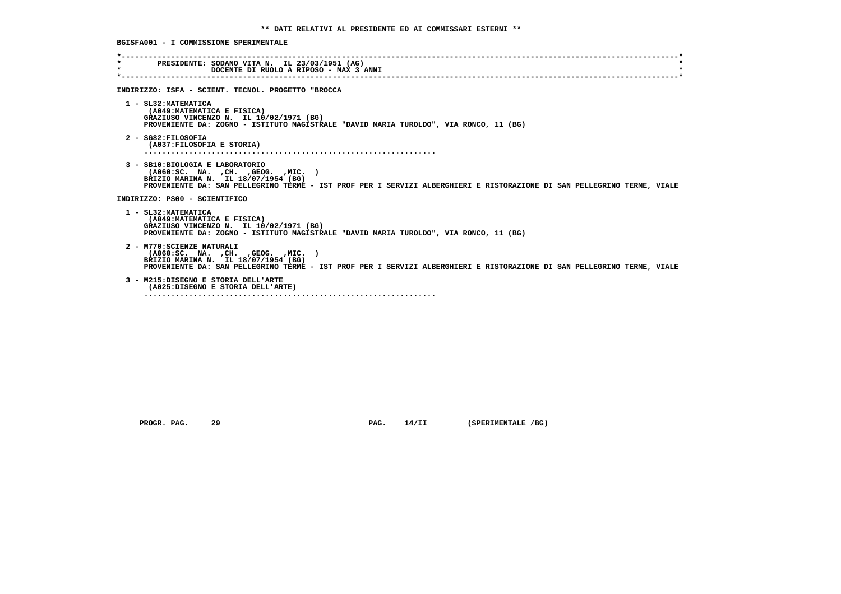| $\star$<br>$\star$ | PRESIDENTE: SODANO VITA N. IL 23/03/1951 (AG)<br>DOCENTE DI RUOLO A RIPOSO - MAX 3 ANNI                                                                                                                                                         |
|--------------------|-------------------------------------------------------------------------------------------------------------------------------------------------------------------------------------------------------------------------------------------------|
|                    | INDIRIZZO: ISFA - SCIENT. TECNOL. PROGETTO "BROCCA                                                                                                                                                                                              |
|                    | 1 - SL32: MATEMATICA<br>(A049: MATEMATICA E FISICA)<br>GRAZIUSO VINCENZO N. IL 10/02/1971 (BG)<br>PROVENIENTE DA: ZOGNO - ISTITUTO MAGISTRALE "DAVID MARIA TUROLDO", VIA RONCO, 11 (BG)                                                         |
|                    | 2 - SG82:FILOSOFIA<br>(A037: FILOSOFIA E STORIA)                                                                                                                                                                                                |
|                    | 3 - SB10: BIOLOGIA E LABORATORIO<br>$( A060 : SC. NA. , CH. , GEOG. , MIC. )$<br>BRIZIO MARINA N. IL 18/07/1954 (BG)<br>PROVENIENTE DA: SAN PELLEGRINO TERME - IST PROF PER I SERVIZI ALBERGHIERI E RISTORAZIONE DI SAN PELLEGRINO TERME, VIALE |
|                    | INDIRIZZO: PS00 - SCIENTIFICO                                                                                                                                                                                                                   |
|                    | 1 - SL32: MATEMATICA<br>(A049: MATEMATICA E FISICA)<br>GRAZIUSO VINCENZO N. IL 10/02/1971 (BG)<br>PROVENIENTE DA: ZOGNO - ISTITUTO MAGISTRALE "DAVID MARIA TUROLDO", VIA RONCO, 11 (BG)                                                         |
|                    | 2 - M770: SCIENZE NATURALI<br>( A060:SC. NA. , CH. , GEOG. , MIC. )<br>BRIZIO MARINA N. IL 18/07/1954 (BG)<br>PROVENIENTE DA: SAN PELLEGRINO TERME - IST PROF PER I SERVIZI ALBERGHIERI E RISTORAZIONE DI SAN PELLEGRINO TERME, VIALE           |
|                    | 3 - M215:DISEGNO E STORIA DELL'ARTE<br>(A025:DISEGNO E STORIA DELL'ARTE)                                                                                                                                                                        |
|                    |                                                                                                                                                                                                                                                 |

 **PROGR. PAG.** 29 **PAG.** 14/II (SPERIMENTALE /BG)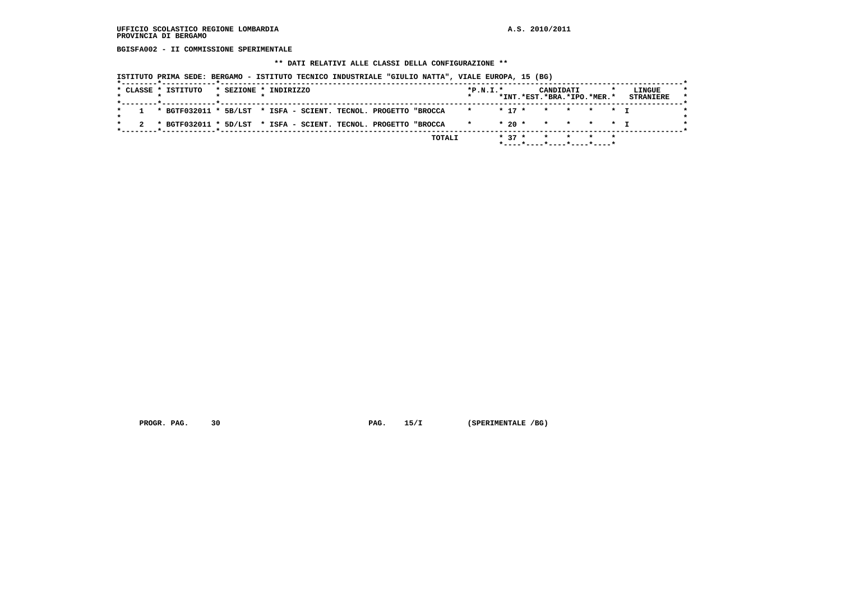**BGISFA002 - II COMMISSIONE SPERIMENTALE**

#### **\*\* DATI RELATIVI ALLE CLASSI DELLA CONFIGURAZIONE \*\***

 **ISTITUTO PRIMA SEDE: BERGAMO - ISTITUTO TECNICO INDUSTRIALE "GIULIO NATTA", VIALE EUROPA, 15 (BG)**

| *INT.*EST.*BRA.*IPO.*MER.*<br>1 * BGTF032011 * 5B/LST * ISFA - SCIENT. TECNOL. PROGETTO "BROCCA<br>* 17 * * * * * T<br>$\mathbf{r}$<br>$* 20 * * * * * * T$<br>2 * BGTF032011 * 5D/LST * ISFA - SCIENT. TECNOL. PROGETTO "BROCCA<br>$\star$ | . _ _ _ * _ _ _ _ _ _ _ _ _ _ _ _ * _ _ _ _ _ _ _ _ _ _ _ _ _<br>$* 37 *$<br>TOTALI<br>* * * |  | * CLASSE * ISTITUTO | * SEZIONE * INDIRIZZO |  |  |  | $*P.N.T.*$ |  | CANDIDATI |  | LINGUE           |
|---------------------------------------------------------------------------------------------------------------------------------------------------------------------------------------------------------------------------------------------|----------------------------------------------------------------------------------------------|--|---------------------|-----------------------|--|--|--|------------|--|-----------|--|------------------|
|                                                                                                                                                                                                                                             |                                                                                              |  |                     |                       |  |  |  |            |  |           |  | <b>STRANIERE</b> |
|                                                                                                                                                                                                                                             |                                                                                              |  |                     |                       |  |  |  |            |  |           |  |                  |
|                                                                                                                                                                                                                                             |                                                                                              |  |                     |                       |  |  |  |            |  |           |  |                  |

 **PROGR. PAG.** 30 **PAG.** 15/I (SPERIMENTALE /BG)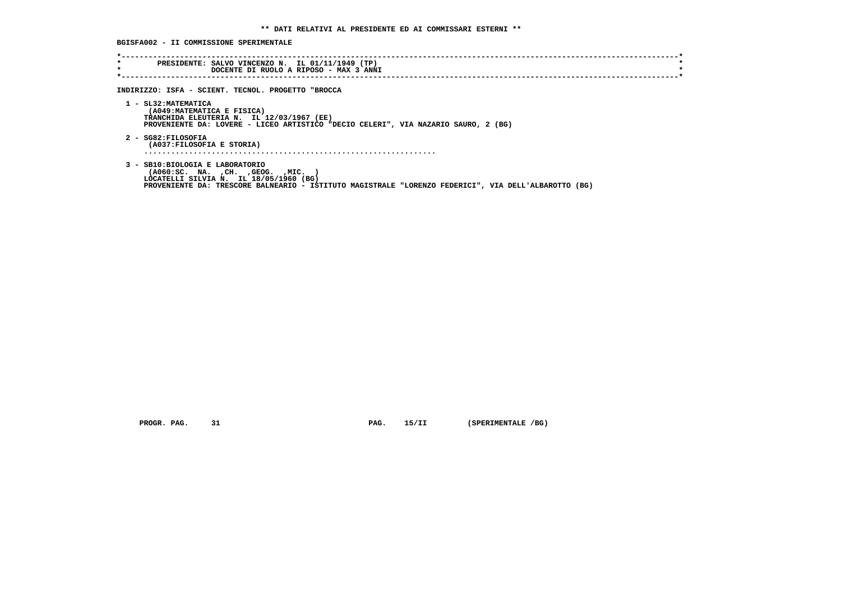# **BGISFA002 - II COMMISSIONE SPERIMENTALE**

| $\star$<br>$\star$ | PRESIDENTE: SALVO VINCENZO N. IL 01/11/1949 (TP)<br>DOCENTE DI RUOLO A RIPOSO - MAX 3 ANNI                                                                                             |
|--------------------|----------------------------------------------------------------------------------------------------------------------------------------------------------------------------------------|
|                    | INDIRIZZO: ISFA - SCIENT. TECNOL. PROGETTO "BROCCA                                                                                                                                     |
|                    |                                                                                                                                                                                        |
|                    | 1 - SL32: MATEMATICA<br>(A049: MATEMATICA E FISICA)<br>TRANCHIDA ELEUTERIA N. IL 12/03/1967 (EE)<br>PROVENIENTE DA: LOVERE - LICEO ARTISTICO "DECIO CELERI", VIA NAZARIO SAURO, 2 (BG) |
|                    | 2 - SG82:FILOSOFIA<br>(A037: FILOSOFIA E STORIA)                                                                                                                                       |
|                    |                                                                                                                                                                                        |
|                    | 3 - SB10: BIOLOGIA E LABORATORIO<br>( A060 : SC. NA. , CH. , GEOG. , MIC.<br>LOCATELLI SILVIA N. IL 18/05/1960 (BG)                                                                    |

 **PROGR. PAG.** 31 **PAG.** 15/II (SPERIMENTALE /BG)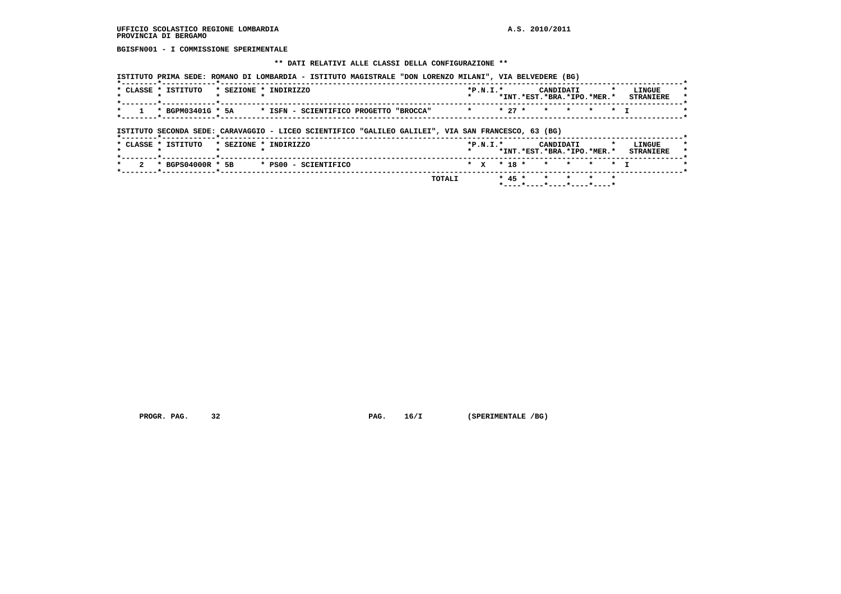**BGISFN001 - I COMMISSIONE SPERIMENTALE**

#### **\*\* DATI RELATIVI ALLE CLASSI DELLA CONFIGURAZIONE \*\***

| CLASSE * ISTITUTO | * SEZIONE * INDIRIZZO |                                        | $*P.N.T.*$         |                                 | CANDIDATI |  | LINGUE           |  |
|-------------------|-----------------------|----------------------------------------|--------------------|---------------------------------|-----------|--|------------------|--|
|                   |                       |                                        |                    | *INT. *EST. *BRA. *IPO. *MER. * |           |  | <b>STRANTERE</b> |  |
| * BGPM03401G * 5A |                       | * ISFN - SCIENTIFICO PROGETTO "BROCCA" | * * 27 * * * * * * |                                 |           |  |                  |  |

 **ISTITUTO SECONDA SEDE: CARAVAGGIO - LICEO SCIENTIFICO "GALILEO GALILEI", VIA SAN FRANCESCO, 63 (BG)**

|                     |  | $\star$ 2 $\star$ BGPS04000R $\star$ 5B $\star$ PS00 - SCIENTIFICO<br>TOTALI |            |  | * x * 18 * * * * * * T                  |  |                            |
|---------------------|--|------------------------------------------------------------------------------|------------|--|-----------------------------------------|--|----------------------------|
|                     |  |                                                                              |            |  |                                         |  |                            |
|                     |  |                                                                              |            |  |                                         |  |                            |
| * CLASSE * ISTITUTO |  | * SEZIONE * INDIRIZZO                                                        | $*P.N.T.*$ |  | CANDIDATI<br>*INT.*EST.*BRA.*IPO.*MER.* |  | LINGUE<br><b>STRANIERE</b> |

 **PROGR. PAG.** 32 **PAG.** 16/I (SPERIMENTALE /BG)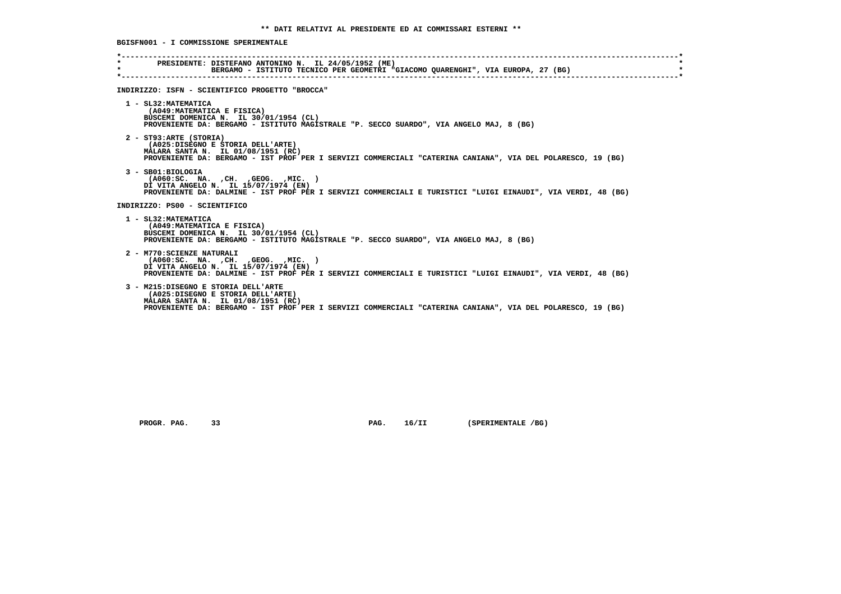| $\star$ . The set of $\star$<br>$\star$ | PRESIDENTE: DISTEFANO ANTONINO N. IL 24/05/1952 (ME)<br>BERGAMO - ISTITUTO TECNICO PER GEOMETRI "GIACOMO OUARENGHI", VIA EUROPA, 27 (BG)                                                                                        |  |
|-----------------------------------------|---------------------------------------------------------------------------------------------------------------------------------------------------------------------------------------------------------------------------------|--|
|                                         | INDIRIZZO: ISFN - SCIENTIFICO PROGETTO "BROCCA"                                                                                                                                                                                 |  |
|                                         | 1 - SL32: MATEMATICA<br>(A049: MATEMATICA E FISICA)<br>BUSCEMI DOMENICA N. IL 30/01/1954 (CL)<br>PROVENIENTE DA: BERGAMO - ISTITUTO MAGISTRALE "P. SECCO SUARDO", VIA ANGELO MAJ, 8 (BG)                                        |  |
|                                         | 2 - ST93:ARTE (STORIA)<br>(A025:DISEGNO E STORIA DELL'ARTE)<br>MALARA SANTA N. IL 01/08/1951 (RC)<br>PROVENIENTE DA: BERGAMO - IST PROF PER I SERVIZI COMMERCIALI "CATERINA CANIANA", VIA DEL POLARESCO, 19 (BG)                |  |
|                                         | $3 - SB01:BIOLOGIA$<br>$( A060 : SC. NA. , CH. , GEOG. , MIC. )$<br>DI VITA ANGELO N. IL 15/07/1974 (EN)<br>PROVENIENTE DA: DALMINE - IST PROF PER I SERVIZI COMMERCIALI E TURISTICI "LUIGI EINAUDI", VIA VERDI, 48 (BG)        |  |
|                                         | INDIRIZZO: PS00 - SCIENTIFICO                                                                                                                                                                                                   |  |
|                                         | 1 - SL32: MATEMATICA<br>(A049: MATEMATICA E FISICA)<br>BUSCEMI DOMENICA N. IL 30/01/1954 (CL)<br>PROVENIENTE DA: BERGAMO - ISTITUTO MAGISTRALE "P. SECCO SUARDO", VIA ANGELO MAJ, 8 (BG)                                        |  |
|                                         | 2 - M770: SCIENZE NATURALI<br>$( A060 : SC. NA. , CH. , GEOG. , MIC. )$<br>DI VITA ANGELO N. IL 15/07/1974 (EN)<br>PROVENIENTE DA: DALMINE - IST PROF PER I SERVIZI COMMERCIALI E TURISTICI "LUIGI EINAUDI", VIA VERDI, 48 (BG) |  |
|                                         | 3 - M215:DISEGNO E STORIA DELL'ARTE<br>(A025:DISEGNO E STORIA DELL'ARTE)<br>MALARA SANTA N. IL 01/08/1951 (RC)<br>PROVENIENTE DA: BERGAMO - IST PROF PER I SERVIZI COMMERCIALI "CATERINA CANIANA", VIA DEL POLARESCO, 19 (BG)   |  |

 **PROGR. PAG.** 33 **PAG. 16/II** (SPERIMENTALE /BG)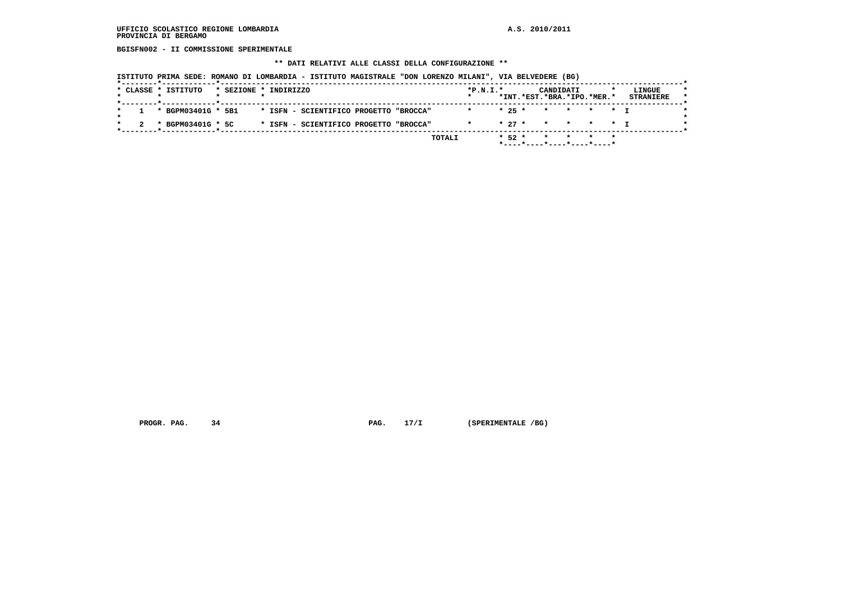**BGISFN002 - II COMMISSIONE SPERIMENTALE**

# **\*\* DATI RELATIVI ALLE CLASSI DELLA CONFIGURAZIONE \*\***

|  | * CLASSE * ISTITUTO | * SEZIONE * INDIRIZZO |  |                                        |  | $*P.N.T.*$ |          |          | CANDIDATI |                            |  | LINGUE           |
|--|---------------------|-----------------------|--|----------------------------------------|--|------------|----------|----------|-----------|----------------------------|--|------------------|
|  |                     |                       |  |                                        |  |            |          |          |           | *INT.*EST.*BRA.*IPO.*MER.* |  | <b>STRANIERE</b> |
|  | * BGPM03401G * 5B1  |                       |  | * ISFN - SCIENTIFICO PROGETTO "BROCCA" |  |            | $* 25 *$ |          | $\star$   | * * * T                    |  |                  |
|  | * BGPM03401G * 5C   |                       |  | * ISFN - SCIENTIFICO PROGETTO "BROCCA" |  | $\star$    |          | $* 27 *$ |           | * * * * T                  |  |                  |

 **PROGR. PAG.** 34 **PAG.** 17/I (SPERIMENTALE /BG)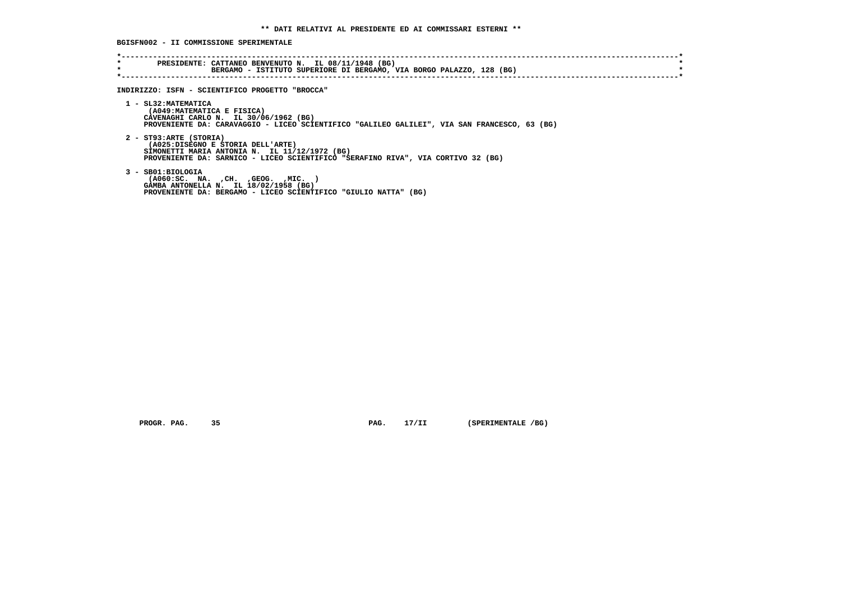**BGISFN002 - II COMMISSIONE SPERIMENTALE**

| $\star$ | PRESIDENTE: CATTANEO BENVENUTO N. IL 08/11/1948 (BG)<br>BERGAMO - ISTITUTO SUPERIORE DI BERGAMO, VIA BORGO PALAZZO, 128 (BG)                                                                     |
|---------|--------------------------------------------------------------------------------------------------------------------------------------------------------------------------------------------------|
|         | INDIRIZZO: ISFN - SCIENTIFICO PROGETTO "BROCCA"                                                                                                                                                  |
|         | 1 - SL32: MATEMATICA<br>(A049: MATEMATICA E FISICA)<br>CAVENAGHI CARLO N. IL 30/06/1962 (BG)<br>PROVENIENTE DA: CARAVAGGIO - LICEO SCIENTIFICO "GALILEO GALILEI", VIA SAN FRANCESCO, 63 (BG)     |
|         | 2 - ST93:ARTE (STORIA)<br>(A025:DISEGNO E STORIA DELL'ARTE)<br>SIMONETTI MARIA ANTONIA N. IL 11/12/1972 (BG)<br>PROVENIENTE DA: SARNICO - LICEO SCIENTIFICO "SERAFINO RIVA", VIA CORTIVO 32 (BG) |
|         | 3 - SB01:BIOLOGIA<br>( A060 : SC. NA. , CH. , GEOG. , MIC.<br>GAMBA ANTONELLA N. IL 18/02/1958 (BG)<br>PROVENIENTE DA: BERGAMO - LICEO SCIENTIFICO "GIULIO NATTA" (BG)                           |

 **PROGR. PAG.** 35 **PAG.** 17/II (SPERIMENTALE /BG)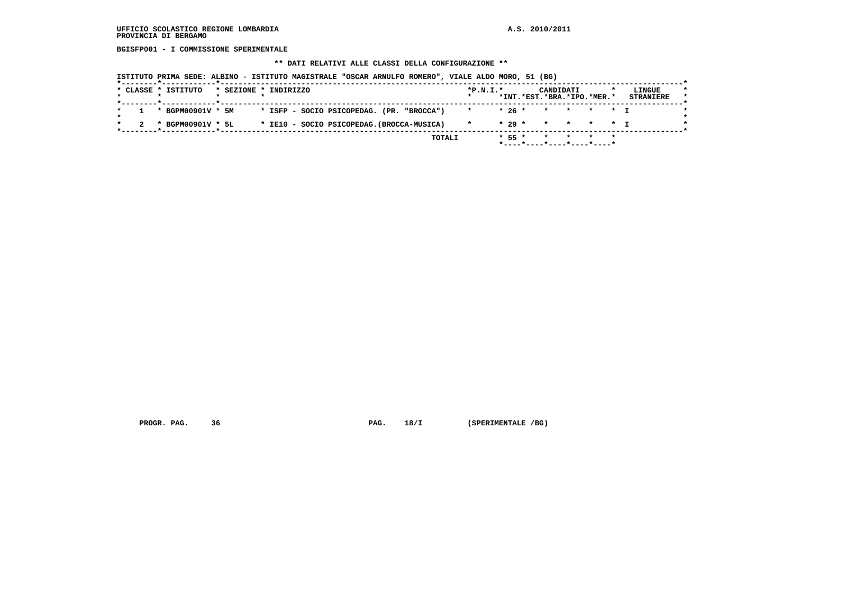**BGISFP001 - I COMMISSIONE SPERIMENTALE**

#### **\*\* DATI RELATIVI ALLE CLASSI DELLA CONFIGURAZIONE \*\***

 **ISTITUTO PRIMA SEDE: ALBINO - ISTITUTO MAGISTRALE "OSCAR ARNULFO ROMERO", VIALE ALDO MORO, 51 (BG)**

|  | * CLASSE * ISTITUTO | * SEZIONE * INDIRIZZO |  |  |                                            |  |        | $*P.N.T.*$ |          | CANDIDATI | *INT.*EST.*BRA.*IPO.*MER.* |         | LINGUE<br><b>STRANIERE</b> |
|--|---------------------|-----------------------|--|--|--------------------------------------------|--|--------|------------|----------|-----------|----------------------------|---------|----------------------------|
|  | * BGPM00901V * 5M   |                       |  |  | * ISFP - SOCIO PSICOPEDAG. (PR. "BROCCA")  |  |        |            | $*26*$   | $\star$   | * * * T                    |         |                            |
|  | * BGPM00901V * 5L   |                       |  |  | * IE10 - SOCIO PSICOPEDAG. (BROCCA-MUSICA) |  |        |            | $* 29 *$ |           | * * * * T                  |         |                            |
|  |                     |                       |  |  |                                            |  | TOTALI |            | $* 55 *$ |           | *----*----*----*----*----* | $\star$ |                            |

 **PROGR. PAG.** 36 **PROGR. 28/I (SPERIMENTALE /BG)**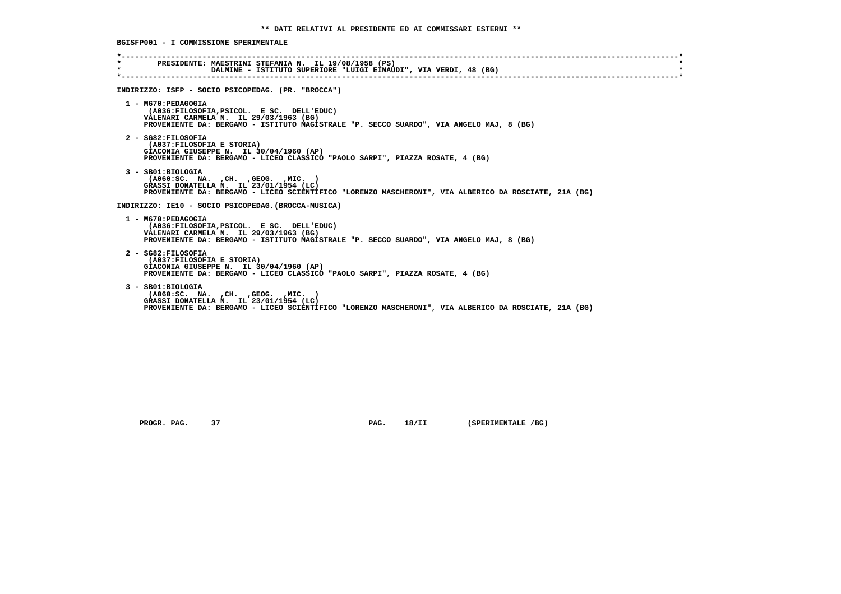**BGISFP001 - I COMMISSIONE SPERIMENTALE**

| $\star$ | * PRESIDENTE: MAESTRINI STEFANIA N. IL 19/08/1958 (PS)<br>DALMINE - ISTITUTO SUPERIORE "LUIGI EINAUDI", VIA VERDI, 48 (BG)                                                                                       |
|---------|------------------------------------------------------------------------------------------------------------------------------------------------------------------------------------------------------------------|
|         | INDIRIZZO: ISFP - SOCIO PSICOPEDAG. (PR. "BROCCA")                                                                                                                                                               |
|         | 1 - M670: PEDAGOGIA<br>(A036:FILOSOFIA, PSICOL. E SC. DELL'EDUC)<br>VALENARI CARMELA N. IL 29/03/1963 (BG)<br>PROVENIENTE DA: BERGAMO - ISTITUTO MAGISTRALE "P. SECCO SUARDO", VIA ANGELO MAJ, 8 (BG)            |
|         | 2 - SG82:FILOSOFIA<br>(A037:FILOSOFIA E STORIA)<br>GIACONIA GIUSEPPE N. IL 30/04/1960 (AP)<br>PROVENIENTE DA: BERGAMO - LICEO CLASSICO "PAOLO SARPI", PIAZZA ROSATE, 4 (BG)                                      |
|         | 3 - SB01:BIOLOGIA<br>$( A060 : SC. NA. , CH. , GEOG. , MIC. )$<br>GRASSI DONATELLA N. IL 23/01/1954 (LC)<br>PROVENIENTE DA: BERGAMO - LICEO SCIENTIFICO "LORENZO MASCHERONI", VIA ALBERICO DA ROSCIATE, 21A (BG) |
|         | INDIRIZZO: IE10 - SOCIO PSICOPEDAG. (BROCCA-MUSICA)                                                                                                                                                              |
|         | 1 - M670: PEDAGOGIA<br>(A036:FILOSOFIA, PSICOL, E SC. DELL'EDUC)<br>VALENARI CARMELA N. IL 29/03/1963 (BG)<br>PROVENIENTE DA: BERGAMO - ISTITUTO MAGISTRALE "P. SECCO SUARDO", VIA ANGELO MAJ, 8 (BG)            |
|         | 2 - SG82:FILOSOFIA<br>(A037:FILOSOFIA E STORIA)<br>GIACONIA GIUSEPPE N. IL 30/04/1960 (AP)<br>PROVENIENTE DA: BERGAMO - LICEO CLASSICO "PAOLO SARPI", PIAZZA ROSATE, 4 (BG)                                      |
|         | 3 - SB01:BIOLOGIA<br>( A060:SC. NA. , CH. , GEOG. , MIC. )<br>GRASSI DONATELLA N. IL 23/01/1954 (LC)<br>PROVENIENTE DA: BERGAMO - LICEO SCIENTIFICO "LORENZO MASCHERONI", VIA ALBERICO DA ROSCIATE, 21A (BG)     |

 **PROGR. PAG.** 37 **PAG.** 18/II (SPERIMENTALE /BG)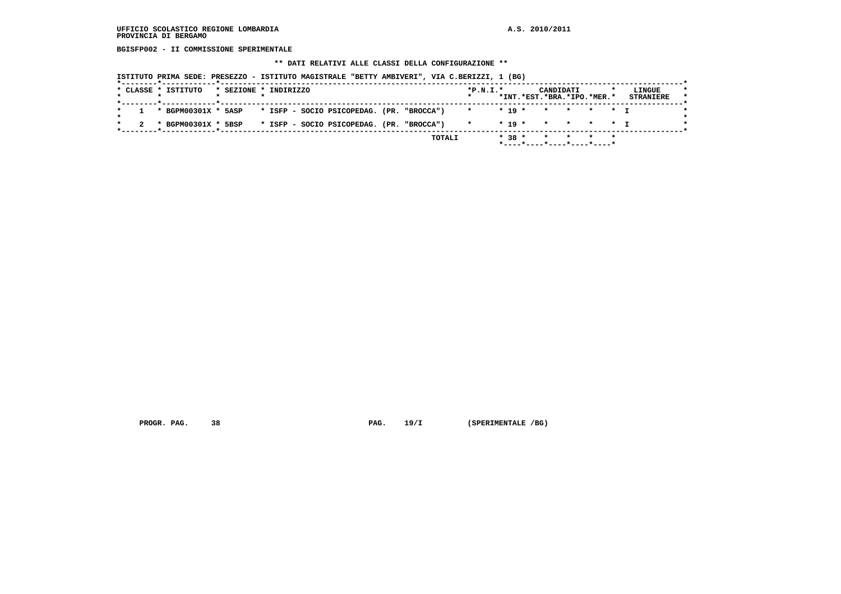**BGISFP002 - II COMMISSIONE SPERIMENTALE**

#### **\*\* DATI RELATIVI ALLE CLASSI DELLA CONFIGURAZIONE \*\***

 **ISTITUTO PRIMA SEDE: PRESEZZO - ISTITUTO MAGISTRALE "BETTY AMBIVERI", VIA C.BERIZZI, 1 (BG)**

| * CLASSE * ISTITUTO                                             | * SEZIONE * INDIRIZZO |  |                                           |  | $*P.N.I.*$         |  | CANDIDATI<br>*INT.*EST.*BRA.*IPO.*MER.* |  | LINGUE<br><b>STRANIERE</b> |
|-----------------------------------------------------------------|-----------------------|--|-------------------------------------------|--|--------------------|--|-----------------------------------------|--|----------------------------|
| 1 * BGPM00301X * 5ASP * ISFP - SOCIO PSICOPEDAG. (PR. "BROCCA") |                       |  |                                           |  | * * 19 * * * * * * |  |                                         |  |                            |
| * BGPM00301X * 5BSP                                             |                       |  | * ISFP - SOCIO PSICOPEDAG. (PR. "BROCCA") |  | $\star$            |  | $* 19 * * * * * * T$                    |  |                            |

 **PROGR. PAG.** 38 **PAG. 19/I** (SPERIMENTALE /BG)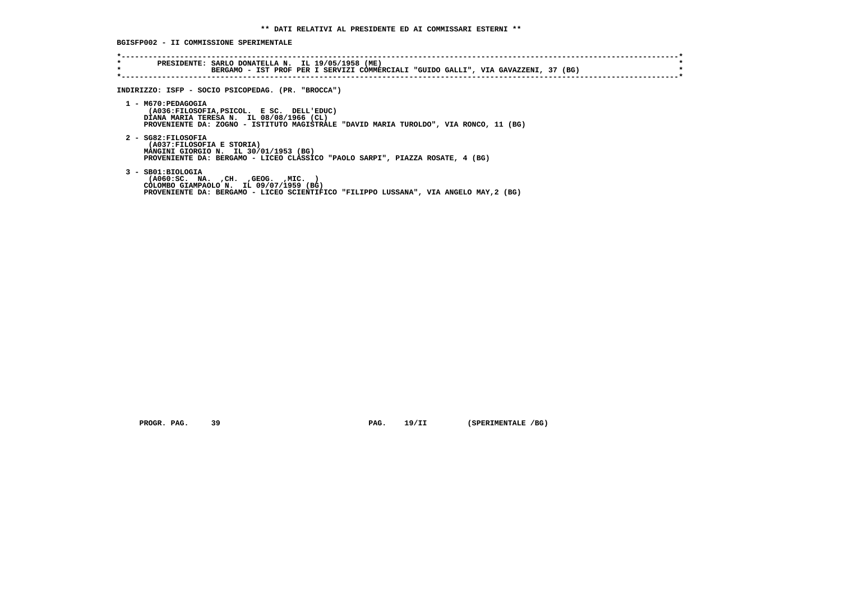**BGISFP002 - II COMMISSIONE SPERIMENTALE**

| INDIRIZZO: ISFP - SOCIO PSICOPEDAG. (PR. "BROCCA")                                                                                                                                                    |
|-------------------------------------------------------------------------------------------------------------------------------------------------------------------------------------------------------|
| 1 - M670: PEDAGOGIA<br>(A036:FILOSOFIA, PSICOL. E SC. DELL'EDUC)<br>DIANA MARIA TERESA N. IL 08/08/1966 (CL)<br>PROVENIENTE DA: ZOGNO - ISTITUTO MAGISTRALE "DAVID MARIA TUROLDO", VIA RONCO, 11 (BG) |
| 2 - SG82:FILOSOFIA<br>(A037: FILOSOFIA E STORIA)<br>MANGINI GIORGIO N. IL 30/01/1953 (BG)<br>PROVENIENTE DA: BERGAMO - LICEO CLASSICO "PAOLO SARPI", PIAZZA ROSATE, 4 (BG)                            |
| $3 - SB01:BIOLOGIA$<br>( A060 : SC. NA. , CH. , GEOG. , MIC.<br>COLOMBO GIAMPAOLO N. IL 09/07/1959 (BG)<br>PROVENIENTE DA: BERGAMO - LICEO SCIENTIFICO "FILIPPO LUSSANA", VIA ANGELO MAY, 2 (BG)      |

 **PROGR. PAG.** 39 **PAG.** 19/II (SPERIMENTALE /BG)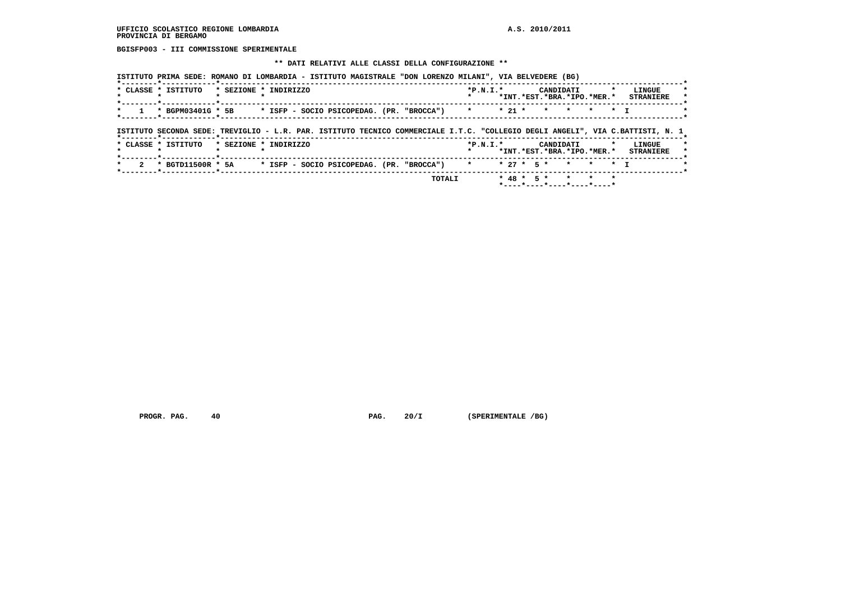**BGISFP003 - III COMMISSIONE SPERIMENTALE**

#### **\*\* DATI RELATIVI ALLE CLASSI DELLA CONFIGURAZIONE \*\***

|         | * CLASSE * ISTITUTO                                                                                                            | * SEZIONE * INDIRIZZO |  |  |                                                 | $*P.N.T.*$ |  | CANDIDATI | *INT.*EST.*BRA.*IPO.*MER.* |           | LINGUE<br><b>STRANIERE</b>           |
|---------|--------------------------------------------------------------------------------------------------------------------------------|-----------------------|--|--|-------------------------------------------------|------------|--|-----------|----------------------------|-----------|--------------------------------------|
| $\star$ | * BGPM03401G * 5B                                                                                                              |                       |  |  | * ISFP – SOCIO PSICOPEDAG. (PR. "BROCCA")     * |            |  |           | * 21 * * * *               | $\star$ T |                                      |
|         |                                                                                                                                |                       |  |  |                                                 |            |  |           |                            |           |                                      |
|         |                                                                                                                                |                       |  |  |                                                 |            |  |           |                            |           |                                      |
|         | ISTITUTO SECONDA SEDE: TREVIGLIO - L.R. PAR. ISTITUTO TECNICO COMMERCIALE I.T.C. "COLLEGIO DEGLI ANGELI", VIA C.BATTISTI, N. 1 |                       |  |  |                                                 |            |  |           |                            |           |                                      |
|         | * CLASSE * ISTITUTO                                                                                                            | * SEZIONE * INDIRIZZO |  |  |                                                 | $*P.N.I.*$ |  | CANDIDATI |                            |           | LINGUE                               |
|         | . .                                                                                                                            |                       |  |  |                                                 |            |  |           |                            |           | *INT.*EST.*BRA.*IPO.*MER.* STRANIERE |

 **PROGR. PAG.** 40 **PAG. 20/I** (SPERIMENTALE /BG)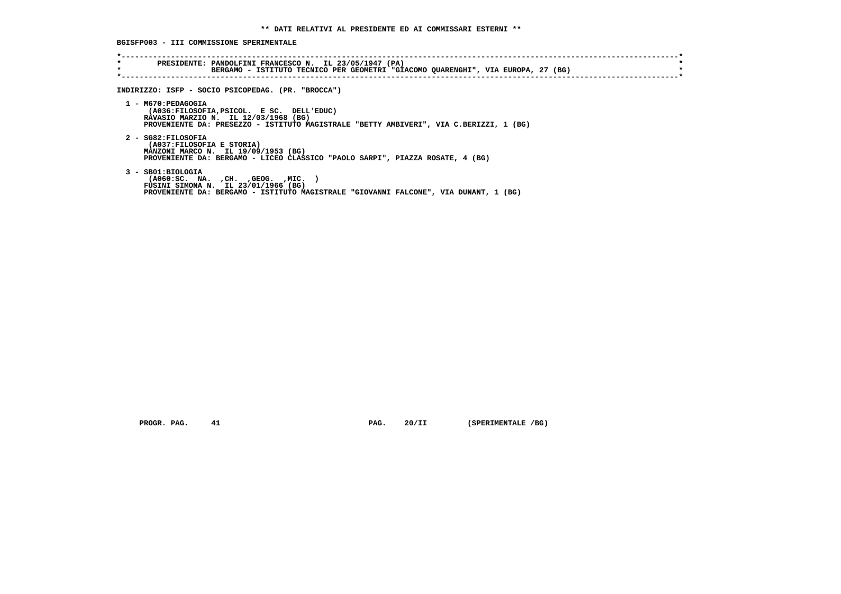**BGISFP003 - III COMMISSIONE SPERIMENTALE**

| * | PRESIDENTE: PANDOLFINI FRANCESCO N. IL 23/05/1947 (PA)<br>BERGAMO - ISTITUTO TECNICO PER GEOMETRI "GIACOMO QUARENGHI", VIA EUROPA, 27 (BG) |
|---|--------------------------------------------------------------------------------------------------------------------------------------------|
|   | INDIRIZZO: ISFP - SOCIO PSICOPEDAG. (PR. "BROCCA")                                                                                         |
|   | 1 - M670: PEDAGOGIA<br>(A036:FILOSOFIA, PSICOL. E SC. DELL'EDUC)                                                                           |
|   | RAVASIO MARZIO N. IL 12/03/1968 (BG)<br>PROVENIENTE DA: PRESEZZO - ISTITUTO MAGISTRALE "BETTY AMBIVERI", VIA C.BERIZZI, 1 (BG)             |
|   | 2 - SG82:FILOSOFIA<br>(A037:FILOSOFIA E STORIA)                                                                                            |
|   | MANZONI MARCO N. IL 19/09/1953 (BG)<br>PROVENIENTE DA: BERGAMO - LICEO CLASSICO "PAOLO SARPI", PIAZZA ROSATE, 4 (BG)                       |
|   | 3 - SB01:BIOLOGIA<br>( A060:SC. NA. , CH. , GEOG. , MIC.                                                                                   |
|   | FUSINI SIMONA N. IL 23/01/1966 (BG)<br>PROVENIENTE DA: BERGAMO - ISTITUTO MAGISTRALE "GIOVANNI FALCONE", VIA DUNANT, 1 (BG)                |

 **PROGR. PAG.** 41 **PAG.** 20/II (SPERIMENTALE /BG)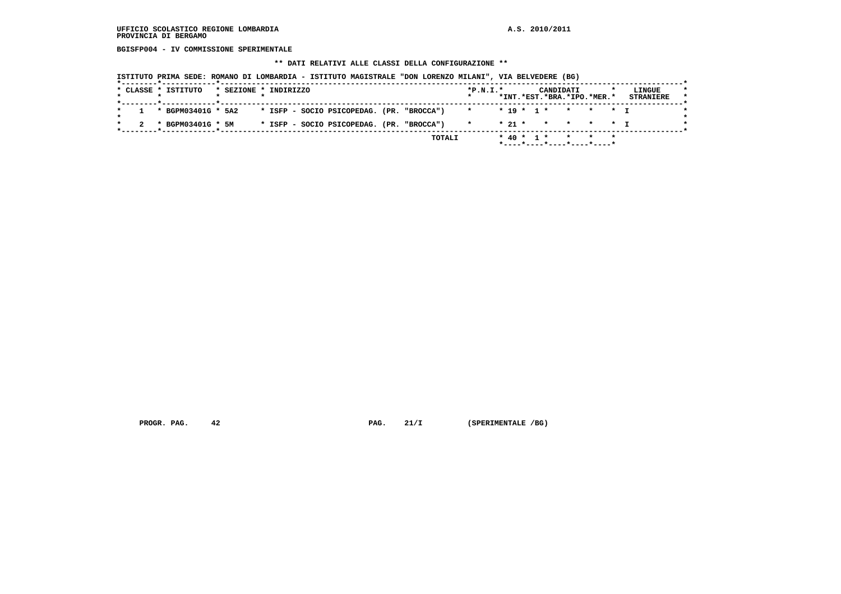**BGISFP004 - IV COMMISSIONE SPERIMENTALE**

# **\*\* DATI RELATIVI ALLE CLASSI DELLA CONFIGURAZIONE \*\***

|  | * CLASSE * ISTITUTO    | * SEZIONE * INDIRIZZO |  |  |                                           |  | $*P.N.T.*$             |  |  | CANDIDATI | *INT.*EST.*BRA.*IPO.*MER.*                                         | LINGUE<br><b>STRANIERE</b> |
|--|------------------------|-----------------------|--|--|-------------------------------------------|--|------------------------|--|--|-----------|--------------------------------------------------------------------|----------------------------|
|  | $1 * BGPM03401G * 5A2$ |                       |  |  | * ISFP - SOCIO PSICOPEDAG. (PR. "BROCCA") |  | * * 19 * 1 * * * * * T |  |  |           |                                                                    |                            |
|  | * BGPM03401G * 5M      |                       |  |  | * ISFP - SOCIO PSICOPEDAG. (PR. "BROCCA") |  | $\mathbf{x}$           |  |  |           | $\star$ 21 $\star$ $\star$ $\star$ $\star$ $\star$ $\star$ $\star$ |                            |

 **PROGR. PAG.** 42 **PAG.** 21/I (SPERIMENTALE /BG)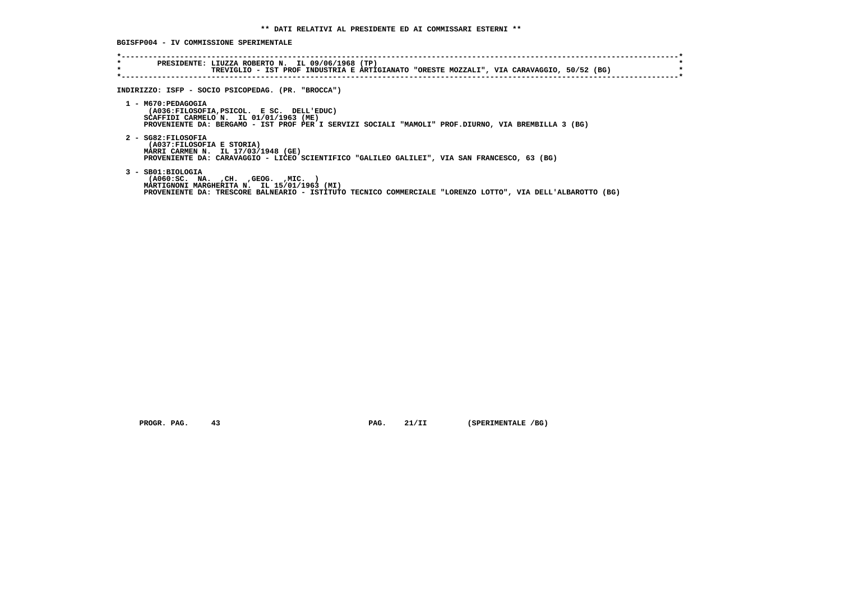**BGISFP004 - IV COMMISSIONE SPERIMENTALE**

| $\star$<br>$\star$ | PRESIDENTE: LIUZZA ROBERTO N. IL 09/06/1968 (TP)<br>TREVIGLIO - IST PROF INDUSTRIA E ARTIGIANATO "ORESTE MOZZALI", VIA CARAVAGGIO, 50/52 (BG)                                                                           |
|--------------------|-------------------------------------------------------------------------------------------------------------------------------------------------------------------------------------------------------------------------|
|                    |                                                                                                                                                                                                                         |
|                    | INDIRIZZO: ISFP - SOCIO PSICOPEDAG. (PR. "BROCCA")                                                                                                                                                                      |
|                    | 1 - M670: PEDAGOGIA<br>(A036:FILOSOFIA, PSICOL. E SC. DELL'EDUC)<br>SCAFFIDI CARMELO $N.$ IL 01/01/1963 (ME)<br>PROVENIENTE DA: BERGAMO - IST PROF PER I SERVIZI SOCIALI "MAMOLI" PROF.DIURNO, VIA BREMBILLA 3 (BG)     |
|                    | 2 - SG82:FILOSOFIA<br>(A037:FILOSOFIA E STORIA)<br>MARRI CARMEN N. IL 17/03/1948 (GE)<br>PROVENIENTE DA: CARAVAGGIO - LICEO SCIENTIFICO "GALILEO GALILEI", VIA SAN FRANCESCO, 63 (BG)                                   |
|                    | 3 - SB01:BIOLOGIA<br>( A060 : SC. NA. , CH. , GEOG. , MIC.<br>MARTIGNONI MARGHERITA N. IL 15/01/1963 (MI)<br>PROVENIENTE DA: TRESCORE BALNEARIO - ISTITUTO TECNICO COMMERCIALE "LORENZO LOTTO", VIA DELL'ALBAROTTO (BG) |

 **PROGR. PAG.** 43 **PAG.** 21/II (SPERIMENTALE /BG)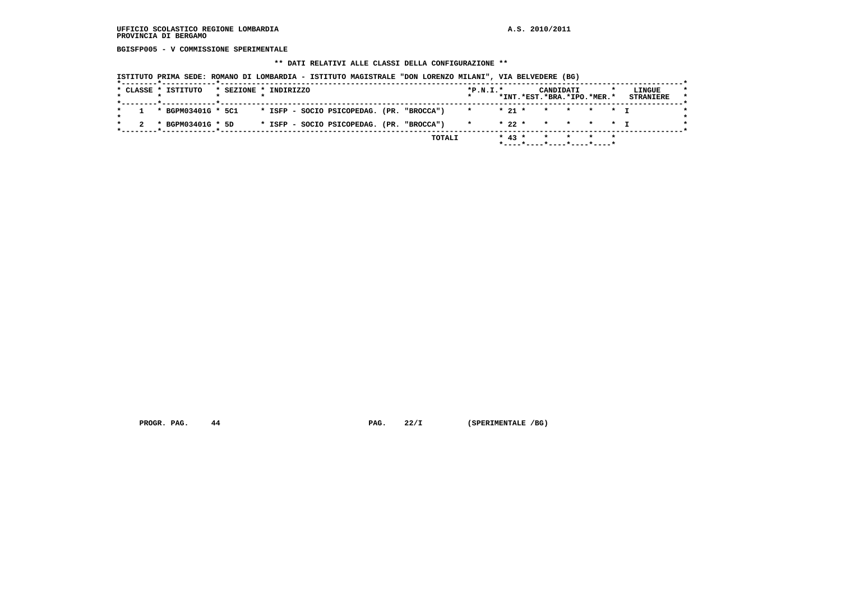**BGISFP005 - V COMMISSIONE SPERIMENTALE**

# **\*\* DATI RELATIVI ALLE CLASSI DELLA CONFIGURAZIONE \*\***

|  | * CLASSE * ISTITUTO    | * SEZIONE * INDIRIZZO |  |  |                                           |  | $*P.N.T.*$                 |  | CANDIDATI<br>*INT.*EST.*BRA.*IPO.*MER.* |  | LINGUE<br><b>STRANIERE</b> |
|--|------------------------|-----------------------|--|--|-------------------------------------------|--|----------------------------|--|-----------------------------------------|--|----------------------------|
|  | $1 * BGPM03401G * 5C1$ |                       |  |  | * ISFP - SOCIO PSICOPEDAG. (PR. "BROCCA") |  | $\star$ $\star$ 21 $\star$ |  | * * * * T                               |  |                            |
|  | * BGPM03401G * 5D      |                       |  |  | * ISFP - SOCIO PSICOPEDAG. (PR. "BROCCA") |  | $\star$                    |  | * 22 * * * * * T                        |  |                            |

 **PROGR. PAG.** 44 **PAG.** 22/I (SPERIMENTALE /BG)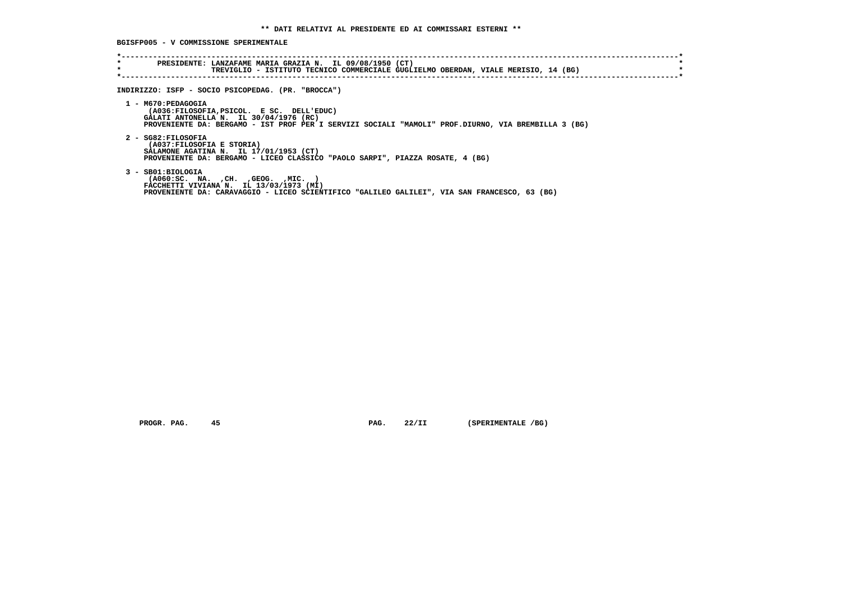**BGISFP005 - V COMMISSIONE SPERIMENTALE**

| *<br>$\star$ | PRESIDENTE: LANZAFAME MARIA GRAZIA N. IL 09/08/1950 (CT)<br>TREVIGLIO - ISTITUTO TECNICO COMMERCIALE GUGLIELMO OBERDAN, VIALE MERISIO, 14 (BG)                                                                    |
|--------------|-------------------------------------------------------------------------------------------------------------------------------------------------------------------------------------------------------------------|
|              | INDIRIZZO: ISFP - SOCIO PSICOPEDAG. (PR. "BROCCA")                                                                                                                                                                |
|              | 1 - M670: PEDAGOGIA<br>(A036:FILOSOFIA, PSICOL. E SC. DELL'EDUC)<br>GALATI ANTONELLA N. IL 30/04/1976 (RC)<br>PROVENIENTE DA: BERGAMO - IST PROF PER I SERVIZI SOCIALI "MAMOLI" PROF.DIURNO, VIA BREMBILLA 3 (BG) |
|              | 2 - SG82:FILOSOFIA<br>(A037: FILOSOFIA E STORIA)<br>SALAMONE AGATINA N. IL 17/01/1953 (CT)<br>PROVENIENTE DA: BERGAMO - LICEO CLASSICO "PAOLO SARPI", PIAZZA ROSATE, 4 (BG)                                       |
|              | 3 - SB01:BIOLOGIA<br>$( A060 : SC. NA. , CH. , GEOG. , MIC. )$<br>FACCHETTI VIVIANA N. IL 13/03/1973 (MI)<br>PROVENIENTE DA: CARAVAGGIO - LICEO SCIENTIFICO "GALILEO GALILEI", VIA SAN FRANCESCO, 63 (BG)         |

 **PROGR. PAG.** 45 **PAG.** 22/II (SPERIMENTALE /BG)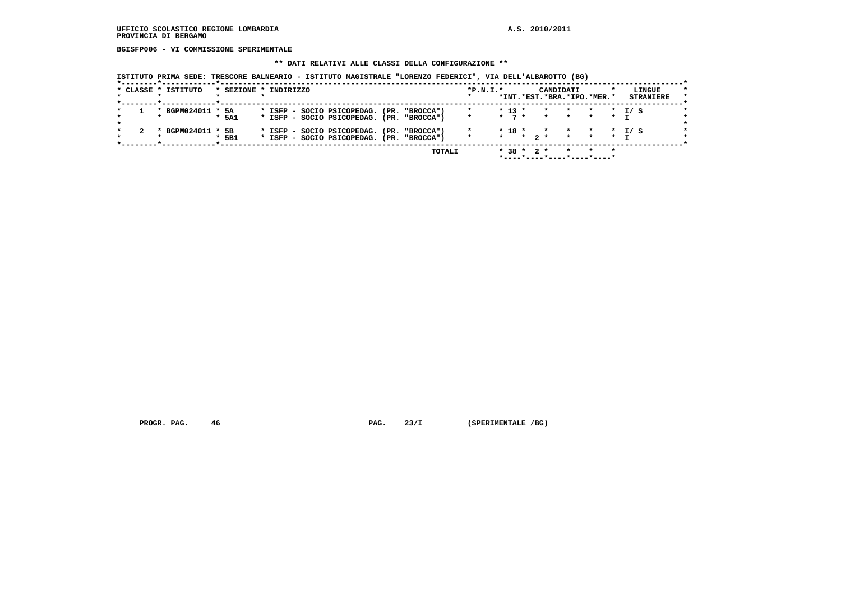**BGISFP006 - VI COMMISSIONE SPERIMENTALE**

#### **\*\* DATI RELATIVI ALLE CLASSI DELLA CONFIGURAZIONE \*\***

 **ISTITUTO PRIMA SEDE: TRESCORE BALNEARIO - ISTITUTO MAGISTRALE "LORENZO FEDERICI", VIA DELL'ALBAROTTO (BG)**

| * CLASSE * ISTITUTO |                   |  | * SEZIONE * INDIRIZZO |  |                                                                         |      |                | $*P.N.I.*$ |                |                               |                           | CANDIDATI |                            | *INT.*EST.*BRA.*IPO.*MER.* |                      | LINGUE<br><b>STRANIERE</b> |  |
|---------------------|-------------------|--|-----------------------|--|-------------------------------------------------------------------------|------|----------------|------------|----------------|-------------------------------|---------------------------|-----------|----------------------------|----------------------------|----------------------|----------------------------|--|
|                     | * BGPM024011 * 5A |  | $*$ 5A1               |  | * ISFP - SOCIO PSICOPEDAG.<br>* ISFP - SOCIO PSICOPEDAG. (PR. "BROCCA") |      | (PR. "BROCCA") | $\star$    |                | $* 13 *$<br>$\star$ 7 $\star$ | $\star$<br>$\star$        |           | $\star$<br>$\star$ $\star$ | $\star$<br>$\star$         | $\star$<br>$\star$ T | T/ S                       |  |
|                     | * BGPM024011 * 5B |  | $*$ 5B1               |  | * ISFP - SOCIO PSICOPEDAG.<br>* ISFP - SOCIO PSICOPEDAG. (PR. "BROCCA") | (PR. | "BROCCA")      | $\star$    | $\star$ $\sim$ | $* 18 *$                      | $\mathbf{r}$<br>$*$ 2 $*$ |           | $\star$<br>$\star$         | $\star$<br>$\star$         | $\star$              | $\star$ T/S                |  |
|                     |                   |  |                       |  |                                                                         |      | TOTALI         |            |                |                               | $*$ 38 $*$ 2 $*$          |           |                            |                            | $\star$              |                            |  |

 **PROGR. PAG.** 46 **PAG. 23/I** (SPERIMENTALE /BG)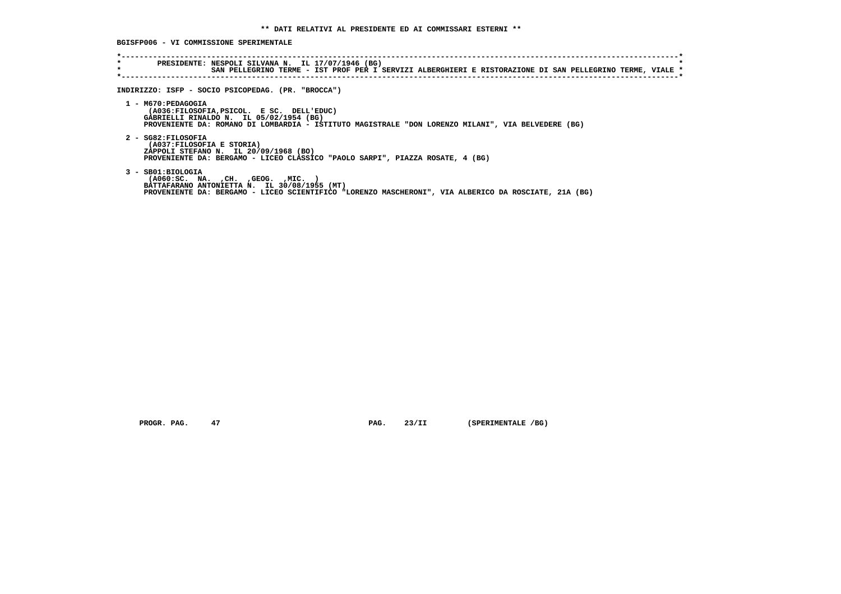**BGISFP006 - VI COMMISSIONE SPERIMENTALE**

| $\star$<br>$\star$ | PRESIDENTE: NESPOLI SILVANA N. IL 17/07/1946 (BG)<br>SAN PELLEGRINO TERME - IST PROF PER I SERVIZI ALBERGHIERI E RISTORAZIONE DI SAN PELLEGRINO TERME, VIALE *<br>INDIRIZZO: ISFP - SOCIO PSICOPEDAG. (PR. "BROCCA")<br>1 - M670: PEDAGOGIA<br>(A036:FILOSOFIA, PSICOL. E SC. DELL'EDUC)<br>GABRIELLI RINALDO N. IL 05/02/1954 (BG)<br>PROVENIENTE DA: ROMANO DI LOMBARDIA - ISTITUTO MAGISTRALE "DON LORENZO MILANI", VIA BELVEDERE (BG)<br>2 - SG82: FILOSOFIA |
|--------------------|------------------------------------------------------------------------------------------------------------------------------------------------------------------------------------------------------------------------------------------------------------------------------------------------------------------------------------------------------------------------------------------------------------------------------------------------------------------|
|                    |                                                                                                                                                                                                                                                                                                                                                                                                                                                                  |
|                    |                                                                                                                                                                                                                                                                                                                                                                                                                                                                  |
|                    |                                                                                                                                                                                                                                                                                                                                                                                                                                                                  |
|                    | (A037:FILOSOFIA E STORIA)<br>ZAPPOLI STEFANO N. IL 20/09/1968 (BO)<br>PROVENIENTE DA: BERGAMO - LICEO CLASSICO "PAOLO SARPI", PIAZZA ROSATE, 4 (BG)                                                                                                                                                                                                                                                                                                              |
| 3 - SB01:BIOLOGIA  | $( A060 : SC. NA. , CH. , GEOG. , MIC. )$<br>BATTAFARANO ANTONIETTA N. IL 30/08/1955 (MT)<br>PROVENIENTE DA: BERGAMO - LICEO SCIENTIFICO "LORENZO MASCHERONI", VIA ALBERICO DA ROSCIATE, 21A (BG)                                                                                                                                                                                                                                                                |

 **PROGR. PAG.** 47 **PAG.** 23/II (SPERIMENTALE /BG)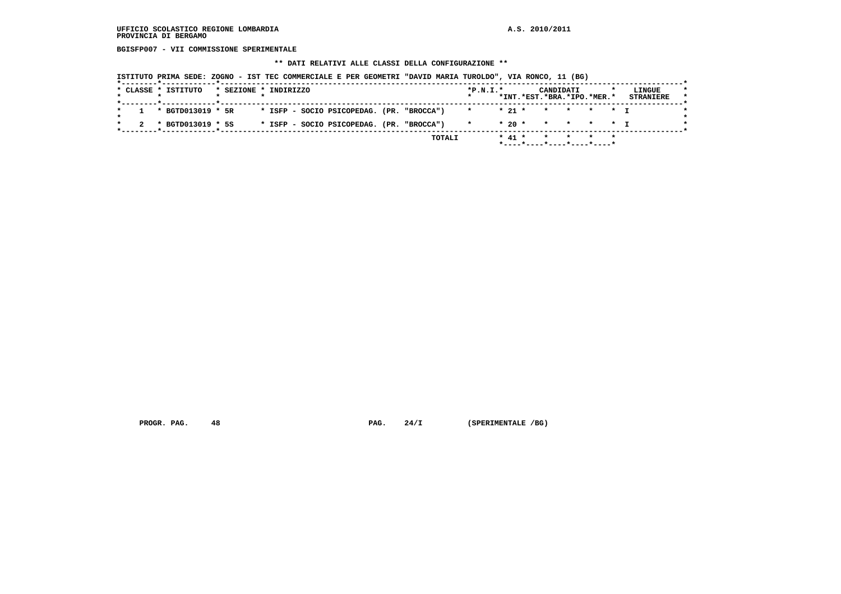**BGISFP007 - VII COMMISSIONE SPERIMENTALE**

# **\*\* DATI RELATIVI ALLE CLASSI DELLA CONFIGURAZIONE \*\***

|  | * CLASSE * ISTITUTO<br>. _ _ _ _ _ _ <del>*</del> _ _ _ _ _ _ _ _ _ _ _ _ <del>*</del> _ _ _ _ _ _ _ _ _ _ _ _ _ _ | * SEZIONE * INDIRIZZO |  |  |                                           |  | $*P.N.T.*$ |            | CANDIDATI<br>*INT.*EST.*BRA.*IPO.*MER.* |  | LINGUE<br><b>STRANIERE</b> |
|--|--------------------------------------------------------------------------------------------------------------------|-----------------------|--|--|-------------------------------------------|--|------------|------------|-----------------------------------------|--|----------------------------|
|  | $1 * BGTD013019 * 5R$                                                                                              |                       |  |  | * ISFP - SOCIO PSICOPEDAG. (PR. "BROCCA") |  |            | $*$ 21 $*$ | * * * * T                               |  |                            |
|  | * BGTD013019 * 5S                                                                                                  |                       |  |  | * ISFP - SOCIO PSICOPEDAG. (PR. "BROCCA") |  |            | $*20$ $*$  | * * * * T                               |  |                            |

 **PROGR. PAG.** 48 **PAG. 24/I** (SPERIMENTALE /BG)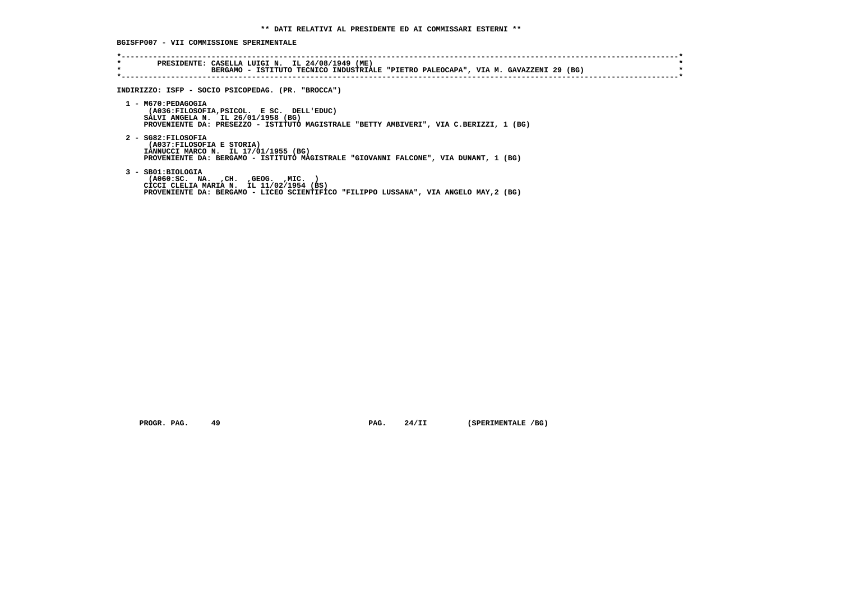**BGISFP007 - VII COMMISSIONE SPERIMENTALE**

| INDIRIZZO: ISFP - SOCIO PSICOPEDAG. (PR. "BROCCA")                                                                                                                                               |
|--------------------------------------------------------------------------------------------------------------------------------------------------------------------------------------------------|
| 1 - M670: PEDAGOGIA<br>(A036:FILOSOFIA, PSICOL. E SC. DELL'EDUC)<br>SALVI ANGELA N. IL 26/01/1958 (BG)<br>PROVENIENTE DA: PRESEZZO - ISTITUTO MAGISTRALE "BETTY AMBIVERI", VIA C.BERIZZI, 1 (BG) |
| 2 - SG82: FILOSOFIA<br>(A037: FILOSOFIA E STORIA)<br>IANNUCCI MARCO N. IL 17/01/1955 (BG)<br>PROVENIENTE DA: BERGAMO - ISTITUTO MAGISTRALE "GIOVANNI FALCONE", VIA DUNANT, 1 (BG)                |
| 3 - SB01:BIOLOGIA<br>( A060 : SC. NA. , CH. , GEOG. , MIC.<br>CICCI CLELIA MARIA N. IL 11/02/1954 (BS)<br>PROVENIENTE DA: BERGAMO - LICEO SCIENTIFICO "FILIPPO LUSSANA", VIA ANGELO MAY, 2 (BG)  |

**PROGR. PAG.** 49 **PAG.** 24/II (SPERIMENTALE /BG)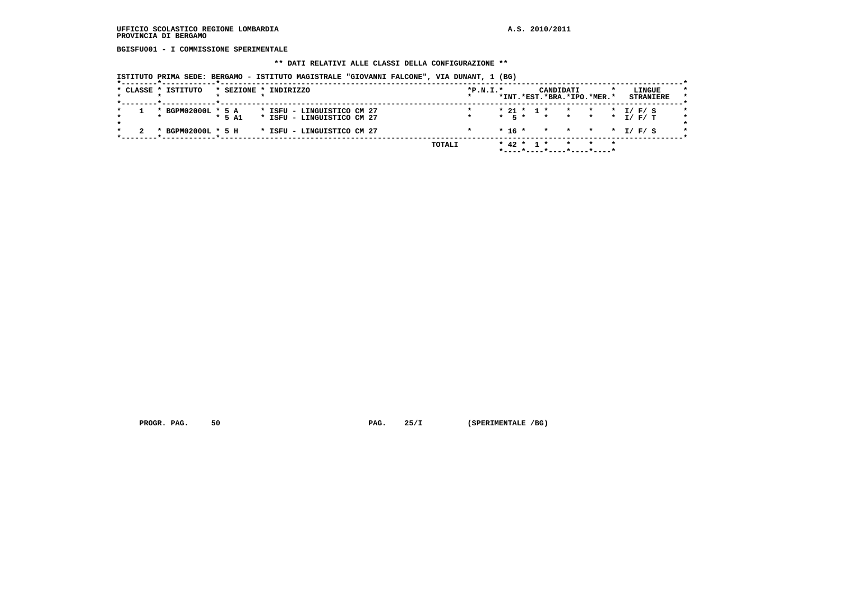**BGISFU001 - I COMMISSIONE SPERIMENTALE**

# **\*\* DATI RELATIVI ALLE CLASSI DELLA CONFIGURAZIONE \*\***

| ISTITUTO PRIMA SEDE: BERGAMO - ISTITUTO MAGISTRALE "GIOVANNI FALCONE", VIA DUNANT, 1 (BG) |
|-------------------------------------------------------------------------------------------|
|-------------------------------------------------------------------------------------------|

|  | * CLASSE * ISTITUTO |          | * SEZIONE * INDIRIZZO      | $*P.N.T.*$ |           |                  | CANDIDATI                                         |                 |         |         | LINGUE  |                  | $\star$ |
|--|---------------------|----------|----------------------------|------------|-----------|------------------|---------------------------------------------------|-----------------|---------|---------|---------|------------------|---------|
|  |                     |          |                            |            |           |                  | *INT.*EST.*BRA.*IPO.*MER.*                        |                 |         |         |         | <b>STRANIERE</b> |         |
|  | * BGPM02000L * 5 A  |          | * ISFU – LINGUISTICO CM 27 |            |           |                  | $* 21 * 1 *$                                      | $\star$         | $\star$ | $\star$ | I/F/S   |                  |         |
|  |                     | $*$ 5 A1 | * ISFU - LINGUISTICO CM 27 |            | $*$ 5 $*$ |                  | $\mathbf{r}$                                      | $\star$ $\star$ |         |         | * I/F/T |                  |         |
|  | * BGPM02000L * 5 H  |          | * ISFU - LINGUISTICO CM 27 |            | * 16 *    |                  | * * * * I/F/S                                     |                 |         |         |         |                  |         |
|  |                     |          | TOTALI                     |            |           | $*$ 42 $*$ 1 $*$ |                                                   |                 |         | $\star$ |         |                  |         |
|  |                     |          |                            |            |           |                  | . _ _ _ * _ _ _ _ * _ _ _ _ * _ _ _ _ * _ _ _ _ * |                 |         |         |         |                  |         |

 **PROGR. PAG.** 50 **PAG.** 25/I (SPERIMENTALE /BG)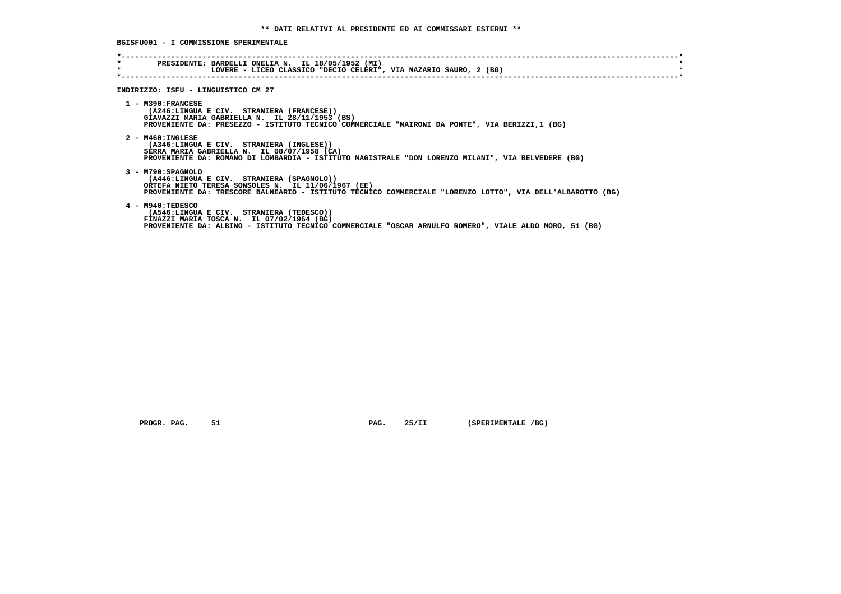**BGISFU001 - I COMMISSIONE SPERIMENTALE**

| $\star$ | LOVERE - LICEO CLASSICO "DECIO CELERI", VIA NAZARIO SAURO, 2 (BG)                                                                                                                                                                   |
|---------|-------------------------------------------------------------------------------------------------------------------------------------------------------------------------------------------------------------------------------------|
|         | INDIRIZZO: ISFU - LINGUISTICO CM 27                                                                                                                                                                                                 |
|         | $1 - M390:FRANCESE$<br>(A246:LINGUA E CIV. STRANIERA (FRANCESE))<br>GIAVAZZI MARIA GABRIELLA N. IL 28/11/1953 (BS)<br>PROVENIENTE DA: PRESEZZO - ISTITUTO TECNICO COMMERCIALE "MAIRONI DA PONTE", VIA BERIZZI,1 (BG)                |
|         | $2 - M460 : INGLESE$<br>(A346:LINGUA E CIV. STRANIERA (INGLESE))<br>SERRA MARIA GABRIELLA N. IL 08/07/1958 (CA)<br>PROVENIENTE DA: ROMANO DI LOMBARDIA - ISTITUTO MAGISTRALE "DON LORENZO MILANI", VIA BELVEDERE (BG)               |
|         | 3 - M790: SPAGNOLO<br>(A446:LINGUA E CIV. STRANIERA (SPAGNOLO))<br>ORTEFA NIETO TERESA SONSOLES N. IL 11/06/1967 (EE)<br>PROVENIENTE DA: TRESCORE BALNEARIO - ISTITUTO TECNICO COMMERCIALE "LORENZO LOTTO", VIA DELL'ALBAROTTO (BG) |
|         | 4 - M940:TEDESCO<br>(A546:LINGUA E CIV. STRANIERA (TEDESCO))<br>FINAZZI MARIA TOSCA N. IL 07/02/1964 (BG)<br>PROVENIENTE DA: ALBINO - ISTITUTO TECNICO COMMERCIALE "OSCAR ARNULFO ROMERO", VIALE ALDO MORO, 51 (BG)                 |

 **PROGR. PAG.** 51 **PAG.** 25/II (SPERIMENTALE /BG)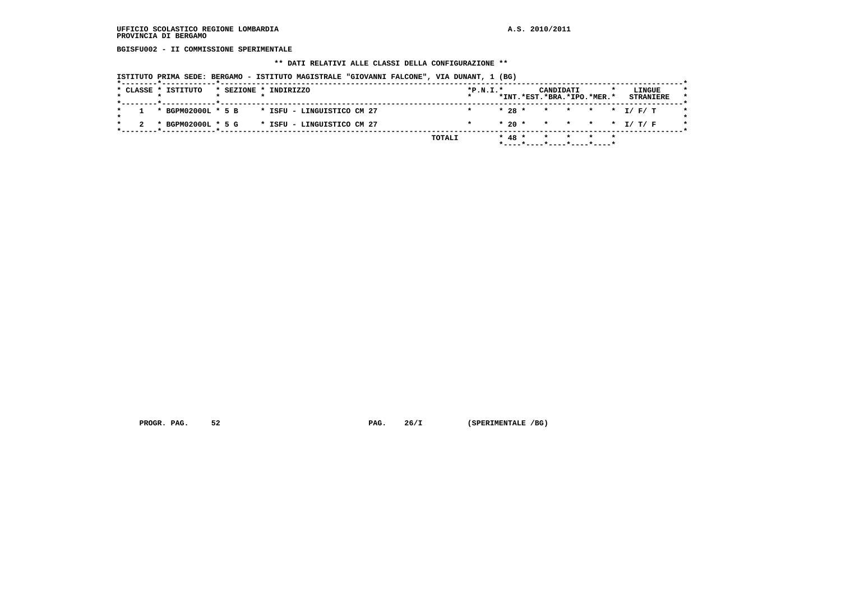**BGISFU002 - II COMMISSIONE SPERIMENTALE**

#### **\*\* DATI RELATIVI ALLE CLASSI DELLA CONFIGURAZIONE \*\***

 **ISTITUTO PRIMA SEDE: BERGAMO - ISTITUTO MAGISTRALE "GIOVANNI FALCONE", VIA DUNANT, 1 (BG)**

|  | * CLASSE * ISTITUTO |  | * SEZIONE * INDIRIZZO      | $*P.N.I.*$ |            |        | CANDIDATI | *INT.*EST.*BRA.*IPO.*MER.* |  | LINGUE<br><b>STRANIERE</b> |  |
|--|---------------------|--|----------------------------|------------|------------|--------|-----------|----------------------------|--|----------------------------|--|
|  |                     |  |                            |            |            |        |           |                            |  |                            |  |
|  | * BGPM02000L * 5 B  |  | * ISFU - LINGUISTICO CM 27 | $\star$    | $* 28 *$   |        |           | * * * * I/F/T              |  |                            |  |
|  | * BGPM02000L * 5 G  |  | * ISFU – LINGUISTICO CM 27 |            |            | $*20*$ |           | * * * * I/T/F              |  |                            |  |
|  |                     |  | TOTALI                     |            | $*$ 48 $*$ |        |           | * * *                      |  |                            |  |
|  |                     |  |                            |            |            |        |           | *----*----*----*----*----* |  |                            |  |

 **PROGR. PAG.** 52 **PAG. 26/I** (SPERIMENTALE /BG)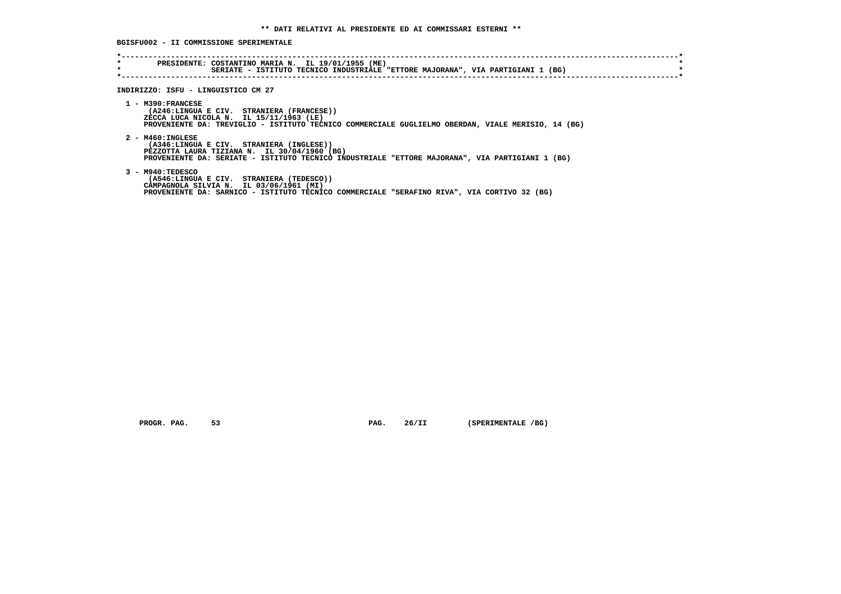**BGISFU002 - II COMMISSIONE SPERIMENTALE**

| $\star$ | PRESIDENTE: COSTANTINO MARIA N. IL 19/01/1955 (ME)<br>SERIATE - ISTITUTO TECNICO INDUSTRIALE "ETTORE MAJORANA", VIA PARTIGIANI 1 (BG)<br>INDIRIZZO: ISFU - LINGUISTICO CM 27                                        |
|---------|---------------------------------------------------------------------------------------------------------------------------------------------------------------------------------------------------------------------|
|         | $1 - M390:FRANCESE$<br>(A246:LINGUA E CIV. STRANIERA (FRANCESE))<br>ZECCA LUCA NICOLA N. IL 15/11/1963 (LE)<br>PROVENIENTE DA: TREVIGLIO - ISTITUTO TECNICO COMMERCIALE GUGLIELMO OBERDAN, VIALE MERISIO, 14 (BG)   |
|         | $2 - M460 : INGLESE$<br>(A346:LINGUA E CIV. STRANIERA (INGLESE))<br>PEZZOTTA LAURA TIZIANA N. IL 30/04/1960 (BG)<br>PROVENIENTE DA: SERIATE - ISTITUTO TECNICO INDUSTRIALE "ETTORE MAJORANA", VIA PARTIGIANI 1 (BG) |
|         | $3 - M940: TEDESCO$<br>(A546:LINGUA E CIV. STRANIERA (TEDESCO))<br>CAMPAGNOLA SILVIA N. IL 03/06/1961 (MI)<br>PROVENIENTE DA: SARNICO - ISTITUTO TECNICO COMMERCIALE "SERAFINO RIVA", VIA CORTIVO 32 (BG)           |

 **PROGR. PAG.** 53 **PAG.** 26/II (SPERIMENTALE /BG)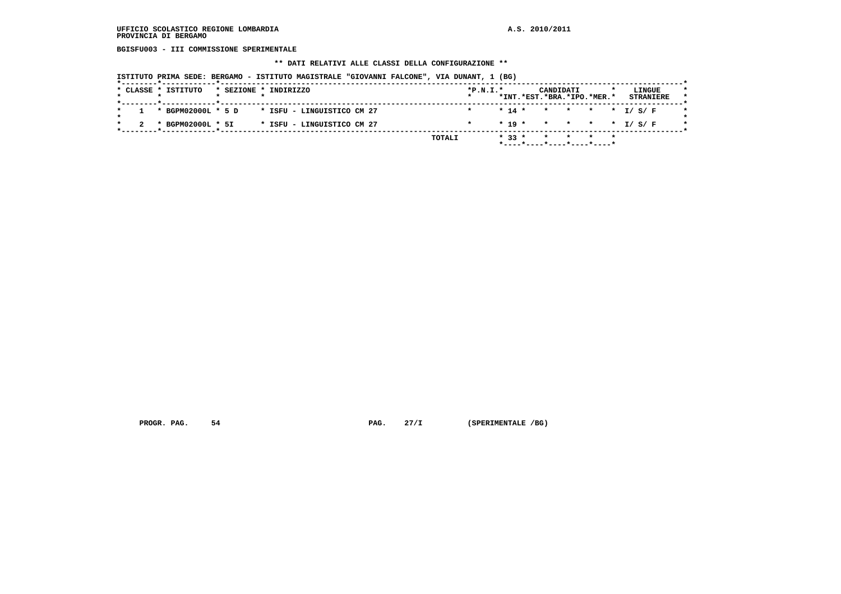**BGISFU003 - III COMMISSIONE SPERIMENTALE**

#### **\*\* DATI RELATIVI ALLE CLASSI DELLA CONFIGURAZIONE \*\***

 **ISTITUTO PRIMA SEDE: BERGAMO - ISTITUTO MAGISTRALE "GIOVANNI FALCONE", VIA DUNANT, 1 (BG)**

|  | * CLASSE * ISTITUTO |  | * SEZIONE * INDIRIZZO      |        | $*P.N.I.*$ |          |          | CANDIDATI | *INT.*EST.*BRA.*IPO.*MER.* | <b>STRANIERE</b> | LINGUE |  |
|--|---------------------|--|----------------------------|--------|------------|----------|----------|-----------|----------------------------|------------------|--------|--|
|  |                     |  |                            |        |            |          |          |           |                            |                  |        |  |
|  | * BGPM02000L * 5 D  |  | * ISFU – LINGUISTICO CM 27 |        | $\star$    | $* 14 *$ |          |           | * * * * I/S/F              |                  |        |  |
|  | * BGPM02000L * 5I   |  | * ISFU - LINGUISTICO CM 27 |        |            |          | $* 19 *$ |           | * * * * I/S/F              |                  |        |  |
|  |                     |  |                            | TOTALI |            | $* 33 *$ |          |           | * * *                      |                  |        |  |
|  |                     |  |                            |        |            |          |          |           | *----*----*----*----*----* |                  |        |  |

 **PROGR. PAG.** 54 **PAG. 27/I** (SPERIMENTALE /BG)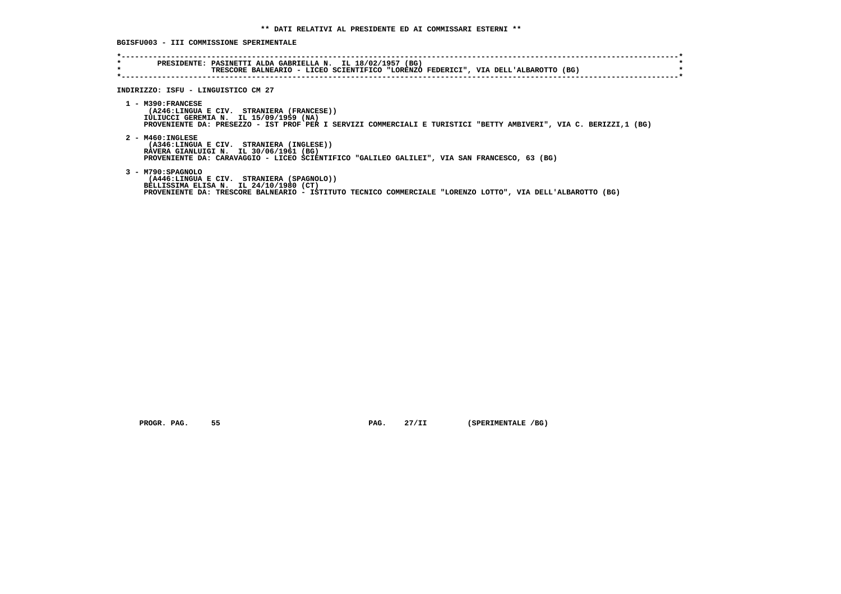# **BGISFU003 - III COMMISSIONE SPERIMENTALE**

| $\star$ | PRESIDENTE: PASINETTI ALDA GABRIELLA N. IL 18/02/1957 (BG)<br>TRESCORE BALNEARIO - LICEO SCIENTIFICO "LORENZO FEDERICI", VIA DELL'ALBAROTTO (BG)                                                                                |
|---------|---------------------------------------------------------------------------------------------------------------------------------------------------------------------------------------------------------------------------------|
|         |                                                                                                                                                                                                                                 |
|         |                                                                                                                                                                                                                                 |
|         |                                                                                                                                                                                                                                 |
|         | INDIRIZZO: ISFU - LINGUISTICO CM 27                                                                                                                                                                                             |
|         | $1 - M390:FRANCESE$<br>(A246:LINGUA E CIV. STRANIERA (FRANCESE))<br>IULIUCCI GEREMIA N. IL 15/09/1959 (NA)<br>PROVENIENTE DA: PRESEZZO - IST PROF PER I SERVIZI COMMERCIALI E TURISTICI "BETTY AMBIVERI", VIA C. BERIZZI,1 (BG) |
|         | $2 - M460 : INGLESE$<br>(A346:LINGUA E CIV. STRANIERA (INGLESE))<br>RAVERA GIANLUIGI N. IL 30/06/1961 (BG)<br>PROVENIENTE DA: CARAVAGGIO - LICEO SCIENTIFICO "GALILEO GALILEI", VIA SAN FRANCESCO, 63 (BG)                      |
|         | 3 - M790: SPAGNOLO<br>(A446:LINGUA E CIV. STRANIERA (SPAGNOLO))<br>BELLISSIMA ELISA N. IL 24/10/1980 (CT)<br>PROVENIENTE DA: TRESCORE BALNEARIO - ISTITUTO TECNICO COMMERCIALE "LORENZO LOTTO", VIA DELL'ALBAROTTO (BG)         |

 **PROGR. PAG.** 55 **PAG.** 27/II (SPERIMENTALE /BG)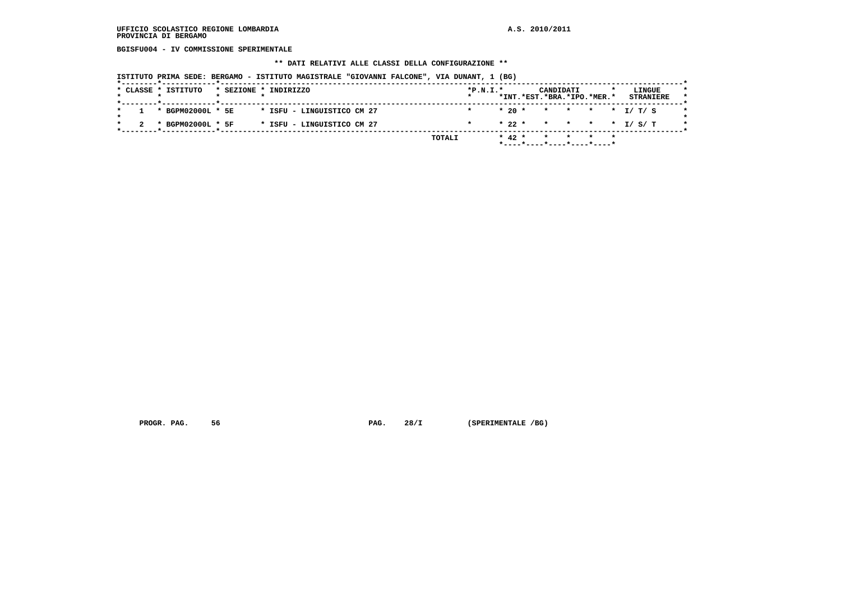**BGISFU004 - IV COMMISSIONE SPERIMENTALE**

#### **\*\* DATI RELATIVI ALLE CLASSI DELLA CONFIGURAZIONE \*\***

 **ISTITUTO PRIMA SEDE: BERGAMO - ISTITUTO MAGISTRALE "GIOVANNI FALCONE", VIA DUNANT, 1 (BG)**

|         |  |         |            | *INT.*EST.*BRA.*IPO.*MER.* | LINGUE<br><b>STRANIERE</b>          |
|---------|--|---------|------------|----------------------------|-------------------------------------|
|         |  |         |            |                            |                                     |
| $\star$ |  | $*20$ * |            |                            |                                     |
|         |  | $*22$ * |            |                            | * * * * I/S/T                       |
| TOTALI  |  |         |            |                            |                                     |
|         |  |         | $*$ 42 $*$ |                            | * * *<br>*----*----*----*----*----* |

 **PROGR. PAG.** 56 **PROGR. 28/I** (SPERIMENTALE /BG)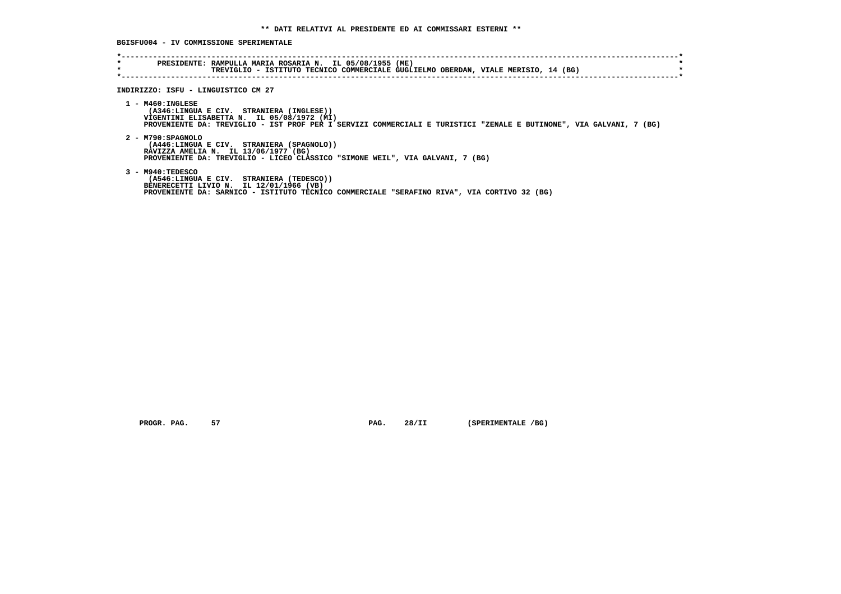**BGISFU004 - IV COMMISSIONE SPERIMENTALE**

| $\star$<br>$\star$ | PRESIDENTE: RAMPULLA MARIA ROSARIA N. IL 05/08/1955 (ME)<br>TREVIGLIO - ISTITUTO TECNICO COMMERCIALE GUGLIELMO OBERDAN, VIALE MERISIO, 14 (BG)                                                                                        |
|--------------------|---------------------------------------------------------------------------------------------------------------------------------------------------------------------------------------------------------------------------------------|
|                    | INDIRIZZO: ISFU - LINGUISTICO CM 27                                                                                                                                                                                                   |
|                    | $1 - M460 : INGLESE$<br>(A346:LINGUA E CIV. STRANIERA (INGLESE))<br>VIGENTINI ELISABETTA N. IL 05/08/1972 (MI)<br>PROVENIENTE DA: TREVIGLIO - IST PROF PER I SERVIZI COMMERCIALI E TURISTICI "ZENALE E BUTINONE", VIA GALVANI, 7 (BG) |
|                    | 2 - M790: SPAGNOLO<br>(A446:LINGUA E CIV. STRANIERA (SPAGNOLO))<br>RAVIZZA AMELIA N. IL 13/06/1977 (BG)<br>PROVENIENTE DA: TREVIGLIO - LICEO CLASSICO "SIMONE WEIL", VIA GALVANI, 7 (BG)                                              |
|                    | 3 - M940: TEDESCO<br>(A546:LINGUA E CIV. STRANIERA (TEDESCO))<br>BENERECETTI LIVIO N. IL 12/01/1966 (VB)<br>PROVENIENTE DA: SARNICO - ISTITUTO TECNICO COMMERCIALE "SERAFINO RIVA", VIA CORTIVO 32 (BG)                               |

 **PROGR. PAG.** 57 **PAG.** 28/II (SPERIMENTALE /BG)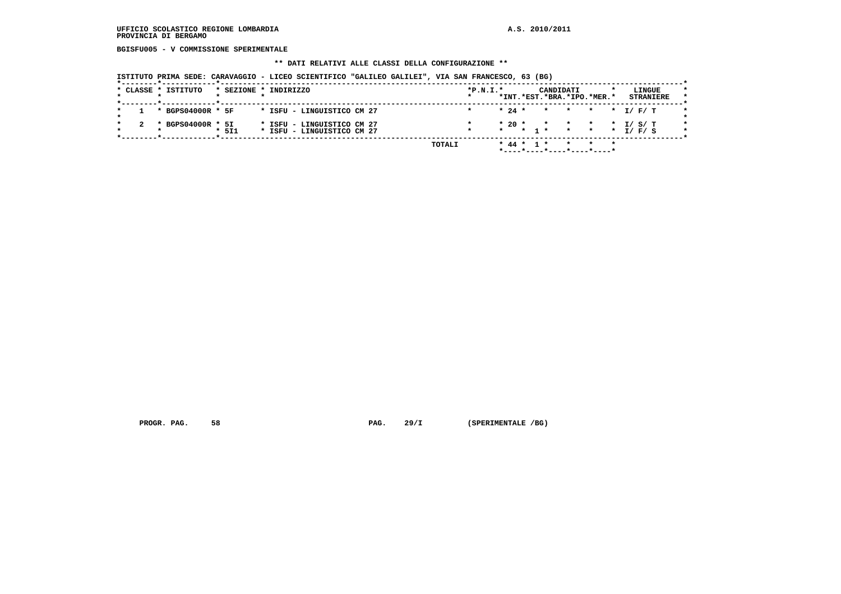**BGISFU005 - V COMMISSIONE SPERIMENTALE**

#### **\*\* DATI RELATIVI ALLE CLASSI DELLA CONFIGURAZIONE \*\***

 **ISTITUTO PRIMA SEDE: CARAVAGGIO - LICEO SCIENTIFICO "GALILEO GALILEI", VIA SAN FRANCESCO, 63 (BG)**

|  |         | * CLASSE * ISTITUTO |       | * SEZIONE * INDIRIZZO                                    |  |        | $*P.N.T.*$ |         |          |                  | CANDIDATI                  |         |             |         | LINGUE           |  |
|--|---------|---------------------|-------|----------------------------------------------------------|--|--------|------------|---------|----------|------------------|----------------------------|---------|-------------|---------|------------------|--|
|  |         |                     |       |                                                          |  |        |            |         |          |                  | *INT.*EST.*BRA.*IPO.*MER.* |         |             |         | <b>STRANIERE</b> |  |
|  |         | * BGPS04000R * 5F   |       | * ISFU - LINGUISTICO CM 27                               |  |        |            |         | $* 24 *$ |                  | $\star$ $\star$ $\star$    |         |             | * I/F/T |                  |  |
|  | $\cdot$ | BGPS04000R * 5I     | * 511 | * ISFU - LINGUISTICO CM 27<br>* ISFU - LINGUISTICO CM 27 |  |        |            | $\star$ | $*20$ *  | $*$ 1 $*$        | $\star$ $\star$            | $\star$ | * * * I/F/S | $\star$ | I/ S/ T          |  |
|  |         |                     |       |                                                          |  | TOTALI |            |         |          | $*$ 44 $*$ 1 $*$ | ----*----*----*----*----*  |         |             | $\star$ |                  |  |

 **PROGR. PAG.** 58 **PROGR. 29/I** (SPERIMENTALE /BG)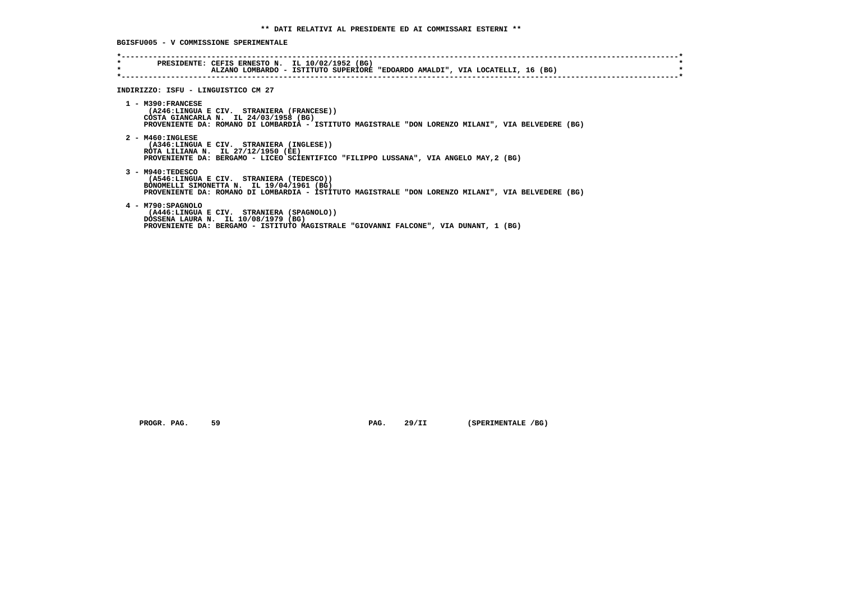**BGISFU005 - V COMMISSIONE SPERIMENTALE**

| $\star$ | PRESIDENTE: CEFIS ERNESTO N. IL 10/02/1952 (BG)<br>ALZANO LOMBARDO - ISTITUTO SUPERIORE "EDOARDO AMALDI", VIA LOCATELLI, 16 (BG)                                                                                   |  |
|---------|--------------------------------------------------------------------------------------------------------------------------------------------------------------------------------------------------------------------|--|
|         | INDIRIZZO: ISFU - LINGUISTICO CM 27                                                                                                                                                                                |  |
|         | $1 - M390:FRANCESE$<br>(A246:LINGUA E CIV. STRANIERA (FRANCESE))<br>COSTA GIANCARLA N. IL 24/03/1958 (BG)<br>PROVENIENTE DA: ROMANO DI LOMBARDIA - ISTITUTO MAGISTRALE "DON LORENZO MILANI", VIA BELVEDERE (BG)    |  |
|         | $2 - M460 : INGLESE$<br>(A346:LINGUA E CIV. STRANIERA (INGLESE))<br>ROTA LILIANA N. IL 27/12/1950 (EE)<br>PROVENIENTE DA: BERGAMO - LICEO SCIENTIFICO "FILIPPO LUSSANA", VIA ANGELO MAY, 2 (BG)                    |  |
|         | $3 - M940: TEDESCO$<br>(A546:LINGUA E CIV. STRANIERA (TEDESCO))<br>BONOMELLI SIMONETTA N. IL 19/04/1961 (BG)<br>PROVENIENTE DA: ROMANO DI LOMBARDIA - ISTITUTO MAGISTRALE "DON LORENZO MILANI", VIA BELVEDERE (BG) |  |
|         | 4 - M790: SPAGNOLO<br>(A446:LINGUA E CIV. STRANIERA (SPAGNOLO))<br>DOSSENA LAURA N. IL 10/08/1979 (BG)<br>PROVENIENTE DA: BERGAMO - ISTITUTO MAGISTRALE "GIOVANNI FALCONE", VIA DUNANT, 1 (BG)                     |  |

 **PROGR. PAG.** 59 **PAG.** 29/II (SPERIMENTALE /BG)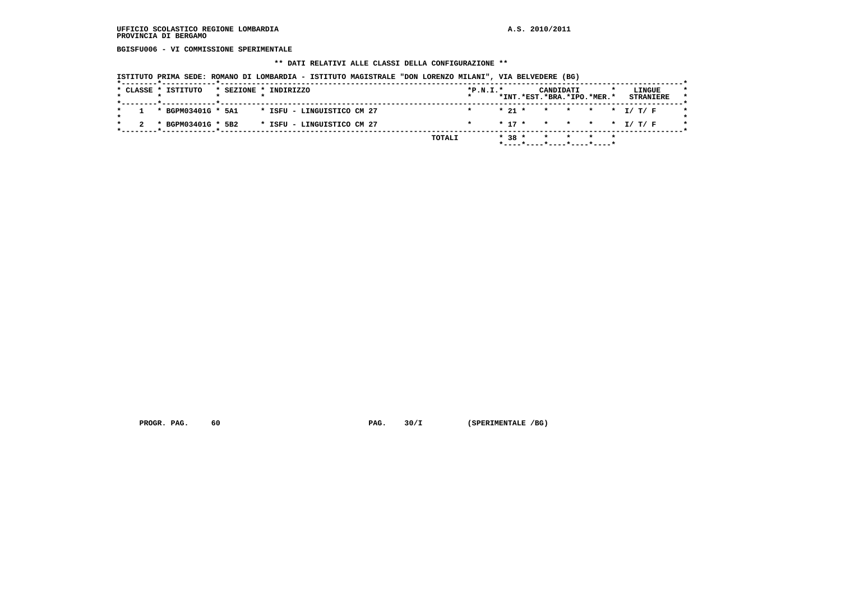**BGISFU006 - VI COMMISSIONE SPERIMENTALE**

#### **\*\* DATI RELATIVI ALLE CLASSI DELLA CONFIGURAZIONE \*\***

 **ISTITUTO PRIMA SEDE: ROMANO DI LOMBARDIA - ISTITUTO MAGISTRALE "DON LORENZO MILANI", VIA BELVEDERE (BG)**

|  | * CLASSE * ISTITUTO |  | * SEZIONE * INDIRIZZO      | $*P.N.I.*$ |  |          |          | CANDIDATI | *INT.*EST.*BRA.*IPO.*MER.* |         | LINGUE | <b>STRANIERE</b> |
|--|---------------------|--|----------------------------|------------|--|----------|----------|-----------|----------------------------|---------|--------|------------------|
|  |                     |  |                            |            |  |          |          |           |                            |         |        |                  |
|  | * BGPM03401G * 5A1  |  | * ISFU - LINGUISTICO CM 27 |            |  | $* 21 *$ |          |           | * * * * I/T/F              |         |        |                  |
|  | * BGPM03401G * 5B2  |  | * ISFU - LINGUISTICO CM 27 |            |  |          | $* 17 *$ |           | * * * * I/T/F              |         |        |                  |
|  |                     |  | TOTALI                     |            |  | $* 38 *$ |          |           | $\star$ $\star$            | $\star$ |        |                  |
|  |                     |  |                            |            |  |          |          |           | *----*----*----*----*----* |         |        |                  |

 **PROGR. PAG.** 60 **PAG. 30/I** (SPERIMENTALE /BG)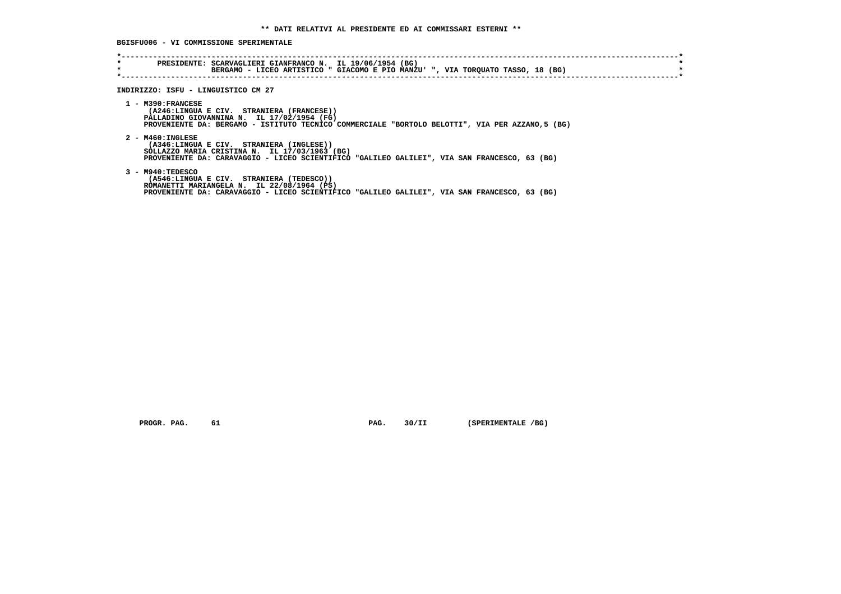**BGISFU006 - VI COMMISSIONE SPERIMENTALE**

| INDIRIZZO: ISFU - LINGUISTICO CM 27                                                                                                                                                                               |
|-------------------------------------------------------------------------------------------------------------------------------------------------------------------------------------------------------------------|
| $1 - M390:FRANCESE$<br>(A246:LINGUA E CIV. STRANIERA (FRANCESE))<br>PALLADINO GIOVANNINA N. IL 17/02/1954 (FG)<br>PROVENIENTE DA: BERGAMO - ISTITUTO TECNICO COMMERCIALE "BORTOLO BELOTTI", VIA PER AZZANO,5 (BG) |
| $2 - M460 : INGLESE$<br>(A346:LINGUA E CIV. STRANIERA (INGLESE))<br>SOLLAZZO MARIA CRISTINA N. IL 17/03/1963 (BG)<br>PROVENIENTE DA: CARAVAGGIO - LICEO SCIENTIFICO "GALILEO GALILEI", VIA SAN FRANCESCO, 63 (BG) |
| $3 - M940 : TEDESCO$<br>(A546:LINGUA E CIV. STRANIERA (TEDESCO))<br>ROMANETTI MARIANGELA N. IL 22/08/1964 (PS)<br>PROVENIENTE DA: CARAVAGGIO - LICEO SCIENTIFICO "GALILEO GALILEI", VIA SAN FRANCESCO, 63 (BG)    |

 **PROGR. PAG.** 61 **PAG.** 30/II (SPERIMENTALE /BG)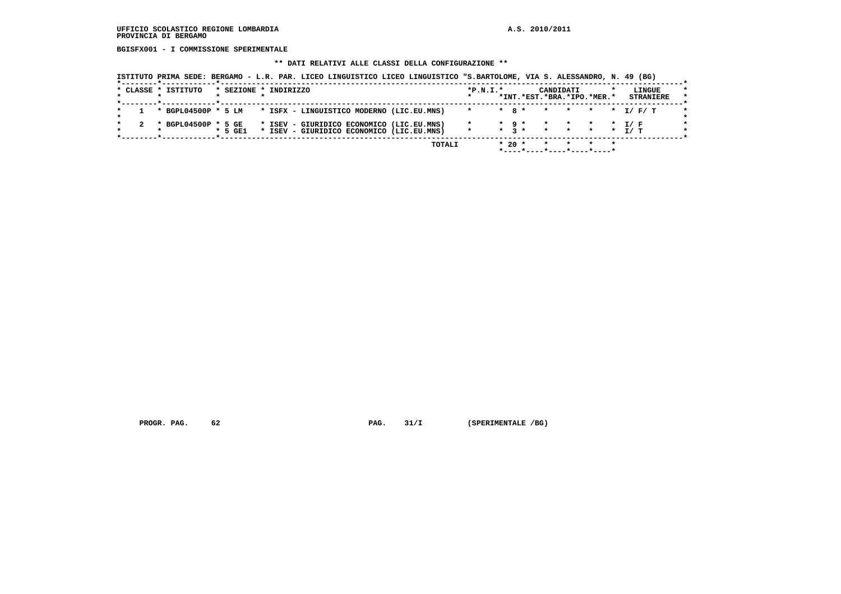**BGISFX001 - I COMMISSIONE SPERIMENTALE**

# **\*\* DATI RELATIVI ALLE CLASSI DELLA CONFIGURAZIONE \*\***

|  |  | ISTITUTO PRIMA SEDE: BERGAMO - L.R. PAR. LICEO LINGUISTICO LICEO LINGUISTICO "S.BARTOLOME, VIA S. ALESSANDRO, N. 49 (BG) |  |  |  |  |
|--|--|--------------------------------------------------------------------------------------------------------------------------|--|--|--|--|
|--|--|--------------------------------------------------------------------------------------------------------------------------|--|--|--|--|

|  | * CLASSE * ISTITUTO                                           | * SEZIONE * INDIRIZZO |  |                                                                                        |  |        | $*P.N.I.*$    |                              |              | *INT.*EST.*BRA.*IPO.*MER.* | CANDIDATI    |                      | LINGUE<br><b>STRANIERE</b> | $\star$ |
|--|---------------------------------------------------------------|-----------------------|--|----------------------------------------------------------------------------------------|--|--------|---------------|------------------------------|--------------|----------------------------|--------------|----------------------|----------------------------|---------|
|  | * BGPL04500P * 5 LM * ISFX - LINGUISTICO MODERNO (LIC.EU.MNS) |                       |  |                                                                                        |  |        | $*$ $*$ 8 $*$ |                              |              |                            | $\mathbf{r}$ |                      |                            |         |
|  | * BGPL04500P * 5 GE                                           | $*$ 5 GE1             |  | * ISEV - GIURIDICO ECONOMICO (LIC.EU.MNS)<br>* ISEV - GIURIDICO ECONOMICO (LIC.EU.MNS) |  |        |               | $\star$ 9 $\star$<br>$\star$ | $\mathbf{R}$ | $\mathbf{r}$               |              | * * * T/F<br>* * * * | T / T                      |         |
|  |                                                               |                       |  |                                                                                        |  | TOTALI |               | $* 20 *$                     |              |                            |              |                      |                            |         |

 **PROGR. PAG.** 62 **PAG. 31/I** (SPERIMENTALE /BG)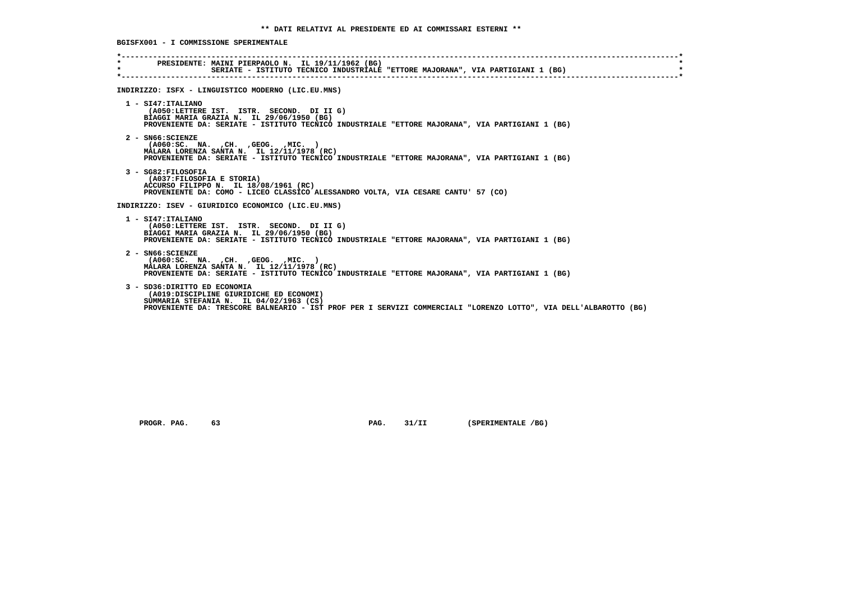**\*----------------------------------------------------------------------------------------------------------------------------\* \* PRESIDENTE: MAINI PIERPAOLO N. IL 19/11/1962 (BG) \* \* SERIATE - ISTITUTO TECNICO INDUSTRIALE "ETTORE MAJORANA", VIA PARTIGIANI 1 (BG) \* \*----------------------------------------------------------------------------------------------------------------------------\* INDIRIZZO: ISFX - LINGUISTICO MODERNO (LIC.EU.MNS) 1 - SI47:ITALIANO (A050:LETTERE IST. ISTR. SECOND. DI II G) BIAGGI MARIA GRAZIA N. IL 29/06/1950 (BG) PROVENIENTE DA: SERIATE - ISTITUTO TECNICO INDUSTRIALE "ETTORE MAJORANA", VIA PARTIGIANI 1 (BG) 2 - SN66:SCIENZE (A060:SC. NA. ,CH. ,GEOG. ,MIC. ) MALARA LORENZA SANTA N. IL 12/11/1978 (RC) PROVENIENTE DA: SERIATE - ISTITUTO TECNICO INDUSTRIALE "ETTORE MAJORANA", VIA PARTIGIANI 1 (BG) 3 - SG82:FILOSOFIA (A037:FILOSOFIA E STORIA) ACCURSO FILIPPO N. IL 18/08/1961 (RC) PROVENIENTE DA: COMO - LICEO CLASSICO ALESSANDRO VOLTA, VIA CESARE CANTU' 57 (CO) INDIRIZZO: ISEV - GIURIDICO ECONOMICO (LIC.EU.MNS) 1 - SI47:ITALIANO (A050:LETTERE IST. ISTR. SECOND. DI II G) BIAGGI MARIA GRAZIA N. IL 29/06/1950 (BG) PROVENIENTE DA: SERIATE - ISTITUTO TECNICO INDUSTRIALE "ETTORE MAJORANA", VIA PARTIGIANI 1 (BG) 2 - SN66:SCIENZE (A060:SC. NA. ,CH. ,GEOG. ,MIC. ) MALARA LORENZA SANTA N. IL 12/11/1978 (RC) PROVENIENTE DA: SERIATE - ISTITUTO TECNICO INDUSTRIALE "ETTORE MAJORANA", VIA PARTIGIANI 1 (BG) 3 - SD36:DIRITTO ED ECONOMIA (A019:DISCIPLINE GIURIDICHE ED ECONOMI) SUMMARIA STEFANIA N. IL 04/02/1963 (CS) PROVENIENTE DA: TRESCORE BALNEARIO - IST PROF PER I SERVIZI COMMERCIALI "LORENZO LOTTO", VIA DELL'ALBAROTTO (BG)**

PROGR. PAG. 63 63 **PAG.** 91/II (SPERIMENTALE /BG)

 **BGISFX001 - I COMMISSIONE SPERIMENTALE**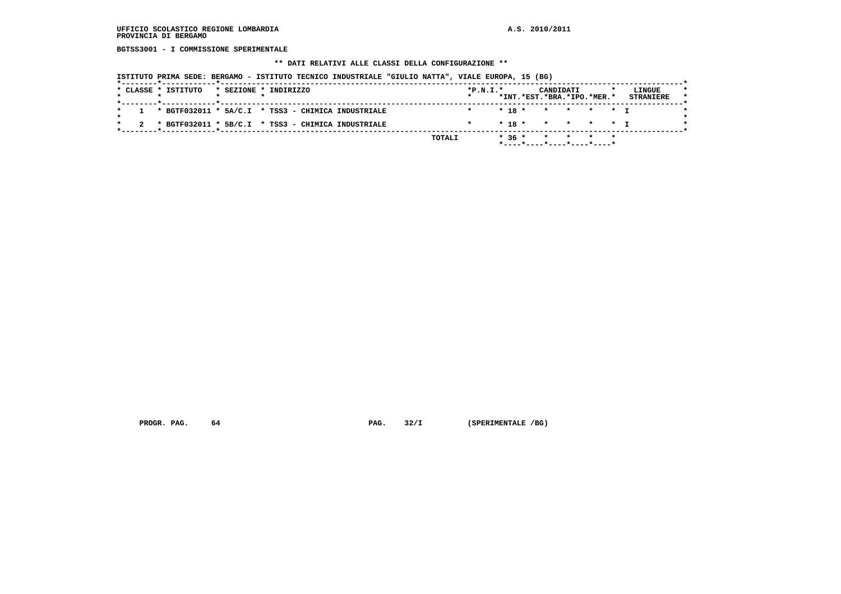**BGTSS3001 - I COMMISSIONE SPERIMENTALE**

#### **\*\* DATI RELATIVI ALLE CLASSI DELLA CONFIGURAZIONE \*\***

 **ISTITUTO PRIMA SEDE: BERGAMO - ISTITUTO TECNICO INDUSTRIALE "GIULIO NATTA", VIALE EUROPA, 15 (BG)**

| 1 * BGTF032011 * 5A/C.I * TSS3 - CHIMICA INDUSTRIALE<br>$* 18 * * * * * * T$<br>2 * BGTF032011 * 5B/C.I * TSS3 - CHIMICA INDUSTRIALE<br>$* 18 * * * * * * T$ |  | * CLASSE * ISTITUTO |  | * SEZIONE * INDIRIZZO | $*P.N.I.*$ |  | CANDIDATI<br>*INT.*EST.*BRA.*IPO.*MER.* |  | LINGUE<br><b>STRANIERE</b> |
|--------------------------------------------------------------------------------------------------------------------------------------------------------------|--|---------------------|--|-----------------------|------------|--|-----------------------------------------|--|----------------------------|
|                                                                                                                                                              |  |                     |  |                       |            |  |                                         |  |                            |
|                                                                                                                                                              |  |                     |  |                       |            |  |                                         |  |                            |

 **PROGR. PAG.** 64 **PAG. 32/I** (SPERIMENTALE /BG)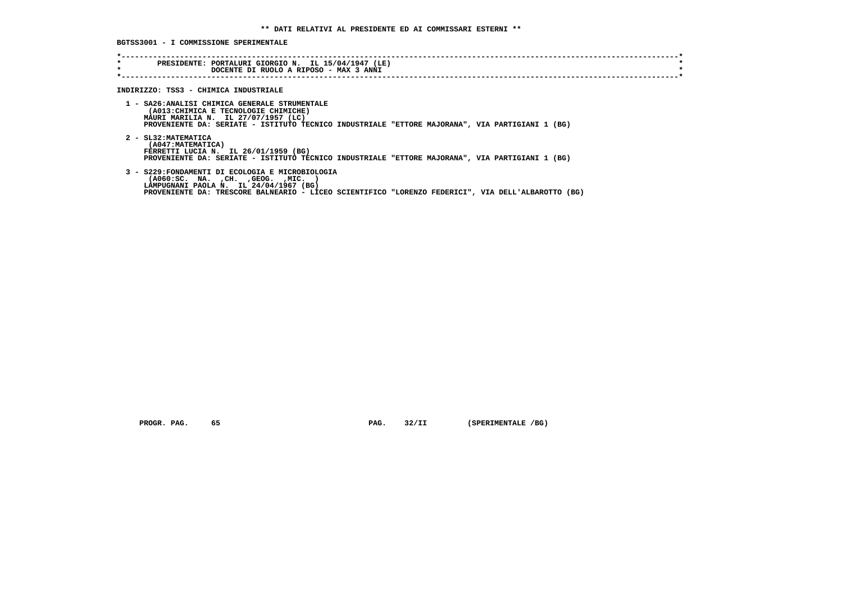**BGTSS3001 - I COMMISSIONE SPERIMENTALE**

| $\star$<br>$\star$ | PRESIDENTE: PORTALURI GIORGIO N. IL 15/04/1947 (LE)<br>DOCENTE DI RUOLO A RIPOSO - MAX 3 ANNI                                                                                                                                             |
|--------------------|-------------------------------------------------------------------------------------------------------------------------------------------------------------------------------------------------------------------------------------------|
|                    | INDIRIZZO: TSS3 - CHIMICA INDUSTRIALE                                                                                                                                                                                                     |
|                    | 1 - SA26:ANALISI CHIMICA GENERALE STRUMENTALE<br>(A013: CHIMICA E TECNOLOGIE CHIMICHE)<br>MAURI MARILIA N. IL 27/07/1957 (LC)<br>PROVENIENTE DA: SERIATE - ISTITUTO TECNICO INDUSTRIALE "ETTORE MAJORANA", VIA PARTIGIANI 1 (BG)          |
|                    | 2 - SL32: MATEMATICA<br>(A047: MATEMATICA)<br>FERRETTI LUCIA N. IL 26/01/1959 (BG)<br>PROVENIENTE DA: SERIATE - ISTITUTO TECNICO INDUSTRIALE "ETTORE MAJORANA", VIA PARTIGIANI 1 (BG)                                                     |
|                    | 3 - S229: FONDAMENTI DI ECOLOGIA E MICROBIOLOGIA<br>( A060 : SC. NA. , CH. , GEOG. , MIC.<br>LAMPUGNANI PAOLA N. IL 24/04/1967 (BG)<br>PROVENIENTE DA: TRESCORE BALNEARIO - LICEO SCIENTIFICO "LORENZO FEDERICI", VIA DELL'ALBAROTTO (BG) |

 **PROGR. PAG.** 65 **PAG.** 32/II (SPERIMENTALE /BG)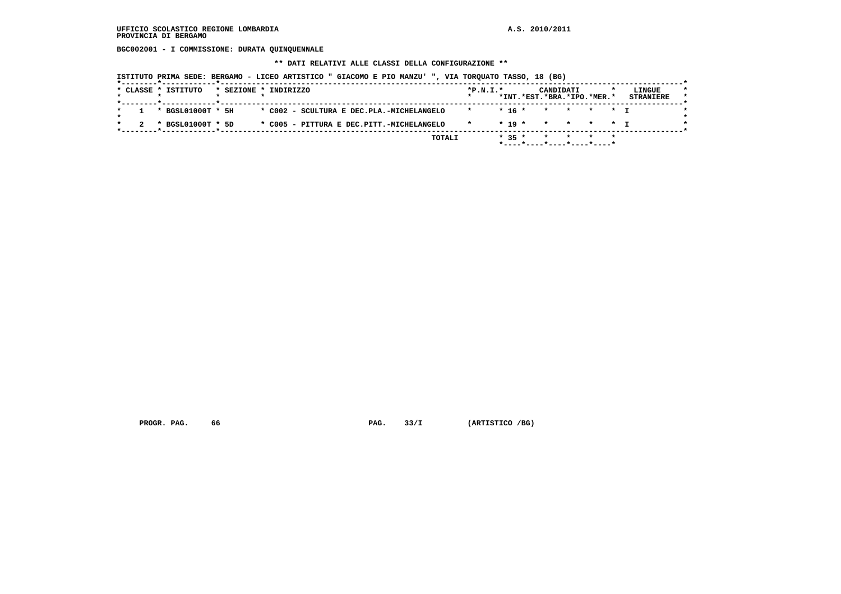**BGC002001 - I COMMISSIONE: DURATA QUINQUENNALE**

 **\*\* DATI RELATIVI ALLE CLASSI DELLA CONFIGURAZIONE \*\***

 **ISTITUTO PRIMA SEDE: BERGAMO - LICEO ARTISTICO " GIACOMO E PIO MANZU' ", VIA TORQUATO TASSO, 18 (BG)**

|  | * CLASSE * ISTITUTO   | * SEZIONE * INDIRIZZO |  |  |                                           |        | $*P.N.I.*$      |          | CANDIDATI<br>*INT.*EST.*BRA.*IPO.*MER.* |       | LINGUE           |  |
|--|-----------------------|-----------------------|--|--|-------------------------------------------|--------|-----------------|----------|-----------------------------------------|-------|------------------|--|
|  |                       |                       |  |  |                                           |        |                 |          |                                         |       | <b>STRANIERE</b> |  |
|  | $1 * BGSL01000T * 5H$ |                       |  |  | * C002 - SCULTURA E DEC.PLA.-MICHELANGELO |        | $* 16 *$        |          | * * * * T                               |       |                  |  |
|  | * BGSL01000T * 5D     |                       |  |  | * C005 - PITTURA E DEC.PITT.-MICHELANGELO |        | $\star$ $\star$ |          | $* 19 * * * * * * T$                    |       |                  |  |
|  |                       |                       |  |  |                                           | TOTALI |                 | $* 35 *$ | $\star$                                 | * * * |                  |  |
|  |                       |                       |  |  |                                           |        |                 |          | *----*---*----*----*----*               |       |                  |  |

 **PROGR. PAG.** 66 **PAG. 33/I** (ARTISTICO /BG)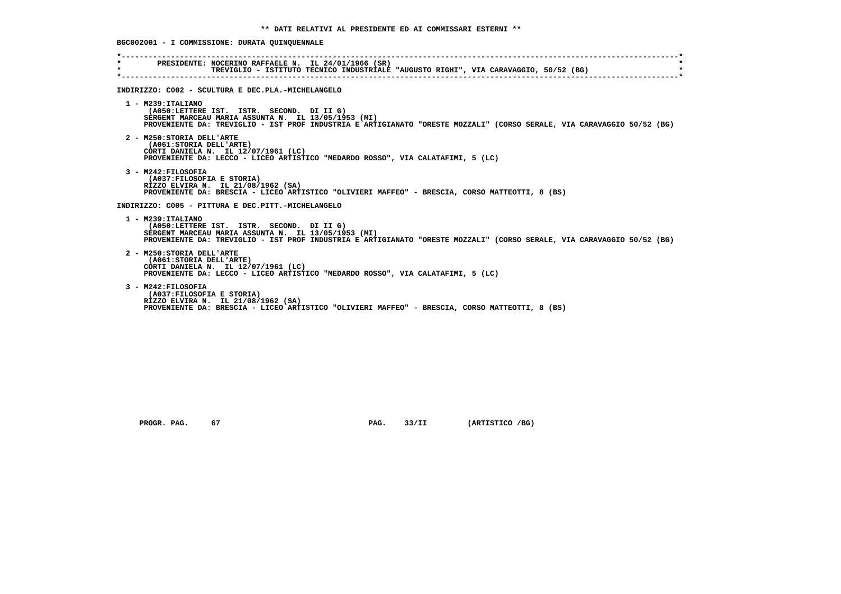**BGC002001 - I COMMISSIONE: DURATA QUINQUENNALE \*----------------------------------------------------------------------------------------------------------------------------\* \* PRESIDENTE: NOCERINO RAFFAELE N. IL 24/01/1966 (SR) \* \* TREVIGLIO - ISTITUTO TECNICO INDUSTRIALE "AUGUSTO RIGHI", VIA CARAVAGGIO, 50/52 (BG) \* \*----------------------------------------------------------------------------------------------------------------------------\* INDIRIZZO: C002 - SCULTURA E DEC.PLA.-MICHELANGELO 1 - M239:ITALIANO (A050:LETTERE IST. ISTR. SECOND. DI II G) SERGENT MARCEAU MARIA ASSUNTA N. IL 13/05/1953 (MI) PROVENIENTE DA: TREVIGLIO - IST PROF INDUSTRIA E ARTIGIANATO "ORESTE MOZZALI" (CORSO SERALE, VIA CARAVAGGIO 50/52 (BG) 2 - M250:STORIA DELL'ARTE (A061:STORIA DELL'ARTE) CORTI DANIELA N. IL 12/07/1961 (LC) PROVENIENTE DA: LECCO - LICEO ARTISTICO "MEDARDO ROSSO", VIA CALATAFIMI, 5 (LC) 3 - M242:FILOSOFIA (A037:FILOSOFIA E STORIA) RIZZO ELVIRA N. IL 21/08/1962 (SA) PROVENIENTE DA: BRESCIA - LICEO ARTISTICO "OLIVIERI MAFFEO" - BRESCIA, CORSO MATTEOTTI, 8 (BS) INDIRIZZO: C005 - PITTURA E DEC.PITT.-MICHELANGELO 1 - M239:ITALIANO (A050:LETTERE IST. ISTR. SECOND. DI II G) SERGENT MARCEAU MARIA ASSUNTA N. IL 13/05/1953 (MI) PROVENIENTE DA: TREVIGLIO - IST PROF INDUSTRIA E ARTIGIANATO "ORESTE MOZZALI" (CORSO SERALE, VIA CARAVAGGIO 50/52 (BG) 2 - M250:STORIA DELL'ARTE (A061:STORIA DELL'ARTE) CORTI DANIELA N. IL 12/07/1961 (LC) PROVENIENTE DA: LECCO - LICEO ARTISTICO "MEDARDO ROSSO", VIA CALATAFIMI, 5 (LC) 3 - M242:FILOSOFIA (A037:FILOSOFIA E STORIA) RIZZO ELVIRA N. IL 21/08/1962 (SA) PROVENIENTE DA: BRESCIA - LICEO ARTISTICO "OLIVIERI MAFFEO" - BRESCIA, CORSO MATTEOTTI, 8 (BS)**

 **PROGR. PAG.** 67 **PROGR. PAG.** 33/II (ARTISTICO /BG)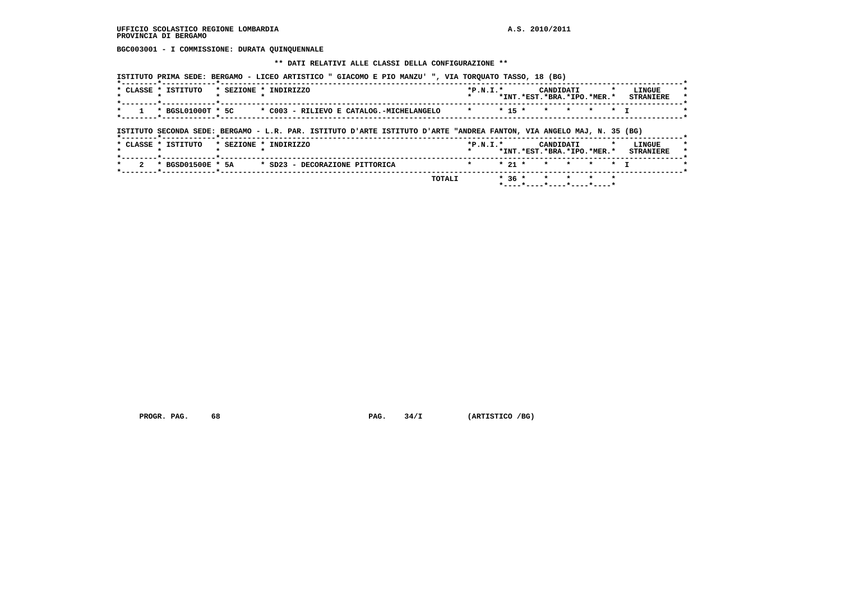**BGC003001 - I COMMISSIONE: DURATA QUINQUENNALE**

 **\*\* DATI RELATIVI ALLE CLASSI DELLA CONFIGURAZIONE \*\***

|         | * CLASSE * ISTITUTO                                                                                                   | * SEZIONE * INDIRIZZO |  |  |                                          | $*P.N.T.*$ |          | CANDIDATI<br>*INT.*EST.*BRA.*IPO.*MER.* |         |           | LINGUE<br><b>STRANIERE</b> |
|---------|-----------------------------------------------------------------------------------------------------------------------|-----------------------|--|--|------------------------------------------|------------|----------|-----------------------------------------|---------|-----------|----------------------------|
| $\star$ | * BGSL01000T * 5C                                                                                                     |                       |  |  | * C003 - RILIEVO E CATALOG.-MICHELANGELO | $\star$    | $* 15 *$ | $\star$ $\star$                         | $\star$ | $\star$ T |                            |
|         |                                                                                                                       |                       |  |  |                                          |            |          |                                         |         |           |                            |
|         | ISTITUTO SECONDA SEDE: BERGAMO - L.R. PAR. ISTITUTO D'ARTE ISTITUTO D'ARTE "ANDREA FANTON, VIA ANGELO MAJ, N. 35 (BG) |                       |  |  |                                          |            |          |                                         |         |           |                            |
|         | * CLASSE * ISTITUTO                                                                                                   | * SEZIONE * INDIRIZZO |  |  |                                          | $*P.N.I.*$ |          | CANDIDATI<br>*INT.*EST.*BRA.*IPO.*MER.* |         |           | LINGUE<br><b>STRANIERE</b> |

 **PROGR. PAG.** 68 **PAG. 34/I** (ARTISTICO /BG)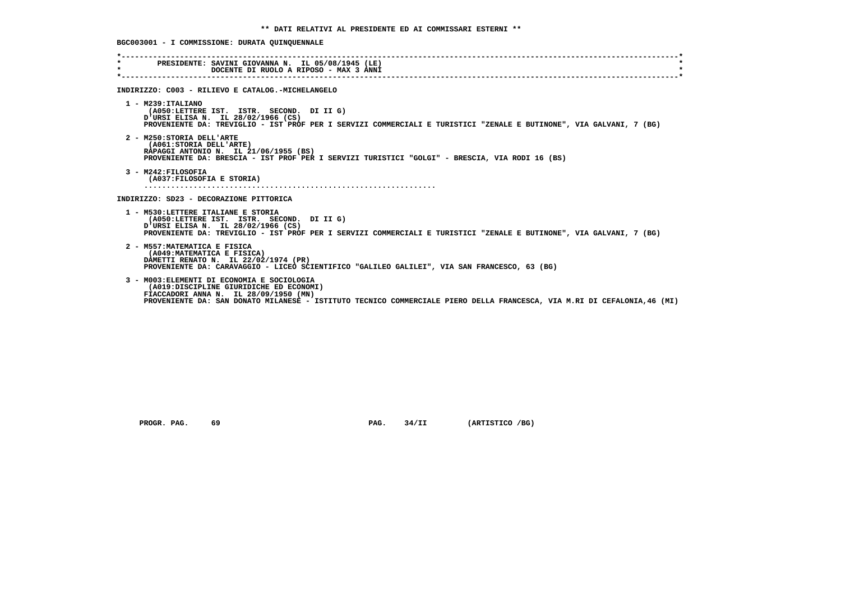**BGC003001 - I COMMISSIONE: DURATA QUINQUENNALE**

| $\star$ | PRESIDENTE: SAVINI GIOVANNA N. IL 05/08/1945 (LE)<br>DOCENTE DI RUOLO A RIPOSO - MAX 3 ANNI                                                                                                                                                                |
|---------|------------------------------------------------------------------------------------------------------------------------------------------------------------------------------------------------------------------------------------------------------------|
|         |                                                                                                                                                                                                                                                            |
|         | INDIRIZZO: C003 - RILIEVO E CATALOG.-MICHELANGELO                                                                                                                                                                                                          |
|         | $1 - M239:ITALIANO$<br>(A050:LETTERE IST. ISTR. SECOND. DI II G)<br>D'URSI ELISA N. IL 28/02/1966 (CS)<br>PROVENIENTE DA: TREVIGLIO - IST PROF PER I SERVIZI COMMERCIALI E TURISTICI "ZENALE E BUTINONE", VIA GALVANI, 7 (BG)                              |
|         | 2 - M250: STORIA DELL'ARTE<br>(A061: STORIA DELL'ARTE)<br>RAPAGGI ANTONIO N. IL 21/06/1955 (BS)<br>PROVENIENTE DA: BRESCIA - IST PROF PER I SERVIZI TURISTICI "GOLGI" - BRESCIA, VIA RODI 16 (BS)                                                          |
|         | 3 - M242: FILOSOFIA<br>(A037: FILOSOFIA E STORIA)                                                                                                                                                                                                          |
|         | INDIRIZZO: SD23 - DECORAZIONE PITTORICA                                                                                                                                                                                                                    |
|         | 1 - M530:LETTERE ITALIANE E STORIA<br>(A050:LETTERE IST. ISTR. SECOND. DI II G)<br>URSI ELISA N. IL 28/02/1966 (CS)<br>PROVENIENTE DA: TREVIGLIO - IST PROF PER I SERVIZI COMMERCIALI E TURISTICI "ZENALE E BUTINONE", VIA GALVANI, 7 (BG)                 |
|         | 2 - M557: MATEMATICA E FISICA<br>(A049: MATEMATICA E FISICA)<br>DAMETTI RENATO N. IL 22/02/1974 (PR)<br>PROVENIENTE DA: CARAVAGGIO - LICEO SCIENTIFICO "GALILEO GALILEI", VIA SAN FRANCESCO, 63 (BG)                                                       |
|         | 3 - M003: ELEMENTI DI ECONOMIA E SOCIOLOGIA<br>(A019:DISCIPLINE GIURIDICHE ED ECONOMI)<br>FIACCADORI ANNA N. IL 28/09/1950 (MN)<br>PROVENIENTE DA: SAN DONATO MILANESE - ISTITUTO TECNICO COMMERCIALE PIERO DELLA FRANCESCA, VIA M.RI DI CEFALONIA,46 (MI) |

 **PROGR. PAG.** 69 **PAG.** 34/II (ARTISTICO /BG)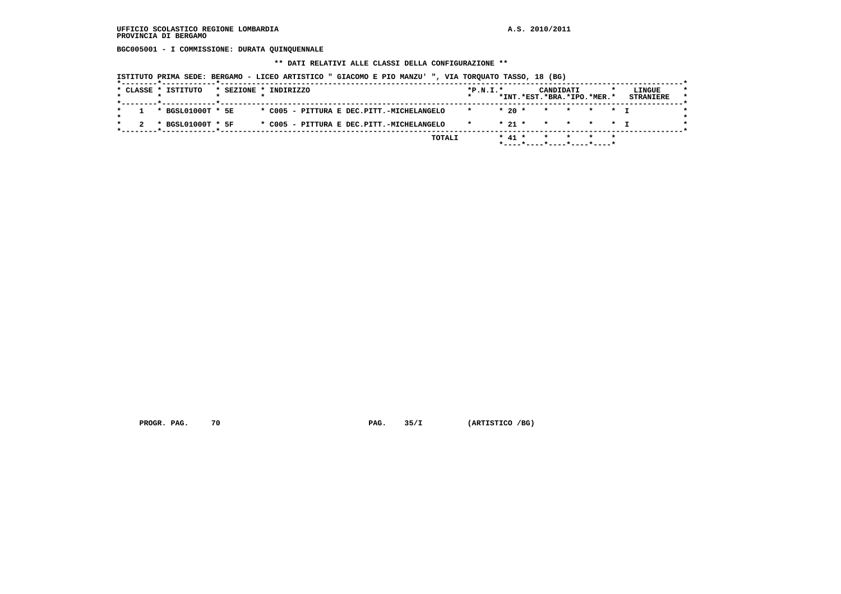**BGC005001 - I COMMISSIONE: DURATA QUINQUENNALE**

 **\*\* DATI RELATIVI ALLE CLASSI DELLA CONFIGURAZIONE \*\***

 **ISTITUTO PRIMA SEDE: BERGAMO - LICEO ARTISTICO " GIACOMO E PIO MANZU' ", VIA TORQUATO TASSO, 18 (BG)**

|  | * CLASSE * ISTITUTO   | * SEZIONE * INDIRIZZO |  |  |  |                                           |              | $*P.N.I.*$ |          | CANDIDATI                  |  | LINGUE           |  |
|--|-----------------------|-----------------------|--|--|--|-------------------------------------------|--------------|------------|----------|----------------------------|--|------------------|--|
|  |                       |                       |  |  |  |                                           |              |            |          | *INT.*EST.*BRA.*IPO.*MER.* |  | <b>STRANIERE</b> |  |
|  | $1 * BGSL01000T * 5E$ |                       |  |  |  | * C005 - PITTURA E DEC.PITT.-MICHELANGELO |              | $*20$ *    |          | * * * * T                  |  |                  |  |
|  | * BGSL01000T * 5F     |                       |  |  |  | * C005 - PITTURA E DEC.PITT.-MICHELANGELO | $\mathbf{x}$ |            | $*21$ *  | * * * * T                  |  |                  |  |
|  |                       |                       |  |  |  |                                           | TOTALI       |            | $* 41 *$ |                            |  |                  |  |
|  |                       |                       |  |  |  |                                           |              |            |          | *----*---*----*----*----   |  |                  |  |

 **PROGR. PAG.** 70 **PAG. 35/I** (ARTISTICO /BG)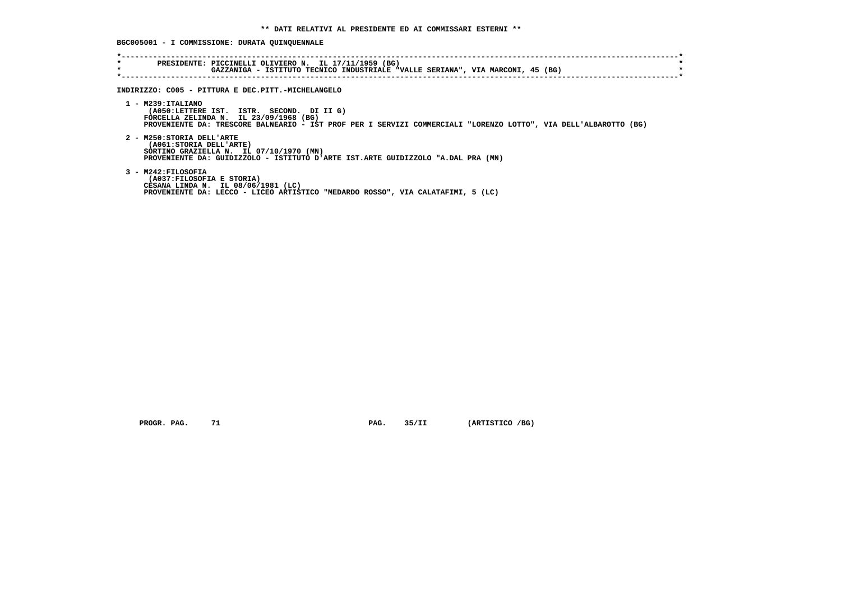**BGC005001 - I COMMISSIONE: DURATA QUINQUENNALE**

| GAZZANIGA - ISTITUTO TECNICO INDUSTRIALE "VALLE SERIANA", VIA MARCONI, 45 (BG)                                                                                                                                                     |
|------------------------------------------------------------------------------------------------------------------------------------------------------------------------------------------------------------------------------------|
| INDIRIZZO: C005 - PITTURA E DEC.PITT.-MICHELANGELO                                                                                                                                                                                 |
| $1 - M239 : ITALIANO$<br>(A050:LETTERE IST. ISTR. SECOND. DI II G)<br>FORCELLA ZELINDA N. IL $23/09/1968$ (BG)<br>PROVENIENTE DA: TRESCORE BALNEARIO - IST PROF PER I SERVIZI COMMERCIALI "LORENZO LOTTO", VIA DELL'ALBAROTTO (BG) |
| 2 - M250: STORIA DELL'ARTE<br>(A061: STORIA DELL'ARTE)<br>SORTINO GRAZIELLA N. IL 07/10/1970 (MN)<br>PROVENIENTE DA: GUIDIZZOLO - ISTITUTO D'ARTE IST.ARTE GUIDIZZOLO "A.DAL PRA (MN)                                              |
| 3 - M242: FILOSOFIA<br>(A037: FILOSOFIA E STORIA)<br>CESANA LINDA N. IL 08/06/1981 (LC)<br>PROVENIENTE DA: LECCO - LICEO ARTISTICO "MEDARDO ROSSO", VIA CALATAFIMI, 5 (LC)                                                         |

 **PROGR. PAG.** 71 **PAG.** 35/II (ARTISTICO /BG)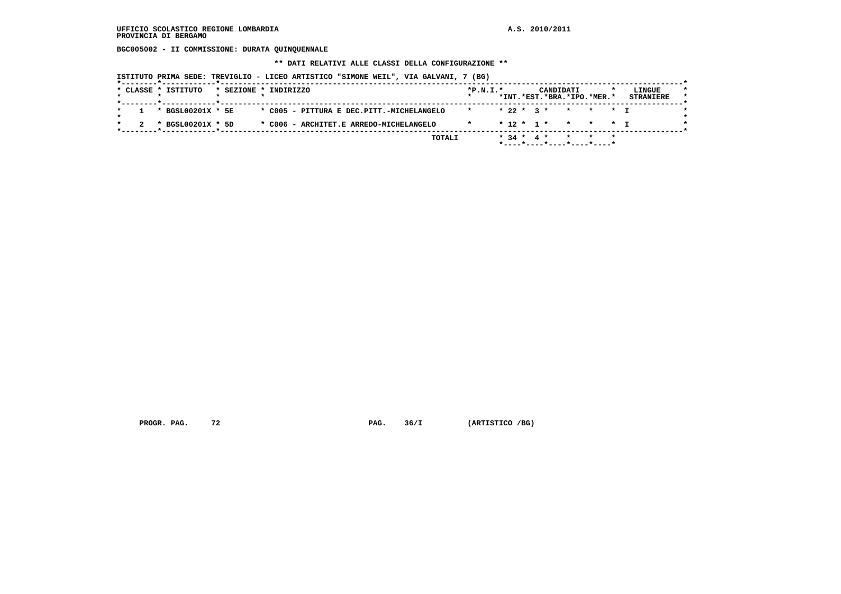**BGC005002 - II COMMISSIONE: DURATA QUINQUENNALE**

 **\*\* DATI RELATIVI ALLE CLASSI DELLA CONFIGURAZIONE \*\***

 **ISTITUTO PRIMA SEDE: TREVIGLIO - LICEO ARTISTICO "SIMONE WEIL", VIA GALVANI, 7 (BG)**

| * BGSL00201X * 5E<br>* C005 - PITTURA E DEC.PITT.-MICHELANGELO<br>$* 22 * 3 * * * * * + T$<br>* BGSL00201X * 5D<br>* C006 - ARCHITET.E ARREDO-MICHELANGELO<br>* 12 * 1 * * * * T<br>$\star$ |  | * CLASSE * ISTITUTO |  | * SEZIONE * INDIRIZZO | $*P.N.T.*$ |  |  | CANDIDATI | *INT.*EST.*BRA.*IPO.*MER.* |  | LINGUE<br><b>STRANIERE</b> |
|---------------------------------------------------------------------------------------------------------------------------------------------------------------------------------------------|--|---------------------|--|-----------------------|------------|--|--|-----------|----------------------------|--|----------------------------|
|                                                                                                                                                                                             |  |                     |  |                       |            |  |  |           |                            |  |                            |
|                                                                                                                                                                                             |  |                     |  |                       |            |  |  |           |                            |  |                            |

 **PROGR. PAG.** 72 **PAG. 36/I (ARTISTICO /BG)**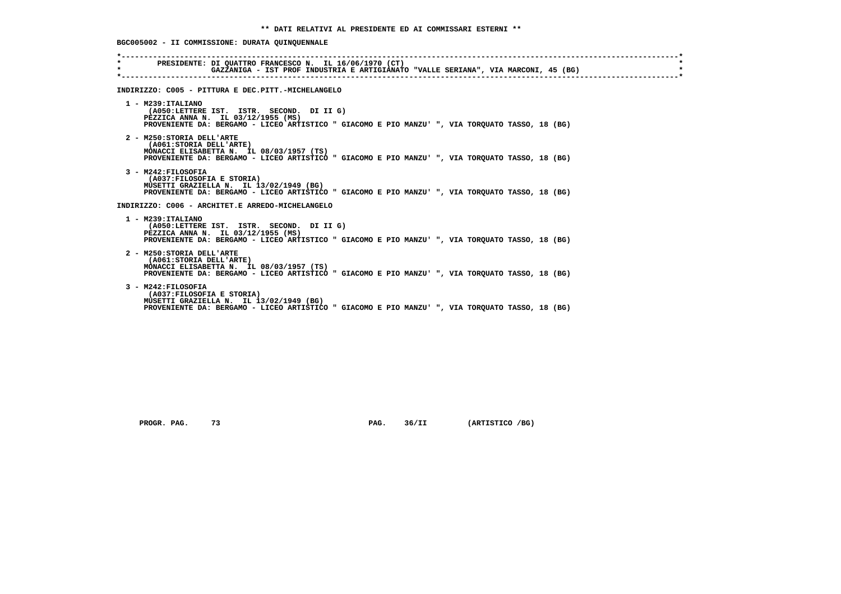**BGC005002 - II COMMISSIONE: DURATA QUINQUENNALE**

| $\star$ | PRESIDENTE: DI QUATTRO FRANCESCO N. IL 16/06/1970 (CT)<br>GAZZANIGA - IST PROF INDUSTRIA E ARTIGIANATO "VALLE SERIANA", VIA MARCONI, 45 (BG)                                                              |
|---------|-----------------------------------------------------------------------------------------------------------------------------------------------------------------------------------------------------------|
|         | INDIRIZZO: C005 - PITTURA E DEC.PITT.-MICHELANGELO                                                                                                                                                        |
|         | $1 - M239:ITALIANO$<br>(A050:LETTERE IST. ISTR. SECOND. DI II G)<br>PEZZICA ANNA N. IL 03/12/1955 (MS)<br>PROVENIENTE DA: BERGAMO - LICEO ARTISTICO " GIACOMO E PIO MANZU' ", VIA TORQUATO TASSO, 18 (BG) |
|         | 2 - M250: STORIA DELL'ARTE<br>(A061: STORIA DELL'ARTE)<br>MONACCI ELISABETTA N. IL 08/03/1957 (TS)<br>PROVENIENTE DA: BERGAMO - LICEO ARTISTICO " GIACOMO E PIO MANZU' ", VIA TORQUATO TASSO, 18 (BG)     |
|         | 3 - M242: FILOSOFIA<br>(A037:FILOSOFIA E STORIA)<br>MUSETTI GRAZIELLA N. IL 13/02/1949 (BG)<br>PROVENIENTE DA: BERGAMO - LICEO ARTISTICO " GIACOMO E PIO MANZU' ", VIA TORQUATO TASSO, 18 (BG)            |
|         | INDIRIZZO: C006 - ARCHITET.E ARREDO-MICHELANGELO                                                                                                                                                          |
|         | 1 - M239: ITALIANO<br>(A050:LETTERE IST. ISTR. SECOND. DI II G)<br>PEZZICA ANNA N. IL 03/12/1955 (MS)<br>PROVENIENTE DA: BERGAMO - LICEO ARTISTICO " GIACOMO E PIO MANZU' ", VIA TORQUATO TASSO, 18 (BG)  |
|         | 2 - M250: STORIA DELL'ARTE<br>(A061: STORIA DELL'ARTE)<br>MONACCI ELISABETTA N. IL 08/03/1957 (TS)<br>PROVENIENTE DA: BERGAMO - LICEO ARTISTICO " GIACOMO E PIO MANZU' ", VIA TOROUATO TASSO, 18 (BG)     |
|         | 3 - M242: FILOSOFIA<br>(A037: FILOSOFIA E STORIA)<br>MUSETTI GRAZIELLA N. IL 13/02/1949 (BG)<br>PROVENIENTE DA: BERGAMO - LICEO ARTISTICO " GIACOMO E PIO MANZU' ", VIA TORQUATO TASSO, 18 (BG)           |

 **PROGR. PAG.** 73 **PAG.** 36/II (ARTISTICO /BG)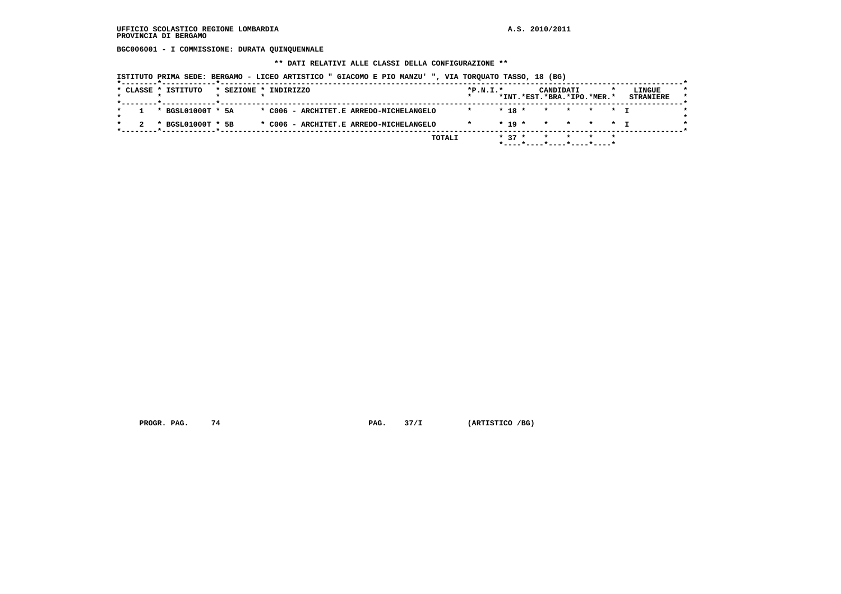**BGC006001 - I COMMISSIONE: DURATA QUINQUENNALE**

 **\*\* DATI RELATIVI ALLE CLASSI DELLA CONFIGURAZIONE \*\***

 **ISTITUTO PRIMA SEDE: BERGAMO - LICEO ARTISTICO " GIACOMO E PIO MANZU' ", VIA TORQUATO TASSO, 18 (BG)**

|  | * CLASSE * ISTITUTO |  | * SEZIONE * INDIRIZZO                   | $*P.N.T.*$ |            | CANDIDATI | *INT.*EST.*BRA.*IPO.*MER.*    | LINGUE<br><b>STRANIERE</b> |
|--|---------------------|--|-----------------------------------------|------------|------------|-----------|-------------------------------|----------------------------|
|  |                     |  |                                         |            |            |           |                               |                            |
|  | * BGSL01000T * 5A   |  | * C006 - ARCHITET.E ARREDO-MICHELANGELO |            | $* 18 *$   | $\star$   | * * * T                       |                            |
|  | * BGSL01000T * 5B   |  | * C006 - ARCHITET.E ARREDO-MICHELANGELO |            | $*$ 19 $*$ | $\star$   | * * * T                       |                            |
|  |                     |  | TOTALI                                  |            | $* 37 *$   |           |                               |                            |
|  |                     |  |                                         |            |            |           | $*$ ----*----*----*----*----* |                            |

 **PROGR. PAG.** 74 **PAG. 37/I** (ARTISTICO /BG)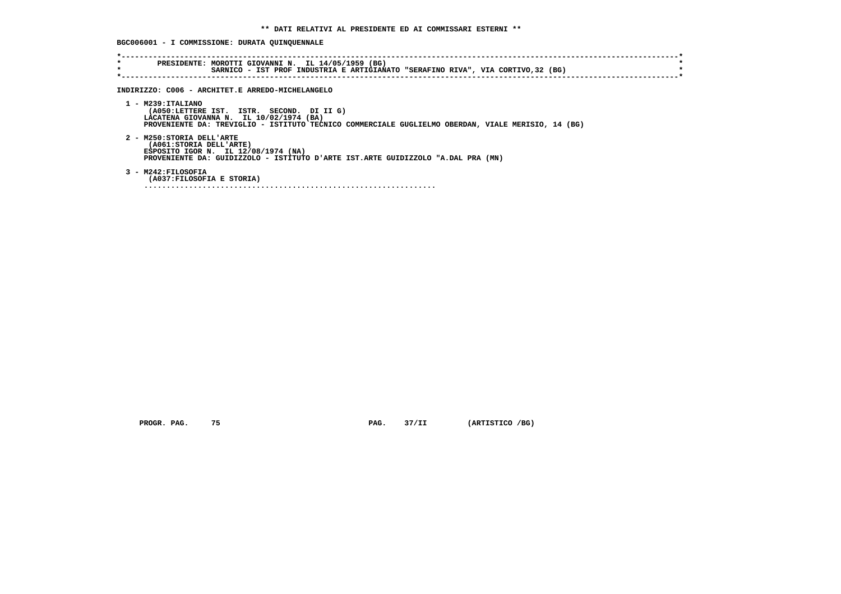**BGC006001 - I COMMISSIONE: DURATA QUINQUENNALE**

| $\star$<br>÷ | PRESIDENTE: MOROTTI GIOVANNI N. IL 14/05/1959 (BG)<br>SARNICO - IST PROF INDUSTRIA E ARTIGIANATO "SERAFINO RIVA", VIA CORTIVO, 32 (BG)                                                                              |
|--------------|---------------------------------------------------------------------------------------------------------------------------------------------------------------------------------------------------------------------|
|              | INDIRIZZO: C006 - ARCHITET.E ARREDO-MICHELANGELO                                                                                                                                                                    |
|              | $1 - M239 : ITALIANO$<br>(A050:LETTERE IST. ISTR. SECOND. DI II G)<br>LACATENA GIOVANNA N. IL 10/02/1974 (BA)<br>PROVENIENTE DA: TREVIGLIO - ISTITUTO TECNICO COMMERCIALE GUGLIELMO OBERDAN, VIALE MERISIO, 14 (BG) |
|              | 2 - M250: STORIA DELL'ARTE<br>(A061:STORIA DELL'ARTE)<br>ESPOSITO IGOR N. IL 12/08/1974 (NA)<br>PROVENIENTE DA: GUIDIZZOLO - ISTITUTO D'ARTE IST.ARTE GUIDIZZOLO "A.DAL PRA (MN)                                    |
|              | 3 - M242: FILOSOFIA<br>(A037:FILOSOFIA E STORIA)                                                                                                                                                                    |

 **PROGR. PAG.** 75 **PAG.** 37/II (ARTISTICO /BG)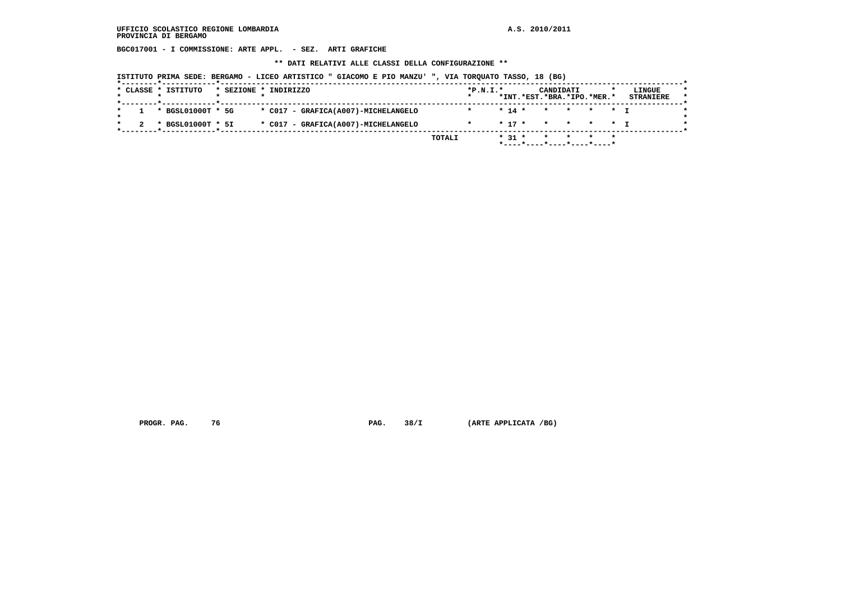**BGC017001 - I COMMISSIONE: ARTE APPL. - SEZ. ARTI GRAFICHE**

 **\*\* DATI RELATIVI ALLE CLASSI DELLA CONFIGURAZIONE \*\***

 **ISTITUTO PRIMA SEDE: BERGAMO - LICEO ARTISTICO " GIACOMO E PIO MANZU' ", VIA TORQUATO TASSO, 18 (BG)**

| * BGSL01000T * 5G<br>* C017 - GRAFICA(A007)-MICHELANGELO<br>$* 14 *$<br>* * * * *<br>$\star$<br>* BGSL01000T * 5I<br>$* 17 *$<br>* * * * T |  |                                     | $*P.N.I.*$ | CANDIDATI<br>*INT.*EST.*BRA.*IPO.*MER.* |  | LINGUE<br><b>STRANIERE</b> |
|--------------------------------------------------------------------------------------------------------------------------------------------|--|-------------------------------------|------------|-----------------------------------------|--|----------------------------|
|                                                                                                                                            |  |                                     |            |                                         |  |                            |
|                                                                                                                                            |  | * C017 - GRAFICA(A007)-MICHELANGELO |            |                                         |  |                            |

 **PROGR. PAG. 76 PAG. 38/I (ARTE APPLICATA /BG)**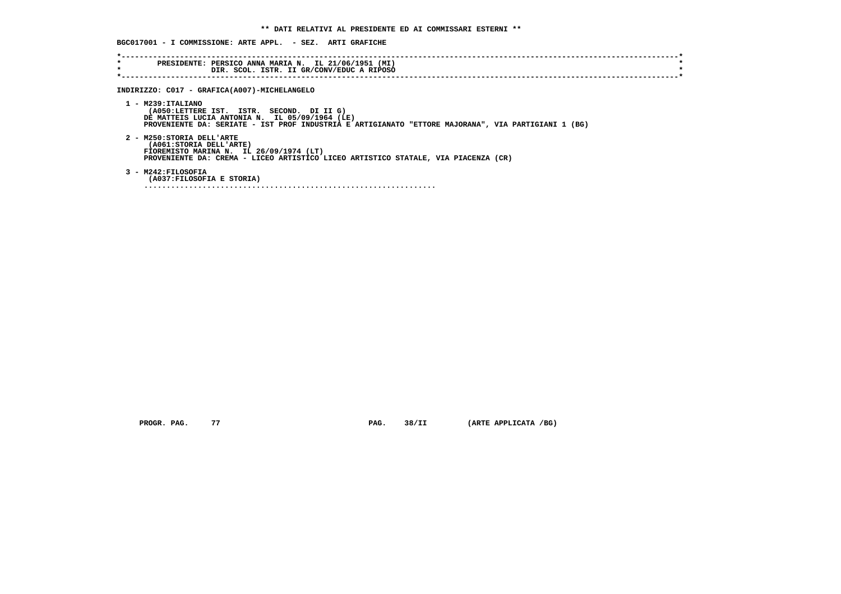| $\star$<br>$\star$ | PRESIDENTE: PERSICO ANNA MARIA N. IL 21/06/1951 (MI)<br>DIR. SCOL. ISTR. II GR/CONV/EDUC A RIPOSO                                                                                                                         |
|--------------------|---------------------------------------------------------------------------------------------------------------------------------------------------------------------------------------------------------------------------|
|                    |                                                                                                                                                                                                                           |
|                    | INDIRIZZO: C017 - GRAFICA(A007)-MICHELANGELO                                                                                                                                                                              |
|                    | $1 - M239:ITALIANO$<br>(A050:LETTERE IST. ISTR. SECOND. DI II G)<br>DE MATTEIS LUCIA ANTONIA N. IL 05/09/1964 (LE)<br>PROVENIENTE DA: SERIATE - IST PROF INDUSTRIA E ARTIGIANATO "ETTORE MAJORANA", VIA PARTIGIANI 1 (BG) |
|                    | 2 - M250: STORIA DELL'ARTE<br>(A061: STORIA DELL'ARTE)<br>FIOREMISTO MARINA N. IL 26/09/1974 (LT)<br>PROVENIENTE DA: CREMA - LICEO ARTISTICO LICEO ARTISTICO STATALE, VIA PIACENZA (CR)                                   |
|                    | 3 - M242:FILOSOFIA<br>(A037: FILOSOFIA E STORIA)                                                                                                                                                                          |

 **PROGR. PAG.** 77 **PAG.** 38/II (ARTE APPLICATA /BG)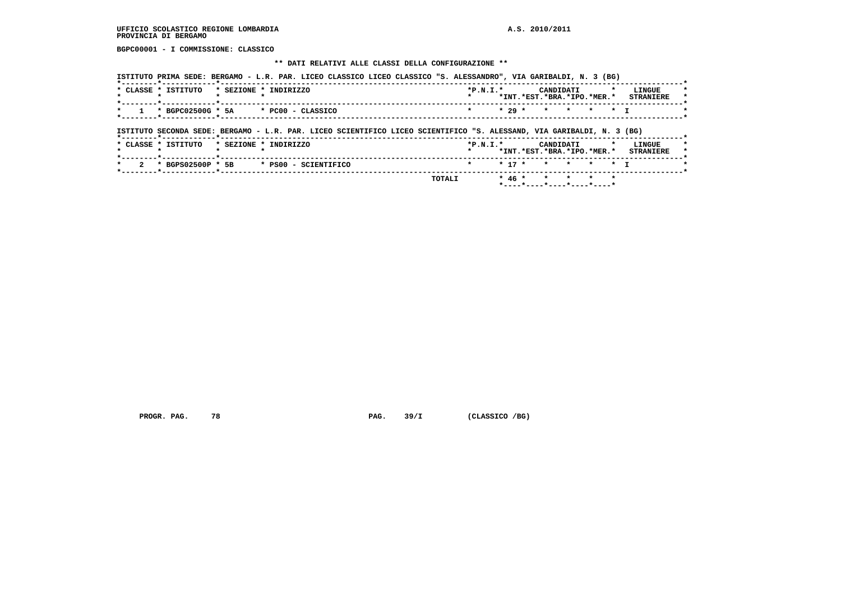**BGPC00001 - I COMMISSIONE: CLASSICO**

# **\*\* DATI RELATIVI ALLE CLASSI DELLA CONFIGURAZIONE \*\***

| $\overline{2}$<br>$\star$ | * BGPS02500P * 5B       | * PS00 - SCIENTIFICO                                                                                                  | TOTALI | $\star$    | $* 17 *$<br>$* 46 *$ | *INT.*EST.*BRA.*IPO.*MER.*<br>$\star$ $\star$<br>$\star$ | $\star$ | $\star$ | $\star$ $\tau$ | LINGUE<br><b>STRANIERE</b> |
|---------------------------|-------------------------|-----------------------------------------------------------------------------------------------------------------------|--------|------------|----------------------|----------------------------------------------------------|---------|---------|----------------|----------------------------|
|                           |                         |                                                                                                                       |        |            |                      |                                                          |         |         |                |                            |
|                           |                         |                                                                                                                       |        |            |                      |                                                          |         |         |                |                            |
|                           |                         |                                                                                                                       |        |            |                      |                                                          |         |         |                |                            |
| * CLASSE * ISTITUTO       |                         | * SEZIONE * INDIRIZZO                                                                                                 |        | $*P.N.T.*$ |                      | CANDIDATI                                                |         |         |                |                            |
|                           | --------*-----------*-- | ISTITUTO SECONDA SEDE: BERGAMO - L.R. PAR. LICEO SCIENTIFICO LICEO SCIENTIFICO "S. ALESSAND, VIA GARIBALDI, N. 3 (BG) |        |            |                      |                                                          |         |         |                |                            |
| $\star$                   | * BGPC02500G * 5A       | * PC00 - CLASSICO                                                                                                     |        | $\star$    | $* 29 *$             | $\star$ $\star$                                          |         | * * T   |                |                            |
|                           |                         |                                                                                                                       |        |            |                      | *INT.*EST.*BRA.*IPO.*MER.*                               |         |         |                | <b>STRANIERE</b>           |
| * CLASSE * ISTITUTO       |                         | * SEZIONE * INDIRIZZO                                                                                                 |        | $*P.N.I.*$ |                      | CANDIDATI                                                |         |         | $\star$        | LINGUE                     |

PROGR. PAG. 78 **PROGR. PAG. 39/I** (CLASSICO /BG)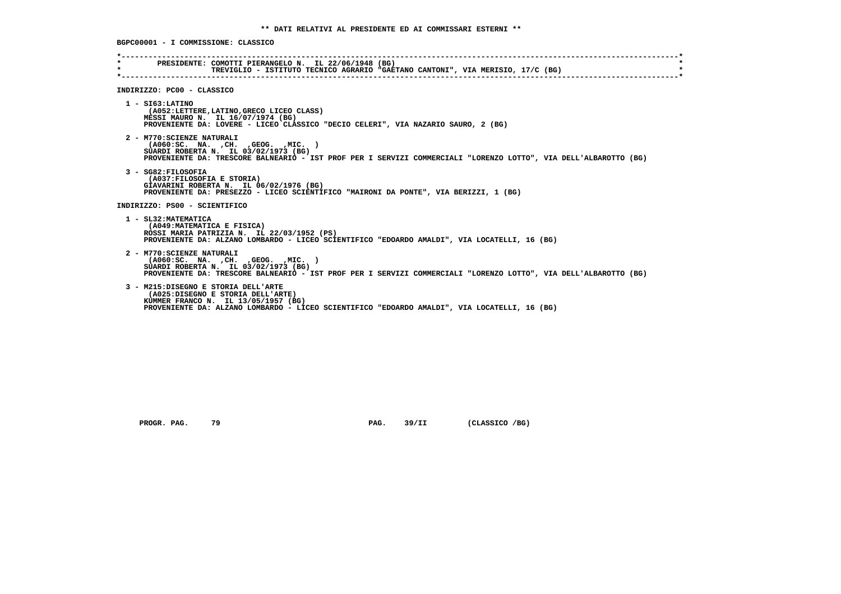**BGPC00001 - I COMMISSIONE: CLASSICO \*----------------------------------------------------------------------------------------------------------------------------\* \* PRESIDENTE: COMOTTI PIERANGELO N. IL 22/06/1948 (BG) \* \* TREVIGLIO - ISTITUTO TECNICO AGRARIO "GAETANO CANTONI", VIA MERISIO, 17/C (BG) \* \*----------------------------------------------------------------------------------------------------------------------------\* INDIRIZZO: PC00 - CLASSICO 1 - SI63:LATINO (A052:LETTERE,LATINO,GRECO LICEO CLASS) MESSI MAURO N. IL 16/07/1974 (BG) PROVENIENTE DA: LOVERE - LICEO CLASSICO "DECIO CELERI", VIA NAZARIO SAURO, 2 (BG) 2 - M770:SCIENZE NATURALI (A060:SC. NA. ,CH. ,GEOG. ,MIC. ) SUARDI ROBERTA N. IL 03/02/1973 (BG) PROVENIENTE DA: TRESCORE BALNEARIO - IST PROF PER I SERVIZI COMMERCIALI "LORENZO LOTTO", VIA DELL'ALBAROTTO (BG) 3 - SG82:FILOSOFIA (A037:FILOSOFIA E STORIA) GIAVARINI ROBERTA N. IL 06/02/1976 (BG) PROVENIENTE DA: PRESEZZO - LICEO SCIENTIFICO "MAIRONI DA PONTE", VIA BERIZZI, 1 (BG) INDIRIZZO: PS00 - SCIENTIFICO 1 - SL32:MATEMATICA (A049:MATEMATICA E FISICA) ROSSI MARIA PATRIZIA N. IL 22/03/1952 (PS) PROVENIENTE DA: ALZANO LOMBARDO - LICEO SCIENTIFICO "EDOARDO AMALDI", VIA LOCATELLI, 16 (BG) 2 - M770:SCIENZE NATURALI (A060:SC. NA. ,CH. ,GEOG. ,MIC. ) SUARDI ROBERTA N. IL 03/02/1973 (BG) PROVENIENTE DA: TRESCORE BALNEARIO - IST PROF PER I SERVIZI COMMERCIALI "LORENZO LOTTO", VIA DELL'ALBAROTTO (BG) 3 - M215:DISEGNO E STORIA DELL'ARTE (A025:DISEGNO E STORIA DELL'ARTE) KUMMER FRANCO N. IL 13/05/1957 (BG) PROVENIENTE DA: ALZANO LOMBARDO - LICEO SCIENTIFICO "EDOARDO AMALDI", VIA LOCATELLI, 16 (BG)**

PROGR. PAG. 79 **PROGR. PAG. 39/II** (CLASSICO /BG)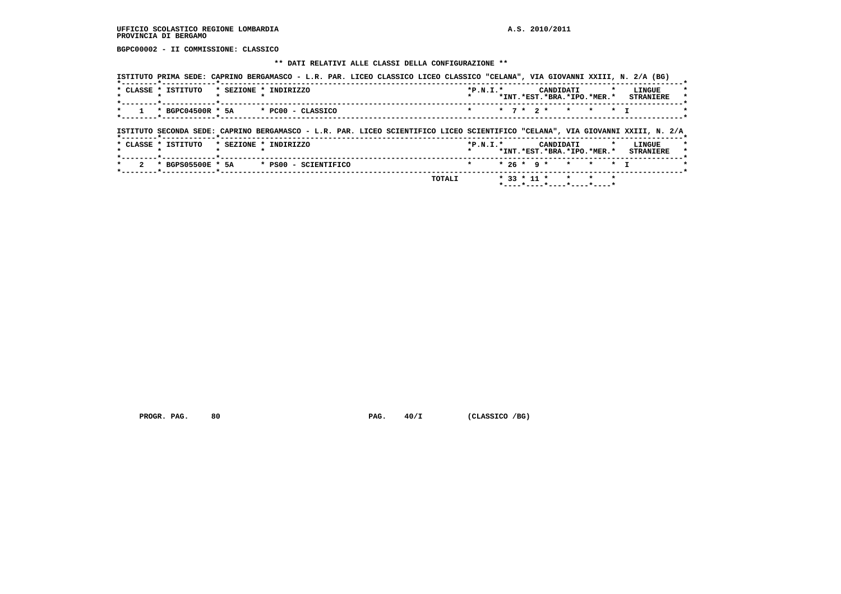**BGPC00002 - II COMMISSIONE: CLASSICO**

# **\*\* DATI RELATIVI ALLE CLASSI DELLA CONFIGURAZIONE \*\***

| * 7 * 2 * * * * T<br>$\star$ BGPC04500R $\star$ 5A $\star$ PC00 - CLASSICO<br>$\star$                                                                                                                                                       |  |  |  |  |  |  |  |  | *INT. *EST. *BRA. *IPO. *MER. * STRANIERE |
|---------------------------------------------------------------------------------------------------------------------------------------------------------------------------------------------------------------------------------------------|--|--|--|--|--|--|--|--|-------------------------------------------|
| ------- <del>*</del> ----------- <b>*</b> ------                                                                                                                                                                                            |  |  |  |  |  |  |  |  |                                           |
|                                                                                                                                                                                                                                             |  |  |  |  |  |  |  |  |                                           |
|                                                                                                                                                                                                                                             |  |  |  |  |  |  |  |  |                                           |
| * SEZIONE * INDIRIZZO<br>$*P.N.T.*$<br>CANDIDATI<br>$\mathbf{r}$                                                                                                                                                                            |  |  |  |  |  |  |  |  | LINGUE                                    |
| ISTITUTO SECONDA SEDE: CAPRINO BERGAMASCO - L.R. PAR. LICEO SCIENTIFICO LICEO SCIENTIFICO "CELANA", VIA GIOVANNI XXIII, N. 2/A<br>*--------*------------*--------------<br>* CLASSE * ISTITUTO<br>*INT. *EST. *BRA. *IPO. *MER. * STRANIERE |  |  |  |  |  |  |  |  |                                           |

 **PROGR. PAG.** 80 **PAG. PAG.** 40/I (CLASSICO /BG)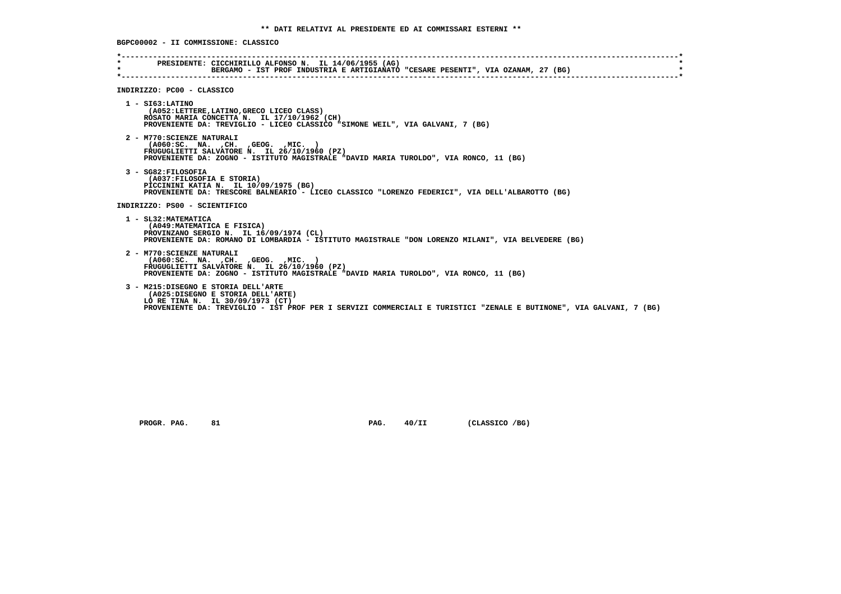**BGPC00002 - II COMMISSIONE: CLASSICO \*----------------------------------------------------------------------------------------------------------------------------\* \* PRESIDENTE: CICCHIRILLO ALFONSO N. IL 14/06/1955 (AG) \* \* BERGAMO - IST PROF INDUSTRIA E ARTIGIANATO "CESARE PESENTI", VIA OZANAM, 27 (BG) \* \*----------------------------------------------------------------------------------------------------------------------------\* INDIRIZZO: PC00 - CLASSICO 1 - SI63:LATINO (A052:LETTERE,LATINO,GRECO LICEO CLASS) ROSATO MARIA CONCETTA N. IL 17/10/1962 (CH) PROVENIENTE DA: TREVIGLIO - LICEO CLASSICO "SIMONE WEIL", VIA GALVANI, 7 (BG) 2 - M770:SCIENZE NATURALI (A060:SC. NA. ,CH. ,GEOG. ,MIC. ) FRUGUGLIETTI SALVATORE N. IL 26/10/1960 (PZ) PROVENIENTE DA: ZOGNO - ISTITUTO MAGISTRALE "DAVID MARIA TUROLDO", VIA RONCO, 11 (BG) 3 - SG82:FILOSOFIA (A037:FILOSOFIA E STORIA) PICCININI KATIA N. IL 10/09/1975 (BG) PROVENIENTE DA: TRESCORE BALNEARIO - LICEO CLASSICO "LORENZO FEDERICI", VIA DELL'ALBAROTTO (BG) INDIRIZZO: PS00 - SCIENTIFICO 1 - SL32:MATEMATICA (A049:MATEMATICA E FISICA) PROVINZANO SERGIO N. IL 16/09/1974 (CL) PROVENIENTE DA: ROMANO DI LOMBARDIA - ISTITUTO MAGISTRALE "DON LORENZO MILANI", VIA BELVEDERE (BG) 2 - M770:SCIENZE NATURALI (A060:SC. NA. ,CH. ,GEOG. ,MIC. ) FRUGUGLIETTI SALVATORE N. IL 26/10/1960 (PZ) PROVENIENTE DA: ZOGNO - ISTITUTO MAGISTRALE "DAVID MARIA TUROLDO", VIA RONCO, 11 (BG) 3 - M215:DISEGNO E STORIA DELL'ARTE (A025:DISEGNO E STORIA DELL'ARTE) LO RE TINA N. IL 30/09/1973 (CT) PROVENIENTE DA: TREVIGLIO - IST PROF PER I SERVIZI COMMERCIALI E TURISTICI "ZENALE E BUTINONE", VIA GALVANI, 7 (BG)**

PROGR. PAG. 81 81 PAG. 40/II (CLASSICO /BG)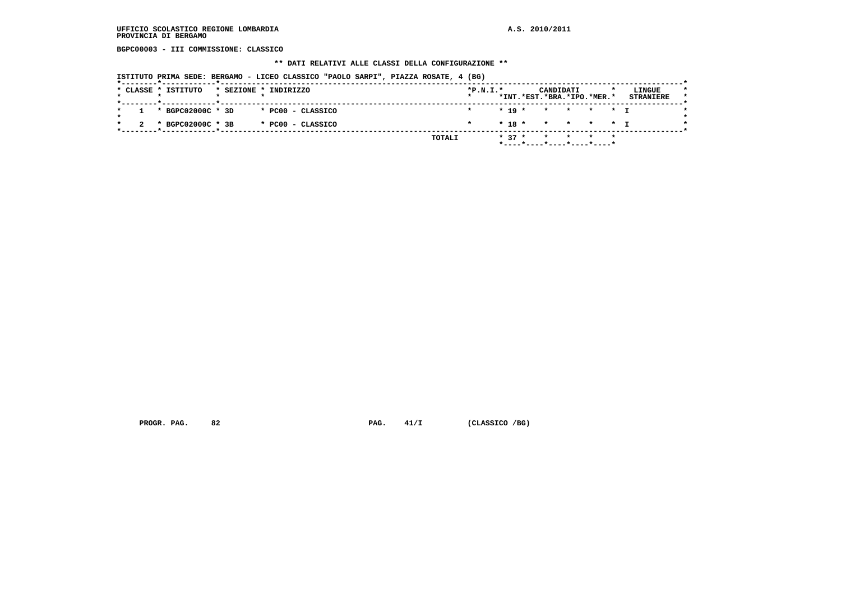**BGPC00003 - III COMMISSIONE: CLASSICO**

#### **\*\* DATI RELATIVI ALLE CLASSI DELLA CONFIGURAZIONE \*\***

 **ISTITUTO PRIMA SEDE: BERGAMO - LICEO CLASSICO "PAOLO SARPI", PIAZZA ROSATE, 4 (BG)**

| $* 19 * * * * * * T$<br>1 * BGPC02000C * 3D<br>* PCOO - CLASSICO<br>* 18 * * * * * * 1<br>* BGPC02000C * 3B<br>* PC00 - CLASSICO<br>$\star$ | * CLASSE * ISTITUTO | * SEZIONE * INDIRIZZO | $*P.N.T.*$<br>$\star$ |  | CANDIDATI<br>*INT.*EST.*BRA.*IPO.*MER.* |  | LINGUE<br><b>STRANIERE</b> |
|---------------------------------------------------------------------------------------------------------------------------------------------|---------------------|-----------------------|-----------------------|--|-----------------------------------------|--|----------------------------|
|                                                                                                                                             |                     |                       |                       |  |                                         |  |                            |
|                                                                                                                                             |                     |                       |                       |  |                                         |  |                            |

 **PROGR. PAG.** 82 **PAG. PAG.** 41/I (CLASSICO /BG)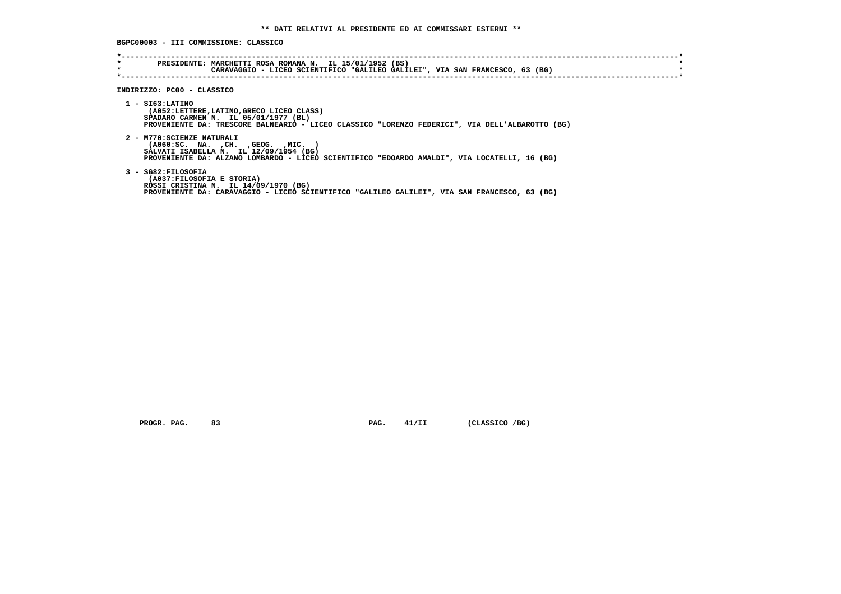**BGPC00003 - III COMMISSIONE: CLASSICO**

| $\star$ | PRESIDENTE: MARCHETTI ROSA ROMANA N. IL 15/01/1952 (BS)<br>CARAVAGGIO - LICEO SCIENTIFICO "GALILEO GALILEI", VIA SAN FRANCESCO, 63 (BG)                                                                     |
|---------|-------------------------------------------------------------------------------------------------------------------------------------------------------------------------------------------------------------|
|         | INDIRIZZO: PC00 - CLASSICO                                                                                                                                                                                  |
|         | $1 - ST63:LATINO$<br>(A052:LETTERE,LATINO,GRECO LICEO CLASS)<br>SPADARO CARMEN N. IL 05/01/1977 (BL)<br>PROVENIENTE DA: TRESCORE BALNEARIO - LICEO CLASSICO "LORENZO FEDERICI", VIA DELL'ALBAROTTO (BG)     |
|         | 2 - M770: SCIENZE NATURALI<br>( A060:SC. NA. , CH. , GEOG. , MIC.<br>SALVATI ISABELLA N. IL 12/09/1954 (BG)<br>PROVENIENTE DA: ALZANO LOMBARDO - LICEO SCIENTIFICO "EDOARDO AMALDI", VIA LOCATELLI, 16 (BG) |
|         | 3 - SG82:FILOSOFIA<br>(A037: FILOSOFIA E STORIA)<br>ROSSI CRISTINA N. IL 14/09/1970 (BG)<br>PROVENIENTE DA: CARAVAGGIO - LICEO SCIENTIFICO "GALILEO GALILEI", VIA SAN FRANCESCO, 63 (BG)                    |

 **PROGR. PAG.** 83 **PAG. 41/II (CLASSICO /BG)**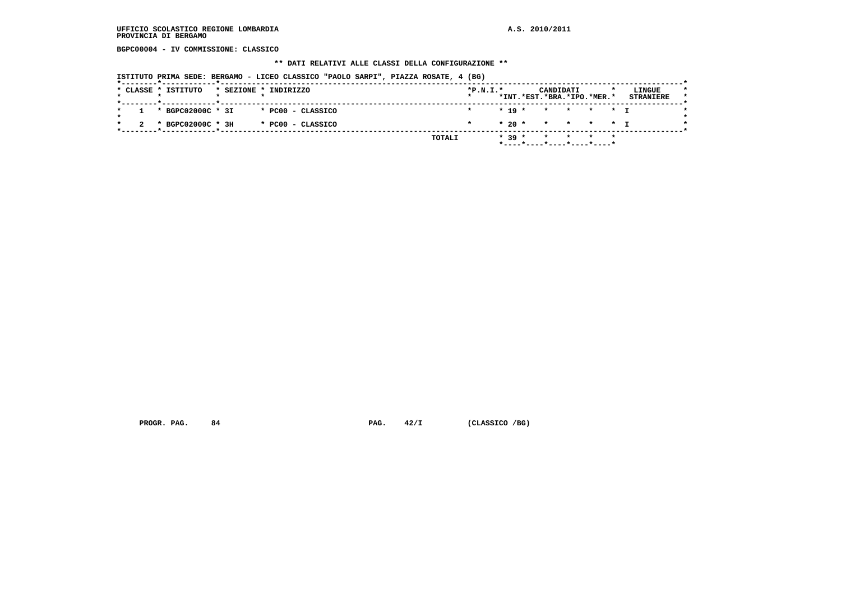**BGPC00004 - IV COMMISSIONE: CLASSICO**

#### **\*\* DATI RELATIVI ALLE CLASSI DELLA CONFIGURAZIONE \*\***

 **ISTITUTO PRIMA SEDE: BERGAMO - LICEO CLASSICO "PAOLO SARPI", PIAZZA ROSATE, 4 (BG)**

|  | * CLASSE * ISTITUTO   |  | * SEZIONE * INDIRIZZO | $*P.N.T.*$<br>$\star$ |  |          | CANDIDATI | *INT.*EST.*BRA.*IPO.*MER.* |         | LINGUE<br><b>STRANIERE</b> |
|--|-----------------------|--|-----------------------|-----------------------|--|----------|-----------|----------------------------|---------|----------------------------|
|  | $1 * BGPC02000C * 3I$ |  | * PC00 - CLASSICO     |                       |  | $* 19 *$ |           | * * * * * T                |         |                            |
|  | * BGPC02000C * 3H     |  | * PC00 - CLASSICO     | $\star$               |  |          |           | $* 20 * * * * * * 1$       |         |                            |
|  |                       |  | TOTALI                |                       |  | $* 39 *$ |           | $\star$ $\star$ $\star$    | $\star$ |                            |

 **PROGR. PAG.** 84 **PAG. PAG.** 42/I (CLASSICO /BG)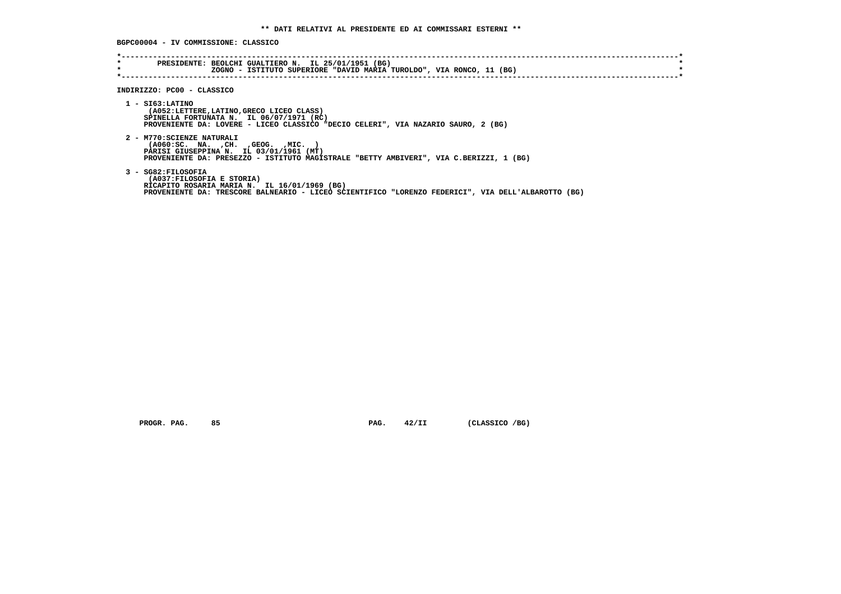**BGPC00004 - IV COMMISSIONE: CLASSICO**

| $\star$<br>$\star$ | PRESIDENTE: BEOLCHI GUALTIERO N. IL 25/01/1951 (BG)<br>ZOGNO - ISTITUTO SUPERIORE "DAVID MARIA TUROLDO", VIA RONCO, 11 (BG)                                                                              |
|--------------------|----------------------------------------------------------------------------------------------------------------------------------------------------------------------------------------------------------|
|                    | INDIRIZZO: PC00 - CLASSICO                                                                                                                                                                               |
|                    | $1 - ST63:LATINO$<br>(A052:LETTERE,LATINO,GRECO LICEO CLASS)<br>SPINELLA FORTUNATA N. IL 06/07/1971 (RC)<br>PROVENIENTE DA: LOVERE - LICEO CLASSICO "DECIO CELERI", VIA NAZARIO SAURO, 2 (BG)            |
|                    | 2 - M770: SCIENZE NATURALI<br>( A060 : SC. NA. , CH. , GEOG. , MIC.<br>PARISI GIUSEPPINA N. IL 03/01/1961 (MT)<br>PROVENIENTE DA: PRESEZZO - ISTITUTO MAGISTRALE "BETTY AMBIVERI", VIA C.BERIZZI, 1 (BG) |
|                    | 3 - SG82:FILOSOFIA<br>(A037:FILOSOFIA E STORIA)<br>RICAPITO ROSARIA MARIA N. IL 16/01/1969 (BG)<br>PROVENIENTE DA: TRESCORE BALNEARIO - LICEO SCIENTIFICO "LORENZO FEDERICI", VIA DELL'ALBAROTTO (BG)    |

 **PROGR. PAG.** 85 **PAG. 42/II** (CLASSICO /BG)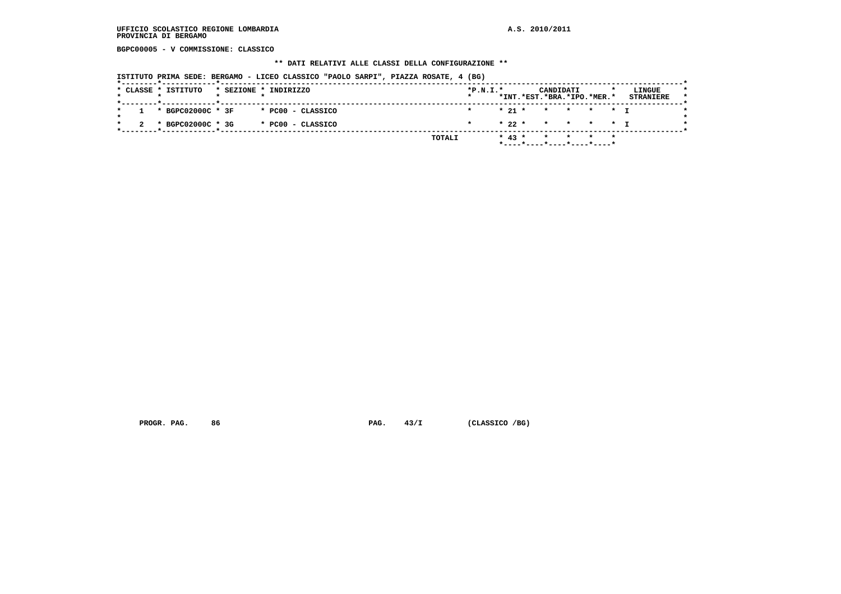**BGPC00005 - V COMMISSIONE: CLASSICO**

#### **\*\* DATI RELATIVI ALLE CLASSI DELLA CONFIGURAZIONE \*\***

 **ISTITUTO PRIMA SEDE: BERGAMO - LICEO CLASSICO "PAOLO SARPI", PIAZZA ROSATE, 4 (BG)**

|  | * CLASSE * ISTITUTO   |  | * SEZIONE * INDIRIZZO | $*P.N.T.*$<br>$\star$ |          |  | CANDIDATI | *INT.*EST.*BRA.*IPO.*MER.*           | LINGUE<br><b>STRANIERE</b> |
|--|-----------------------|--|-----------------------|-----------------------|----------|--|-----------|--------------------------------------|----------------------------|
|  | $1 * BGPC02000C * 3F$ |  | * PCOO - CLASSICO     |                       |          |  |           | $* 21 * * * * * * 1$                 |                            |
|  | * BGPC02000C * 3G     |  | * PC00 - CLASSICO     | $\star$               |          |  |           | * 22 * * * * * T                     |                            |
|  |                       |  | TOTALI                |                       | $* 43 *$ |  |           | * * * *<br>----*----*---*---*---*--- |                            |

 **PROGR. PAG.** 86 **PAG. 43/I** (CLASSICO /BG)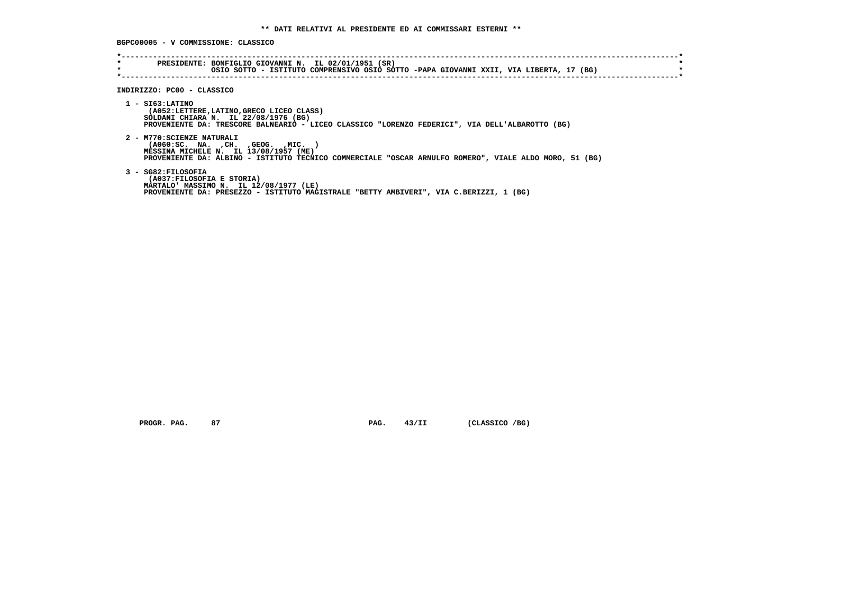**BGPC00005 - V COMMISSIONE: CLASSICO**

| $\star$<br>$\star$ | PRESIDENTE: BONFIGLIO GIOVANNI N. IL 02/01/1951 (SR)<br>OSIO SOTTO - ISTITUTO COMPRENSIVO OSIO SOTTO -PAPA GIOVANNI XXII, VIA LIBERTA, 17 (BG)                                                                             |
|--------------------|----------------------------------------------------------------------------------------------------------------------------------------------------------------------------------------------------------------------------|
|                    | INDIRIZZO: PC00 - CLASSICO                                                                                                                                                                                                 |
|                    | $1 - ST63:LATINO$<br>(A052:LETTERE,LATINO,GRECO LICEO CLASS)<br>SOLDANI CHIARA N. IL 22/08/1976 (BG)<br>PROVENIENTE DA: TRESCORE BALNEARIO - LICEO CLASSICO "LORENZO FEDERICI", VIA DELL'ALBAROTTO (BG)                    |
|                    | 2 - M770: SCIENZE NATURALI<br>$( A060 : SC. NA. , CH. , GEOG. , MIC. )$<br>MESSINA MICHELE N. IL 13/08/1957 (ME)<br>PROVENIENTE DA: ALBINO - ISTITUTO TECNICO COMMERCIALE "OSCAR ARNULFO ROMERO", VIALE ALDO MORO, 51 (BG) |
|                    | 3 - SG82: FILOSOFIA<br>(A037: FILOSOFIA E STORIA)<br>MARTALO' MASSIMO N. IL 12/08/1977 (LE)<br>PROVENIENTE DA: PRESEZZO - ISTITUTO MAGISTRALE "BETTY AMBIVERI", VIA C.BERIZZI, 1 (BG)                                      |

 **PROGR. PAG.** 87 **PROGR. PAG. 43/II (CLASSICO /BG)**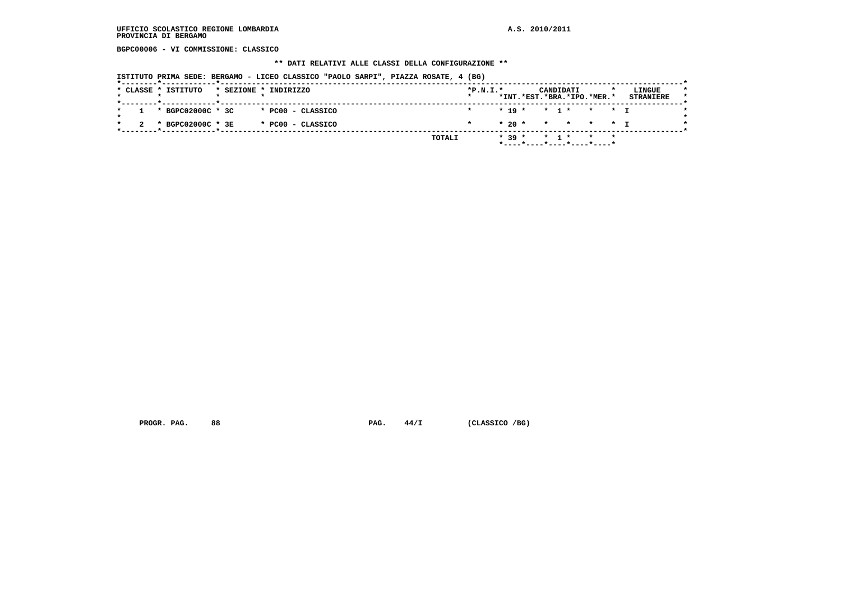**BGPC00006 - VI COMMISSIONE: CLASSICO**

#### **\*\* DATI RELATIVI ALLE CLASSI DELLA CONFIGURAZIONE \*\***

 **ISTITUTO PRIMA SEDE: BERGAMO - LICEO CLASSICO "PAOLO SARPI", PIAZZA ROSATE, 4 (BG)**

|  | * CLASSE * ISTITUTO |  | * SEZIONE * INDIRIZZO | $*P.N.T.*$<br>$\star$ |  |          |       | CANDIDATI | *INT.*EST.*BRA.*IPO.*MER.* | LINGUE<br><b>STRANIERE</b> |  |
|--|---------------------|--|-----------------------|-----------------------|--|----------|-------|-----------|----------------------------|----------------------------|--|
|  | 1 * BGPC02000C * 3C |  | * PC00 - CLASSICO     | $\star$               |  |          |       |           | $* 19 * * 1 * * * * 1$     |                            |  |
|  | * BGPC02000C * 3E   |  | * PC00 - CLASSICO     |                       |  |          |       |           | * 20 * * * * * * I         |                            |  |
|  |                     |  | TOTALI                |                       |  | $* 39 *$ | * 1 * |           | $\star$ $\star$            |                            |  |

PROGR. PAG. 88 **PAG. 44/I** (CLASSICO /BG)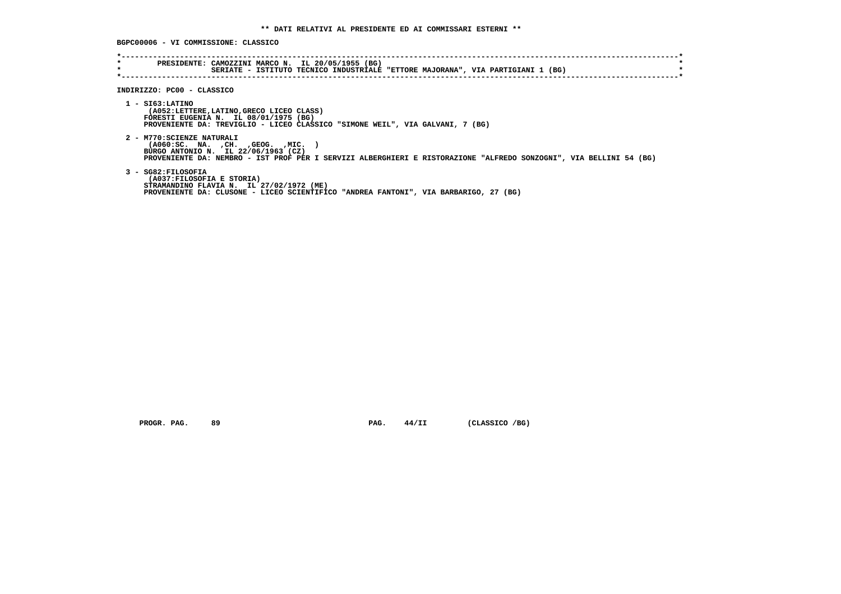**BGPC00006 - VI COMMISSIONE: CLASSICO**

| $\star$<br>$\star$ | PRESIDENTE: CAMOZZINI MARCO N. IL 20/05/1955 (BG)<br>SERIATE - ISTITUTO TECNICO INDUSTRIALE "ETTORE MAJORANA", VIA PARTIGIANI 1 (BG)                                                                                             |
|--------------------|----------------------------------------------------------------------------------------------------------------------------------------------------------------------------------------------------------------------------------|
|                    | INDIRIZZO: PC00 - CLASSICO                                                                                                                                                                                                       |
|                    | $1 -$ SI63: LATINO<br>(A052:LETTERE, LATINO, GRECO LICEO CLASS)<br>FORESTI EUGENIA N. IL 08/01/1975 (BG)<br>PROVENIENTE DA: TREVIGLIO - LICEO CLASSICO "SIMONE WEIL", VIA GALVANI, 7 (BG)                                        |
|                    | 2 - M770: SCIENZE NATURALI<br>( A060 : SC. NA. , CH. , GEOG. , MIC.<br>BURGO ANTONIO N. IL 22/06/1963 (CZ)<br>PROVENIENTE DA: NEMBRO - IST PROF PER I SERVIZI ALBERGHIERI E RISTORAZIONE "ALFREDO SONZOGNI", VIA BELLINI 54 (BG) |
|                    | 3 - SG82:FILOSOFIA<br>(A037:FILOSOFIA E STORIA)<br>STRAMANDINO FLAVIA N. IL 27/02/1972 (ME)<br>PROVENIENTE DA: CLUSONE - LICEO SCIENTIFICO "ANDREA FANTONI", VIA BARBARIGO, 27 (BG)                                              |

 **PROGR. PAG.** 89 **PROGR. 24/II** (CLASSICO /BG)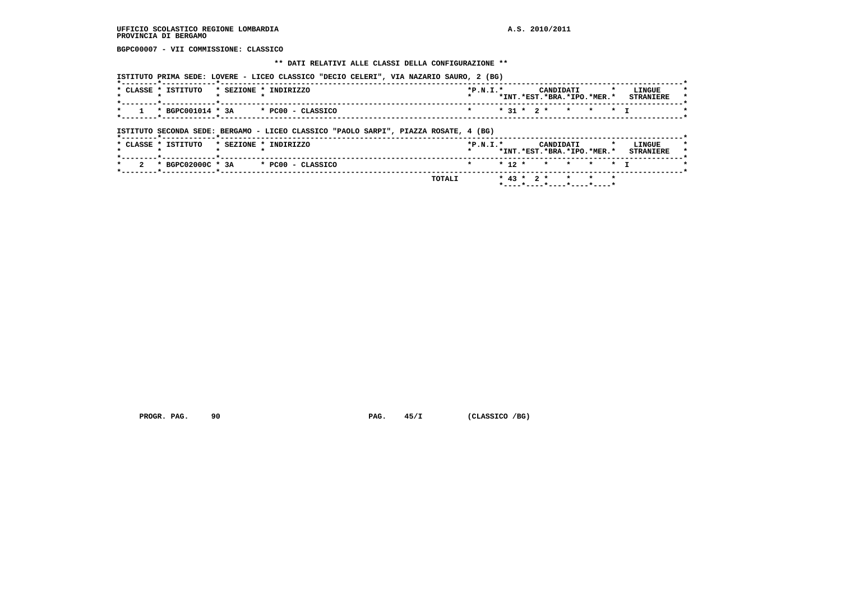**BGPC00007 - VII COMMISSIONE: CLASSICO**

#### **\*\* DATI RELATIVI ALLE CLASSI DELLA CONFIGURAZIONE \*\***

 **ISTITUTO PRIMA SEDE: LOVERE - LICEO CLASSICO "DECIO CELERI", VIA NAZARIO SAURO, 2 (BG)**

| <b>CLASSE</b> | ISTITUTO          | * SEZIONE | INDIRIZZO         | $*P.N.T.*$ |  | CANDIDATI<br>*INT.*EST.*BRA.*IPO.*MER.* |  | $\cdot$ | LINGUE<br><b>STRANTERE</b> |
|---------------|-------------------|-----------|-------------------|------------|--|-----------------------------------------|--|---------|----------------------------|
|               | * BGPC001014 * 3A |           | * PC00 - CLASSICO |            |  | $* 31 * 2 * * * * * * 1$                |  |         |                            |

 **ISTITUTO SECONDA SEDE: BERGAMO - LICEO CLASSICO "PAOLO SARPI", PIAZZA ROSATE, 4 (BG)**

|  | * CLASSE * ISTITUTO |  | * SEZIONE * INDIRIZZO                   | $*P.N.I.*$         |  |  | CANDIDATI | *INT.*EST.*BRA.*IPO.*MER.* |  | LINGUE<br><b>STRANTERE</b> | $\star$<br>$\star$ |  |
|--|---------------------|--|-----------------------------------------|--------------------|--|--|-----------|----------------------------|--|----------------------------|--------------------|--|
|  |                     |  | $2$ * BGPC02000C * 3A * PC00 - CLASSICO | * * 12 * * * * * T |  |  |           |                            |  |                            |                    |  |
|  |                     |  | <b>TOTALI</b>                           |                    |  |  |           | $* 43 * 2 * * * * * * *$   |  |                            |                    |  |

PROGR. PAG. 90 90 PAG. 45/I (CLASSICO /BG)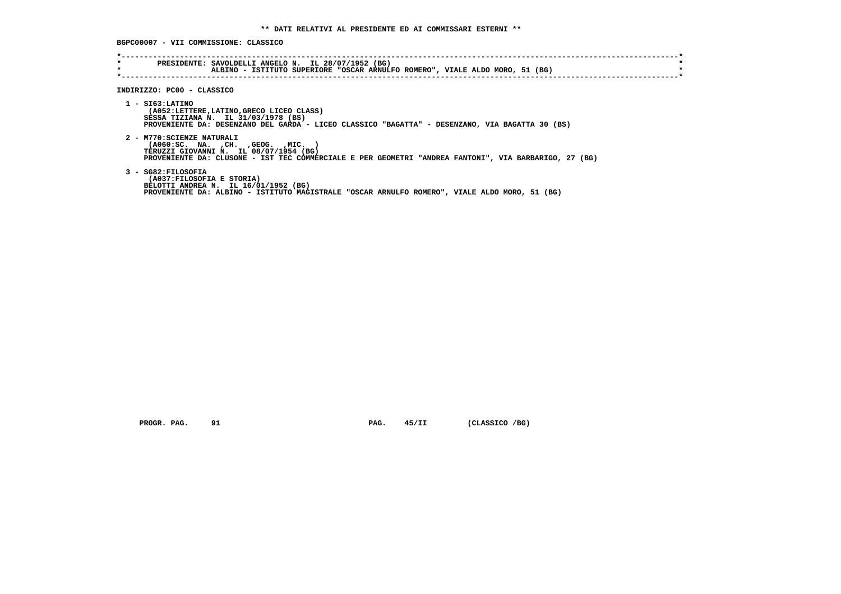**BGPC00007 - VII COMMISSIONE: CLASSICO**

| *<br>$\star$ | PRESIDENTE: SAVOLDELLI ANGELO N. IL 28/07/1952 (BG)<br>ALBINO - ISTITUTO SUPERIORE "OSCAR ARNULFO ROMERO", VIALE ALDO MORO, 51 (BG)                                                                                  |
|--------------|----------------------------------------------------------------------------------------------------------------------------------------------------------------------------------------------------------------------|
|              | INDIRIZZO: PC00 - CLASSICO                                                                                                                                                                                           |
|              | 1 - SI63:LATINO<br>(A052:LETTERE,LATINO,GRECO LICEO CLASS)<br>SESSA TIZIANA N. IL 31/03/1978 (BS)<br>PROVENIENTE DA: DESENZANO DEL GARDA - LICEO CLASSICO "BAGATTA" - DESENZANO, VIA BAGATTA 30 (BS)                 |
|              | 2 - M770: SCIENZE NATURALI<br>( A060:SC. NA. , CH. , GEOG. , MIC.<br>TERUZZI GIOVANNI N. IL 08/07/1954 (BG)<br>PROVENIENTE DA: CLUSONE - IST TEC COMMERCIALE E PER GEOMETRI "ANDREA FANTONI", VIA BARBARIGO, 27 (BG) |
|              | 3 - SG82: FILOSOFIA<br>(A037:FILOSOFIA E STORIA)<br>BELOTTI ANDREA N. IL 16/01/1952 (BG)<br>PROVENIENTE DA: ALBINO - ISTITUTO MAGISTRALE "OSCAR ARNULFO ROMERO", VIALE ALDO MORO, 51 (BG)                            |

 **PROGR. PAG.** 91 **PAG. 45/II** (CLASSICO /BG)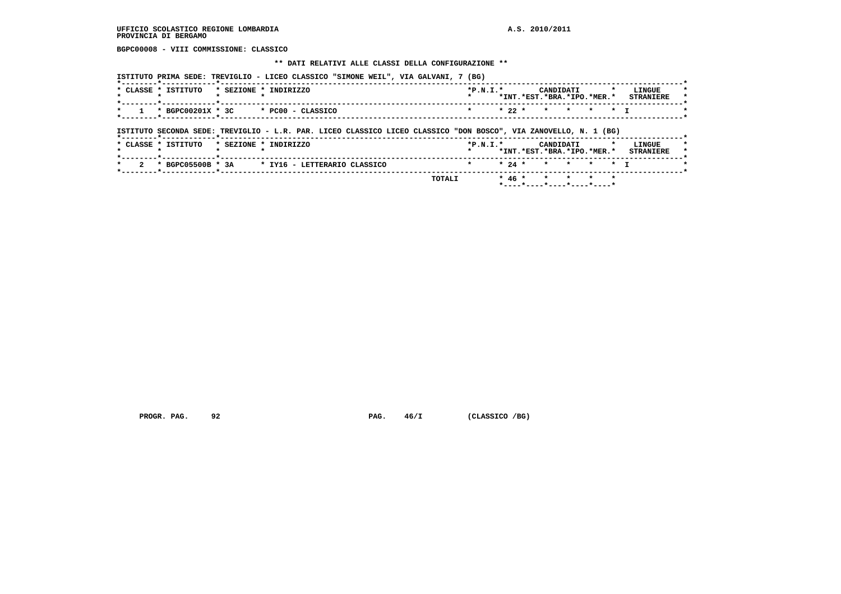**BGPC00008 - VIII COMMISSIONE: CLASSICO**

#### **\*\* DATI RELATIVI ALLE CLASSI DELLA CONFIGURAZIONE \*\***

 **ISTITUTO PRIMA SEDE: TREVIGLIO - LICEO CLASSICO "SIMONE WEIL", VIA GALVANI, 7 (BG)**

| <b>CLASSE</b> | ISTITUTO          | * SEZIONE | TNDTRTZZO         | $*P.N.T.*$ |  | CANDIDATI |                            | LINGUE           |         |
|---------------|-------------------|-----------|-------------------|------------|--|-----------|----------------------------|------------------|---------|
|               |                   |           |                   |            |  |           | *INT.*EST.*BRA.*IPO.*MER.* | <b>STRANIERE</b> | $\star$ |
|               |                   |           |                   |            |  |           |                            |                  |         |
|               | * BGPC00201X * 3C |           | * PC00 - CLASSICO |            |  |           | * 22 * * * * * * T         |                  |         |
|               |                   |           |                   |            |  |           |                            |                  |         |

 **ISTITUTO SECONDA SEDE: TREVIGLIO - L.R. PAR. LICEO CLASSICO LICEO CLASSICO "DON BOSCO", VIA ZANOVELLO, N. 1 (BG)**

|          | * CLASSE * ISTITUTO |  | * SEZIONE * INDIRIZZO                          | $*P.N.I.*$         |  | CANDIDATI<br>*INT.*EST.*BRA.*IPO.*MER.* |  | LINGUE<br><b>STRANIERE</b> |
|----------|---------------------|--|------------------------------------------------|--------------------|--|-----------------------------------------|--|----------------------------|
| $\sim$ 2 |                     |  | * BGPC05500B * 3A * IY16 - LETTERARIO CLASSICO | * * 24 * * * * * T |  |                                         |  |                            |
|          |                     |  | TOTALI                                         |                    |  | * $46$ * * * * * *                      |  |                            |

 **PROGR. PAG.** 92 **PAG.**  $46/I$  (CLASSICO /BG)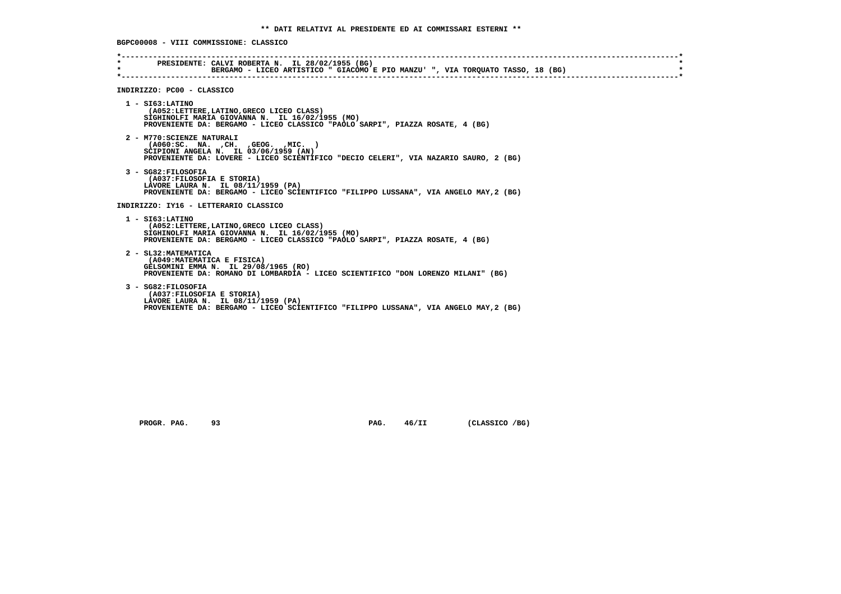**BGPC00008 - VIII COMMISSIONE: CLASSICO**

| $\star$<br>$\star$ | PRESIDENTE: CALVI ROBERTA N. IL 28/02/1955 (BG)<br>BERGAMO - LICEO ARTISTICO " GIACOMO E PIO MANZU' ", VIA TORQUATO TASSO, 18 (BG)                                                                   |
|--------------------|------------------------------------------------------------------------------------------------------------------------------------------------------------------------------------------------------|
|                    | INDIRIZZO: PC00 - CLASSICO                                                                                                                                                                           |
|                    | $1 - ST63:LATINO$<br>(A052:LETTERE,LATINO,GRECO LICEO CLASS)<br>SIGHINOLFI MARIA GIOVANNA N. IL 16/02/1955 (MO)<br>PROVENIENTE DA: BERGAMO - LICEO CLASSICO "PAOLO SARPI", PIAZZA ROSATE, 4 (BG)     |
|                    | 2 - M770: SCIENZE NATURALI<br>( A060:SC. NA. , CH. , GEOG. , MIC. )<br>SCIPIONI ANGELA N. IL 03/06/1959 (AN)<br>PROVENIENTE DA: LOVERE - LICEO SCIENTIFICO "DECIO CELERI", VIA NAZARIO SAURO, 2 (BG) |
|                    | 3 - SG82: FILOSOFIA<br>(A037: FILOSOFIA E STORIA)<br>LAVORE LAURA N. IL 08/11/1959 (PA)<br>PROVENIENTE DA: BERGAMO - LICEO SCIENTIFICO "FILIPPO LUSSANA", VIA ANGELO MAY, 2 (BG)                     |
|                    | INDIRIZZO: IY16 - LETTERARIO CLASSICO                                                                                                                                                                |
|                    | $1 - ST63:LATINO$<br>(A052:LETTERE, LATINO, GRECO LICEO CLASS)<br>SIGHINOLFI MARIA GIOVANNA N. IL 16/02/1955 (MO)<br>PROVENIENTE DA: BERGAMO - LICEO CLASSICO "PAOLO SARPI", PIAZZA ROSATE, 4 (BG)   |
|                    | 2 - SL32: MATEMATICA<br>(A049: MATEMATICA E FISICA)<br>GELSOMINI EMMA N. IL 29/08/1965 (RO)<br>PROVENIENTE DA: ROMANO DI LOMBARDIA - LICEO SCIENTIFICO "DON LORENZO MILANI" (BG)                     |
|                    | 3 - SG82: FILOSOFIA<br>(A037:FILOSOFIA E STORIA)<br>LAVORE LAURA N. IL 08/11/1959 (PA)<br>PROVENIENTE DA: BERGAMO - LICEO SCIENTIFICO "FILIPPO LUSSANA", VIA ANGELO MAY, 2 (BG)                      |

 **PROGR. PAG.** 93 **PAG. 46/II** (CLASSICO /BG)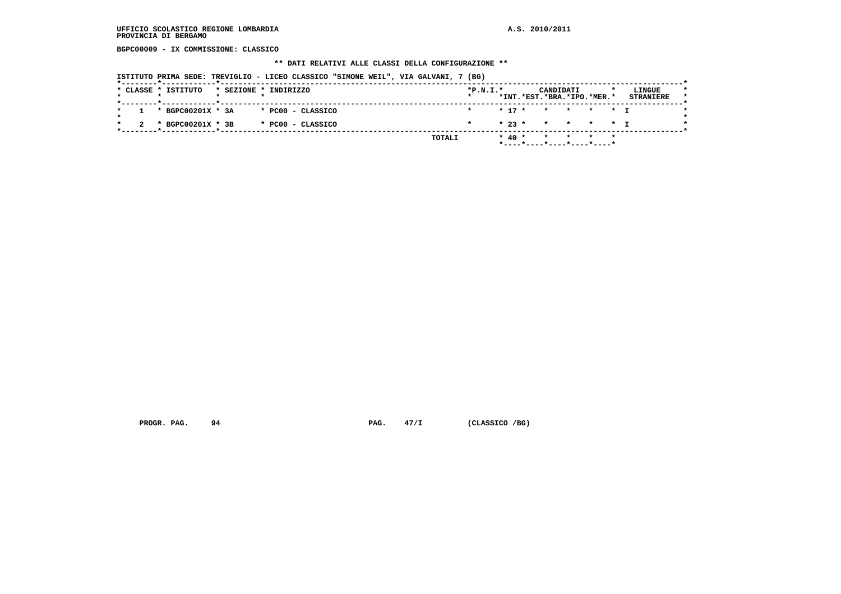**BGPC00009 - IX COMMISSIONE: CLASSICO**

#### **\*\* DATI RELATIVI ALLE CLASSI DELLA CONFIGURAZIONE \*\***

 **ISTITUTO PRIMA SEDE: TREVIGLIO - LICEO CLASSICO "SIMONE WEIL", VIA GALVANI, 7 (BG)**

|  | * CLASSE * ISTITUTO   |  | * SEZIONE * INDIRIZZO | $*P.N.T.*$<br>$\star$ |  |  | CANDIDATI<br>*INT.*EST.*BRA.*IPO.*MER.*                            |  | LINGUE<br><b>STRANIERE</b> | $\star$ |
|--|-----------------------|--|-----------------------|-----------------------|--|--|--------------------------------------------------------------------|--|----------------------------|---------|
|  | $1 * BGPC00201X * 3A$ |  | * PCOO - CLASSICO     |                       |  |  | * 17 * * * * * T                                                   |  |                            |         |
|  | * BGPC00201X * 3B     |  | * PC00 - CLASSICO     | $\star$               |  |  | $\star$ 23 $\star$ $\star$ $\star$ $\star$ $\star$ $\star$ $\star$ |  |                            |         |
|  |                       |  | TOTALI                |                       |  |  | $* 40 * * * * * * * *$<br>*----*----*----*----*----*               |  |                            |         |

 **PROGR. PAG.** 94 **PAG. PAG.** 47/I (CLASSICO /BG)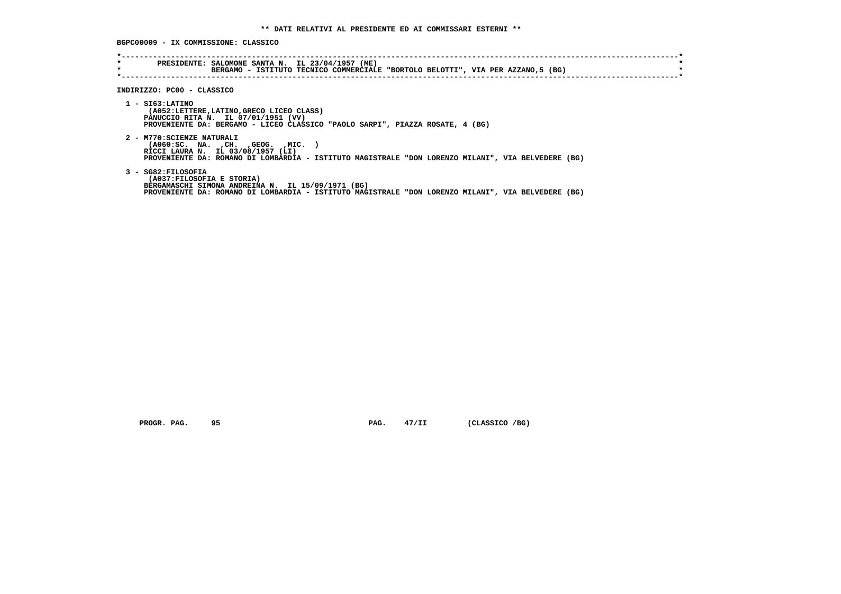**BGPC00009 - IX COMMISSIONE: CLASSICO**

| $\star$<br>$\star$ | PRESIDENTE: SALOMONE SANTA N. IL 23/04/1957 (ME)<br>BERGAMO - ISTITUTO TECNICO COMMERCIALE "BORTOLO BELOTTI", VIA PER AZZANO,5 (BG)                                                                            |
|--------------------|----------------------------------------------------------------------------------------------------------------------------------------------------------------------------------------------------------------|
|                    | INDIRIZZO: PC00 - CLASSICO                                                                                                                                                                                     |
|                    | $1 - ST63:LATINO$<br>(A052:LETTERE, LATINO, GRECO LICEO CLASS)<br>PANUCCIO RITA N. IL 07/01/1951 (VV)<br>PROVENIENTE DA: BERGAMO - LICEO CLASSICO "PAOLO SARPI", PIAZZA ROSATE, 4 (BG)                         |
|                    | 2 - M770: SCIENZE NATURALI<br>( A060:SC. NA. , CH. , GEOG. , MIC. )<br>RICCI LAURA N. IL 03/08/1957 (LI)<br>PROVENIENTE DA: ROMANO DI LOMBARDIA - ISTITUTO MAGISTRALE "DON LORENZO MILANI", VIA BELVEDERE (BG) |
|                    | 3 - SG82:FILOSOFIA<br>(A037: FILOSOFIA E STORIA)<br>BERGAMASCHI SIMONA ANDREINA N. IL 15/09/1971 (BG)<br>PROVENIENTE DA: ROMANO DI LOMBARDIA - ISTITUTO MAGISTRALE "DON LORENZO MILANI", VIA BELVEDERE (BG)    |

 **PROGR. PAG.** 95 **PROGR. 27/II** (CLASSICO /BG)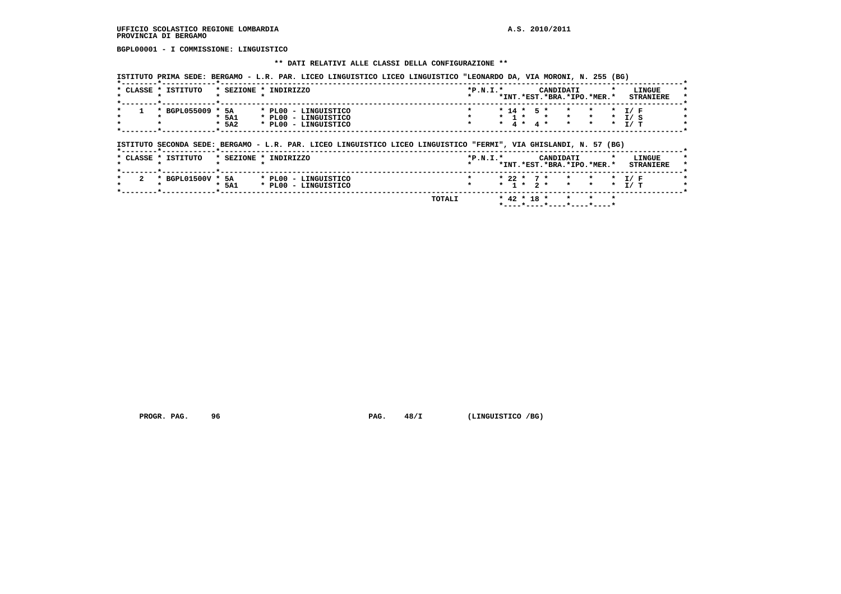**BGPL00001 - I COMMISSIONE: LINGUISTICO**

#### **\*\* DATI RELATIVI ALLE CLASSI DELLA CONFIGURAZIONE \*\***

 **ISTITUTO PRIMA SEDE: BERGAMO - L.R. PAR. LICEO LINGUISTICO LICEO LINGUISTICO "LEONARDO DA, VIA MORONI, N. 255 (BG)**

| CLASSE * | ISTITUTO   | $*$ SEZIONE $*$ | INDIRIZZO            | $*P.N.T.*$ |  |      | CANDIDATI | *INT.*EST.*BRA.*IPO.*MER.* |  | LINGUE<br><b>STRANTERE</b> |  |
|----------|------------|-----------------|----------------------|------------|--|------|-----------|----------------------------|--|----------------------------|--|
|          | BGPL055009 | 5A              | * PL00 - LINGUISTICO |            |  |      |           | * 14 * 5 * * * * * T/F     |  |                            |  |
|          |            | * 5A1           | * PL00 - LINGUISTICO |            |  | -1 * |           |                            |  | T/ S                       |  |
|          |            | $*$ 5A2         | * PL00 - LINGUISTICO |            |  |      | 4 * 4 *   | * * T/T                    |  |                            |  |
|          |            |                 |                      |            |  |      |           |                            |  |                            |  |

# **ISTITUTO SECONDA SEDE: BERGAMO - L.R. PAR. LICEO LINGUISTICO LICEO LINGUISTICO "FERMI", VIA GHISLANDI, N. 57 (BG)**

| * CLASSE * ISTITUTO |                   |       | * SEZIONE * INDIRIZZO | $*P.N.I.*$ |                 | CANDIDATI |                            |  | LINGUE           |
|---------------------|-------------------|-------|-----------------------|------------|-----------------|-----------|----------------------------|--|------------------|
|                     |                   |       |                       |            |                 |           | *INT.*EST.*BRA.*IPO.*MER.* |  | <b>STRANIERE</b> |
|                     | * BGPL01500V * 5A |       | * PL00 - LINGUISTICO  |            |                 |           | * 22 * 7 * * * * * T/F     |  |                  |
|                     |                   | * 5A1 | * PL00 - LINGUISTICO  |            | $*$ 1 $*$ 2 $*$ |           | * * * T/T                  |  |                  |

 **\*----\*----\*----\*----\*----\***

PROGR. PAG. 96 **PAG. 28/I** (LINGUISTICO /BG)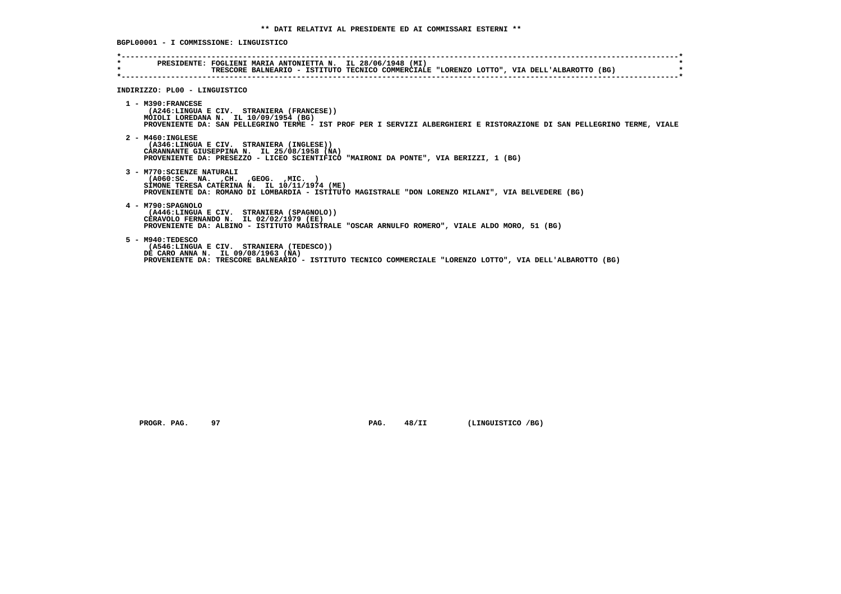**\*----------------------------------------------------------------------------------------------------------------------------\* \* PRESIDENTE: FOGLIENI MARIA ANTONIETTA N. IL 28/06/1948 (MI) \* \* TRESCORE BALNEARIO - ISTITUTO TECNICO COMMERCIALE "LORENZO LOTTO", VIA DELL'ALBAROTTO (BG) \* \*----------------------------------------------------------------------------------------------------------------------------\* INDIRIZZO: PL00 - LINGUISTICO 1 - M390:FRANCESE (A246:LINGUA E CIV. STRANIERA (FRANCESE)) MOIOLI LOREDANA N. IL 10/09/1954 (BG) PROVENIENTE DA: SAN PELLEGRINO TERME - IST PROF PER I SERVIZI ALBERGHIERI E RISTORAZIONE DI SAN PELLEGRINO TERME, VIALE 2 - M460:INGLESE (A346:LINGUA E CIV. STRANIERA (INGLESE)) CARANNANTE GIUSEPPINA N. IL 25/08/1958 (NA) PROVENIENTE DA: PRESEZZO - LICEO SCIENTIFICO "MAIRONI DA PONTE", VIA BERIZZI, 1 (BG) 3 - M770:SCIENZE NATURALI (A060:SC. NA. ,CH. ,GEOG. ,MIC. ) SIMONE TERESA CATERINA N. IL 10/11/1974 (ME) PROVENIENTE DA: ROMANO DI LOMBARDIA - ISTITUTO MAGISTRALE "DON LORENZO MILANI", VIA BELVEDERE (BG) 4 - M790:SPAGNOLO (A446:LINGUA E CIV. STRANIERA (SPAGNOLO)) CERAVOLO FERNANDO N. IL 02/02/1979 (EE) PROVENIENTE DA: ALBINO - ISTITUTO MAGISTRALE "OSCAR ARNULFO ROMERO", VIALE ALDO MORO, 51 (BG) 5 - M940:TEDESCO (A546:LINGUA E CIV. STRANIERA (TEDESCO)) DE CARO ANNA N. IL 09/08/1963 (NA) PROVENIENTE DA: TRESCORE BALNEARIO - ISTITUTO TECNICO COMMERCIALE "LORENZO LOTTO", VIA DELL'ALBAROTTO (BG)**

 **PROGR. PAG.** 97 **PAG. 48/II (LINGUISTICO /BG)** 

 **BGPL00001 - I COMMISSIONE: LINGUISTICO**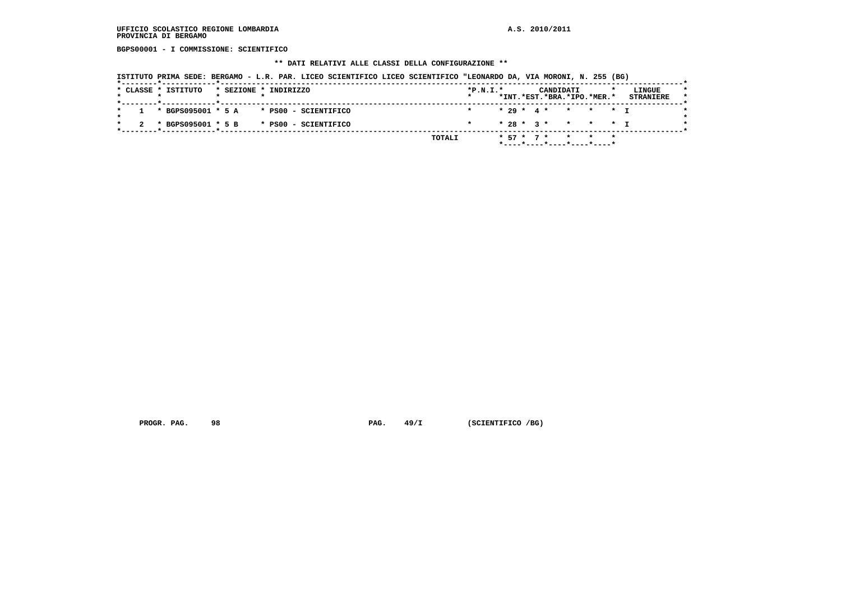**BGPS00001 - I COMMISSIONE: SCIENTIFICO**

#### **\*\* DATI RELATIVI ALLE CLASSI DELLA CONFIGURAZIONE \*\***

 **ISTITUTO PRIMA SEDE: BERGAMO - L.R. PAR. LICEO SCIENTIFICO LICEO SCIENTIFICO "LEONARDO DA, VIA MORONI, N. 255 (BG)**

|  | * CLASSE * ISTITUTO |  | * SEZIONE * INDIRIZZO                       |        | $*P.N.I.*$ |  |  | CANDIDATI | *INT.*EST.*BRA.*IPO.*MER.*  | LINGUE<br><b>STRANIERE</b> |
|--|---------------------|--|---------------------------------------------|--------|------------|--|--|-----------|-----------------------------|----------------------------|
|  |                     |  |                                             |        |            |  |  |           |                             |                            |
|  |                     |  | $1 * BGPS095001 * 5 A * PS00 - SCIENTIFICO$ |        |            |  |  |           | $* 29 * 4 * * * * * + T$    |                            |
|  |                     |  | 2 * BGPS095001 * 5 B * PS00 - SCIENTIFICO   |        | $\star$    |  |  |           | * 28 * 3 * * * * * I        |                            |
|  |                     |  |                                             | TOTALI |            |  |  |           | $* 57 * 7 * * * * * *$      |                            |
|  |                     |  |                                             |        |            |  |  |           | $*$ ----*----*----*---*---- |                            |

 **PROGR. PAG.** 98 **PAG. 49/I** (SCIENTIFICO /BG)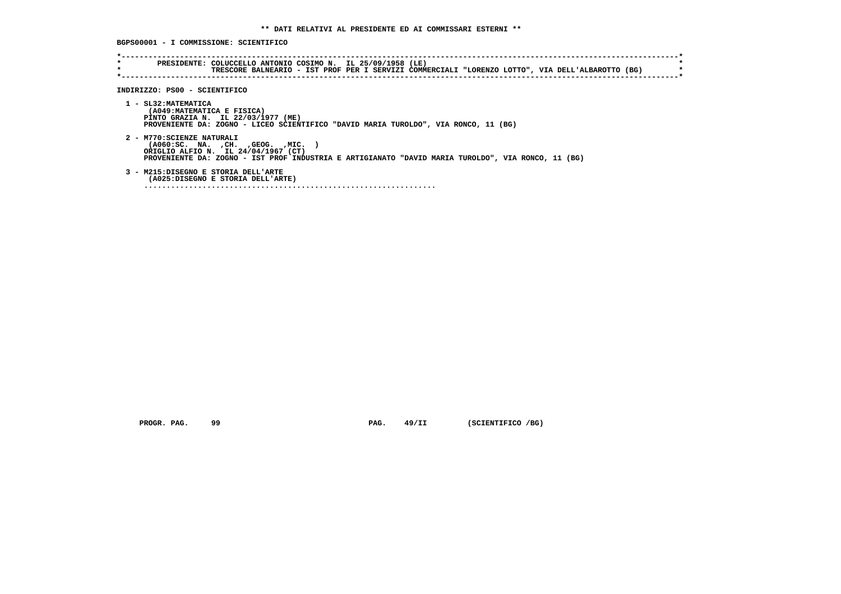**BGPS00001 - I COMMISSIONE: SCIENTIFICO**

| $\star$<br>$\star$ | PRESIDENTE: COLUCCELLO ANTONIO COSIMO N. IL 25/09/1958 (LE)<br>TRESCORE BALNEARIO - IST PROF PER I SERVIZI COMMERCIALI "LORENZO LOTTO", VIA DELL'ALBAROTTO (BG)                                                |
|--------------------|----------------------------------------------------------------------------------------------------------------------------------------------------------------------------------------------------------------|
|                    | INDIRIZZO: PS00 - SCIENTIFICO                                                                                                                                                                                  |
|                    | 1 - SL32: MATEMATICA<br>(A049: MATEMATICA E FISICA)<br>PINTO GRAZIA N. IL 22/03/1977 (ME)<br>PROVENIENTE DA: ZOGNO - LICEO SCIENTIFICO "DAVID MARIA TUROLDO", VIA RONCO, 11 (BG)                               |
|                    | 2 - M770: SCIENZE NATURALI<br>( A060:SC. NA. , CH. , GEOG. , MIC.<br>ORIGLIO ALFIO N. IL 24/04/1967 (CT)<br>PROVENIENTE DA: ZOGNO - IST PROF INDUSTRIA E ARTIGIANATO "DAVID MARIA TUROLDO", VIA RONCO, 11 (BG) |
|                    | 3 - M215:DISEGNO E STORIA DELL'ARTE<br>(A025:DISEGNO E STORIA DELL'ARTE)                                                                                                                                       |

 **PROGR. PAG.** 99 **PAG.** 49/II (SCIENTIFICO /BG)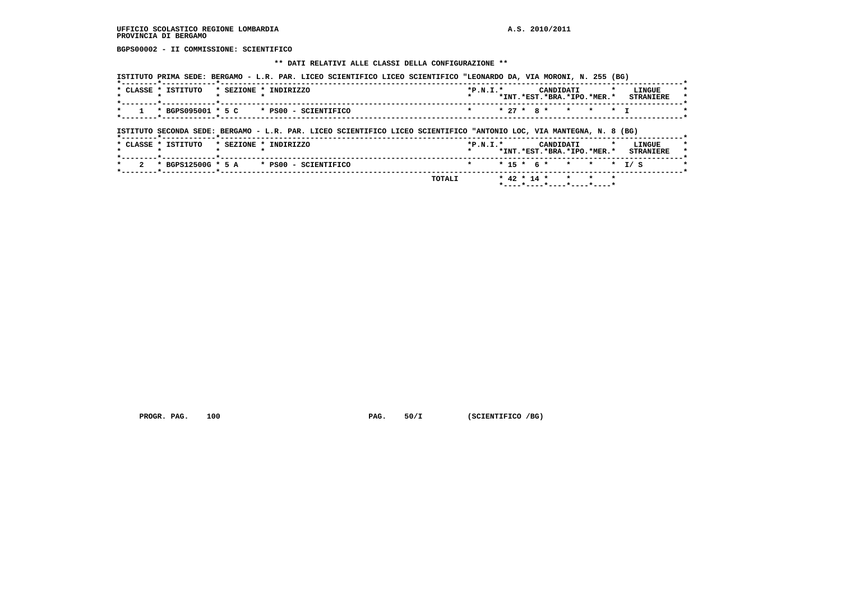**BGPS00002 - II COMMISSIONE: SCIENTIFICO**

 **\*\* DATI RELATIVI ALLE CLASSI DELLA CONFIGURAZIONE \*\***

| ISTITUTO PRIMA SEDE: BERGAMO - L.R. PAR. LICEO SCIENTIFICO LICEO SCIENTIFICO "LEONARDO DA, VIA MORONI, N. 255 (BG)<br>* CLASSE * ISTITUTO          | * SEZIONE * INDIRIZZO |  |  | $*P.N.T.*$ |  | CANDIDATI | *INT.*EST.*BRA.*IPO.*MER.* |  | LINGUE<br><b>STRANIERE</b> |
|----------------------------------------------------------------------------------------------------------------------------------------------------|-----------------------|--|--|------------|--|-----------|----------------------------|--|----------------------------|
| $*$ BGPS095001 $*$ 5 C $*$ PS00 - SCIENTIFICO                                                                                                      |                       |  |  |            |  |           | $* 27 * 8 * * * * * T$     |  |                            |
|                                                                                                                                                    |                       |  |  |            |  |           |                            |  |                            |
|                                                                                                                                                    |                       |  |  |            |  |           |                            |  |                            |
| ISTITUTO SECONDA SEDE: BERGAMO - L.R. PAR. LICEO SCIENTIFICO LICEO SCIENTIFICO "ANTONIO LOC, VIA MANTEGNA, N. 8 (BG)<br>-------*------------*----- |                       |  |  |            |  |           |                            |  |                            |
| * CLASSE * ISTITUTO                                                                                                                                | * SEZIONE * INDIRIZZO |  |  | $*P.N.T.*$ |  | CANDIDATI |                            |  | LINGUE                     |
|                                                                                                                                                    |                       |  |  |            |  |           | *INT.*EST.*BRA.*IPO.*MER.* |  | <b>STRANIERE</b>           |

PROGR. PAG. 100 **PAG. 50/I (SCIENTIFICO /BG)** 

 **TOTALI \* 42 \* 14 \* \* \* \* \*----\*----\*----\*----\*----\***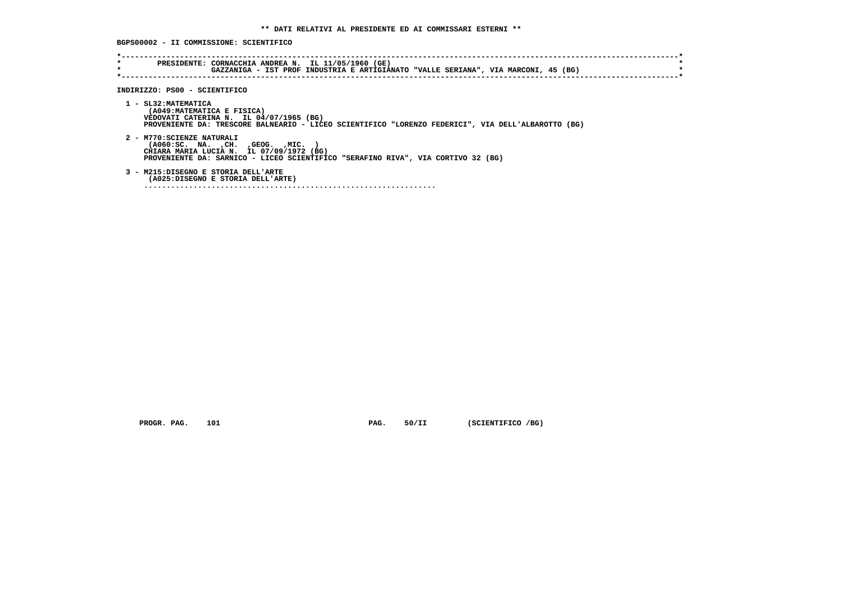**BGPS00002 - II COMMISSIONE: SCIENTIFICO**

| INDIRIZZO: PS00 - SCIENTIFICO                                                                                                                                                                        |
|------------------------------------------------------------------------------------------------------------------------------------------------------------------------------------------------------|
| 1 - SL32: MATEMATICA<br>(A049: MATEMATICA E FISICA)<br>VEDOVATI CATERINA N. IL 04/07/1965 (BG)<br>PROVENIENTE DA: TRESCORE BALNEARIO - LICEO SCIENTIFICO "LORENZO FEDERICI", VIA DELL'ALBAROTTO (BG) |
| 2 - M770: SCIENZE NATURALI<br>( A060:SC. NA. , CH. , GEOG. , MIC.<br>CHIARA MARIA LUCIA N. IL 07/09/1972 (BG)<br>PROVENIENTE DA: SARNICO - LICEO SCIENTIFICO "SERAFINO RIVA", VIA CORTIVO 32 (BG)    |
| 3 - M215:DISEGNO E STORIA DELL'ARTE<br>(A025:DISEGNO E STORIA DELL'ARTE)                                                                                                                             |

 **PROGR. PAG.** 101 **PAG.** 50/II (SCIENTIFICO /BG)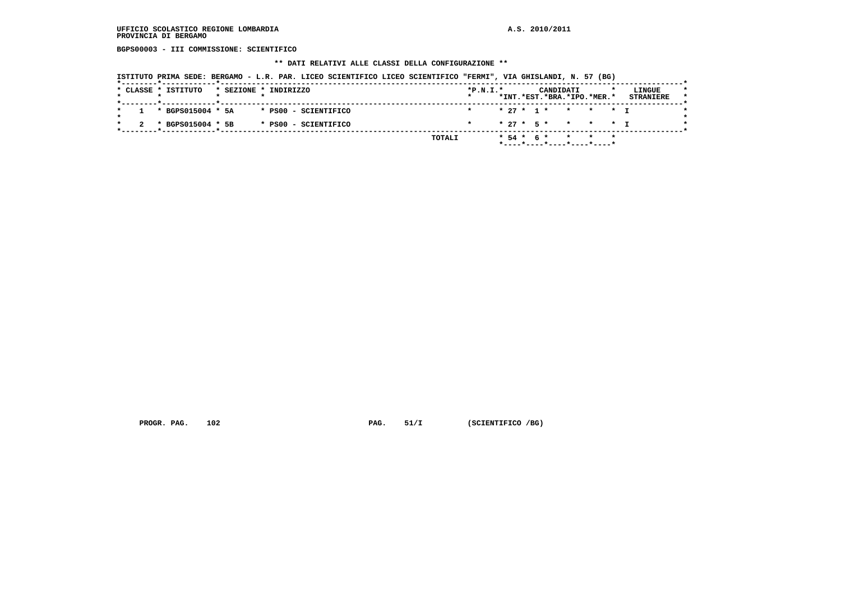**BGPS00003 - III COMMISSIONE: SCIENTIFICO**

#### **\*\* DATI RELATIVI ALLE CLASSI DELLA CONFIGURAZIONE \*\***

 **ISTITUTO PRIMA SEDE: BERGAMO - L.R. PAR. LICEO SCIENTIFICO LICEO SCIENTIFICO "FERMI", VIA GHISLANDI, N. 57 (BG)**

| $*P.N.T.*$<br>LINGUE<br>CANDIDATI              |
|------------------------------------------------|
| *INT.*EST.*BRA.*IPO.*MER.*<br><b>STRANIERE</b> |
| * 27 * 1 * * * * T<br>$\star$                  |
| $* 27 * 5 * * * * * T$                         |
| TOTALI<br>* 54 * 6 * * * * *                   |
|                                                |

 **PROGR. PAG.** 102 **PAG. 51/I** (SCIENTIFICO /BG)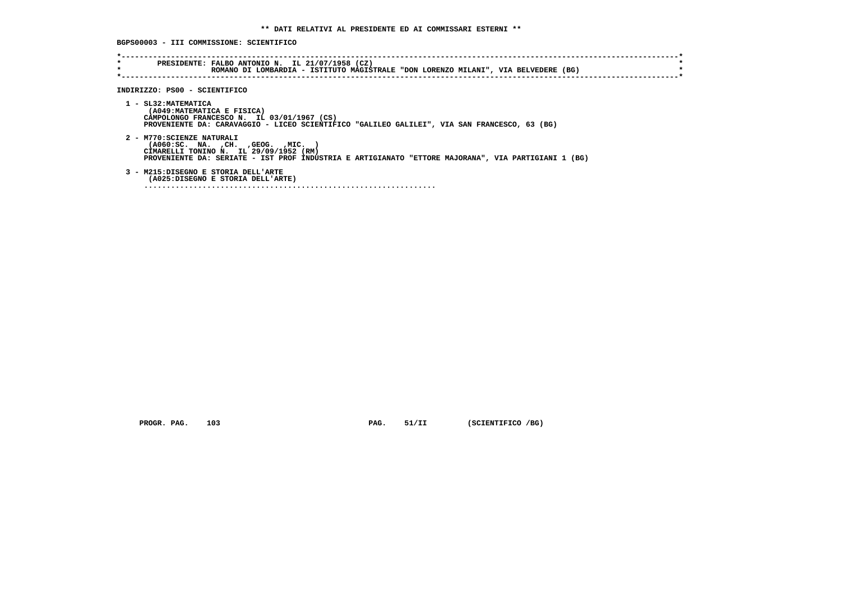**BGPS00003 - III COMMISSIONE: SCIENTIFICO**

| $\star$ | ROMANO DI LOMBARDIA - ISTITUTO MAGISTRALE "DON LORENZO MILANI", VIA BELVEDERE (BG)                                                                                                                                 |
|---------|--------------------------------------------------------------------------------------------------------------------------------------------------------------------------------------------------------------------|
|         | INDIRIZZO: PS00 - SCIENTIFICO                                                                                                                                                                                      |
|         | 1 - SL32: MATEMATICA<br>(A049: MATEMATICA E FISICA)<br>CAMPOLONGO FRANCESCO N. IL 03/01/1967 (CS)<br>PROVENIENTE DA: CARAVAGGIO - LICEO SCIENTIFICO "GALILEO GALILEI", VIA SAN FRANCESCO, 63 (BG)                  |
|         | 2 - M770: SCIENZE NATURALI<br>( A060:SC. NA. , CH. , GEOG. , MIC.<br>CIMARELLI TONINO N. IL 29/09/1952 (RM)<br>PROVENIENTE DA: SERIATE - IST PROF INDUSTRIA E ARTIGIANATO "ETTORE MAJORANA", VIA PARTIGIANI 1 (BG) |
|         | 3 - M215:DISEGNO E STORIA DELL'ARTE<br>(A025:DISEGNO E STORIA DELL'ARTE)                                                                                                                                           |

 **PROGR. PAG.** 103 **PAG. 51/II** (SCIENTIFICO /BG)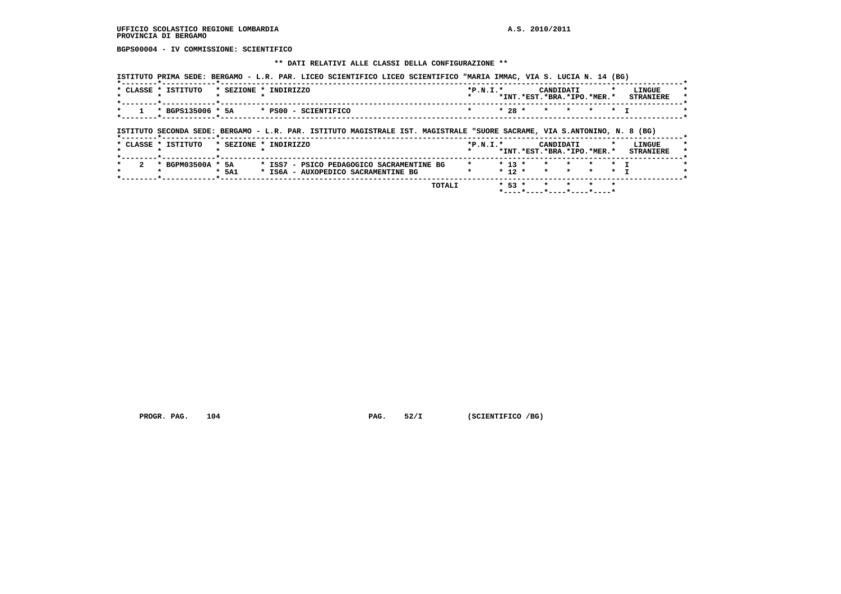**BGPS00004 - IV COMMISSIONE: SCIENTIFICO**

#### **\*\* DATI RELATIVI ALLE CLASSI DELLA CONFIGURAZIONE \*\***

|         | * CLASSE * ISTITUTO                                                                                                      | * SEZIONE * INDIRIZZO |  |  | $*P.N.T.*$ |  | CANDIDATI | *INT.*EST.*BRA.*IPO.*MER.*                                         | LINGUE<br><b>STRANIERE</b> |
|---------|--------------------------------------------------------------------------------------------------------------------------|-----------------------|--|--|------------|--|-----------|--------------------------------------------------------------------|----------------------------|
| $\star$ | $\star$ BGPS135006 $\star$ 5A $\star$ PS00 - SCIENTIFICO                                                                 |                       |  |  |            |  |           | $\star$ 28 $\star$ $\star$ $\star$ $\star$ $\star$ $\star$ $\star$ |                            |
|         | ISTITUTO SECONDA SEDE: BERGAMO - L.R. PAR. ISTITUTO MAGISTRALE IST. MAGISTRALE "SUORE SACRAME, VIA S.ANTONINO, N. 8 (BG) |                       |  |  |            |  |           |                                                                    |                            |

|                          | CLASSE " 15111010 | SBAIUNB " | . INDIKIAAU                               | "P.N.L.            |   | <b>CANDIDAII</b> |                            | LINGUE           |  |
|--------------------------|-------------------|-----------|-------------------------------------------|--------------------|---|------------------|----------------------------|------------------|--|
|                          |                   |           |                                           |                    |   |                  | *INT.*EST.*BRA.*IPO.*MER.* | <b>STRANTERE</b> |  |
|                          |                   |           |                                           |                    |   |                  |                            |                  |  |
| $\overline{\phantom{a}}$ | * BGPM03500A * 5A |           | * ISS7 - PSICO PEDAGOGICO SACRAMENTINE BG | * * 13 * * * * * T |   |                  |                            |                  |  |
|                          |                   | ונמף ∢    | * IS6A - AUXOPEDICO SACRAMENTINE BG       |                    |   |                  | $* 12 * * * * * * * T$     |                  |  |
|                          |                   |           | _______                                   |                    | . |                  |                            |                  |  |

 **TOTALI \* 53 \* \* \* \* \* \*----\*----\*----\*----\*----\***

 **PROGR. PAG.** 104 **PAG. PAG.** 52/I (SCIENTIFICO /BG)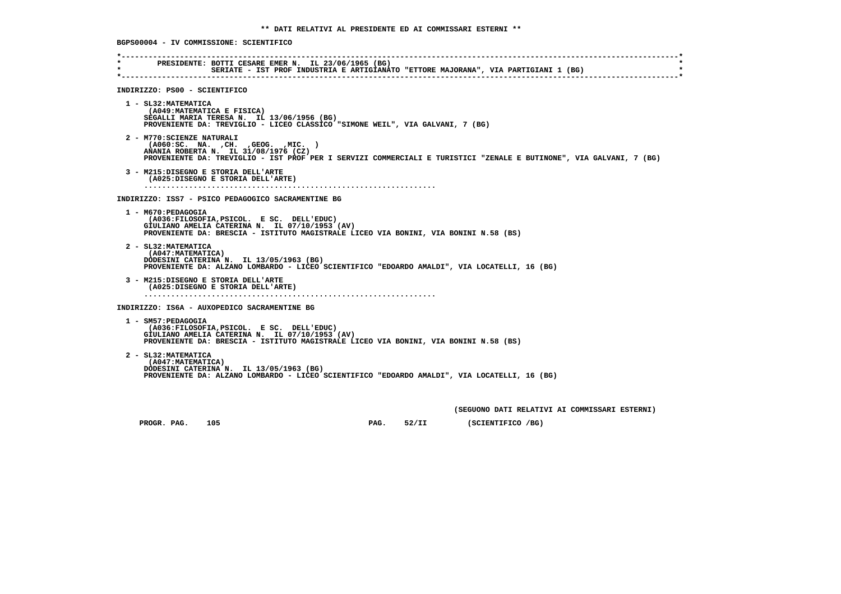**\*----------------------------------------------------------------------------------------------------------------------------\* \* PRESIDENTE: BOTTI CESARE EMER N. IL 23/06/1965 (BG) \* \* SERIATE - IST PROF INDUSTRIA E ARTIGIANATO "ETTORE MAJORANA", VIA PARTIGIANI 1 (BG) \* \*----------------------------------------------------------------------------------------------------------------------------\* INDIRIZZO: PS00 - SCIENTIFICO 1 - SL32:MATEMATICA (A049:MATEMATICA E FISICA) SEGALLI MARIA TERESA N. IL 13/06/1956 (BG) PROVENIENTE DA: TREVIGLIO - LICEO CLASSICO "SIMONE WEIL", VIA GALVANI, 7 (BG) 2 - M770:SCIENZE NATURALI (A060:SC. NA. ,CH. ,GEOG. ,MIC. ) ANANIA ROBERTA N. IL 31/08/1976 (CZ) PROVENIENTE DA: TREVIGLIO - IST PROF PER I SERVIZI COMMERCIALI E TURISTICI "ZENALE E BUTINONE", VIA GALVANI, 7 (BG) 3 - M215:DISEGNO E STORIA DELL'ARTE (A025:DISEGNO E STORIA DELL'ARTE) ................................................................. INDIRIZZO: ISS7 - PSICO PEDAGOGICO SACRAMENTINE BG 1 - M670:PEDAGOGIA (A036:FILOSOFIA,PSICOL. E SC. DELL'EDUC) GIULIANO AMELIA CATERINA N. IL 07/10/1953 (AV) PROVENIENTE DA: BRESCIA - ISTITUTO MAGISTRALE LICEO VIA BONINI, VIA BONINI N.58 (BS) 2 - SL32:MATEMATICA (A047:MATEMATICA) DODESINI CATERINA N. IL 13/05/1963 (BG) PROVENIENTE DA: ALZANO LOMBARDO - LICEO SCIENTIFICO "EDOARDO AMALDI", VIA LOCATELLI, 16 (BG) 3 - M215:DISEGNO E STORIA DELL'ARTE (A025:DISEGNO E STORIA DELL'ARTE) ................................................................. INDIRIZZO: IS6A - AUXOPEDICO SACRAMENTINE BG 1 - SM57:PEDAGOGIA (A036:FILOSOFIA,PSICOL. E SC. DELL'EDUC) GIULIANO AMELIA CATERINA N. IL 07/10/1953 (AV) PROVENIENTE DA: BRESCIA - ISTITUTO MAGISTRALE LICEO VIA BONINI, VIA BONINI N.58 (BS) 2 - SL32:MATEMATICA (A047:MATEMATICA) DODESINI CATERINA N. IL 13/05/1963 (BG) PROVENIENTE DA: ALZANO LOMBARDO - LICEO SCIENTIFICO "EDOARDO AMALDI", VIA LOCATELLI, 16 (BG) (SEGUONO DATI RELATIVI AI COMMISSARI ESTERNI) PROGR. PAG.** 105 **PAG.** 52/II (SCIENTIFICO /BG)

 **BGPS00004 - IV COMMISSIONE: SCIENTIFICO**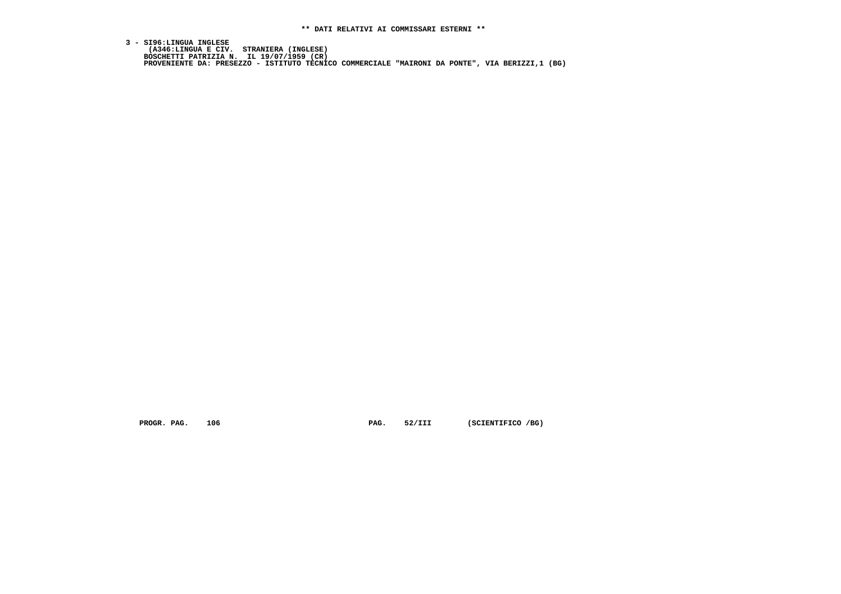3 - SI96:LINGUA INGLESE<br>(A346:LINGUA E CIV. STRANIERA (INGLESE)<br>BOSCHETTI PATRIZIA N. IL 19/07/1959 (CR)<br>PROVENIENTE DA: PRESEZZO - ISTITUTO TECNICO COMMERCIALE "MAIRONI DA PONTE", VIA BERIZZI,1 (BG)

 **PROGR. PAG.** 106 **PAG. 52/III (SCIENTIFICO /BG)**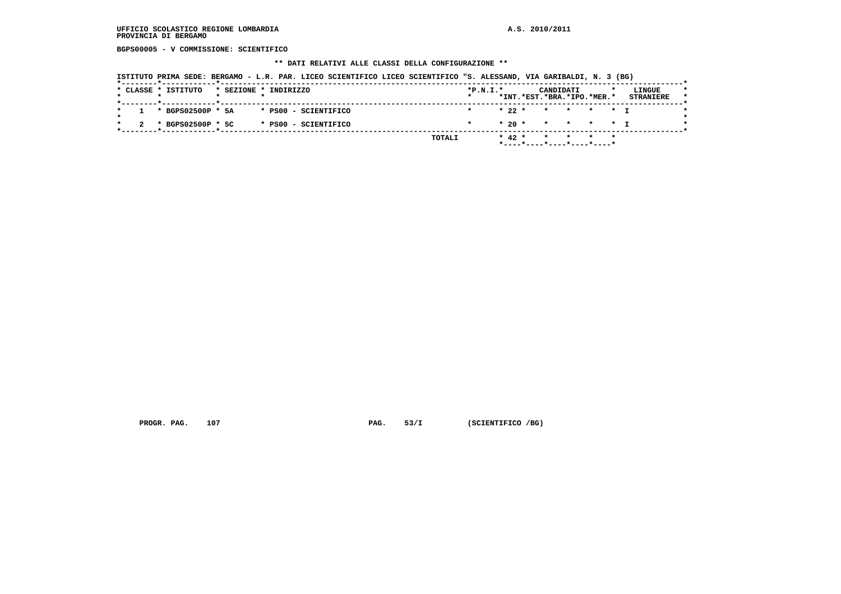**BGPS00005 - V COMMISSIONE: SCIENTIFICO**

#### **\*\* DATI RELATIVI ALLE CLASSI DELLA CONFIGURAZIONE \*\***

 **ISTITUTO PRIMA SEDE: BERGAMO - L.R. PAR. LICEO SCIENTIFICO LICEO SCIENTIFICO "S. ALESSAND, VIA GARIBALDI, N. 3 (BG)**

|  | * CLASSE * ISTITUTO   |  | * SEZIONE * INDIRIZZO |        | $*P.N.I.*$ |            | CANDIDATI |                               | LINGUE           |
|--|-----------------------|--|-----------------------|--------|------------|------------|-----------|-------------------------------|------------------|
|  |                       |  |                       |        |            |            |           | *INT.*EST.*BRA.*IPO.*MER.*    | <b>STRANIERE</b> |
|  | $1 * BGPS02500P * 5A$ |  | * PS00 - SCIENTIFICO  |        | $\star$    |            |           | * 22 * * * * * T              |                  |
|  | * BGPS02500P * 5C     |  | * PS00 - SCIENTIFICO  |        |            |            |           | $* 20 * * * * * * T$          |                  |
|  |                       |  |                       | TOTALI |            | $*$ 42 $*$ |           | * * * *                       |                  |
|  |                       |  |                       |        |            |            |           | $*$ ----*----*----*----*----* |                  |

 **PROGR. PAG.** 107 **PAG.** 53/I (SCIENTIFICO /BG)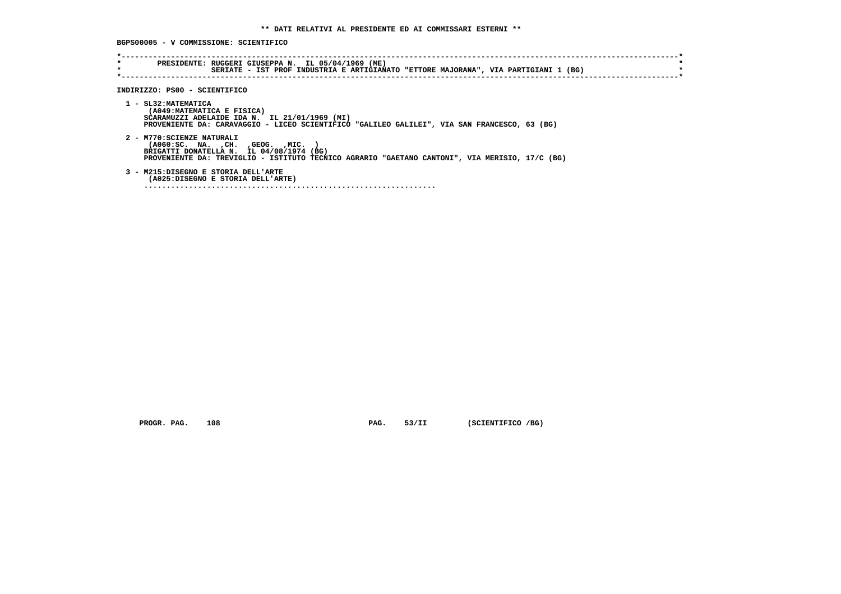**BGPS00005 - V COMMISSIONE: SCIENTIFICO**

| $\star$ | PRESIDENTE: RUGGERI GIUSEPPA N. IL 05/04/1969 (ME)                                             |
|---------|------------------------------------------------------------------------------------------------|
| $\star$ | SERIATE - IST PROF INDUSTRIA E ARTIGIANATO "ETTORE MAJORANA", VIA PARTIGIANI 1 (BG)            |
|         |                                                                                                |
|         |                                                                                                |
|         | INDIRIZZO: PS00 - SCIENTIFICO                                                                  |
|         |                                                                                                |
|         | 1 - SL32: MATEMATICA                                                                           |
|         | (A049: MATEMATICA E FISICA)                                                                    |
|         | SCARAMUZZI ADELAIDE IDA N. IL 21/01/1969 (MI)                                                  |
|         | PROVENIENTE DA: CARAVAGGIO - LICEO SCIENTIFICO "GALILEO GALILEI", VIA SAN FRANCESCO, 63 (BG)   |
|         | 2 - M770: SCIENZE NATURALI                                                                     |
|         | ( A060:SC. NA. , CH. , GEOG. , MIC.                                                            |
|         | BRIGATTI DONATELLA N. IL 04/08/1974 (BG)                                                       |
|         | PROVENIENTE DA: TREVIGLIO - ISTITUTO TECNICO AGRARIO "GAETANO CANTONI", VIA MERISIO, 17/C (BG) |
|         |                                                                                                |
|         | 3 - M215:DISEGNO E STORIA DELL'ARTE                                                            |
|         | (A025:DISEGNO E STORIA DELL'ARTE)                                                              |
|         |                                                                                                |

 **PROGR. PAG.** 108 **PAG.** 53/II (SCIENTIFICO /BG)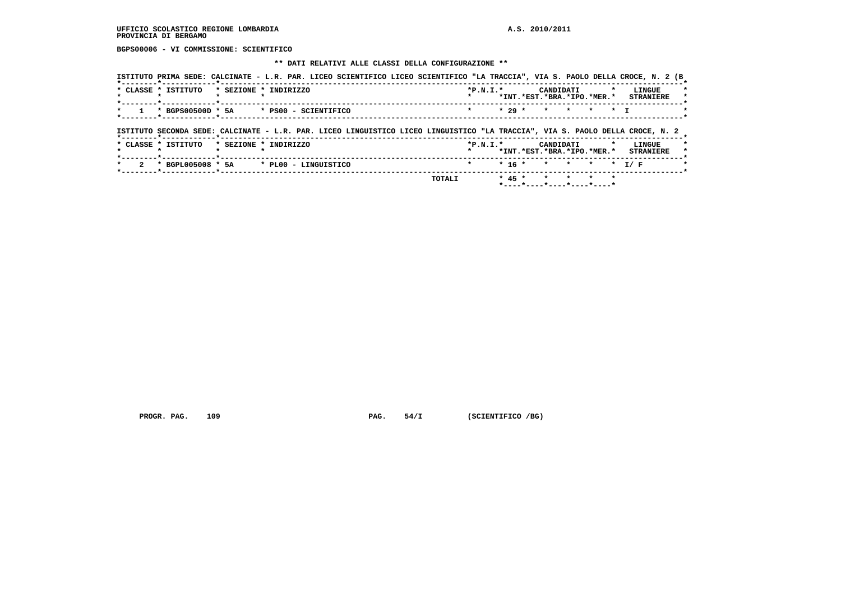**BGPS00006 - VI COMMISSIONE: SCIENTIFICO**

## **\*\* DATI RELATIVI ALLE CLASSI DELLA CONFIGURAZIONE \*\***

| * CLASSE * ISTITUTO<br>$\mathbf{r}$ |  | * SEZIONE * INDIRIZZO                                                                                                         | $*P.N.T.*$ |          | CANDIDATI |           |              | <b>LINGUE</b><br>*INT. *EST. *BRA. *IPO. *MER. * STRANIERE |
|-------------------------------------|--|-------------------------------------------------------------------------------------------------------------------------------|------------|----------|-----------|-----------|--------------|------------------------------------------------------------|
| * BGPS00500D * 5A                   |  | * PS00 - SCIENTIFICO                                                                                                          |            | $* 29 *$ |           | * * * * T |              |                                                            |
|                                     |  |                                                                                                                               |            |          |           |           |              |                                                            |
|                                     |  |                                                                                                                               |            |          |           |           |              |                                                            |
|                                     |  | ISTITUTO SECONDA SEDE: CALCINATE - L.R. PAR. LICEO LINGUISTICO LICEO LINGUISTICO "LA TRACCIA", VIA S. PAOLO DELLA CROCE, N. 2 |            |          |           |           |              |                                                            |
|                                     |  |                                                                                                                               |            |          |           |           |              |                                                            |
| * CLASSE * ISTITUTO                 |  | * SEZIONE * INDIRIZZO                                                                                                         | $*P.N.T.*$ |          | CANDIDATI |           | $\mathbf{r}$ | <b>LINGUE</b>                                              |
| . .                                 |  |                                                                                                                               |            |          |           |           |              | *INT.*EST.*BRA.*IPO.*MER.* STRANIERE                       |
|                                     |  |                                                                                                                               |            |          |           |           |              | $* 16 * * * * * * T/F$                                     |

 **PROGR. PAG.** 109 **PAG.** 54/I (SCIENTIFICO /BG)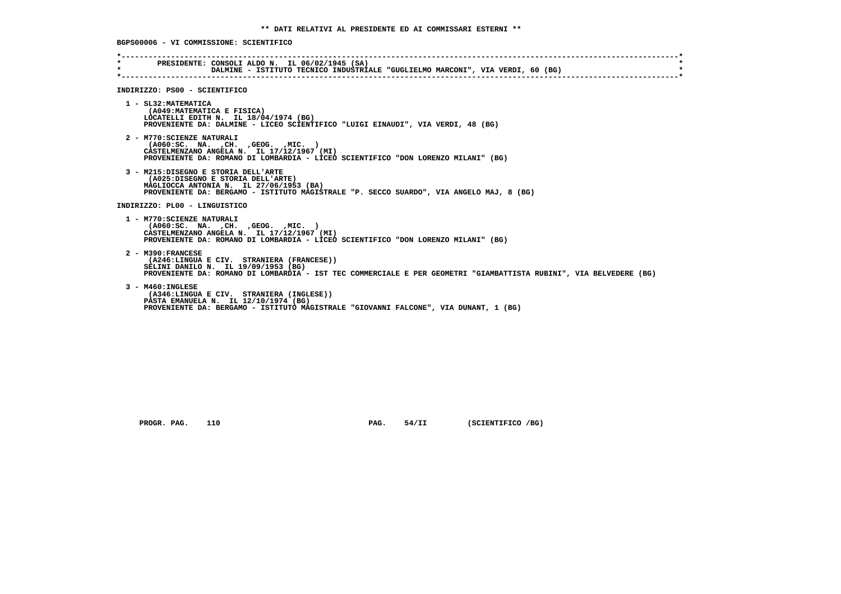**\*----------------------------------------------------------------------------------------------------------------------------\* \* PRESIDENTE: CONSOLI ALDO N. IL 06/02/1945 (SA) \* DALMINE - ISTITUTO TECNICO INDUSTRIALE "GUGLIELMO MARCONI", VIA VERDI, 60 (BG) \*----------------------------------------------------------------------------------------------------------------------------\* INDIRIZZO: PS00 - SCIENTIFICO 1 - SL32:MATEMATICA (A049:MATEMATICA E FISICA) LOCATELLI EDITH N. IL 18/04/1974 (BG) PROVENIENTE DA: DALMINE - LICEO SCIENTIFICO "LUIGI EINAUDI", VIA VERDI, 48 (BG) 2 - M770:SCIENZE NATURALI (A060:SC. NA. ,CH. ,GEOG. ,MIC. ) CASTELMENZANO ANGELA N. IL 17/12/1967 (MI) PROVENIENTE DA: ROMANO DI LOMBARDIA - LICEO SCIENTIFICO "DON LORENZO MILANI" (BG) 3 - M215:DISEGNO E STORIA DELL'ARTE (A025:DISEGNO E STORIA DELL'ARTE) MAGLIOCCA ANTONIA N. IL 27/06/1953 (BA) PROVENIENTE DA: BERGAMO - ISTITUTO MAGISTRALE "P. SECCO SUARDO", VIA ANGELO MAJ, 8 (BG) INDIRIZZO: PL00 - LINGUISTICO 1 - M770:SCIENZE NATURALI (A060:SC. NA. ,CH. ,GEOG. ,MIC. ) CASTELMENZANO ANGELA N. IL 17/12/1967 (MI) PROVENIENTE DA: ROMANO DI LOMBARDIA - LICEO SCIENTIFICO "DON LORENZO MILANI" (BG) 2 - M390:FRANCESE (A246:LINGUA E CIV. STRANIERA (FRANCESE)) SELINI DANILO N. IL 19/09/1953 (BG) PROVENIENTE DA: ROMANO DI LOMBARDIA - IST TEC COMMERCIALE E PER GEOMETRI "GIAMBATTISTA RUBINI", VIA BELVEDERE (BG) 3 - M460:INGLESE (A346:LINGUA E CIV. STRANIERA (INGLESE)) PASTA EMANUELA N. IL 12/10/1974 (BG) PROVENIENTE DA: BERGAMO - ISTITUTO MAGISTRALE "GIOVANNI FALCONE", VIA DUNANT, 1 (BG)**

 **PROGR. PAG.** 110 **PAG. 54/II** (SCIENTIFICO /BG)

 **BGPS00006 - VI COMMISSIONE: SCIENTIFICO**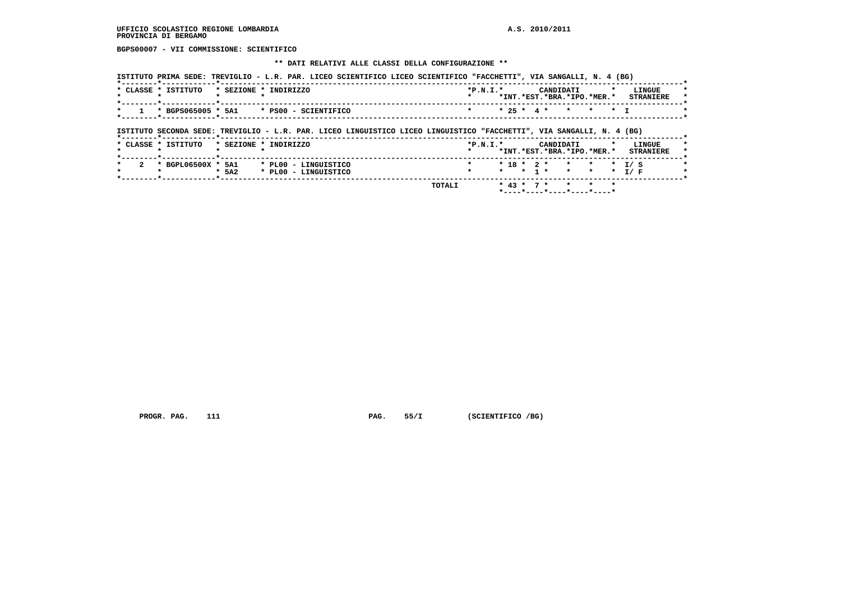**BGPS00007 - VII COMMISSIONE: SCIENTIFICO**

### **\*\* DATI RELATIVI ALLE CLASSI DELLA CONFIGURAZIONE \*\***

|                                             |                       |  | ISTITUTO PRIMA SEDE: TREVIGLIO - L.R. PAR. LICEO SCIENTIFICO LICEO SCIENTIFICO "FACCHETTI", VIA SANGALLI, N. 4 (BG) |  |            |  |           |                            |  |                  |  |
|---------------------------------------------|-----------------------|--|---------------------------------------------------------------------------------------------------------------------|--|------------|--|-----------|----------------------------|--|------------------|--|
| * CLASSE * ISTITUTO                         | * SEZIONE * INDIRIZZO |  |                                                                                                                     |  | $*P.N.T.*$ |  | CANDIDATI |                            |  | LINGUE           |  |
|                                             |                       |  |                                                                                                                     |  |            |  |           | *INT.*EST.*BRA.*IPO.*MER.* |  | <b>STRANTERE</b> |  |
| $1$ * BGPS065005 * 5A1 * PS00 - SCIENTIFICO |                       |  |                                                                                                                     |  |            |  |           | * 25 * 4 * * * * T         |  |                  |  |
|                                             |                       |  |                                                                                                                     |  |            |  |           |                            |  |                  |  |

## **ISTITUTO SECONDA SEDE: TREVIGLIO - L.R. PAR. LICEO LINGUISTICO LICEO LINGUISTICO "FACCHETTI", VIA SANGALLI, N. 4 (BG)**

| *INT.*EST.*BRA.*IPO.*MER.*                                               | <b>STRANTERE</b> |
|--------------------------------------------------------------------------|------------------|
|                                                                          |                  |
| * BGPL06500X * 5A1<br>* PL00 - LINGUISTICO<br>$* 18 * 2 * * * * * 1 / S$ |                  |
| * * * 1 * * * * T/F<br>$*$ 5A2<br>* PL00 - LINGUISTICO                   |                  |

 **PROGR. PAG.** 111 **PAG.** 55/I (SCIENTIFICO /BG)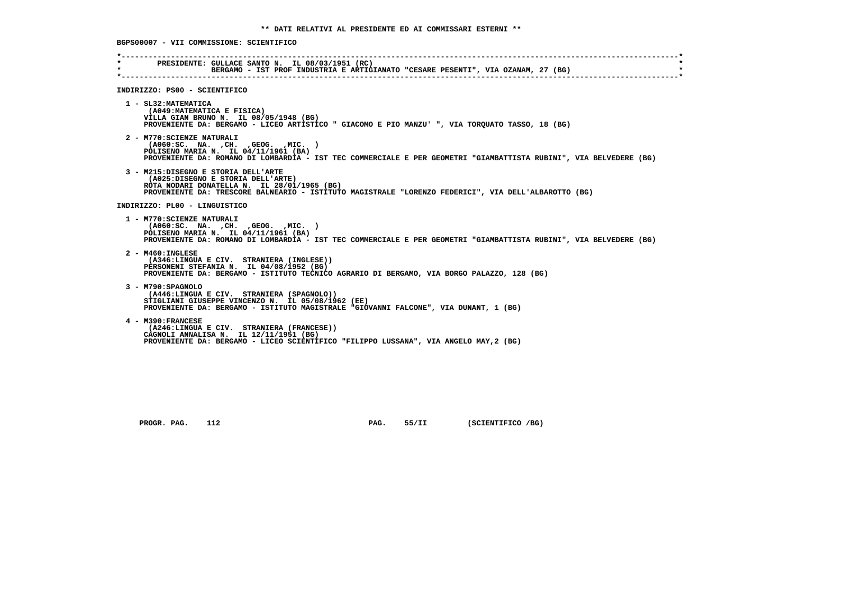**\*----------------------------------------------------------------------------------------------------------------------------\* \* PRESIDENTE: GULLACE SANTO N. IL 08/03/1951 (RC) \*BERGAMO - IST PROF INDUSTRIA E ARTIGIANATO "CESARE PESENTI", VIA OZANAM, 27 (BG) \*----------------------------------------------------------------------------------------------------------------------------\* INDIRIZZO: PS00 - SCIENTIFICO 1 - SL32:MATEMATICA (A049:MATEMATICA E FISICA) VILLA GIAN BRUNO N. IL 08/05/1948 (BG) PROVENIENTE DA: BERGAMO - LICEO ARTISTICO " GIACOMO E PIO MANZU' ", VIA TORQUATO TASSO, 18 (BG) 2 - M770:SCIENZE NATURALI (A060:SC. NA. ,CH. ,GEOG. ,MIC. ) POLISENO MARIA N. IL 04/11/1961 (BA) PROVENIENTE DA: ROMANO DI LOMBARDIA - IST TEC COMMERCIALE E PER GEOMETRI "GIAMBATTISTA RUBINI", VIA BELVEDERE (BG) 3 - M215:DISEGNO E STORIA DELL'ARTE (A025:DISEGNO E STORIA DELL'ARTE) ROTA NODARI DONATELLA N. IL 28/01/1965 (BG) PROVENIENTE DA: TRESCORE BALNEARIO - ISTITUTO MAGISTRALE "LORENZO FEDERICI", VIA DELL'ALBAROTTO (BG) INDIRIZZO: PL00 - LINGUISTICO 1 - M770:SCIENZE NATURALI (A060:SC. NA. ,CH. ,GEOG. ,MIC. ) POLISENO MARIA N. IL 04/11/1961 (BA) PROVENIENTE DA: ROMANO DI LOMBARDIA - IST TEC COMMERCIALE E PER GEOMETRI "GIAMBATTISTA RUBINI", VIA BELVEDERE (BG) 2 - M460:INGLESE (A346:LINGUA E CIV. STRANIERA (INGLESE)) PERSONENI STEFANIA N. IL 04/08/1952 (BG) PROVENIENTE DA: BERGAMO - ISTITUTO TECNICO AGRARIO DI BERGAMO, VIA BORGO PALAZZO, 128 (BG) 3 - M790:SPAGNOLO (A446:LINGUA E CIV. STRANIERA (SPAGNOLO)) STIGLIANI GIUSEPPE VINCENZO N. IL 05/08/1962 (EE) PROVENIENTE DA: BERGAMO - ISTITUTO MAGISTRALE "GIOVANNI FALCONE", VIA DUNANT, 1 (BG) 4 - M390:FRANCESE (A246:LINGUA E CIV. STRANIERA (FRANCESE)) CAGNOLI ANNALISA N. IL 12/11/1951 (BG) PROVENIENTE DA: BERGAMO - LICEO SCIENTIFICO "FILIPPO LUSSANA", VIA ANGELO MAY,2 (BG)**

 **PROGR. PAG. 112 PAG. 55/II (SCIENTIFICO /BG)**

 **BGPS00007 - VII COMMISSIONE: SCIENTIFICO**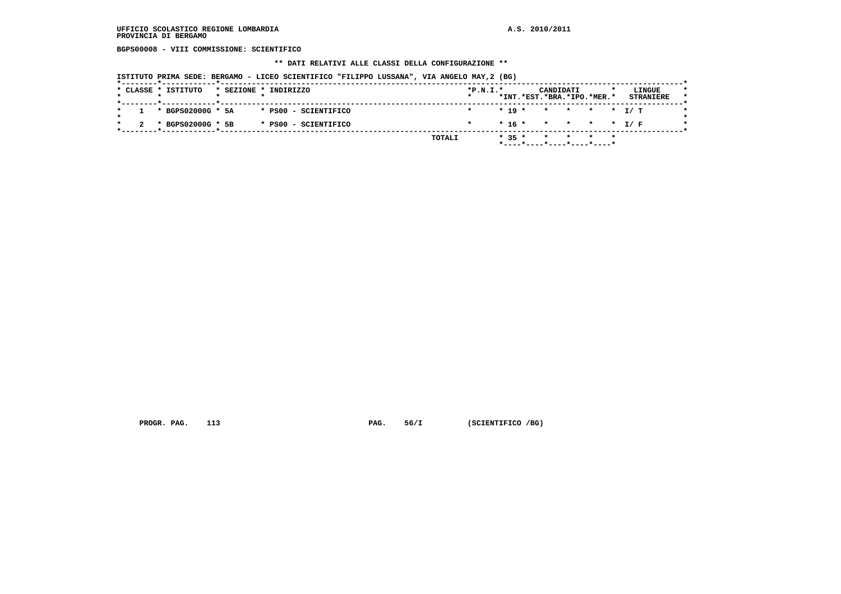**BGPS00008 - VIII COMMISSIONE: SCIENTIFICO**

### **\*\* DATI RELATIVI ALLE CLASSI DELLA CONFIGURAZIONE \*\***

 **ISTITUTO PRIMA SEDE: BERGAMO - LICEO SCIENTIFICO "FILIPPO LUSSANA", VIA ANGELO MAY,2 (BG)**

|  | * CLASSE * ISTITUTO   |  | * SEZIONE * INDIRIZZO | $*P.N.I.*$ |          | CANDIDATI                  |                 |  | LINGUE           |  |
|--|-----------------------|--|-----------------------|------------|----------|----------------------------|-----------------|--|------------------|--|
|  |                       |  |                       |            |          | *INT.*EST.*BRA.*IPO.*MER.* |                 |  | <b>STRANIERE</b> |  |
|  | $1 * BGPS02000G * 5A$ |  | * PS00 - SCIENTIFICO  |            |          | $* 19 * * * * * * I/T$     |                 |  |                  |  |
|  | * BGPS02000G * 5B     |  | * PS00 - SCIENTIFICO  |            |          | $* 16 * * * * * * I/F$     |                 |  |                  |  |
|  |                       |  | TOTALI                |            | $* 35 *$ | $\star$                    | $\star$ $\star$ |  |                  |  |
|  |                       |  |                       |            |          | *----*----*----*----*----* |                 |  |                  |  |

 **PROGR. PAG.** 113 **PAG.** 56/I (SCIENTIFICO /BG)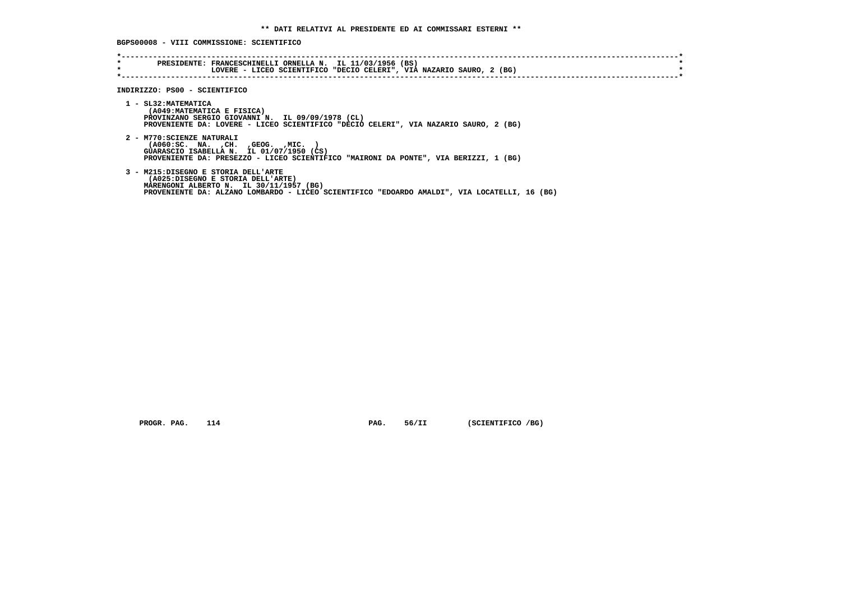**BGPS00008 - VIII COMMISSIONE: SCIENTIFICO**

| $\star$<br>$\star$ | PRESIDENTE: FRANCESCHINELLI ORNELLA N. IL 11/03/1956 (BS)<br>LOVERE - LICEO SCIENTIFICO "DECIO CELERI", VIA NAZARIO SAURO, 2 (BG)                                                                                   |
|--------------------|---------------------------------------------------------------------------------------------------------------------------------------------------------------------------------------------------------------------|
|                    | INDIRIZZO: PS00 - SCIENTIFICO                                                                                                                                                                                       |
|                    | 1 - SL32: MATEMATICA<br>(A049: MATEMATICA E FISICA)<br>PROVINZANO SERGIO GIOVANNI N. IL 09/09/1978 (CL)<br>PROVENIENTE DA: LOVERE - LICEO SCIENTIFICO "DECIO CELERI", VIA NAZARIO SAURO, 2 (BG)                     |
|                    | 2 - M770: SCIENZE NATURALI<br>( A060 : SC. NA. , CH. , GEOG. , MIC.<br>GUARASCIO ISABELLA N. IL 01/07/1950 (CS)<br>PROVENIENTE DA: PRESEZZO - LICEO SCIENTIFICO "MAIRONI DA PONTE", VIA BERIZZI, 1 (BG)             |
|                    | 3 - M215:DISEGNO E STORIA DELL'ARTE<br>(A025:DISEGNO E STORIA DELL'ARTE)<br>MARENGONI ALBERTO N. IL 30/11/1957 (BG)<br>PROVENIENTE DA: ALZANO LOMBARDO - LICEO SCIENTIFICO "EDOARDO AMALDI", VIA LOCATELLI, 16 (BG) |

 **PROGR. PAG.** 114 **PAG.** 56/II (SCIENTIFICO /BG)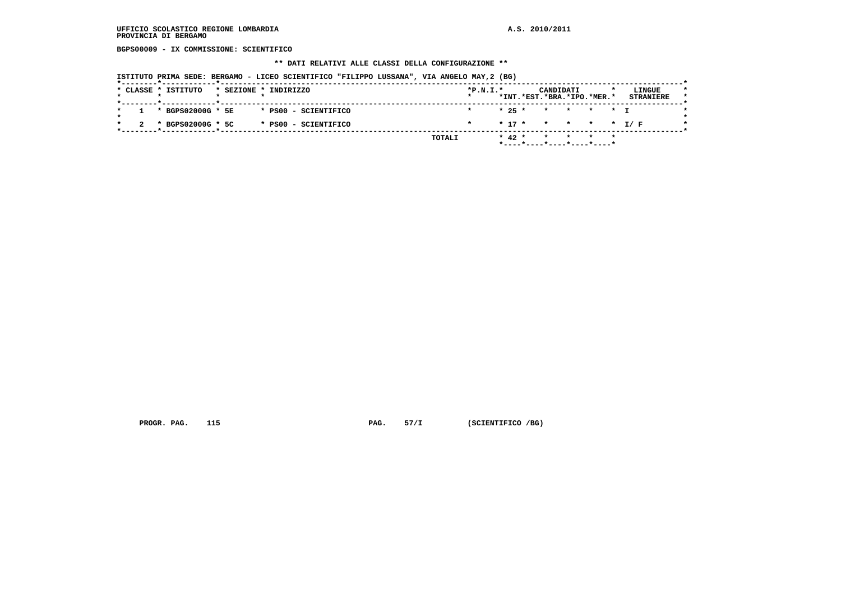**BGPS00009 - IX COMMISSIONE: SCIENTIFICO**

### **\*\* DATI RELATIVI ALLE CLASSI DELLA CONFIGURAZIONE \*\***

 **ISTITUTO PRIMA SEDE: BERGAMO - LICEO SCIENTIFICO "FILIPPO LUSSANA", VIA ANGELO MAY,2 (BG)**

|  | * CLASSE * ISTITUTO |  | * SEZIONE * INDIRIZZO | $*P.N.I.*$ |          | CANDIDATI<br>*INT.*EST.*BRA.*IPO.*MER.* |  | LINGUE<br><b>STRANIERE</b> |  |
|--|---------------------|--|-----------------------|------------|----------|-----------------------------------------|--|----------------------------|--|
|  |                     |  |                       |            |          |                                         |  |                            |  |
|  | * BGPS02000G * 5E   |  | * PS00 - SCIENTIFICO  |            |          | * 25 * * * * * T                        |  |                            |  |
|  | * BGPS02000G * 5C   |  | * PS00 - SCIENTIFICO  |            |          | $* 17 * * * * * * I/F$                  |  |                            |  |
|  |                     |  | TOTALI                |            | $* 42 *$ |                                         |  |                            |  |
|  |                     |  |                       |            |          |                                         |  |                            |  |

 **PROGR. PAG.** 115 **PAG.** 57/I (SCIENTIFICO /BG)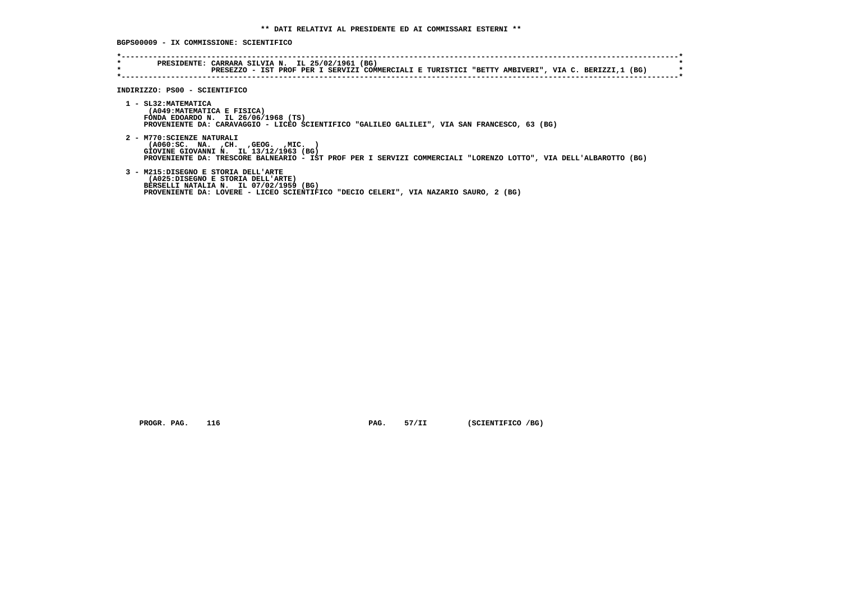**BGPS00009 - IX COMMISSIONE: SCIENTIFICO**

| $\star$ | PRESEZZO - IST PROF PER I SERVIZI COMMERCIALI E TURISTICI "BETTY AMBIVERI", VIA C. BERIZZI,1 (BG)                                                                                                                                     |
|---------|---------------------------------------------------------------------------------------------------------------------------------------------------------------------------------------------------------------------------------------|
|         | INDIRIZZO: PS00 - SCIENTIFICO                                                                                                                                                                                                         |
|         | 1 - SL32: MATEMATICA<br>(A049: MATEMATICA E FISICA)<br>FONDA EDOARDO N. IL 26/06/1968 (TS)<br>PROVENIENTE DA: CARAVAGGIO - LICEO SCIENTIFICO "GALILEO GALILEI", VIA SAN FRANCESCO, 63 (BG)                                            |
|         | 2 - M770: SCIENZE NATURALI<br>$( A060 : SC. NA. , CH. , GEOG. , MIC. )$<br>GIOVINE GIOVANNI N. IL 13/12/1963 (BG)<br>PROVENIENTE DA: TRESCORE BALNEARIO - IST PROF PER I SERVIZI COMMERCIALI "LORENZO LOTTO", VIA DELL'ALBAROTTO (BG) |
|         | 3 - M215:DISEGNO E STORIA DELL'ARTE<br>(A025:DISEGNO E STORIA DELL'ARTE)<br>BERSELLI NATALIA N. IL 07/02/1959 (BG)<br>PROVENIENTE DA: LOVERE - LICEO SCIENTIFICO "DECIO CELERI", VIA NAZARIO SAURO, 2 (BG)                            |

 **PROGR. PAG.** 116 **PAG.** 57/II (SCIENTIFICO /BG)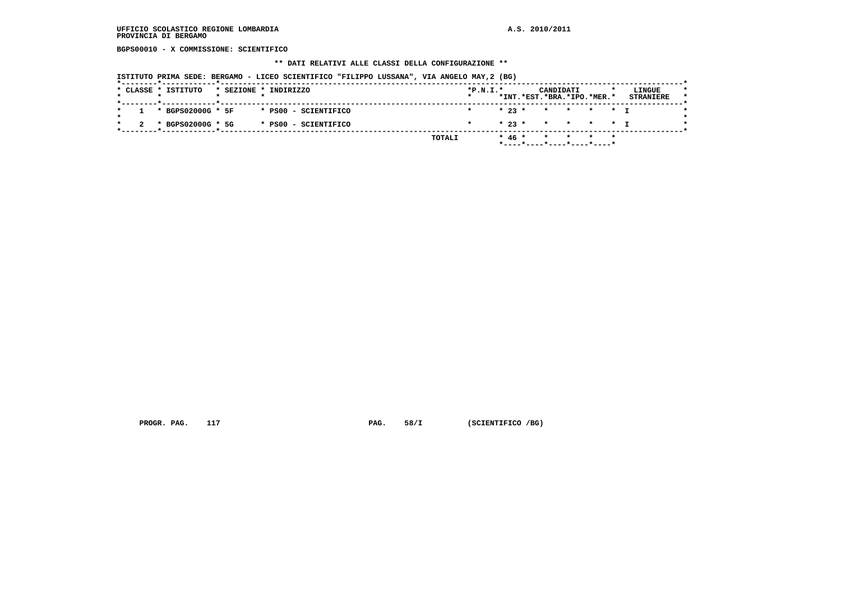**BGPS00010 - X COMMISSIONE: SCIENTIFICO**

### **\*\* DATI RELATIVI ALLE CLASSI DELLA CONFIGURAZIONE \*\***

 **ISTITUTO PRIMA SEDE: BERGAMO - LICEO SCIENTIFICO "FILIPPO LUSSANA", VIA ANGELO MAY,2 (BG)**

|  | * CLASSE * ISTITUTO   |  | * SEZIONE * INDIRIZZO | $*P.N.T.*$ |  | *INT.*EST.*BRA.*IPO.*MER.* | CANDIDATI               |  |         | LINGUE<br><b>STRANIERE</b> |  |
|--|-----------------------|--|-----------------------|------------|--|----------------------------|-------------------------|--|---------|----------------------------|--|
|  |                       |  |                       |            |  |                            |                         |  |         |                            |  |
|  | $1 * BGPS02000G * 5F$ |  | * PS00 - SCIENTIFICO  |            |  | $* 23 *$                   | * * * * T               |  |         |                            |  |
|  |                       |  |                       |            |  |                            |                         |  |         |                            |  |
|  | * BGPS02000G * 5G     |  | * PS00 - SCIENTIFICO  |            |  | $* 23 * * * * * * * 1$     |                         |  |         |                            |  |
|  |                       |  |                       |            |  |                            |                         |  |         |                            |  |
|  |                       |  | TOTALI                |            |  | $* 46 *$                   | $\star$ $\star$ $\star$ |  | $\star$ |                            |  |
|  |                       |  |                       |            |  |                            |                         |  |         |                            |  |

 **PROGR. PAG.** 117 **PAG.** 58/I (SCIENTIFICO /BG)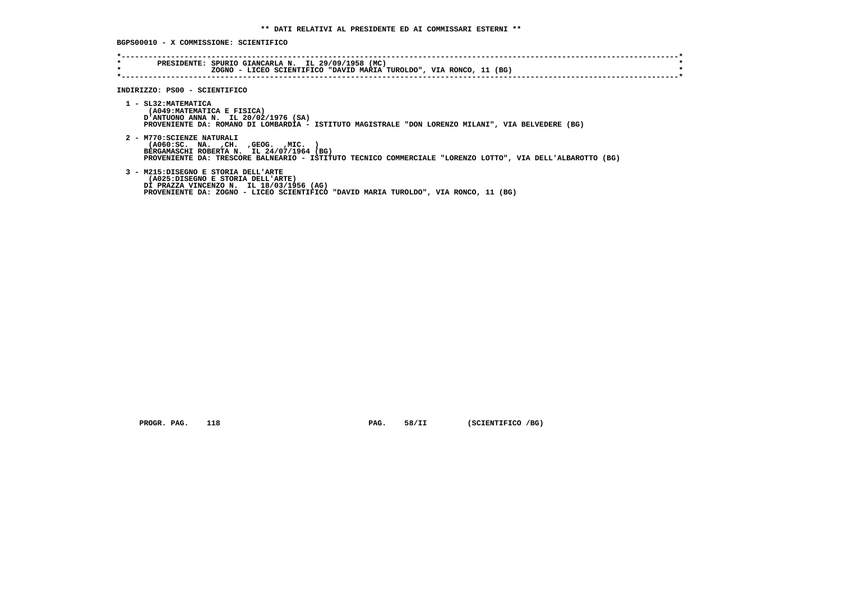**BGPS00010 - X COMMISSIONE: SCIENTIFICO**

| *<br>$\star$ | PRESIDENTE: SPURIO GIANCARLA N. IL 29/09/1958 (MC)<br>ZOGNO - LICEO SCIENTIFICO "DAVID MARIA TUROLDO", VIA RONCO, 11 (BG)                                                                                                          |
|--------------|------------------------------------------------------------------------------------------------------------------------------------------------------------------------------------------------------------------------------------|
|              | INDIRIZZO: PS00 - SCIENTIFICO                                                                                                                                                                                                      |
|              | 1 - SL32: MATEMATICA<br>(A049: MATEMATICA E FISICA)<br>D'ANTUONO ANNA N. IL 20/02/1976 (SA)<br>PROVENIENTE DA: ROMANO DI LOMBARDIA - ISTITUTO MAGISTRALE "DON LORENZO MILANI", VIA BELVEDERE (BG)                                  |
|              | 2 - M770: SCIENZE NATURALI<br>$( A060 : SC. NA. , CH. , GEOG. , MIC. )$<br>BERGAMASCHI ROBERTA N. IL 24/07/1964 (BG)<br>PROVENIENTE DA: TRESCORE BALNEARIO - ISTITUTO TECNICO COMMERCIALE "LORENZO LOTTO", VIA DELL'ALBAROTTO (BG) |
|              | 3 - M215:DISEGNO E STORIA DELL'ARTE<br>(A025:DISEGNO E STORIA DELL'ARTE)<br>DI PRAZZA VINCENZO N. IL 18/03/1956 (AG)<br>PROVENIENTE DA: ZOGNO - LICEO SCIENTIFICO "DAVID MARIA TUROLDO", VIA RONCO, 11 (BG)                        |

 **PROGR. PAG.** 118 **PAG.** 58/II (SCIENTIFICO /BG)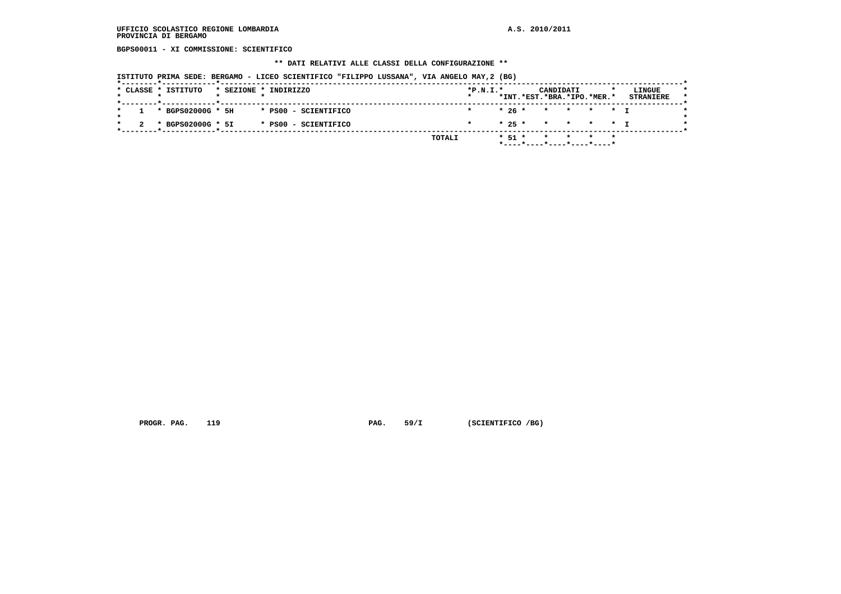**BGPS00011 - XI COMMISSIONE: SCIENTIFICO**

### **\*\* DATI RELATIVI ALLE CLASSI DELLA CONFIGURAZIONE \*\***

 **ISTITUTO PRIMA SEDE: BERGAMO - LICEO SCIENTIFICO "FILIPPO LUSSANA", VIA ANGELO MAY,2 (BG)**

|  | * CLASSE * ISTITUTO   |  | * SEZIONE * INDIRIZZO | $*P.N.T.*$ |  | *INT.*EST.*BRA.*IPO.*MER.* | CANDIDATI |  |         | LINGUE<br><b>STRANIERE</b> |
|--|-----------------------|--|-----------------------|------------|--|----------------------------|-----------|--|---------|----------------------------|
|  | $1 * BGPS02000G * 5H$ |  | * PS00 - SCIENTIFICO  |            |  | * 26 * * * * * T           |           |  |         |                            |
|  | * BGPS02000G * 5I     |  | * PS00 - SCIENTIFICO  |            |  | $* 25 * * * * * * T$       |           |  |         |                            |
|  |                       |  | TOTALI                |            |  | * 51 *                     | * * *     |  | $\star$ |                            |

 **PROGR. PAG.** 119 **PAG.** 59/I (SCIENTIFICO /BG)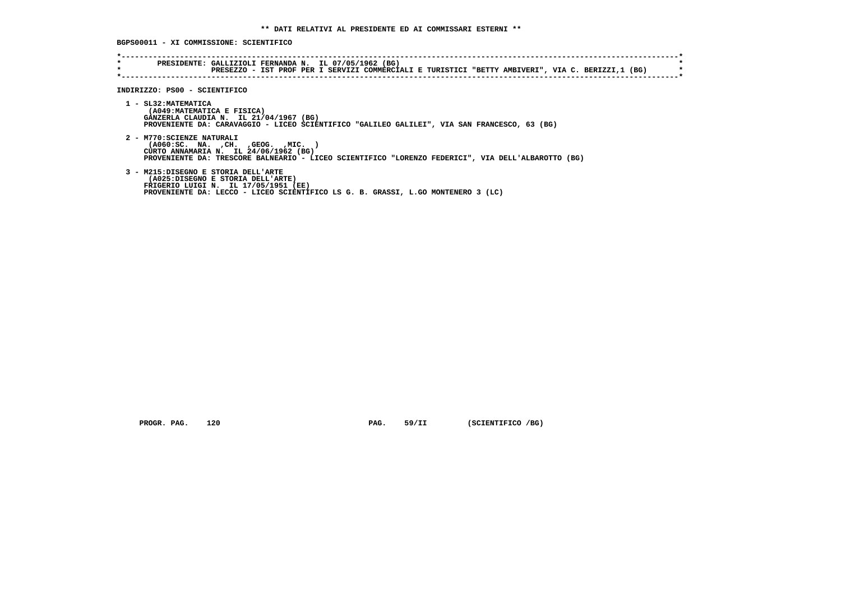**BGPS00011 - XI COMMISSIONE: SCIENTIFICO**

| $\star$<br>$\star$ | PRESIDENTE: GALLIZIOLI FERNANDA N. IL 07/05/1962 (BG)<br>PRESEZZO - IST PROF PER I SERVIZI COMMERCIALI E TURISTICI "BETTY AMBIVERI", VIA C. BERIZZI,1 (BG)                                                         |
|--------------------|--------------------------------------------------------------------------------------------------------------------------------------------------------------------------------------------------------------------|
|                    | INDIRIZZO: PS00 - SCIENTIFICO                                                                                                                                                                                      |
|                    | 1 - SL32: MATEMATICA<br>(A049: MATEMATICA E FISICA)<br>GANZERLA CLAUDIA N. IL 21/04/1967 (BG)<br>PROVENIENTE DA: CARAVAGGIO - LICEO SCIENTIFICO "GALILEO GALILEI", VIA SAN FRANCESCO, 63 (BG)                      |
|                    | 2 - M770: SCIENZE NATURALI<br>( A060 : SC. NA. , CH. , GEOG. , MIC.<br>CURTO ANNAMARIA N. IL 24/06/1962 (BG)<br>PROVENIENTE DA: TRESCORE BALNEARIO - LICEO SCIENTIFICO "LORENZO FEDERICI", VIA DELL'ALBAROTTO (BG) |
|                    | 3 - M215:DISEGNO E STORIA DELL'ARTE<br>(A025:DISEGNO E STORIA DELL'ARTE)<br>FRIGERIO LUIGI N. IL 17/05/1951 (EE)<br>PROVENIENTE DA: LECCO - LICEO SCIENTIFICO LS G. B. GRASSI, L.GO MONTENERO 3 (LC)               |

 **PROGR. PAG.** 120 **PAG.** 59/II (SCIENTIFICO /BG)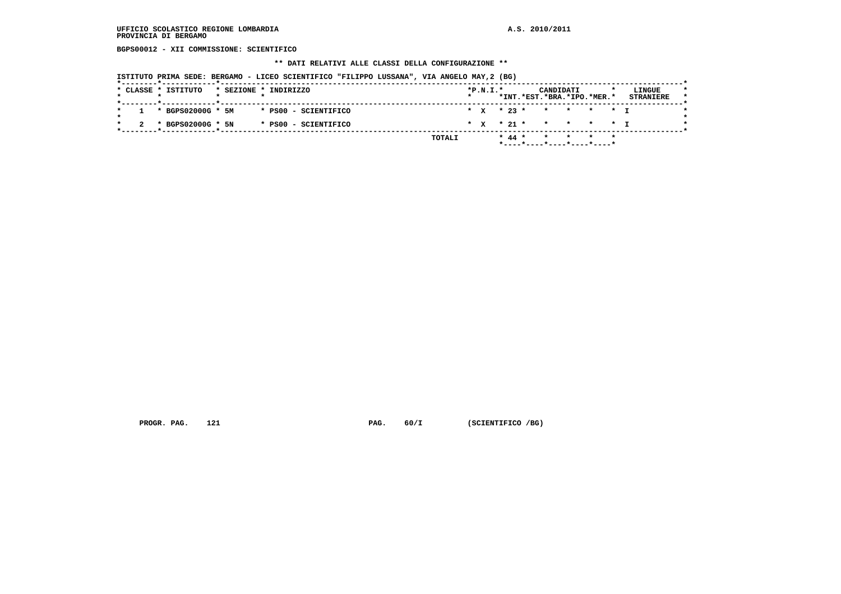**BGPS00012 - XII COMMISSIONE: SCIENTIFICO**

### **\*\* DATI RELATIVI ALLE CLASSI DELLA CONFIGURAZIONE \*\***

 **ISTITUTO PRIMA SEDE: BERGAMO - LICEO SCIENTIFICO "FILIPPO LUSSANA", VIA ANGELO MAY,2 (BG)**

|  | * CLASSE * ISTITUTO   | * SEZIONE * INDIRIZZO |  |                      |  | $*P.N.I.*$ |  |          | CANDIDATI<br>*INT.*EST.*BRA.*IPO.*MER.* |  | LINGUE<br><b>STRANIERE</b> |  |
|--|-----------------------|-----------------------|--|----------------------|--|------------|--|----------|-----------------------------------------|--|----------------------------|--|
|  |                       |                       |  |                      |  |            |  |          |                                         |  |                            |  |
|  | $1 * BGPS02000G * 5M$ |                       |  | * PS00 - SCIENTIFICO |  |            |  |          | * X * 23 * * * * * * I                  |  |                            |  |
|  | * BGPS02000G * 5N     |                       |  | * PS00 - SCIENTIFICO |  |            |  |          | * x * 21 * * * * * * T                  |  |                            |  |
|  |                       |                       |  | TOTALI               |  |            |  | $* 44 *$ | * * * *                                 |  |                            |  |
|  |                       |                       |  |                      |  |            |  |          | *----*----*----*----*----*              |  |                            |  |

 **PROGR. PAG.** 121 **PAG.** 60/I (SCIENTIFICO /BG)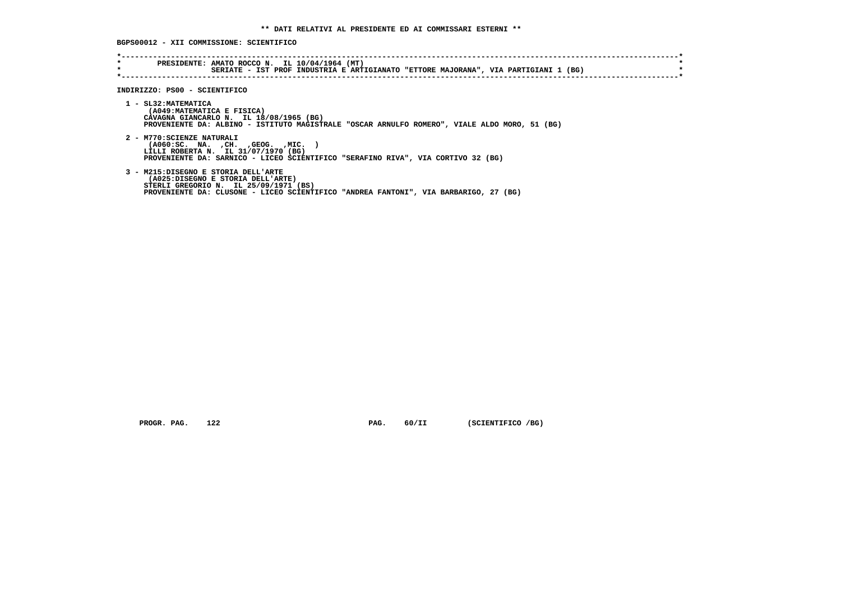**BGPS00012 - XII COMMISSIONE: SCIENTIFICO**

| $\star$<br>$\star$ | PRESIDENTE: AMATO ROCCO N. IL 10/04/1964 (MT)<br>SERIATE - IST PROF INDUSTRIA E ARTIGIANATO "ETTORE MAJORANA", VIA PARTIGIANI 1 (BG)                                                                      |
|--------------------|-----------------------------------------------------------------------------------------------------------------------------------------------------------------------------------------------------------|
|                    | INDIRIZZO: PS00 - SCIENTIFICO                                                                                                                                                                             |
|                    | 1 - SL32: MATEMATICA<br>(A049: MATEMATICA E FISICA)<br>CAVAGNA GIANCARLO N. IL 18/08/1965 (BG)<br>PROVENIENTE DA: ALBINO - ISTITUTO MAGISTRALE "OSCAR ARNULFO ROMERO", VIALE ALDO MORO, 51 (BG)           |
|                    | 2 - M770: SCIENZE NATURALI<br>( A060:SC. NA. , CH. , GEOG. , MIC.<br>LILLI ROBERTA N. IL 31/07/1970 (BG)<br>PROVENIENTE DA: SARNICO - LICEO SCIENTIFICO "SERAFINO RIVA", VIA CORTIVO 32 (BG)              |
|                    | 3 - M215:DISEGNO E STORIA DELL'ARTE<br>(A025:DISEGNO E STORIA DELL'ARTE)<br>STERLI GREGORIO N. IL 25/09/1971 (BS)<br>PROVENIENTE DA: CLUSONE - LICEO SCIENTIFICO "ANDREA FANTONI", VIA BARBARIGO, 27 (BG) |

 **PROGR. PAG.** 122 **PAG.** 60/II (SCIENTIFICO /BG)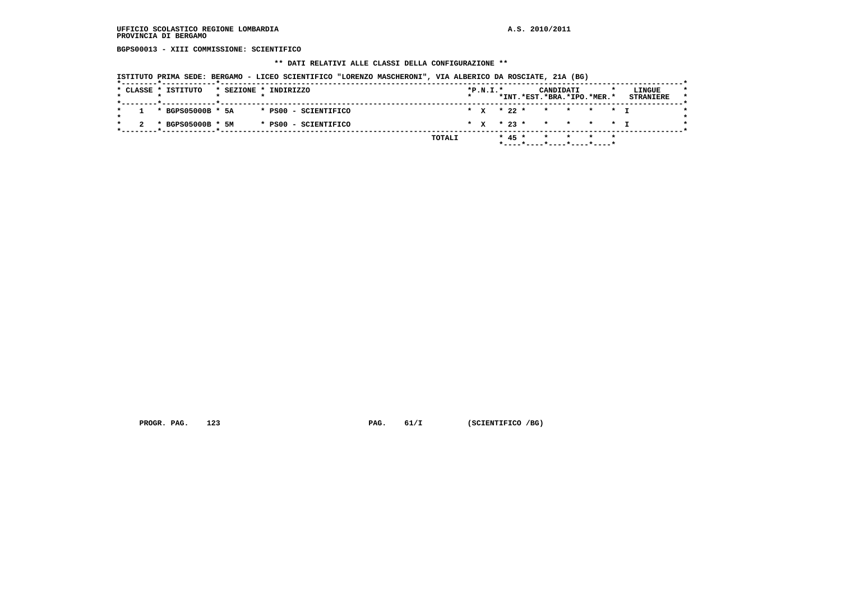**BGPS00013 - XIII COMMISSIONE: SCIENTIFICO**

### **\*\* DATI RELATIVI ALLE CLASSI DELLA CONFIGURAZIONE \*\***

 **ISTITUTO PRIMA SEDE: BERGAMO - LICEO SCIENTIFICO "LORENZO MASCHERONI", VIA ALBERICO DA ROSCIATE, 21A (BG)**

| * x * 22 * * * * * * I<br>$1 * BGPS05000B * 5A$<br>* PS00 - SCIENTIFICO<br>* x * 23 * * * * * T<br>* BGPS05000B * 5M<br>* PS00 - SCIENTIFICO | * CLASSE * ISTITUTO | * SEZIONE * INDIRIZZO |  | $*P.N.I.*$ |  | CANDIDATI<br>*INT.*EST.*BRA.*IPO.*MER.* |  | LINGUE<br><b>STRANIERE</b> |
|----------------------------------------------------------------------------------------------------------------------------------------------|---------------------|-----------------------|--|------------|--|-----------------------------------------|--|----------------------------|
|                                                                                                                                              |                     |                       |  |            |  |                                         |  |                            |
|                                                                                                                                              |                     |                       |  |            |  |                                         |  |                            |

 **PROGR. PAG.** 123 **PAG.** 61/I (SCIENTIFICO /BG)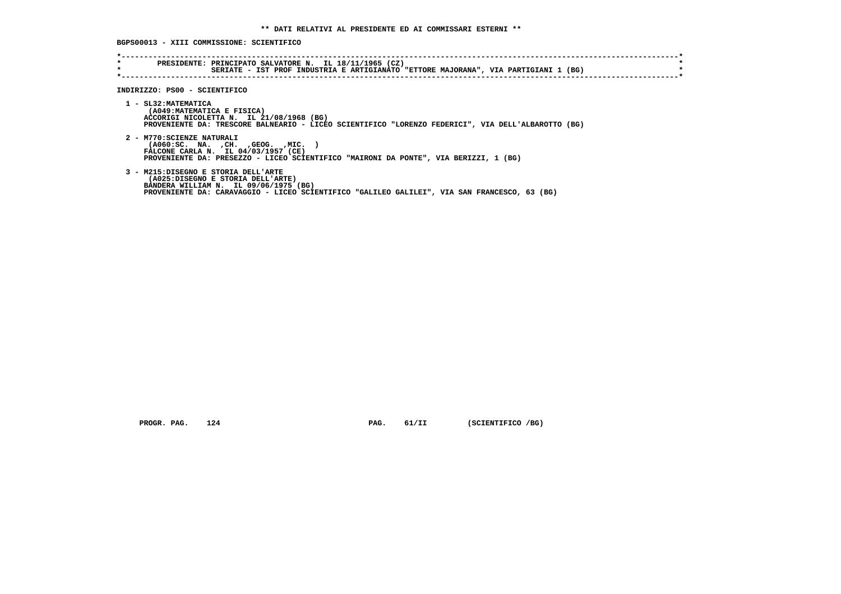# **BGPS00013 - XIII COMMISSIONE: SCIENTIFICO**

| *       | PRESIDENTE: PRINCIPATO SALVATORE N. IL 18/11/1965 (CZ)                                             |
|---------|----------------------------------------------------------------------------------------------------|
| $\star$ | SERIATE - IST PROF INDUSTRIA E ARTIGIANATO "ETTORE MAJORANA", VIA PARTIGIANI 1 (BG)                |
|         |                                                                                                    |
|         |                                                                                                    |
|         | INDIRIZZO: PS00 - SCIENTIFICO                                                                      |
|         |                                                                                                    |
|         | 1 - SL32: MATEMATICA                                                                               |
|         | (A049: MATEMATICA E FISICA)                                                                        |
|         | ACCORIGI NICOLETTA N. IL 21/08/1968 (BG)                                                           |
|         | PROVENIENTE DA: TRESCORE BALNEARIO - LICEO SCIENTIFICO "LORENZO FEDERICI", VIA DELL'ALBAROTTO (BG) |
|         |                                                                                                    |
|         | 2 - M770: SCIENZE NATURALI                                                                         |
|         | ( A060:SC. NA. , CH. , GEOG. , MIC. )                                                              |
|         | FALCONE CARLA N. IL 04/03/1957 (CE)                                                                |
|         | PROVENIENTE DA: PRESEZZO - LICEO SCIENTIFICO "MAIRONI DA PONTE", VIA BERIZZI, 1 (BG)               |
|         |                                                                                                    |
|         | 3 - M215:DISEGNO E STORIA DELL'ARTE                                                                |
|         | (A025:DISEGNO E STORIA DELL'ARTE)                                                                  |
|         | BANDERA WILLIAM N. IL 09/06/1975 (BG)                                                              |
|         | PROVENIENTE DA: CARAVAGGIO - LICEO SCIENTIFICO "GALILEO GALILEI", VIA SAN FRANCESCO, 63 (BG)       |

 **PROGR. PAG.** 124 **PAG.** 61/II (SCIENTIFICO /BG)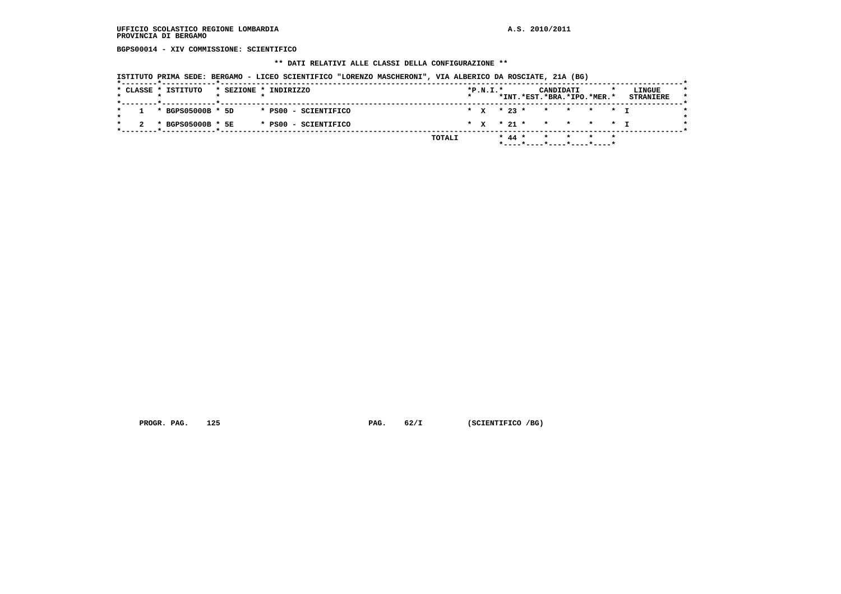**BGPS00014 - XIV COMMISSIONE: SCIENTIFICO**

### **\*\* DATI RELATIVI ALLE CLASSI DELLA CONFIGURAZIONE \*\***

 **ISTITUTO PRIMA SEDE: BERGAMO - LICEO SCIENTIFICO "LORENZO MASCHERONI", VIA ALBERICO DA ROSCIATE, 21A (BG)**

| * CLASSE * ISTITUTO |  | * SEZIONE * INDIRIZZO |  | $*P.N.T.*$ |  | CANDIDATI<br>*INT.*EST.*BRA.*IPO.*MER.* |  | LINGUE<br><b>STRANIERE</b> |
|---------------------|--|-----------------------|--|------------|--|-----------------------------------------|--|----------------------------|
|                     |  |                       |  |            |  |                                         |  |                            |
| 1 * BGPS05000B * 5D |  | * PS00 - SCIENTIFICO  |  |            |  | * x * 23 * * * * * * I                  |  |                            |
| * BGPS05000B * 5E   |  | * PS00 - SCIENTIFICO  |  |            |  | * x * 21 * * * * * * T                  |  |                            |
|                     |  | TOTALI                |  |            |  | * 44 * * * * * *                        |  |                            |
|                     |  |                       |  |            |  | *----*---*---*---*---*---               |  |                            |

 **PROGR. PAG.** 125 **PAG.** 62/I (SCIENTIFICO /BG)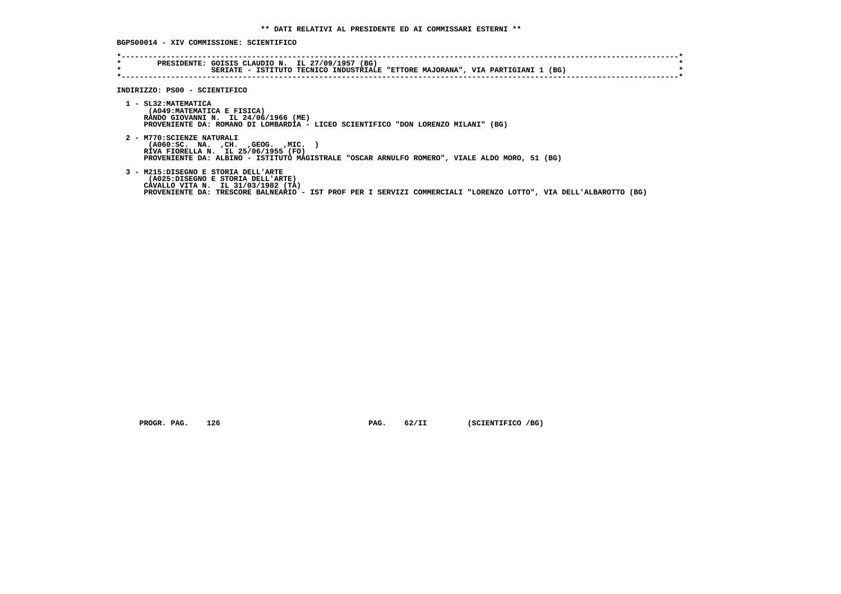**BGPS00014 - XIV COMMISSIONE: SCIENTIFICO**

| $\star$ | SERIATE - ISTITUTO TECNICO INDUSTRIALE "ETTORE MAJORANA", VIA PARTIGIANI 1 (BG)                                                                                                                                                    |
|---------|------------------------------------------------------------------------------------------------------------------------------------------------------------------------------------------------------------------------------------|
|         | INDIRIZZO: PS00 - SCIENTIFICO                                                                                                                                                                                                      |
|         | 1 - SL32: MATEMATICA<br>(A049: MATEMATICA E FISICA)<br>RANDO GIOVANNI N. IL 24/06/1966 (ME)<br>PROVENIENTE DA: ROMANO DI LOMBARDIA - LICEO SCIENTIFICO "DON LORENZO MILANI" (BG)                                                   |
|         | 2 - M770: SCIENZE NATURALI<br>( A060 : SC. NA. , CH. , GEOG. , MIC.<br>RIVA FIORELLA N. IL 25/06/1955 (FO)<br>PROVENIENTE DA: ALBINO - ISTITUTO MAGISTRALE "OSCAR ARNULFO ROMERO", VIALE ALDO MORO, 51 (BG)                        |
|         | 3 - M215:DISEGNO E STORIA DELL'ARTE<br>(A025:DISEGNO E STORIA DELL'ARTE)<br>CAVALLO VITA N. IL 31/03/1982 (TA)<br>PROVENIENTE DA: TRESCORE BALNEARIO - IST PROF PER I SERVIZI COMMERCIALI "LORENZO LOTTO", VIA DELL'ALBAROTTO (BG) |

 **PROGR. PAG.** 126 **PAG.** 62/II (SCIENTIFICO /BG)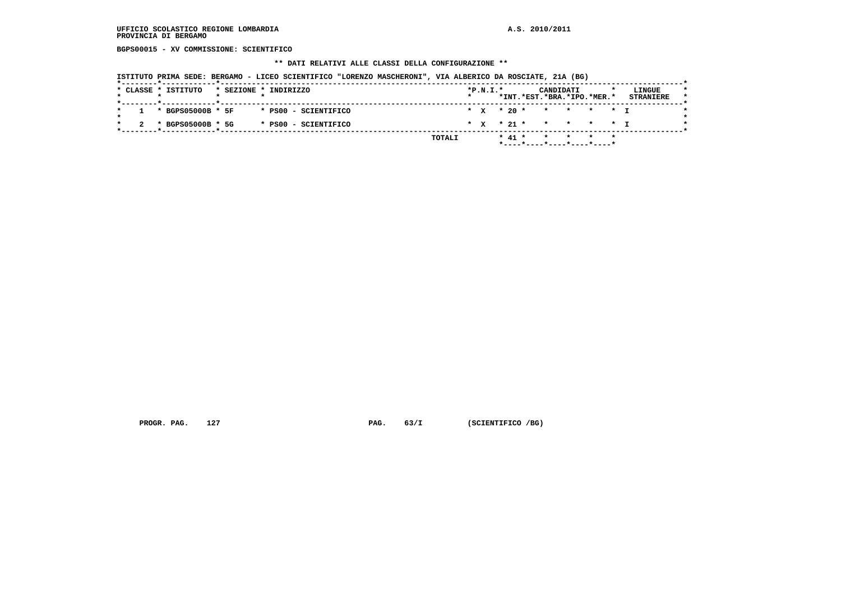**BGPS00015 - XV COMMISSIONE: SCIENTIFICO**

### **\*\* DATI RELATIVI ALLE CLASSI DELLA CONFIGURAZIONE \*\***

 **ISTITUTO PRIMA SEDE: BERGAMO - LICEO SCIENTIFICO "LORENZO MASCHERONI", VIA ALBERICO DA ROSCIATE, 21A (BG)**

|  | * CLASSE * ISTITUTO   | * SEZIONE * INDIRIZZO |  |                      |               | $*P.N.I.*$ |  |  | CANDIDATI<br>*INT.*EST.*BRA.*IPO.*MER.* |  | LINGUE<br><b>STRANIERE</b> |  |
|--|-----------------------|-----------------------|--|----------------------|---------------|------------|--|--|-----------------------------------------|--|----------------------------|--|
|  | $1 * BGPS05000B * 5F$ |                       |  | * PS00 - SCIENTIFICO |               |            |  |  | * x * 20 * * * * * * I                  |  |                            |  |
|  |                       |                       |  |                      |               |            |  |  |                                         |  |                            |  |
|  | * BGPS05000B * 5G     |                       |  | * PS00 - SCIENTIFICO |               |            |  |  | * x * 21 * * * * * T                    |  |                            |  |
|  |                       |                       |  |                      | <b>TOTALI</b> |            |  |  | * 41 * * * * *                          |  |                            |  |
|  |                       |                       |  |                      |               |            |  |  | .                                       |  |                            |  |

 **PROGR. PAG.** 127 **PAG.** 63/I (SCIENTIFICO /BG)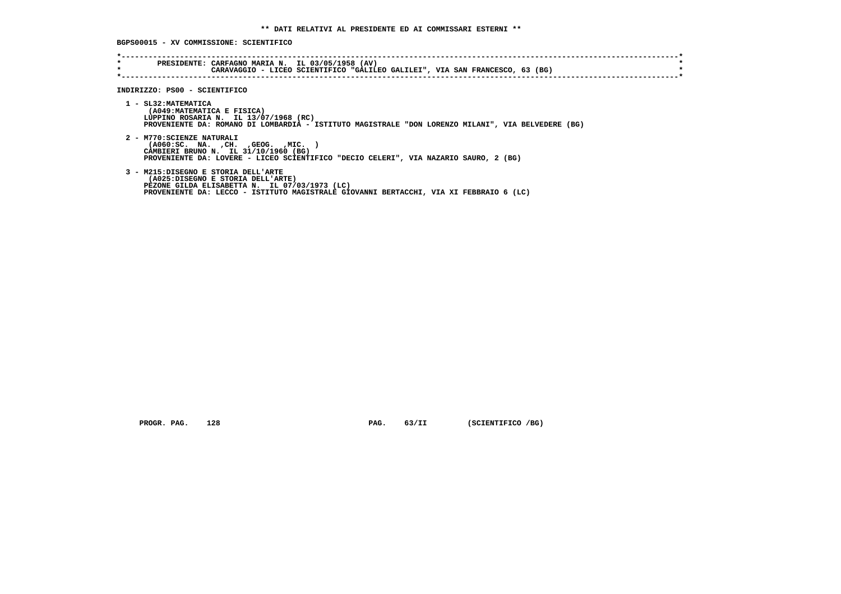**BGPS00015 - XV COMMISSIONE: SCIENTIFICO**

| $\star$<br>$\star$ | PRESIDENTE: CARFAGNO MARIA N. IL 03/05/1958 (AV)<br>CARAVAGGIO - LICEO SCIENTIFICO "GALILEO GALILEI", VIA SAN FRANCESCO, 63 (BG)                                                                                    |
|--------------------|---------------------------------------------------------------------------------------------------------------------------------------------------------------------------------------------------------------------|
|                    |                                                                                                                                                                                                                     |
|                    | INDIRIZZO: PS00 - SCIENTIFICO                                                                                                                                                                                       |
|                    | 1 - SL32: MATEMATICA<br>(A049: MATEMATICA E FISICA)<br>LUPPINO ROSARIA N. IL 13/07/1968 (RC)<br>PROVENIENTE DA: ROMANO DI LOMBARDIA - ISTITUTO MAGISTRALE "DON LORENZO MILANI", VIA BELVEDERE (BG)                  |
|                    | 2 - M770: SCIENZE NATURALI<br>$( A060 : SC. NA. , CH. , GEOG. , MIC. )$<br>CAMBIERI BRUNO N. IL 31/10/1960 (BG)<br>PROVENIENTE DA: LOVERE - LICEO SCIENTIFICO "DECIO CELERI", VIA NAZARIO SAURO, 2 (BG)             |
|                    | 3 - M215:DISEGNO E STORIA DELL'ARTE<br>(A025:DISEGNO E STORIA DELL'ARTE)<br>PEZONE GILDA ELISABETTA N. IL 07/03/1973 (LC)<br>PROVENIENTE DA: LECCO - ISTITUTO MAGISTRALE GIOVANNI BERTACCHI, VIA XI FEBBRAIO 6 (LC) |

 **PROGR. PAG.** 128 **PAG.** 63/II (SCIENTIFICO /BG)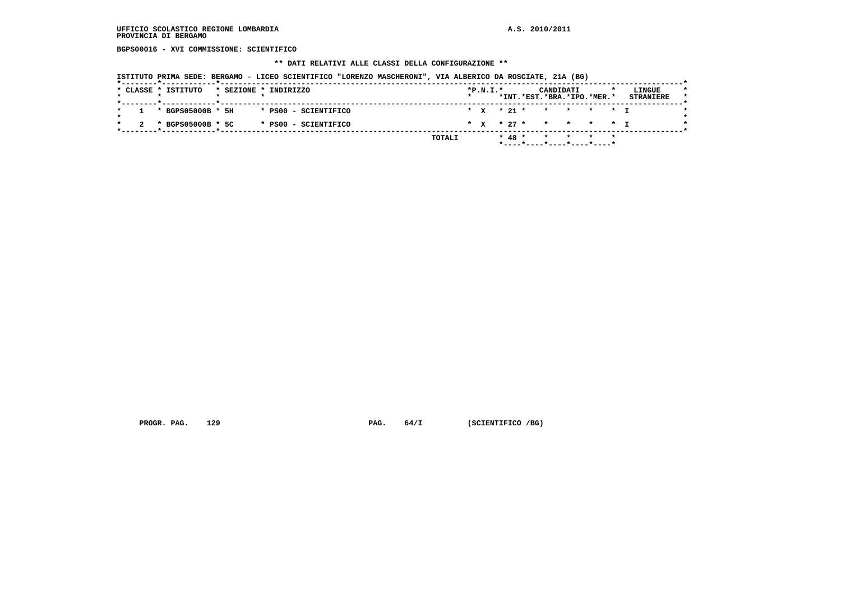**BGPS00016 - XVI COMMISSIONE: SCIENTIFICO**

### **\*\* DATI RELATIVI ALLE CLASSI DELLA CONFIGURAZIONE \*\***

 **ISTITUTO PRIMA SEDE: BERGAMO - LICEO SCIENTIFICO "LORENZO MASCHERONI", VIA ALBERICO DA ROSCIATE, 21A (BG)**

| * x * 21 * * * * * * I<br>$1 * BGPS05000B * 5H$<br>* PS00 - SCIENTIFICO<br>* x * 27 * * * * * * I<br>2 * BGPS05000B * 5C<br>* PS00 - SCIENTIFICO |  |  |  | *INT.*EST.*BRA.*IPO.*MER.* |  |  |  | * SEZIONE * INDIRIZZO |  | * CLASSE * ISTITUTO |  |
|--------------------------------------------------------------------------------------------------------------------------------------------------|--|--|--|----------------------------|--|--|--|-----------------------|--|---------------------|--|
|                                                                                                                                                  |  |  |  |                            |  |  |  |                       |  |                     |  |
|                                                                                                                                                  |  |  |  |                            |  |  |  |                       |  |                     |  |

 **PROGR. PAG.** 129 **PAG.** 64/I (SCIENTIFICO /BG)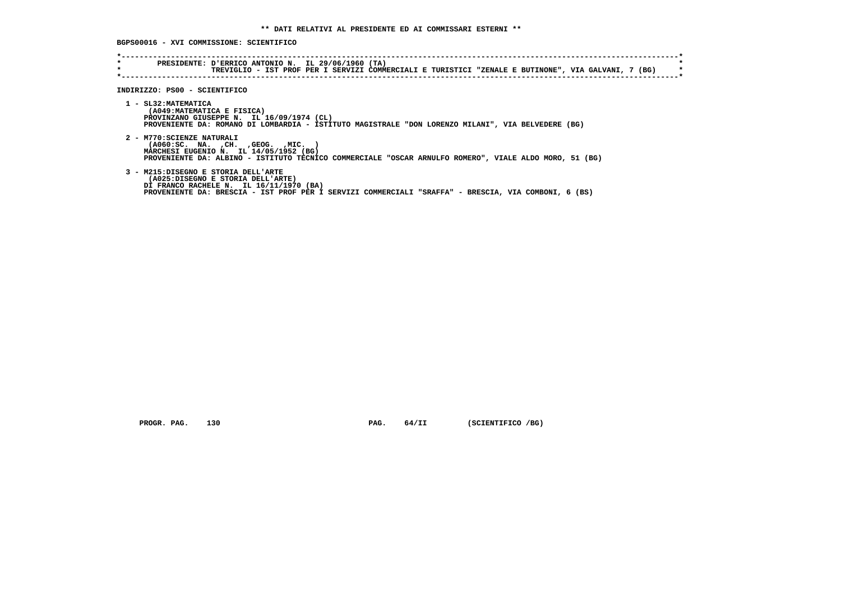**BGPS00016 - XVI COMMISSIONE: SCIENTIFICO**

| $\star$ | TREVIGLIO - IST PROF PER I SERVIZI COMMERCIALI E TURISTICI "ZENALE E BUTINONE", VIA GALVANI, 7 (BG)                                                                                                                                     |
|---------|-----------------------------------------------------------------------------------------------------------------------------------------------------------------------------------------------------------------------------------------|
|         | INDIRIZZO: PS00 - SCIENTIFICO<br>1 - SL32: MATEMATICA<br>(A049: MATEMATICA E FISICA)<br>PROVINZANO GIUSEPPE N. IL 16/09/1974 (CL)<br>PROVENIENTE DA: ROMANO DI LOMBARDIA - ISTITUTO MAGISTRALE "DON LORENZO MILANI", VIA BELVEDERE (BG) |
|         | 2 - M770: SCIENZE NATURALI<br>( A060 : SC. NA. , CH. , GEOG. , MIC.<br>MARCHESI EUGENIO N. IL 14/05/1952 (BG)<br>PROVENIENTE DA: ALBINO - ISTITUTO TECNICO COMMERCIALE "OSCAR ARNULFO ROMERO", VIALE ALDO MORO, 51 (BG)                 |
|         | 3 - M215:DISEGNO E STORIA DELL'ARTE<br>(A025:DISEGNO E STORIA DELL'ARTE)<br>DI FRANCO RACHELE N. IL 16/11/1970 (BA)<br>PROVENIENTE DA: BRESCIA - IST PROF PER I SERVIZI COMMERCIALI "SRAFFA" - BRESCIA, VIA COMBONI, 6 (BS)             |

 **PROGR. PAG.** 130 **PAG.** 64/II (SCIENTIFICO /BG)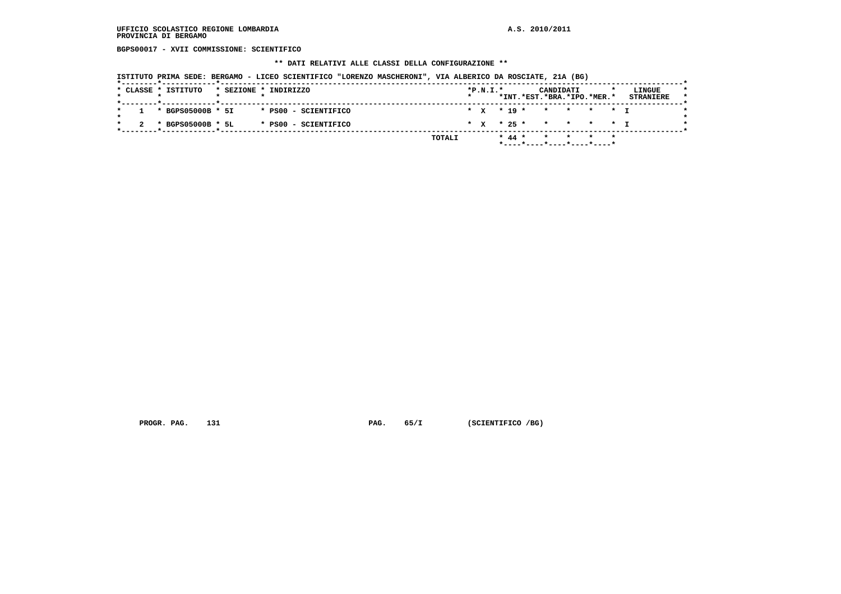**BGPS00017 - XVII COMMISSIONE: SCIENTIFICO**

### **\*\* DATI RELATIVI ALLE CLASSI DELLA CONFIGURAZIONE \*\***

 **ISTITUTO PRIMA SEDE: BERGAMO - LICEO SCIENTIFICO "LORENZO MASCHERONI", VIA ALBERICO DA ROSCIATE, 21A (BG)**

| * x * 19 * * * * * * 1<br>$1 * BGPS05000B * 5I$<br>* PS00 - SCIENTIFICO<br>* x * 25 * * * * * T<br>* BGPS05000B * 5L<br>* PS00 - SCIENTIFICO | * CLASSE * ISTITUTO | * SEZIONE * INDIRIZZO | $*P.N.I.*$ |  | CANDIDATI<br>*INT.*EST.*BRA.*IPO.*MER.* |  | LINGUE<br><b>STRANIERE</b> |
|----------------------------------------------------------------------------------------------------------------------------------------------|---------------------|-----------------------|------------|--|-----------------------------------------|--|----------------------------|
|                                                                                                                                              |                     |                       |            |  |                                         |  |                            |
|                                                                                                                                              |                     |                       |            |  |                                         |  |                            |

 **PROGR. PAG.** 131 **PAG.** 65/I (SCIENTIFICO /BG)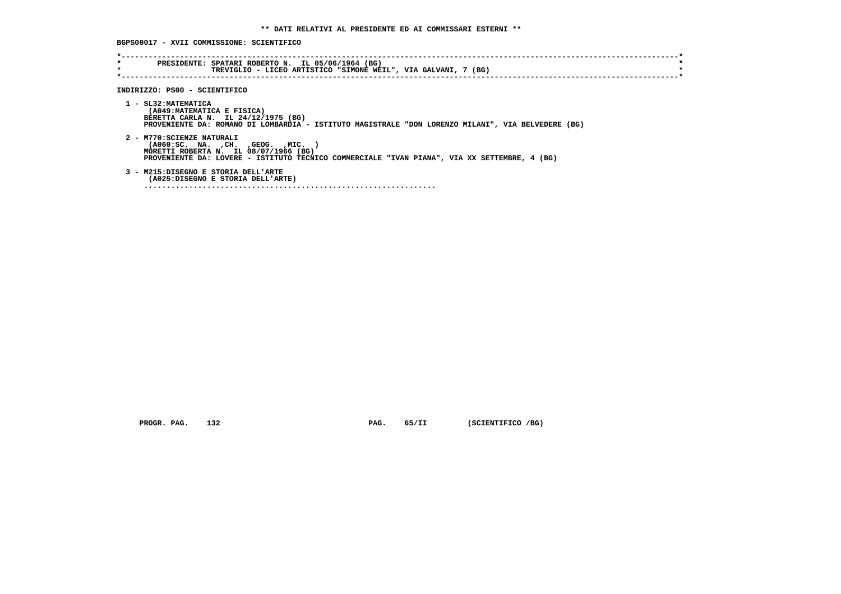**BGPS00017 - XVII COMMISSIONE: SCIENTIFICO**

| $\star$<br>$\star$ | PRESIDENTE: SPATARI ROBERTO N. IL 05/06/1964 (BG)<br>TREVIGLIO - LICEO ARTISTICO "SIMONE WEIL", VIA GALVANI, 7 (BG)                                                                                              |
|--------------------|------------------------------------------------------------------------------------------------------------------------------------------------------------------------------------------------------------------|
|                    | INDIRIZZO: PS00 - SCIENTIFICO                                                                                                                                                                                    |
|                    | 1 - SL32: MATEMATICA<br>(A049: MATEMATICA E FISICA)<br>BERETTA CARLA N. IL 24/12/1975 (BG)<br>PROVENIENTE DA: ROMANO DI LOMBARDIA - ISTITUTO MAGISTRALE "DON LORENZO MILANI", VIA BELVEDERE (BG)                 |
|                    | 2 - M770: SCIENZE NATURALI<br>$( A060 : SC. NA. , CH. , GEOG. , MIC. )$<br>MORETTI ROBERTA N. IL 08/07/1966 (BG)<br>PROVENIENTE DA: LOVERE - ISTITUTO TECNICO COMMERCIALE "IVAN PIANA", VIA XX SETTEMBRE, 4 (BG) |
|                    | 3 - M215:DISEGNO E STORIA DELL'ARTE<br>(A025:DISEGNO E STORIA DELL'ARTE)                                                                                                                                         |
|                    |                                                                                                                                                                                                                  |

 **PROGR. PAG.** 132 **PAG.** 65/II (SCIENTIFICO /BG)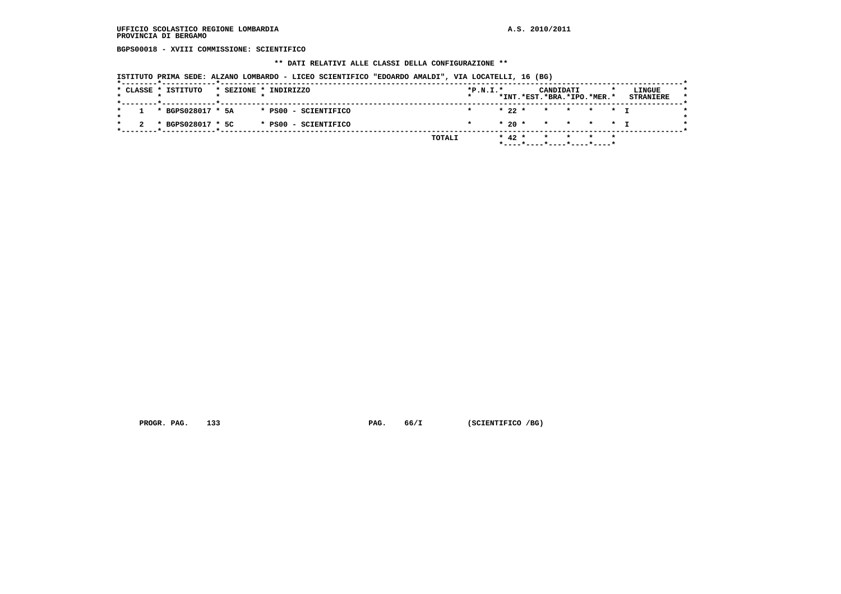**BGPS00018 - XVIII COMMISSIONE: SCIENTIFICO**

 **\*\* DATI RELATIVI ALLE CLASSI DELLA CONFIGURAZIONE \*\***

 **ISTITUTO PRIMA SEDE: ALZANO LOMBARDO - LICEO SCIENTIFICO "EDOARDO AMALDI", VIA LOCATELLI, 16 (BG)**

| $1 * BGPS028017 * 5A$<br>$\star$ 22 $\star$ $\star$ $\star$ $\star$ $\star$ $\star$ $\star$<br>* PS00 - SCIENTIFICO<br>$\star$<br>$* 20 * * * * * * + T$<br>* BGPS028017 * 5C<br>* PS00 - SCIENTIFICO | * CLASSE * ISTITUTO |  |  | * SEZIONE * INDIRIZZO | $*P.N.I.*$ |  | CANDIDATI | *INT.*EST.*BRA.*IPO.*MER.* | LINGUE<br><b>STRANIERE</b> |
|-------------------------------------------------------------------------------------------------------------------------------------------------------------------------------------------------------|---------------------|--|--|-----------------------|------------|--|-----------|----------------------------|----------------------------|
|                                                                                                                                                                                                       |                     |  |  |                       |            |  |           |                            |                            |
|                                                                                                                                                                                                       |                     |  |  |                       |            |  |           |                            |                            |

 **PROGR. PAG.** 133 **PAG. 66/I** (SCIENTIFICO /BG)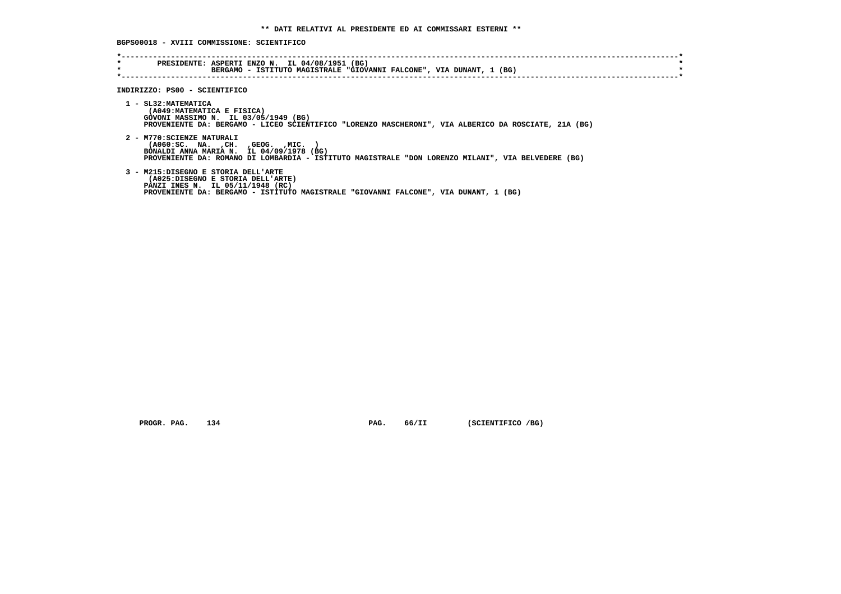**BGPS00018 - XVIII COMMISSIONE: SCIENTIFICO**

| $\star$ | BERGAMO - ISTITUTO MAGISTRALE "GIOVANNI FALCONE", VIA DUNANT, 1 (BG)                                                                                                                                                |
|---------|---------------------------------------------------------------------------------------------------------------------------------------------------------------------------------------------------------------------|
|         | INDIRIZZO: PS00 - SCIENTIFICO                                                                                                                                                                                       |
|         | 1 - SL32: MATEMATICA<br>(A049: MATEMATICA E FISICA)<br>GOVONI MASSIMO N. IL 03/05/1949 (BG)<br>PROVENIENTE DA: BERGAMO - LICEO SCIENTIFICO "LORENZO MASCHERONI", VIA ALBERICO DA ROSCIATE, 21A (BG)                 |
|         | 2 - M770: SCIENZE NATURALI<br>( A060:SC. NA. , CH. , GEOG. , MIC.<br>BONALDI ANNA MARIA N. IL 04/09/1978 (BG)<br>PROVENIENTE DA: ROMANO DI LOMBARDIA - ISTITUTO MAGISTRALE "DON LORENZO MILANI", VIA BELVEDERE (BG) |
|         | 3 - M215:DISEGNO E STORIA DELL'ARTE<br>(A025:DISEGNO E STORIA DELL'ARTE)<br>PANZI INES N. IL 05/11/1948 (RC)<br>PROVENIENTE DA: BERGAMO - ISTITUTO MAGISTRALE "GIOVANNI FALCONE", VIA DUNANT, 1 (BG)                |

 **PROGR. PAG.** 134 **PAG.** 66/II (SCIENTIFICO /BG)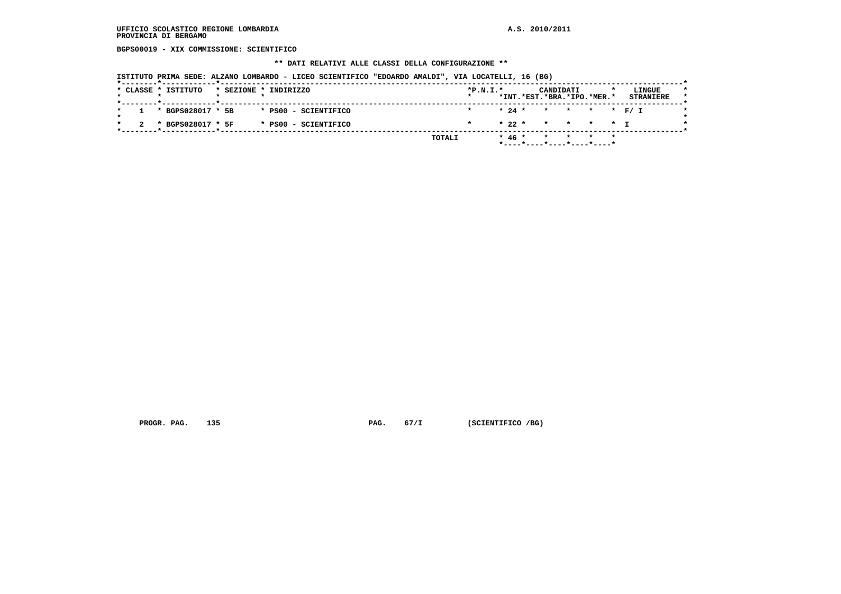**BGPS00019 - XIX COMMISSIONE: SCIENTIFICO**

### **\*\* DATI RELATIVI ALLE CLASSI DELLA CONFIGURAZIONE \*\***

 **ISTITUTO PRIMA SEDE: ALZANO LOMBARDO - LICEO SCIENTIFICO "EDOARDO AMALDI", VIA LOCATELLI, 16 (BG)**

| $1 * BGPS028017 * 5B$<br>* PS00 - SCIENTIFICO<br>$\star$<br>* 22 * * * * * T<br>* BGPS028017 * 5F<br>* PS00 - SCIENTIFICO |  | * CLASSE * ISTITUTO |  | * SEZIONE * INDIRIZZO | $*P.N.I.*$ |  | CANDIDATI | *INT.*EST.*BRA.*IPO.*MER.* | LINGUE<br><b>STRANIERE</b> |
|---------------------------------------------------------------------------------------------------------------------------|--|---------------------|--|-----------------------|------------|--|-----------|----------------------------|----------------------------|
|                                                                                                                           |  |                     |  |                       |            |  |           |                            |                            |
|                                                                                                                           |  |                     |  |                       |            |  |           |                            |                            |

 **PROGR. PAG.** 135 **PAG.** 67/I (SCIENTIFICO /BG)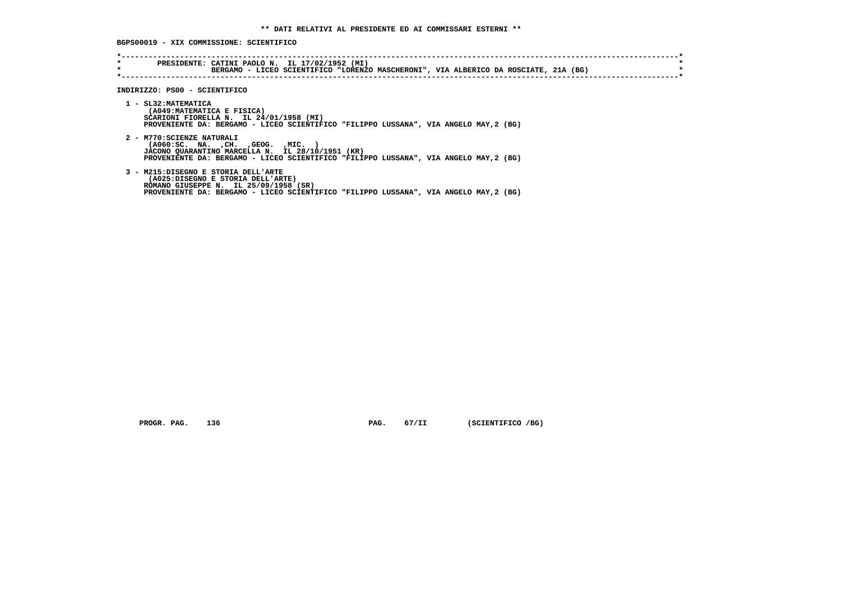**BGPS00019 - XIX COMMISSIONE: SCIENTIFICO**

| $\star$<br>$\star$ | PRESIDENTE: CATINI PAOLO N. IL 17/02/1952 (MI)<br>BERGAMO - LICEO SCIENTIFICO "LORENZO MASCHERONI", VIA ALBERICO DA ROSCIATE, 21A (BG)                                                                         |
|--------------------|----------------------------------------------------------------------------------------------------------------------------------------------------------------------------------------------------------------|
|                    | INDIRIZZO: PS00 - SCIENTIFICO                                                                                                                                                                                  |
|                    | 1 - SL32: MATEMATICA<br>(A049: MATEMATICA E FISICA)<br>SCARIONI FIORELLA N. IL 24/01/1958 (MI)<br>PROVENIENTE DA: BERGAMO - LICEO SCIENTIFICO "FILIPPO LUSSANA", VIA ANGELO MAY,2 (BG)                         |
|                    | 2 - M770: SCIENZE NATURALI<br>( A060:SC. NA. , CH. , GEOG. , MIC.<br>JACONO QUARANTINO MARCELLA N. IL 28/10/1951 (KR)<br>PROVENIENTE DA: BERGAMO - LICEO SCIENTIFICO "FILIPPO LUSSANA", VIA ANGELO MAY, 2 (BG) |
|                    | 3 - M215:DISEGNO E STORIA DELL'ARTE<br>(A025:DISEGNO E STORIA DELL'ARTE)<br>ROMANO GIUSEPPE N. IL 25/09/1958 (SR)<br>PROVENIENTE DA: BERGAMO - LICEO SCIENTIFICO "FILIPPO LUSSANA", VIA ANGELO MAY, 2 (BG)     |

 **PROGR. PAG.** 136 **PAG. PAG.** 67/II (SCIENTIFICO /BG)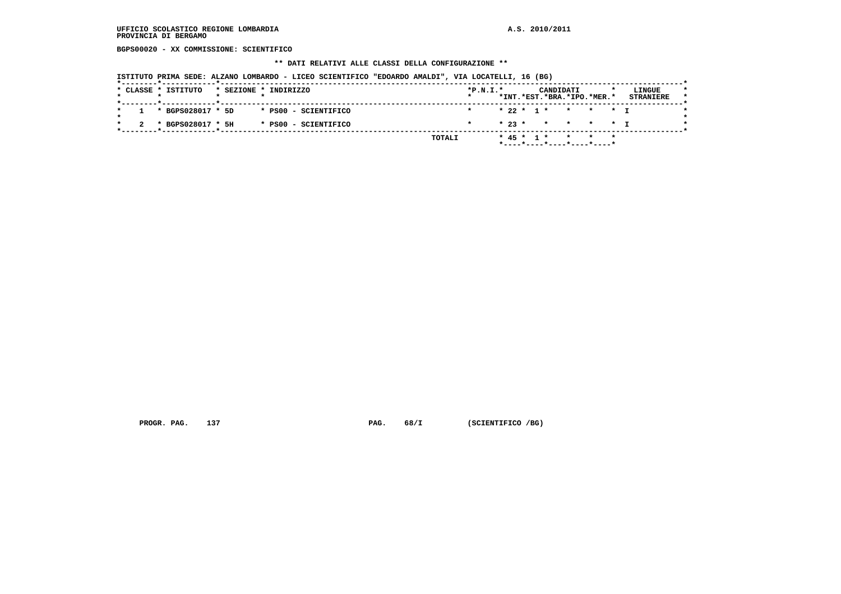**BGPS00020 - XX COMMISSIONE: SCIENTIFICO**

### **\*\* DATI RELATIVI ALLE CLASSI DELLA CONFIGURAZIONE \*\***

 **ISTITUTO PRIMA SEDE: ALZANO LOMBARDO - LICEO SCIENTIFICO "EDOARDO AMALDI", VIA LOCATELLI, 16 (BG)**

| 1 * BGPS028017 * 5D<br>* PS00 - SCIENTIFICO | * 22 * 1 * * * * T<br>$\star$ |  |
|---------------------------------------------|-------------------------------|--|
|                                             |                               |  |
| * BGPS028017 * 5H<br>* PS00 - SCIENTIFICO   | $* 23 * * * * * * * T$        |  |

 **PROGR. PAG.** 137 **PAG. 68/I** (SCIENTIFICO /BG)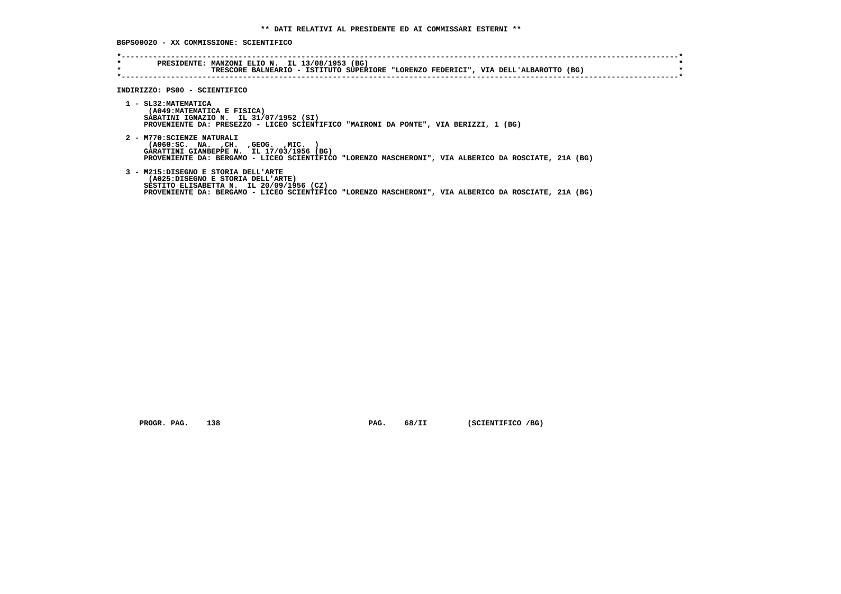**BGPS00020 - XX COMMISSIONE: SCIENTIFICO**

| $\star$<br>$\star$ | PRESIDENTE: MANZONI ELIO N. IL 13/08/1953 (BG)<br>TRESCORE BALNEARIO - ISTITUTO SUPERIORE "LORENZO FEDERICI", VIA DELL'ALBAROTTO (BG)                                                                                        |  |
|--------------------|------------------------------------------------------------------------------------------------------------------------------------------------------------------------------------------------------------------------------|--|
|                    | INDIRIZZO: PS00 - SCIENTIFICO                                                                                                                                                                                                |  |
|                    | 1 - SL32: MATEMATICA<br>(A049: MATEMATICA E FISICA)<br>SABATINI IGNAZIO N. IL 31/07/1952 (SI)<br>PROVENIENTE DA: PRESEZZO - LICEO SCIENTIFICO "MAIRONI DA PONTE", VIA BERIZZI, 1 (BG)                                        |  |
|                    | 2 - M770: SCIENZE NATURALI<br>( A060 : SC. NA. , CH. , GEOG. , MIC.<br>GARATTINI GIANBEPPE N. IL 17/03/1956 (BG)<br>PROVENIENTE DA: BERGAMO - LICEO SCIENTIFICO "LORENZO MASCHERONI", VIA ALBERICO DA ROSCIATE, 21A (BG)     |  |
|                    | 3 - M215:DISEGNO E STORIA DELL'ARTE<br>(A025:DISEGNO E STORIA DELL'ARTE)<br>SESTITO ELISABETTA N. IL 20/09/1956 (CZ)<br>PROVENIENTE DA: BERGAMO - LICEO SCIENTIFICO "LORENZO MASCHERONI", VIA ALBERICO DA ROSCIATE, 21A (BG) |  |

 **PROGR. PAG.** 138 **PAG.** 68/II (SCIENTIFICO /BG)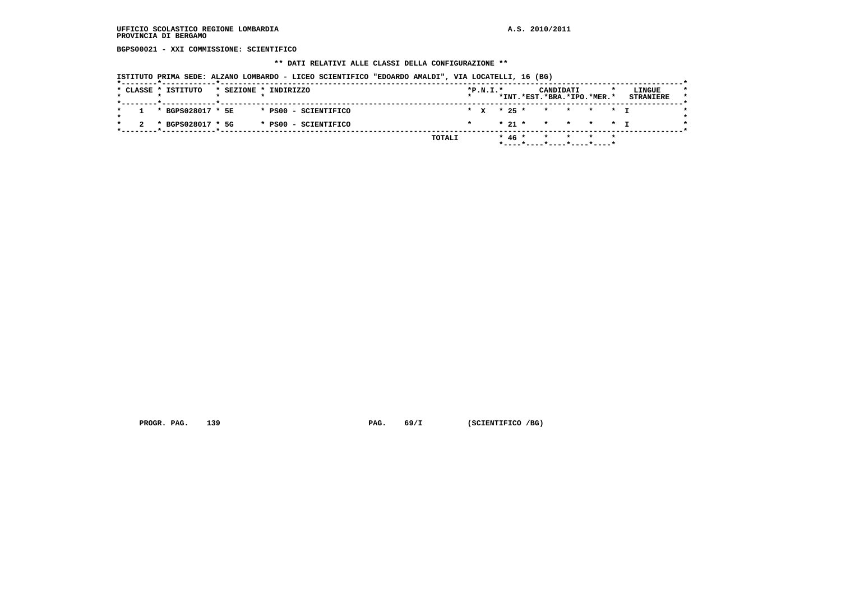**BGPS00021 - XXI COMMISSIONE: SCIENTIFICO**

### **\*\* DATI RELATIVI ALLE CLASSI DELLA CONFIGURAZIONE \*\***

 **ISTITUTO PRIMA SEDE: ALZANO LOMBARDO - LICEO SCIENTIFICO "EDOARDO AMALDI", VIA LOCATELLI, 16 (BG)**

| $1 * BGPS028017 * 5E$<br>* * * 25 * * * * * * T<br>* PS00 - SCIENTIFICO<br>* 21 * * * * * T<br>* BGPS028017 * 5G<br>* PS00 - SCIENTIFICO |  | * CLASSE * ISTITUTO |  | * SEZIONE * INDIRIZZO |  | $*P.N.I.*$ |  | CANDIDATI<br>*INT.*EST.*BRA.*IPO.*MER.* |  | LINGUE<br><b>STRANIERE</b> |
|------------------------------------------------------------------------------------------------------------------------------------------|--|---------------------|--|-----------------------|--|------------|--|-----------------------------------------|--|----------------------------|
|                                                                                                                                          |  |                     |  |                       |  |            |  |                                         |  |                            |
|                                                                                                                                          |  |                     |  |                       |  |            |  |                                         |  |                            |

 **PROGR. PAG.** 139 **PAG.** 69/I (SCIENTIFICO /BG)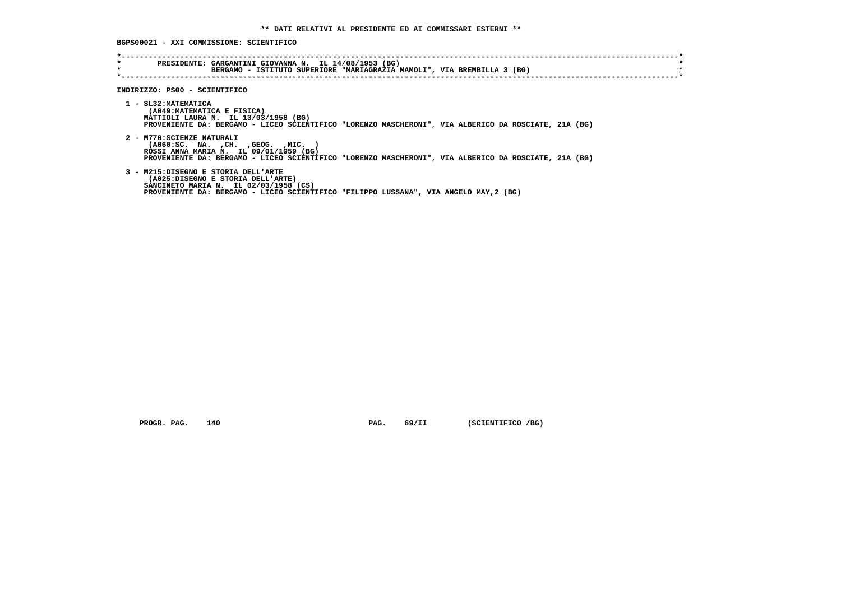**BGPS00021 - XXI COMMISSIONE: SCIENTIFICO**

| *<br>$\star$ | PRESIDENTE: GARGANTINI GIOVANNA N. IL 14/08/1953 (BG)<br>BERGAMO - ISTITUTO SUPERIORE "MARIAGRAZIA MAMOLI", VIA BREMBILLA 3 (BG)                                                                                      |
|--------------|-----------------------------------------------------------------------------------------------------------------------------------------------------------------------------------------------------------------------|
|              |                                                                                                                                                                                                                       |
|              | INDIRIZZO: PS00 - SCIENTIFICO                                                                                                                                                                                         |
|              | 1 - SL32: MATEMATICA<br>(A049: MATEMATICA E FISICA)<br>MATTIOLI LAURA N. IL 13/03/1958 (BG)<br>PROVENIENTE DA: BERGAMO - LICEO SCIENTIFICO "LORENZO MASCHERONI", VIA ALBERICO DA ROSCIATE, 21A (BG)                   |
|              | 2 - M770: SCIENZE NATURALI<br>( A060 : SC. NA. , CH. , GEOG. , MIC.<br>ROSSI ANNA MARIA N. IL 09/01/1959 (BG)<br>PROVENIENTE DA: BERGAMO - LICEO SCIENTIFICO "LORENZO MASCHERONI", VIA ALBERICO DA ROSCIATE, 21A (BG) |
|              | 3 - M215:DISEGNO E STORIA DELL'ARTE<br>(A025:DISEGNO E STORIA DELL'ARTE)<br>SANCINETO MARIA N. IL 02/03/1958 (CS)<br>PROVENIENTE DA: BERGAMO - LICEO SCIENTIFICO "FILIPPO LUSSANA", VIA ANGELO MAY, 2 (BG)            |

 **PROGR. PAG.** 140 **PAG. PAG.** 69/II (SCIENTIFICO /BG)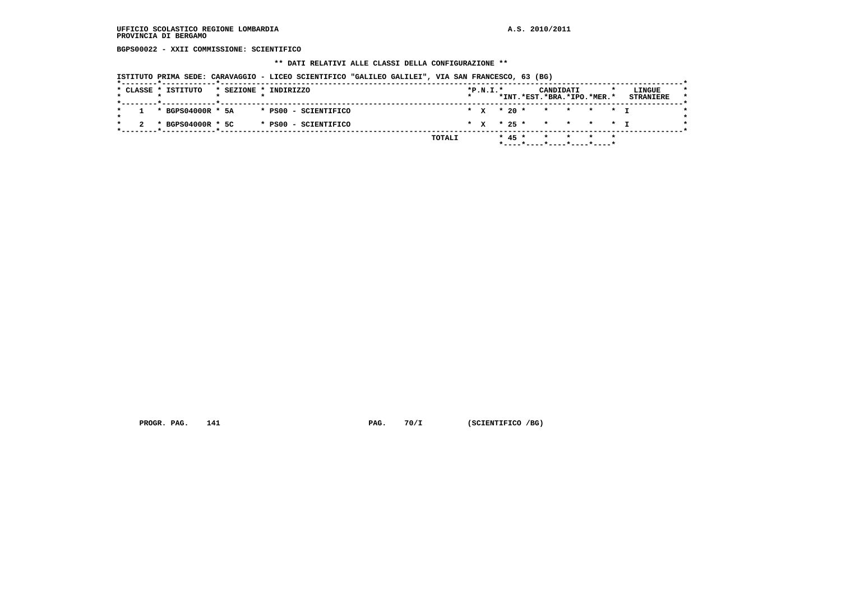**BGPS00022 - XXII COMMISSIONE: SCIENTIFICO**

### **\*\* DATI RELATIVI ALLE CLASSI DELLA CONFIGURAZIONE \*\***

 **ISTITUTO PRIMA SEDE: CARAVAGGIO - LICEO SCIENTIFICO "GALILEO GALILEI", VIA SAN FRANCESCO, 63 (BG)**

|  | * CLASSE * ISTITUTO   |  | * SEZIONE * INDIRIZZO |  | $*P.N.I.*$ |          | CANDIDATI<br>*INT.*EST.*BRA.*IPO.*MER.*  |  | LINGUE<br><b>STRANIERE</b> |
|--|-----------------------|--|-----------------------|--|------------|----------|------------------------------------------|--|----------------------------|
|  | $1 * BGPS04000R * 5A$ |  | * PS00 - SCIENTIFICO  |  |            |          | * X * 20 * * * * * * I                   |  |                            |
|  | * BGPS04000R * 5C     |  | * PS00 - SCIENTIFICO  |  |            |          | * X * 25 * * * * * * I                   |  |                            |
|  |                       |  | TOTALI                |  |            | $* 45 *$ | * * * *<br>$*$ ----*----*----*----*----* |  |                            |

 **PROGR. PAG.** 141 **PAG.** 70/I (SCIENTIFICO /BG)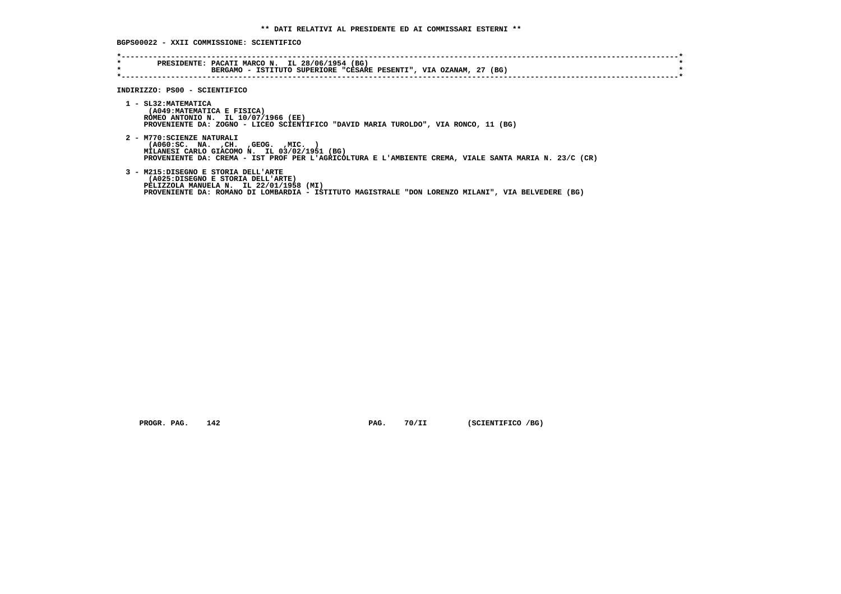**BGPS00022 - XXII COMMISSIONE: SCIENTIFICO**

| $\star$<br>$\star$ | PRESIDENTE: PACATI MARCO N. IL 28/06/1954 (BG)<br>BERGAMO - ISTITUTO SUPERIORE "CESARE PESENTI", VIA OZANAM, 27 (BG)                                                                                                             |
|--------------------|----------------------------------------------------------------------------------------------------------------------------------------------------------------------------------------------------------------------------------|
|                    |                                                                                                                                                                                                                                  |
|                    | INDIRIZZO: PS00 - SCIENTIFICO                                                                                                                                                                                                    |
|                    | 1 - SL32: MATEMATICA<br>(A049: MATEMATICA E FISICA)<br>ROMEO ANTONIO N. IL 10/07/1966 (EE)<br>PROVENIENTE DA: ZOGNO - LICEO SCIENTIFICO "DAVID MARIA TUROLDO", VIA RONCO, 11 (BG)                                                |
|                    | 2 - M770: SCIENZE NATURALI<br>$( A060 : SC. NA. , CH. , GEOG. , MIC. )$<br>MILANESI CARLO GIACOMO N. IL 03/02/1951 (BG)<br>PROVENIENTE DA: CREMA - IST PROF PER L'AGRICOLTURA E L'AMBIENTE CREMA, VIALE SANTA MARIA N. 23/C (CR) |
|                    | 3 - M215:DISEGNO E STORIA DELL'ARTE<br>(A025:DISEGNO E STORIA DELL'ARTE)<br>PELIZZOLA MANUELA N. IL 22/01/1958 (MI)<br>PROVENIENTE DA: ROMANO DI LOMBARDIA - ISTITUTO MAGISTRALE "DON LORENZO MILANI", VIA BELVEDERE (BG)        |

 **PROGR. PAG.** 142 **PAG.** 70/II (SCIENTIFICO /BG)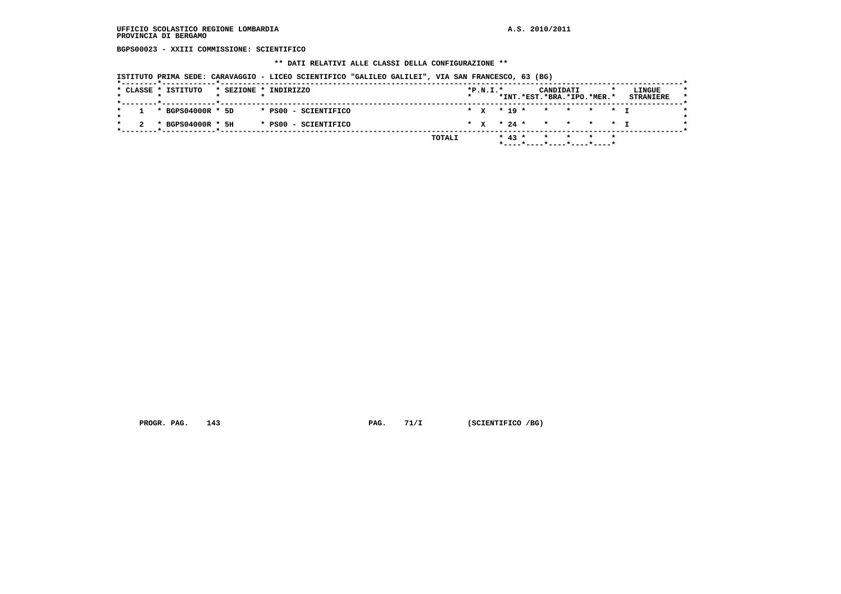**BGPS00023 - XXIII COMMISSIONE: SCIENTIFICO**

### **\*\* DATI RELATIVI ALLE CLASSI DELLA CONFIGURAZIONE \*\***

 **ISTITUTO PRIMA SEDE: CARAVAGGIO - LICEO SCIENTIFICO "GALILEO GALILEI", VIA SAN FRANCESCO, 63 (BG)**

|  | * CLASSE * ISTITUTO |  | * SEZIONE * INDIRIZZO |        | $*P.N.I.*$ |  |            | CANDIDATI | *INT.*EST.*BRA.*IPO.*MER.* | LINGUE<br><b>STRANIERE</b> |
|--|---------------------|--|-----------------------|--------|------------|--|------------|-----------|----------------------------|----------------------------|
|  |                     |  |                       |        |            |  |            |           |                            |                            |
|  | 1 * BGPS04000R * 5D |  | * PS00 - SCIENTIFICO  |        |            |  |            |           | * x * 19 * * * * * * T     |                            |
|  | * BGPS04000R * 5H   |  | * PS00 - SCIENTIFICO  |        |            |  |            |           | * x * 24 * * * * * * I     |                            |
|  |                     |  |                       | TOTALI |            |  | $*$ 43 $*$ |           | * * * *                    |                            |
|  |                     |  |                       |        |            |  |            |           | *----*----*----*----*----* |                            |

 **PROGR. PAG.** 143 **PAG.** 71/I (SCIENTIFICO /BG)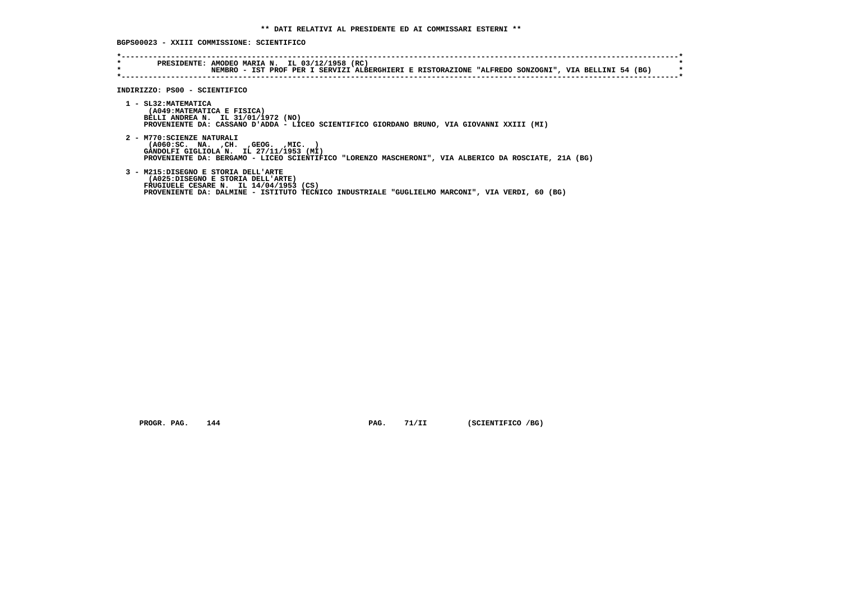## **BGPS00023 - XXIII COMMISSIONE: SCIENTIFICO**

| $\star$<br>$\star$ | PRESIDENTE: AMODEO MARIA N. IL 03/12/1958 (RC)<br>NEMBRO - IST PROF PER I SERVIZI ALBERGHIERI E RISTORAZIONE "ALFREDO SONZOGNI", VIA BELLINI 54 (BG)                                                                   |
|--------------------|------------------------------------------------------------------------------------------------------------------------------------------------------------------------------------------------------------------------|
|                    | INDIRIZZO: PS00 - SCIENTIFICO                                                                                                                                                                                          |
|                    | 1 - SL32: MATEMATICA<br>(A049: MATEMATICA E FISICA)<br>BELLI ANDREA N. IL 31/01/1972 (NO)<br>PROVENIENTE DA: CASSANO D'ADDA - LICEO SCIENTIFICO GIORDANO BRUNO, VIA GIOVANNI XXIII (MI)                                |
|                    | 2 - M770: SCIENZE NATURALI<br>( A060 : SC. NA. , CH. , GEOG. , MIC.<br>GANDOLFI GIGLIOLA N. IL 27/11/1953 (MI)<br>PROVENIENTE DA: BERGAMO - LICEO SCIENTIFICO "LORENZO MASCHERONI", VIA ALBERICO DA ROSCIATE, 21A (BG) |
|                    | 3 - M215:DISEGNO E STORIA DELL'ARTE<br>(A025:DISEGNO E STORIA DELL'ARTE)<br>FRUGIUELE CESARE N. IL 14/04/1953 (CS)<br>PROVENIENTE DA: DALMINE - ISTITUTO TECNICO INDUSTRIALE "GUGLIELMO MARCONI", VIA VERDI, 60 (BG)   |

 **PROGR. PAG.** 144 **PAG.** 71/II (SCIENTIFICO /BG)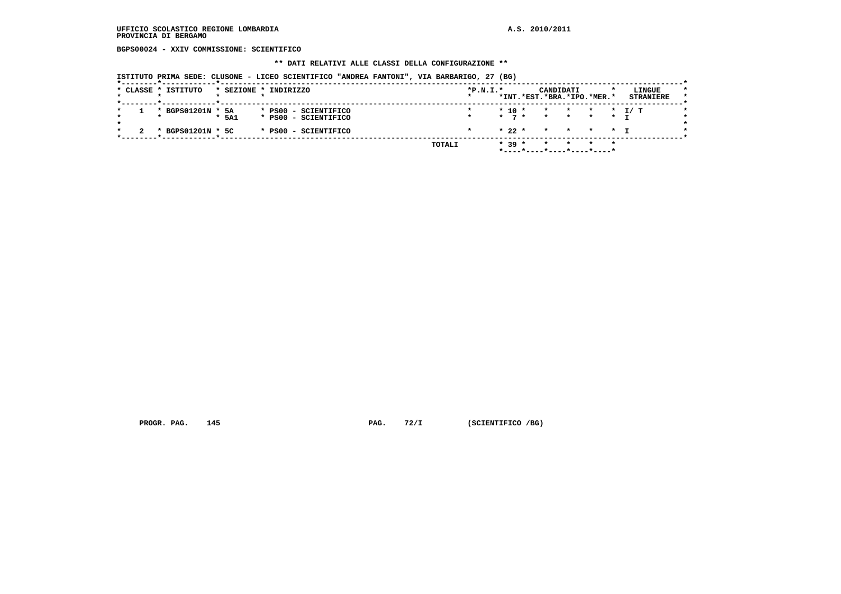## **UFFICIO SCOLASTICO REGIONE LOMBARDIA A.S. 2010/2011 PROVINCIA DI BERGAMO**

 **BGPS00024 - XXIV COMMISSIONE: SCIENTIFICO**

#### **\*\* DATI RELATIVI ALLE CLASSI DELLA CONFIGURAZIONE \*\***

 **ISTITUTO PRIMA SEDE: CLUSONE - LICEO SCIENTIFICO "ANDREA FANTONI", VIA BARBARIGO, 27 (BG)**

|  | * CLASSE * ISTITUTO |       | * SEZIONE * INDIRIZZO                        | $*P.N.I.*$ |            | *INT.*EST.*BRA.*IPO.*MER.* | CANDIDATI        |                 |                | LINGUE<br><b>STRANIERE</b> | $\star$ |
|--|---------------------|-------|----------------------------------------------|------------|------------|----------------------------|------------------|-----------------|----------------|----------------------------|---------|
|  | * BGPS01201N * 5A   | * 5A1 | * PS00 - SCIENTIFICO<br>* PS00 - SCIENTIFICO |            | $*$ 10 $*$ | $\star$ 7 $\star$          | $\star$<br>* * * | $\star$ $\star$ | $\star$ $\tau$ | $\star$ $\tau$ $\tau$      |         |
|  | * BGPS01201N * 5C   |       | * PS00 - SCIENTIFICO                         |            | $*22*$     |                            | * * * * T        |                 |                |                            |         |
|  |                     |       | TOTALI                                       |            | $* 39 *$   |                            |                  |                 | $\star$        |                            |         |

 **PROGR. PAG.** 145 **PAG.** 72/I (SCIENTIFICO /BG)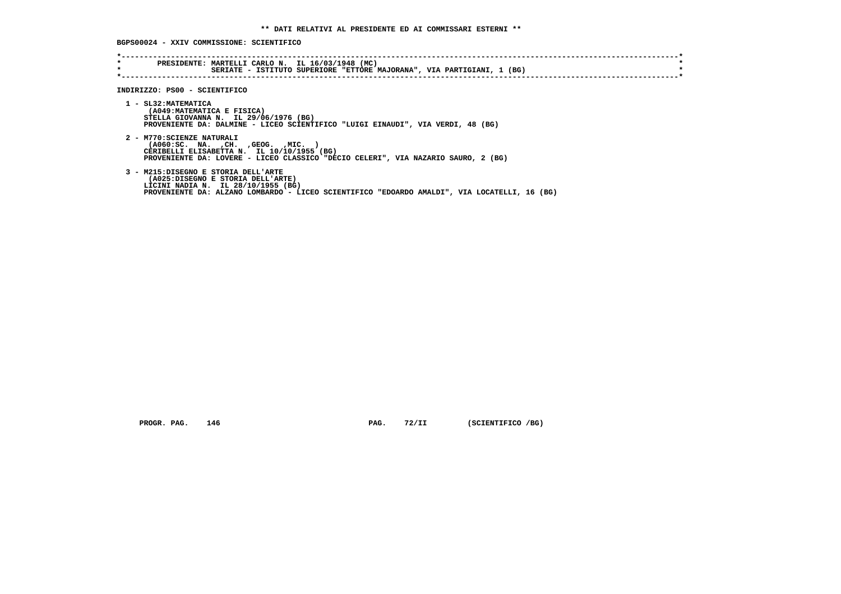**BGPS00024 - XXIV COMMISSIONE: SCIENTIFICO**

| PRESIDENTE: MARTELLI CARLO N. IL 16/03/1948 (MC)<br>SERIATE - ISTITUTO SUPERIORE "ETTORE MAJORANA", VIA PARTIGIANI, 1 (BG)                                                                                     |
|----------------------------------------------------------------------------------------------------------------------------------------------------------------------------------------------------------------|
| INDIRIZZO: PS00 - SCIENTIFICO                                                                                                                                                                                  |
| 1 - SL32: MATEMATICA<br>(A049: MATEMATICA E FISICA)<br>STELLA GIOVANNA N. IL 29/06/1976 (BG)<br>PROVENIENTE DA: DALMINE - LICEO SCIENTIFICO "LUIGI EINAUDI", VIA VERDI, 48 (BG)                                |
| 2 - M770: SCIENZE NATURALI<br>( A060 : SC. NA. , CH. , GEOG. , MIC.<br>CERIBELLI ELISABETTA N. IL 10/10/1955 (BG)<br>PROVENIENTE DA: LOVERE - LICEO CLASSICO "DECIO CELERI", VIA NAZARIO SAURO, 2 (BG)         |
| 3 - M215:DISEGNO E STORIA DELL'ARTE<br>(A025:DISEGNO E STORIA DELL'ARTE)<br>LICINI NADIA N. IL 28/10/1955 (BG)<br>PROVENIENTE DA: ALZANO LOMBARDO - LICEO SCIENTIFICO "EDOARDO AMALDI", VIA LOCATELLI, 16 (BG) |
|                                                                                                                                                                                                                |

 **PROGR. PAG.** 146 **PAG. PAG.** 72/II (SCIENTIFICO /BG)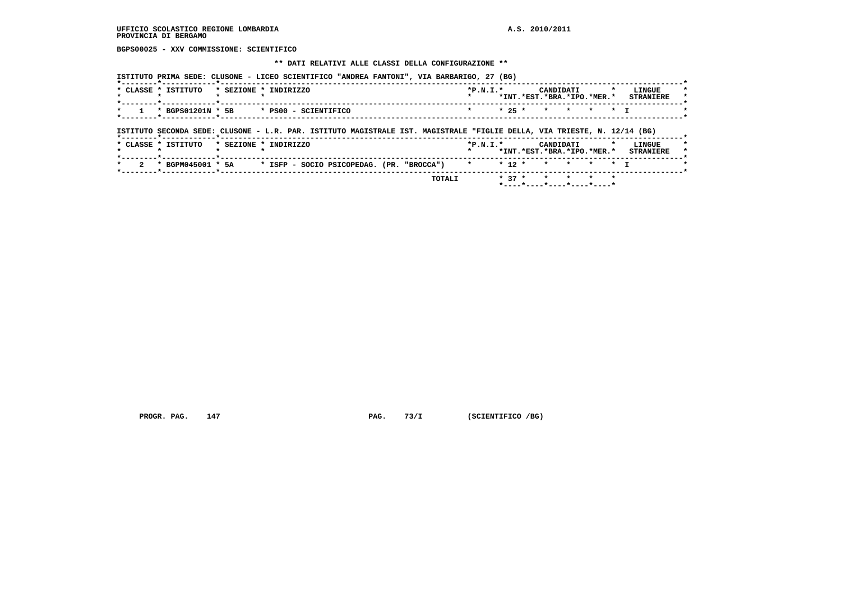**BGPS00025 - XXV COMMISSIONE: SCIENTIFICO**

#### **\*\* DATI RELATIVI ALLE CLASSI DELLA CONFIGURAZIONE \*\***

|              | * CLASSE * ISTITUTO | * SEZIONE * INDIRIZZO |                      |                                                                                                                          |  | $*P.N.T.*$ |          | CANDIDATI | *INT.*EST.*BRA.*IPO.*MER.* | $\mathbf{r}$ | LINGUE<br><b>STRANIERE</b> |
|--------------|---------------------|-----------------------|----------------------|--------------------------------------------------------------------------------------------------------------------------|--|------------|----------|-----------|----------------------------|--------------|----------------------------|
| $\star$      | * BGPS01201N * 5B   |                       | * PS00 - SCIENTIFICO |                                                                                                                          |  |            | $* 25 *$ |           | * * * * T                  |              |                            |
|              |                     |                       |                      |                                                                                                                          |  |            |          |           |                            |              |                            |
|              |                     |                       |                      |                                                                                                                          |  |            |          |           |                            |              |                            |
|              |                     |                       |                      | ISTITUTO SECONDA SEDE: CLUSONE - L.R. PAR. ISTITUTO MAGISTRALE IST. MAGISTRALE "FIGLIE DELLA, VIA TRIESTE, N. 12/14 (BG) |  |            |          |           |                            |              |                            |
|              | * CLASSE * ISTITUTO | * SEZIONE * INDIRIZZO |                      |                                                                                                                          |  | $*P.N.T.*$ |          | CANDIDATI |                            |              | LINGUE                     |
| $\mathbf{r}$ |                     |                       |                      |                                                                                                                          |  |            |          |           | *INT.*EST.*BRA.*IPO.*MER.* |              | <b>STRANIERE</b>           |

 **PROGR. PAG.** 147 **PAG. PAG.** 73/I (SCIENTIFICO /BG)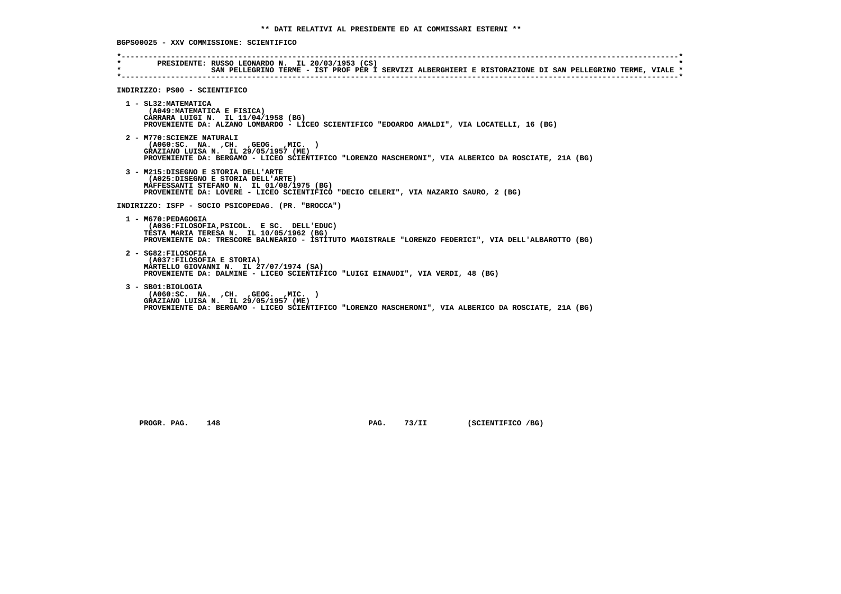**BGPS00025 - XXV COMMISSIONE: SCIENTIFICO**

| $\star$<br>$\star$ | PRESIDENTE: RUSSO LEONARDO N. IL 20/03/1953 (CS)<br>SAN PELLEGRINO TERME - IST PROF PER I SERVIZI ALBERGHIERI E RISTORAZIONE DI SAN PELLEGRINO TERME, VIALE *                                                           |
|--------------------|-------------------------------------------------------------------------------------------------------------------------------------------------------------------------------------------------------------------------|
|                    | INDIRIZZO: PS00 - SCIENTIFICO                                                                                                                                                                                           |
|                    | 1 - SL32: MATEMATICA<br>(A049: MATEMATICA E FISICA)<br>CARRARA LUIGI N. IL 11/04/1958 (BG)<br>PROVENIENTE DA: ALZANO LOMBARDO - LICEO SCIENTIFICO "EDOARDO AMALDI", VIA LOCATELLI, 16 (BG)                              |
|                    | 2 - M770: SCIENZE NATURALI<br>$( A060 : SC. NA. , CH. , GEOG. , MIC. )$<br>GRAZIANO LUISA N. IL 29/05/1957 (ME)<br>PROVENIENTE DA: BERGAMO - LICEO SCIENTIFICO "LORENZO MASCHERONI", VIA ALBERICO DA ROSCIATE, 21A (BG) |
|                    | 3 - M215:DISEGNO E STORIA DELL'ARTE<br>(A025:DISEGNO E STORIA DELL'ARTE)<br>MAFFESSANTI STEFANO N. IL 01/08/1975 (BG)<br>PROVENIENTE DA: LOVERE - LICEO SCIENTIFICO "DECIO CELERI", VIA NAZARIO SAURO, 2 (BG)           |
|                    | INDIRIZZO: ISFP - SOCIO PSICOPEDAG. (PR. "BROCCA")                                                                                                                                                                      |
|                    | 1 - M670: PEDAGOGIA<br>(A036:FILOSOFIA, PSICOL. E SC. DELL'EDUC)<br>TESTA MARIA TERESA N. IL 10/05/1962 (BG)<br>PROVENIENTE DA: TRESCORE BALNEARIO - ISTITUTO MAGISTRALE "LORENZO FEDERICI", VIA DELL'ALBAROTTO (BG)    |
|                    | 2 - SG82: FILOSOFIA<br>(A037:FILOSOFIA E STORIA)<br>MARTELLO GIOVANNI N. IL 27/07/1974 (SA)<br>PROVENIENTE DA: DALMINE - LICEO SCIENTIFICO "LUIGI EINAUDI", VIA VERDI, 48 (BG)                                          |
|                    | $3 - SB01:BIOLOGIA$<br>( A060:SC. NA. , CH. , GEOG. , MIC. )<br>GRAZIANO LUISA N. IL 29/05/1957 (ME)<br>PROVENIENTE DA: BERGAMO - LICEO SCIENTIFICO "LORENZO MASCHERONI", VIA ALBERICO DA ROSCIATE, 21A (BG)            |

 **PROGR. PAG.** 148 **PAG.** 73/II (SCIENTIFICO /BG)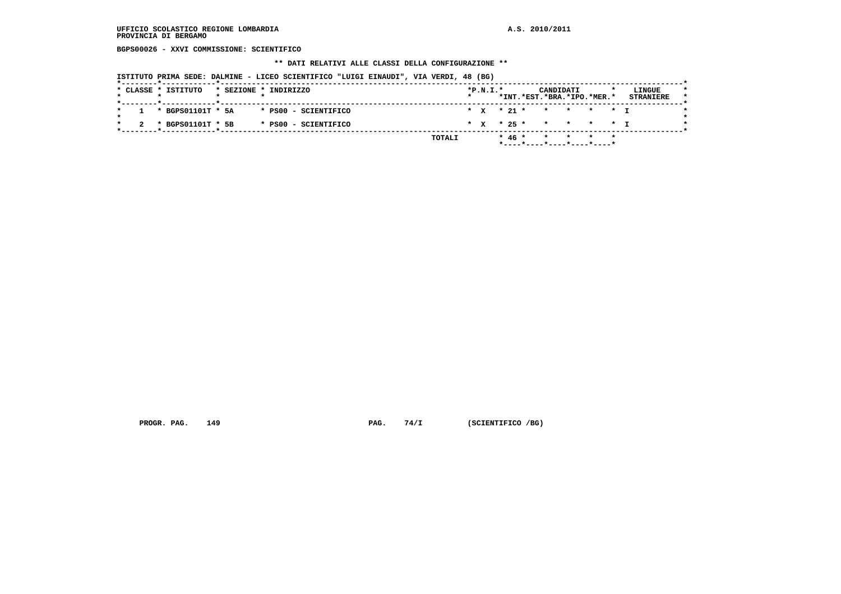**BGPS00026 - XXVI COMMISSIONE: SCIENTIFICO**

 **\*\* DATI RELATIVI ALLE CLASSI DELLA CONFIGURAZIONE \*\***

 **ISTITUTO PRIMA SEDE: DALMINE - LICEO SCIENTIFICO "LUIGI EINAUDI", VIA VERDI, 48 (BG)**

| * x * 21 * * * * * * T<br>$1 * BGPS01101T * 5A$<br>* PS00 - SCIENTIFICO<br>* X * 25 * * * * * * I<br>* BGPS01101T * 5B<br>* PS00 - SCIENTIFICO |  | * CLASSE * ISTITUTO |  | * SEZIONE * INDIRIZZO |  | $*P.N.I.*$ |  | CANDIDATI<br>*INT.*EST.*BRA.*IPO.*MER.* |  | LINGUE<br><b>STRANIERE</b> |
|------------------------------------------------------------------------------------------------------------------------------------------------|--|---------------------|--|-----------------------|--|------------|--|-----------------------------------------|--|----------------------------|
|                                                                                                                                                |  |                     |  |                       |  |            |  |                                         |  |                            |
|                                                                                                                                                |  |                     |  |                       |  |            |  |                                         |  |                            |

 **PROGR. PAG.** 149 **PAG.** 74/I (SCIENTIFICO /BG)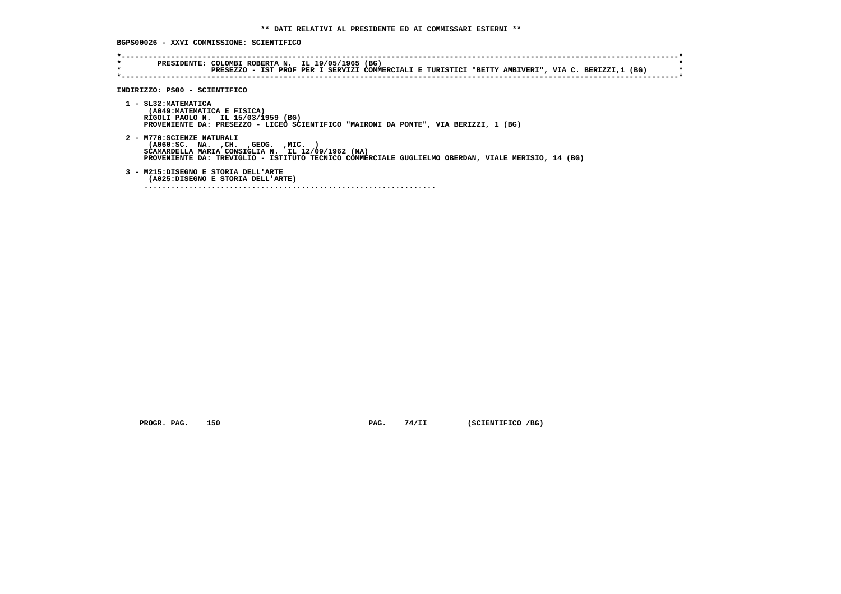**BGPS00026 - XXVI COMMISSIONE: SCIENTIFICO**

| $\star$ | PRESEZZO - IST PROF PER I SERVIZI COMMERCIALI E TURISTICI "BETTY AMBIVERI", VIA C. BERIZZI,1 (BG)                                                                                                                              |
|---------|--------------------------------------------------------------------------------------------------------------------------------------------------------------------------------------------------------------------------------|
|         | INDIRIZZO: PS00 - SCIENTIFICO                                                                                                                                                                                                  |
|         | 1 - SL32: MATEMATICA<br>(A049: MATEMATICA E FISICA)<br>RIGOLI PAOLO N. IL 15/03/1959 (BG)<br>PROVENIENTE DA: PRESEZZO - LICEO SCIENTIFICO "MAIRONI DA PONTE", VIA BERIZZI, 1 (BG)                                              |
|         | 2 - M770: SCIENZE NATURALI<br>( A060 : SC. NA. , CH. , GEOG. , MIC.<br>SCAMARDELLA MARIA CONSIGLIA N. IL 12/09/1962 (NA)<br>PROVENIENTE DA: TREVIGLIO - ISTITUTO TECNICO COMMERCIALE GUGLIELMO OBERDAN, VIALE MERISIO, 14 (BG) |
|         | 3 - M215:DISEGNO E STORIA DELL'ARTE<br>(A025:DISEGNO E STORIA DELL'ARTE)                                                                                                                                                       |

 **PROGR. PAG.** 150 **PAG. 74/II** (SCIENTIFICO /BG)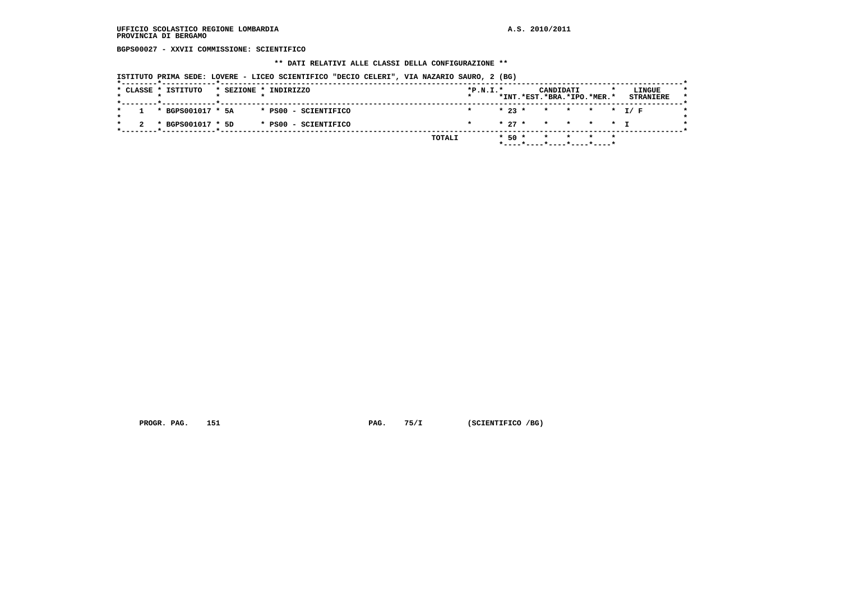**BGPS00027 - XXVII COMMISSIONE: SCIENTIFICO**

#### **\*\* DATI RELATIVI ALLE CLASSI DELLA CONFIGURAZIONE \*\***

 **ISTITUTO PRIMA SEDE: LOVERE - LICEO SCIENTIFICO "DECIO CELERI", VIA NAZARIO SAURO, 2 (BG)**

| * 23 * * * * * * I/F<br>$1 * BGPS001017 * 5A$<br>* PS00 - SCIENTIFICO<br>$\star$<br>* 27 * * * * * T<br>* BGPS001017 * 5D<br>* PS00 - SCIENTIFICO |  | * CLASSE * ISTITUTO |  | * SEZIONE * INDIRIZZO | $*P.N.T.*$ |  | CANDIDATI<br>*INT.*EST.*BRA.*IPO.*MER.* |  | LINGUE<br><b>STRANIERE</b> |
|---------------------------------------------------------------------------------------------------------------------------------------------------|--|---------------------|--|-----------------------|------------|--|-----------------------------------------|--|----------------------------|
|                                                                                                                                                   |  |                     |  |                       |            |  |                                         |  |                            |
|                                                                                                                                                   |  |                     |  |                       |            |  |                                         |  |                            |

 **PROGR. PAG.** 151 **PAG.** 75/I (SCIENTIFICO /BG)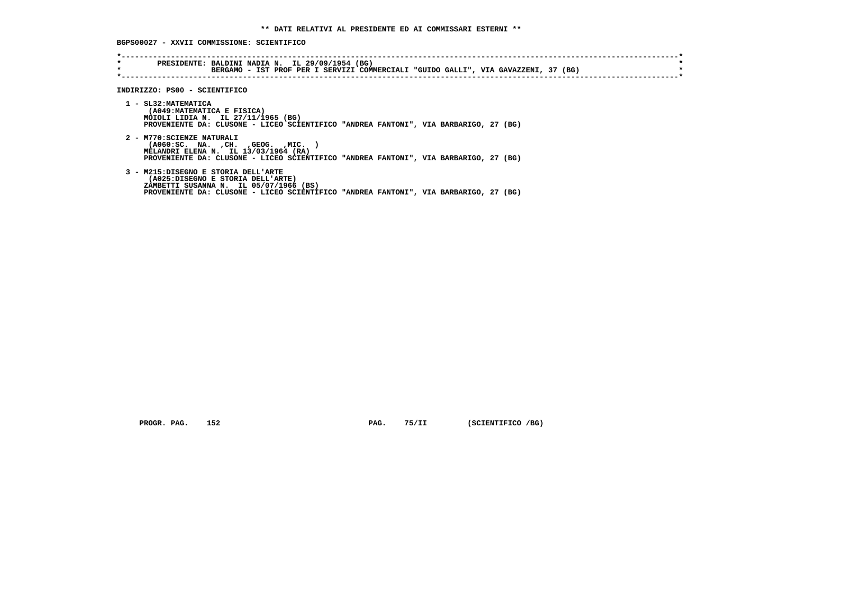**BGPS00027 - XXVII COMMISSIONE: SCIENTIFICO**

| $\star$<br>$\star$ | PRESIDENTE: BALDINI NADIA N. IL 29/09/1954 (BG)<br>BERGAMO - IST PROF PER I SERVIZI COMMERCIALI "GUIDO GALLI", VIA GAVAZZENI, 37 (BG)                                                                      |
|--------------------|------------------------------------------------------------------------------------------------------------------------------------------------------------------------------------------------------------|
|                    | INDIRIZZO: PS00 - SCIENTIFICO                                                                                                                                                                              |
|                    | 1 - SL32: MATEMATICA<br>(A049: MATEMATICA E FISICA)<br>MOIOLI LIDIA N. IL 27/11/1965 (BG)<br>PROVENIENTE DA: CLUSONE - LICEO SCIENTIFICO "ANDREA FANTONI", VIA BARBARIGO, 27 (BG)                          |
|                    | 2 - M770: SCIENZE NATURALI<br>( A060 : SC. NA. , CH. , GEOG. , MIC.<br>MELANDRI ELENA N. IL 13/03/1964 (RA)<br>PROVENIENTE DA: CLUSONE - LICEO SCIENTIFICO "ANDREA FANTONI", VIA BARBARIGO, 27 (BG)        |
|                    | 3 - M215:DISEGNO E STORIA DELL'ARTE<br>(A025:DISEGNO E STORIA DELL'ARTE)<br>ZAMBETTI SUSANNA N. IL 05/07/1966 (BS)<br>PROVENIENTE DA: CLUSONE - LICEO SCIENTIFICO "ANDREA FANTONI", VIA BARBARIGO, 27 (BG) |

 **PROGR. PAG.** 152 **PAG. 75/II** (SCIENTIFICO /BG)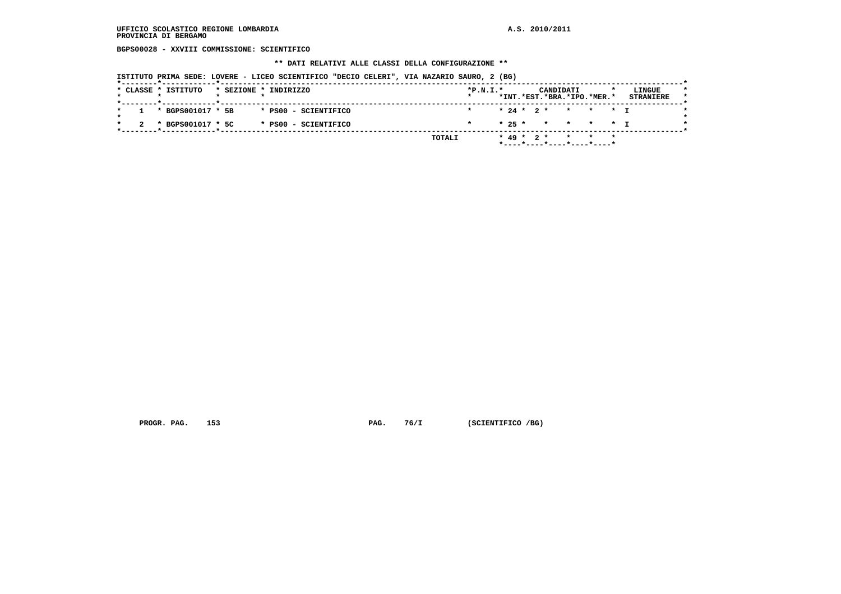**BGPS00028 - XXVIII COMMISSIONE: SCIENTIFICO**

 **\*\* DATI RELATIVI ALLE CLASSI DELLA CONFIGURAZIONE \*\***

 **ISTITUTO PRIMA SEDE: LOVERE - LICEO SCIENTIFICO "DECIO CELERI", VIA NAZARIO SAURO, 2 (BG)**

| * CLASSE * ISTITUTO   |  | * SEZIONE * INDIRIZZO | $*P.N.T.*$ |  |  | CANDIDATI    | *INT.*EST.*BRA.*IPO.*MER.* | LINGUE<br><b>STRANIERE</b> |
|-----------------------|--|-----------------------|------------|--|--|--------------|----------------------------|----------------------------|
| $1 * BGPS001017 * 5B$ |  | * PS00 - SCIENTIFICO  |            |  |  |              | * 24 * 2 * * * * T         |                            |
|                       |  |                       |            |  |  |              |                            |                            |
| 2 * BGPS001017 * 5C   |  | * PS00 - SCIENTIFICO  |            |  |  |              | * 25 * * * * * T           |                            |
|                       |  | TOTALI                |            |  |  | $* 49 * 2 *$ | * * *                      |                            |

 **PROGR. PAG.** 153 **PAG. 76/I (SCIENTIFICO /BG)**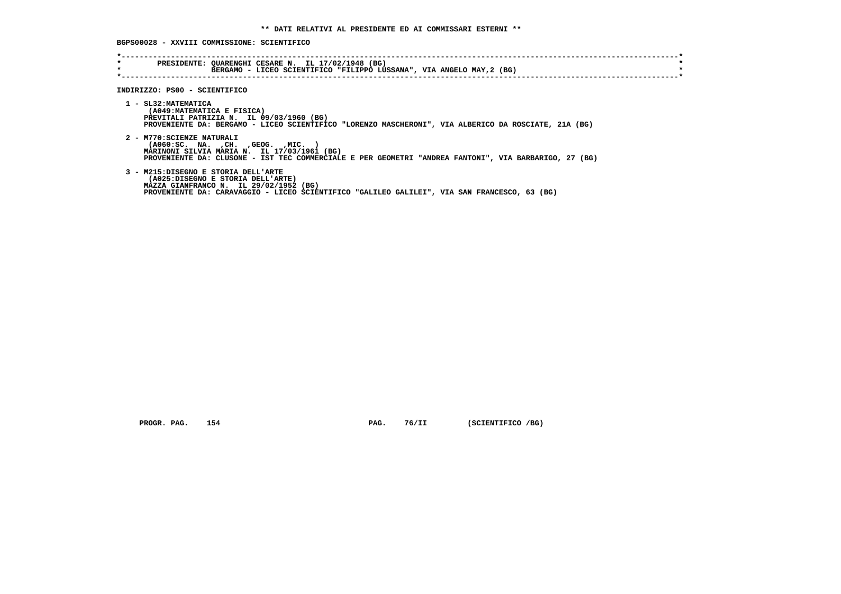## **BGPS00028 - XXVIII COMMISSIONE: SCIENTIFICO**

| *<br>$\star$ | PRESIDENTE: QUARENGHI CESARE N. IL 17/02/1948 (BG)<br>BERGAMO - LICEO SCIENTIFICO "FILIPPO LUSSANA", VIA ANGELO MAY, 2 (BG)                                                                                                     |
|--------------|---------------------------------------------------------------------------------------------------------------------------------------------------------------------------------------------------------------------------------|
|              | INDIRIZZO: PS00 - SCIENTIFICO                                                                                                                                                                                                   |
|              | 1 - SL32: MATEMATICA<br>(A049: MATEMATICA E FISICA)<br>PREVITALI PATRIZIA N. IL 09/03/1960 (BG)<br>PROVENIENTE DA: BERGAMO - LICEO SCIENTIFICO "LORENZO MASCHERONI", VIA ALBERICO DA ROSCIATE, 21A (BG)                         |
|              | 2 - M770: SCIENZE NATURALI<br>$( A060 : SC. NA. , CH. , GEOG. , MIC. )$<br>MARINONI SILVIA MARIA N. IL 17/03/1961 (BG)<br>PROVENIENTE DA: CLUSONE - IST TEC COMMERCIALE E PER GEOMETRI "ANDREA FANTONI", VIA BARBARIGO, 27 (BG) |
|              | 3 - M215:DISEGNO E STORIA DELL'ARTE<br>(A025:DISEGNO E STORIA DELL'ARTE)<br>MAZZA GIANFRANCO N. IL 29/02/1952 (BG)<br>PROVENIENTE DA: CARAVAGGIO - LICEO SCIENTIFICO "GALILEO GALILEI", VIA SAN FRANCESCO, 63 (BG)              |

 **PROGR. PAG.** 154 **PAG. 76/II** (SCIENTIFICO /BG)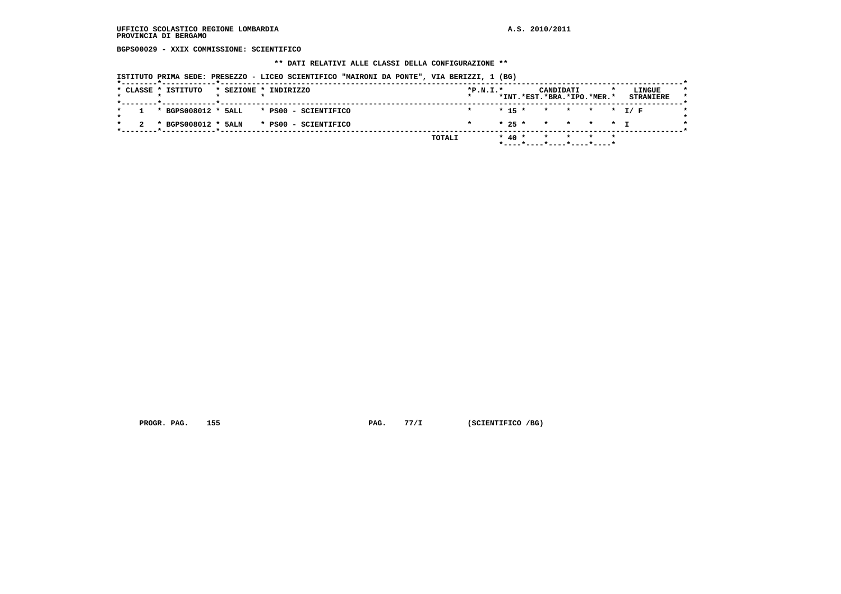## **UFFICIO SCOLASTICO REGIONE LOMBARDIA A.S. 2010/2011 PROVINCIA DI BERGAMO**

 **BGPS00029 - XXIX COMMISSIONE: SCIENTIFICO**

#### **\*\* DATI RELATIVI ALLE CLASSI DELLA CONFIGURAZIONE \*\***

 **ISTITUTO PRIMA SEDE: PRESEZZO - LICEO SCIENTIFICO "MAIRONI DA PONTE", VIA BERIZZI, 1 (BG)**

|         |  | * CLASSE * ISTITUTO |  | * SEZIONE * INDIRIZZO                        | $*P.N.I.*$ |  |            | CANDIDATI<br>*INT.*EST.*BRA.*IPO.*MER.* |  | LINGUE<br><b>STRANIERE</b> |  |
|---------|--|---------------------|--|----------------------------------------------|------------|--|------------|-----------------------------------------|--|----------------------------|--|
| $\star$ |  |                     |  | $1 * BGPS008012 * SALL * PS00 - SCIENTIFICO$ |            |  |            | $* 15 * * * * * * I/F$                  |  |                            |  |
|         |  |                     |  | 2 * BGPS008012 * 5ALN * PS00 - SCIENTIFICO   |            |  |            | * 25 * * * * * T                        |  |                            |  |
|         |  |                     |  | TOTALI                                       |            |  | $*$ 40 $*$ | * * * *<br>*----*----*----*----*----*   |  |                            |  |

 **PROGR. PAG.** 155 **PAG. 77/I** (SCIENTIFICO /BG)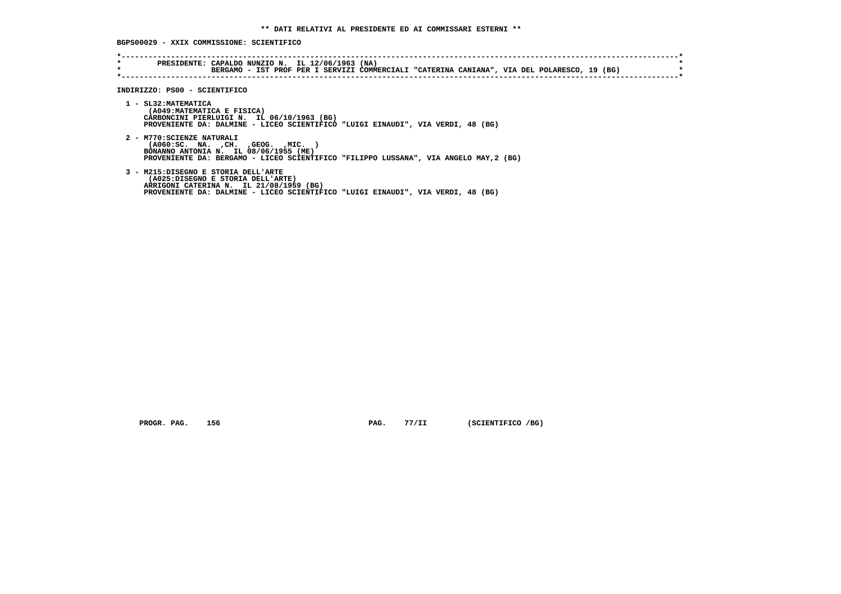## **BGPS00029 - XXIX COMMISSIONE: SCIENTIFICO**

| $\star$ | BERGAMO - IST PROF PER I SERVIZI COMMERCIALI "CATERINA CANIANA", VIA DEL POLARESCO, 19 (BG)                                                                                                               |
|---------|-----------------------------------------------------------------------------------------------------------------------------------------------------------------------------------------------------------|
|         | INDIRIZZO: PS00 - SCIENTIFICO                                                                                                                                                                             |
|         | 1 - SL32: MATEMATICA<br>(A049: MATEMATICA E FISICA)<br>CARBONCINI PIERLUIGI N. IL 06/10/1963 (BG)<br>PROVENIENTE DA: DALMINE - LICEO SCIENTIFICO "LUIGI EINAUDI", VIA VERDI, 48 (BG)                      |
|         | 2 - M770: SCIENZE NATURALI<br>$( A060 : SC. NA. , CH. , GEOG. , MIC. )$<br>BONANNO ANTONIA N. IL 08/06/1955 (ME)<br>PROVENIENTE DA: BERGAMO - LICEO SCIENTIFICO "FILIPPO LUSSANA", VIA ANGELO MAY, 2 (BG) |
|         | 3 - M215:DISEGNO E STORIA DELL'ARTE<br>(A025:DISEGNO E STORIA DELL'ARTE)<br>ARRIGONI CATERINA N. IL 21/08/1959 (BG)<br>PROVENIENTE DA: DALMINE - LICEO SCIENTIFICO "LUIGI EINAUDI", VIA VERDI, 48 (BG)    |

 **PROGR. PAG.** 156 **PAG. 77/II** (SCIENTIFICO /BG)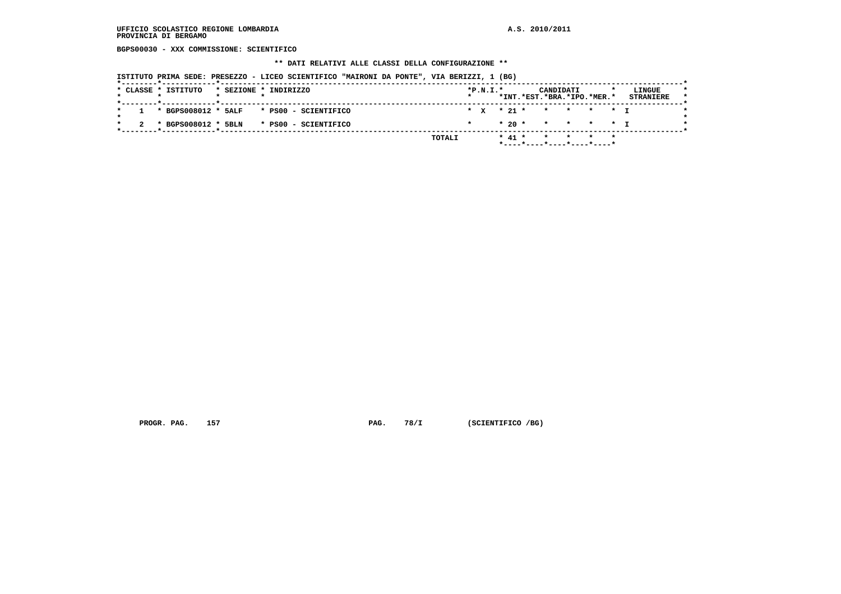## **UFFICIO SCOLASTICO REGIONE LOMBARDIA A.S. 2010/2011 PROVINCIA DI BERGAMO**

 **BGPS00030 - XXX COMMISSIONE: SCIENTIFICO**

#### **\*\* DATI RELATIVI ALLE CLASSI DELLA CONFIGURAZIONE \*\***

 **ISTITUTO PRIMA SEDE: PRESEZZO - LICEO SCIENTIFICO "MAIRONI DA PONTE", VIA BERIZZI, 1 (BG)**

|                     |  | TOTALI                                       |         |            |  | $* 41 *$ | * * *                                   |  |                            |
|---------------------|--|----------------------------------------------|---------|------------|--|----------|-----------------------------------------|--|----------------------------|
|                     |  |                                              |         |            |  |          |                                         |  |                            |
|                     |  | $2 * BGPS008012 * SBIN * PS00 - SCIENTIFICO$ |         |            |  |          | $* 20 * * * * * * + T$                  |  |                            |
|                     |  | $1$ * BGPS008012 * 5ALF * PS00 - SCIENTIFICO |         |            |  |          | * x * 21 * * * * * * I                  |  |                            |
| * CLASSE * ISTITUTO |  | * SEZIONE * INDIRIZZO                        | $\star$ | $*P.N.I.*$ |  |          | CANDIDATI<br>*INT.*EST.*BRA.*IPO.*MER.* |  | LINGUE<br><b>STRANIERE</b> |

 **PROGR. PAG.** 157 **PAG. 78/I (SCIENTIFICO /BG)**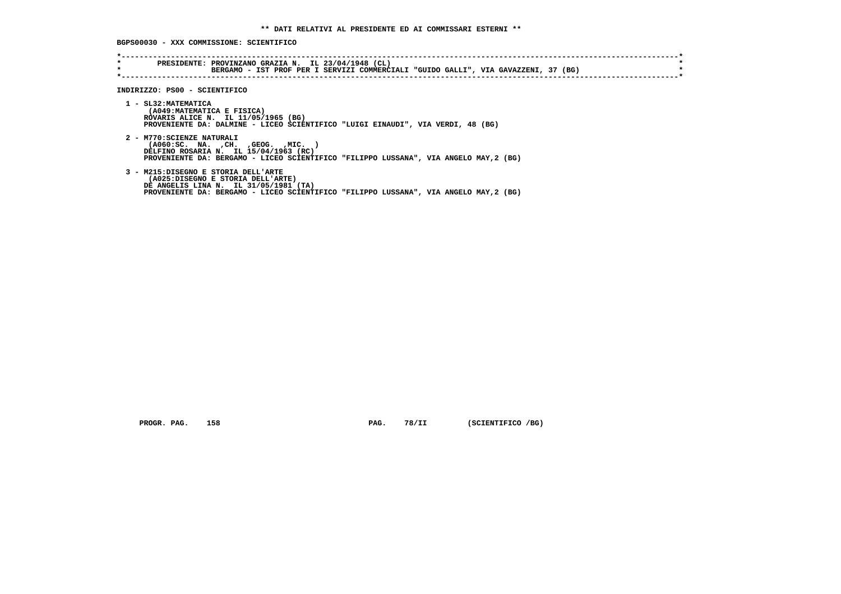**BGPS00030 - XXX COMMISSIONE: SCIENTIFICO**

| $\star$<br>$\star$ | PRESIDENTE: PROVINZANO GRAZIA N. IL 23/04/1948 (CL)<br>BERGAMO - IST PROF PER I SERVIZI COMMERCIALI "GUIDO GALLI", VIA GAVAZZENI, 37 (BG)                                                                  |
|--------------------|------------------------------------------------------------------------------------------------------------------------------------------------------------------------------------------------------------|
|                    |                                                                                                                                                                                                            |
|                    |                                                                                                                                                                                                            |
|                    | INDIRIZZO: PS00 - SCIENTIFICO                                                                                                                                                                              |
|                    | 1 - SL32: MATEMATICA<br>(A049: MATEMATICA E FISICA)<br>ROVARIS ALICE N. IL 11/05/1965 (BG)                                                                                                                 |
|                    | PROVENIENTE DA: DALMINE - LICEO SCIENTIFICO "LUIGI EINAUDI", VIA VERDI, 48 (BG)                                                                                                                            |
|                    | 2 - M770: SCIENZE NATURALI<br>( A060 : SC. NA. , CH. , GEOG. , MIC.<br>DELFINO ROSARIA N. IL 15/04/1963 (RC)<br>PROVENIENTE DA: BERGAMO - LICEO SCIENTIFICO "FILIPPO LUSSANA", VIA ANGELO MAY, 2 (BG)      |
|                    | 3 - M215:DISEGNO E STORIA DELL'ARTE<br>(A025:DISEGNO E STORIA DELL'ARTE)<br>DE ANGELIS LINA N. IL 31/05/1981 (TA)<br>PROVENIENTE DA: BERGAMO - LICEO SCIENTIFICO "FILIPPO LUSSANA", VIA ANGELO MAY, 2 (BG) |

 **PROGR. PAG.** 158 **PAG. 78/II** (SCIENTIFICO /BG)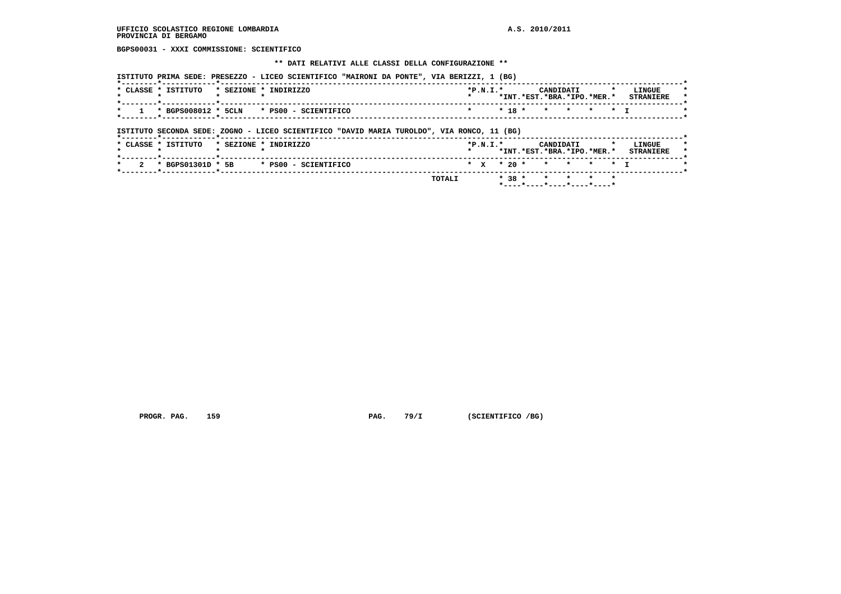**BGPS00031 - XXXI COMMISSIONE: SCIENTIFICO**

#### **\*\* DATI RELATIVI ALLE CLASSI DELLA CONFIGURAZIONE \*\***

| * CLASSE * ISTITUTO                                | * SEZIONE * INDIRIZZO                                                                      |  | $*P.N.T.*$ |          | CANDIDATI<br>*INT.*EST.*BRA.*IPO.*MER.* |  | LINGUE<br><b>STRANIERE</b> |
|----------------------------------------------------|--------------------------------------------------------------------------------------------|--|------------|----------|-----------------------------------------|--|----------------------------|
|                                                    | * BGPS008012 * 5CLN * PS00 - SCIENTIFICO                                                   |  |            | $* 18 *$ | * * * * T                               |  |                            |
|                                                    |                                                                                            |  |            |          |                                         |  |                            |
| ------- <b>*</b> ----------- <b>----</b> --------- | ISTITUTO SECONDA SEDE: ZOGNO - LICEO SCIENTIFICO "DAVID MARIA TUROLDO", VIA RONCO, 11 (BG) |  |            |          |                                         |  |                            |

 **\*--------\*------------\*-------------------------------------------------------------------------------------------------------\* \* 2 \* BGPS01301D \* 5B \* PS00 - SCIENTIFICO \* X \* 20 \* \* \* \* \* I \* \*--------\*------------\*-------------------------------------------------------------------------------------------------------\* TOTALI \* 38 \* \* \* \* \* \*----\*----\*----\*----\*----\***

PROGR. PAG. 159 **PAG. PAG.** 79/I (SCIENTIFICO /BG)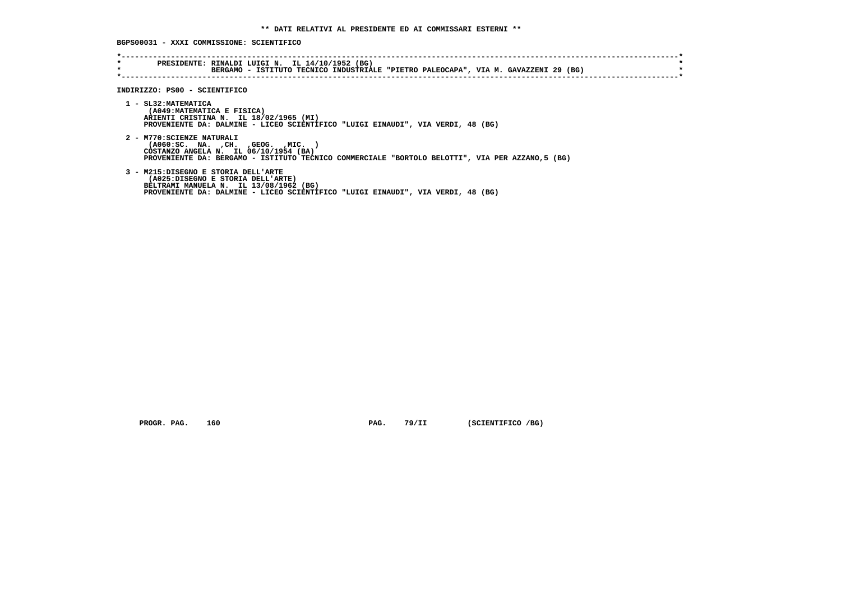**BGPS00031 - XXXI COMMISSIONE: SCIENTIFICO**

| $\star$<br>$\star$ | PRESIDENTE: RINALDI LUIGI N. IL 14/10/1952 (BG)<br>BERGAMO - ISTITUTO TECNICO INDUSTRIALE "PIETRO PALEOCAPA", VIA M. GAVAZZENI 29 (BG)                                                                          |  |
|--------------------|-----------------------------------------------------------------------------------------------------------------------------------------------------------------------------------------------------------------|--|
|                    | INDIRIZZO: PS00 - SCIENTIFICO                                                                                                                                                                                   |  |
|                    | 1 - SL32: MATEMATICA<br>(A049: MATEMATICA E FISICA)<br>ARIENTI CRISTINA N. IL 18/02/1965 (MI)<br>PROVENIENTE DA: DALMINE - LICEO SCIENTIFICO "LUIGI EINAUDI", VIA VERDI, 48 (BG)                                |  |
|                    | 2 - M770: SCIENZE NATURALI<br>( A060 : SC. NA. , CH. , GEOG. , MIC.<br>COSTANZO ANGELA N. IL 06/10/1954 (BA)<br>PROVENIENTE DA: BERGAMO - ISTITUTO TECNICO COMMERCIALE "BORTOLO BELOTTI", VIA PER AZZANO,5 (BG) |  |
|                    | 3 - M215:DISEGNO E STORIA DELL'ARTE<br>(A025:DISEGNO E STORIA DELL'ARTE)<br>BELTRAMI MANUELA N. IL 13/08/1962 (BG)<br>PROVENIENTE DA: DALMINE - LICEO SCIENTIFICO "LUIGI EINAUDI", VIA VERDI, 48 (BG)           |  |

 **PROGR. PAG.** 160 **PAG. 79/II** (SCIENTIFICO /BG)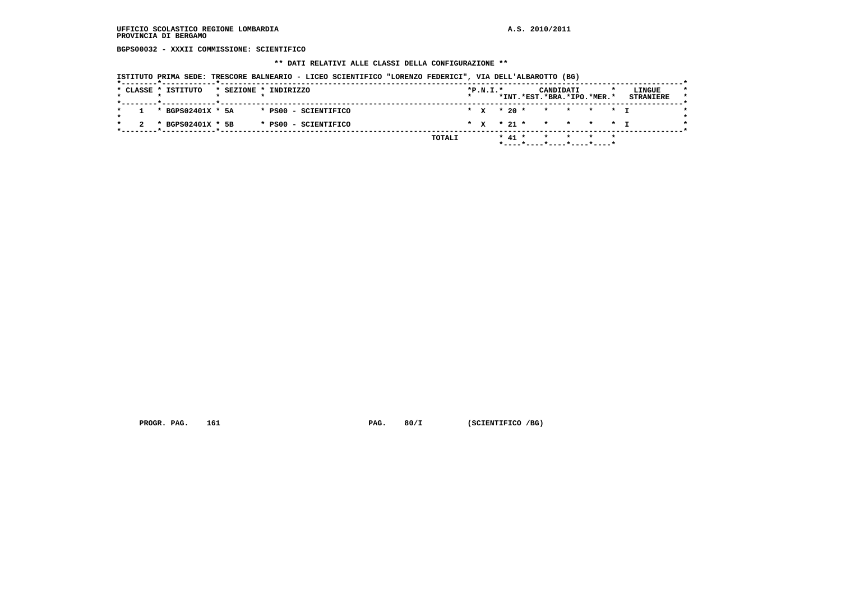**BGPS00032 - XXXII COMMISSIONE: SCIENTIFICO**

#### **\*\* DATI RELATIVI ALLE CLASSI DELLA CONFIGURAZIONE \*\***

 **ISTITUTO PRIMA SEDE: TRESCORE BALNEARIO - LICEO SCIENTIFICO "LORENZO FEDERICI", VIA DELL'ALBAROTTO (BG)**

|  | * CLASSE * ISTITUTO   |  | * SEZIONE * INDIRIZZO |  | $*P.N.T.*$ |            |  | CANDIDATI | *INT.*EST.*BRA.*IPO.*MER.* | LINGUE<br><b>STRANIERE</b> |  |
|--|-----------------------|--|-----------------------|--|------------|------------|--|-----------|----------------------------|----------------------------|--|
|  |                       |  |                       |  |            |            |  |           |                            |                            |  |
|  | $1 * BGPS02401X * 5A$ |  | * PS00 - SCIENTIFICO  |  |            |            |  |           | * x * 20 * * * * * * I     |                            |  |
|  | * BGPS02401X * 5B     |  | * PS00 - SCIENTIFICO  |  |            |            |  |           | * x * 21 * * * * * * I     |                            |  |
|  |                       |  | TOTALI                |  |            | $*$ 41 $*$ |  |           | * * *                      |                            |  |
|  |                       |  |                       |  |            |            |  | .         |                            |                            |  |

 **PROGR. PAG.** 161 **PAG. 80/I (SCIENTIFICO /BG)**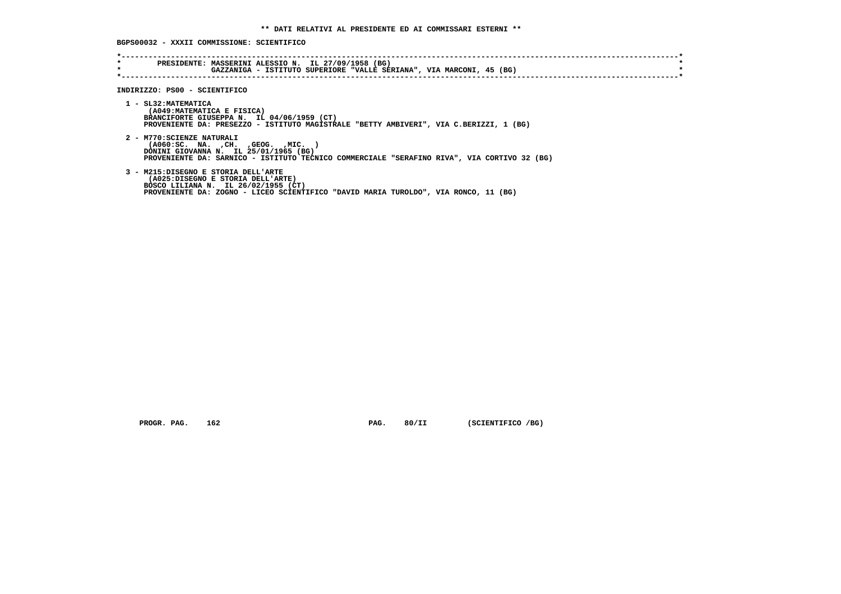**BGPS00032 - XXXII COMMISSIONE: SCIENTIFICO**

| $\star$<br>$\star$ | PRESIDENTE: MASSERINI ALESSIO N. IL 27/09/1958 (BG)<br>GAZZANIGA - ISTITUTO SUPERIORE "VALLE SERIANA", VIA MARCONI, 45 (BG)                                                                                     |  |
|--------------------|-----------------------------------------------------------------------------------------------------------------------------------------------------------------------------------------------------------------|--|
|                    | INDIRIZZO: PS00 - SCIENTIFICO                                                                                                                                                                                   |  |
|                    | 1 - SL32: MATEMATICA<br>(A049: MATEMATICA E FISICA)<br>BRANCIFORTE GIUSEPPA N. IL 04/06/1959 (CT)<br>PROVENIENTE DA: PRESEZZO - ISTITUTO MAGISTRALE "BETTY AMBIVERI", VIA C.BERIZZI, 1 (BG)                     |  |
|                    | 2 - M770: SCIENZE NATURALI<br>$( A060 : SC. NA. , CH. , GEOG. , MIC. )$<br>DONINI GIOVANNA N. IL 25/01/1965 (BG)<br>PROVENIENTE DA: SARNICO - ISTITUTO TECNICO COMMERCIALE "SERAFINO RIVA", VIA CORTIVO 32 (BG) |  |
|                    | 3 - M215:DISEGNO E STORIA DELL'ARTE<br>(A025:DISEGNO E STORIA DELL'ARTE)<br>BOSCO LILIANA N. IL 26/02/1955 (CT)<br>PROVENIENTE DA: ZOGNO - LICEO SCIENTIFICO "DAVID MARIA TUROLDO", VIA RONCO, 11 (BG)          |  |

 **PROGR. PAG.** 162 **PAG. 80/II** (SCIENTIFICO /BG)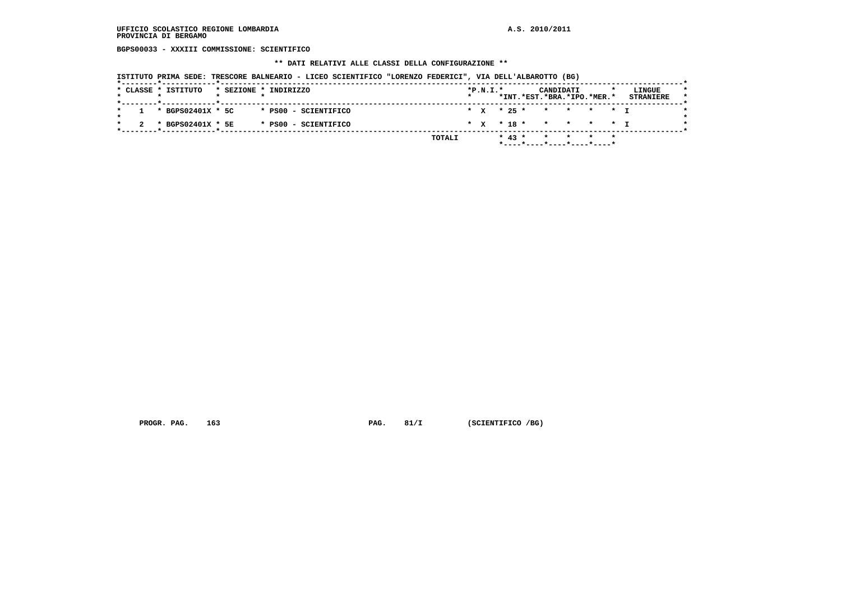**BGPS00033 - XXXIII COMMISSIONE: SCIENTIFICO**

 **\*\* DATI RELATIVI ALLE CLASSI DELLA CONFIGURAZIONE \*\***

 **ISTITUTO PRIMA SEDE: TRESCORE BALNEARIO - LICEO SCIENTIFICO "LORENZO FEDERICI", VIA DELL'ALBAROTTO (BG)**

| * x * 25 * * * * * * T<br>1 * BGPS02401X * 5C<br>* PS00 - SCIENTIFICO<br>* x * 18 * * * * * * I<br>* BGPS02401X * 5E<br>* PS00 - SCIENTIFICO |  | * CLASSE * ISTITUTO |  | * SEZIONE * INDIRIZZO |  | $*P.N.I.*$ |  |  | CANDIDATI | *INT.*EST.*BRA.*IPO.*MER.* | LINGUE<br><b>STRANIERE</b> |
|----------------------------------------------------------------------------------------------------------------------------------------------|--|---------------------|--|-----------------------|--|------------|--|--|-----------|----------------------------|----------------------------|
|                                                                                                                                              |  |                     |  |                       |  |            |  |  |           |                            |                            |
|                                                                                                                                              |  |                     |  |                       |  |            |  |  |           |                            |                            |

 **PROGR. PAG.** 163 **PAG. 81/I** (SCIENTIFICO /BG)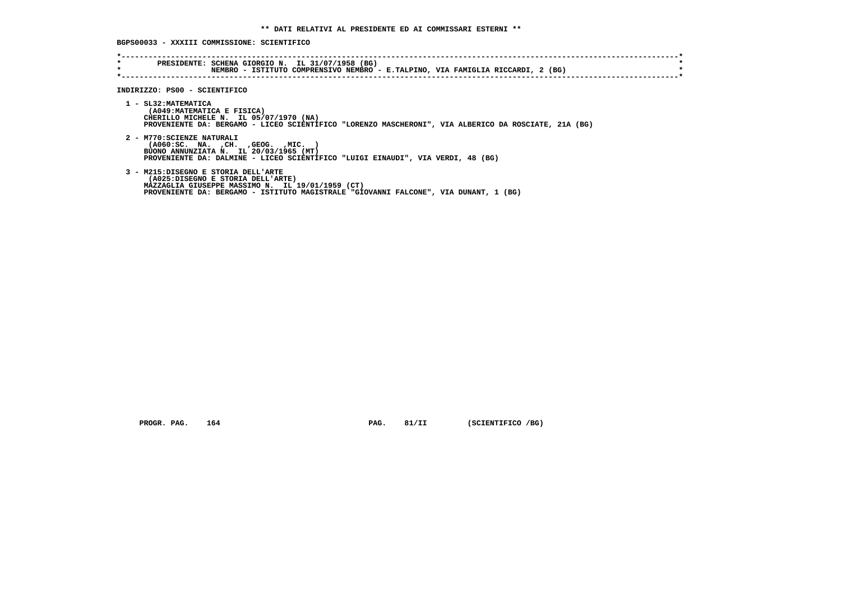## **BGPS00033 - XXXIII COMMISSIONE: SCIENTIFICO**

| $\star$<br>$\star$ | PRESIDENTE: SCHENA GIORGIO N. IL 31/07/1958 (BG)<br>NEMBRO - ISTITUTO COMPRENSIVO NEMBRO - E.TALPINO, VIA FAMIGLIA RICCARDI, 2 (BG)                                                                                  |
|--------------------|----------------------------------------------------------------------------------------------------------------------------------------------------------------------------------------------------------------------|
|                    | INDIRIZZO: PS00 - SCIENTIFICO                                                                                                                                                                                        |
|                    | 1 - SL32: MATEMATICA<br>(A049: MATEMATICA E FISICA)<br>CHERILLO MICHELE N. IL 05/07/1970 (NA)<br>PROVENIENTE DA: BERGAMO - LICEO SCIENTIFICO "LORENZO MASCHERONI", VIA ALBERICO DA ROSCIATE, 21A (BG)                |
|                    | 2 - M770: SCIENZE NATURALI<br>( A060:SC. NA. , CH. , GEOG. , MIC.<br>BUONO ANNUNZIATA N. IL 20/03/1965 (MT)<br>PROVENIENTE DA: DALMINE - LICEO SCIENTIFICO "LUIGI EINAUDI", VIA VERDI, 48 (BG)                       |
|                    | 3 - M215:DISEGNO E STORIA DELL'ARTE<br>(A025:DISEGNO E STORIA DELL'ARTE)<br>MAZZAGLIA GIUSEPPE MASSIMO N. IL 19/01/1959 (CT)<br>PROVENIENTE DA: BERGAMO - ISTITUTO MAGISTRALE "GIOVANNI FALCONE", VIA DUNANT, 1 (BG) |

 **PROGR. PAG.** 164 **PAG. 81/II** (SCIENTIFICO /BG)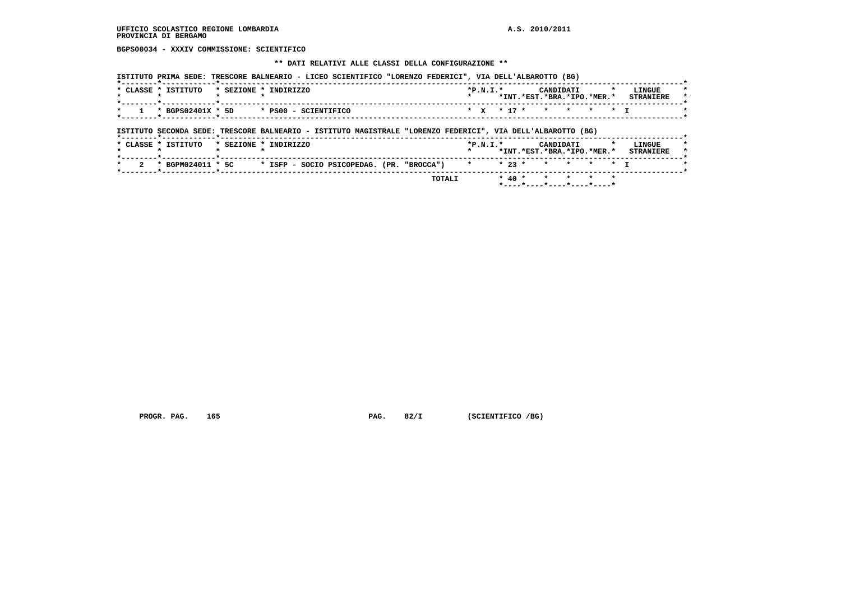**BGPS00034 - XXXIV COMMISSIONE: SCIENTIFICO**

#### **\*\* DATI RELATIVI ALLE CLASSI DELLA CONFIGURAZIONE \*\***

|  |                   |                      |  | $*P.N.T.*$ | CANDIDATI                  |  | LINGUE                 |
|--|-------------------|----------------------|--|------------|----------------------------|--|------------------------|
|  |                   |                      |  |            | *INT.*EST.*BRA.*IPO.*MER.* |  | <b>STRANTERE</b>       |
|  |                   |                      |  |            |                            |  |                        |
|  |                   |                      |  |            |                            |  |                        |
|  | * BGPS02401X * 5D | * PS00 - SCIENTIFICO |  |            |                            |  | * * * 17 * * * * * * T |

## **ISTITUTO SECONDA SEDE: TRESCORE BALNEARIO - ISTITUTO MAGISTRALE "LORENZO FEDERICI", VIA DELL'ALBAROTTO (BG)**

|  |                     |  |                                                             |  | TOTALI |                    |  | * 40 * * * * * *                               |  |                            |
|--|---------------------|--|-------------------------------------------------------------|--|--------|--------------------|--|------------------------------------------------|--|----------------------------|
|  |                     |  | * BGPM024011 * 5C * ISFP - SOCIO PSICOPEDAG. (PR. "BROCCA") |  |        | * * 23 * * * * * T |  |                                                |  |                            |
|  | * CLASSE * ISTITUTO |  | * SEZIONE * INDIRIZZO                                       |  |        | $*P.N.T.*$         |  | <b>CANDIDATI</b><br>*INT.*EST.*BRA.*IPO.*MER.* |  | LINGUE<br><b>STRANTERE</b> |

PROGR. PAG. 165 **PAG. 82/I** (SCIENTIFICO /BG)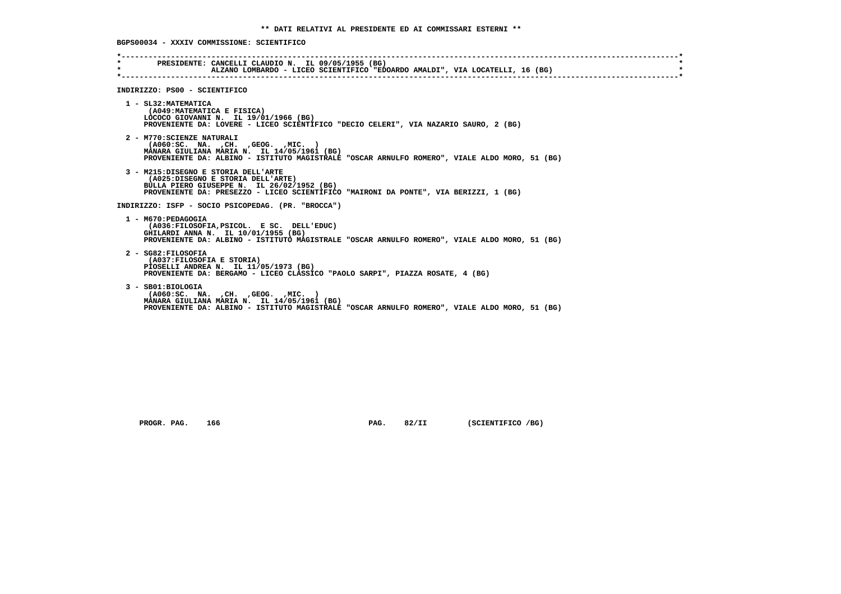**BGPS00034 - XXXIV COMMISSIONE: SCIENTIFICO**

| $\star$<br>$\star$ | PRESIDENTE: CANCELLI CLAUDIO N. IL 09/05/1955 (BG)<br>ALZANO LOMBARDO - LICEO SCIENTIFICO "EDOARDO AMALDI", VIA LOCATELLI, 16 (BG)                                                                                 |
|--------------------|--------------------------------------------------------------------------------------------------------------------------------------------------------------------------------------------------------------------|
|                    | INDIRIZZO: PS00 - SCIENTIFICO                                                                                                                                                                                      |
|                    | 1 - SL32: MATEMATICA<br>(A049: MATEMATICA E FISICA)<br>LOCOCO GIOVANNI N. IL 19/01/1966 (BG)<br>PROVENIENTE DA: LOVERE - LICEO SCIENTIFICO "DECIO CELERI", VIA NAZARIO SAURO, 2 (BG)                               |
|                    | 2 - M770: SCIENZE NATURALI<br>(A060:SC. NA. , CH. , GEOG. , MIC. )<br>MANARA GIULIANA MARIA N. IL 14/05/1961 (BG)<br>PROVENIENTE DA: ALBINO - ISTITUTO MAGISTRALE "OSCAR ARNULFO ROMERO", VIALE ALDO MORO, 51 (BG) |
|                    | 3 - M215:DISEGNO E STORIA DELL'ARTE<br>(A025:DISEGNO E STORIA DELL'ARTE)<br>BULLA PIERO GIUSEPPE N. IL 26/02/1952 (BG)<br>PROVENIENTE DA: PRESEZZO - LICEO SCIENTIFICO "MAIRONI DA PONTE", VIA BERIZZI, 1 (BG)     |
|                    | INDIRIZZO: ISFP - SOCIO PSICOPEDAG. (PR. "BROCCA")                                                                                                                                                                 |
|                    | 1 - M670: PEDAGOGIA<br>(A036:FILOSOFIA, PSICOL. E SC. DELL'EDUC)<br>GHILARDI ANNA N. IL 10/01/1955 (BG)<br>PROVENIENTE DA: ALBINO - ISTITUTO MAGISTRALE "OSCAR ARNULFO ROMERO", VIALE ALDO MORO, 51 (BG)           |
|                    | 2 - SG82:FILOSOFIA<br>(A037:FILOSOFIA E STORIA)<br>PIOSELLI ANDREA N. IL 11/05/1973 (BG)<br>PROVENIENTE DA: BERGAMO - LICEO CLASSICO "PAOLO SARPI", PIAZZA ROSATE, 4 (BG)                                          |
|                    | 3 - SB01:BIOLOGIA<br>( A060:SC. NA. , CH. , GEOG. , MIC. )<br>MANARA GIULIANA MARIA N. IL 14/05/1961 (BG)<br>PROVENIENTE DA: ALBINO - ISTITUTO MAGISTRALE "OSCAR ARNULFO ROMERO", VIALE ALDO MORO, 51 (BG)         |

 **PROGR. PAG.** 166 **PAG. 82/II** (SCIENTIFICO /BG)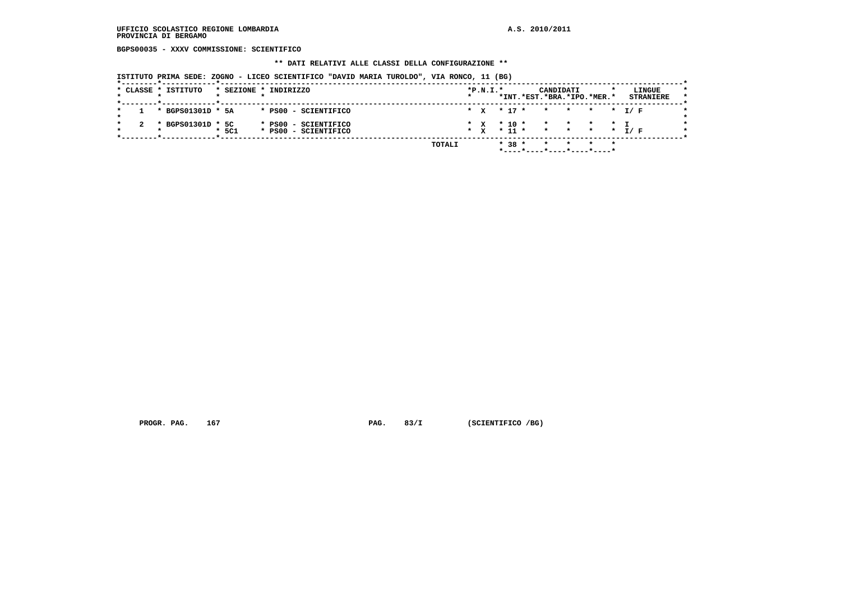## **UFFICIO SCOLASTICO REGIONE LOMBARDIA A.S. 2010/2011 PROVINCIA DI BERGAMO**

 **BGPS00035 - XXXV COMMISSIONE: SCIENTIFICO**

#### **\*\* DATI RELATIVI ALLE CLASSI DELLA CONFIGURAZIONE \*\***

 **ISTITUTO PRIMA SEDE: ZOGNO - LICEO SCIENTIFICO "DAVID MARIA TUROLDO", VIA RONCO, 11 (BG)**

|  | * CLASSE * ISTITUTO |         | * SEZIONE * INDIRIZZO                        |        |         | $*P.N.T.*$                       |  |            | CANDIDATI<br>*INT.*EST.*BRA.*IPO.*MER.* |  |         | LINGUE<br><b>STRANIERE</b> |  |
|--|---------------------|---------|----------------------------------------------|--------|---------|----------------------------------|--|------------|-----------------------------------------|--|---------|----------------------------|--|
|  | * BGPS01301D * 5A   |         | * PS00 - SCIENTIFICO                         |        |         | $*$ $x$ $*$ 17 $*$               |  |            |                                         |  |         | * * * * I/F                |  |
|  | * BGPS01301D * 5C   | $*$ 5C1 | * PS00 - SCIENTIFICO<br>* PS00 - SCIENTIFICO |        | $\star$ | $*$ x $*$ 10 $*$<br>$\mathbf{x}$ |  | $*$ 11 $*$ | * * * * T                               |  |         | * * * * I/F                |  |
|  |                     |         |                                              | TOTALI |         |                                  |  | $* 38 *$   | $\star$<br>*----*----*----*----*----*   |  | $\star$ |                            |  |

 **PROGR. PAG.** 167 **PAG. 83/I** (SCIENTIFICO /BG)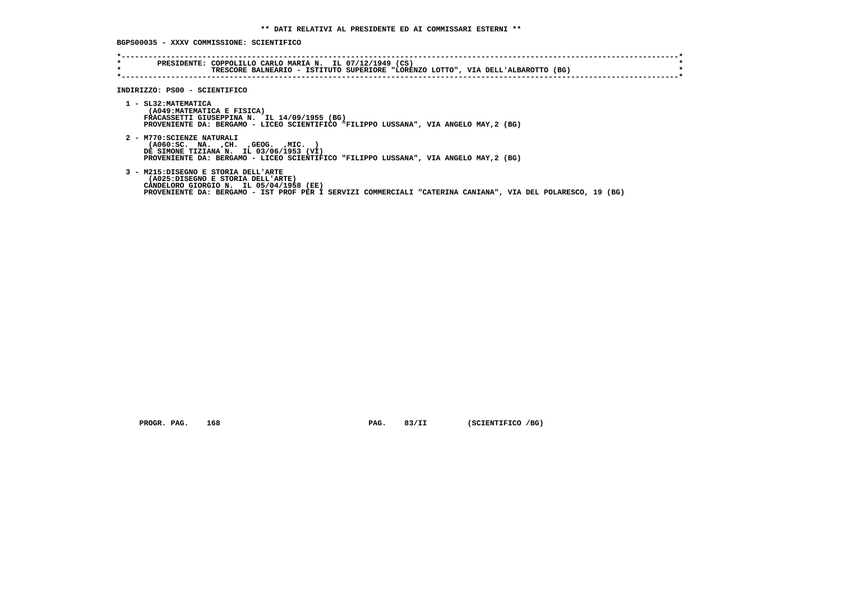## **BGPS00035 - XXXV COMMISSIONE: SCIENTIFICO**

| $\star$<br>$\star$            | PRESIDENTE: COPPOLILLO CARLO MARIA N. IL 07/12/1949 (CS)<br>TRESCORE BALNEARIO - ISTITUTO SUPERIORE "LORENZO LOTTO", VIA DELL'ALBAROTTO (BG)                                                                                       |  |
|-------------------------------|------------------------------------------------------------------------------------------------------------------------------------------------------------------------------------------------------------------------------------|--|
| INDIRIZZO: PS00 - SCIENTIFICO |                                                                                                                                                                                                                                    |  |
| 1 - SL32: MATEMATICA          | (A049: MATEMATICA E FISICA)<br>FRACASSETTI GIUSEPPINA N. IL 14/09/1955 (BG)<br>PROVENIENTE DA: BERGAMO - LICEO SCIENTIFICO "FILIPPO LUSSANA", VIA ANGELO MAY, 2 (BG)                                                               |  |
| 2 - M770: SCIENZE NATURALI    | $( A060 : SC. NA. , CH. , GEOG. , MIC. )$<br>DE SIMONE TIZIANA N. IL 03/06/1953 (VI)<br>PROVENIENTE DA: BERGAMO - LICEO SCIENTIFICO "FILIPPO LUSSANA", VIA ANGELO MAY, 2 (BG)                                                      |  |
|                               | 3 - M215:DISEGNO E STORIA DELL'ARTE<br>(A025:DISEGNO E STORIA DELL'ARTE)<br>CANDELORO GIORGIO N. IL 05/04/1958 (EE)<br>PROVENIENTE DA: BERGAMO - IST PROF PER I SERVIZI COMMERCIALI "CATERINA CANIANA", VIA DEL POLARESCO, 19 (BG) |  |

 **PROGR. PAG.** 168 **PAG. 83/II** (SCIENTIFICO /BG)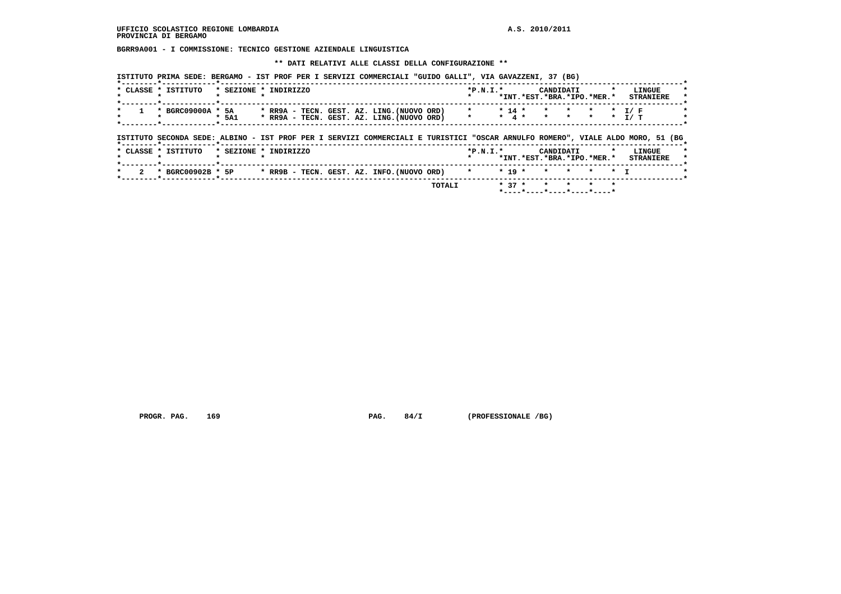**BGRR9A001 - I COMMISSIONE: TECNICO GESTIONE AZIENDALE LINGUISTICA**

 **\*\* DATI RELATIVI ALLE CLASSI DELLA CONFIGURAZIONE \*\***

 **ISTITUTO PRIMA SEDE: BERGAMO - IST PROF PER I SERVIZI COMMERCIALI "GUIDO GALLI", VIA GAVAZZENI, 37 (BG)**

 **\*----\*----\*----\*----\*----\***

|                           | * CLASSE * ISTITUTO                                                                                                            | * SEZIONE * INDIRIZZO |  |  |                                                                                          | $*P.N.T.*$                     |          | CANDIDATI                                   |                              |         |                | LINGUE<br>*INT.*EST.*BRA.*IPO.*MER.* STRANIERE |
|---------------------------|--------------------------------------------------------------------------------------------------------------------------------|-----------------------|--|--|------------------------------------------------------------------------------------------|--------------------------------|----------|---------------------------------------------|------------------------------|---------|----------------|------------------------------------------------|
|                           | * BGRC09000A * 5A<br>-------- <del>*</del> ----------- <b>*</b> -----                                                          | * 5A1                 |  |  | * RR9A - TECN. GEST. AZ. LING. (NUOVO ORD)<br>* RR9A - TECN. GEST. AZ. LING. (NUOVO ORD) | $\star$<br>$\star$ and $\star$ | $* 14 *$ | $\star$ . The set of $\star$<br>* 4 * * * * | $\star$ . The set of $\star$ | $\star$ |                | * T/F<br>$\star$ T/T                           |
|                           |                                                                                                                                |                       |  |  |                                                                                          |                                |          |                                             |                              |         |                |                                                |
|                           | ISTITUTO SECONDA SEDE: ALBINO - IST PROF PER I SERVIZI COMMERCIALI E TURISTICI "OSCAR ARNULFO ROMERO", VIALE ALDO MORO, 51 (BG |                       |  |  |                                                                                          |                                |          |                                             |                              |         |                |                                                |
|                           | * CLASSE * ISTITUTO                                                                                                            | * SEZIONE * INDIRIZZO |  |  |                                                                                          | $*P.N.I.*$                     |          | CANDIDATI                                   |                              |         | $\cdot$        | LINGUE<br>*INT.*EST.*BRA.*IPO.*MER.* STRANIERE |
| $\overline{2}$<br>$\star$ | * BGRC00902B * 5P                                                                                                              |                       |  |  | * $RR9B$ - TECN. GEST. AZ. INFO. (NUOVO ORD) $*$                                         |                                | $* 19 *$ | $\star$ $\star$                             |                              | $\star$ | $\star$ $\tau$ |                                                |

 **PROGR. PAG. 169 PAG. 84/I (PROFESSIONALE /BG)**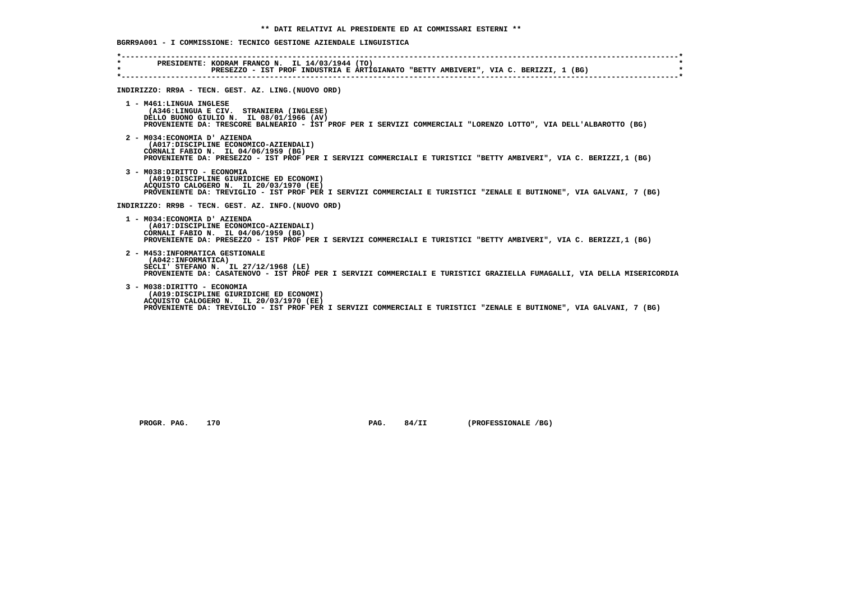# **BGRR9A001 - I COMMISSIONE: TECNICO GESTIONE AZIENDALE LINGUISTICA**

| $\star$ | PRESIDENTE: KODRAM FRANCO N. IL 14/03/1944 (TO)<br>PRESEZZO – IST PROF INDUSTRIA E ARTIGIANATO "BETTY AMBIVERI", VIA C. BERIZZI, 1 (BG)                                                                                                   |
|---------|-------------------------------------------------------------------------------------------------------------------------------------------------------------------------------------------------------------------------------------------|
|         | INDIRIZZO: RR9A - TECN. GEST. AZ. LING. (NUOVO ORD)                                                                                                                                                                                       |
|         | 1 - M461:LINGUA INGLESE<br>(A346:LINGUA E CIV. STRANIERA (INGLESE)<br>DELLO BUONO GIULIO N. IL 08/01/1966 (AV)<br>PROVENIENTE DA: TRESCORE BALNEARIO - IST PROF PER I SERVIZI COMMERCIALI "LORENZO LOTTO", VIA DELL'ALBAROTTO (BG)        |
|         | 2 - M034: ECONOMIA D' AZIENDA<br>(A017:DISCIPLINE ECONOMICO-AZIENDALI)<br>CORNALI FABIO N. IL 04/06/1959 (BG)<br>PROVENIENTE DA: PRESEZZO - IST PROF PER I SERVIZI COMMERCIALI E TURISTICI "BETTY AMBIVERI", VIA C. BERIZZI,1 (BG)        |
|         | 3 - M038: DIRITTO - ECONOMIA<br>(A019:DISCIPLINE GIURIDICHE ED ECONOMI)<br>ACOUISTO CALOGERO N. IL 20/03/1970 (EE)<br>PROVENIENTE DA: TREVIGLIO - IST PROF PER I SERVIZI COMMERCIALI E TURISTICI "ZENALE E BUTINONE", VIA GALVANI, 7 (BG) |
|         | INDIRIZZO: RR9B - TECN. GEST. AZ. INFO. (NUOVO ORD)                                                                                                                                                                                       |
|         | 1 - M034: ECONOMIA D' AZIENDA<br>(A017:DISCIPLINE ECONOMICO-AZIENDALI)<br>CORNALI FABIO N. IL 04/06/1959 (BG)<br>PROVENIENTE DA: PRESEZZO - IST PROF PER I SERVIZI COMMERCIALI E TURISTICI "BETTY AMBIVERI", VIA C. BERIZZI,1 (BG)        |
|         | 2 - M453: INFORMATICA GESTIONALE<br>(A042: INFORMATICA)<br>SECLI' STEFANO N. IL 27/12/1968 (LE)<br>PROVENIENTE DA: CASATENOVO - IST PROF PER I SERVIZI COMMERCIALI E TURISTICI GRAZIELLA FUMAGALLI, VIA DELLA MISERICORDIA                |
|         | 3 - M038: DIRITTO - ECONOMIA<br>(A019:DISCIPLINE GIURIDICHE ED ECONOMI)<br>ACOUISTO CALOGERO N. IL 20/03/1970 (EE)<br>PROVENIENTE DA: TREVIGLIO - IST PROF PER I SERVIZI COMMERCIALI E TURISTICI "ZENALE E BUTINONE", VIA GALVANI, 7 (BG) |

 **PROGR. PAG. 170 PAG. 84/II (PROFESSIONALE /BG)**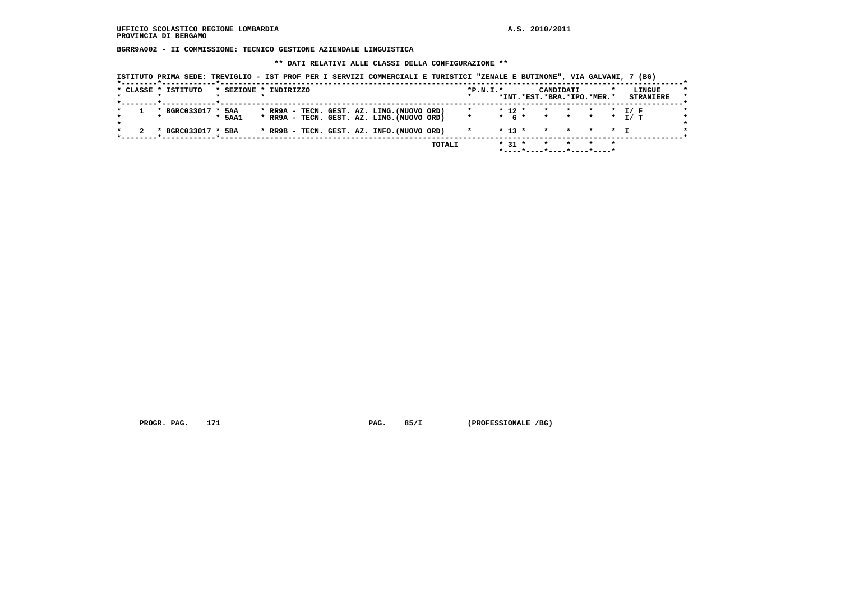**BGRR9A002 - II COMMISSIONE: TECNICO GESTIONE AZIENDALE LINGUISTICA**

 **\*\* DATI RELATIVI ALLE CLASSI DELLA CONFIGURAZIONE \*\***

|  | * CLASSE * ISTITUTO | * SEZIONE * INDIRIZZO |  |  |  |                                            | $*P.N.I.*$ |          | CANDIDATI<br>*INT.*EST.*BRA.*IPO.*MER.* |  | LINGUE<br><b>STRANIERE</b> |
|--|---------------------|-----------------------|--|--|--|--------------------------------------------|------------|----------|-----------------------------------------|--|----------------------------|
|  | * BGRC033017 * 5AA  |                       |  |  |  | * RR9A - TECN. GEST. AZ. LING. (NUOVO ORD) |            | $* 12 *$ | * * * * I/F                             |  |                            |
|  |                     | * 5AA1                |  |  |  | * RR9A - TECN. GEST. AZ. LING. (NUOVO ORD) |            |          | * 6 * * * * * T/ T                      |  |                            |
|  | * BGRC033017 * 5BA  |                       |  |  |  | * RR9B - TECN. GEST. AZ. INFO. (NUOVO ORD) |            |          | $* 13 * * * * * * + T$                  |  |                            |

 **PROGR. PAG.** 171 **PAG. 85/I** (PROFESSIONALE /BG)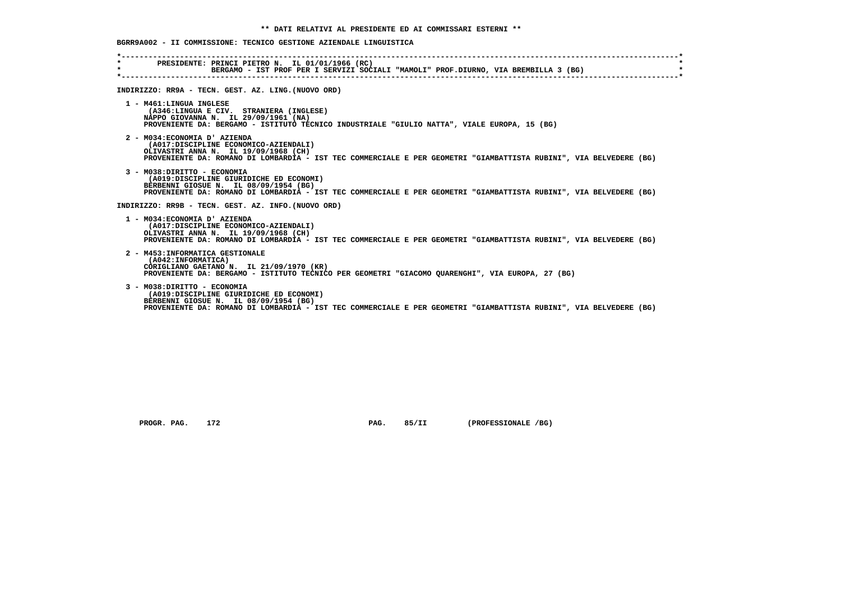# **BGRR9A002 - II COMMISSIONE: TECNICO GESTIONE AZIENDALE LINGUISTICA**

| $\star$ | PRESIDENTE: PRINCI PIETRO N. IL 01/01/1966 (RC)<br>BERGAMO - IST PROF PER I SERVIZI SOCIALI "MAMOLI" PROF.DIURNO, VIA BREMBILLA 3 (BG)                                          |
|---------|---------------------------------------------------------------------------------------------------------------------------------------------------------------------------------|
|         | INDIRIZZO: RR9A - TECN. GEST. AZ. LING. (NUOVO ORD)                                                                                                                             |
|         | 1 - M461:LINGUA INGLESE                                                                                                                                                         |
|         | (A346:LINGUA E CIV. STRANIERA (INGLESE)<br>NAPPO GIOVANNA N. IL 29/09/1961 (NA)<br>PROVENIENTE DA: BERGAMO - ISTITUTO TECNICO INDUSTRIALE "GIULIO NATTA", VIALE EUROPA, 15 (BG) |
|         |                                                                                                                                                                                 |
|         | 2 - M034: ECONOMIA D' AZIENDA<br>(A017:DISCIPLINE ECONOMICO-AZIENDALI)                                                                                                          |
|         | OLIVASTRI ANNA N. IL 19/09/1968 (CH)<br>PROVENIENTE DA: ROMANO DI LOMBARDIA - IST TEC COMMERCIALE E PER GEOMETRI "GIAMBATTISTA RUBINI", VIA BELVEDERE (BG)                      |
|         | 3 - M038: DIRITTO - ECONOMIA                                                                                                                                                    |
|         | (A019:DISCIPLINE GIURIDICHE ED ECONOMI)<br>BERBENNI GIOSUE N. IL 08/09/1954 (BG)                                                                                                |
|         | PROVENIENTE DA: ROMANO DI LOMBARDIA - IST TEC COMMERCIALE E PER GEOMETRI "GIAMBATTISTA RUBINI", VIA BELVEDERE (BG)                                                              |
|         | INDIRIZZO: RR9B - TECN. GEST. AZ. INFO. (NUOVO ORD)                                                                                                                             |
|         | 1 - M034: ECONOMIA D' AZIENDA                                                                                                                                                   |
|         | (A017:DISCIPLINE ECONOMICO-AZIENDALI)<br>OLIVASTRI ANNA N. IL 19/09/1968 (CH)                                                                                                   |
|         | PROVENIENTE DA: ROMANO DI LOMBARDIA - IST TEC COMMERCIALE E PER GEOMETRI "GIAMBATTISTA RUBINI", VIA BELVEDERE (BG)                                                              |
|         | 2 - M453: INFORMATICA GESTIONALE                                                                                                                                                |
|         | (A042: INFORMATICA)<br>CORIGLIANO GAETANO N. IL 21/09/1970 (KR)                                                                                                                 |
|         | PROVENIENTE DA: BERGAMO - ISTITUTO TECNICO PER GEOMETRI "GIACOMO OUARENGHI", VIA EUROPA, 27 (BG)                                                                                |
|         | 3 - M038: DIRITTO - ECONOMIA                                                                                                                                                    |
|         | (A019:DISCIPLINE GIURIDICHE ED ECONOMI)<br>BERBENNI GIOSUE N. IL 08/09/1954 (BG)                                                                                                |
|         | PROVENIENTE DA: ROMANO DI LOMBARDIA - IST TEC COMMERCIALE E PER GEOMETRI "GIAMBATTISTA RUBINI", VIA BELVEDERE (BG)                                                              |

 **PROGR. PAG. 172 PAG. 85/II (PROFESSIONALE /BG)**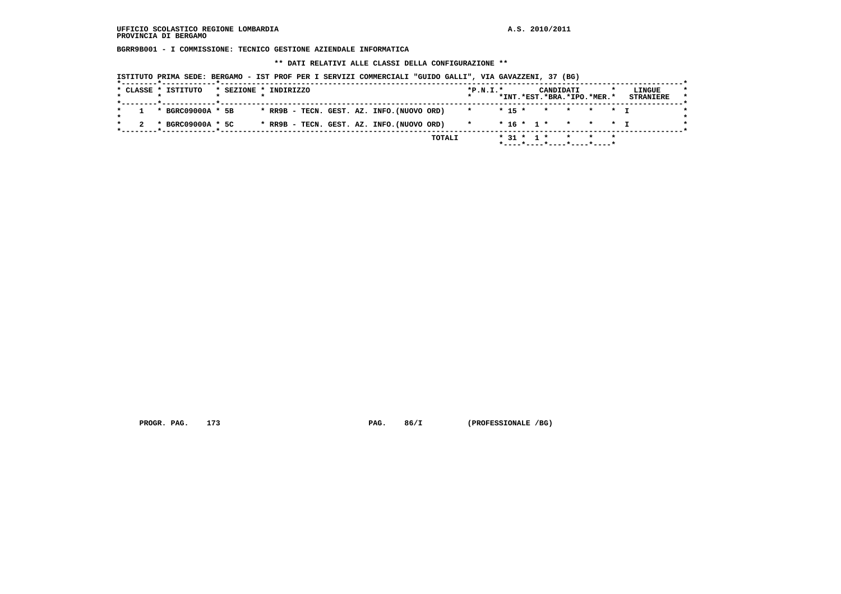**BGRR9B001 - I COMMISSIONE: TECNICO GESTIONE AZIENDALE INFORMATICA**

 **\*\* DATI RELATIVI ALLE CLASSI DELLA CONFIGURAZIONE \*\***

| * BGRC09000A * 5B<br>* RR9B - TECN. GEST. AZ. INFO. (NUOVO ORD)<br>$*$ 15 $*$<br>* * * * T<br>$\star$<br>* RR9B - TECN. GEST. AZ. INFO. (NUOVO ORD)<br>$* 16 * 1 * * * * * T$<br>* BGRC09000A * 5C<br>$\star$ | * CLASSE * ISTITUTO |  | * SEZIONE * INDIRIZZO |  |  |  |  | $*P.N.T.*$ |  |  | CANDIDATI<br>*INT.*EST.*BRA.*IPO.*MER.* |  | LINGUE<br><b>STRANIERE</b> |
|---------------------------------------------------------------------------------------------------------------------------------------------------------------------------------------------------------------|---------------------|--|-----------------------|--|--|--|--|------------|--|--|-----------------------------------------|--|----------------------------|
|                                                                                                                                                                                                               |                     |  |                       |  |  |  |  |            |  |  |                                         |  |                            |
|                                                                                                                                                                                                               |                     |  |                       |  |  |  |  |            |  |  |                                         |  |                            |

 **PROGR. PAG. 173 PAG. 86/I (PROFESSIONALE /BG)**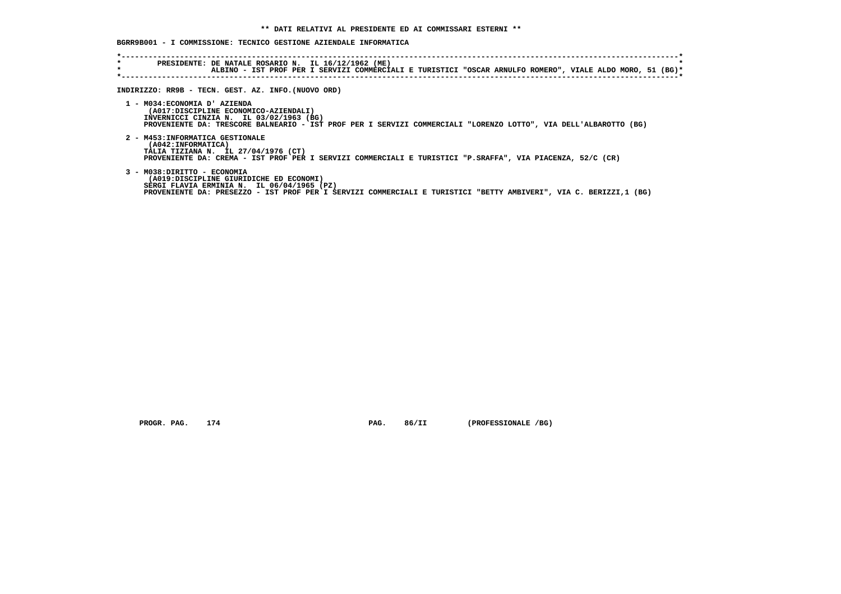# **BGRR9B001 - I COMMISSIONE: TECNICO GESTIONE AZIENDALE INFORMATICA**

| *<br>$\star$ | PRESIDENTE: DE NATALE ROSARIO N. IL 16/12/1962 (ME)<br>$\star$<br>ALBINO - IST PROF PER I SERVIZI COMMERCIALI E TURISTICI "OSCAR ARNULFO ROMERO", VIALE ALDO MORO, 51 (BG)*                                                                |  |
|--------------|--------------------------------------------------------------------------------------------------------------------------------------------------------------------------------------------------------------------------------------------|--|
|              | INDIRIZZO: RR9B - TECN. GEST. AZ. INFO. (NUOVO ORD)                                                                                                                                                                                        |  |
|              | 1 - M034: ECONOMIA D' AZIENDA<br>(A017:DISCIPLINE ECONOMICO-AZIENDALI)<br>INVERNICCI CINZIA N. IL 03/02/1963 (BG)<br>PROVENIENTE DA: TRESCORE BALNEARIO - IST PROF PER I SERVIZI COMMERCIALI "LORENZO LOTTO", VIA DELL'ALBAROTTO (BG)      |  |
|              | 2 - M453: INFORMATICA GESTIONALE<br>(A042: INFORMATICA)<br>TALIA TIZIANA N. IL 27/04/1976 (CT)<br>PROVENIENTE DA: CREMA - IST PROF PER I SERVIZI COMMERCIALI E TURISTICI "P.SRAFFA", VIA PIACENZA, 52/C (CR)                               |  |
|              | 3 - M038: DIRITTO - ECONOMIA<br>(A019:DISCIPLINE GIURIDICHE ED ECONOMI)<br>SERGI FLAVIA ERMINIA N. IL 06/04/1965 (PZ)<br>PROVENIENTE DA: PRESEZZO - IST PROF PER I SERVIZI COMMERCIALI E TURISTICI "BETTY AMBIVERI", VIA C. BERIZZI,1 (BG) |  |

 **PROGR. PAG. 174 PAG. 86/II (PROFESSIONALE /BG)**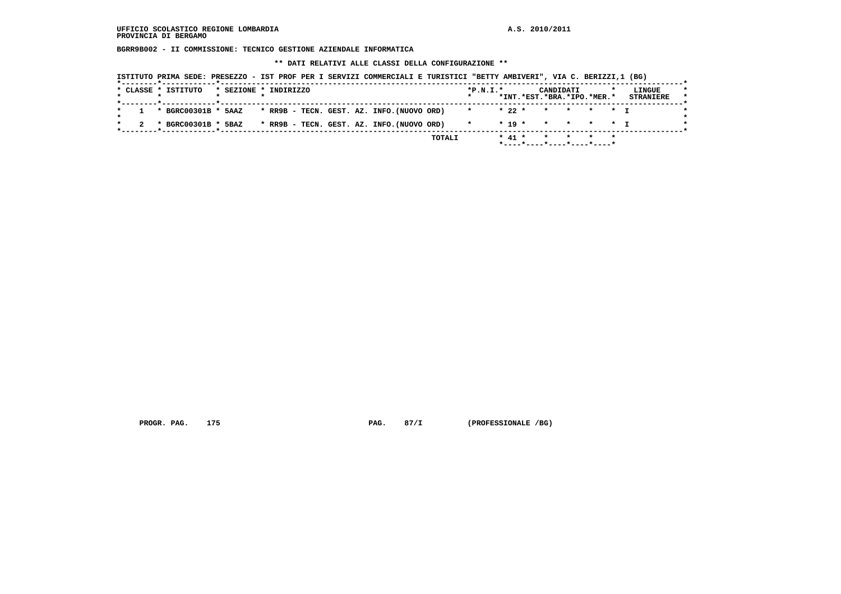**BGRR9B002 - II COMMISSIONE: TECNICO GESTIONE AZIENDALE INFORMATICA**

 **\*\* DATI RELATIVI ALLE CLASSI DELLA CONFIGURAZIONE \*\***

|  | * CLASSE * ISTITUTO | * SEZIONE * INDIRIZZO |  |  |  |                                            | $*P.N.T.*$ |        | CANDIDATI |         | *INT.*EST.*BRA.*IPO.*MER.* | LINGUE<br><b>STRANIERE</b> |
|--|---------------------|-----------------------|--|--|--|--------------------------------------------|------------|--------|-----------|---------|----------------------------|----------------------------|
|  |                     |                       |  |  |  |                                            |            |        |           |         |                            |                            |
|  | * BGRC00301B * 5AAZ |                       |  |  |  | * RR9B - TECN. GEST. AZ. INFO. (NUOVO ORD) | $\star$    | $*22*$ | $\star$   | $\star$ | * * T                      |                            |
|  | * BGRC00301B * 5BAZ |                       |  |  |  | * RR9B - TECN. GEST. AZ. INFO. (NUOVO ORD) | $\star$    |        |           |         | $* 19 * * * * * * T$       |                            |

 **PROGR. PAG. 175 PAG. 87/I (PROFESSIONALE /BG)**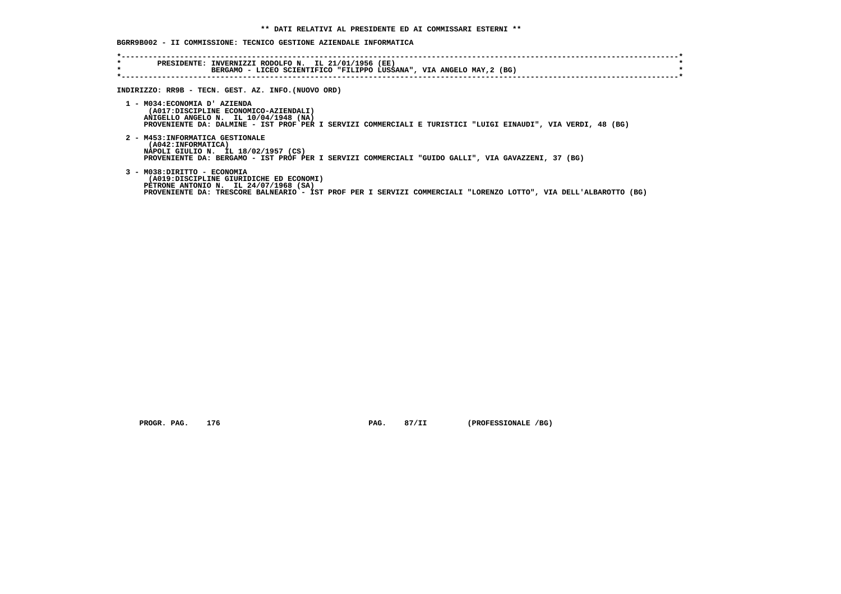# **BGRR9B002 - II COMMISSIONE: TECNICO GESTIONE AZIENDALE INFORMATICA**

| $\star$<br>$\star$ | PRESIDENTE: INVERNIZZI RODOLFO N. IL 21/01/1956 (EE)<br>BERGAMO - LICEO SCIENTIFICO "FILIPPO LUSSANA", VIA ANGELO MAY, 2 (BG)                                                                                                        |
|--------------------|--------------------------------------------------------------------------------------------------------------------------------------------------------------------------------------------------------------------------------------|
|                    | INDIRIZZO: RR9B - TECN. GEST. AZ. INFO. (NUOVO ORD)                                                                                                                                                                                  |
|                    | 1 - M034: ECONOMIA D' AZIENDA<br>(A017:DISCIPLINE ECONOMICO-AZIENDALI)<br>ANIGELLO ANGELO N. IL 10/04/1948 (NA)<br>PROVENIENTE DA: DALMINE - IST PROF PER I SERVIZI COMMERCIALI E TURISTICI "LUIGI EINAUDI", VIA VERDI, 48 (BG)      |
|                    | 2 - M453: INFORMATICA GESTIONALE<br>(A042:INFORMATICA)<br>NAPOLI GIULIO N. IL 18/02/1957 (CS)<br>PROVENIENTE DA: BERGAMO - IST PROF PER I SERVIZI COMMERCIALI "GUIDO GALLI", VIA GAVAZZENI, 37 (BG)                                  |
|                    | 3 - M038: DIRITTO - ECONOMIA<br>(A019:DISCIPLINE GIURIDICHE ED ECONOMI)<br>PETRONE ANTONIO N. IL 24/07/1968 (SA)<br>PROVENIENTE DA: TRESCORE BALNEARIO - IST PROF PER I SERVIZI COMMERCIALI "LORENZO LOTTO", VIA DELL'ALBAROTTO (BG) |

 **PROGR. PAG.** 176 **PAG. 87/II** (PROFESSIONALE /BG)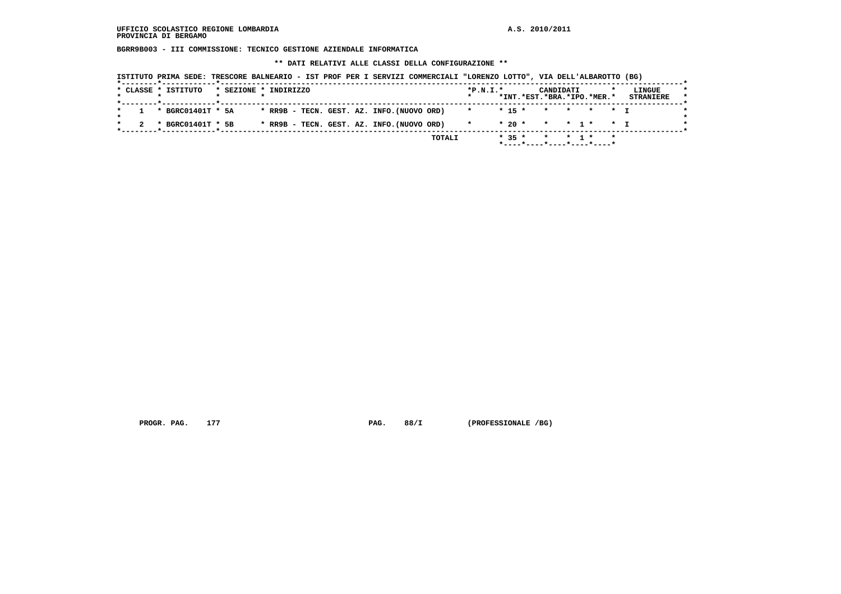**BGRR9B003 - III COMMISSIONE: TECNICO GESTIONE AZIENDALE INFORMATICA**

 **\*\* DATI RELATIVI ALLE CLASSI DELLA CONFIGURAZIONE \*\***

|  |  |  | ISTITUTO PRIMA SEDE: TRESCORE BALNEARIO - IST PROF PER I SERVIZI COMMERCIALI "LORENZO LOTTO", VIA DELL'ALBAROTTO (BG) |  |  |
|--|--|--|-----------------------------------------------------------------------------------------------------------------------|--|--|
|--|--|--|-----------------------------------------------------------------------------------------------------------------------|--|--|

|  | * CLASSE * ISTITUTO | * SEZIONE * INDIRIZZO |  |  |  |                                            |        | $*P.N.T.*$ |          | CANDIDATI | *INT.*EST.*BRA.*IPO.*MER.* | LINGUE<br><b>STRANIERE</b> |
|--|---------------------|-----------------------|--|--|--|--------------------------------------------|--------|------------|----------|-----------|----------------------------|----------------------------|
|  |                     |                       |  |  |  |                                            |        |            |          |           |                            |                            |
|  | * BGRC01401T * 5A   |                       |  |  |  | * RR9B - TECN. GEST. AZ. INFO. (NUOVO ORD) |        | $\star$    | $* 15 *$ |           | * * * * T                  |                            |
|  | * BGRC01401T * 5B   |                       |  |  |  | * RR9B - TECN. GEST. AZ. INFO. (NUOVO ORD) |        |            |          |           | * 20 * * * 1 * * T         |                            |
|  |                     |                       |  |  |  |                                            | TOTALI |            | $* 35 *$ | * * 1 *   |                            |                            |

 **PROGR. PAG.** 177 **PAG. 88/I** (PROFESSIONALE /BG)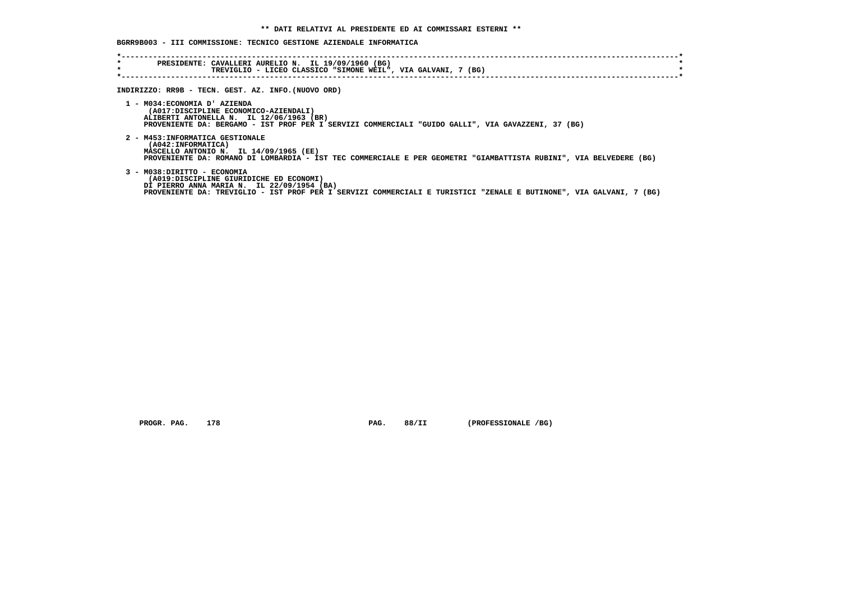# **BGRR9B003 - III COMMISSIONE: TECNICO GESTIONE AZIENDALE INFORMATICA**

| PRESIDENTE: CAVALLERI AURELIO N. IL 19/09/1960 (BG)<br>TREVIGLIO - LICEO CLASSICO "SIMONE WEIL", VIA GALVANI, 7 (BG)<br>INDIRIZZO: RR9B - TECN. GEST. AZ. INFO. (NUOVO ORD)<br>1 - M034: ECONOMIA D' AZIENDA<br>(A017:DISCIPLINE ECONOMICO-AZIENDALI)<br>ALIBERTI ANTONELLA N. IL 12/06/1963 (BR) |
|---------------------------------------------------------------------------------------------------------------------------------------------------------------------------------------------------------------------------------------------------------------------------------------------------|
|                                                                                                                                                                                                                                                                                                   |
|                                                                                                                                                                                                                                                                                                   |
| PROVENIENTE DA: BERGAMO - IST PROF PER I SERVIZI COMMERCIALI "GUIDO GALLI", VIA GAVAZZENI, 37 (BG)                                                                                                                                                                                                |
| 2 - M453: INFORMATICA GESTIONALE<br>(A042: INFORMATICA)<br>MASCELLO ANTONIO N. IL 14/09/1965 (EE)<br>PROVENIENTE DA: ROMANO DI LOMBARDIA - IST TEC COMMERCIALE E PER GEOMETRI "GIAMBATTISTA RUBINI", VIA BELVEDERE (BG)                                                                           |
| 3 - M038: DIRITTO - ECONOMIA<br>(A019:DISCIPLINE GIURIDICHE ED ECONOMI)<br>DI PIERRO ANNA MARIA N. IL 22/09/1954 (BA)<br>PROVENIENTE DA: TREVIGLIO - IST PROF PER I SERVIZI COMMERCIALI E TURISTICI "ZENALE E BUTINONE", VIA GALVANI, 7 (BG)                                                      |
|                                                                                                                                                                                                                                                                                                   |

 **PROGR. PAG. 178 PAG. 88/II (PROFESSIONALE /BG)**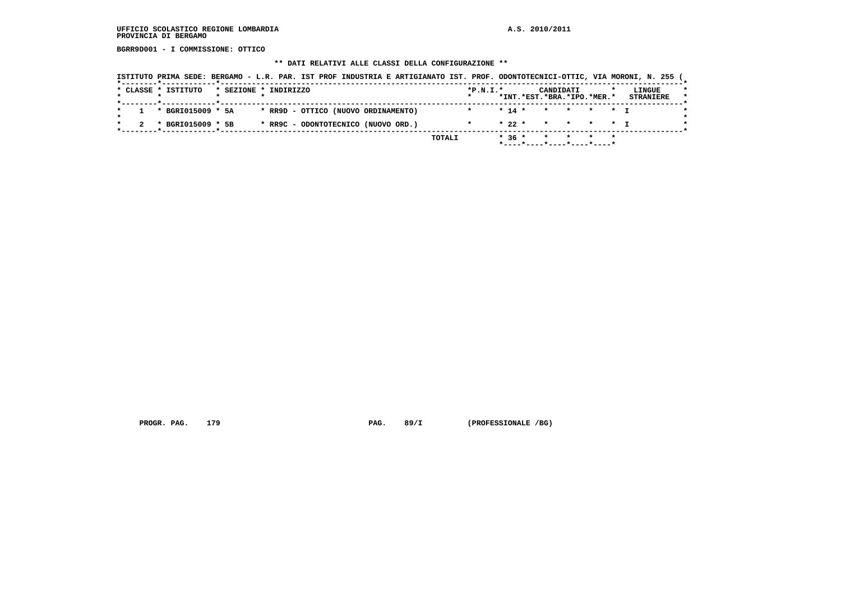# **UFFICIO SCOLASTICO REGIONE LOMBARDIA A.S. 2010/2011 PROVINCIA DI BERGAMO**

 **BGRR9D001 - I COMMISSIONE: OTTICO**

## **\*\* DATI RELATIVI ALLE CLASSI DELLA CONFIGURAZIONE \*\***

|  | * CLASSE * ISTITUTO                                      | * SEZIONE * INDIRIZZO |  |  |                                     |  | $*P.N.T.*$ |          | CANDIDATI | *INT.*EST.*BRA.*IPO.*MER.* |  | LINGUE<br><b>STRANIERE</b> |
|--|----------------------------------------------------------|-----------------------|--|--|-------------------------------------|--|------------|----------|-----------|----------------------------|--|----------------------------|
|  | *--------*------------*------------<br>* BGRI015009 * 5A |                       |  |  | * RR9D - OTTICO (NUOVO ORDINAMENTO) |  |            | $* 14 *$ |           | * * * * T                  |  |                            |
|  | * BGRI015009 * 5B                                        |                       |  |  | * RR9C - ODONTOTECNICO (NUOVO ORD.) |  |            | $* 22 *$ |           | * * * * * T                |  |                            |

PROGR. PAG. 179 **PAG. 89/I** (PROFESSIONALE /BG)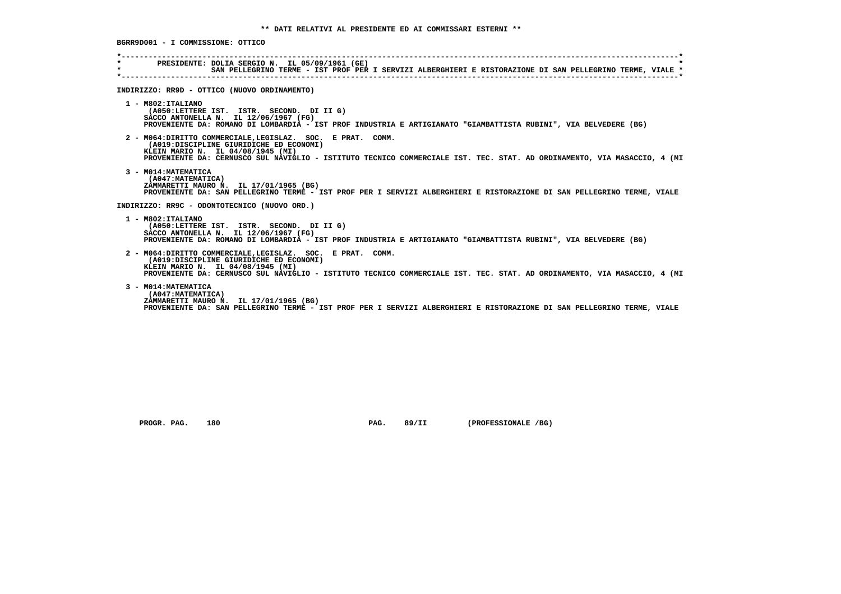| $\star$ . The set of $\sim$<br>$\star$ | PRESIDENTE: DOLIA SERGIO N. IL 05/09/1961 (GE)<br>SAN PELLEGRINO TERME - IST PROF PER I SERVIZI ALBERGHIERI E RISTORAZIONE DI SAN PELLEGRINO TERME, VIALE *                                                                                                            |
|----------------------------------------|------------------------------------------------------------------------------------------------------------------------------------------------------------------------------------------------------------------------------------------------------------------------|
|                                        | INDIRIZZO: RR9D - OTTICO (NUOVO ORDINAMENTO)                                                                                                                                                                                                                           |
|                                        | 1 - M802: ITALIANO<br>(A050:LETTERE IST. ISTR. SECOND. DI II G)<br>SACCO ANTONELLA N. IL 12/06/1967 (FG)<br>PROVENIENTE DA: ROMANO DI LOMBARDIA - IST PROF INDUSTRIA E ARTIGIANATO "GIAMBATTISTA RUBINI", VIA BELVEDERE (BG)                                           |
|                                        | 2 - M064:DIRITTO COMMERCIALE, LEGISLAZ. SOC. E PRAT. COMM.<br>(A019:DISCIPLINE GIURIDICHE ED ECONOMI)<br>KLEIN MARIO N. IL 04/08/1945 (MI)<br>PROVENIENTE DA: CERNUSCO SUL NAVIGLIO - ISTITUTO TECNICO COMMERCIALE IST. TEC. STAT. AD ORDINAMENTO, VIA MASACCIO, 4 (MI |
|                                        | 3 - M014: MATEMATICA<br>(A047: MATEMATICA)<br>ZAMMARETTI MAURO N. IL 17/01/1965 (BG)<br>PROVENIENTE DA: SAN PELLEGRINO TERME - IST PROF PER I SERVIZI ALBERGHIERI E RISTORAZIONE DI SAN PELLEGRINO TERME, VIALE                                                        |
|                                        | INDIRIZZO: RR9C - ODONTOTECNICO (NUOVO ORD.)                                                                                                                                                                                                                           |
|                                        | 1 - M802:ITALIANO<br>(A050:LETTERE IST. ISTR. SECOND. DI II G)<br>SACCO ANTONELLA N. IL 12/06/1967 (FG)<br>PROVENIENTE DA: ROMANO DI LOMBARDIA - IST PROF INDUSTRIA E ARTIGIANATO "GIAMBATTISTA RUBINI", VIA BELVEDERE (BG)                                            |
|                                        | 2 - M064:DIRITTO COMMERCIALE, LEGISLAZ. SOC. E PRAT. COMM.<br>(A019:DISCIPLINE GIURIDICHE ED ECONOMI)<br>KLEIN MARIO N. IL 04/08/1945 (MI)<br>PROVENIENTE DA: CERNUSCO SUL NAVIGLIO - ISTITUTO TECNICO COMMERCIALE IST. TEC. STAT. AD ORDINAMENTO, VIA MASACCIO, 4 (MI |
|                                        | 3 - M014: MATEMATICA<br>(A047: MATEMATICA)<br>ZAMMARETTI MAURO N. IL 17/01/1965 (BG)<br>PROVENIENTE DA: SAN PELLEGRINO TERME - IST PROF PER I SERVIZI ALBERGHIERI E RISTORAZIONE DI SAN PELLEGRINO TERME, VIALE                                                        |

 **PROGR. PAG. 180 PAG. 89/II (PROFESSIONALE /BG)**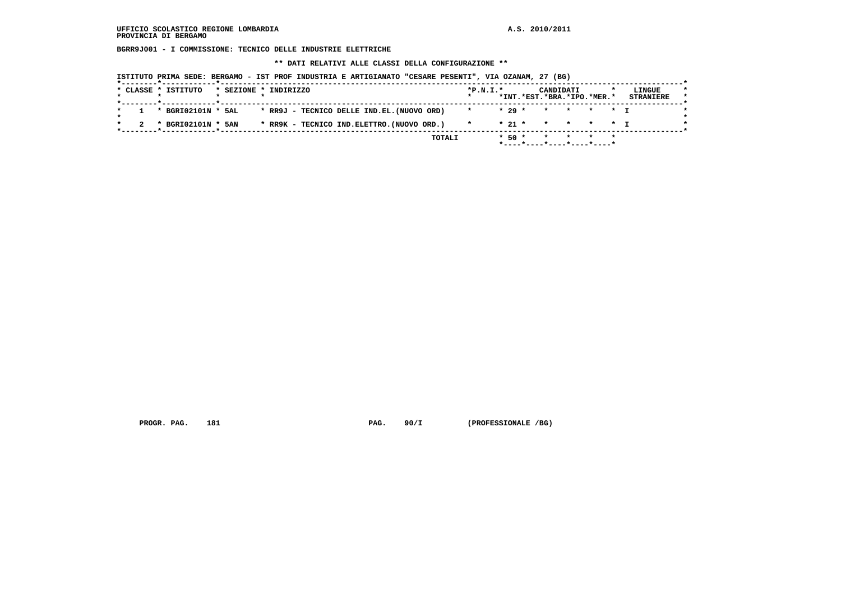**BGRR9J001 - I COMMISSIONE: TECNICO DELLE INDUSTRIE ELETTRICHE**

 **\*\* DATI RELATIVI ALLE CLASSI DELLA CONFIGURAZIONE \*\***

|  | * CLASSE * ISTITUTO  | * SEZIONE * INDIRIZZO |  |  |                                           |  | $*P.N.T.*$ |  |         | CANDIDATI | *INT.*EST.*BRA.*IPO.*MER.* | LINGUE<br><b>STRANIERE</b> |
|--|----------------------|-----------------------|--|--|-------------------------------------------|--|------------|--|---------|-----------|----------------------------|----------------------------|
|  | 1 * BGRI02101N * 5AL |                       |  |  | * RR9J - TECNICO DELLE IND.EL.(NUOVO ORD) |  | $\star$    |  | $*29$ * |           | * * * * T                  |                            |
|  | * BGRI02101N * 5AN   |                       |  |  | * RR9K - TECNICO IND.ELETTRO.(NUOVO ORD.) |  | $\star$    |  |         |           | * 21 * * * * * T           |                            |

PROGR. PAG. 181 **PAG. 90/I** (PROFESSIONALE /BG)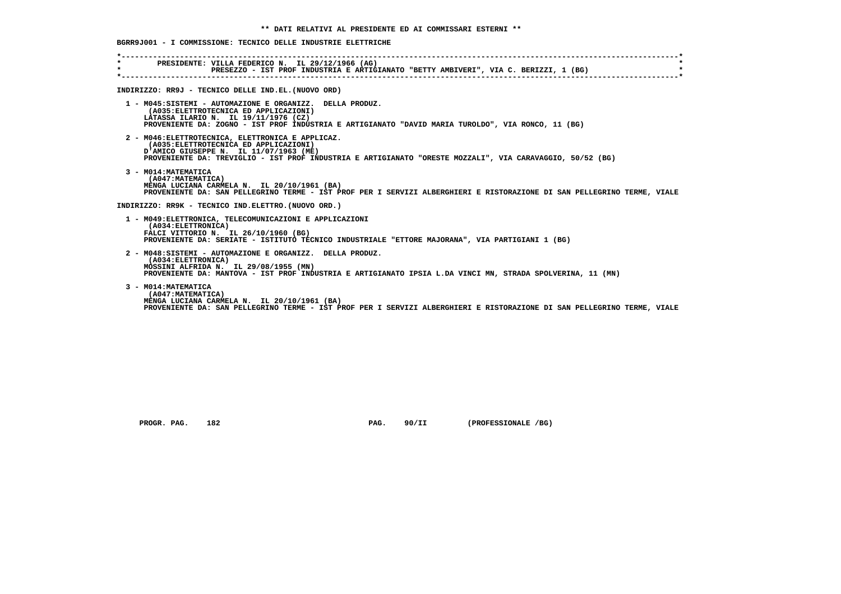| $\star$ . The set of $\sim$ | PRESIDENTE: VILLA FEDERICO N. IL 29/12/1966 (AG)                                                                                                                       |
|-----------------------------|------------------------------------------------------------------------------------------------------------------------------------------------------------------------|
| $\star$                     | PRESEZZO - IST PROF INDUSTRIA E ARTIGIANATO "BETTY AMBIVERI", VIA C. BERIZZI, 1 (BG)                                                                                   |
|                             |                                                                                                                                                                        |
|                             | INDIRIZZO: RR9J - TECNICO DELLE IND.EL. (NUOVO ORD)                                                                                                                    |
|                             | 1 - M045:SISTEMI - AUTOMAZIONE E ORGANIZZ. DELLA PRODUZ.<br>(A035: ELETTROTECNICA ED APPLICAZIONI)                                                                     |
|                             | LATASSA ILARIO N. IL 19/11/1976 (CZ)                                                                                                                                   |
|                             | PROVENIENTE DA: ZOGNO - IST PROF INDUSTRIA E ARTIGIANATO "DAVID MARIA TUROLDO", VIA RONCO, 11 (BG)                                                                     |
|                             | 2 - M046: ELETTROTECNICA, ELETTRONICA E APPLICAZ.                                                                                                                      |
|                             | (A035: ELETTROTECNICA ED APPLICAZIONI)<br>D'AMICO GIUSEPPE N. IL 11/07/1963 (ME)                                                                                       |
|                             | PROVENIENTE DA: TREVIGLIO - IST PROF INDUSTRIA E ARTIGIANATO "ORESTE MOZZALI", VIA CARAVAGGIO, 50/52 (BG)                                                              |
|                             | 3 - M014: MATEMATICA                                                                                                                                                   |
|                             | (A047: MATEMATICA)                                                                                                                                                     |
|                             | MENGA LUCIANA CARMELA N. IL 20/10/1961 (BA)<br>PROVENIENTE DA: SAN PELLEGRINO TERME - IST PROF PER I SERVIZI ALBERGHIERI E RISTORAZIONE DI SAN PELLEGRINO TERME, VIALE |
|                             |                                                                                                                                                                        |
|                             | INDIRIZZO: RR9K - TECNICO IND.ELETTRO. (NUOVO ORD.)                                                                                                                    |
|                             | 1 - M049: ELETTRONICA, TELECOMUNICAZIONI E APPLICAZIONI                                                                                                                |
|                             | (A034: ELETTRONICA)<br>FALCI VITTORIO N. IL 26/10/1960 (BG)                                                                                                            |
|                             | PROVENIENTE DA: SERIATE - ISTITUTO TECNICO INDUSTRIALE "ETTORE MAJORANA", VIA PARTIGIANI 1 (BG)                                                                        |
|                             | 2 - M048:SISTEMI - AUTOMAZIONE E ORGANIZZ. DELLA PRODUZ.                                                                                                               |
|                             | (A034: ELETTRONICA)                                                                                                                                                    |
|                             | MOSSINI ALFRIDA N. IL 29/08/1955 (MN)<br>PROVENIENTE DA: MANTOVA - IST PROF INDUSTRIA E ARTIGIANATO IPSIA L.DA VINCI MN, STRADA SPOLVERINA, 11 (MN)                    |
|                             |                                                                                                                                                                        |
|                             | 3 - M014: MATEMATICA                                                                                                                                                   |
|                             | (A047: MATEMATICA)<br>MENGA LUCIANA CARMELA N. IL 20/10/1961 (BA)                                                                                                      |
|                             | PROVENIENTE DA: SAN PELLEGRINO TERME - IST PROF PER I SERVIZI ALBERGHIERI E RISTORAZIONE DI SAN PELLEGRINO TERME, VIALE                                                |

 **PROGR. PAG. 182 PAG. 90/II (PROFESSIONALE /BG)**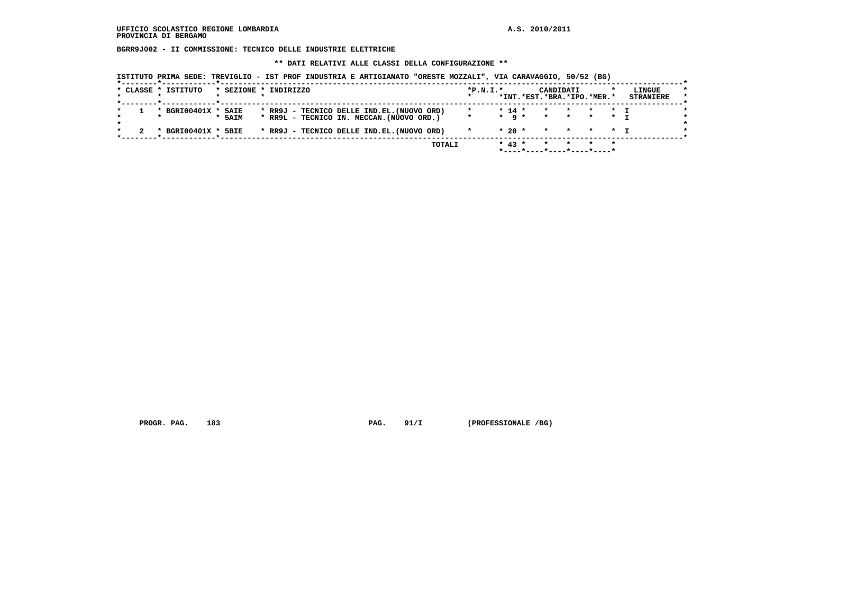**BGRR9J002 - II COMMISSIONE: TECNICO DELLE INDUSTRIE ELETTRICHE**

 **\*\* DATI RELATIVI ALLE CLASSI DELLA CONFIGURAZIONE \*\***

 **ISTITUTO PRIMA SEDE: TREVIGLIO - IST PROF INDUSTRIA E ARTIGIANATO "ORESTE MOZZALI", VIA CARAVAGGIO, 50/52 (BG)**

| * CLASSE * ISTITUTO<br>* SEZIONE * INDIRIZZO<br>LINGUE<br>$*P.N.T.*$<br>CANDIDATI<br>*INT.*EST.*BRA.*IPO.*MER.*<br><b>STRANIERE</b><br>* RR9J - TECNICO DELLE IND.EL. (NUOVO ORD)<br>* BGRI00401X * 5AIE<br>$* 14 *$<br>$\star$<br>* T<br>$\star$<br>$\star$ a $\star$<br>* RR9L - TECNICO IN. MECCAN. (NUOVO ORD.)<br>$\star$<br>* 5AIM<br>$\star$<br>$\star$<br>* T<br>* RR9J - TECNICO DELLE IND.EL. (NUOVO ORD)<br>$*20$ $*$<br>* BGRI00401X * 5BIE<br>$\star$<br>* * * T |  |  |  |  | TOTALI |  | $* 43 *$ | $*$ ----*----*----*----*----* |  | $\star$ |  |
|-------------------------------------------------------------------------------------------------------------------------------------------------------------------------------------------------------------------------------------------------------------------------------------------------------------------------------------------------------------------------------------------------------------------------------------------------------------------------------|--|--|--|--|--------|--|----------|-------------------------------|--|---------|--|
|                                                                                                                                                                                                                                                                                                                                                                                                                                                                               |  |  |  |  |        |  |          |                               |  |         |  |
|                                                                                                                                                                                                                                                                                                                                                                                                                                                                               |  |  |  |  |        |  |          |                               |  |         |  |
|                                                                                                                                                                                                                                                                                                                                                                                                                                                                               |  |  |  |  |        |  |          |                               |  |         |  |
|                                                                                                                                                                                                                                                                                                                                                                                                                                                                               |  |  |  |  |        |  |          |                               |  |         |  |
|                                                                                                                                                                                                                                                                                                                                                                                                                                                                               |  |  |  |  |        |  |          |                               |  |         |  |

PROGR. PAG. 183 **PAG. 91/I** (PROFESSIONALE /BG)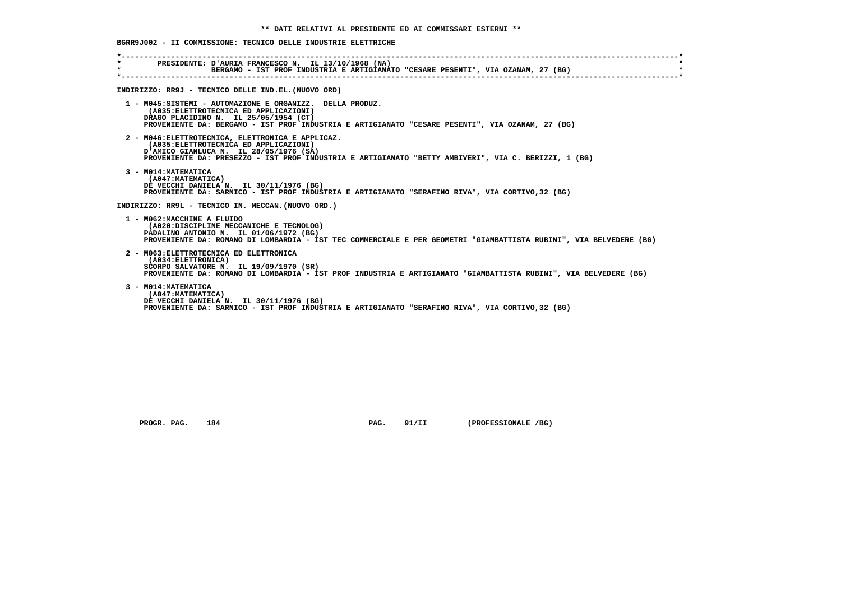| $\star$ . The set of $\sim$ | PRESIDENTE: D'AURIA FRANCESCO N. IL 13/10/1968 (NA)                                                                                                                                                                                             |
|-----------------------------|-------------------------------------------------------------------------------------------------------------------------------------------------------------------------------------------------------------------------------------------------|
| $\star$                     | BERGAMO - IST PROF INDUSTRIA E ARTIGIANATO "CESARE PESENTI", VIA OZANAM, 27 (BG)                                                                                                                                                                |
|                             | INDIRIZZO: RR9J - TECNICO DELLE IND.EL. (NUOVO ORD)                                                                                                                                                                                             |
|                             | 1 - M045:SISTEMI - AUTOMAZIONE E ORGANIZZ. DELLA PRODUZ.<br>(A035: ELETTROTECNICA ED APPLICAZIONI)<br>DRAGO PLACIDINO N. IL 25/05/1954 (CT)<br>PROVENIENTE DA: BERGAMO - IST PROF INDUSTRIA E ARTIGIANATO "CESARE PESENTI", VIA OZANAM, 27 (BG) |
|                             | 2 - M046: ELETTROTECNICA, ELETTRONICA E APPLICAZ.<br>(A035: ELETTROTECNICA ED APPLICAZIONI)<br>D'AMICO GIANLUCA N. IL 28/05/1976 (SA)<br>PROVENIENTE DA: PRESEZZO - IST PROF INDUSTRIA E ARTIGIANATO "BETTY AMBIVERI", VIA C. BERIZZI, 1 (BG)   |
|                             | 3 - M014: MATEMATICA<br>(A047: MATEMATICA)<br>DE VECCHI DANIELA N. IL 30/11/1976 (BG)<br>PROVENIENTE DA: SARNICO - IST PROF INDUSTRIA E ARTIGIANATO "SERAFINO RIVA", VIA CORTIVO, 32 (BG)                                                       |
|                             | INDIRIZZO: RR9L - TECNICO IN. MECCAN. (NUOVO ORD.)                                                                                                                                                                                              |
|                             | 1 - M062: MACCHINE A FLUIDO<br>(A020:DISCIPLINE MECCANICHE E TECNOLOG)<br>PADALINO ANTONIO N. IL 01/06/1972 (BG)<br>PROVENIENTE DA: ROMANO DI LOMBARDIA - IST TEC COMMERCIALE E PER GEOMETRI "GIAMBATTISTA RUBINI", VIA BELVEDERE (BG)          |
|                             | 2 - M063: ELETTROTECNICA ED ELETTRONICA<br>(A034:ELETTRONICA)<br>SCORPO SALVATORE N. IL 19/09/1970 (SR)<br>PROVENIENTE DA: ROMANO DI LOMBARDIA - IST PROF INDUSTRIA E ARTIGIANATO "GIAMBATTISTA RUBINI", VIA BELVEDERE (BG)                     |
|                             | 3 - M014: MATEMATICA<br>(A047:MATEMATICA)<br>DE VECCHI DANIELA N. IL 30/11/1976 (BG)<br>PROVENIENTE DA: SARNICO - IST PROF INDUSTRIA E ARTIGIANATO "SERAFINO RIVA", VIA CORTIVO, 32 (BG)                                                        |

 **PROGR. PAG. 184 PAG. 91/II (PROFESSIONALE /BG)**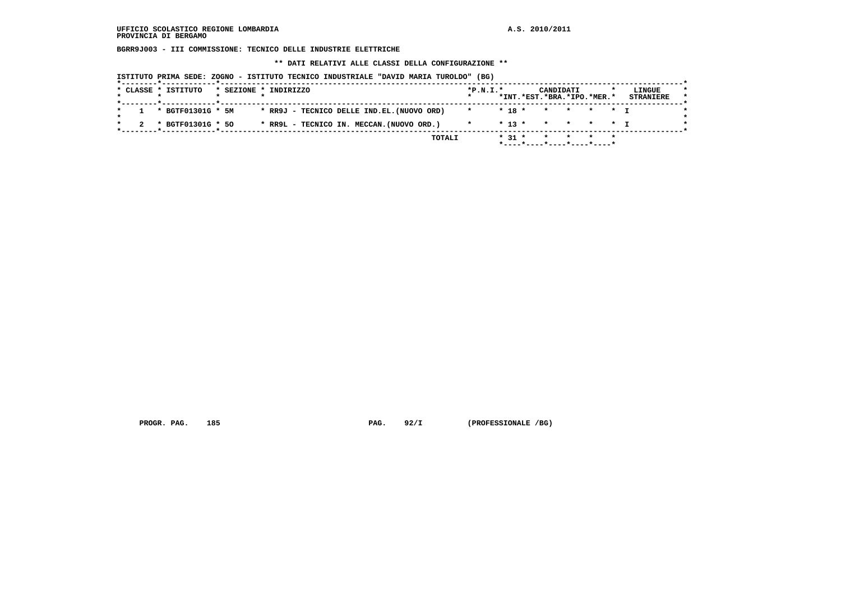**BGRR9J003 - III COMMISSIONE: TECNICO DELLE INDUSTRIE ELETTRICHE**

 **\*\* DATI RELATIVI ALLE CLASSI DELLA CONFIGURAZIONE \*\***

| ISTITUTO PRIMA SEDE: ZOGNO - ISTITUTO TECNICO INDUSTRIALE "DAVID MARIA TUROLDO" (BG) |  |  |  |  |  |  |  |  |  |  |  |  |  |
|--------------------------------------------------------------------------------------|--|--|--|--|--|--|--|--|--|--|--|--|--|
|--------------------------------------------------------------------------------------|--|--|--|--|--|--|--|--|--|--|--|--|--|

| * CLASSE * ISTITUTO |  | * SEZIONE * INDIRIZZO                      | $*P.N.T.*$ |          | CANDIDATI<br>*INT.*EST.*BRA.*IPO.*MER.* |  | LINGUE<br><b>STRANIERE</b> |
|---------------------|--|--------------------------------------------|------------|----------|-----------------------------------------|--|----------------------------|
| * BGTF01301G * 5M   |  | * RR9J - TECNICO DELLE IND.EL. (NUOVO ORD) | $\star$    | $* 18 *$ | * * * * T                               |  |                            |
| * BGTF01301G * 50   |  | * RR9L - TECNICO IN. MECCAN. (NUOVO ORD.)  | $\star$    |          | * 13 * * * * * T                        |  |                            |

PROGR. PAG. 185 **PROGR. PAG. 92/I** (PROFESSIONALE /BG)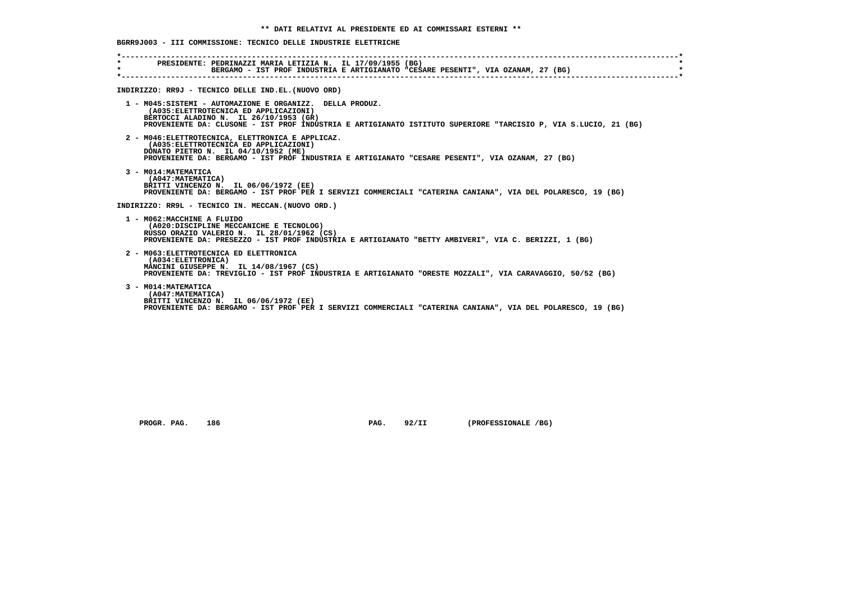| $\star$ . The set of $\sim$<br>$\star$ | PRESIDENTE: PEDRINAZZI MARIA LETIZIA N. IL 17/09/1955 (BG)<br>BERGAMO - IST PROF INDUSTRIA E ARTIGIANATO "CESARE PESENTI", VIA OZANAM, 27 (BG)                                                                                                                  |
|----------------------------------------|-----------------------------------------------------------------------------------------------------------------------------------------------------------------------------------------------------------------------------------------------------------------|
|                                        | INDIRIZZO: RR9J - TECNICO DELLE IND.EL. (NUOVO ORD)                                                                                                                                                                                                             |
|                                        | 1 - M045:SISTEMI - AUTOMAZIONE E ORGANIZZ. DELLA PRODUZ.<br>(A035: ELETTROTECNICA ED APPLICAZIONI)<br>BERTOCCI ALADINO N. IL 26/10/1953 (GR)<br>PROVENIENTE DA: CLUSONE - IST PROF INDUSTRIA E ARTIGIANATO ISTITUTO SUPERIORE "TARCISIO P, VIA S.LUCIO, 21 (BG) |
|                                        | 2 - M046: ELETTROTECNICA, ELETTRONICA E APPLICAZ.<br>(A035: ELETTROTECNICA ED APPLICAZIONI)<br>DONATO PIETRO N. IL 04/10/1952 (ME)<br>PROVENIENTE DA: BERGAMO - IST PROF INDUSTRIA E ARTIGIANATO "CESARE PESENTI", VIA OZANAM, 27 (BG)                          |
|                                        | 3 - M014: MATEMATICA<br>(A047: MATEMATICA)<br>BRITTI VINCENZO N. IL 06/06/1972 (EE)<br>PROVENIENTE DA: BERGAMO - IST PROF PER I SERVIZI COMMERCIALI "CATERINA CANIANA", VIA DEL POLARESCO, 19 (BG)                                                              |
|                                        | INDIRIZZO: RR9L - TECNICO IN. MECCAN. (NUOVO ORD.)                                                                                                                                                                                                              |
|                                        | 1 - M062: MACCHINE A FLUIDO<br>(A020:DISCIPLINE MECCANICHE E TECNOLOG)<br>RUSSO ORAZIO VALERIO N. IL 28/01/1962 (CS)<br>PROVENIENTE DA: PRESEZZO - IST PROF INDUSTRIA E ARTIGIANATO "BETTY AMBIVERI", VIA C. BERIZZI, 1 (BG)                                    |
|                                        | 2 - M063: ELETTROTECNICA ED ELETTRONICA<br>(A034: ELETTRONICA)<br>MANCINI GIUSEPPE N. IL 14/08/1967 (CS)<br>PROVENIENTE DA: TREVIGLIO - IST PROF INDUSTRIA E ARTIGIANATO "ORESTE MOZZALI", VIA CARAVAGGIO, 50/52 (BG)                                           |
|                                        | 3 - M014: MATEMATICA<br>(A047: MATEMATICA)<br>BRITTI VINCENZO N. IL 06/06/1972 (EE)<br>PROVENIENTE DA: BERGAMO - IST PROF PER I SERVIZI COMMERCIALI "CATERINA CANIANA", VIA DEL POLARESCO, 19 (BG)                                                              |

 **PROGR. PAG.** 186 **PAG. 92/II** (PROFESSIONALE /BG)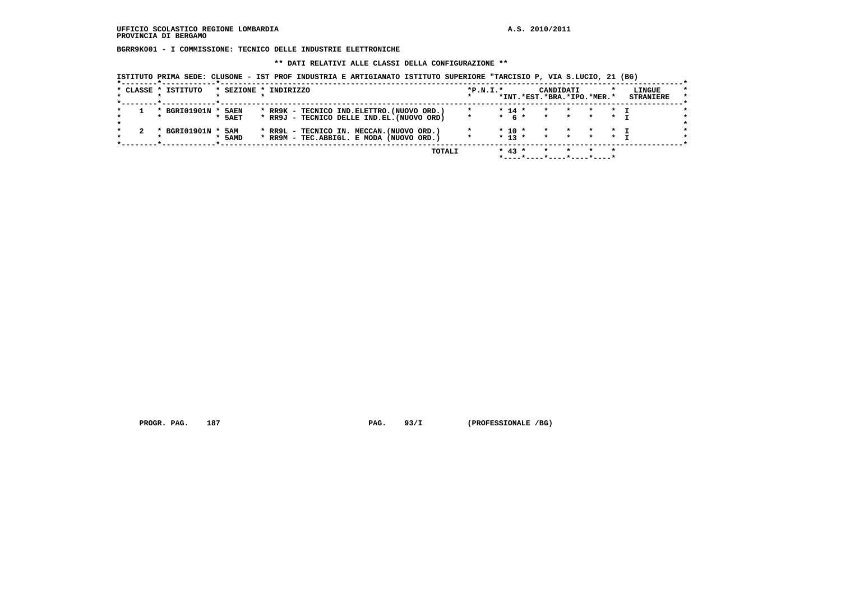**BGRR9K001 - I COMMISSIONE: TECNICO DELLE INDUSTRIE ELETTRONICHE**

### **\*\* DATI RELATIVI ALLE CLASSI DELLA CONFIGURAZIONE \*\***

 **ISTITUTO PRIMA SEDE: CLUSONE - IST PROF INDUSTRIA E ARTIGIANATO ISTITUTO SUPERIORE "TARCISIO P, VIA S.LUCIO, 21 (BG)**

| * CLASSE * ISTITUTO<br>* SEZIONE * INDIRIZZO<br>$*P.N.T.*$<br>LINGUE<br>CANDIDATI<br>*INT.*EST.*BRA.*IPO.*MER.*<br><b>STRANIERE</b><br>$* 14 *$<br>BGRI01901N *<br>* RR9K - TECNICO IND. ELETTRO. (NUOVO ORD.)<br>5AEN<br>$\star$ T<br>$\star$<br>$\mathbf{r}$<br>$\star$<br>$*$ 6 $*$<br>* RR9J - TECNICO DELLE IND.EL. (NUOVO ORD)<br>5AET<br>$\star$<br>$\star$<br>$\star$<br>$\star$<br>$\star$ $\tau$<br>BGRI01901N *<br>$* 10 *$<br>* RR9L - TECNICO IN. MECCAN. (NUOVO ORD.)<br>5AM<br>$\star$<br>$\star$<br>$\star$<br>$\star$ T<br>* RR9M - TEC.ABBIGL. E MODA (NUOVO ORD.)<br>$* 13 *$<br>$\star$<br>$\star$<br>* 5AMD<br>$\star$<br>$* 43 *$<br>TOTALI |  |  |  |  |  | *----*----*----*----*---- |  |  |  |
|-------------------------------------------------------------------------------------------------------------------------------------------------------------------------------------------------------------------------------------------------------------------------------------------------------------------------------------------------------------------------------------------------------------------------------------------------------------------------------------------------------------------------------------------------------------------------------------------------------------------------------------------------------------------|--|--|--|--|--|---------------------------|--|--|--|
|                                                                                                                                                                                                                                                                                                                                                                                                                                                                                                                                                                                                                                                                   |  |  |  |  |  |                           |  |  |  |
|                                                                                                                                                                                                                                                                                                                                                                                                                                                                                                                                                                                                                                                                   |  |  |  |  |  |                           |  |  |  |
|                                                                                                                                                                                                                                                                                                                                                                                                                                                                                                                                                                                                                                                                   |  |  |  |  |  |                           |  |  |  |
|                                                                                                                                                                                                                                                                                                                                                                                                                                                                                                                                                                                                                                                                   |  |  |  |  |  |                           |  |  |  |
|                                                                                                                                                                                                                                                                                                                                                                                                                                                                                                                                                                                                                                                                   |  |  |  |  |  |                           |  |  |  |
|                                                                                                                                                                                                                                                                                                                                                                                                                                                                                                                                                                                                                                                                   |  |  |  |  |  |                           |  |  |  |
|                                                                                                                                                                                                                                                                                                                                                                                                                                                                                                                                                                                                                                                                   |  |  |  |  |  |                           |  |  |  |
|                                                                                                                                                                                                                                                                                                                                                                                                                                                                                                                                                                                                                                                                   |  |  |  |  |  |                           |  |  |  |

PROGR. PAG. 187 **PROGR. PAG. 93/I** (PROFESSIONALE /BG)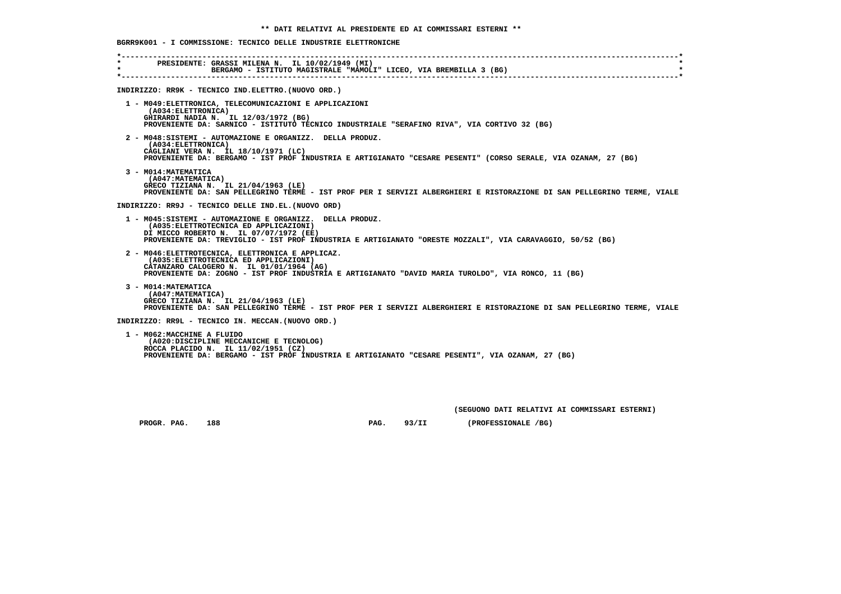| $\star$ | PRESIDENTE: GRASSI MILENA N. IL 10/02/1949 (MI)                                                                                                                                                                                                           |
|---------|-----------------------------------------------------------------------------------------------------------------------------------------------------------------------------------------------------------------------------------------------------------|
|         | INDIRIZZO: RR9K - TECNICO IND. ELETTRO. (NUOVO ORD.)                                                                                                                                                                                                      |
|         | 1 - M049: ELETTRONICA, TELECOMUNICAZIONI E APPLICAZIONI<br>(A034: ELETTRONICA)<br>GHIRARDI NADIA N. IL 12/03/1972 (BG)<br>PROVENIENTE DA: SARNICO - ISTITUTO TECNICO INDUSTRIALE "SERAFINO RIVA", VIA CORTIVO 32 (BG)                                     |
|         | 2 - M048: SISTEMI - AUTOMAZIONE E ORGANIZZ. DELLA PRODUZ.<br>(A034: ELETTRONICA)<br>CAGLIANI VERA N. IL 18/10/1971 (LC)<br>PROVENIENTE DA: BERGAMO - IST PROF INDUSTRIA E ARTIGIANATO "CESARE PESENTI" (CORSO SERALE, VIA OZANAM, 27 (BG)                 |
|         | 3 - M014: MATEMATICA<br>(A047: MATEMATICA)<br>GRECO TIZIANA N. IL 21/04/1963 (LE)<br>PROVENIENTE DA: SAN PELLEGRINO TERME - IST PROF PER I SERVIZI ALBERGHIERI E RISTORAZIONE DI SAN PELLEGRINO TERME, VIALE                                              |
|         | INDIRIZZO: RR9J - TECNICO DELLE IND.EL. (NUOVO ORD)                                                                                                                                                                                                       |
|         | 1 - M045:SISTEMI - AUTOMAZIONE E ORGANIZZ. DELLA PRODUZ.<br>(A035: ELETTROTECNICA ED APPLICAZIONI)<br>DI MICCO ROBERTO N. IL 07/07/1972 (EE)<br>PROVENIENTE DA: TREVIGLIO - IST PROF INDUSTRIA E ARTIGIANATO "ORESTE MOZZALI", VIA CARAVAGGIO, 50/52 (BG) |
|         | 2 - M046: ELETTROTECNICA, ELETTRONICA E APPLICAZ.<br>(A035: ELETTROTECNICA ED APPLICAZIONI)<br>CATANZARO CALOGERO N. IL 01/01/1964 (AG)<br>PROVENIENTE DA: ZOGNO - IST PROF INDUSTRIA E ARTIGIANATO "DAVID MARIA TUROLDO", VIA RONCO, 11 (BG)             |
|         | 3 - MO14: MATEMATICA<br>(A047: MATEMATICA)<br>GRECO TIZIANA N. IL 21/04/1963 (LE)<br>PROVENIENTE DA: SAN PELLEGRINO TERME - IST PROF PER I SERVIZI ALBERGHIERI E RISTORAZIONE DI SAN PELLEGRINO TERME, VIALE                                              |
|         | INDIRIZZO: RR9L - TECNICO IN. MECCAN. (NUOVO ORD.)                                                                                                                                                                                                        |

 **(A020:DISCIPLINE MECCANICHE E TECNOLOG) ROCCA PLACIDO N. IL 11/02/1951 (CZ) PROVENIENTE DA: BERGAMO - IST PROF INDUSTRIA E ARTIGIANATO "CESARE PESENTI", VIA OZANAM, 27 (BG)**

 **(SEGUONO DATI RELATIVI AI COMMISSARI ESTERNI)**

PROGR. PAG. 188 **PROGR. PAG. 93/II** (PROFESSIONALE /BG)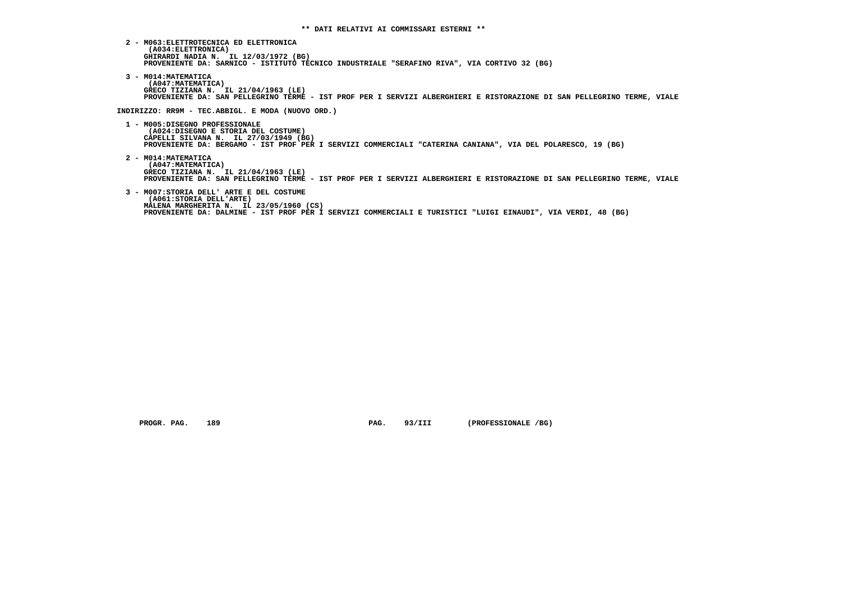- **2 M063:ELETTROTECNICA ED ELETTRONICA (A034:ELETTRONICA) GHIRARDI NADIA N. IL 12/03/1972 (BG) PROVENIENTE DA: SARNICO - ISTITUTO TECNICO INDUSTRIALE "SERAFINO RIVA", VIA CORTIVO 32 (BG)**
- **3 M014:MATEMATICA (A047:MATEMATICA) GRECO TIZIANA N. IL 21/04/1963 (LE) PROVENIENTE DA: SAN PELLEGRINO TERME - IST PROF PER I SERVIZI ALBERGHIERI E RISTORAZIONE DI SAN PELLEGRINO TERME, VIALE**

 **INDIRIZZO: RR9M - TEC.ABBIGL. E MODA (NUOVO ORD.)**

- **1 M005:DISEGNO PROFESSIONALE (A024:DISEGNO E STORIA DEL COSTUME) CAPELLI SILVANA N. IL 27/03/1949 (BG) PROVENIENTE DA: BERGAMO - IST PROF PER I SERVIZI COMMERCIALI "CATERINA CANIANA", VIA DEL POLARESCO, 19 (BG)**
- **2 M014:MATEMATICA (A047:MATEMATICA) GRECO TIZIANA N. IL 21/04/1963 (LE) PROVENIENTE DA: SAN PELLEGRINO TERME - IST PROF PER I SERVIZI ALBERGHIERI E RISTORAZIONE DI SAN PELLEGRINO TERME, VIALE**
- **3 M007:STORIA DELL' ARTE E DEL COSTUME (A061:STORIA DELL'ARTE) MALENA MARGHERITA N. IL 23/05/1960 (CS) PROVENIENTE DA: DALMINE - IST PROF PER I SERVIZI COMMERCIALI E TURISTICI "LUIGI EINAUDI", VIA VERDI, 48 (BG)**

PROGR. PAG. 189 **PROGR. PAG. 93/III** (PROFESSIONALE /BG)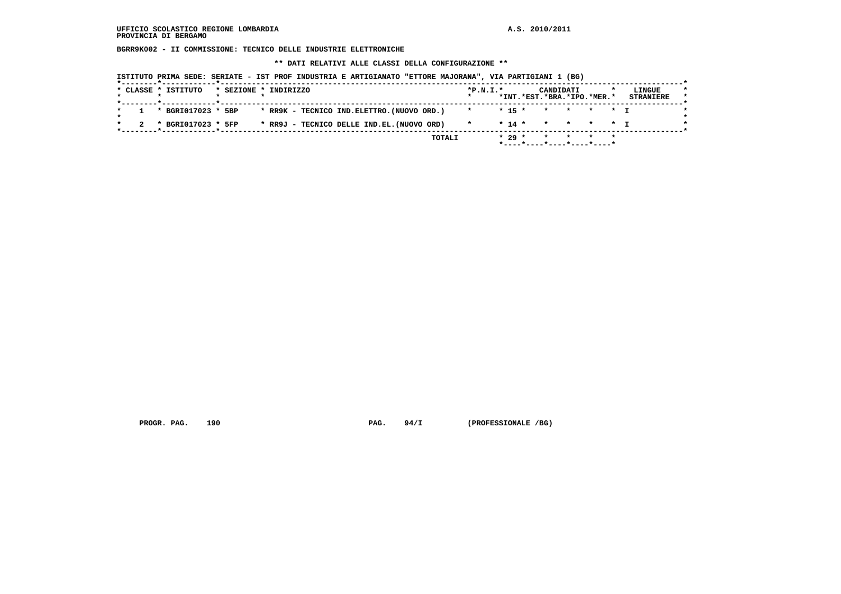**BGRR9K002 - II COMMISSIONE: TECNICO DELLE INDUSTRIE ELETTRONICHE**

 **\*\* DATI RELATIVI ALLE CLASSI DELLA CONFIGURAZIONE \*\***

| * CLASSE * ISTITUTO |  |                    | * SEZIONE * INDIRIZZO |  |  |                                            | $*P.N.T.*$ |  | CANDIDATI<br>*INT.*EST.*BRA.*IPO.*MER.* |  | LINGUE<br><b>STRANIERE</b> |
|---------------------|--|--------------------|-----------------------|--|--|--------------------------------------------|------------|--|-----------------------------------------|--|----------------------------|
|                     |  | * BGRI017023 * 5BP |                       |  |  | * RR9K - TECNICO IND.ELETTRO.(NUOVO ORD.)  | $\star$    |  | $* 15 * * * * * * T$                    |  |                            |
|                     |  | * BGRI017023 * 5FP |                       |  |  | * RR9J - TECNICO DELLE IND.EL. (NUOVO ORD) |            |  | $* 14 * * * * * * T$                    |  |                            |

PROGR. PAG. 190 **PAG.** 94/I (PROFESSIONALE /BG)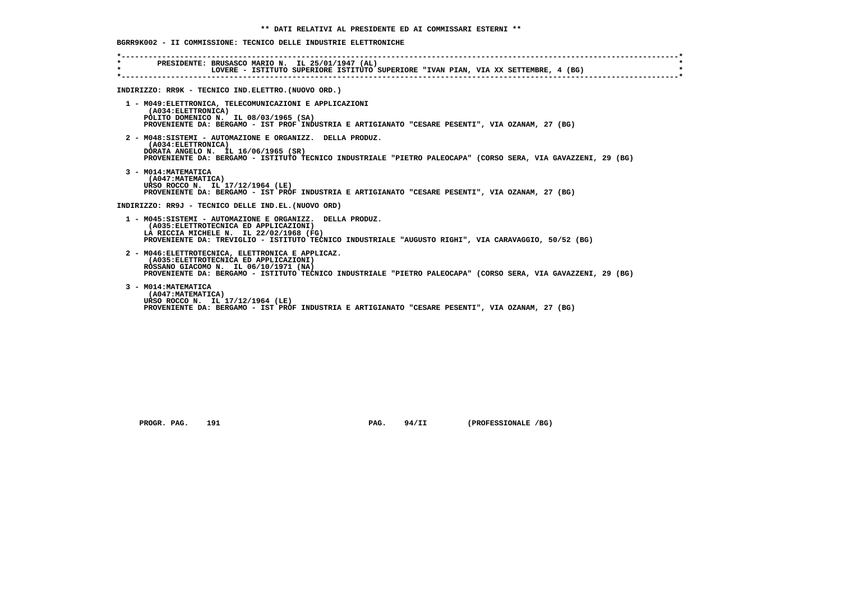| $\star$ | * PRESIDENTE: BRUSASCO MARIO N. IL 25/01/1947 (AL)<br>LOVERE - ISTITUTO SUPERIORE ISTITUTO SUPERIORE "IVAN PIAN, VIA XX SETTEMBRE, 4 (BG)                                                                                                             |
|---------|-------------------------------------------------------------------------------------------------------------------------------------------------------------------------------------------------------------------------------------------------------|
|         | INDIRIZZO: RR9K - TECNICO IND. ELETTRO. (NUOVO ORD.)                                                                                                                                                                                                  |
|         | 1 - M049: ELETTRONICA, TELECOMUNICAZIONI E APPLICAZIONI<br>(A034: ELETTRONICA)<br>POLITO DOMENICO N. IL 08/03/1965 (SA)<br>PROVENIENTE DA: BERGAMO - IST PROF INDUSTRIA E ARTIGIANATO "CESARE PESENTI", VIA OZANAM, 27 (BG)                           |
|         | 2 - M048:SISTEMI - AUTOMAZIONE E ORGANIZZ. DELLA PRODUZ.<br>(A034: ELETTRONICA)<br>DORATA ANGELO N. IL 16/06/1965 (SR)<br>PROVENIENTE DA: BERGAMO - ISTITUTO TECNICO INDUSTRIALE "PIETRO PALEOCAPA" (CORSO SERA, VIA GAVAZZENI, 29 (BG)               |
|         | 3 - M014: MATEMATICA<br>(A047: MATEMATICA)<br>URSO ROCCO N. IL 17/12/1964 (LE)<br>PROVENIENTE DA: BERGAMO - IST PROF INDUSTRIA E ARTIGIANATO "CESARE PESENTI", VIA OZANAM, 27 (BG)                                                                    |
|         | INDIRIZZO: RR9J - TECNICO DELLE IND.EL. (NUOVO ORD)                                                                                                                                                                                                   |
|         | 1 - M045:SISTEMI - AUTOMAZIONE E ORGANIZZ. DELLA PRODUZ.<br>(A035: ELETTROTECNICA ED APPLICAZIONI)<br>LA RICCIA MICHELE N. IL 22/02/1968 (FG)<br>PROVENIENTE DA: TREVIGLIO - ISTITUTO TECNICO INDUSTRIALE "AUGUSTO RIGHI", VIA CARAVAGGIO, 50/52 (BG) |
|         | 2 - M046: ELETTROTECNICA, ELETTRONICA E APPLICAZ.<br>(A035: ELETTROTECNICA ED APPLICAZIONI)<br>ROSSANO GIACOMO N. IL 06/10/1971 (NA)<br>PROVENIENTE DA: BERGAMO - ISTITUTO TECNICO INDUSTRIALE "PIETRO PALEOCAPA" (CORSO SERA, VIA GAVAZZENI, 29 (BG) |
|         | 3 - M014: MATEMATICA<br>(A047: MATEMATICA)<br>URSO ROCCO N. IL 17/12/1964 (LE)<br>PROVENIENTE DA: BERGAMO - IST PROF INDUSTRIA E ARTIGIANATO "CESARE PESENTI", VIA OZANAM, 27 (BG)                                                                    |

PROGR. PAG. 191 **PAG. 94/II** (PROFESSIONALE /BG)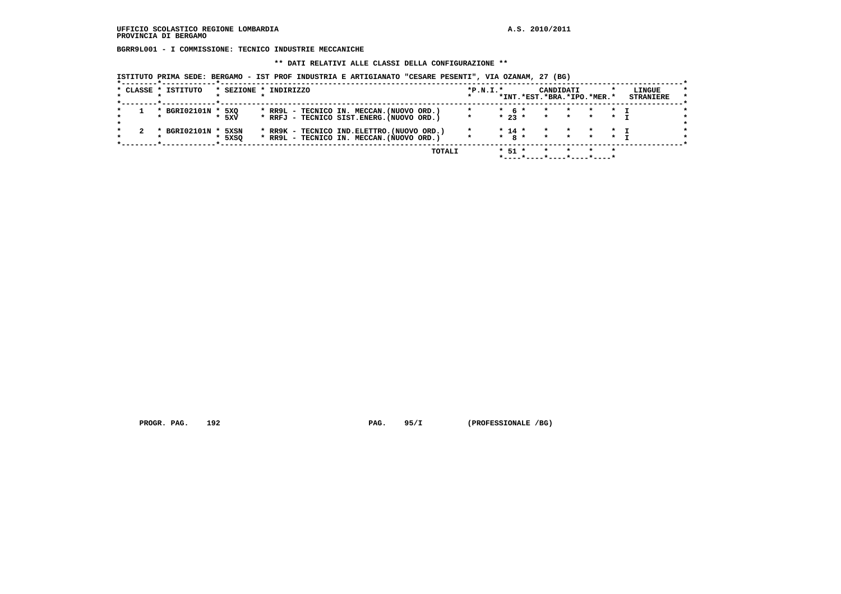**BGRR9L001 - I COMMISSIONE: TECNICO INDUSTRIE MECCANICHE**

 **\*\* DATI RELATIVI ALLE CLASSI DELLA CONFIGURAZIONE \*\***

 **ISTITUTO PRIMA SEDE: BERGAMO - IST PROF INDUSTRIA E ARTIGIANATO "CESARE PESENTI", VIA OZANAM, 27 (BG)**

|                                     |                | TOTALI                                                                                   |            | $*$ 51 $*$            | $\star$            |                    |                            | $\star$                   |                            |
|-------------------------------------|----------------|------------------------------------------------------------------------------------------|------------|-----------------------|--------------------|--------------------|----------------------------|---------------------------|----------------------------|
| BGRI02101N *<br>$\boldsymbol{\ast}$ | 5XSN<br>* 5XSO | * RR9K - TECNICO IND. ELETTRO. (NUOVO ORD.)<br>* RR9L - TECNICO IN. MECCAN. (NUOVO ORD.) | $\star$    | $* 14 *$<br>$*$ 8 $*$ | $\star$<br>$\star$ | $\star$<br>$\star$ | $\star$                    | $\star$ $\tau$<br>$\star$ |                            |
| * BGRI02101N *                      | 5XO<br>* 5xv   | * RR9L - TECNICO IN. MECCAN. (NUOVO ORD.)<br>* RRFJ - TECNICO SIST.ENERG. (NUOVO ORD.)   | $\star$    | $*$ 6 $*$<br>$* 23 *$ | $\star$<br>$\star$ | $\cdot$<br>$\star$ | $\star$                    | $\star$ T<br>$\star$      |                            |
| * CLASSE * ISTITUTO                 |                | * SEZIONE * INDIRIZZO                                                                    | $*P.N.T.*$ |                       | CANDIDATI          |                    | *INT.*EST.*BRA.*IPO.*MER.* |                           | LINGUE<br><b>STRANIERE</b> |

PROGR. PAG. 192 **PAG.** 95/I (PROFESSIONALE /BG)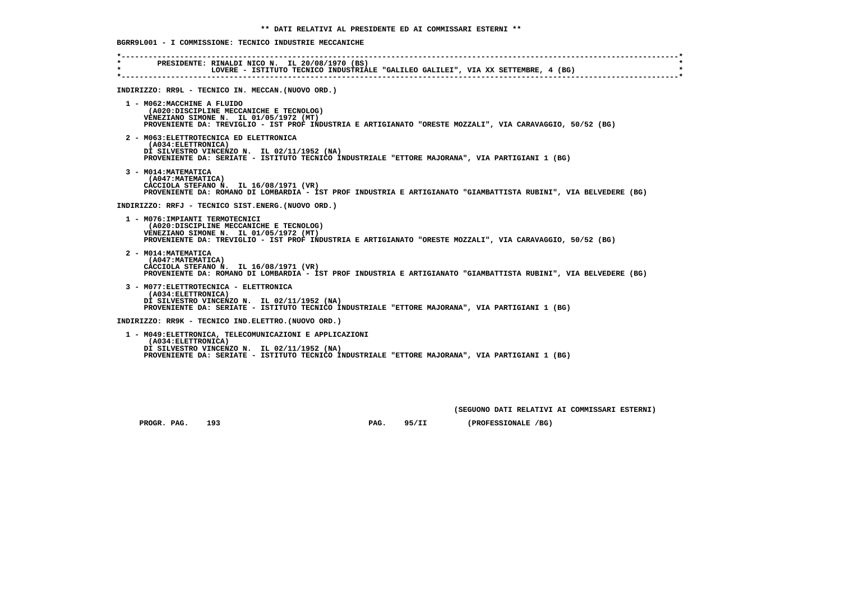### **\*----------------------------------------------------------------------------------------------------------------------------\* \* PRESIDENTE: RINALDI NICO N. IL 20/08/1970 (BS) \* \* LOVERE - ISTITUTO TECNICO INDUSTRIALE "GALILEO GALILEI", VIA XX SETTEMBRE, 4 (BG) \* \*----------------------------------------------------------------------------------------------------------------------------\* INDIRIZZO: RR9L - TECNICO IN. MECCAN.(NUOVO ORD.) 1 - M062:MACCHINE A FLUIDO (A020:DISCIPLINE MECCANICHE E TECNOLOG) VENEZIANO SIMONE N. IL 01/05/1972 (MT) PROVENIENTE DA: TREVIGLIO - IST PROF INDUSTRIA E ARTIGIANATO "ORESTE MOZZALI", VIA CARAVAGGIO, 50/52 (BG) 2 - M063:ELETTROTECNICA ED ELETTRONICA (A034:ELETTRONICA) DI SILVESTRO VINCENZO N. IL 02/11/1952 (NA) PROVENIENTE DA: SERIATE - ISTITUTO TECNICO INDUSTRIALE "ETTORE MAJORANA", VIA PARTIGIANI 1 (BG) 3 - M014:MATEMATICA (A047:MATEMATICA) CACCIOLA STEFANO N. IL 16/08/1971 (VR) PROVENIENTE DA: ROMANO DI LOMBARDIA - IST PROF INDUSTRIA E ARTIGIANATO "GIAMBATTISTA RUBINI", VIA BELVEDERE (BG) INDIRIZZO: RRFJ - TECNICO SIST.ENERG.(NUOVO ORD.) 1 - M076:IMPIANTI TERMOTECNICI (A020:DISCIPLINE MECCANICHE E TECNOLOG) VENEZIANO SIMONE N. IL 01/05/1972 (MT) PROVENIENTE DA: TREVIGLIO - IST PROF INDUSTRIA E ARTIGIANATO "ORESTE MOZZALI", VIA CARAVAGGIO, 50/52 (BG) 2 - M014:MATEMATICA (A047:MATEMATICA) CACCIOLA STEFANO N. IL 16/08/1971 (VR) PROVENIENTE DA: ROMANO DI LOMBARDIA - IST PROF INDUSTRIA E ARTIGIANATO "GIAMBATTISTA RUBINI", VIA BELVEDERE (BG) 3 - M077:ELETTROTECNICA - ELETTRONICA (A034:ELETTRONICA) DI SILVESTRO VINCENZO N. IL 02/11/1952 (NA) PROVENIENTE DA: SERIATE - ISTITUTO TECNICO INDUSTRIALE "ETTORE MAJORANA", VIA PARTIGIANI 1 (BG) INDIRIZZO: RR9K - TECNICO IND.ELETTRO.(NUOVO ORD.) 1 - M049:ELETTRONICA, TELECOMUNICAZIONI E APPLICAZIONI (A034:ELETTRONICA) DI SILVESTRO VINCENZO N. IL 02/11/1952 (NA) PROVENIENTE DA: SERIATE - ISTITUTO TECNICO INDUSTRIALE "ETTORE MAJORANA", VIA PARTIGIANI 1 (BG)**

 **(SEGUONO DATI RELATIVI AI COMMISSARI ESTERNI)**

 **PROGR. PAG. 193 PAG. 95/II (PROFESSIONALE /BG)**

 **BGRR9L001 - I COMMISSIONE: TECNICO INDUSTRIE MECCANICHE**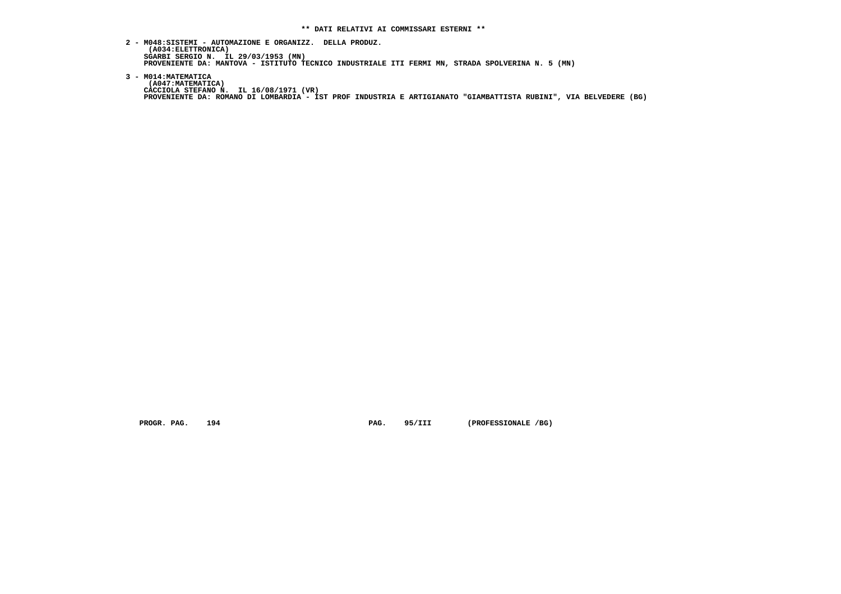- **2 M048:SISTEMI AUTOMAZIONE E ORGANIZZ. DELLA PRODUZ. (A034:ELETTRONICA) SGARBI SERGIO N. IL 29/03/1953 (MN) PROVENIENTE DA: MANTOVA - ISTITUTO TECNICO INDUSTRIALE ITI FERMI MN, STRADA SPOLVERINA N. 5 (MN)**
- **3 M014:MATEMATICA (A047:MATEMATICA) CACCIOLA STEFANO N. IL 16/08/1971 (VR) PROVENIENTE DA: ROMANO DI LOMBARDIA - IST PROF INDUSTRIA E ARTIGIANATO "GIAMBATTISTA RUBINI", VIA BELVEDERE (BG)**

PROGR. PAG. 194 **PAG.** 95/III (PROFESSIONALE /BG)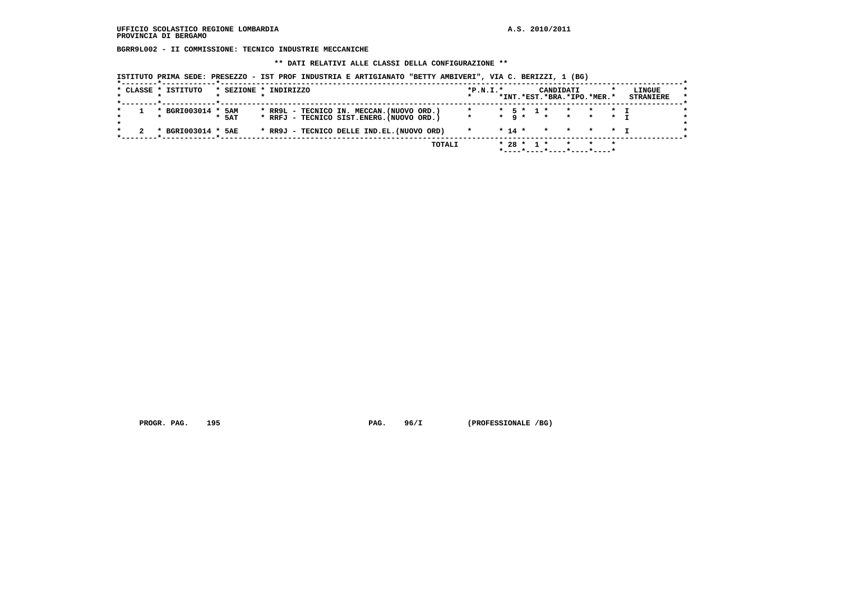**BGRR9L002 - II COMMISSIONE: TECNICO INDUSTRIE MECCANICHE**

 **\*\* DATI RELATIVI ALLE CLASSI DELLA CONFIGURAZIONE \*\***

 **ISTITUTO PRIMA SEDE: PRESEZZO - IST PROF INDUSTRIA E ARTIGIANATO "BETTY AMBIVERI", VIA C. BERIZZI, 1 (BG)**

|  | * CLASSE * ISTITUTO | * SEZIONE * INDIRIZZO |  |  |                                            |        | $*P.N.T.*$ |  |              | CANDIDATI |                                                             | LINGUE           | $\star$ |
|--|---------------------|-----------------------|--|--|--------------------------------------------|--------|------------|--|--------------|-----------|-------------------------------------------------------------|------------------|---------|
|  |                     |                       |  |  |                                            |        |            |  |              |           | *INT.*EST.*BRA.*IPO.*MER.*                                  | <b>STRANIERE</b> | $\star$ |
|  | * BGRI003014 * 5AM  |                       |  |  | * RR9L - TECNICO IN. MECCAN. (NUOVO ORD.)  |        |            |  | * 5 * 1 *    |           | * * * T                                                     |                  |         |
|  |                     | $*$ 5AT               |  |  | * RRFJ - TECNICO SIST.ENERG. (NUOVO ORD.)  |        | $\star$    |  |              |           | $\star$ Q $\star$ $\star$ $\star$ $\star$ $\star$ $\star$ T |                  |         |
|  | * BGRI003014 * 5AE  |                       |  |  | * RR9J - TECNICO DELLE IND.EL. (NUOVO ORD) |        |            |  |              |           | $* 14 * * * * * * T$                                        |                  |         |
|  |                     |                       |  |  |                                            | TOTALI |            |  | $* 28 * 1 *$ |           | * * *                                                       |                  |         |
|  |                     |                       |  |  |                                            |        |            |  |              |           |                                                             |                  |         |

 **PROGR. PAG. 195 PAG. 96/I (PROFESSIONALE /BG)**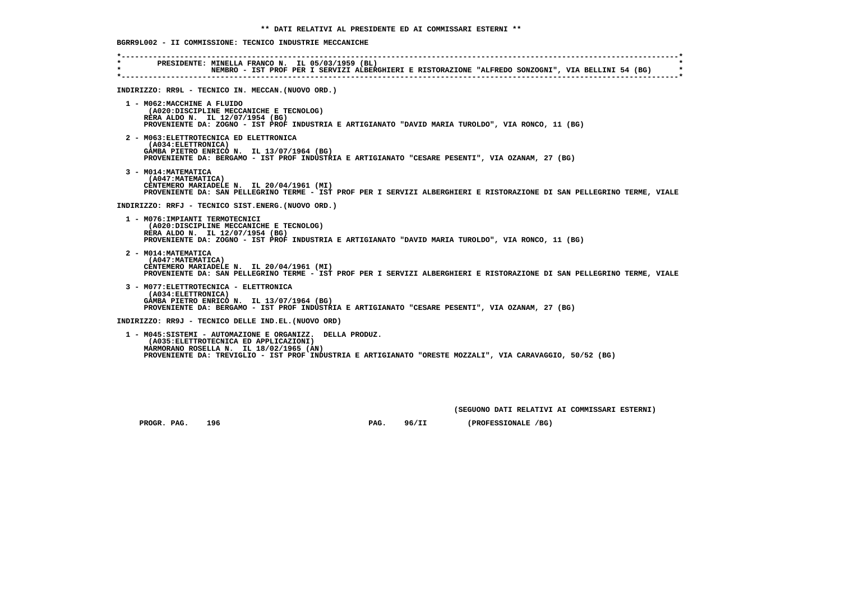### **BGRR9L002 - II COMMISSIONE: TECNICO INDUSTRIE MECCANICHE**

| $\star$<br>$\star$ | PRESIDENTE: MINELLA FRANCO N. IL 05/03/1959 (BL)<br>NEMBRO - IST PROF PER I SERVIZI ALBERGHIERI E RISTORAZIONE "ALFREDO SONZOGNI", VIA BELLINI 54 (BG)                                                                                                     |
|--------------------|------------------------------------------------------------------------------------------------------------------------------------------------------------------------------------------------------------------------------------------------------------|
|                    | INDIRIZZO: RR9L - TECNICO IN. MECCAN. (NUOVO ORD.)                                                                                                                                                                                                         |
|                    | 1 - M062: MACCHINE A FLUIDO<br>(A020:DISCIPLINE MECCANICHE E TECNOLOG)<br>RERA ALDO N. IL 12/07/1954 (BG)<br>PROVENIENTE DA: ZOGNO - IST PROF INDUSTRIA E ARTIGIANATO "DAVID MARIA TUROLDO", VIA RONCO, 11 (BG)                                            |
|                    | 2 - M063: ELETTROTECNICA ED ELETTRONICA<br>(A034: ELETTRONICA)<br>GAMBA PIETRO ENRICO N. IL 13/07/1964 (BG)<br>PROVENIENTE DA: BERGAMO - IST PROF INDUSTRIA E ARTIGIANATO "CESARE PESENTI", VIA OZANAM, 27 (BG)                                            |
|                    | 3 - MO14: MATEMATICA<br>(A047: MATEMATICA)<br>CENTEMERO MARIADELE N. IL 20/04/1961 (MI)<br>PROVENIENTE DA: SAN PELLEGRINO TERME - IST PROF PER I SERVIZI ALBERGHIERI E RISTORAZIONE DI SAN PELLEGRINO TERME, VIALE                                         |
|                    | INDIRIZZO: RRFJ - TECNICO SIST.ENERG. (NUOVO ORD.)                                                                                                                                                                                                         |
|                    | 1 - M076: IMPIANTI TERMOTECNICI<br>(A020:DISCIPLINE MECCANICHE E TECNOLOG)<br>RERA ALDO N. IL 12/07/1954 (BG)<br>PROVENIENTE DA: ZOGNO - IST PROF INDUSTRIA E ARTIGIANATO "DAVID MARIA TUROLDO", VIA RONCO, 11 (BG)                                        |
|                    | 2 - M014: MATEMATICA<br>(A047: MATEMATICA)<br>CENTEMERO MARIADELE N. IL 20/04/1961 (MI)<br>PROVENIENTE DA: SAN PELLEGRINO TERME - IST PROF PER I SERVIZI ALBERGHIERI E RISTORAZIONE DI SAN PELLEGRINO TERME, VIALE                                         |
|                    | 3 - MO77: ELETTROTECNICA - ELETTRONICA<br>(A034: ELETTRONICA)<br>GAMBA PIETRO ENRICO N. IL 13/07/1964 (BG)<br>PROVENIENTE DA: BERGAMO - IST PROF INDUSTRIA E ARTIGIANATO "CESARE PESENTI", VIA OZANAM, 27 (BG)                                             |
|                    | INDIRIZZO: RR9J - TECNICO DELLE IND.EL. (NUOVO ORD)                                                                                                                                                                                                        |
|                    | 1 - M045:SISTEMI - AUTOMAZIONE E ORGANIZZ. DELLA PRODUZ.<br>(A035: ELETTROTECNICA ED APPLICAZIONI)<br>MARMORANO ROSELLA N. IL 18/02/1965 (AN)<br>PROVENIENTE DA: TREVIGLIO - IST PROF INDUSTRIA E ARTIGIANATO "ORESTE MOZZALI", VIA CARAVAGGIO, 50/52 (BG) |

 **(SEGUONO DATI RELATIVI AI COMMISSARI ESTERNI)**

PROGR. PAG. 196 **PROGR. PAG. 96/II** (PROFESSIONALE /BG)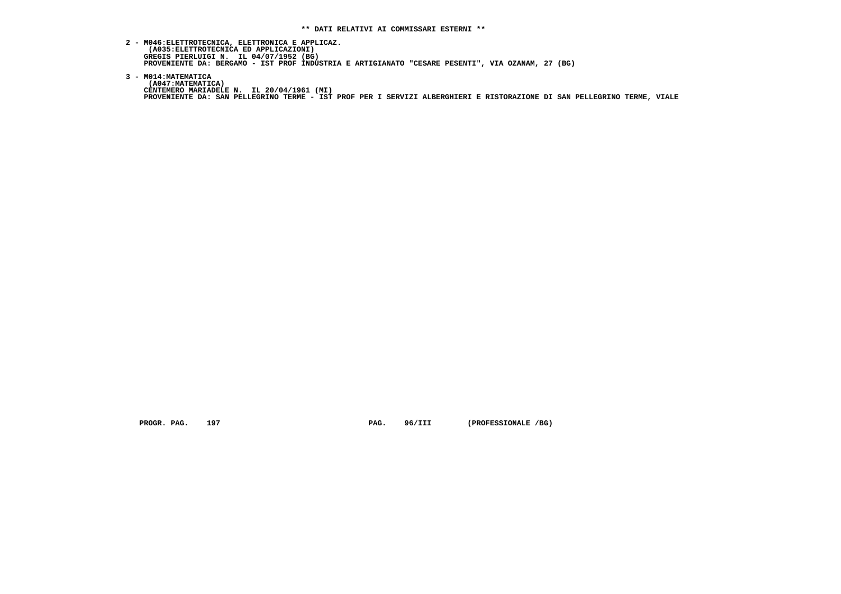- **2 M046:ELETTROTECNICA, ELETTRONICA E APPLICAZ. (A035:ELETTROTECNICA ED APPLICAZIONI) GREGIS PIERLUIGI N. IL 04/07/1952 (BG) PROVENIENTE DA: BERGAMO - IST PROF INDUSTRIA E ARTIGIANATO "CESARE PESENTI", VIA OZANAM, 27 (BG)**
- **3 M014:MATEMATICA (A047:MATEMATICA) CENTEMERO MARIADELE N. IL 20/04/1961 (MI) PROVENIENTE DA: SAN PELLEGRINO TERME - IST PROF PER I SERVIZI ALBERGHIERI E RISTORAZIONE DI SAN PELLEGRINO TERME, VIALE**

 **PROGR. PAG. 197 PAG. 96/III (PROFESSIONALE /BG)**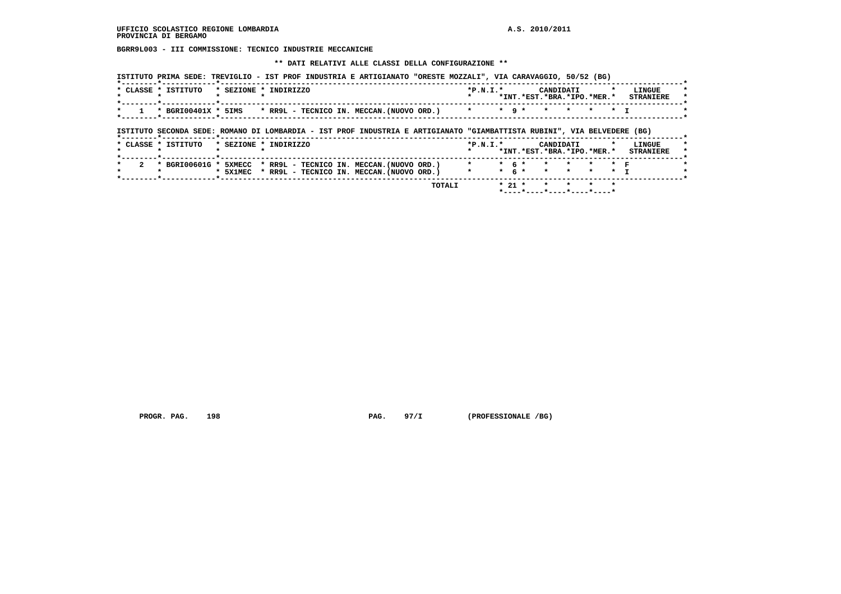**BGRR9L003 - III COMMISSIONE: TECNICO INDUSTRIE MECCANICHE**

#### **\*\* DATI RELATIVI ALLE CLASSI DELLA CONFIGURAZIONE \*\***

| * CLASSE * ISTITUTO | * SEZIONE * INDIRIZZO |  |                                            | $*P.N.T.*$ |  | CANDIDATI |                            | LINGUE           |
|---------------------|-----------------------|--|--------------------------------------------|------------|--|-----------|----------------------------|------------------|
|                     |                       |  |                                            |            |  |           | *INT.*EST.*BRA.*IPO.*MER.* | <b>STRANIERE</b> |
| * BGRI00401X * 5IMS |                       |  | * RR9L - TECNICO IN. MECCAN.(NUOVO ORD.) * |            |  |           | * 9 * * * * * * T          |                  |

  **\* CLASSE \* ISTITUTO \* SEZIONE \* INDIRIZZO \*P.N.I.\* CANDIDATI \* LINGUE \* \* \* \* \* \* \*INT.\*EST.\*BRA.\*IPO.\*MER.\* STRANIERE \* \*--------\*------------\*-------------------------------------------------------------------------------------------------------\*** $\star$  **\* 2 \* BGRI00601G \* 5XMECC \* RR9L - TECNICO IN. MECCAN.(NUOVO ORD.) \* \* 6 \* \* \* \* \* F \* \* \* \* 5X1MEC \* RR9L - TECNICO IN. MECCAN.(NUOVO ORD.) \* \* 6 \* \* \* \* \* I \* \*--------\*------------\*-------------------------------------------------------------------------------------------------------\***

 **TOTALI \* 21 \* \* \* \* \* \*----\*----\*----\*----\*----\***

 **PROGR. PAG. 198 PAG. 97/I (PROFESSIONALE /BG)**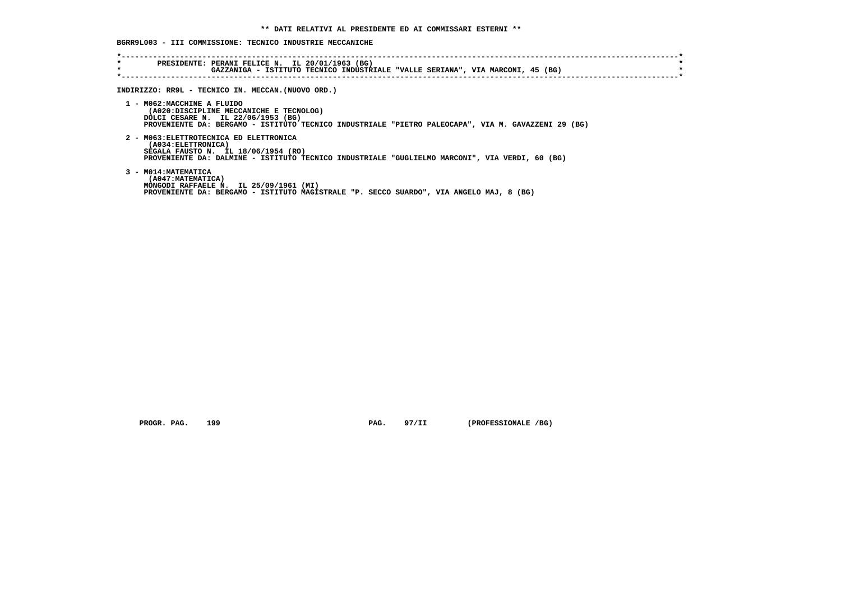# **BGRR9L003 - III COMMISSIONE: TECNICO INDUSTRIE MECCANICHE**

| $\star$<br>$\star$ | PRESIDENTE: PERANI FELICE N. IL 20/01/1963 (BG)<br>GAZZANIGA - ISTITUTO TECNICO INDUSTRIALE "VALLE SERIANA", VIA MARCONI, 45 (BG)                                                                                  |
|--------------------|--------------------------------------------------------------------------------------------------------------------------------------------------------------------------------------------------------------------|
|                    | INDIRIZZO: RR9L - TECNICO IN. MECCAN. (NUOVO ORD.)                                                                                                                                                                 |
|                    | 1 - MO62:MACCHINE A FLUIDO<br>(A020:DISCIPLINE MECCANICHE E TECNOLOG)<br>DOLCI CESARE N. IL 22/06/1953 (BG)<br>PROVENIENTE DA: BERGAMO - ISTITUTO TECNICO INDUSTRIALE "PIETRO PALEOCAPA", VIA M. GAVAZZENI 29 (BG) |
|                    | 2 - M063: ELETTROTECNICA ED ELETTRONICA<br>(A034:ELETTRONICA)<br>SEGALA FAUSTO N. IL 18/06/1954 (RO)<br>PROVENIENTE DA: DALMINE - ISTITUTO TECNICO INDUSTRIALE "GUGLIELMO MARCONI", VIA VERDI, 60 (BG)             |
|                    | 3 - MO14: MATEMATICA<br>(A047: MATEMATICA)<br>MONGODI RAFFAELE N. IL 25/09/1961 (MI)<br>PROVENIENTE DA: BERGAMO - ISTITUTO MAGISTRALE "P. SECCO SUARDO", VIA ANGELO MAJ, 8 (BG)                                    |

 **PROGR. PAG. 199 PAG. 97/II (PROFESSIONALE /BG)**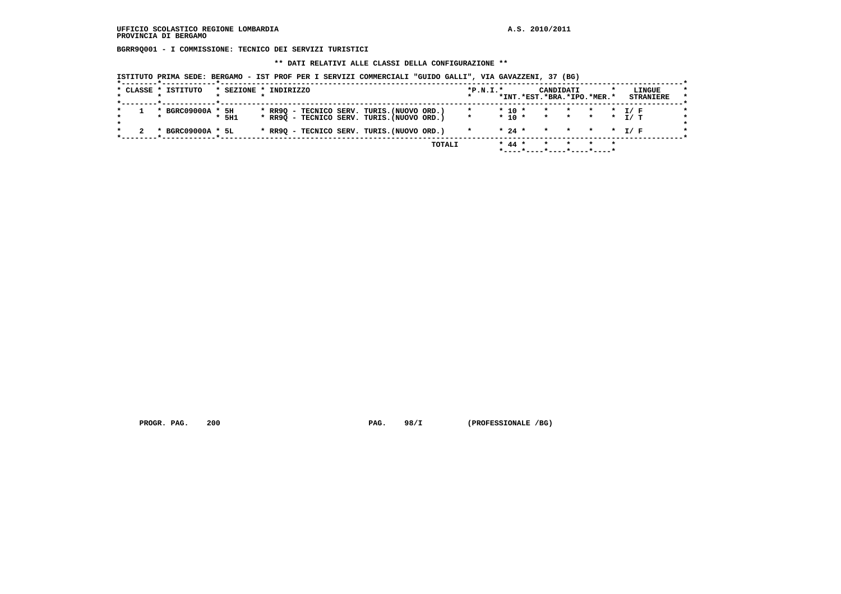**BGRR9Q001 - I COMMISSIONE: TECNICO DEI SERVIZI TURISTICI**

 **\*\* DATI RELATIVI ALLE CLASSI DELLA CONFIGURAZIONE \*\***

 **ISTITUTO PRIMA SEDE: BERGAMO - IST PROF PER I SERVIZI COMMERCIALI "GUIDO GALLI", VIA GAVAZZENI, 37 (BG)**

|  | * CLASSE * ISTITUTO | * SEZIONE * INDIRIZZO |  |                                            |  |        | $*P.N.I.*$ |            | CANDIDATI<br>*INT.*EST.*BRA.*IPO.*MER.* |       |  | LINGUE<br><b>STRANIERE</b> |  |
|--|---------------------|-----------------------|--|--------------------------------------------|--|--------|------------|------------|-----------------------------------------|-------|--|----------------------------|--|
|  |                     |                       |  |                                            |  |        |            |            |                                         |       |  |                            |  |
|  | * BGRC09000A * 5H   |                       |  | * RR9Q - TECNICO SERV. TURIS. (NUOVO ORD.) |  |        |            | $*$ 10 $*$ | * * * * I/F                             |       |  |                            |  |
|  |                     | $*$ 5H1               |  | * RR9Q - TECNICO SERV. TURIS. (NUOVO ORD.) |  |        | $\star$    |            | $* 10 * * * * * * T/T$                  |       |  |                            |  |
|  |                     |                       |  |                                            |  |        |            |            |                                         |       |  |                            |  |
|  | * BGRC09000A * 5L   |                       |  | * RR9Q - TECNICO SERV. TURIS. (NUOVO ORD.) |  |        |            | $* 24 *$   | * * * * T/F                             |       |  |                            |  |
|  |                     |                       |  |                                            |  |        |            |            |                                         |       |  |                            |  |
|  |                     |                       |  |                                            |  | TOTALI |            | $* 44 *$   | $\mathbf{x}$                            | * * * |  |                            |  |
|  |                     |                       |  |                                            |  |        |            |            |                                         |       |  |                            |  |

PROGR. PAG. 200 **PAG.** 98/I (PROFESSIONALE /BG)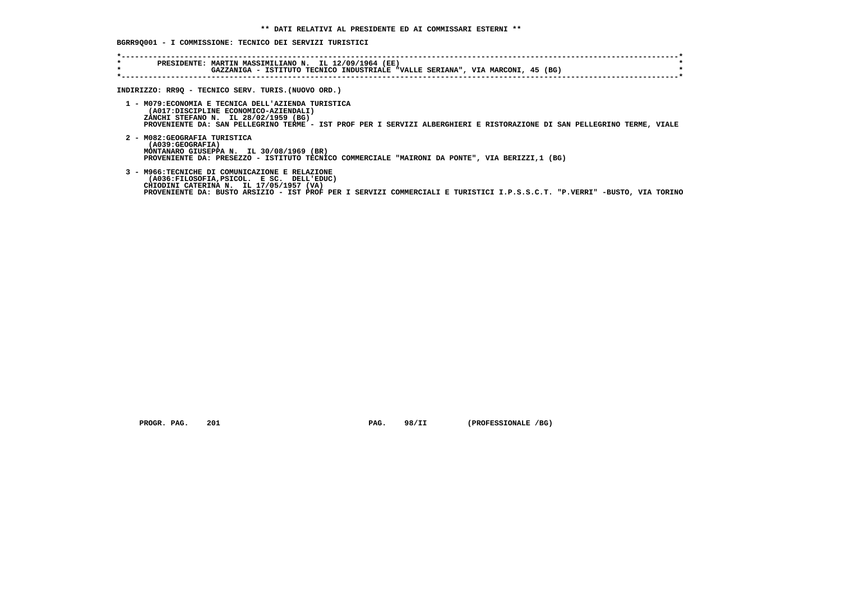## **BGRR9Q001 - I COMMISSIONE: TECNICO DEI SERVIZI TURISTICI**

| $\star$<br>$\star$ | PRESIDENTE: MARTIN MASSIMILIANO N. IL 12/09/1964 (EE)<br>GAZZANIGA - ISTITUTO TECNICO INDUSTRIALE "VALLE SERIANA", VIA MARCONI, 45 (BG)                                                                                                                            |
|--------------------|--------------------------------------------------------------------------------------------------------------------------------------------------------------------------------------------------------------------------------------------------------------------|
|                    | INDIRIZZO: RR9Q - TECNICO SERV. TURIS. (NUOVO ORD.)                                                                                                                                                                                                                |
|                    | 1 - M079: ECONOMIA E TECNICA DELL'AZIENDA TURISTICA<br>(A017:DISCIPLINE ECONOMICO-AZIENDALI)<br>ZANCHI STEFANO N. IL 28/02/1959 (BG)<br>PROVENIENTE DA: SAN PELLEGRINO TERME - IST PROF PER I SERVIZI ALBERGHIERI E RISTORAZIONE DI SAN PELLEGRINO TERME, VIALE    |
|                    | 2 - MO82: GEOGRAFIA TURISTICA<br>(A039:GEOGRAFIA)<br>MONTANARO GIUSEPPA N. IL 30/08/1969 (BR)<br>PROVENIENTE DA: PRESEZZO - ISTITUTO TECNICO COMMERCIALE "MAIRONI DA PONTE", VIA BERIZZI,1 (BG)                                                                    |
|                    | 3 - M966:TECNICHE DI COMUNICAZIONE E RELAZIONE<br>(A036:FILOSOFIA, PSICOL. E SC. DELL'EDUC)<br>CHIODINI CATERINA N. IL 17/05/1957 (VA)<br>PROVENIENTE DA: BUSTO ARSIZIO - IST PROF PER I SERVIZI COMMERCIALI E TURISTICI I.P.S.S.C.T. "P.VERRI" -BUSTO, VIA TORINO |

 **PROGR. PAG. 201 PAG. 98/II (PROFESSIONALE /BG)**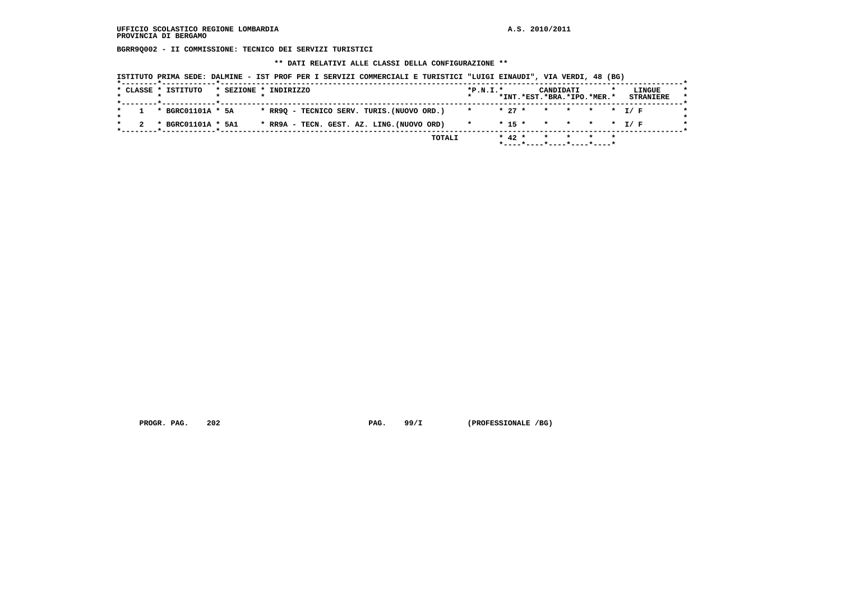**BGRR9Q002 - II COMMISSIONE: TECNICO DEI SERVIZI TURISTICI**

 **\*\* DATI RELATIVI ALLE CLASSI DELLA CONFIGURAZIONE \*\***

| ISTITUTO PRIMA SEDE: DALMINE - IST PROF PER I SERVIZI COMMERCIALI E TURISTICI "LUIGI EINAUDI", VIA VERDI, 48 (BG) |  |  |  |  |
|-------------------------------------------------------------------------------------------------------------------|--|--|--|--|
|-------------------------------------------------------------------------------------------------------------------|--|--|--|--|

|                                                                  |        |                              |          | *INT.*EST.*BRA.*IPO.*MER.* |  |                  |
|------------------------------------------------------------------|--------|------------------------------|----------|----------------------------|--|------------------|
|                                                                  |        |                              |          |                            |  | <b>STRANIERE</b> |
| * RR9Q - TECNICO SERV. TURIS.(NUOVO ORD.)<br>* BGRC01101A * 5A   |        | * * 27 * * * * * T/F         |          |                            |  |                  |
| * RR9A - TECN. GEST. AZ. LING. (NUOVO ORD)<br>* BGRC01101A * 5A1 |        | $\star$ . The set of $\star$ |          | * 15 * * * * * T/F         |  |                  |
|                                                                  | TOTALI |                              | $* 42 *$ | * * * *                    |  |                  |

PROGR. PAG. 202 **PAG. 99/I** (PROFESSIONALE /BG)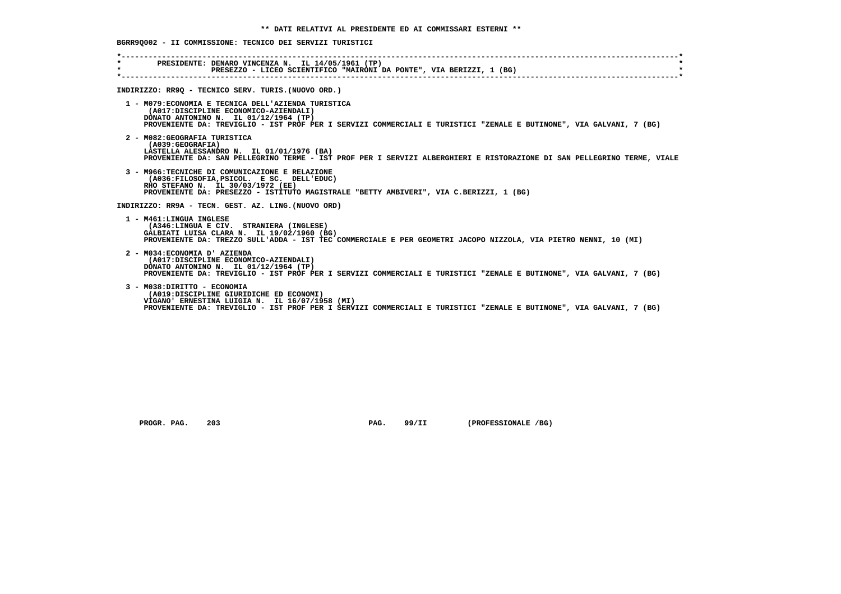# **BGRR9Q002 - II COMMISSIONE: TECNICO DEI SERVIZI TURISTICI**

| $\star$<br>$\star$ | PRESIDENTE: DENARO VINCENZA N. IL 14/05/1961 (TP)<br>PRESEZZO - LICEO SCIENTIFICO "MAIRONI DA PONTE", VIA BERIZZI, 1 (BG)                                                                                                                                    |
|--------------------|--------------------------------------------------------------------------------------------------------------------------------------------------------------------------------------------------------------------------------------------------------------|
|                    | INDIRIZZO: RR9Q - TECNICO SERV. TURIS. (NUOVO ORD.)                                                                                                                                                                                                          |
|                    | 1 - M079: ECONOMIA E TECNICA DELL'AZIENDA TURISTICA<br>(A017:DISCIPLINE ECONOMICO-AZIENDALI)<br>DONATO ANTONINO N. IL 01/12/1964 (TP)<br>PROVENIENTE DA: TREVIGLIO - IST PROF PER I SERVIZI COMMERCIALI E TURISTICI "ZENALE E BUTINONE", VIA GALVANI, 7 (BG) |
|                    | 2 - M082: GEOGRAFIA TURISTICA<br>(A039:GEOGRAFIA)<br>LASTELLA ALESSANDRO N. IL 01/01/1976 (BA)<br>PROVENIENTE DA: SAN PELLEGRINO TERME - IST PROF PER I SERVIZI ALBERGHIERI E RISTORAZIONE DI SAN PELLEGRINO TERME, VIALE                                    |
|                    | 3 - M966: TECNICHE DI COMUNICAZIONE E RELAZIONE<br>(A036:FILOSOFIA, PSICOL. E SC. DELL'EDUC)<br>RHO STEFANO N. IL 30/03/1972 (EE)<br>PROVENIENTE DA: PRESEZZO - ISTITUTO MAGISTRALE "BETTY AMBIVERI", VIA C.BERIZZI, 1 (BG)                                  |
|                    | INDIRIZZO: RR9A - TECN. GEST. AZ. LING. (NUOVO ORD)                                                                                                                                                                                                          |
|                    | 1 - M461:LINGUA INGLESE<br>(A346:LINGUA E CIV. STRANIERA (INGLESE)<br>GALBIATI LUISA CLARA N. IL 19/02/1960 (BG)<br>PROVENIENTE DA: TREZZO SULL'ADDA - IST TEC COMMERCIALE E PER GEOMETRI JACOPO NIZZOLA, VIA PIETRO NENNI, 10 (MI)                          |
|                    | 2 - M034: ECONOMIA D' AZIENDA<br>(A017:DISCIPLINE ECONOMICO-AZIENDALI)<br>DONATO ANTONINO N. IL 01/12/1964 (TP)<br>PROVENIENTE DA: TREVIGLIO - IST PROF PER I SERVIZI COMMERCIALI E TURISTICI "ZENALE E BUTINONE", VIA GALVANI, 7 (BG)                       |
|                    | 3 - M038: DIRITTO - ECONOMIA<br>(A019:DISCIPLINE GIURIDICHE ED ECONOMI)<br>VIGANO' ERNESTINA LUIGIA N. IL 16/07/1958 (MI)<br>PROVENIENTE DA: TREVIGLIO - IST PROF PER I SERVIZI COMMERCIALI E TURISTICI "ZENALE E BUTINONE", VIA GALVANI, 7 (BG)             |

 **PROGR. PAG. 203 PAG. 99/II (PROFESSIONALE /BG)**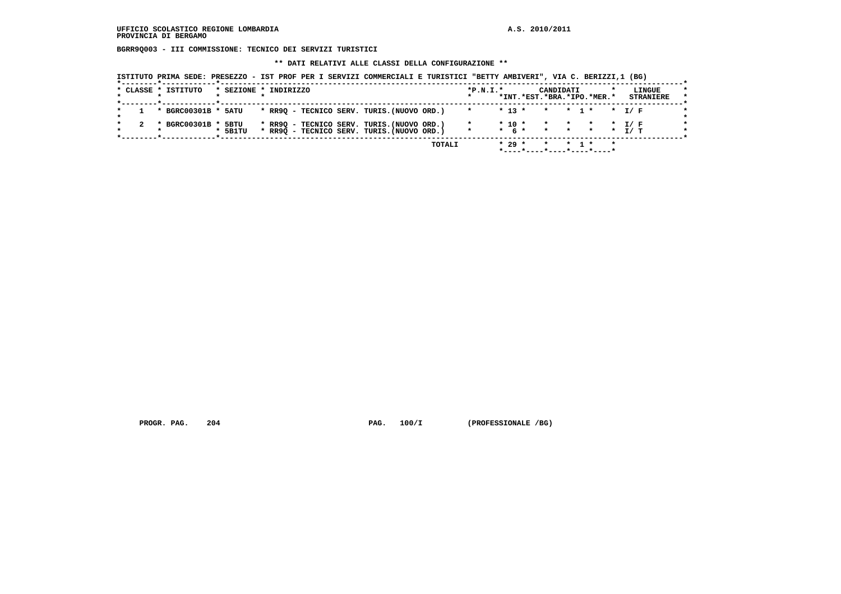**BGRR9Q003 - III COMMISSIONE: TECNICO DEI SERVIZI TURISTICI**

### **\*\* DATI RELATIVI ALLE CLASSI DELLA CONFIGURAZIONE \*\***

| ISTITUTO PRIMA SEDE: PRESEZZO - IST PROF PER I SERVIZI COMMERCIALI E TURISTICI "BETTY AMBIVERI", VIA C. BERIZZI,1 (BG) |
|------------------------------------------------------------------------------------------------------------------------|
|------------------------------------------------------------------------------------------------------------------------|

|                     |                 |                                                                                          |  |  |  |  | *INT.*EST.*BRA.*IPO.*MER.*                     |  |  | <b>STRANIERE</b> |
|---------------------|-----------------|------------------------------------------------------------------------------------------|--|--|--|--|------------------------------------------------|--|--|------------------|
| * BGRC00301B * 5ATU |                 | * RR9Q - TECNICO SERV. TURIS.(NUOVO ORD.)                                                |  |  |  |  | $* 13 * * * 1 * * 1 / F$                       |  |  |                  |
| * BGRC00301B *      | 5BTU<br>* 5B1TU | * RR9Q - TECNICO SERV. TURIS. (NUOVO ORD.)<br>* RR9Q - TECNICO SERV. TURIS. (NUOVO ORD.) |  |  |  |  | $* 10 * * * * * * I/F$<br>* 6 * * * * * * T/ T |  |  |                  |

PROGR. PAG. 204 **PAG. 201** PAG. 100/I (PROFESSIONALE /BG)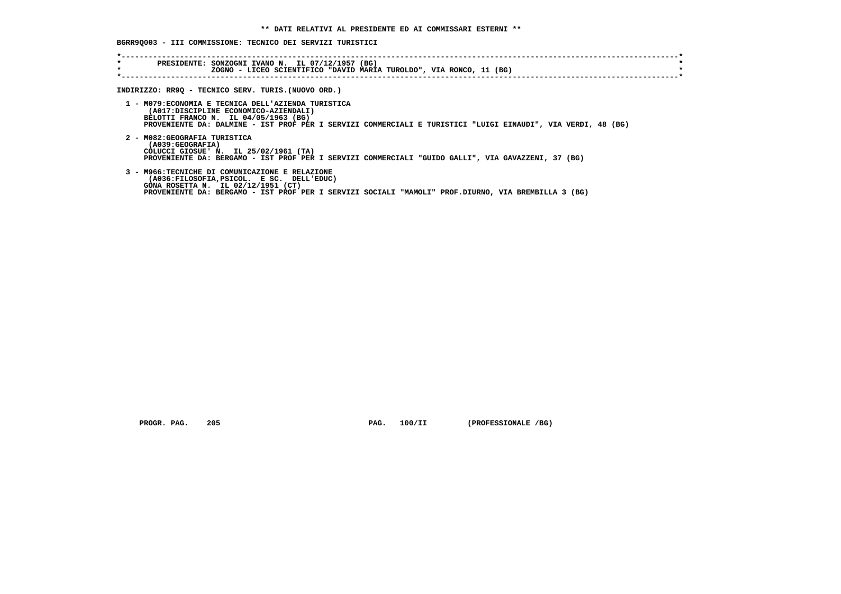# **BGRR9Q003 - III COMMISSIONE: TECNICO DEI SERVIZI TURISTICI**

| $\star$ | PRESIDENTE: SONZOGNI IVANO N. IL 07/12/1957 (BG)<br>ZOGNO - LICEO SCIENTIFICO "DAVID MARIA TUROLDO", VIA RONCO, 11 (BG)                                                                                                                              |
|---------|------------------------------------------------------------------------------------------------------------------------------------------------------------------------------------------------------------------------------------------------------|
|         | INDIRIZZO: RR9Q - TECNICO SERV. TURIS.(NUOVO ORD.)                                                                                                                                                                                                   |
|         | 1 - M079: ECONOMIA E TECNICA DELL'AZIENDA TURISTICA<br>(A017:DISCIPLINE ECONOMICO-AZIENDALI)<br>BELOTTI FRANCO N. IL 04/05/1963 (BG)<br>PROVENIENTE DA: DALMINE - IST PROF PER I SERVIZI COMMERCIALI E TURISTICI "LUIGI EINAUDI", VIA VERDI, 48 (BG) |
|         | 2 - M082: GEOGRAFIA TURISTICA<br>(A039:GEOGRAFIA)<br>COLUCCI GIOSUE' N. IL 25/02/1961 (TA)<br>PROVENIENTE DA: BERGAMO - IST PROF PER I SERVIZI COMMERCIALI "GUIDO GALLI", VIA GAVAZZENI, 37 (BG)                                                     |
|         | 3 - M966:TECNICHE DI COMUNICAZIONE E RELAZIONE<br>(A036:FILOSOFIA, PSICOL. E SC. DELL'EDUC)<br>GONA ROSETTA N. IL 02/12/1951 (CT)<br>PROVENIENTE DA: BERGAMO - IST PROF PER I SERVIZI SOCIALI "MAMOLI" PROF.DIURNO, VIA BREMBILLA 3 (BG)             |

 **PROGR. PAG. 205 PAG. 100/II (PROFESSIONALE /BG)**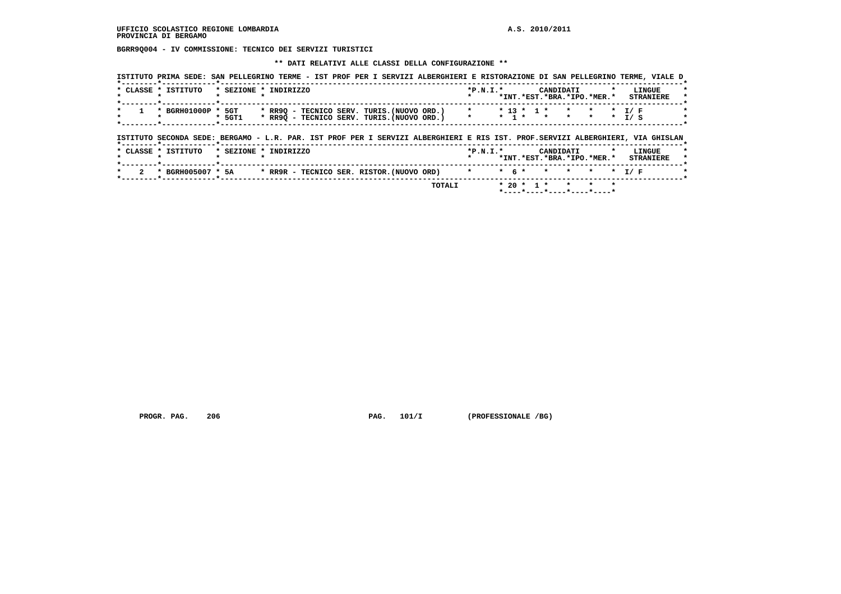**BGRR9Q004 - IV COMMISSIONE: TECNICO DEI SERVIZI TURISTICI**

### **\*\* DATI RELATIVI ALLE CLASSI DELLA CONFIGURAZIONE \*\***

|   | * CLASSE * ISTITUTO<br>. .          | * SEZIONE * INDIRIZZO |  |                                                                                                                                | $*P.N.I.*$ |           |              | CANDIDATI    |                               |         | LINGUE<br>*INT.*EST.*BRA.*IPO.*MER.* STRANIERE      |  |
|---|-------------------------------------|-----------------------|--|--------------------------------------------------------------------------------------------------------------------------------|------------|-----------|--------------|--------------|-------------------------------|---------|-----------------------------------------------------|--|
| * | * BGRH01000P * 5GT                  | * 5GT1                |  | * RR9Q - TECNICO SERV. TURIS.(NUOVO ORD.) * * * 13 * 1 *<br>* RR9Q - TECNICO SERV. TURIS. (NUOVO ORD.) * * 1 * * * * *         |            |           |              | $\star$      |                               |         | $\star$ I/F<br>$\star$ I/S                          |  |
|   |                                     |                       |  |                                                                                                                                |            |           |              |              |                               |         |                                                     |  |
|   | *--------*------------*------       |                       |  | ISTITUTO SECONDA SEDE: BERGAMO - L.R. PAR. IST PROF PER I SERVIZI ALBERGHIERI E RIS IST. PROF.SERVIZI ALBERGHIERI, VIA GHISLAN |            |           |              |              |                               |         |                                                     |  |
|   | * CLASSE * ISTITUTO<br>$\mathbf{r}$ | * SEZIONE * INDIRIZZO |  |                                                                                                                                | $*P.N.T.*$ |           |              | CANDIDATI    | $\mathbf{r}$ and $\mathbf{r}$ |         | LINGUE<br>*INT. *EST. *BRA. *IPO. *MER. * STRANIERE |  |
|   |                                     |                       |  | 2 * BGRH005007 * 5A * RR9R - TECNICO SER. RISTOR. (NUOVO ORD) *                                                                |            | $*$ 6 $*$ | $\mathbf{r}$ | $\mathbf{r}$ | $\mathbf{r}$                  | $\star$ | T / F                                               |  |

PROGR. PAG. 206 **PAG. 201/I** (PROFESSIONALE /BG)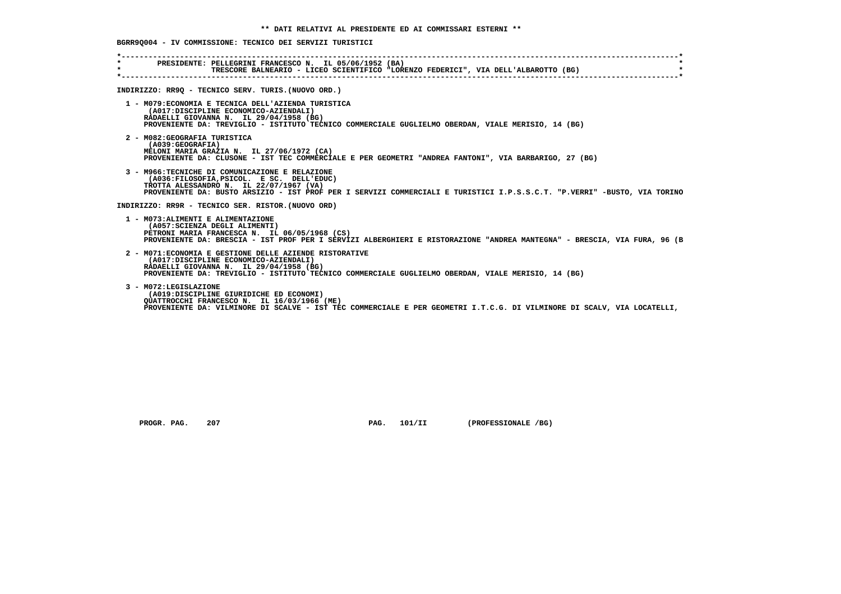| $\star$ . The set of $\sim$<br>$\star$ | PRESIDENTE: PELLEGRINI FRANCESCO N. IL 05/06/1952 (BA)<br>TRESCORE BALNEARIO - LICEO SCIENTIFICO "LORENZO FEDERICI", VIA DELL'ALBAROTTO (BG)                                                                                                                        |
|----------------------------------------|---------------------------------------------------------------------------------------------------------------------------------------------------------------------------------------------------------------------------------------------------------------------|
|                                        | INDIRIZZO: RR9Q - TECNICO SERV. TURIS. (NUOVO ORD.)                                                                                                                                                                                                                 |
|                                        | 1 - M079: ECONOMIA E TECNICA DELL'AZIENDA TURISTICA<br>(A017:DISCIPLINE ECONOMICO-AZIENDALI)<br>RADAELLI GIOVANNA N. IL 29/04/1958 (BG)<br>PROVENIENTE DA: TREVIGLIO - ISTITUTO TECNICO COMMERCIALE GUGLIELMO OBERDAN, VIALE MERISIO, 14 (BG)                       |
|                                        | 2 - M082: GEOGRAFIA TURISTICA<br>(A039; GEOGRAPH)<br>MELONI MARIA GRAZIA N. IL 27/06/1972 (CA)<br>PROVENIENTE DA: CLUSONE - IST TEC COMMERCIALE E PER GEOMETRI "ANDREA FANTONI", VIA BARBARIGO, 27 (BG)                                                             |
|                                        | 3 - M966: TECNICHE DI COMUNICAZIONE E RELAZIONE<br>(A036:FILOSOFIA, PSICOL. E SC. DELL'EDUC)<br>TROTTA ALESSANDRO N. IL 22/07/1967 (VA)<br>PROVENIENTE DA: BUSTO ARSIZIO - IST PROF PER I SERVIZI COMMERCIALI E TURISTICI I.P.S.S.C.T. "P.VERRI" -BUSTO, VIA TORINO |
|                                        | INDIRIZZO: RR9R - TECNICO SER. RISTOR. (NUOVO ORD)                                                                                                                                                                                                                  |
|                                        | 1 - M073: ALIMENTI E ALIMENTAZIONE<br>(A057: SCIENZA DEGLI ALIMENTI)<br>PETRONI MARIA FRANCESCA N. IL 06/05/1968 (CS)<br>PROVENIENTE DA: BRESCIA - IST PROF PER I SERVIZI ALBERGHIERI E RISTORAZIONE "ANDREA MANTEGNA" - BRESCIA, VIA FURA, 96 (B                   |
|                                        | 2 - M071: ECONOMIA E GESTIONE DELLE AZIENDE RISTORATIVE<br>(A017:DISCIPLINE ECONOMICO-AZIENDALI)<br>RADAELLI GIOVANNA N. IL 29/04/1958 (BG)<br>PROVENIENTE DA: TREVIGLIO - ISTITUTO TECNICO COMMERCIALE GUGLIELMO OBERDAN, VIALE MERISIO, 14 (BG)                   |
|                                        | 3 - M072:LEGISLAZIONE<br>(A019:DISCIPLINE GIURIDICHE ED ECONOMI)<br>QUATTROCCHI FRANCESCO N. IL 16/03/1966 (ME)<br>PROVENIENTE DA: VILMINORE DI SCALVE - IST TEC COMMERCIALE E PER GEOMETRI I.T.C.G. DI VILMINORE DI SCALV, VIA LOCATELLI,                          |

 **PROGR. PAG.** 207 **PAG. 101/II** (PROFESSIONALE /BG)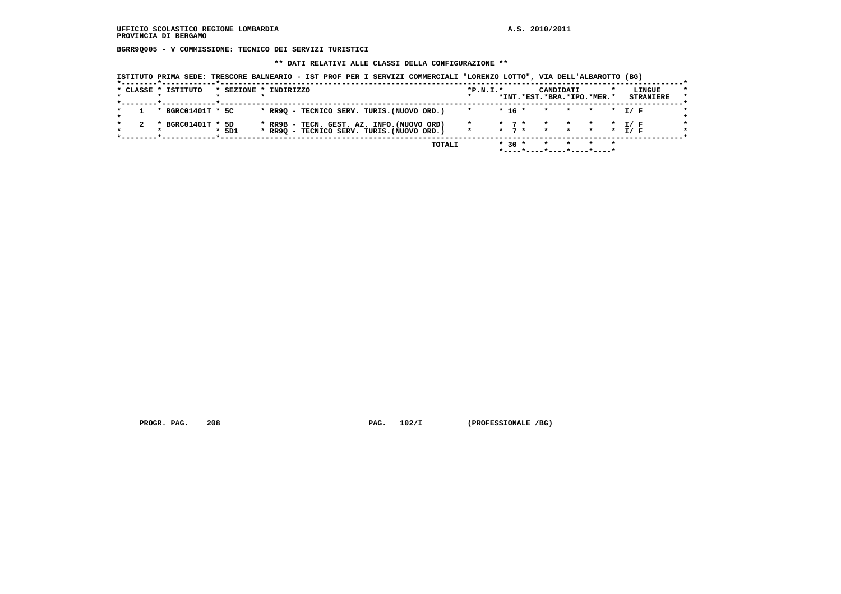**BGRR9Q005 - V COMMISSIONE: TECNICO DEI SERVIZI TURISTICI**

### **\*\* DATI RELATIVI ALLE CLASSI DELLA CONFIGURAZIONE \*\***

 **ISTITUTO PRIMA SEDE: TRESCORE BALNEARIO - IST PROF PER I SERVIZI COMMERCIALI "LORENZO LOTTO", VIA DELL'ALBAROTTO (BG)**

|                     |       | TOTALI                                                                                   |            | $* 30 *$ |                                          | * * * *   |  |                            |
|---------------------|-------|------------------------------------------------------------------------------------------|------------|----------|------------------------------------------|-----------|--|----------------------------|
| * BGRC01401T * 5D   | * 5D1 | * RR9B - TECN. GEST. AZ. INFO. (NUOVO ORD)<br>* RR9Q - TECNICO SERV. TURIS. (NUOVO ORD.) |            |          | * 7 * * * * * * I/F<br>* 7 * * * * * I/F |           |  |                            |
| * BGRC01401T * 5C   |       | * RR90 - TECNICO SERV. TURIS. (NUOVO ORD.)                                               | $\star$    |          | * 16 * * * * * * 1/ F                    |           |  |                            |
| * CLASSE * ISTITUTO |       | * SEZIONE * INDIRIZZO                                                                    | $*P.N.T.*$ |          | *INT.*EST.*BRA.*IPO.*MER.*               | CANDIDATI |  | LINGUE<br><b>STRANIERE</b> |

PROGR. PAG. 208 **PAG. 102/I** (PROFESSIONALE /BG)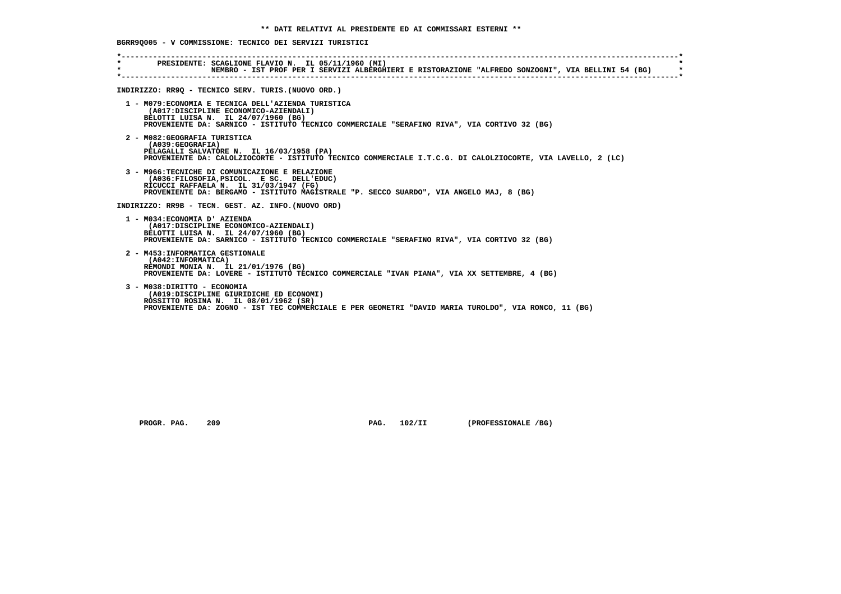| $\star$ and the set of $\star$<br>$\star$ | PRESIDENTE: SCAGLIONE FLAVIO N. IL 05/11/1960 (MI)<br>NEMBRO - IST PROF PER I SERVIZI ALBERGHIERI E RISTORAZIONE "ALFREDO SONZOGNI", VIA BELLINI 54 (BG) |
|-------------------------------------------|----------------------------------------------------------------------------------------------------------------------------------------------------------|
|                                           |                                                                                                                                                          |
|                                           | INDIRIZZO: RR90 - TECNICO SERV. TURIS. (NUOVO ORD.)                                                                                                      |
|                                           |                                                                                                                                                          |
|                                           | 1 - M079: ECONOMIA E TECNICA DELL'AZIENDA TURISTICA                                                                                                      |
|                                           | (A017:DISCIPLINE ECONOMICO-AZIENDALI)                                                                                                                    |
|                                           | BELOTTI LUISA N. IL 24/07/1960 (BG)                                                                                                                      |
|                                           | PROVENIENTE DA: SARNICO - ISTITUTO TECNICO COMMERCIALE "SERAFINO RIVA", VIA CORTIVO 32 (BG)                                                              |
|                                           | 2 - M082: GEOGRAFIA TURISTICA                                                                                                                            |
|                                           | (A039:GEOGRAFIA)                                                                                                                                         |
|                                           | PELAGALLI SALVATORE N. IL 16/03/1958 (PA)                                                                                                                |
|                                           | PROVENIENTE DA: CALOLZIOCORTE - ISTITUTO TECNICO COMMERCIALE I.T.C.G. DI CALOLZIOCORTE, VIA LAVELLO, 2 (LC)                                              |
|                                           |                                                                                                                                                          |
|                                           | 3 - M966: TECNICHE DI COMUNICAZIONE E RELAZIONE<br>(A036:FILOSOFIA, PSICOL. E SC. DELL'EDUC)                                                             |
|                                           | RICUCCI RAFFAELA N. IL 31/03/1947 (FG)                                                                                                                   |
|                                           | PROVENIENTE DA: BERGAMO - ISTITUTO MAGISTRALE "P. SECCO SUARDO", VIA ANGELO MAJ, 8 (BG)                                                                  |
|                                           |                                                                                                                                                          |
|                                           | INDIRIZZO: RR9B - TECN. GEST. AZ. INFO. (NUOVO ORD)                                                                                                      |
|                                           | 1 - M034: ECONOMIA D' AZIENDA                                                                                                                            |
|                                           | (A017:DISCIPLINE ECONOMICO-AZIENDALI)                                                                                                                    |
|                                           | BELOTTI LUISA N. IL 24/07/1960 (BG)                                                                                                                      |
|                                           | PROVENIENTE DA: SARNICO - ISTITUTO TECNICO COMMERCIALE "SERAFINO RIVA", VIA CORTIVO 32 (BG)                                                              |
|                                           | 2 - M453: INFORMATICA GESTIONALE                                                                                                                         |
|                                           | (A042: INFORMATICA)                                                                                                                                      |
|                                           | REMONDI MONIA N. IL 21/01/1976 (BG)                                                                                                                      |
|                                           | PROVENIENTE DA: LOVERE - ISTITUTO TECNICO COMMERCIALE "IVAN PIANA", VIA XX SETTEMBRE, 4 (BG)                                                             |
|                                           |                                                                                                                                                          |
|                                           | 3 - M038: DIRITTO - ECONOMIA<br>(A019:DISCIPLINE GIURIDICHE ED ECONOMI)                                                                                  |
|                                           | ROSSITTO ROSINA N. IL 08/01/1962 (SR)                                                                                                                    |
|                                           | PROVENIENTE DA: ZOGNO - IST TEC COMMERCIALE E PER GEOMETRI "DAVID MARIA TUROLDO", VIA RONCO, 11 (BG)                                                     |

 **PROGR. PAG. 209 PAG. 102/II (PROFESSIONALE /BG)**

 **BGRR9Q005 - V COMMISSIONE: TECNICO DEI SERVIZI TURISTICI**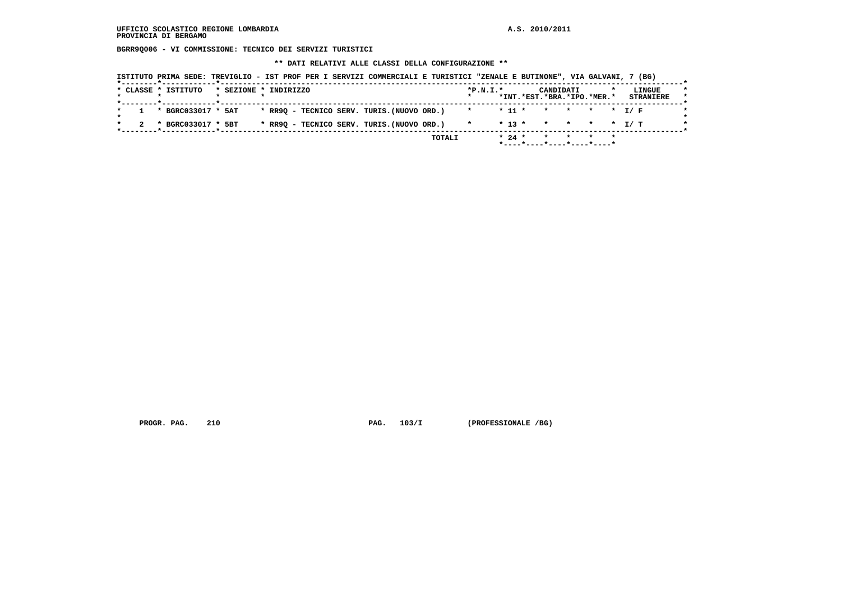**BGRR9Q006 - VI COMMISSIONE: TECNICO DEI SERVIZI TURISTICI**

 **\*\* DATI RELATIVI ALLE CLASSI DELLA CONFIGURAZIONE \*\***

|  | * CLASSE * ISTITUTO | * SEZIONE * INDIRIZZO |  |                                            |  |  | $*P.N.T.*$ |            | CANDIDATI<br>*INT.*EST.*BRA.*IPO.*MER.* |           | <b>STRANIERE</b> | LINGUE |
|--|---------------------|-----------------------|--|--------------------------------------------|--|--|------------|------------|-----------------------------------------|-----------|------------------|--------|
|  |                     |                       |  |                                            |  |  |            |            |                                         |           |                  |        |
|  | * BGRC033017 * 5AT  |                       |  | * RR9Q - TECNICO SERV. TURIS.(NUOVO ORD.)  |  |  | $\star$    | $*$ 11 $*$ | $\mathbf{r}$                            | * * * T/F |                  |        |
|  | * BGRC033017 * 5BT  |                       |  | * RR90 - TECNICO SERV. TURIS. (NUOVO ORD.) |  |  |            | $* 13 *$   | * * * * T/T                             |           |                  |        |

**PROGR. PAG.** 210 **PAG.** 103/I (PROFESSIONALE /BG)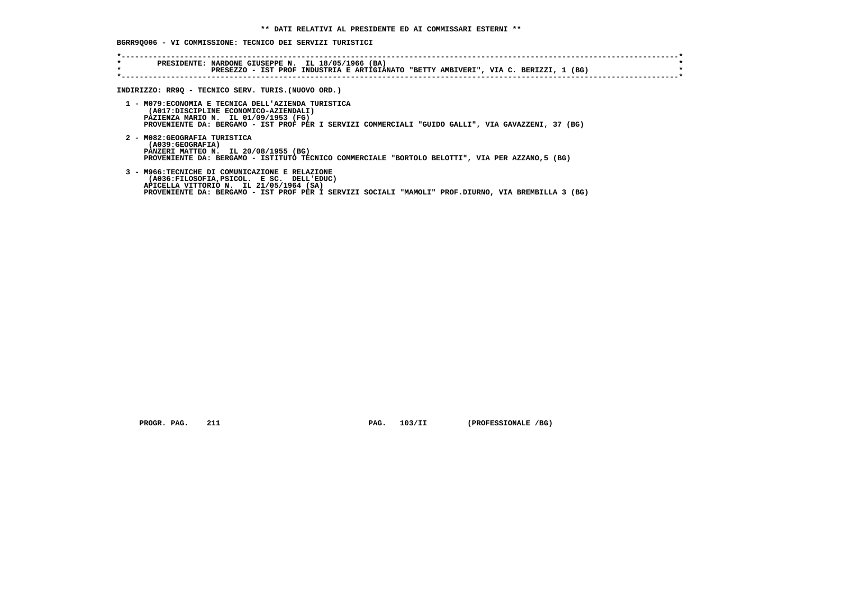# **BGRR9Q006 - VI COMMISSIONE: TECNICO DEI SERVIZI TURISTICI**

| * | PRESIDENTE: NARDONE GIUSEPPE N. IL 18/05/1966 (BA)<br>PRESEZZO - IST PROF INDUSTRIA E ARTIGIANATO "BETTY AMBIVERI", VIA C. BERIZZI, 1 (BG)                                                                                                    |
|---|-----------------------------------------------------------------------------------------------------------------------------------------------------------------------------------------------------------------------------------------------|
|   | INDIRIZZO: RR9Q - TECNICO SERV. TURIS.(NUOVO ORD.)                                                                                                                                                                                            |
|   | 1 - M079: ECONOMIA E TECNICA DELL'AZIENDA TURISTICA<br>(A017:DISCIPLINE ECONOMICO-AZIENDALI)<br>PAZIENZA MARIO N. IL 01/09/1953 (FG)<br>PROVENIENTE DA: BERGAMO - IST PROF PER I SERVIZI COMMERCIALI "GUIDO GALLI", VIA GAVAZZENI, 37 (BG)    |
|   | 2 - M082: GEOGRAFIA TURISTICA<br>(A039:GEOGRAFIA)<br>PANZERI MATTEO N. IL 20/08/1955 (BG)<br>PROVENIENTE DA: BERGAMO - ISTITUTO TECNICO COMMERCIALE "BORTOLO BELOTTI", VIA PER AZZANO,5 (BG)                                                  |
|   | 3 - M966:TECNICHE DI COMUNICAZIONE E RELAZIONE<br>(A036:FILOSOFIA, PSICOL. E SC. DELL'EDUC)<br>APICELLA VITTORIO N. IL 21/05/1964 (SA)<br>PROVENIENTE DA: BERGAMO - IST PROF PER I SERVIZI SOCIALI "MAMOLI" PROF.DIURNO, VIA BREMBILLA 3 (BG) |

 **PROGR. PAG.** 211 **PROGR. PAG. 211 PROGR. PAG. 211 PROGRESSIONALE** /BG)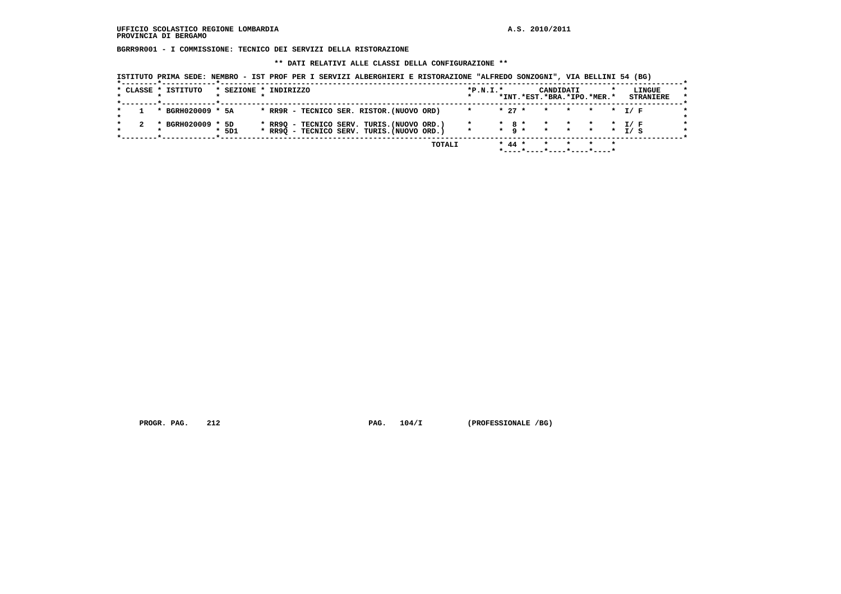**BGRR9R001 - I COMMISSIONE: TECNICO DEI SERVIZI DELLA RISTORAZIONE**

 **\*\* DATI RELATIVI ALLE CLASSI DELLA CONFIGURAZIONE \*\***

| ISTITUTO PRIMA SEDE: NEMBRO - IST PROF PER I SERVIZI ALBERGHIERI E RISTORAZIONE "ALFREDO SONZOGNI", VIA BELLINI 54 (BG) |
|-------------------------------------------------------------------------------------------------------------------------|
|-------------------------------------------------------------------------------------------------------------------------|

|  | * CLASSE * ISTITUTO | * SEZIONE * INDIRIZZO |  |  |                                                                                          |        | $*P.N.T.*$ |          | CANDIDATI<br>*INT.*EST.*BRA.*IPO.*MER.* |  | LINGUE<br><b>STRANIERE</b> |
|--|---------------------|-----------------------|--|--|------------------------------------------------------------------------------------------|--------|------------|----------|-----------------------------------------|--|----------------------------|
|  | * BGRH020009 * 5A   |                       |  |  | * RR9R - TECNICO SER. RISTOR. (NUOVO ORD)                                                |        |            | $* 27 *$ | * * * * T/F                             |  |                            |
|  | * BGRH020009 * 5D   | $*$ 5D1               |  |  | * RR9Q - TECNICO SERV. TURIS. (NUOVO ORD.)<br>* RR90 - TECNICO SERV. TURIS. (NUOVO ORD.) |        |            |          | * 8 * * * * * 1/ F                      |  |                            |
|  |                     |                       |  |  |                                                                                          | TOTALI |            | $* 44 *$ | *----*------------------                |  |                            |

PROGR. PAG. 212 **PROGR. PAG. 104/I** (PROFESSIONALE /BG)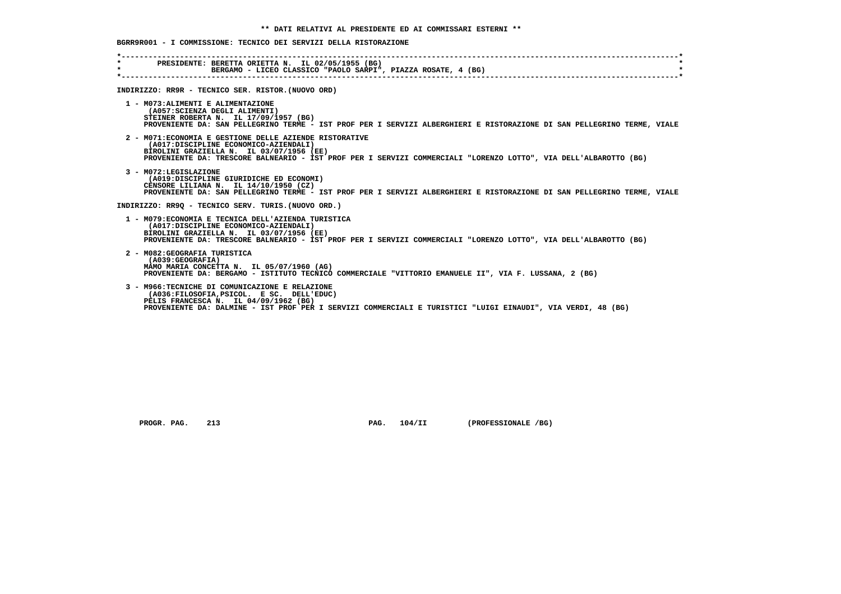| $\star$ . The set of $\star$<br>$\star$ | PRESIDENTE: BERETTA ORIETTA N. IL 02/05/1955 (BG)<br>BERGAMO - LICEO CLASSICO "PAOLO SARPI", PIAZZA ROSATE, 4 (BG)                                                                                                                                               |
|-----------------------------------------|------------------------------------------------------------------------------------------------------------------------------------------------------------------------------------------------------------------------------------------------------------------|
|                                         | INDIRIZZO: RR9R - TECNICO SER. RISTOR. (NUOVO ORD)                                                                                                                                                                                                               |
|                                         | 1 - MO73: ALIMENTI E ALIMENTAZIONE<br>(A057: SCIENZA DEGLI ALIMENTI)<br>STEINER ROBERTA N. IL 17/09/1957 (BG)<br>PROVENIENTE DA: SAN PELLEGRINO TERME - IST PROF PER I SERVIZI ALBERGHIERI E RISTORAZIONE DI SAN PELLEGRINO TERME, VIALE                         |
|                                         | 2 - M071: ECONOMIA E GESTIONE DELLE AZIENDE RISTORATIVE<br>(A017:DISCIPLINE ECONOMICO-AZIENDALI)<br>BIROLINI GRAZIELLA N. IL 03/07/1956 (EE)<br>PROVENIENTE DA: TRESCORE BALNEARIO - IST PROF PER I SERVIZI COMMERCIALI "LORENZO LOTTO", VIA DELL'ALBAROTTO (BG) |
|                                         | 3 - M072:LEGISLAZIONE<br>(A019:DISCIPLINE GIURIDICHE ED ECONOMI)<br>CENSORE LILIANA N. IL 14/10/1950 (CZ)<br>PROVENIENTE DA: SAN PELLEGRINO TERME - IST PROF PER I SERVIZI ALBERGHIERI E RISTORAZIONE DI SAN PELLEGRINO TERME, VIALE                             |
|                                         | INDIRIZZO: RR90 - TECNICO SERV. TURIS. (NUOVO ORD.)                                                                                                                                                                                                              |
|                                         | 1 - M079: ECONOMIA E TECNICA DELL'AZIENDA TURISTICA<br>(A017:DISCIPLINE ECONOMICO-AZIENDALI)<br>BIROLINI GRAZIELLA N. IL 03/07/1956 (EE)<br>PROVENIENTE DA: TRESCORE BALNEARIO - IST PROF PER I SERVIZI COMMERCIALI "LORENZO LOTTO", VIA DELL'ALBAROTTO (BG)     |
|                                         | 2 - M082: GEOGRAFIA TURISTICA<br>(A039; GEOGRAPH)<br>MAMO MARIA CONCETTA N. IL 05/07/1960 (AG)<br>PROVENIENTE DA: BERGAMO - ISTITUTO TECNICO COMMERCIALE "VITTORIO EMANUELE II", VIA F. LUSSANA, 2 (BG)                                                          |
|                                         | 3 - M966: TECNICHE DI COMUNICAZIONE E RELAZIONE<br>(A036:FILOSOFIA, PSICOL, E SC. DELL'EDUC)<br>PELIS FRANCESCA N. IL 04/09/1962 (BG)                                                                                                                            |

 **PELIS FRANCESCA N. IL 04/09/1962 (BG) PROVENIENTE DA: DALMINE - IST PROF PER I SERVIZI COMMERCIALI E TURISTICI "LUIGI EINAUDI", VIA VERDI, 48 (BG)**

 **PROGR. PAG. 213 PAG. 104/II (PROFESSIONALE /BG)**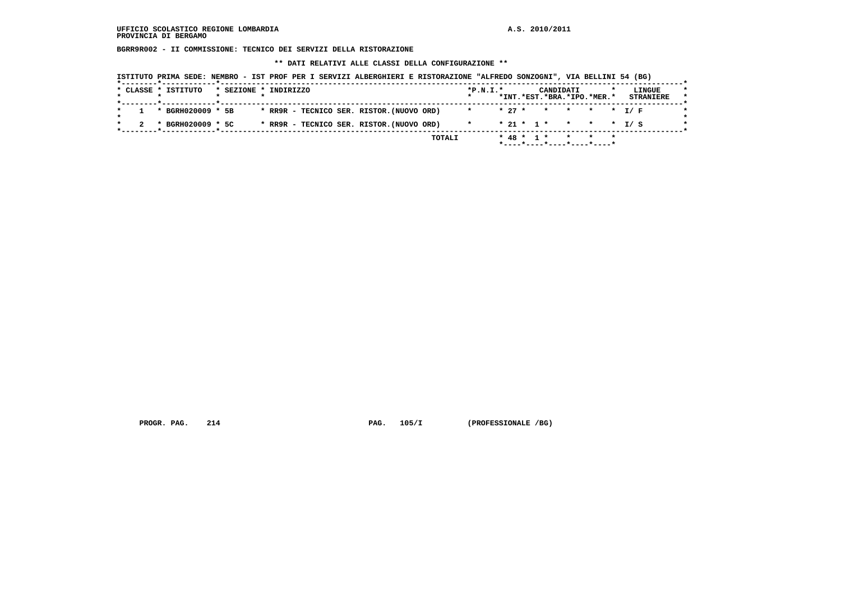**BGRR9R002 - II COMMISSIONE: TECNICO DEI SERVIZI DELLA RISTORAZIONE**

 **\*\* DATI RELATIVI ALLE CLASSI DELLA CONFIGURAZIONE \*\***

|  | * CLASSE * ISTITUTO | * SEZIONE * INDIRIZZO |  |  |                                           |  | $*P.N.T.*$           |  |  | CANDIDATI | *INT.*EST.*BRA.*IPO.*MER.* |  | LINGUE<br><b>STRANIERE</b> |
|--|---------------------|-----------------------|--|--|-------------------------------------------|--|----------------------|--|--|-----------|----------------------------|--|----------------------------|
|  | * BGRH020009 * 5B   |                       |  |  | * RR9R - TECNICO SER. RISTOR. (NUOVO ORD) |  | * * 27 * * * * * T/F |  |  |           |                            |  |                            |
|  | * BGRH020009 * 5C   |                       |  |  | * RR9R - TECNICO SER. RISTOR. (NUOVO ORD) |  | $\star$              |  |  |           | $* 21 * 1 * * * * * I / S$ |  |                            |

PROGR. PAG. 214 **PROGR. PAG. 214** PAG. 105/I (PROFESSIONALE /BG)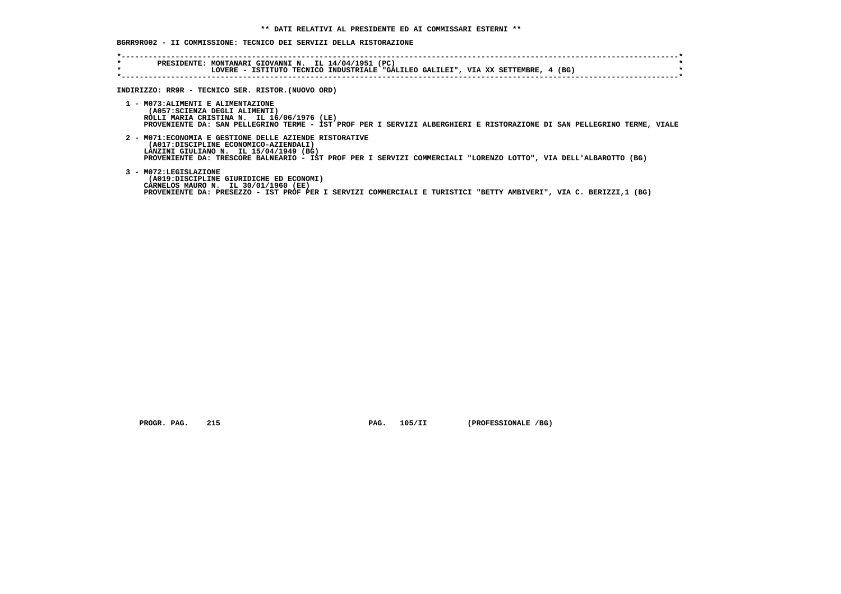# **BGRR9R002 - II COMMISSIONE: TECNICO DEI SERVIZI DELLA RISTORAZIONE**

| $\star$<br>$\star$ | PRESIDENTE: MONTANARI GIOVANNI N. IL 14/04/1951 (PC)<br>LOVERE - ISTITUTO TECNICO INDUSTRIALE "GALILEO GALILEI", VIA XX SETTEMBRE, 4 (BG)                                                                                                                      |
|--------------------|----------------------------------------------------------------------------------------------------------------------------------------------------------------------------------------------------------------------------------------------------------------|
|                    | INDIRIZZO: RR9R - TECNICO SER. RISTOR. (NUOVO ORD)                                                                                                                                                                                                             |
|                    | 1 - MO73: ALIMENTI E ALIMENTAZIONE<br>(A057: SCIENZA DEGLI ALIMENTI)<br>ROLLI MARIA CRISTINA N. IL 16/06/1976 (LE)<br>PROVENIENTE DA: SAN PELLEGRINO TERME - IST PROF PER I SERVIZI ALBERGHIERI E RISTORAZIONE DI SAN PELLEGRINO TERME, VIALE                  |
|                    | 2 - M071: ECONOMIA E GESTIONE DELLE AZIENDE RISTORATIVE<br>(A017:DISCIPLINE ECONOMICO-AZIENDALI)<br>LANZINI GIULIANO N. IL 15/04/1949 (BG)<br>PROVENIENTE DA: TRESCORE BALNEARIO - IST PROF PER I SERVIZI COMMERCIALI "LORENZO LOTTO", VIA DELL'ALBAROTTO (BG) |
|                    | 3 - M072:LEGISLAZIONE<br>(A019:DISCIPLINE GIURIDICHE ED ECONOMI)<br>CARNELOS MAURO N. IL 30/01/1960 (EE)<br>PROVENIENTE DA: PRESEZZO - IST PROF PER I SERVIZI COMMERCIALI E TURISTICI "BETTY AMBIVERI", VIA C. BERIZZI,1 (BG)                                  |

 **PROGR. PAG. 215 PAG. 105/II (PROFESSIONALE /BG)**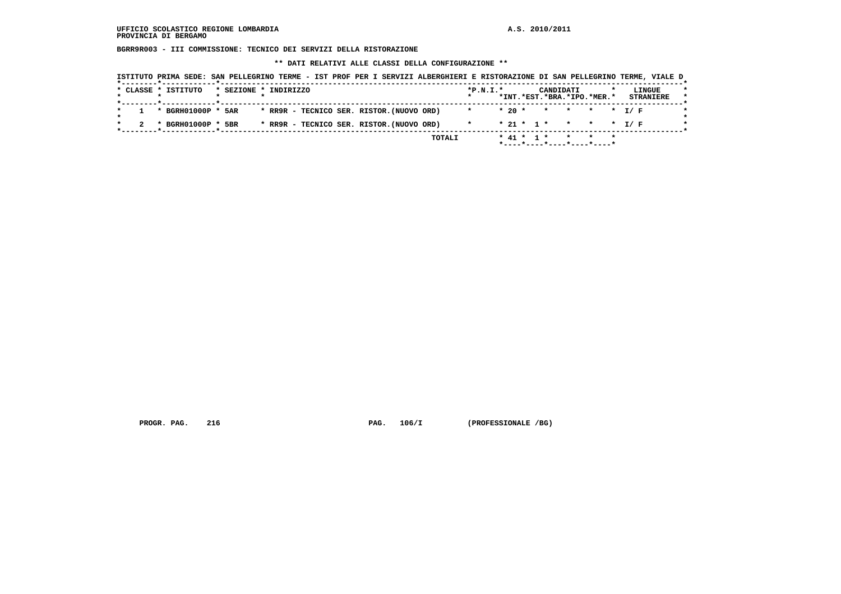**BGRR9R003 - III COMMISSIONE: TECNICO DEI SERVIZI DELLA RISTORAZIONE**

 **\*\* DATI RELATIVI ALLE CLASSI DELLA CONFIGURAZIONE \*\***

|  | * CLASSE * ISTITUTO                                                      | * SEZIONE * INDIRIZZO |  |                                           |  |  | $*P.N.T.*$ |           |  | CANDIDATI | *INT.*EST.*BRA.*IPO.*MER.* | LINGUE<br><b>STRANIERE</b> |  |
|--|--------------------------------------------------------------------------|-----------------------|--|-------------------------------------------|--|--|------------|-----------|--|-----------|----------------------------|----------------------------|--|
|  | _______ <b>*</b> ___________ <b>_____</b> ____<br>$1 * BGRH01000P * 5AR$ |                       |  | * RR9R - TECNICO SER. RISTOR. (NUOVO ORD) |  |  | $\star$    | $*20$ $*$ |  |           | * * * * T/F                |                            |  |
|  | * BGRH01000P * 5BR                                                       |                       |  | * RR9R - TECNICO SER. RISTOR. (NUOVO ORD) |  |  | $\star$    |           |  |           | $* 21 * 1 * * * * * I/F$   |                            |  |

PROGR. PAG. 216 **PROGR. PAG. 216** PAG. 106/I (PROFESSIONALE /BG)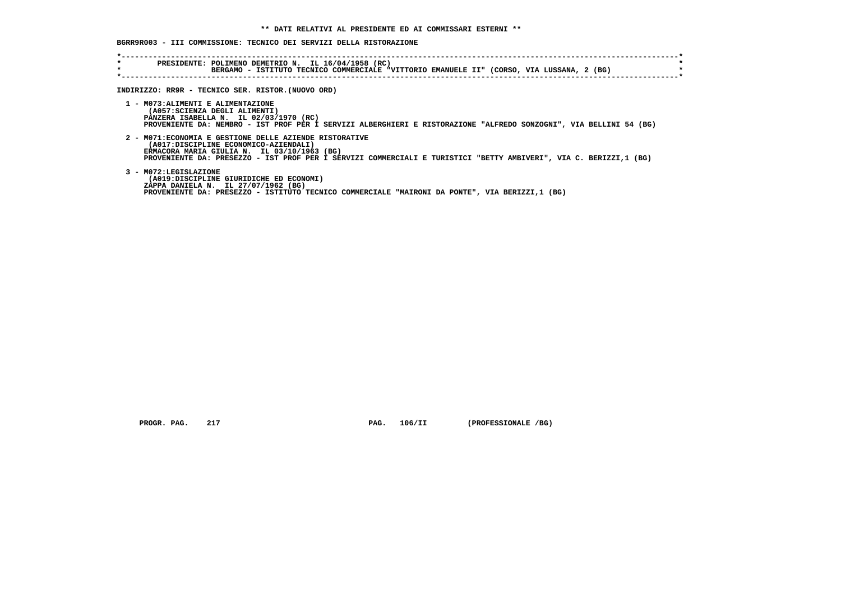## **BGRR9R003 - III COMMISSIONE: TECNICO DEI SERVIZI DELLA RISTORAZIONE**

| $\star$<br>$\star$ | PRESIDENTE: POLIMENO DEMETRIO N. IL 16/04/1958 (RC)<br>BERGAMO - ISTITUTO TECNICO COMMERCIALE "VITTORIO EMANUELE II" (CORSO, VIA LUSSANA, 2 (BG)                                                                                                                     |
|--------------------|----------------------------------------------------------------------------------------------------------------------------------------------------------------------------------------------------------------------------------------------------------------------|
|                    | INDIRIZZO: RR9R - TECNICO SER. RISTOR. (NUOVO ORD)                                                                                                                                                                                                                   |
|                    |                                                                                                                                                                                                                                                                      |
|                    | 1 - M073: ALIMENTI E ALIMENTAZIONE<br>(A057: SCIENZA DEGLI ALIMENTI)<br>PANZERA ISABELLA N. IL 02/03/1970 (RC)<br>PROVENIENTE DA: NEMBRO - IST PROF PER I SERVIZI ALBERGHIERI E RISTORAZIONE "ALFREDO SONZOGNI", VIA BELLINI 54 (BG)                                 |
|                    | 2 - M071: ECONOMIA E GESTIONE DELLE AZIENDE RISTORATIVE<br>(A017:DISCIPLINE ECONOMICO-AZIENDALI)<br>ERMACORA MARIA GIULIA N. IL 03/10/1963 (BG)<br>PROVENIENTE DA: PRESEZZO - IST PROF PER I SERVIZI COMMERCIALI E TURISTICI "BETTY AMBIVERI", VIA C. BERIZZI,1 (BG) |
|                    | 3 - M072:LEGISLAZIONE<br>(A019:DISCIPLINE GIURIDICHE ED ECONOMI)<br>ZAPPA DANIELA N. IL 27/07/1962 (BG)<br>PROVENIENTE DA: PRESEZZO - ISTITUTO TECNICO COMMERCIALE "MAIRONI DA PONTE", VIA BERIZZI,1 (BG)                                                            |

 **PROGR. PAG.** 217 **PROGR. 217 PAG.** 106/II **(PROFESSIONALE /BG)**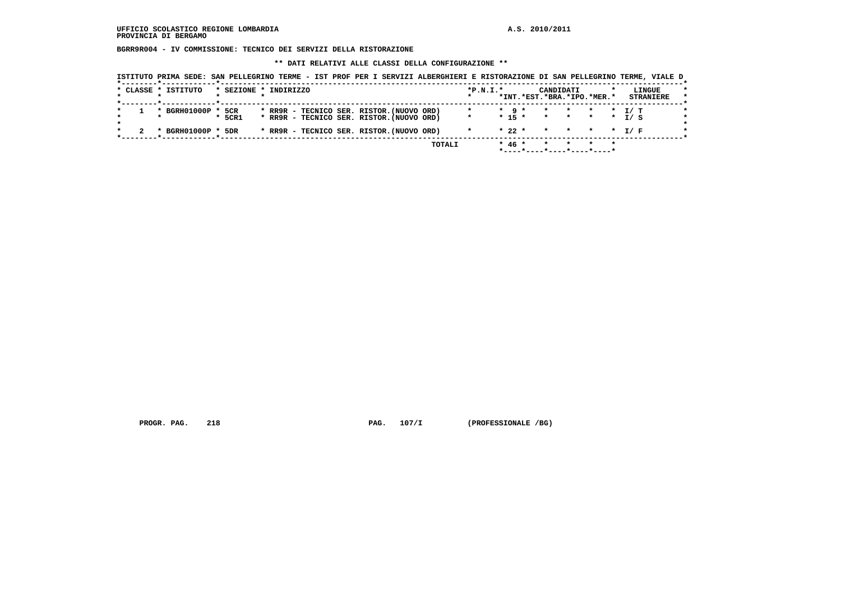**BGRR9R004 - IV COMMISSIONE: TECNICO DEI SERVIZI DELLA RISTORAZIONE**

 **\*\* DATI RELATIVI ALLE CLASSI DELLA CONFIGURAZIONE \*\***

|  | * CLASSE * ISTITUTO | * SEZIONE * INDIRIZZO |  |  |                                                                                        |  | $*P.N.I.*$ |                   | CANDIDATI<br>*INT.*EST.*BRA.*IPO.*MER.*   |                                            |               | LINGUE<br><b>STRANIERE</b> |
|--|---------------------|-----------------------|--|--|----------------------------------------------------------------------------------------|--|------------|-------------------|-------------------------------------------|--------------------------------------------|---------------|----------------------------|
|  | * BGRH01000P *      | 5CR<br>5CR1           |  |  | * RR9R - TECNICO SER. RISTOR. (NUOVO ORD)<br>* RR9R - TECNICO SER. RISTOR. (NUOVO ORD) |  | $\star$    | $\star$ 9 $\star$ | $\star$ $\star$<br>$* 15 * * * * * * * *$ | $\star$<br><b>Contract Contract Street</b> | T/ T<br>T / S |                            |
|  | BGRH01000P *        | 5DR                   |  |  | * RR9R - TECNICO SER. RISTOR. (NUOVO ORD)                                              |  |            | $*22$ *           | * * * * T/F                               |                                            |               |                            |

PROGR. PAG. 218 **PROGR. PAG. 218** PAG. 107/I (PROFESSIONALE /BG)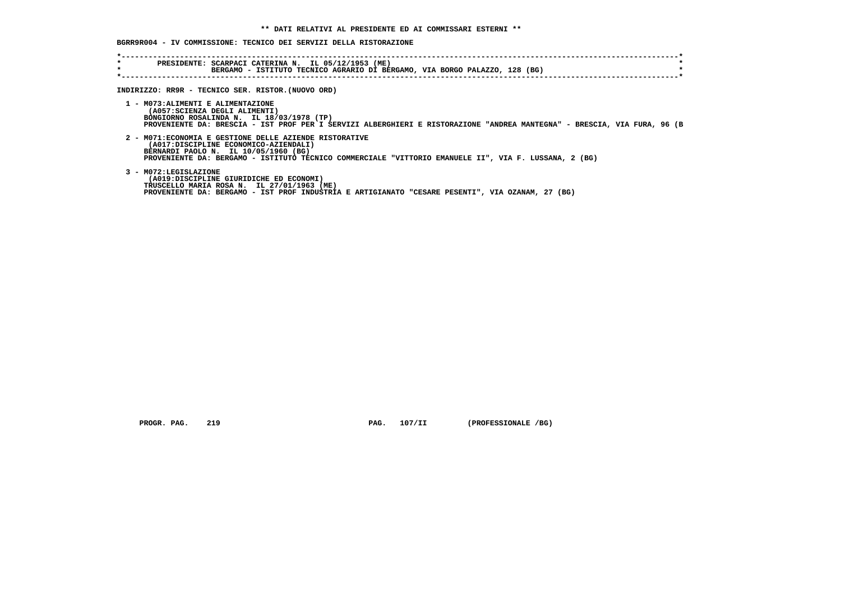## **BGRR9R004 - IV COMMISSIONE: TECNICO DEI SERVIZI DELLA RISTORAZIONE**

| $\star$<br>$\star$ | PRESIDENTE: SCARPACI CATERINA N. IL 05/12/1953 (ME)<br>BERGAMO - ISTITUTO TECNICO AGRARIO DI BERGAMO, VIA BORGO PALAZZO, 128 (BG)                                                                                                                 |  |
|--------------------|---------------------------------------------------------------------------------------------------------------------------------------------------------------------------------------------------------------------------------------------------|--|
|                    | INDIRIZZO: RR9R - TECNICO SER. RISTOR. (NUOVO ORD)                                                                                                                                                                                                |  |
|                    | 1 - MO73: ALIMENTI E ALIMENTAZIONE<br>(A057: SCIENZA DEGLI ALIMENTI)<br>BONGIORNO ROSALINDA N. IL 18/03/1978 (TP)<br>PROVENIENTE DA: BRESCIA - IST PROF PER I SERVIZI ALBERGHIERI E RISTORAZIONE "ANDREA MANTEGNA" - BRESCIA, VIA FURA, 96 (B     |  |
|                    | 2 - M071: ECONOMIA E GESTIONE DELLE AZIENDE RISTORATIVE<br>(A017:DISCIPLINE ECONOMICO-AZIENDALI)<br>BERNARDI PAOLO N. IL 10/05/1960 (BG)<br>PROVENIENTE DA: BERGAMO - ISTITUTO TECNICO COMMERCIALE "VITTORIO EMANUELE II", VIA F. LUSSANA, 2 (BG) |  |
|                    | 3 - M072:LEGISLAZIONE<br>(A019:DISCIPLINE GIURIDICHE ED ECONOMI)<br>TRUSCELLO MARIA ROSA N. IL 27/01/1963 (ME)<br>PROVENIENTE DA: BERGAMO - IST PROF INDUSTRIA E ARTIGIANATO "CESARE PESENTI", VIA OZANAM, 27 (BG)                                |  |

 **PROGR. PAG.** 219 **PAG.** 107/II (PROFESSIONALE /BG)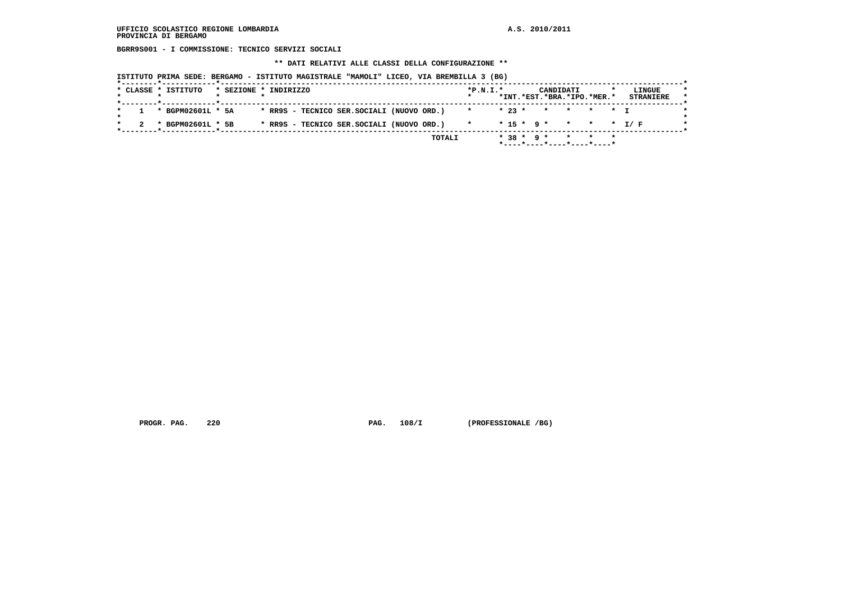**BGRR9S001 - I COMMISSIONE: TECNICO SERVIZI SOCIALI**

 **\*\* DATI RELATIVI ALLE CLASSI DELLA CONFIGURAZIONE \*\***

 **ISTITUTO PRIMA SEDE: BERGAMO - ISTITUTO MAGISTRALE "MAMOLI" LICEO, VIA BREMBILLA 3 (BG)**

| * RR9S - TECNICO SER. SOCIALI (NUOVO ORD.)<br>* BGPM02601L * 5A<br>$* 23 *$<br>* * * * * T<br>* RR9S - TECNICO SER. SOCIALI (NUOVO ORD.)<br>$* 15 * 9 * * * * * 1/F$<br>* BGPM02601L * 5B<br>$\star$ | * CLASSE * ISTITUTO |  | * SEZIONE * INDIRIZZO |  | $*P.N.T.*$ |  |  | CANDIDATI | *INT.*EST.*BRA.*IPO.*MER.* |  | LINGUE<br><b>STRANIERE</b> |
|------------------------------------------------------------------------------------------------------------------------------------------------------------------------------------------------------|---------------------|--|-----------------------|--|------------|--|--|-----------|----------------------------|--|----------------------------|
|                                                                                                                                                                                                      |                     |  |                       |  |            |  |  |           |                            |  |                            |
|                                                                                                                                                                                                      |                     |  |                       |  |            |  |  |           |                            |  |                            |

PROGR. PAG. 220 **PAG. 108/I** (PROFESSIONALE /BG)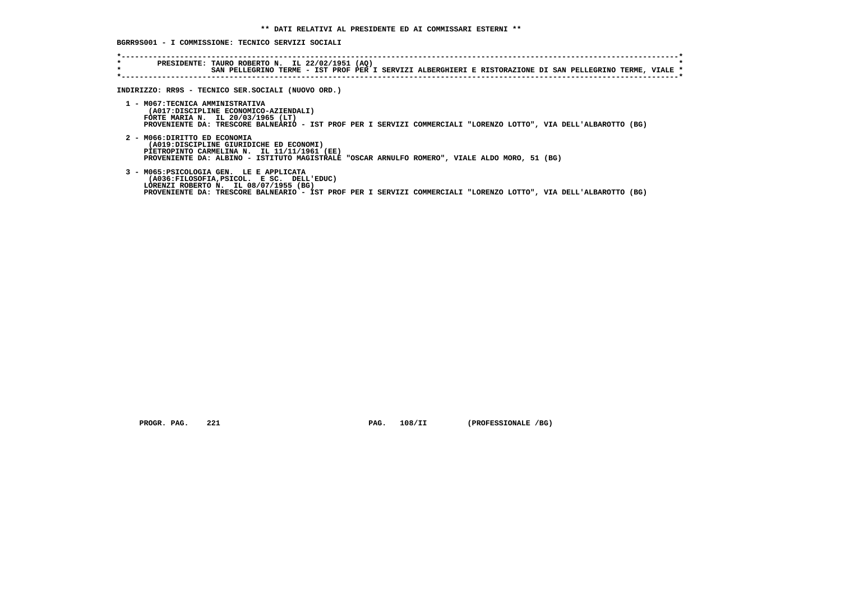**BGRR9S001 - I COMMISSIONE: TECNICO SERVIZI SOCIALI**

| $\star$<br>$\star$ | PRESIDENTE: TAURO ROBERTO N. IL 22/02/1951 (AQ)<br>SAN PELLEGRINO TERME - IST PROF PER I SERVIZI ALBERGHIERI E RISTORAZIONE DI SAN PELLEGRINO TERME, VIALE *                                                                                       |
|--------------------|----------------------------------------------------------------------------------------------------------------------------------------------------------------------------------------------------------------------------------------------------|
|                    | INDIRIZZO: RR9S - TECNICO SER.SOCIALI (NUOVO ORD.)                                                                                                                                                                                                 |
|                    | 1 - MO67:TECNICA AMMINISTRATIVA<br>(A017:DISCIPLINE ECONOMICO-AZIENDALI)<br>FORTE MARIA N. IL 20/03/1965 (LT)<br>PROVENIENTE DA: TRESCORE BALNEARIO - IST PROF PER I SERVIZI COMMERCIALI "LORENZO LOTTO", VIA DELL'ALBAROTTO (BG)                  |
|                    | 2 - MO66:DIRITTO ED ECONOMIA<br>(A019:DISCIPLINE GIURIDICHE ED ECONOMI)<br>PIETROPINTO CARMELINA N. IL 11/11/1961 (EE)<br>PROVENIENTE DA: ALBINO - ISTITUTO MAGISTRALE "OSCAR ARNULFO ROMERO", VIALE ALDO MORO, 51 (BG)                            |
|                    | 3 - MO65: PSICOLOGIA GEN. LE E APPLICATA<br>(A036:FILOSOFIA, PSICOL. E SC. DELL'EDUC)<br>LORENZI ROBERTO N. IL 08/07/1955 (BG)<br>PROVENIENTE DA: TRESCORE BALNEARIO - IST PROF PER I SERVIZI COMMERCIALI "LORENZO LOTTO", VIA DELL'ALBAROTTO (BG) |

 **PROGR. PAG.** 221 **PAG. 108/II** (PROFESSIONALE /BG)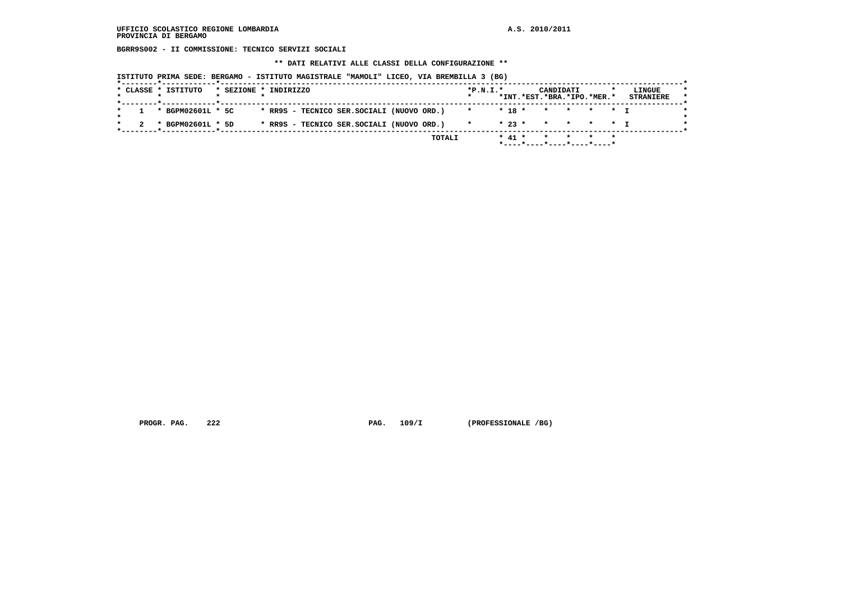**BGRR9S002 - II COMMISSIONE: TECNICO SERVIZI SOCIALI**

 **\*\* DATI RELATIVI ALLE CLASSI DELLA CONFIGURAZIONE \*\***

 **ISTITUTO PRIMA SEDE: BERGAMO - ISTITUTO MAGISTRALE "MAMOLI" LICEO, VIA BREMBILLA 3 (BG)**

|                     |  |                                             |                              |  |  |  | *INT.*EST.*BRA.*IPO.*MER.* | <b>STRANIERE</b> |
|---------------------|--|---------------------------------------------|------------------------------|--|--|--|----------------------------|------------------|
| 1 * BGPM02601L * 5C |  | * RR9S - TECNICO SER.SOCIALI (NUOVO ORD.)   | <b>The State Association</b> |  |  |  | * 18 * * * * * * T         |                  |
| * BGPM02601L * 5D   |  | * RR9S - TECNICO SER.SOCIALI (NUOVO ORD.) * |                              |  |  |  | $* 23 * * * * * * * T$     |                  |

PROGR. PAG. 222 **PROGR. PAG. 109/I** (PROFESSIONALE /BG)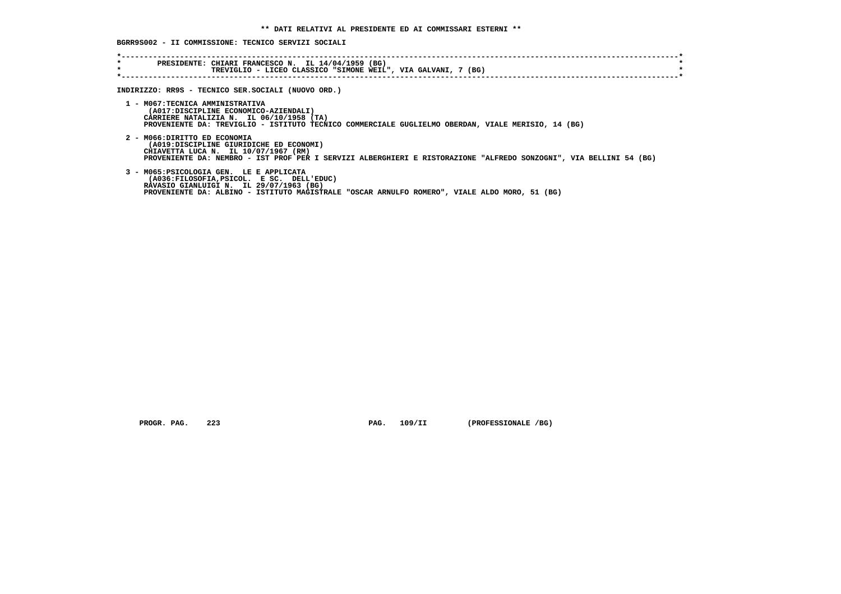**BGRR9S002 - II COMMISSIONE: TECNICO SERVIZI SOCIALI**

| $\star$<br>$\star$ | PRESIDENTE: CHIARI FRANCESCO N. IL 14/04/1959 (BG)<br>TREVIGLIO - LICEO CLASSICO "SIMONE WEIL", VIA GALVANI, 7 (BG)                      |
|--------------------|------------------------------------------------------------------------------------------------------------------------------------------|
|                    |                                                                                                                                          |
|                    |                                                                                                                                          |
|                    | INDIRIZZO: RR9S - TECNICO SER.SOCIALI (NUOVO ORD.)                                                                                       |
|                    | 1 - MO67:TECNICA AMMINISTRATIVA                                                                                                          |
|                    | (A017:DISCIPLINE ECONOMICO-AZIENDALI)                                                                                                    |
|                    | CARRIERE NATALIZIA N. IL 06/10/1958 (TA)                                                                                                 |
|                    | PROVENIENTE DA: TREVIGLIO - ISTITUTO TECNICO COMMERCIALE GUGLIELMO OBERDAN, VIALE MERISIO, 14 (BG)                                       |
|                    |                                                                                                                                          |
|                    | 2 - MO66:DIRITTO ED ECONOMIA<br>(A019:DISCIPLINE GIURIDICHE ED ECONOMI)                                                                  |
|                    | CHIAVETTA LUCA N. IL 10/07/1967 (RM)                                                                                                     |
|                    | PROVENIENTE DA: NEMBRO - IST PROF PER I SERVIZI ALBERGHIERI E RISTORAZIONE "ALFREDO SONZOGNI", VIA BELLINI 54 (BG)                       |
|                    |                                                                                                                                          |
|                    | 3 - M065: PSICOLOGIA GEN. LE E APPLICATA                                                                                                 |
|                    | (A036: FILOSOFIA, PSICOL. E SC. DELL'EDUC)                                                                                               |
|                    | RAVASIO GIANLUIGI N. IL 29/07/1963 (BG)<br>PROVENIENTE DA: ALBINO - ISTITUTO MAGISTRALE "OSCAR ARNULFO ROMERO", VIALE ALDO MORO, 51 (BG) |
|                    |                                                                                                                                          |
|                    |                                                                                                                                          |
|                    |                                                                                                                                          |

 **PROGR. PAG. 223 PAG. 109/II (PROFESSIONALE /BG)**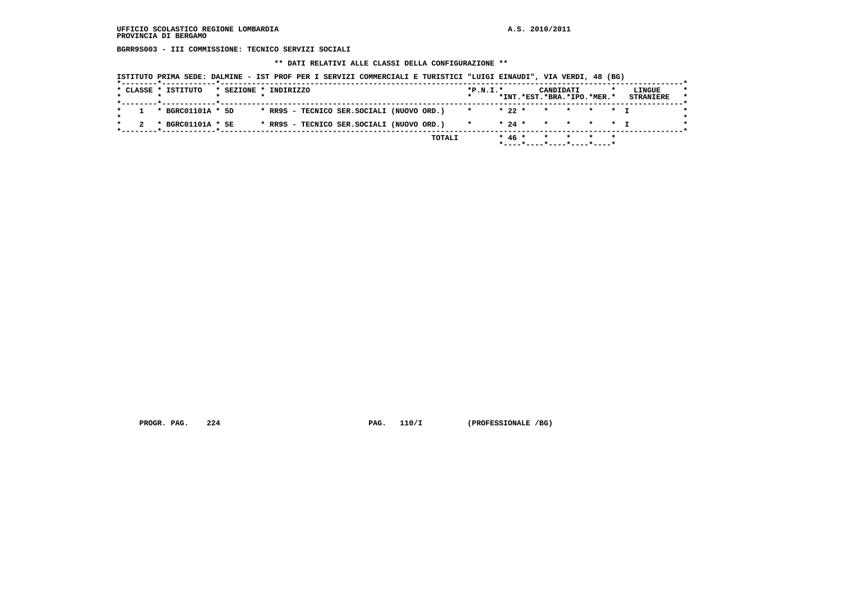**BGRR9S003 - III COMMISSIONE: TECNICO SERVIZI SOCIALI**

 **\*\* DATI RELATIVI ALLE CLASSI DELLA CONFIGURAZIONE \*\***

|  | ISTITUTO PRIMA SEDE: DALMINE - IST PROF PER I SERVIZI COMMERCIALI E TURISTICI "LUIGI EINAUDI", VIA VERDI, 48 (BG) |  |  |  |  |  |
|--|-------------------------------------------------------------------------------------------------------------------|--|--|--|--|--|
|--|-------------------------------------------------------------------------------------------------------------------|--|--|--|--|--|

|  | * CLASSE * ISTITUTO |  | * SEZIONE * INDIRIZZO                     |  | $*P.N.T.*$ |  | CANDIDATI<br>*INT.*EST.*BRA.*IPO.*MER.* |  | LINGUE<br><b>STRANIERE</b> |
|--|---------------------|--|-------------------------------------------|--|------------|--|-----------------------------------------|--|----------------------------|
|  | * BGRC01101A * 5D   |  | * RR9S - TECNICO SER.SOCIALI (NUOVO ORD.) |  |            |  | * 22 * * * * * T                        |  |                            |
|  | * BGRC01101A * 5E   |  | * RR9S - TECNICO SER.SOCIALI (NUOVO ORD.) |  |            |  | * 24 * * * * * T                        |  |                            |

PROGR. PAG. 224 **PROGR. PAG. 110/I** (PROFESSIONALE /BG)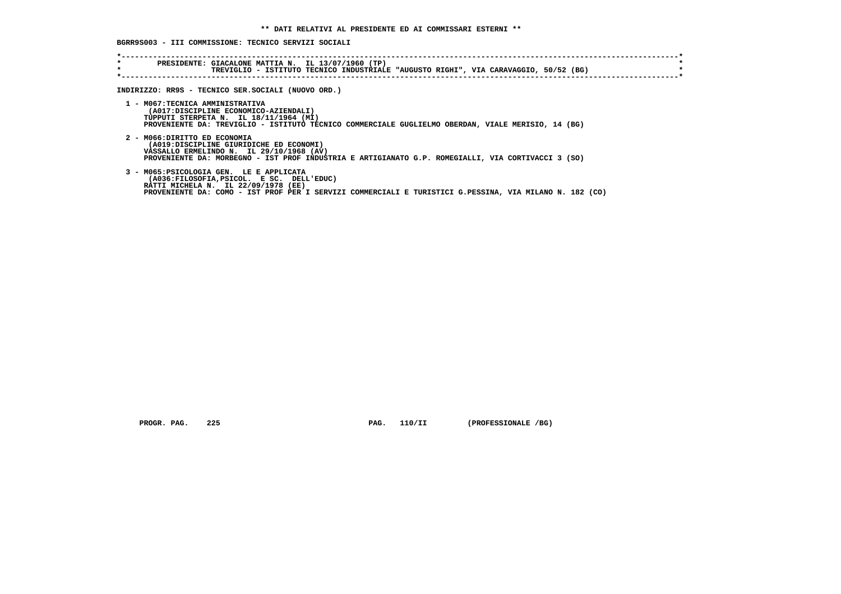**BGRR9S003 - III COMMISSIONE: TECNICO SERVIZI SOCIALI**

| $\star$ | TREVIGLIO - ISTITUTO TECNICO INDUSTRIALE "AUGUSTO RIGHI", VIA CARAVAGGIO, 50/52 (BG)                                                           |
|---------|------------------------------------------------------------------------------------------------------------------------------------------------|
|         |                                                                                                                                                |
|         | INDIRIZZO: RR9S - TECNICO SER.SOCIALI (NUOVO ORD.)                                                                                             |
|         | 1 - MO67:TECNICA AMMINISTRATIVA                                                                                                                |
|         | (A017:DISCIPLINE ECONOMICO-AZIENDALI)<br>TUPPUTI STERPETA N. IL 18/11/1964 (MI)                                                                |
|         | PROVENIENTE DA: TREVIGLIO - ISTITUTO TECNICO COMMERCIALE GUGLIELMO OBERDAN, VIALE MERISIO, 14 (BG)                                             |
|         | 2 - MO66:DIRITTO ED ECONOMIA                                                                                                                   |
|         | (A019:DISCIPLINE GIURIDICHE ED ECONOMI)                                                                                                        |
|         | VASSALLO ERMELINDO N. IL 29/10/1968 (AV)                                                                                                       |
|         | PROVENIENTE DA: MORBEGNO - IST PROF INDUSTRIA E ARTIGIANATO G.P. ROMEGIALLI, VIA CORTIVACCI 3 (SO)                                             |
|         | 3 - M065: PSICOLOGIA GEN. LE E APPLICATA                                                                                                       |
|         | (A036:FILOSOFIA, PSICOL. E SC. DELL'EDUC)                                                                                                      |
|         | RATTI MICHELA N. IL 22/09/1978 (EE)<br>PROVENIENTE DA: COMO - IST PROF PER I SERVIZI COMMERCIALI E TURISTICI G.PESSINA, VIA MILANO N. 182 (CO) |

 **PROGR. PAG. 225 PAG. 110/II (PROFESSIONALE /BG)**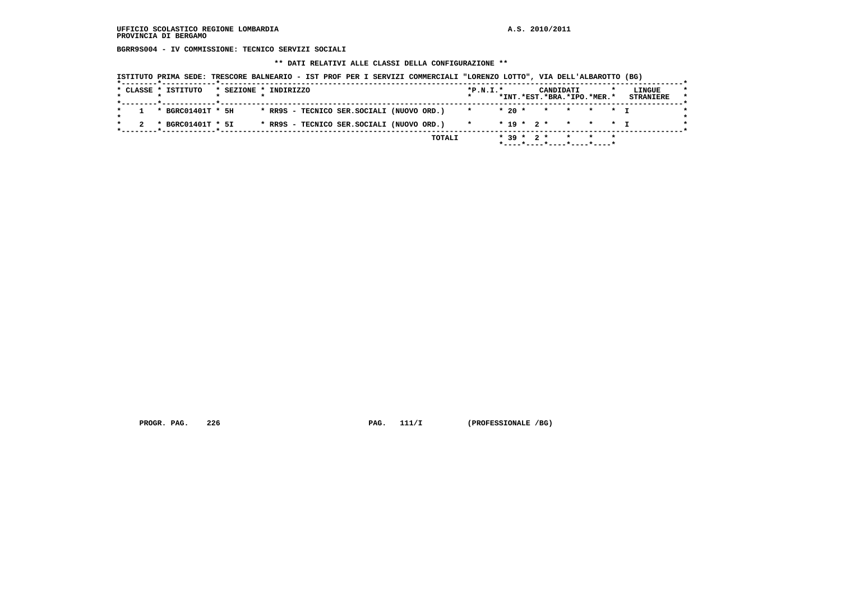**BGRR9S004 - IV COMMISSIONE: TECNICO SERVIZI SOCIALI**

 **\*\* DATI RELATIVI ALLE CLASSI DELLA CONFIGURAZIONE \*\***

|  |  |  |  |  | ISTITUTO PRIMA SEDE: TRESCORE BALNEARIO - IST PROF PER I SERVIZI COMMERCIALI "LORENZO LOTTO", VIA DELL'ALBAROTTO (BG) |  |
|--|--|--|--|--|-----------------------------------------------------------------------------------------------------------------------|--|
|--|--|--|--|--|-----------------------------------------------------------------------------------------------------------------------|--|

| * CLASSE * ISTITUTO |  | * SEZIONE * INDIRIZZO                     | $*P.N.I.*$ |         |  | CANDIDATI<br>*INT.*EST.*BRA.*IPO.*MER.* |  | LINGUE<br><b>STRANIERE</b> |
|---------------------|--|-------------------------------------------|------------|---------|--|-----------------------------------------|--|----------------------------|
| * BGRC01401T * 5H   |  | * RR9S - TECNICO SER.SOCIALI (NUOVO ORD.) |            | $*20$ * |  | * * * * T                               |  |                            |
| * BGRC01401T * 5I   |  | * RR9S - TECNICO SER.SOCIALI (NUOVO ORD.) | $\star$    |         |  | $* 19 * 2 * * * * * 1$                  |  |                            |

PROGR. PAG. 226 **PROGR. PAG. 111/I** (PROFESSIONALE /BG)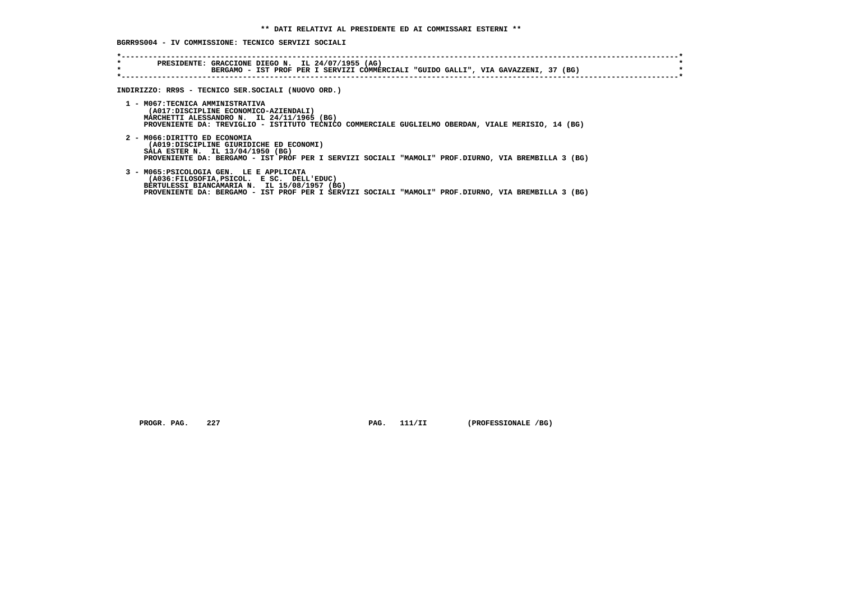**BGRR9S004 - IV COMMISSIONE: TECNICO SERVIZI SOCIALI**

| BERGAMO - IST PROF PER I SERVIZI COMMERCIALI "GUIDO GALLI", VIA GAVAZZENI, 37 (BG)                                                                                                                                                           |
|----------------------------------------------------------------------------------------------------------------------------------------------------------------------------------------------------------------------------------------------|
| INDIRIZZO: RR9S - TECNICO SER.SOCIALI (NUOVO ORD.)                                                                                                                                                                                           |
| 1 - MO67:TECNICA AMMINISTRATIVA<br>(A017:DISCIPLINE ECONOMICO-AZIENDALI)<br>MARCHETTI ALESSANDRO N. IL 24/11/1965 (BG)<br>PROVENIENTE DA: TREVIGLIO - ISTITUTO TECNICO COMMERCIALE GUGLIELMO OBERDAN, VIALE MERISIO, 14 (BG)                 |
| 2 - MO66:DIRITTO ED ECONOMIA<br>(A019:DISCIPLINE GIURIDICHE ED ECONOMI)<br>SALA ESTER N. IL 13/04/1950 (BG)<br>PROVENIENTE DA: BERGAMO - IST PROF PER I SERVIZI SOCIALI "MAMOLI" PROF.DIURNO, VIA BREMBILLA 3 (BG)                           |
| 3 - M065: PSICOLOGIA GEN. LE E APPLICATA<br>(A036:FILOSOFIA, PSICOL. E SC. DELL'EDUC)<br>BERTULESSI BIANCAMARIA N. IL 15/08/1957 (BG)<br>PROVENIENTE DA: BERGAMO - IST PROF PER I SERVIZI SOCIALI "MAMOLI" PROF.DIURNO, VIA BREMBILLA 3 (BG) |

 **PROGR. PAG.** 227 **PAG. 111/II** (PROFESSIONALE /BG)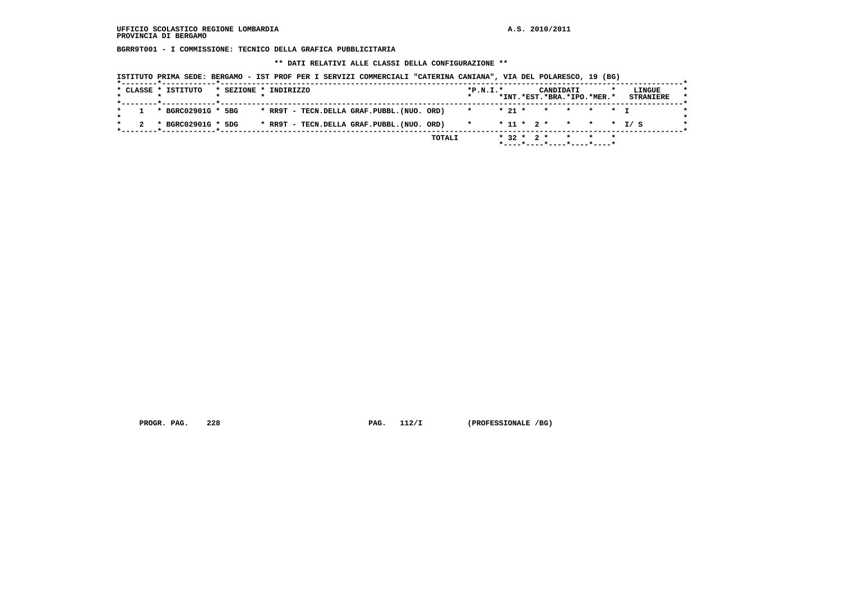**BGRR9T001 - I COMMISSIONE: TECNICO DELLA GRAFICA PUBBLICITARIA**

 **\*\* DATI RELATIVI ALLE CLASSI DELLA CONFIGURAZIONE \*\***

|  | * CLASSE * ISTITUTO  | * SEZIONE * INDIRIZZO |  |  |                                           | $*P.N.T.*$ |  |  | CANDIDATI<br>*INT.*EST.*BRA.*IPO.*MER.* |  |  | LINGUE<br><b>STRANIERE</b> |
|--|----------------------|-----------------------|--|--|-------------------------------------------|------------|--|--|-----------------------------------------|--|--|----------------------------|
|  | 1 * BGRC02901G * 5BG |                       |  |  | * RR9T - TECN.DELLA GRAF.PUBBL.(NUO. ORD) |            |  |  | * 21 * * * * * T                        |  |  |                            |
|  | * BGRC02901G * 5DG   |                       |  |  | * RR9T - TECN.DELLA GRAF.PUBBL.(NUO. ORD) | $\star$    |  |  | $* 11 * 2 * * * * * 1 / S$              |  |  |                            |

 **PROGR. PAG. 228 PAG. 112/I (PROFESSIONALE /BG)**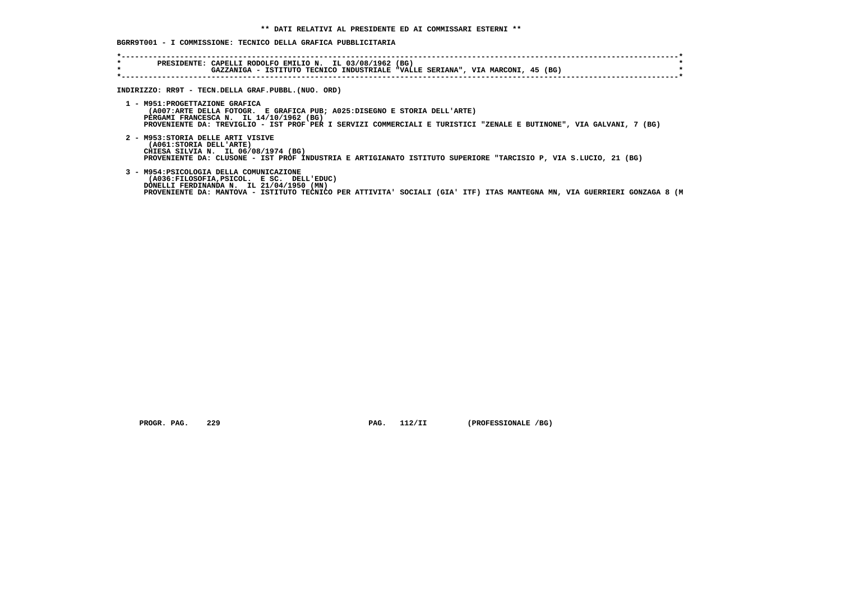## **BGRR9T001 - I COMMISSIONE: TECNICO DELLA GRAFICA PUBBLICITARIA**

| $\star$<br>$\star$ | PRESIDENTE: CAPELLI RODOLFO EMILIO N. IL 03/08/1962 (BG)<br>GAZZANIGA - ISTITUTO TECNICO INDUSTRIALE "VALLE SERIANA", VIA MARCONI, 45 (BG)                                                                                                                                    |
|--------------------|-------------------------------------------------------------------------------------------------------------------------------------------------------------------------------------------------------------------------------------------------------------------------------|
|                    | INDIRIZZO: RR9T - TECN.DELLA GRAF.PUBBL. (NUO. ORD)                                                                                                                                                                                                                           |
|                    | 1 - M951: PROGETTAZIONE GRAFICA<br>(A007:ARTE DELLA FOTOGR. E GRAFICA PUB; A025:DISEGNO E STORIA DELL'ARTE)<br>PERGAMI FRANCESCA N. IL 14/10/1962 (BG)<br>PROVENIENTE DA: TREVIGLIO - IST PROF PER I SERVIZI COMMERCIALI E TURISTICI "ZENALE E BUTINONE", VIA GALVANI, 7 (BG) |
|                    | 2 - M953: STORIA DELLE ARTI VISIVE<br>(A061: STORIA DELL'ARTE)<br>CHIESA SILVIA N. IL 06/08/1974 (BG)<br>PROVENIENTE DA: CLUSONE - IST PROF INDUSTRIA E ARTIGIANATO ISTITUTO SUPERIORE "TARCISIO P, VIA S.LUCIO, 21 (BG)                                                      |
|                    | 3 - M954: PSICOLOGIA DELLA COMUNICAZIONE<br>(A036:FILOSOFIA, PSICOL, ESC. DELL'EDUC)<br>DONELLI FERDINANDA N. IL 21/04/1950 (MN)<br>PROVENIENTE DA: MANTOVA - ISTITUTO TECNICO PER ATTIVITA' SOCIALI (GIA' ITF) ITAS MANTEGNA MN, VIA GUERRIERI GONZAGA 8 (M                  |

 **PROGR. PAG.** 229 **PAG.** 112/II (PROFESSIONALE /BG)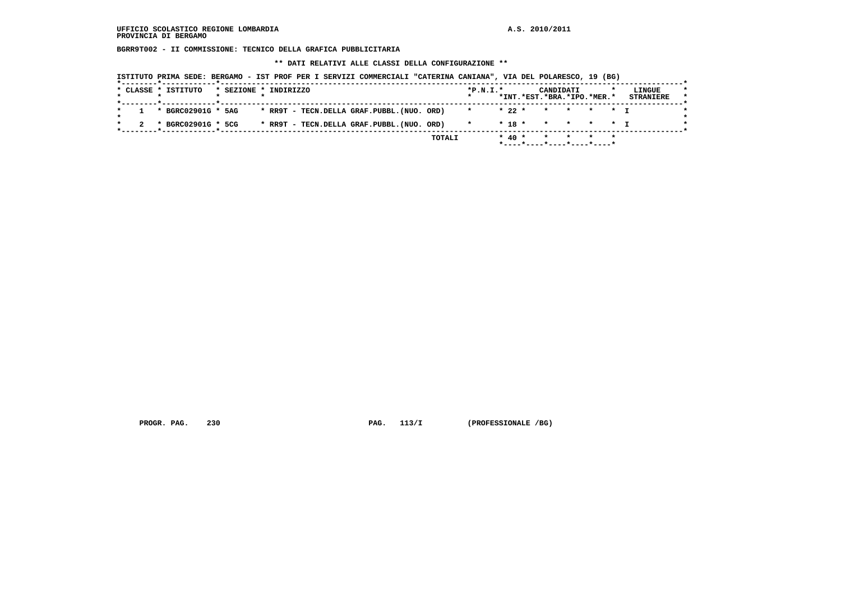**BGRR9T002 - II COMMISSIONE: TECNICO DELLA GRAFICA PUBBLICITARIA**

 **\*\* DATI RELATIVI ALLE CLASSI DELLA CONFIGURAZIONE \*\***

|  | * CLASSE * ISTITUTO | * SEZIONE * INDIRIZZO |  |  |                                           | $*P.N.T.*$ |          | CANDIDATI<br>*INT.*EST.*BRA.*IPO.*MER.* |  | LINGUE<br><b>STRANIERE</b> |
|--|---------------------|-----------------------|--|--|-------------------------------------------|------------|----------|-----------------------------------------|--|----------------------------|
|  | * BGRC02901G * 5AG  |                       |  |  | * RR9T - TECN.DELLA GRAF.PUBBL.(NUO. ORD) | $\star$    | $* 22 *$ | * * * * T                               |  |                            |
|  | * BGRC02901G * 5CG  |                       |  |  | * RR9T - TECN.DELLA GRAF.PUBBL.(NUO. ORD) | $\star$    |          | $* 18 * * * * * * + T$                  |  |                            |

PROGR. PAG. 230 **PAG. 113/I** (PROFESSIONALE /BG)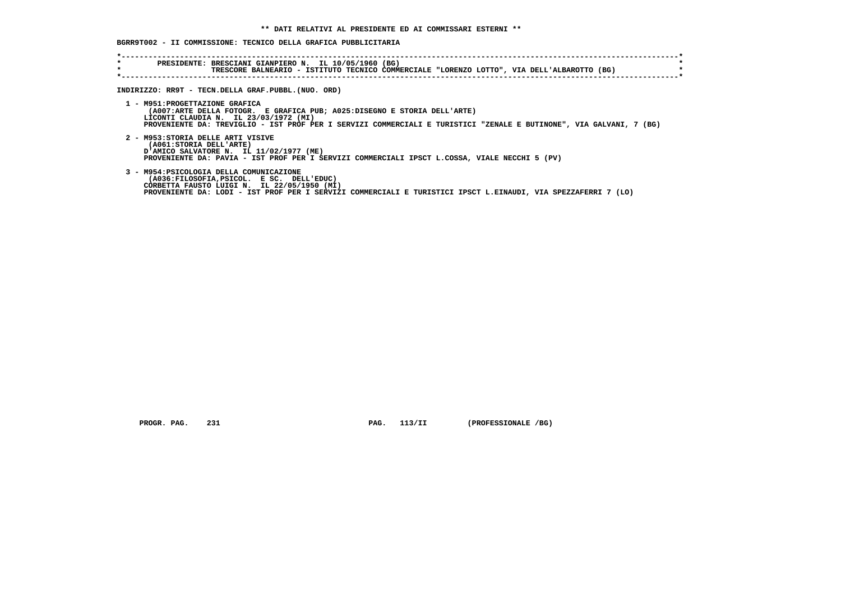## **BGRR9T002 - II COMMISSIONE: TECNICO DELLA GRAFICA PUBBLICITARIA**

| INDIRIZZO: RR9T - TECN.DELLA GRAF.PUBBL.(NUO. ORD)                                                                                                                                                                                                                          |
|-----------------------------------------------------------------------------------------------------------------------------------------------------------------------------------------------------------------------------------------------------------------------------|
| 1 - M951: PROGETTAZIONE GRAFICA<br>(A007:ARTE DELLA FOTOGR. E GRAFICA PUB; A025:DISEGNO E STORIA DELL'ARTE)<br>LICONTI CLAUDIA N. IL 23/03/1972 (MI)<br>PROVENIENTE DA: TREVIGLIO - IST PROF PER I SERVIZI COMMERCIALI E TURISTICI "ZENALE E BUTINONE", VIA GALVANI, 7 (BG) |
| 2 - M953: STORIA DELLE ARTI VISIVE<br>(A061: STORIA DELL'ARTE)<br>D'AMICO SALVATORE N. IL 11/02/1977 (ME)<br>PROVENIENTE DA: PAVIA - IST PROF PER I SERVIZI COMMERCIALI IPSCT L.COSSA, VIALE NECCHI 5 (PV)                                                                  |
| 3 - M954: PSICOLOGIA DELLA COMUNICAZIONE<br>(A036:FILOSOFIA, PSICOL, ESC. DELL'EDUC)<br>CORBETTA FAUSTO LUIGI N. IL 22/05/1950 (MI)<br>PROVENIENTE DA: LODI - IST PROF PER I SERVIZI COMMERCIALI E TURISTICI IPSCT L.EINAUDI, VIA SPEZZAFERRI 7 (LO)                        |

 **PROGR. PAG. 231 PAG. 113/II (PROFESSIONALE /BG)**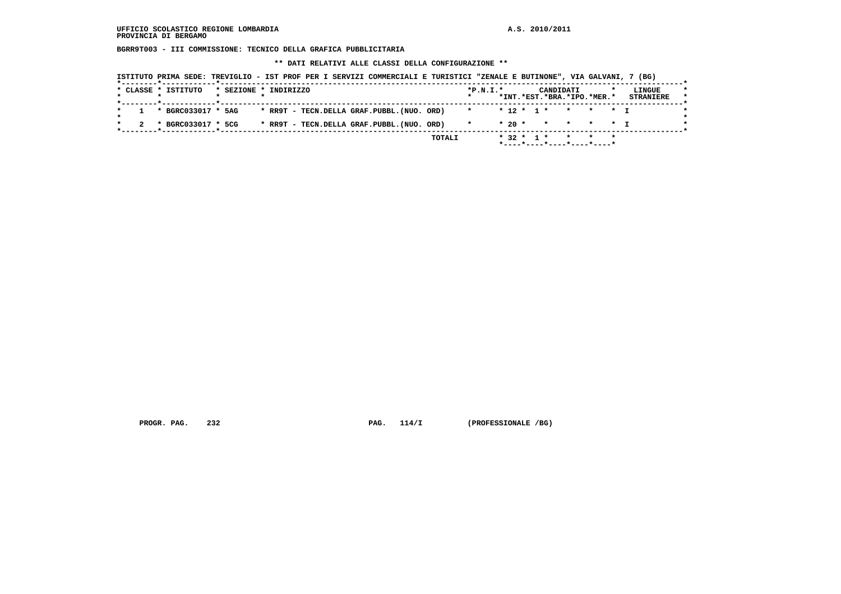**BGRR9T003 - III COMMISSIONE: TECNICO DELLA GRAFICA PUBBLICITARIA**

 **\*\* DATI RELATIVI ALLE CLASSI DELLA CONFIGURAZIONE \*\***

|  | * CLASSE * ISTITUTO  | * SEZIONE * INDIRIZZO |  |  |                                           |             | $*P.N.T.*$             |  |  | CANDIDATI | *INT.*EST.*BRA.*IPO.*MER.* | LINGUE<br><b>STRANIERE</b> |
|--|----------------------|-----------------------|--|--|-------------------------------------------|-------------|------------------------|--|--|-----------|----------------------------|----------------------------|
|  | 1 * BGRC033017 * 5AG |                       |  |  | * RR9T - TECN.DELLA GRAF.PUBBL.(NUO. ORD) |             | * * 12 * 1 * * * * * T |  |  |           |                            |                            |
|  | * BGRC033017 * 5CG   |                       |  |  | * RR9T - TECN.DELLA GRAF.PUBBL.(NUO. ORD) | $\mathbf x$ |                        |  |  |           | $* 20 * * * * * * + T$     |                            |

 **PROGR. PAG.** 232 **PAG. 114/I** (PROFESSIONALE /BG)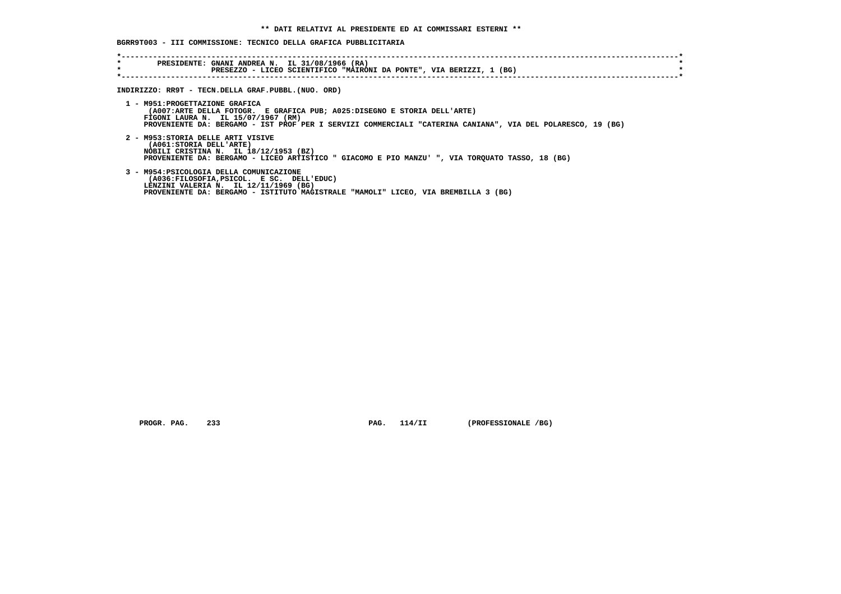# **BGRR9T003 - III COMMISSIONE: TECNICO DELLA GRAFICA PUBBLICITARIA**

| $\star$ | PRESEZZO - LICEO SCIENTIFICO "MAIRONI DA PONTE", VIA BERIZZI, 1 (BG)                                                                                                                                                                                             |
|---------|------------------------------------------------------------------------------------------------------------------------------------------------------------------------------------------------------------------------------------------------------------------|
|         | INDIRIZZO: RR9T - TECN.DELLA GRAF.PUBBL.(NUO. ORD)                                                                                                                                                                                                               |
|         | 1 - M951: PROGETTAZIONE GRAFICA<br>(A007:ARTE DELLA FOTOGR. E GRAFICA PUB; A025:DISEGNO E STORIA DELL'ARTE)<br>FIGONI LAURA N. IL 15/07/1967 (RM)<br>PROVENIENTE DA: BERGAMO - IST PROF PER I SERVIZI COMMERCIALI "CATERINA CANIANA", VIA DEL POLARESCO, 19 (BG) |
|         | 2 - M953: STORIA DELLE ARTI VISIVE<br>(A061: STORIA DELL'ARTE)<br>NOBILI CRISTINA N. IL 18/12/1953 (BZ)<br>PROVENIENTE DA: BERGAMO - LICEO ARTISTICO " GIACOMO E PIO MANZU' ", VIA TORQUATO TASSO, 18 (BG)                                                       |
|         | 3 - M954: PSICOLOGIA DELLA COMUNICAZIONE<br>(A036:FILOSOFIA, PSICOL. E SC. DELL'EDUC)<br>LENZINI VALERIA N. IL 12/11/1969 (BG)<br>PROVENIENTE DA: BERGAMO - ISTITUTO MAGISTRALE "MAMOLI" LICEO, VIA BREMBILLA 3 (BG)                                             |

 **PROGR. PAG. 233 PAG. 114/II (PROFESSIONALE /BG)**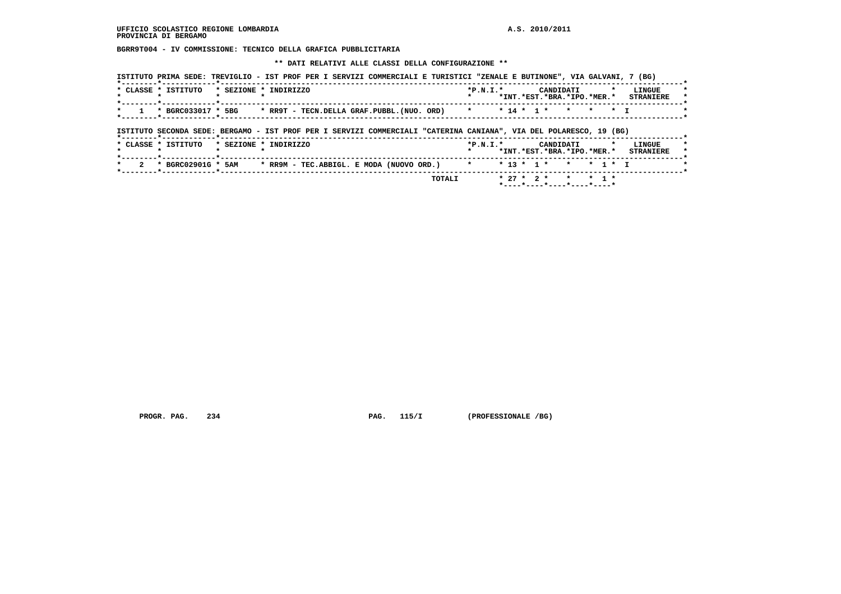**BGRR9T004 - IV COMMISSIONE: TECNICO DELLA GRAFICA PUBBLICITARIA**

 **\*\* DATI RELATIVI ALLE CLASSI DELLA CONFIGURAZIONE \*\***

|                                                                                                       | *INT. *EST. *BRA. *IPO. *MER. * STRANIERE |
|-------------------------------------------------------------------------------------------------------|-------------------------------------------|
| * 14 * 1 * *<br>* BGRC033017 * 5BG<br>* RR9T - TECN.DELLA GRAF.PUBBL.(NUO. ORD) *<br>$\star$ .<br>* T |                                           |

 **\*----\*----\*----\*----\*----\***

PROGR. PAG. 234 **PROGR. PAG. 115/I** (PROFESSIONALE /BG)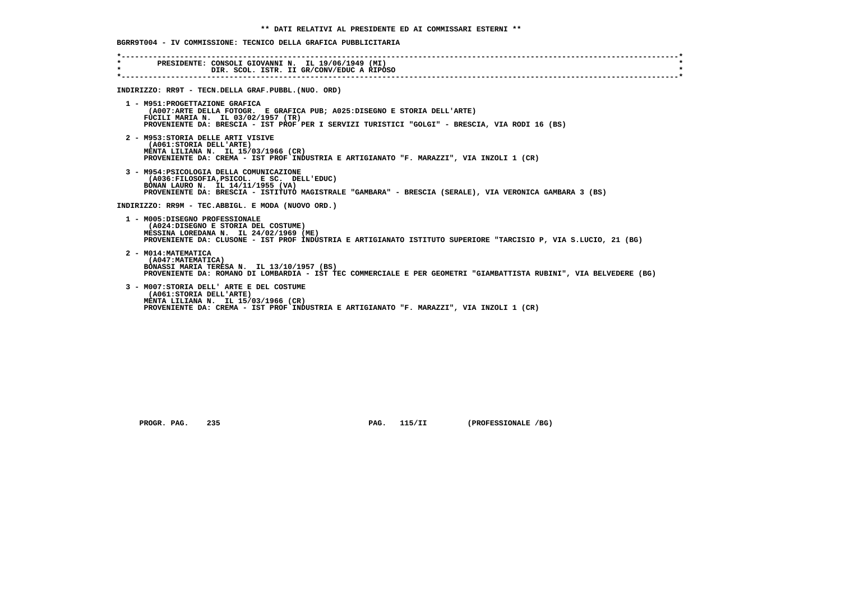## **BGRR9T004 - IV COMMISSIONE: TECNICO DELLA GRAFICA PUBBLICITARIA**

| $\star$ | PRESIDENTE: CONSOLI GIOVANNI N. IL 19/06/1949 (MI)<br>$\bullet$<br>DIR. SCOL. ISTR. II GR/CONV/EDUC A RIPOSO                                                                                                                                        |
|---------|-----------------------------------------------------------------------------------------------------------------------------------------------------------------------------------------------------------------------------------------------------|
|         | INDIRIZZO: RR9T - TECN.DELLA GRAF.PUBBL. (NUO. ORD)                                                                                                                                                                                                 |
|         | 1 - M951: PROGETTAZIONE GRAFICA<br>(A007:ARTE DELLA FOTOGR. E GRAFICA PUB; A025:DISEGNO E STORIA DELL'ARTE)<br>FUCILI MARIA N. IL 03/02/1957 (TR)<br>PROVENIENTE DA: BRESCIA - IST PROF PER I SERVIZI TURISTICI "GOLGI" - BRESCIA, VIA RODI 16 (BS) |
|         | 2 - M953: STORIA DELLE ARTI VISIVE<br>(A061:STORIA DELL'ARTE)<br>MENTA LILIANA N. IL 15/03/1966 (CR)<br>PROVENIENTE DA: CREMA - IST PROF INDUSTRIA E ARTIGIANATO "F. MARAZZI", VIA INZOLI 1 (CR)                                                    |
|         | 3 - M954: PSICOLOGIA DELLA COMUNICAZIONE<br>(A036:FILOSOFIA, PSICOL. E SC. DELL'EDUC)<br>BONAN LAURO N. IL 14/11/1955 (VA)<br>PROVENIENTE DA: BRESCIA - ISTITUTO MAGISTRALE "GAMBARA" - BRESCIA (SERALE), VIA VERONICA GAMBARA 3 (BS)               |
|         | INDIRIZZO: RR9M - TEC.ABBIGL. E MODA (NUOVO ORD.)                                                                                                                                                                                                   |
|         | 1 - M005:DISEGNO PROFESSIONALE<br>(A024:DISEGNO E STORIA DEL COSTUME)<br>MESSINA LOREDANA N. IL 24/02/1969 (ME)<br>PROVENIENTE DA: CLUSONE - IST PROF INDUSTRIA E ARTIGIANATO ISTITUTO SUPERIORE "TARCISIO P, VIA S.LUCIO, 21 (BG)                  |
|         | 2 - M014: MATEMATICA<br>(A047: MATEMATICA)<br>BONASSI MARIA TERESA N. IL 13/10/1957 (BS)<br>PROVENIENTE DA: ROMANO DI LOMBARDIA - IST TEC COMMERCIALE E PER GEOMETRI "GIAMBATTISTA RUBINI", VIA BELVEDERE (BG)                                      |
|         | 3 - M007: STORIA DELL' ARTE E DEL COSTUME<br>(A061: STORIA DELL'ARTE)<br>MENTA LILIANA N. IL 15/03/1966 (CR)<br>PROVENIENTE DA: CREMA - IST PROF INDUSTRIA E ARTIGIANATO "F. MARAZZI", VIA INZOLI 1 (CR)                                            |

 **PROGR. PAG. 235 PAG. 115/II (PROFESSIONALE /BG)**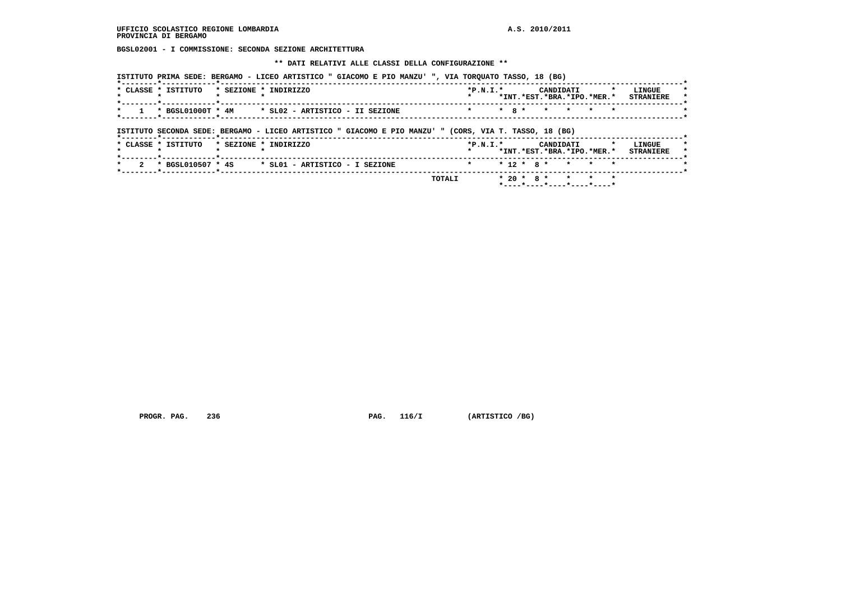**BGSL02001 - I COMMISSIONE: SECONDA SEZIONE ARCHITETTURA**

 **\*\* DATI RELATIVI ALLE CLASSI DELLA CONFIGURAZIONE \*\***

 **ISTITUTO PRIMA SEDE: BERGAMO - LICEO ARTISTICO " GIACOMO E PIO MANZU' ", VIA TORQUATO TASSO, 18 (BG)**

| CLASSE * ISTITUTO | $*$ SEZIONE $*$ | TNDTRTZZO                       | $*P.N.T.*$                                              | *INT.*EST.*BRA.*IPO.*MER.* | CANDIDATI |  | LINGUE<br><b>STRANTERE</b> | $\star$<br>$\star$ |
|-------------------|-----------------|---------------------------------|---------------------------------------------------------|----------------------------|-----------|--|----------------------------|--------------------|
| * BGSL01000T * 4M |                 | * SLO2 - ARTISTICO - II SEZIONE | $\star$ $\star$ $\star$ $\star$ $\star$ $\star$ $\star$ |                            |           |  |                            |                    |

 **ISTITUTO SECONDA SEDE: BERGAMO - LICEO ARTISTICO " GIACOMO E PIO MANZU' " (CORS, VIA T. TASSO, 18 (BG)**

| * CLASSE * ISTITUTO |  | * SEZIONE * INDIRIZZO          | $*P.N.T.*$           |  |  | CANDIDATI |  | *INT.*EST.*BRA.*IPO.*MER.* | LINGUE<br><b>STRANIERE</b> |
|---------------------|--|--------------------------------|----------------------|--|--|-----------|--|----------------------------|----------------------------|
| * BGSL010507 * 4S   |  | * SL01 - ARTISTICO - I SEZIONE | * * 12 * 8 * * * * * |  |  |           |  |                            |                            |
|                     |  | TOTALI                         |                      |  |  |           |  | * 20 * 8 * * * * *         |                            |

 **PROGR. PAG. 236 PAG. 116/I (ARTISTICO /BG)**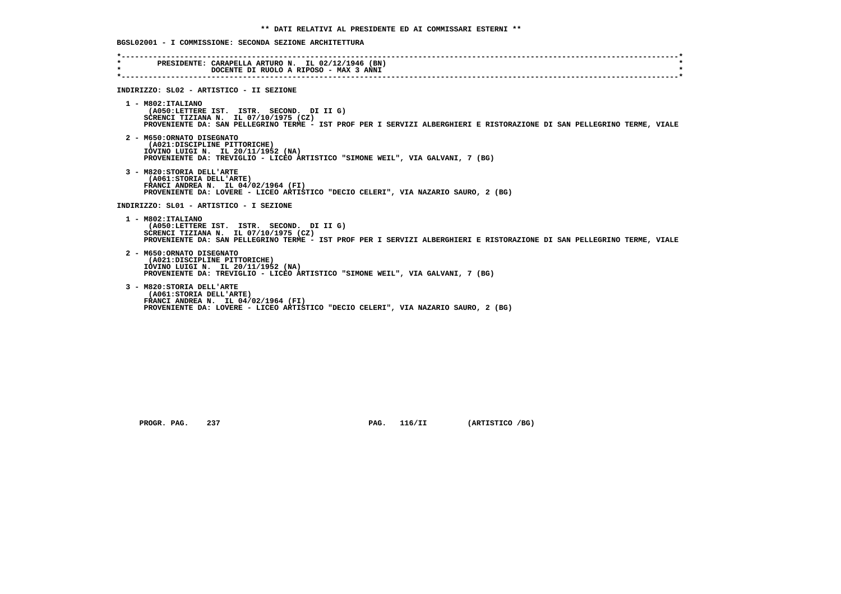**BGSL02001 - I COMMISSIONE: SECONDA SEZIONE ARCHITETTURA**

| $\star$ | PRESIDENTE: CARAPELLA ARTURO N. IL 02/12/1946 (BN)<br>DOCENTE DI RUOLO A RIPOSO - MAX 3 ANNI                                                                                                                                         |
|---------|--------------------------------------------------------------------------------------------------------------------------------------------------------------------------------------------------------------------------------------|
|         |                                                                                                                                                                                                                                      |
|         | INDIRIZZO: SL02 - ARTISTICO - II SEZIONE                                                                                                                                                                                             |
|         | $1 - M802:ITALIANO$<br>(A050:LETTERE IST. ISTR. SECOND. DI II G)<br>SCRENCI TIZIANA N. IL 07/10/1975 (CZ)<br>PROVENIENTE DA: SAN PELLEGRINO TERME - IST PROF PER I SERVIZI ALBERGHIERI E RISTORAZIONE DI SAN PELLEGRINO TERME, VIALE |
|         | 2 - M650:ORNATO DISEGNATO<br>(A021:DISCIPLINE PITTORICHE)<br>IOVINO LUIGI N. IL 20/11/1952 (NA)<br>PROVENIENTE DA: TREVIGLIO - LICEO ARTISTICO "SIMONE WEIL", VIA GALVANI, 7 (BG)                                                    |
|         | 3 - M820: STORIA DELL'ARTE<br>(A061: STORIA DELL'ARTE)<br>FRANCI ANDREA N. IL 04/02/1964 (FI)<br>PROVENIENTE DA: LOVERE - LICEO ARTISTICO "DECIO CELERI", VIA NAZARIO SAURO, 2 (BG)                                                  |
|         | INDIRIZZO: SL01 - ARTISTICO - I SEZIONE                                                                                                                                                                                              |
|         | 1 - M802: ITALIANO<br>(A050:LETTERE IST. ISTR. SECOND. DI II G)<br>SCRENCI TIZIANA N. IL 07/10/1975 (CZ)<br>PROVENIENTE DA: SAN PELLEGRINO TERME - IST PROF PER I SERVIZI ALBERGHIERI E RISTORAZIONE DI SAN PELLEGRINO TERME, VIALE  |
|         | 2 - M650: ORNATO DISEGNATO<br>(A021:DISCIPLINE PITTORICHE)<br>IOVINO LUIGI N. IL 20/11/1952 (NA)<br>PROVENIENTE DA: TREVIGLIO - LICEO ARTISTICO "SIMONE WEIL", VIA GALVANI, 7 (BG)                                                   |
|         | 3 - M820: STORIA DELL'ARTE<br>(A061: STORIA DELL'ARTE)<br>FRANCI ANDREA N. IL $04/02/1964$ (FI)<br>PROVENIENTE DA: LOVERE - LICEO ARTISTICO "DECIO CELERI", VIA NAZARIO SAURO, 2 (BG)                                                |

 **PROGR. PAG.** 237 **PAG. 116/II (ARTISTICO /BG)**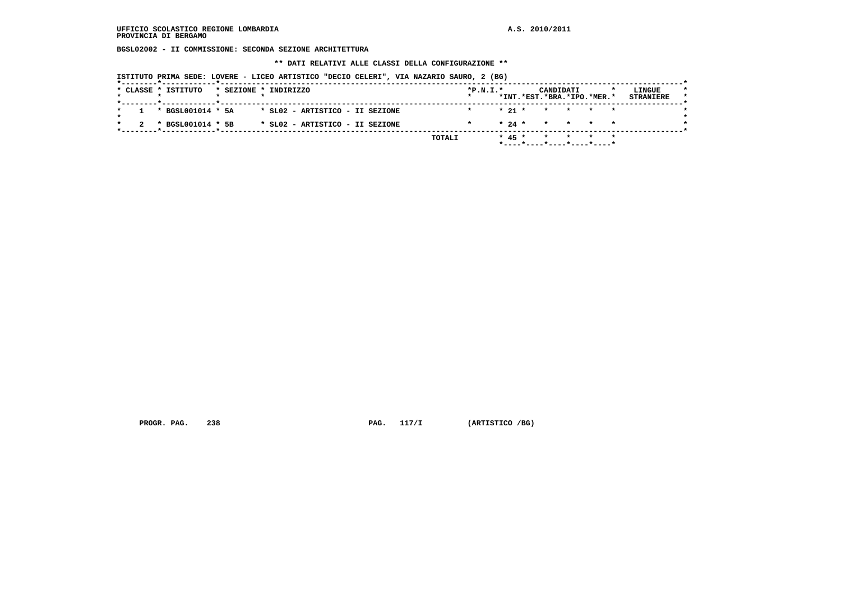**BGSL02002 - II COMMISSIONE: SECONDA SEZIONE ARCHITETTURA**

 **\*\* DATI RELATIVI ALLE CLASSI DELLA CONFIGURAZIONE \*\***

 **ISTITUTO PRIMA SEDE: LOVERE - LICEO ARTISTICO "DECIO CELERI", VIA NAZARIO SAURO, 2 (BG)**

| $* 21 * * * * * * * *$<br>$1 * BGSL001014 * 5A$<br>* SLO2 - ARTISTICO - II SEZIONE                                    |  |  |  |  |  |  |  |  |  |  |
|-----------------------------------------------------------------------------------------------------------------------|--|--|--|--|--|--|--|--|--|--|
|                                                                                                                       |  |  |  |  |  |  |  |  |  |  |
| $\star$ 24 $\star$ $\star$ $\star$ $\star$ $\star$<br>* BGSL001014 * 5B<br>* SL02 - ARTISTICO - II SEZIONE<br>$\star$ |  |  |  |  |  |  |  |  |  |  |

 **PROGR. PAG.** 238 **PROGR. PAG. 117/I** (ARTISTICO /BG)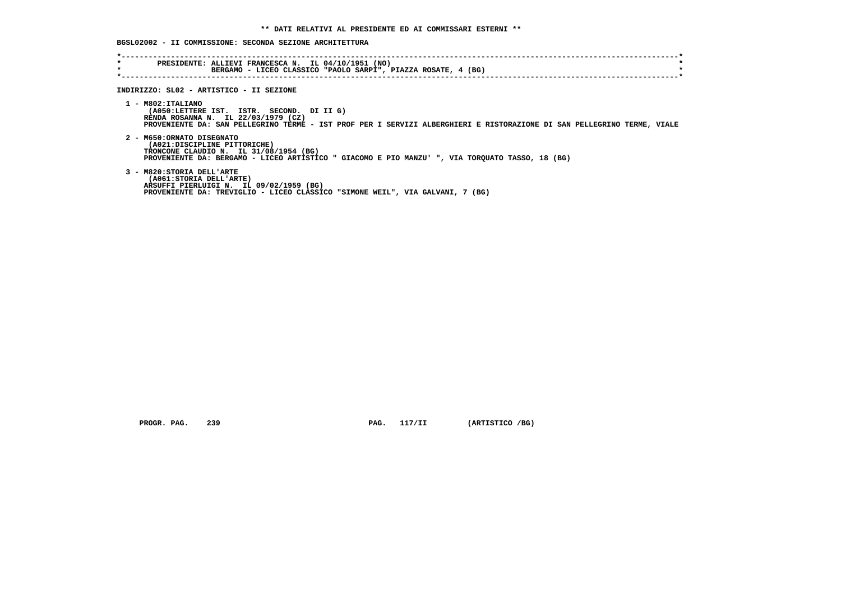**BGSL02002 - II COMMISSIONE: SECONDA SEZIONE ARCHITETTURA**

| $\star$<br>$\star$ | PRESIDENTE: ALLIEVI FRANCESCA N. IL 04/10/1951 (NO)<br>BERGAMO - LICEO CLASSICO "PAOLO SARPI", PIAZZA ROSATE, 4 (BG)                                                                                                             |
|--------------------|----------------------------------------------------------------------------------------------------------------------------------------------------------------------------------------------------------------------------------|
|                    | INDIRIZZO: SL02 - ARTISTICO - II SEZIONE                                                                                                                                                                                         |
|                    | 1 - M802:ITALIANO<br>(A050:LETTERE IST. ISTR. SECOND. DI II G)<br>RENDA ROSANNA N. IL 22/03/1979 (CZ)<br>PROVENIENTE DA: SAN PELLEGRINO TERME - IST PROF PER I SERVIZI ALBERGHIERI E RISTORAZIONE DI SAN PELLEGRINO TERME, VIALE |
|                    | 2 - M650:ORNATO DISEGNATO<br>(A021:DISCIPLINE PITTORICHE)<br>TRONCONE CLAUDIO N. IL 31/08/1954 (BG)<br>PROVENIENTE DA: BERGAMO - LICEO ARTISTICO " GIACOMO E PIO MANZU' ", VIA TORQUATO TASSO, 18 (BG)                           |
|                    | 3 - M820: STORIA DELL'ARTE<br>(A061:STORIA DELL'ARTE)<br>ARSUFFI PIERLUIGI N. IL 09/02/1959 (BG)<br>PROVENIENTE DA: TREVIGLIO - LICEO CLASSICO "SIMONE WEIL", VIA GALVANI, 7 (BG)                                                |

 **PROGR. PAG.** 239 **PAG. 117/II** (ARTISTICO /BG)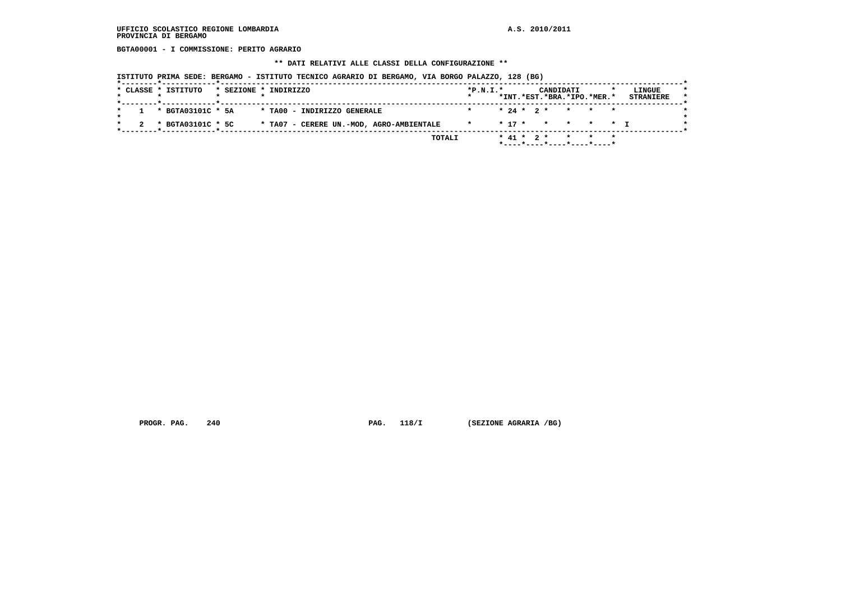### **UFFICIO SCOLASTICO REGIONE LOMBARDIA A.S. 2010/2011 PROVINCIA DI BERGAMO**

 **BGTA00001 - I COMMISSIONE: PERITO AGRARIO**

#### **\*\* DATI RELATIVI ALLE CLASSI DELLA CONFIGURAZIONE \*\***

 **ISTITUTO PRIMA SEDE: BERGAMO - ISTITUTO TECNICO AGRARIO DI BERGAMO, VIA BORGO PALAZZO, 128 (BG)**

|                       | * SEZIONE * INDIRIZZO                    | $*P.N.I.*$ |  | CANDIDATI | *INT.*EST.*BRA.*IPO.*MER.* | LINGUE<br><b>STRANIERE</b> |
|-----------------------|------------------------------------------|------------|--|-----------|----------------------------|----------------------------|
| $1 * BGTA03101C * 5A$ | * TAOO - INDIRIZZO GENERALE              |            |  |           | $* 24 * 2 * * * * * * *$   |                            |
| * BGTA03101C * 5C     | * TA07 - CERERE UN.-MOD, AGRO-AMBIENTALE | $\star$    |  |           | * 17 * * * * * T           |                            |

 **PROGR. PAG.** 240 **PROGR. PAG. 118/I** (SEZIONE AGRARIA /BG)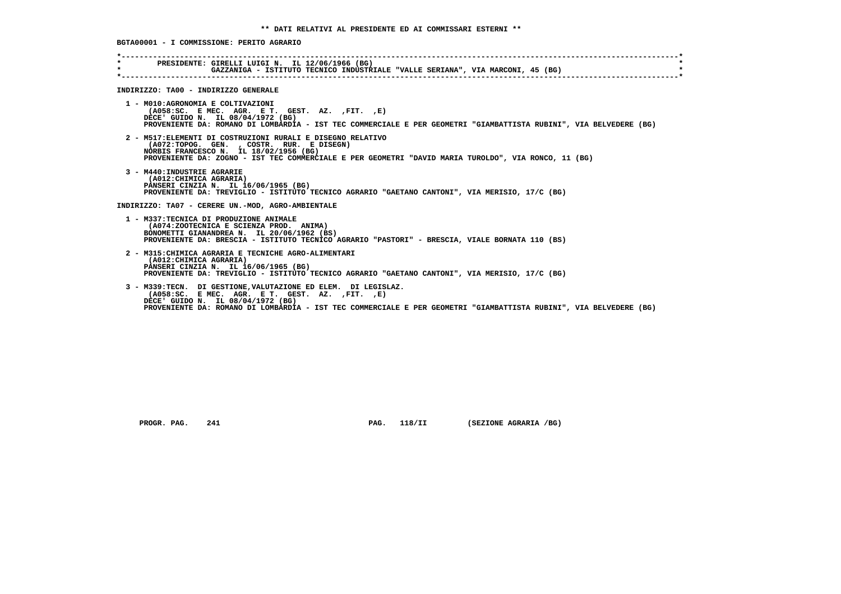| $\star$ . The set of $\sim$<br>$\star$ | PRESIDENTE: GIRELLI LUIGI N. IL 12/06/1966 (BG)<br>GAZZANIGA - ISTITUTO TECNICO INDUSTRIALE "VALLE SERIANA", VIA MARCONI, 45 (BG)                                                                                                                                              |
|----------------------------------------|--------------------------------------------------------------------------------------------------------------------------------------------------------------------------------------------------------------------------------------------------------------------------------|
|                                        | INDIRIZZO: TA00 - INDIRIZZO GENERALE                                                                                                                                                                                                                                           |
|                                        | 1 - M010:AGRONOMIA E COLTIVAZIONI<br>$(AO58:SC. E MEC. AGR. E T. GEST. AZ. , FIT. , E)$<br>DECE' GUIDO N. IL 08/04/1972 (BG)<br>PROVENIENTE DA: ROMANO DI LOMBARDIA - IST TEC COMMERCIALE E PER GEOMETRI "GIAMBATTISTA RUBINI", VIA BELVEDERE (BG)                             |
|                                        | 2 - M517: ELEMENTI DI COSTRUZIONI RURALI E DISEGNO RELATIVO<br>(A072:TOPOG. GEN., COSTR. RUR. E DISEGN)<br>NORBIS FRANCESCO N. IL 18/02/1956 (BG)<br>PROVENIENTE DA: ZOGNO - IST TEC COMMERCIALE E PER GEOMETRI "DAVID MARIA TUROLDO", VIA RONCO, 11 (BG)                      |
|                                        | 3 - M440: INDUSTRIE AGRARIE<br>(A012: CHIMICA AGRARIA)<br>PANSERI CINZIA N. IL 16/06/1965 (BG)<br>PROVENIENTE DA: TREVIGLIO - ISTITUTO TECNICO AGRARIO "GAETANO CANTONI", VIA MERISIO, 17/C (BG)                                                                               |
|                                        | INDIRIZZO: TA07 - CERERE UN.-MOD, AGRO-AMBIENTALE                                                                                                                                                                                                                              |
|                                        | 1 - M337: TECNICA DI PRODUZIONE ANIMALE<br>(A074:ZOOTECNICA E SCIENZA PROD. ANIMA)<br>BONOMETTI GIANANDREA N. IL 20/06/1962 (BS)<br>PROVENIENTE DA: BRESCIA - ISTITUTO TECNICO AGRARIO "PASTORI" - BRESCIA, VIALE BORNATA 110 (BS)                                             |
|                                        | 2 - M315: CHIMICA AGRARIA E TECNICHE AGRO-ALIMENTARI<br>(A012: CHIMICA AGRARIA)<br>PANSERI CINZIA N. IL 16/06/1965 (BG)<br>PROVENIENTE DA: TREVIGLIO - ISTITUTO TECNICO AGRARIO "GAETANO CANTONI", VIA MERISIO, 17/C (BG)                                                      |
|                                        | 3 - M339:TECN. DI GESTIONE, VALUTAZIONE ED ELEM. DI LEGISLAZ.<br>$(AO58:SC. E MEC. AGR. E T. GEST. AZ. , FIT. , E)$<br>DECE' GUIDO N. IL 08/04/1972 (BG)<br>PROVENIENTE DA: ROMANO DI LOMBARDIA - IST TEC COMMERCIALE E PER GEOMETRI "GIAMBATTISTA RUBINI", VIA BELVEDERE (BG) |

 **PROGR. PAG. 241 PAG. 118/II (SEZIONE AGRARIA /BG)**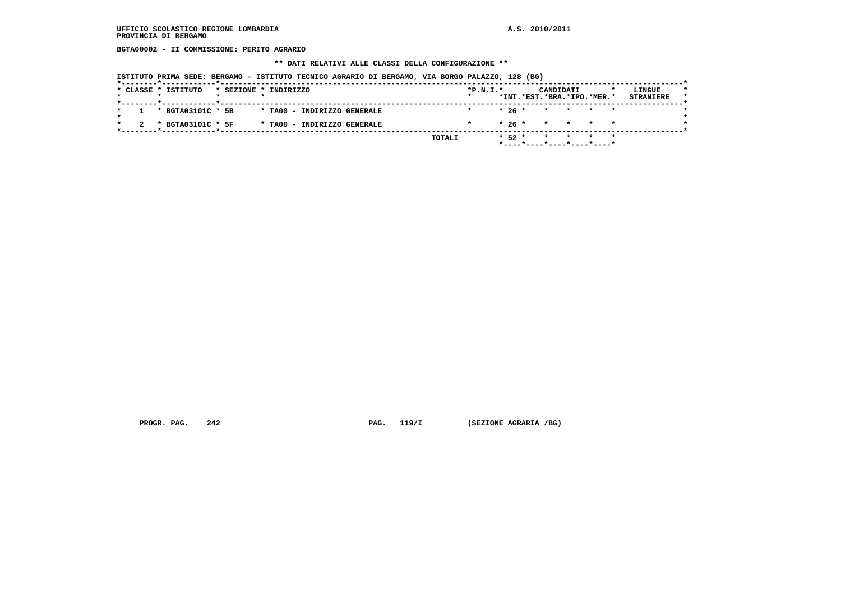### **UFFICIO SCOLASTICO REGIONE LOMBARDIA A.S. 2010/2011 PROVINCIA DI BERGAMO**

 **BGTA00002 - II COMMISSIONE: PERITO AGRARIO**

 **\*\* DATI RELATIVI ALLE CLASSI DELLA CONFIGURAZIONE \*\***

 **ISTITUTO PRIMA SEDE: BERGAMO - ISTITUTO TECNICO AGRARIO DI BERGAMO, VIA BORGO PALAZZO, 128 (BG)**

|                   |                             | $\star$ |        | *INT.*EST.*BRA.*IPO.*MER.* |  | <b>STRANIERE</b> |
|-------------------|-----------------------------|---------|--------|----------------------------|--|------------------|
| * BGTA03101C * 5B | * TA00 - INDIRIZZO GENERALE |         |        | $* 26 * * * * * * * *$     |  |                  |
| * BGTA03101C * 5F | * TA00 - INDIRIZZO GENERALE |         |        | * 26 * * * * *             |  |                  |
|                   | TOTALI                      |         | $*52*$ | * * * *                    |  |                  |

 **PROGR. PAG. 242 PAG. 119/I (SEZIONE AGRARIA /BG)**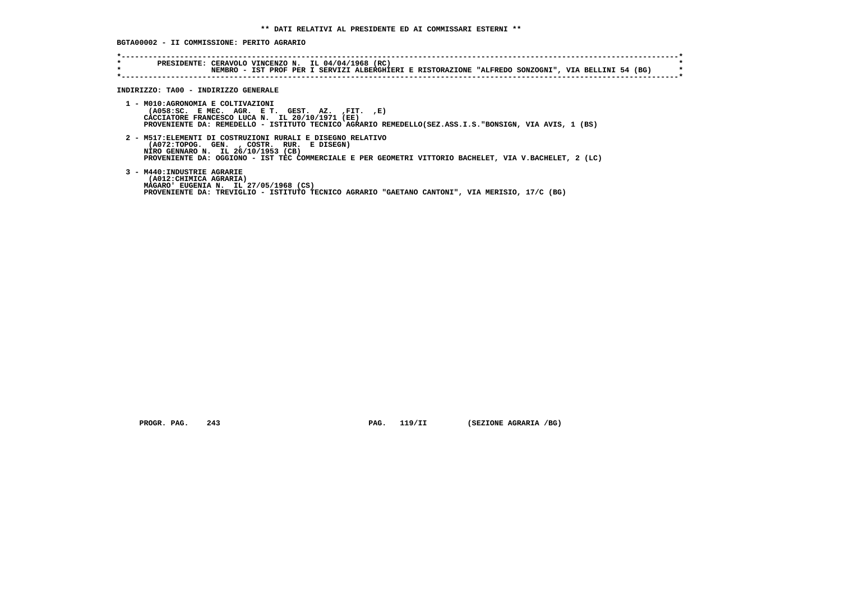|  |  | BGTA00002 - II COMMISSIONE: PERITO AGRARIO |  |  |  |
|--|--|--------------------------------------------|--|--|--|
|--|--|--------------------------------------------|--|--|--|

| $\star$<br>$\star$ | PRESIDENTE: CERAVOLO VINCENZO N. IL 04/04/1968 (RC)<br>NEMBRO - IST PROF PER I SERVIZI ALBERGHIERI E RISTORAZIONE "ALFREDO SONZOGNI", VIA BELLINI 54 (BG)                                                                                                |
|--------------------|----------------------------------------------------------------------------------------------------------------------------------------------------------------------------------------------------------------------------------------------------------|
|                    | INDIRIZZO: TA00 - INDIRIZZO GENERALE                                                                                                                                                                                                                     |
|                    | 1 - M010:AGRONOMIA E COLTIVAZIONI<br>$(AO58:SC.$ E MEC. AGR. E T. GEST. AZ. $, FIT.$ $, E)$<br>CACCIATORE FRANCESCO LUCA N. IL 20/10/1971 (EE)<br>PROVENIENTE DA: REMEDELLO - ISTITUTO TECNICO AGRARIO REMEDELLO(SEZ.ASS.I.S."BONSIGN, VIA AVIS, 1 (BS)  |
|                    | 2 - M517: ELEMENTI DI COSTRUZIONI RURALI E DISEGNO RELATIVO<br>(A072:TOPOG. GEN. , COSTR. RUR. E DISEGN)<br>NIRO GENNARO N. IL 26/10/1953 (CB)<br>PROVENIENTE DA: OGGIONO - IST TEC COMMERCIALE E PER GEOMETRI VITTORIO BACHELET, VIA V.BACHELET, 2 (LC) |
|                    | 3 - M440: INDUSTRIE AGRARIE<br>(A012: CHIMICA AGRARIA)<br>MAGARO' EUGENIA N. IL 27/05/1968 (CS)<br>PROVENIENTE DA: TREVIGLIO - ISTITUTO TECNICO AGRARIO "GAETANO CANTONI", VIA MERISIO, 17/C (BG)                                                        |

 **PROGR. PAG. 243 PAG. 119/II (SEZIONE AGRARIA /BG)**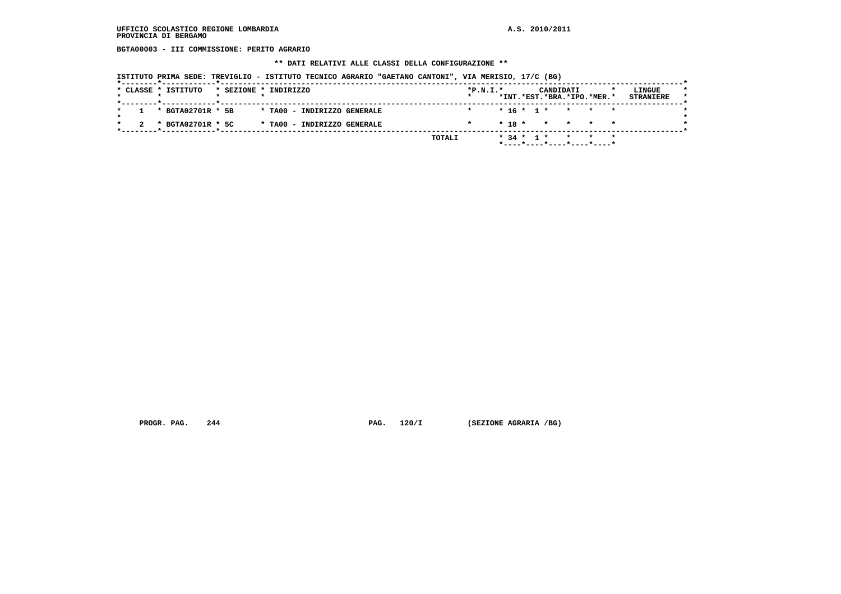### **UFFICIO SCOLASTICO REGIONE LOMBARDIA A.S. 2010/2011 PROVINCIA DI BERGAMO**

 **BGTA00003 - III COMMISSIONE: PERITO AGRARIO**

#### **\*\* DATI RELATIVI ALLE CLASSI DELLA CONFIGURAZIONE \*\***

 **ISTITUTO PRIMA SEDE: TREVIGLIO - ISTITUTO TECNICO AGRARIO "GAETANO CANTONI", VIA MERISIO, 17/C (BG)**

| $* 16 * 1 * * * * * *$<br>* BGTA02701R * 5B<br>* TA00 - INDIRIZZO GENERALE<br>* BGTA02701R * 5C<br>$* 18 * * * * * * * *$<br>* TA00 - INDIRIZZO GENERALE |  | * CLASSE * ISTITUTO |  | * SEZIONE * INDIRIZZO | $*P.N.T.*$ |  |  | CANDIDATI |  | *INT.*EST.*BRA.*IPO.*MER.* | LINGUE<br><b>STRANIERE</b> |
|----------------------------------------------------------------------------------------------------------------------------------------------------------|--|---------------------|--|-----------------------|------------|--|--|-----------|--|----------------------------|----------------------------|
|                                                                                                                                                          |  |                     |  |                       |            |  |  |           |  |                            |                            |
|                                                                                                                                                          |  |                     |  |                       |            |  |  |           |  |                            |                            |

 **PROGR. PAG.** 244 **PROGR. PAG. 120/I** (SEZIONE AGRARIA /BG)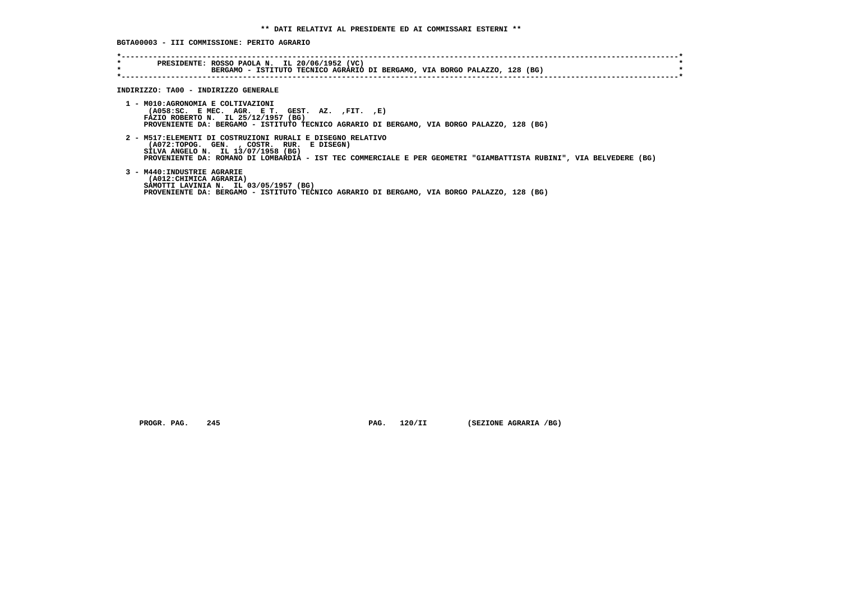**BGTA00003 - III COMMISSIONE: PERITO AGRARIO**

| $\star$<br>$\star$ | PRESIDENTE: ROSSO PAOLA N. IL 20/06/1952 (VC)<br>BERGAMO - ISTITUTO TECNICO AGRARIO DI BERGAMO, VIA BORGO PALAZZO, 128 (BG)                                                                                                                                          |
|--------------------|----------------------------------------------------------------------------------------------------------------------------------------------------------------------------------------------------------------------------------------------------------------------|
|                    | INDIRIZZO: TA00 - INDIRIZZO GENERALE                                                                                                                                                                                                                                 |
|                    |                                                                                                                                                                                                                                                                      |
|                    | 1 - M010:AGRONOMIA E COLTIVAZIONI<br>$(AO58:SC.$ E MEC. AGR. E T. GEST. AZ. $, FIT.$ $, E)$<br>FAZIO ROBERTO N. IL 25/12/1957 (BG)<br>PROVENIENTE DA: BERGAMO - ISTITUTO TECNICO AGRARIO DI BERGAMO, VIA BORGO PALAZZO, 128 (BG)                                     |
|                    | 2 - M517: ELEMENTI DI COSTRUZIONI RURALI E DISEGNO RELATIVO<br>(A072:TOPOG. GEN. , COSTR. RUR. E DISEGN)<br>SILVA ANGELO N. IL 13/07/1958 (BG)<br>PROVENIENTE DA: ROMANO DI LOMBARDIA - IST TEC COMMERCIALE E PER GEOMETRI "GIAMBATTISTA RUBINI", VIA BELVEDERE (BG) |
|                    | 3 - M440: INDUSTRIE AGRARIE<br>(A012: CHIMICA AGRARIA)<br>SAMOTTI LAVINIA N. IL 03/05/1957 (BG)<br>PROVENIENTE DA: BERGAMO - ISTITUTO TECNICO AGRARIO DI BERGAMO, VIA BORGO PALAZZO, 128 (BG)                                                                        |

 **PROGR. PAG. 245 PAG. 120/II (SEZIONE AGRARIA /BG)**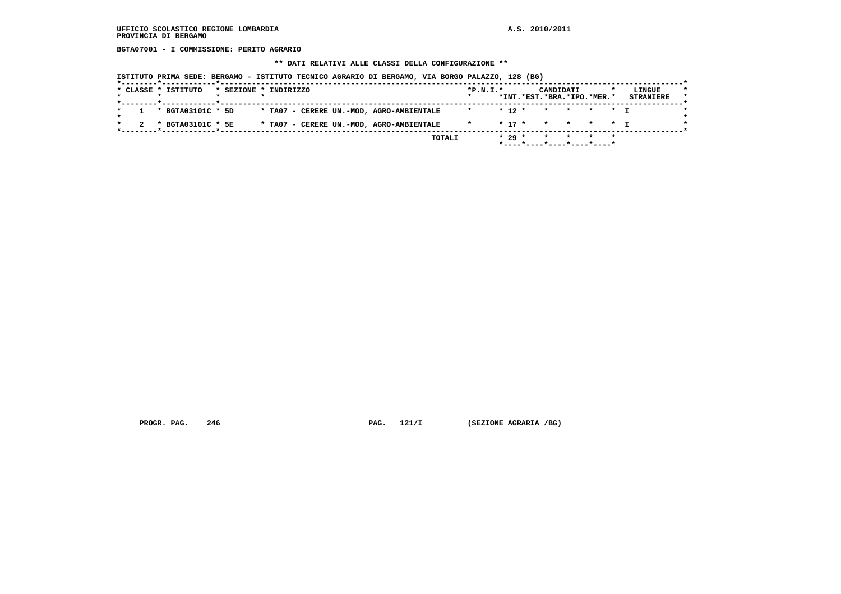### **UFFICIO SCOLASTICO REGIONE LOMBARDIA A.S. 2010/2011 PROVINCIA DI BERGAMO**

 **BGTA07001 - I COMMISSIONE: PERITO AGRARIO**

#### **\*\* DATI RELATIVI ALLE CLASSI DELLA CONFIGURAZIONE \*\***

 **ISTITUTO PRIMA SEDE: BERGAMO - ISTITUTO TECNICO AGRARIO DI BERGAMO, VIA BORGO PALAZZO, 128 (BG)**

| * BGTA03101C * 5D |  |  |                                          |         |            |  |           |  |
|-------------------|--|--|------------------------------------------|---------|------------|--|-----------|--|
|                   |  |  | * TA07 - CERERE UN.-MOD, AGRO-AMBIENTALE | $\star$ | $* 12 *$   |  | * * * * T |  |
| * BGTA03101C * 5E |  |  | * TA07 - CERERE UN.-MOD, AGRO-AMBIENTALE |         | $*$ 17 $*$ |  | * * * * T |  |

 **PROGR. PAG.** 246 **PROGR. PAG. 121/I** (SEZIONE AGRARIA /BG)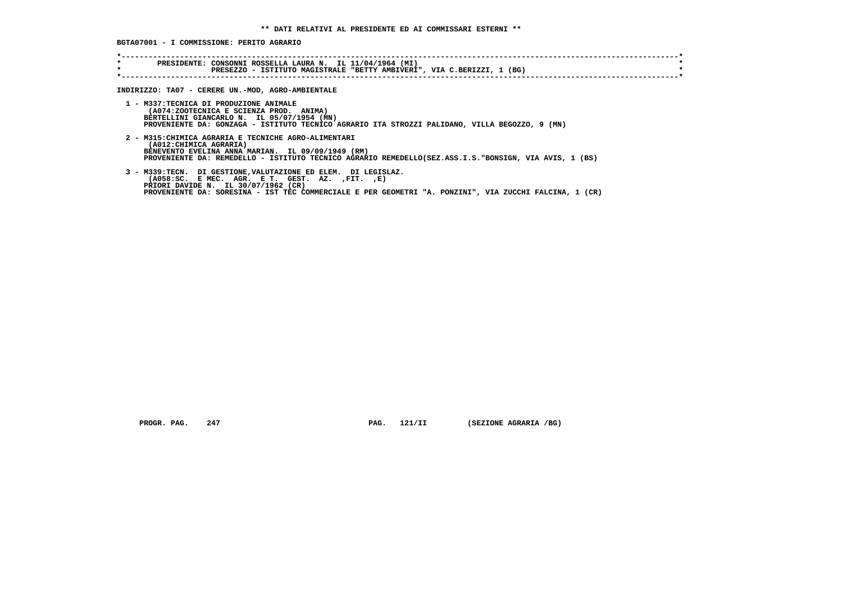**BGTA07001 - I COMMISSIONE: PERITO AGRARIO**

| $\star$<br>$\star$ | PRESIDENTE: CONSONNI ROSSELLA LAURA N. IL 11/04/1964 (MI)<br>PRESEZZO - ISTITUTO MAGISTRALE "BETTY AMBIVERI", VIA C.BERIZZI, 1 (BG)                                                                                                                                    |
|--------------------|------------------------------------------------------------------------------------------------------------------------------------------------------------------------------------------------------------------------------------------------------------------------|
|                    |                                                                                                                                                                                                                                                                        |
|                    | INDIRIZZO: TA07 - CERERE UN.-MOD, AGRO-AMBIENTALE                                                                                                                                                                                                                      |
|                    | 1 - M337:TECNICA DI PRODUZIONE ANIMALE<br>(A074:ZOOTECNICA E SCIENZA PROD. ANIMA)<br>BERTELLINI GIANCARLO N. IL 05/07/1954 (MN)<br>PROVENIENTE DA: GONZAGA - ISTITUTO TECNICO AGRARIO ITA STROZZI PALIDANO, VILLA BEGOZZO, 9 (MN)                                      |
|                    | 2 - M315: CHIMICA AGRARIA E TECNICHE AGRO-ALIMENTARI<br>(A012: CHIMICA AGRARIA)<br>BENEVENTO EVELINA ANNA MARIAN. IL 09/09/1949 (RM)<br>PROVENIENTE DA: REMEDELLO - ISTITUTO TECNICO AGRARIO REMEDELLO(SEZ.ASS.I.S. "BONSIGN, VIA AVIS, 1 (BS)                         |
|                    | 3 - M339:TECN. DI GESTIONE, VALUTAZIONE ED ELEM. DI LEGISLAZ.<br>$(AO58:SC.$ E MEC. AGR. E T. GEST. AZ. $,FIT.$ $E$ )<br>PRIORI DAVIDE N. IL 30/07/1962 (CR)<br>PROVENIENTE DA: SORESINA - IST TEC COMMERCIALE E PER GEOMETRI "A. PONZINI", VIA ZUCCHI FALCINA, 1 (CR) |

 **PROGR. PAG.** 247 **PAG. 121/II (SEZIONE AGRARIA /BG)**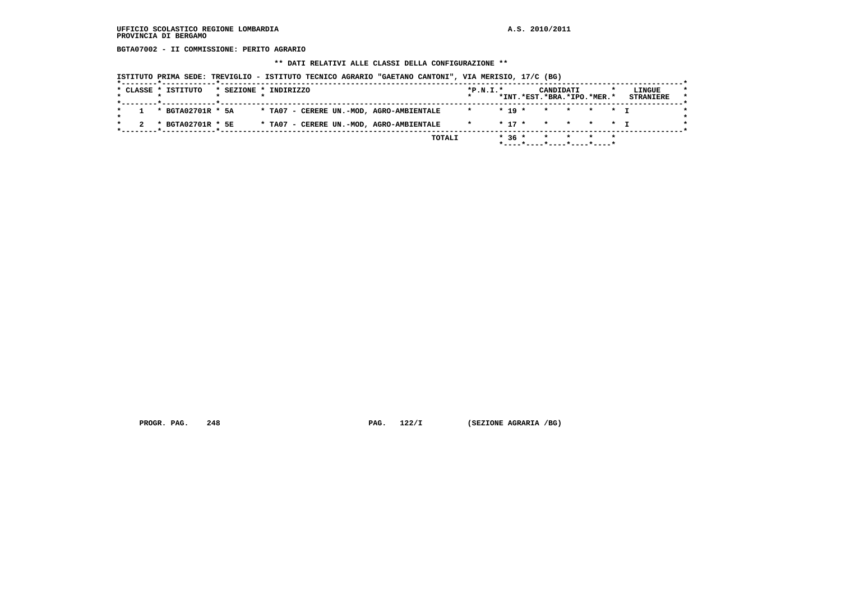### **UFFICIO SCOLASTICO REGIONE LOMBARDIA A.S. 2010/2011 PROVINCIA DI BERGAMO**

 **BGTA07002 - II COMMISSIONE: PERITO AGRARIO**

#### **\*\* DATI RELATIVI ALLE CLASSI DELLA CONFIGURAZIONE \*\***

 **ISTITUTO PRIMA SEDE: TREVIGLIO - ISTITUTO TECNICO AGRARIO "GAETANO CANTONI", VIA MERISIO, 17/C (BG)**

| *INT.*EST.*BRA.*IPO.*MER.*<br>$1 * BGTA02701R * 5A$<br>* TA07 - CERERE UN.-MOD, AGRO-AMBIENTALE<br>$*$ 19 $*$ $*$ $*$ $*$ $*$ $*$ $*$<br>$\star$<br>$\star$ | <b>STRANIERE</b>                   |
|-------------------------------------------------------------------------------------------------------------------------------------------------------------|------------------------------------|
|                                                                                                                                                             |                                    |
| * BGTA02701R * 5E<br>* TA07 - CERERE UN.-MOD, AGRO-AMBIENTALE                                                                                               | $*$ 17 $*$ $*$ $*$ $*$ $*$ $*$ $*$ |

 **PROGR. PAG. 248 PAG. 122/I (SEZIONE AGRARIA /BG)**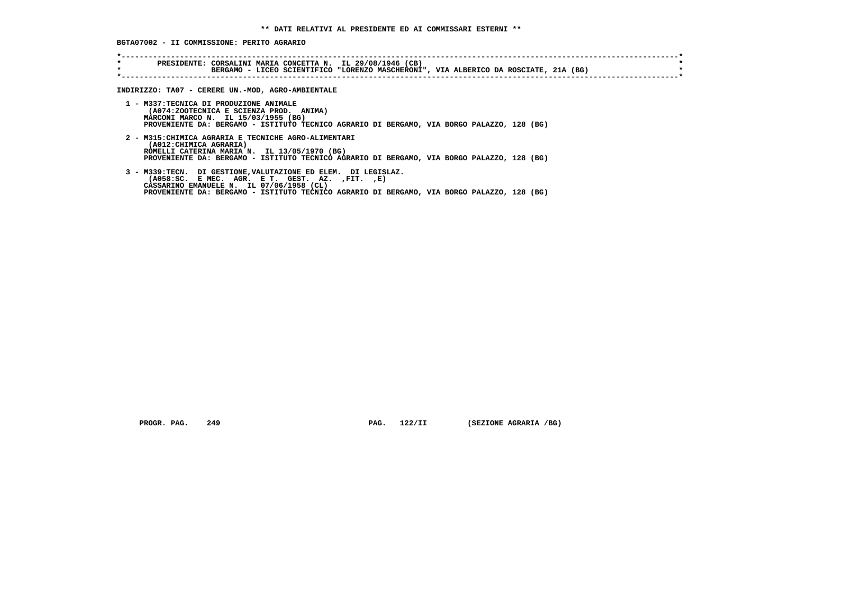**BGTA07002 - II COMMISSIONE: PERITO AGRARIO**

| $\star$ | BERGAMO - LICEO SCIENTIFICO "LORENZO MASCHERONI", VIA ALBERICO DA ROSCIATE, 21A (BG)                                                                                                                                                                              |
|---------|-------------------------------------------------------------------------------------------------------------------------------------------------------------------------------------------------------------------------------------------------------------------|
|         | INDIRIZZO: TA07 - CERERE UN.-MOD, AGRO-AMBIENTALE                                                                                                                                                                                                                 |
|         | 1 - M337:TECNICA DI PRODUZIONE ANIMALE<br>(A074:ZOOTECNICA E SCIENZA PROD. ANIMA)<br>MARCONI MARCO N. IL 15/03/1955 (BG)<br>PROVENIENTE DA: BERGAMO - ISTITUTO TECNICO AGRARIO DI BERGAMO, VIA BORGO PALAZZO, 128 (BG)                                            |
|         | 2 - M315: CHIMICA AGRARIA E TECNICHE AGRO-ALIMENTARI<br>(A012: CHIMICA AGRARIA)<br>ROMELLI CATERINA MARIA N. IL 13/05/1970 (BG)<br>PROVENIENTE DA: BERGAMO - ISTITUTO TECNICO AGRARIO DI BERGAMO, VIA BORGO PALAZZO, 128 (BG)                                     |
|         | 3 - M339:TECN. DI GESTIONE, VALUTAZIONE ED ELEM. DI LEGISLAZ.<br>$(AO58:SC.$ E MEC. AGR. E T. GEST. AZ. $, FIT.$ $, E)$<br>CASSARINO EMANUELE N. IL 07/06/1958 (CL)<br>PROVENIENTE DA: BERGAMO - ISTITUTO TECNICO AGRARIO DI BERGAMO, VIA BORGO PALAZZO, 128 (BG) |

 **PROGR. PAG. 249 PAG. 122/II (SEZIONE AGRARIA /BG)**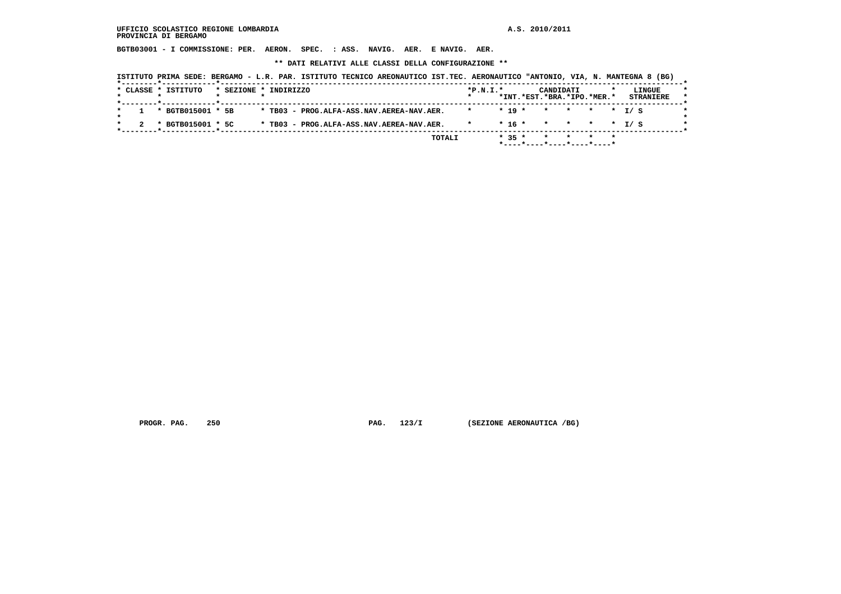### **UFFICIO SCOLASTICO REGIONE LOMBARDIA A.S. 2010/2011 PROVINCIA DI BERGAMO**

 **BGTB03001 - I COMMISSIONE: PER. AERON. SPEC. : ASS. NAVIG. AER. E NAVIG. AER.**

 **\*\* DATI RELATIVI ALLE CLASSI DELLA CONFIGURAZIONE \*\***

|  |  | * CLASSE * ISTITUTO |                   | * SEZIONE * INDIRIZZO |  |                                           |  |  | $*P.N.T.*$ |          | CANDIDATI                  |  |  | LINGUE           |
|--|--|---------------------|-------------------|-----------------------|--|-------------------------------------------|--|--|------------|----------|----------------------------|--|--|------------------|
|  |  |                     |                   |                       |  |                                           |  |  |            |          | *INT.*EST.*BRA.*IPO.*MER.* |  |  | <b>STRANIERE</b> |
|  |  |                     | * BGTB015001 * 5B |                       |  | * TB03 - PROG.ALFA-ASS.NAV.AEREA-NAV.AER. |  |  | $\star$    | $* 19 *$ | * * * * T/S                |  |  |                  |
|  |  |                     | * BGTB015001 * 5C |                       |  | * TB03 - PROG.ALFA-ASS.NAV.AEREA-NAV.AER. |  |  |            |          | $* 16 * * * * * * 1 / S$   |  |  |                  |

 **PROGR. PAG.** 250 **PAG.** 123/I (SEZIONE AERONAUTICA /BG)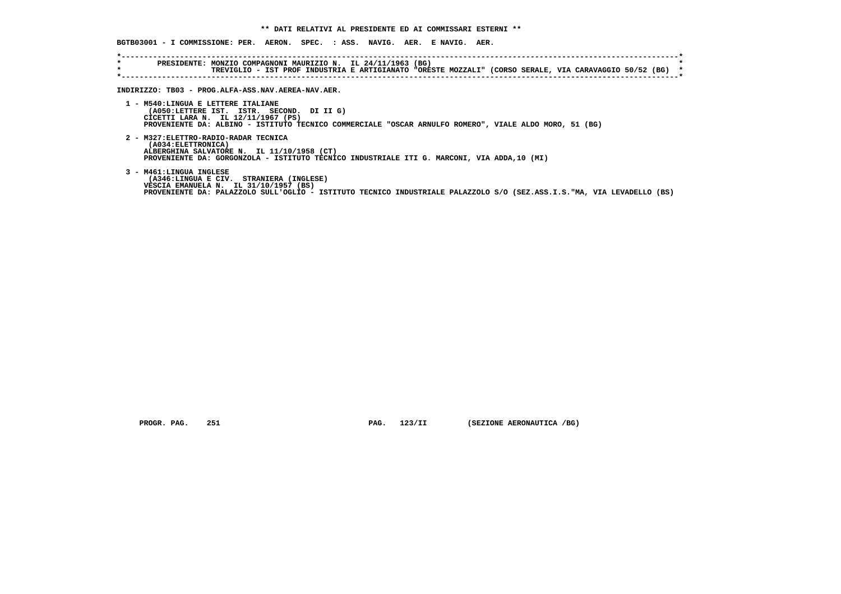**BGTB03001 - I COMMISSIONE: PER. AERON. SPEC. : ASS. NAVIG. AER. E NAVIG. AER.**

 **\*----------------------------------------------------------------------------------------------------------------------------\* \* PRESIDENTE: MONZIO COMPAGNONI MAURIZIO N. IL 24/11/1963 (BG) \* \* TREVIGLIO - IST PROF INDUSTRIA E ARTIGIANATO "ORESTE MOZZALI" (CORSO SERALE, VIA CARAVAGGIO 50/52 (BG) \* \*----------------------------------------------------------------------------------------------------------------------------\* INDIRIZZO: TB03 - PROG.ALFA-ASS.NAV.AEREA-NAV.AER. 1 - M540:LINGUA E LETTERE ITALIANE (A050:LETTERE IST. ISTR. SECOND. DI II G) CICETTI LARA N. IL 12/11/1967 (PS) PROVENIENTE DA: ALBINO - ISTITUTO TECNICO COMMERCIALE "OSCAR ARNULFO ROMERO", VIALE ALDO MORO, 51 (BG) 2 - M327:ELETTRO-RADIO-RADAR TECNICA (A034:ELETTRONICA) ALBERGHINA SALVATORE N. IL 11/10/1958 (CT) PROVENIENTE DA: GORGONZOLA - ISTITUTO TECNICO INDUSTRIALE ITI G. MARCONI, VIA ADDA,10 (MI) 3 - M461:LINGUA INGLESE (A346:LINGUA E CIV. STRANIERA (INGLESE) VESCIA EMANUELA N. IL 31/10/1957 (BS) PROVENIENTE DA: PALAZZOLO SULL'OGLIO - ISTITUTO TECNICO INDUSTRIALE PALAZZOLO S/O (SEZ.ASS.I.S."MA, VIA LEVADELLO (BS)**

 **PROGR. PAG. 251 PAG. 123/II (SEZIONE AERONAUTICA /BG)**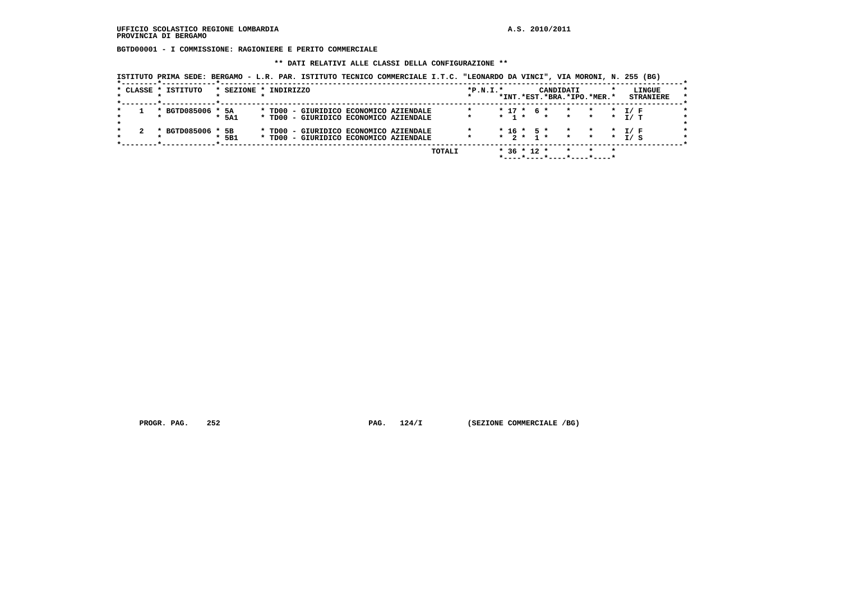**BGTD00001 - I COMMISSIONE: RAGIONIERE E PERITO COMMERCIALE**

 **\*\* DATI RELATIVI ALLE CLASSI DELLA CONFIGURAZIONE \*\***

 **ISTITUTO PRIMA SEDE: BERGAMO - L.R. PAR. ISTITUTO TECNICO COMMERCIALE I.T.C. "LEONARDO DA VINCI", VIA MORONI, N. 255 (BG)**

|  | * CLASSE * ISTITUTO | * SEZIONE * INDIRIZZO |  |                                        |        | $*P.N.I.*$ |           |                             | CANDIDATI<br>*INT.*EST.*BRA.*IPO.*MER.* |                 |         |                 | LINGUE<br><b>STRANIERE</b> | $\star$ |
|--|---------------------|-----------------------|--|----------------------------------------|--------|------------|-----------|-----------------------------|-----------------------------------------|-----------------|---------|-----------------|----------------------------|---------|
|  |                     |                       |  |                                        |        |            |           |                             |                                         |                 |         |                 |                            |         |
|  | * BGTD085006 * 5A   |                       |  | * TD00 - GIURIDICO ECONOMICO AZIENDALE |        |            |           | $* 17 * 6 *$                |                                         | $\star$         | $\star$ | $\star$         | T / F                      |         |
|  |                     | $*$ 5A1               |  | * TD00 - GIURIDICO ECONOMICO AZIENDALE |        |            | $*$ 1 $*$ |                             | $\star$                                 | $\star$         | $\star$ | $\star$         | T/ T                       |         |
|  |                     |                       |  |                                        |        |            |           |                             |                                         |                 |         |                 |                            |         |
|  | * BGTD085006 * 5B   |                       |  | * TD00 - GIURIDICO ECONOMICO AZIENDALE |        |            |           | $*$ 16 $*$ 5 $*$            |                                         | $\star$         | $\star$ | $\star$ $\star$ | T / F                      |         |
|  |                     | 5B1                   |  | * TD00 - GIURIDICO ECONOMICO AZIENDALE |        |            |           | $\star$ 2 $\star$ 1 $\star$ |                                         | $\star$ $\star$ |         | $\star$         | T / S                      |         |
|  |                     |                       |  |                                        |        |            |           |                             |                                         |                 |         |                 |                            |         |
|  |                     |                       |  |                                        | TOTALI |            |           | $*$ 36 $*$ 12 $*$           |                                         |                 |         |                 |                            |         |
|  |                     |                       |  |                                        |        |            |           |                             |                                         |                 |         |                 |                            |         |

 **PROGR. PAG.** 252 **PAG. 124/I** (SEZIONE COMMERCIALE /BG)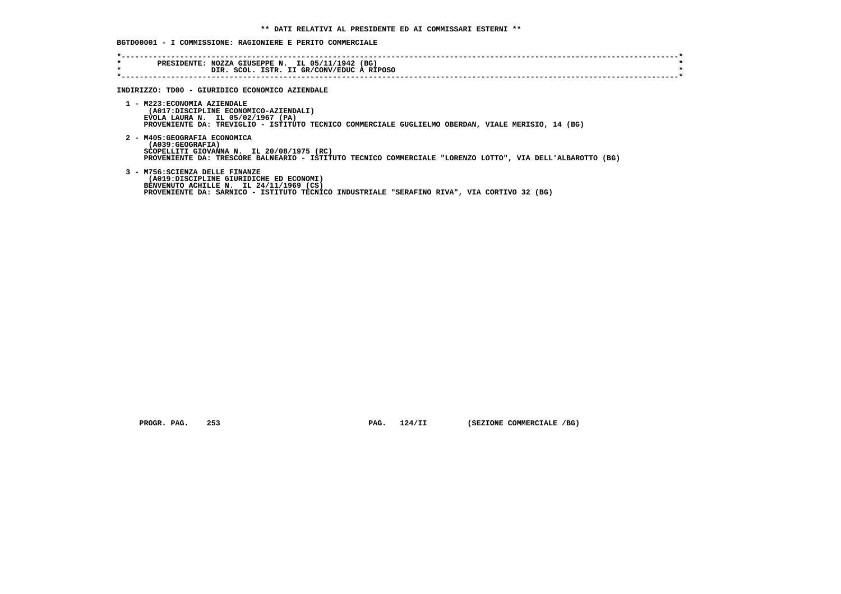## **BGTD00001 - I COMMISSIONE: RAGIONIERE E PERITO COMMERCIALE**

| $\star$<br>$\star$ | PRESIDENTE: NOZZA GIUSEPPE N. IL 05/11/1942 (BG)<br>DIR. SCOL. ISTR. II GR/CONV/EDUC A RIPOSO                                                                                                                        |  |
|--------------------|----------------------------------------------------------------------------------------------------------------------------------------------------------------------------------------------------------------------|--|
|                    | INDIRIZZO: TD00 - GIURIDICO ECONOMICO AZIENDALE                                                                                                                                                                      |  |
|                    | 1 - M223: ECONOMIA AZIENDALE<br>(A017:DISCIPLINE ECONOMICO-AZIENDALI)<br>EVOLA LAURA N. IL 05/02/1967 (PA)<br>PROVENIENTE DA: TREVIGLIO - ISTITUTO TECNICO COMMERCIALE GUGLIELMO OBERDAN, VIALE MERISIO, 14 (BG)     |  |
|                    | 2 - M405: GEOGRAFIA ECONOMICA<br>(A039:GEOGRAFIA)<br>SCOPELLITI GIOVANNA N. IL 20/08/1975 (RC)<br>PROVENIENTE DA: TRESCORE BALNEARIO - ISTITUTO TECNICO COMMERCIALE "LORENZO LOTTO", VIA DELL'ALBAROTTO (BG)         |  |
|                    | 3 - M756: SCIENZA DELLE FINANZE<br>(A019:DISCIPLINE GIURIDICHE ED ECONOMI)<br>BENVENUTO ACHILLE N. IL 24/11/1969 (CS)<br>PROVENIENTE DA: SARNICO - ISTITUTO TECNICO INDUSTRIALE "SERAFINO RIVA", VIA CORTIVO 32 (BG) |  |

 **PROGR. PAG. 253 PAG. 124/II (SEZIONE COMMERCIALE /BG)**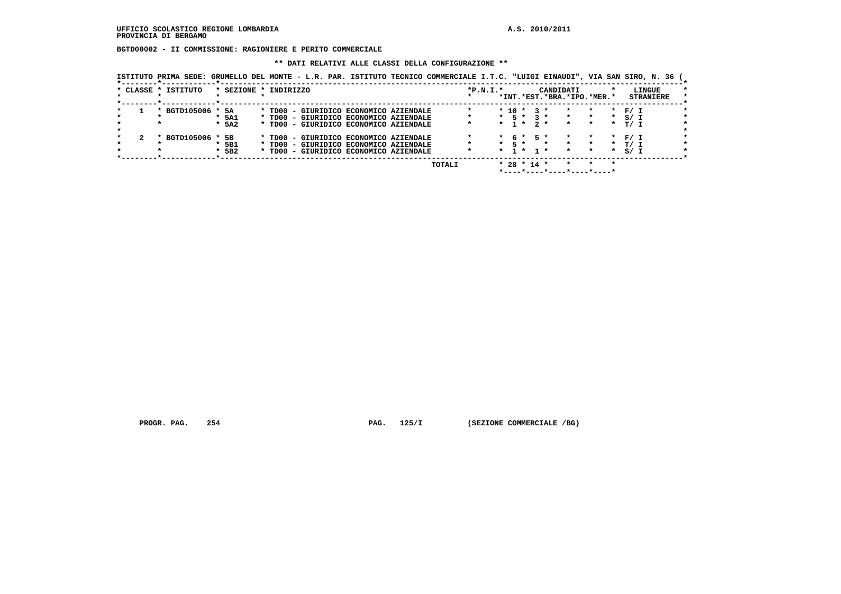**BGTD00002 - II COMMISSIONE: RAGIONIERE E PERITO COMMERCIALE**

#### **\*\* DATI RELATIVI ALLE CLASSI DELLA CONFIGURAZIONE \*\***

 **ISTITUTO PRIMA SEDE: GRUMELLO DEL MONTE - L.R. PAR. ISTITUTO TECNICO COMMERCIALE I.T.C. "LUIGI EINAUDI", VIA SAN SIRO, N. 36 (**

|                     |                       |  |  |                                        | TOTALI |            |         |            | $* 28 * 14 *$ |                     |           |                            |         |         |       |                  |
|---------------------|-----------------------|--|--|----------------------------------------|--------|------------|---------|------------|---------------|---------------------|-----------|----------------------------|---------|---------|-------|------------------|
|                     | $*$ 5B2               |  |  | * TD00 - GIURIDICO ECONOMICO AZIENDALE |        |            | $\star$ |            | 1 * 1 *       |                     |           | $\star$                    | $\star$ | $\star$ | S / I |                  |
|                     | 5B1                   |  |  | * TD00 - GIURIDICO ECONOMICO AZIENDALE |        |            | $\star$ | 5 *        |               |                     |           | $\star$                    | $\star$ | $\star$ | T/ T  |                  |
| * BGTD105006 *      | 5B                    |  |  | * TD00 - GIURIDICO ECONOMICO AZIENDALE |        |            |         |            | 6*            | 5 *                 |           |                            |         | $\star$ | F/ I  |                  |
|                     |                       |  |  |                                        |        |            |         |            |               |                     |           |                            |         |         |       |                  |
| $\star$             | $*$ 5A2               |  |  | * TD00 - GIURIDICO ECONOMICO AZIENDALE |        |            |         |            | $1 \star$     | $2 *$               |           | $\star$                    | $\star$ | $\star$ | T/ I  |                  |
|                     | * 5A1                 |  |  | * TD00 - GIURIDICO ECONOMICO AZIENDALE |        |            |         | $*$ 5 $*$  |               | <b>R</b> 2          |           | $\star$                    | $\star$ | $\star$ | S / I |                  |
| * BGTD105006 * 5A   |                       |  |  | * TD00 - GIURIDICO ECONOMICO AZIENDALE |        |            |         | $*$ 10 $*$ |               | $\mathbf{3}$ $\ast$ |           | $\star$                    | $\star$ | $\star$ | F / I |                  |
|                     |                       |  |  |                                        |        |            |         |            |               |                     |           | *INT.*EST.*BRA.*IPO.*MER.* |         |         |       | <b>STRANIERE</b> |
| * CLASSE * ISTITUTO | * SEZIONE * INDIRIZZO |  |  |                                        |        | $*P.N.I.*$ |         |            |               |                     | CANDIDATI |                            |         |         |       | LINGUE           |
|                     |                       |  |  |                                        |        |            |         |            |               |                     |           |                            |         |         |       |                  |

PROGR. PAG. 254 **PROGRAM PAG. 254** PAG. 125/I (SEZIONE COMMERCIALE /BG)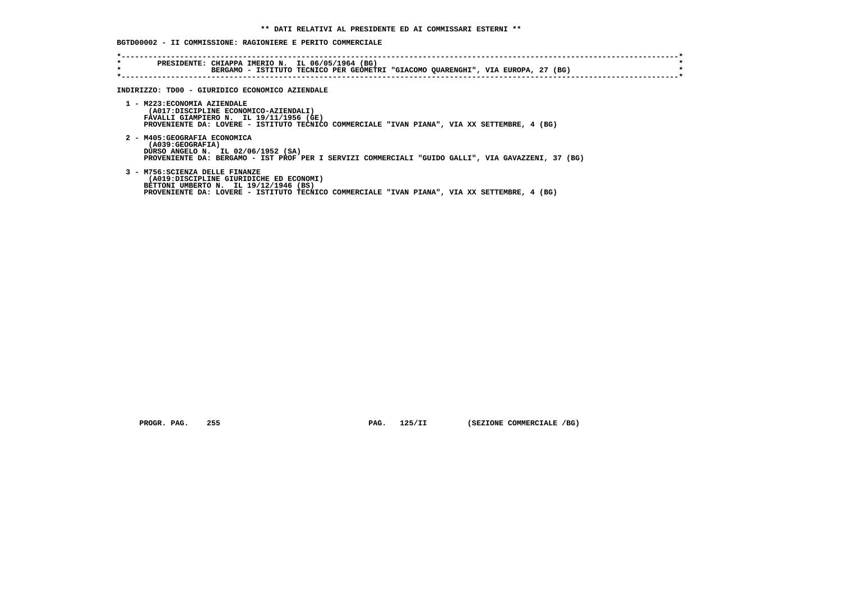## **BGTD00002 - II COMMISSIONE: RAGIONIERE E PERITO COMMERCIALE**

| $\star$<br>$\star$ | PRESIDENTE: CHIAPPA IMERIO N. IL 06/05/1964 (BG)<br>BERGAMO - ISTITUTO TECNICO PER GEOMETRI "GIACOMO QUARENGHI", VIA EUROPA, 27 (BG)                                                                                |
|--------------------|---------------------------------------------------------------------------------------------------------------------------------------------------------------------------------------------------------------------|
|                    | INDIRIZZO: TD00 - GIURIDICO ECONOMICO AZIENDALE                                                                                                                                                                     |
|                    | 1 - M223: ECONOMIA AZIENDALE<br>(A017:DISCIPLINE ECONOMICO-AZIENDALI)<br>FAVALLI GIAMPIERO N. IL 19/11/1956 (GE)<br>PROVENIENTE DA: LOVERE - ISTITUTO TECNICO COMMERCIALE "IVAN PIANA", VIA XX SETTEMBRE, 4 (BG)    |
|                    | 2 - M405: GEOGRAFIA ECONOMICA<br>(A039:GEOGRAFIA)<br>DURSO ANGELO N. IL 02/06/1952 (SA)<br>PROVENIENTE DA: BERGAMO - IST PROF PER I SERVIZI COMMERCIALI "GUIDO GALLI", VIA GAVAZZENI, 37 (BG)                       |
|                    | 3 - M756: SCIENZA DELLE FINANZE<br>(A019:DISCIPLINE GIURIDICHE ED ECONOMI)<br>BETTONI UMBERTO N. IL 19/12/1946 (BS)<br>PROVENIENTE DA: LOVERE - ISTITUTO TECNICO COMMERCIALE "IVAN PIANA", VIA XX SETTEMBRE, 4 (BG) |

 **PROGR. PAG.** 255 **PAG.** 125/II (SEZIONE COMMERCIALE /BG)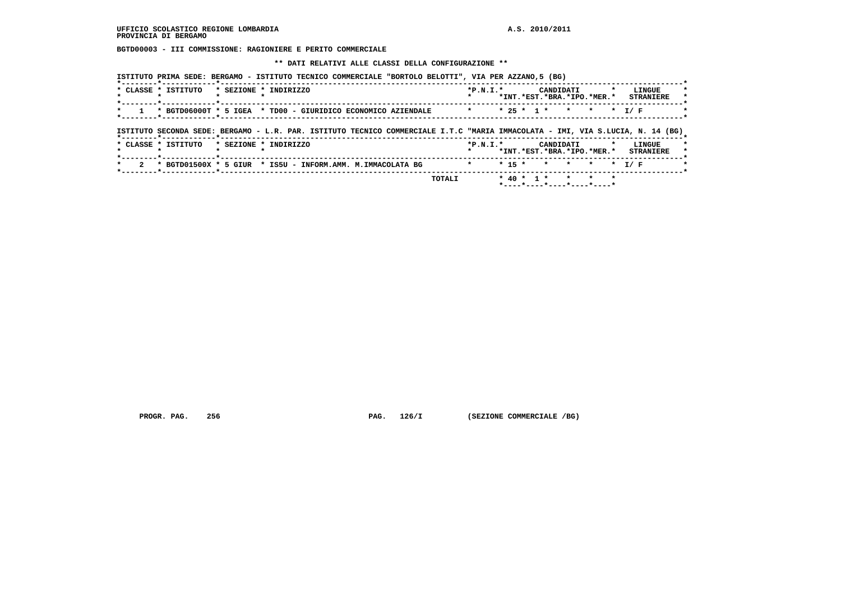**BGTD00003 - III COMMISSIONE: RAGIONIERE E PERITO COMMERCIALE**

 **\*\* DATI RELATIVI ALLE CLASSI DELLA CONFIGURAZIONE \*\***

| * CLASSE * ISTITUTO                                                                                                                                   | * SEZIONE * INDIRIZZO |  |  | $*P.N.T.*$ |  | CANDIDATI<br>*INT.*EST.*BRA.*IPO.*MER.* |         | $\cdot$ | LINGUE<br><b>STRANIERE</b> |  |
|-------------------------------------------------------------------------------------------------------------------------------------------------------|-----------------------|--|--|------------|--|-----------------------------------------|---------|---------|----------------------------|--|
| * BGTD06000T * 5 IGEA * TD00 - GIURIDICO ECONOMICO AZIENDALE                                                                                          |                       |  |  |            |  | $* 25 * 1 * * *$                        | $\star$ |         | * T/F                      |  |
|                                                                                                                                                       |                       |  |  |            |  |                                         |         |         |                            |  |
|                                                                                                                                                       |                       |  |  |            |  |                                         |         |         |                            |  |
| ISTITUTO SECONDA SEDE: BERGAMO - L.R. PAR. ISTITUTO TECNICO COMMERCIALE I.T.C "MARIA IMMACOLATA - IMI, VIA S.LUCIA, N. 14 (BG)<br>* CLASSE * ISTITUTO | * SEZIONE * INDIRIZZO |  |  | $*P.N.T.*$ |  | CANDIDATI<br>*INT.*EST.*BRA.*IPO.*MER.* |         |         | LINGUE<br><b>STRANIERE</b> |  |

 **PROGR. PAG.** 256 **PAG. 126/I (SEZIONE COMMERCIALE /BG)**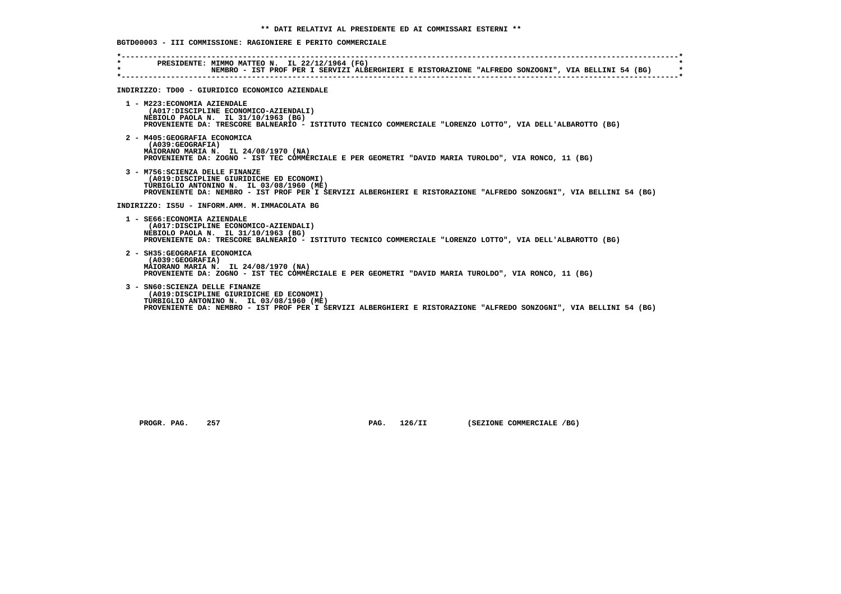# **BGTD00003 - III COMMISSIONE: RAGIONIERE E PERITO COMMERCIALE**

| $\star$ | PRESIDENTE: MIMMO MATTEO N. IL 22/12/1964 (FG)<br>NEMBRO - IST PROF PER I SERVIZI ALBERGHIERI E RISTORAZIONE "ALFREDO SONZOGNI", VIA BELLINI 54 (BG)                                                                                         |
|---------|----------------------------------------------------------------------------------------------------------------------------------------------------------------------------------------------------------------------------------------------|
|         | INDIRIZZO: TD00 - GIURIDICO ECONOMICO AZIENDALE                                                                                                                                                                                              |
|         | 1 - M223: ECONOMIA AZIENDALE<br>(A017:DISCIPLINE ECONOMICO-AZIENDALI)<br>NEBIOLO PAOLA N. IL 31/10/1963 (BG)<br>PROVENIENTE DA: TRESCORE BALNEARIO - ISTITUTO TECNICO COMMERCIALE "LORENZO LOTTO", VIA DELL'ALBAROTTO (BG)                   |
|         | 2 - M405: GEOGRAFIA ECONOMICA<br>(A039; GEOGRAPH)<br>MAIORANO MARIA N. IL 24/08/1970 (NA)<br>PROVENIENTE DA: ZOGNO - IST TEC COMMERCIALE E PER GEOMETRI "DAVID MARIA TUROLDO", VIA RONCO, 11 (BG)                                            |
|         | 3 - M756: SCIENZA DELLE FINANZE<br>(A019:DISCIPLINE GIURIDICHE ED ECONOMI)<br>TURBIGLIO ANTONINO N. IL 03/08/1960 (ME)<br>PROVENIENTE DA: NEMBRO - IST PROF PER I SERVIZI ALBERGHIERI E RISTORAZIONE "ALFREDO SONZOGNI", VIA BELLINI 54 (BG) |
|         | INDIRIZZO: IS5U - INFORM.AMM. M.IMMACOLATA BG                                                                                                                                                                                                |
|         | 1 - SE66: ECONOMIA AZIENDALE<br>(A017:DISCIPLINE ECONOMICO-AZIENDALI)<br>NEBIOLO PAOLA N. IL 31/10/1963 (BG)<br>PROVENIENTE DA: TRESCORE BALNEARIO - ISTITUTO TECNICO COMMERCIALE "LORENZO LOTTO", VIA DELL'ALBAROTTO (BG)                   |
|         | 2 - SH35: GEOGRAFIA ECONOMICA<br>(A039; GEOGRAPH)<br>MAIORANO MARIA N. IL 24/08/1970 (NA)<br>PROVENIENTE DA: ZOGNO - IST TEC COMMERCIALE E PER GEOMETRI "DAVID MARIA TUROLDO", VIA RONCO, 11 (BG)                                            |
|         | 3 - SN60: SCIENZA DELLE FINANZE<br>(A019:DISCIPLINE GIURIDICHE ED ECONOMI)<br>TURBIGLIO ANTONINO N. IL 03/08/1960 (ME)<br>PROVENIENTE DA: NEMBRO - IST PROF PER I SERVIZI ALBERGHIERI E RISTORAZIONE "ALFREDO SONZOGNI", VIA BELLINI 54 (BG) |

 **PROGR. PAG.** 257 **PAG. 126/II** (SEZIONE COMMERCIALE /BG)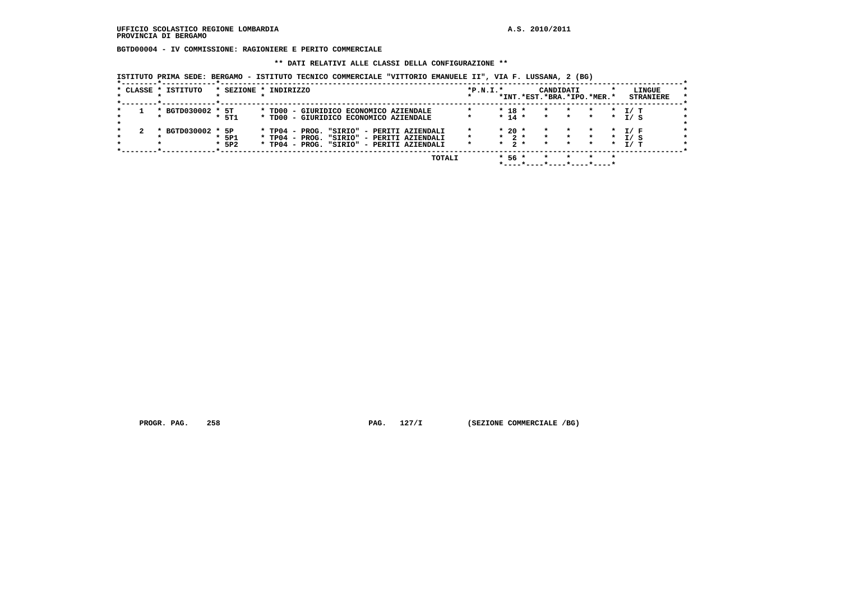**BGTD00004 - IV COMMISSIONE: RAGIONIERE E PERITO COMMERCIALE**

#### **\*\* DATI RELATIVI ALLE CLASSI DELLA CONFIGURAZIONE \*\***

 **ISTITUTO PRIMA SEDE: BERGAMO - ISTITUTO TECNICO COMMERCIALE "VITTORIO EMANUELE II", VIA F. LUSSANA, 2 (BG)**

|  | * CLASSE * ISTITUTO |                    | * SEZIONE * INDIRIZZO                                                                                                               | $*P.N.T.*$ |                                           | *INT.*EST.*BRA.*IPO.*MER.* | CANDIDATI                     |                                |                                 |                    | LINGUE<br><b>STRANIERE</b> | $\star$ |
|--|---------------------|--------------------|-------------------------------------------------------------------------------------------------------------------------------------|------------|-------------------------------------------|----------------------------|-------------------------------|--------------------------------|---------------------------------|--------------------|----------------------------|---------|
|  | * BGTD030002 * 5T   | $*$ 5T1            | * TD00 - GIURIDICO ECONOMICO AZIENDALE<br>* TD00 - GIURIDICO ECONOMICO AZIENDALE                                                    |            | $* 18 *$<br>$* 14 *$                      |                            | $\star$<br>$\star$            | $\star$<br>$\star$ $\star$     | $\star$ $\sim$<br>$\star$       | $\star$<br>$\star$ | T/ T<br>I/S                |         |
|  | * BGTD030002 * 5P   | $*$ 5P1<br>$*$ 5P2 | * TP04 - PROG. "SIRIO" - PERITI AZIENDALI<br>* TP04 - PROG. "SIRIO" - PERITI AZIENDALI<br>* TP04 - PROG. "SIRIO" - PERITI AZIENDALI |            | $*20$ *<br>$\star$ 2 $\star$<br>$*$ 2 $*$ |                            | $\star$<br>$\star$<br>$\star$ | $\star$ and $\star$<br>$\star$ | * * T/F<br>* * * T/S<br>$\star$ | $\star$            | T/ T                       |         |
|  |                     |                    | TOTALI                                                                                                                              |            | $*56*$                                    |                            |                               |                                |                                 |                    |                            |         |

 **\*----\*----\*----\*----\*----\***

PROGR. PAG. 258 **PROGRAM PAG. 258** PAG. 127/I (SEZIONE COMMERCIALE /BG)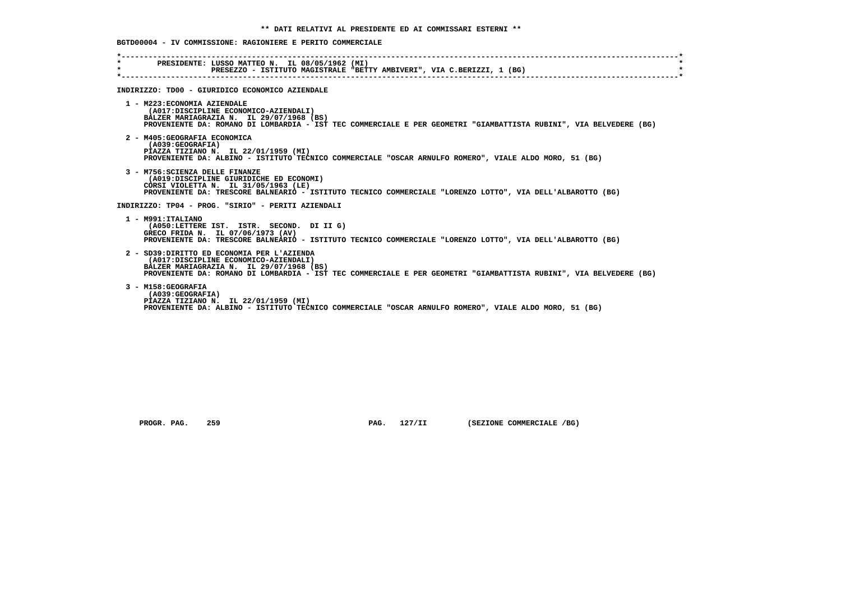**BGTD00004 - IV COMMISSIONE: RAGIONIERE E PERITO COMMERCIALE**

| PRESIDENTE: LUSSO MATTEO N. IL 08/05/1962 (MI)<br>$\star$<br>PRESEZZO - ISTITUTO MAGISTRALE "BETTY AMBIVERI", VIA C.BERIZZI, 1 (BG)<br>INDIRIZZO: TD00 - GIURIDICO ECONOMICO AZIENDALE<br>1 - M223: ECONOMIA AZIENDALE<br>(A017:DISCIPLINE ECONOMICO-AZIENDALI)<br>BALZER MARIAGRAZIA N. IL 29/07/1968 (BS)<br>2 - M405: GEOGRAFIA ECONOMICA<br>(A039: GEOGRAFIA)<br>PIAZZA TIZIANO N. IL 22/01/1959 (MI)<br>PROVENIENTE DA: ALBINO - ISTITUTO TECNICO COMMERCIALE "OSCAR ARNULFO ROMERO", VIALE ALDO MORO, 51 (BG)<br>3 - M756: SCIENZA DELLE FINANZE<br>(A019:DISCIPLINE GIURIDICHE ED ECONOMI)<br>CORSI VIOLETTA N. IL 31/05/1963 (LE)<br>PROVENIENTE DA: TRESCORE BALNEARIO - ISTITUTO TECNICO COMMERCIALE "LORENZO LOTTO", VIA DELL'ALBAROTTO (BG)<br>INDIRIZZO: TP04 - PROG. "SIRIO" - PERITI AZIENDALI<br>1 - M991: ITALIANO<br>(A050:LETTERE IST. ISTR. SECOND. DI II G)<br>GRECO FRIDA N. IL 07/06/1973 (AV)<br>PROVENIENTE DA: TRESCORE BALNEARIO - ISTITUTO TECNICO COMMERCIALE "LORENZO LOTTO", VIA DELL'ALBAROTTO (BG)<br>2 - SD39:DIRITTO ED ECONOMIA PER L'AZIENDA<br>(A017:DISCIPLINE ECONOMICO-AZIENDALI)<br>BALZER MARIAGRAZIA N. IL 29/07/1968 (BS)<br>3 - M158: GEOGRAFIA<br>(A039: GEOGRAFIA)<br>PIAZZA TIZIANO N. IL 22/01/1959 (MI)<br>PROVENIENTE DA: ALBINO - ISTITUTO TECNICO COMMERCIALE "OSCAR ARNULFO ROMERO", VIALE ALDO MORO, 51 (BG) |                                                                                                                    |
|----------------------------------------------------------------------------------------------------------------------------------------------------------------------------------------------------------------------------------------------------------------------------------------------------------------------------------------------------------------------------------------------------------------------------------------------------------------------------------------------------------------------------------------------------------------------------------------------------------------------------------------------------------------------------------------------------------------------------------------------------------------------------------------------------------------------------------------------------------------------------------------------------------------------------------------------------------------------------------------------------------------------------------------------------------------------------------------------------------------------------------------------------------------------------------------------------------------------------------------------------------------------------------------------------------------------------------------------------------------------|--------------------------------------------------------------------------------------------------------------------|
|                                                                                                                                                                                                                                                                                                                                                                                                                                                                                                                                                                                                                                                                                                                                                                                                                                                                                                                                                                                                                                                                                                                                                                                                                                                                                                                                                                      |                                                                                                                    |
|                                                                                                                                                                                                                                                                                                                                                                                                                                                                                                                                                                                                                                                                                                                                                                                                                                                                                                                                                                                                                                                                                                                                                                                                                                                                                                                                                                      |                                                                                                                    |
|                                                                                                                                                                                                                                                                                                                                                                                                                                                                                                                                                                                                                                                                                                                                                                                                                                                                                                                                                                                                                                                                                                                                                                                                                                                                                                                                                                      | PROVENIENTE DA: ROMANO DI LOMBARDIA - IST TEC COMMERCIALE E PER GEOMETRI "GIAMBATTISTA RUBINI", VIA BELVEDERE (BG) |
|                                                                                                                                                                                                                                                                                                                                                                                                                                                                                                                                                                                                                                                                                                                                                                                                                                                                                                                                                                                                                                                                                                                                                                                                                                                                                                                                                                      |                                                                                                                    |
|                                                                                                                                                                                                                                                                                                                                                                                                                                                                                                                                                                                                                                                                                                                                                                                                                                                                                                                                                                                                                                                                                                                                                                                                                                                                                                                                                                      |                                                                                                                    |
|                                                                                                                                                                                                                                                                                                                                                                                                                                                                                                                                                                                                                                                                                                                                                                                                                                                                                                                                                                                                                                                                                                                                                                                                                                                                                                                                                                      |                                                                                                                    |
|                                                                                                                                                                                                                                                                                                                                                                                                                                                                                                                                                                                                                                                                                                                                                                                                                                                                                                                                                                                                                                                                                                                                                                                                                                                                                                                                                                      |                                                                                                                    |
|                                                                                                                                                                                                                                                                                                                                                                                                                                                                                                                                                                                                                                                                                                                                                                                                                                                                                                                                                                                                                                                                                                                                                                                                                                                                                                                                                                      | PROVENIENTE DA: ROMANO DI LOMBARDIA - IST TEC COMMERCIALE E PER GEOMETRI "GIAMBATTISTA RUBINI", VIA BELVEDERE (BG) |
|                                                                                                                                                                                                                                                                                                                                                                                                                                                                                                                                                                                                                                                                                                                                                                                                                                                                                                                                                                                                                                                                                                                                                                                                                                                                                                                                                                      |                                                                                                                    |

 **PROGR. PAG.** 259 **PAG.** 127/II (SEZIONE COMMERCIALE /BG)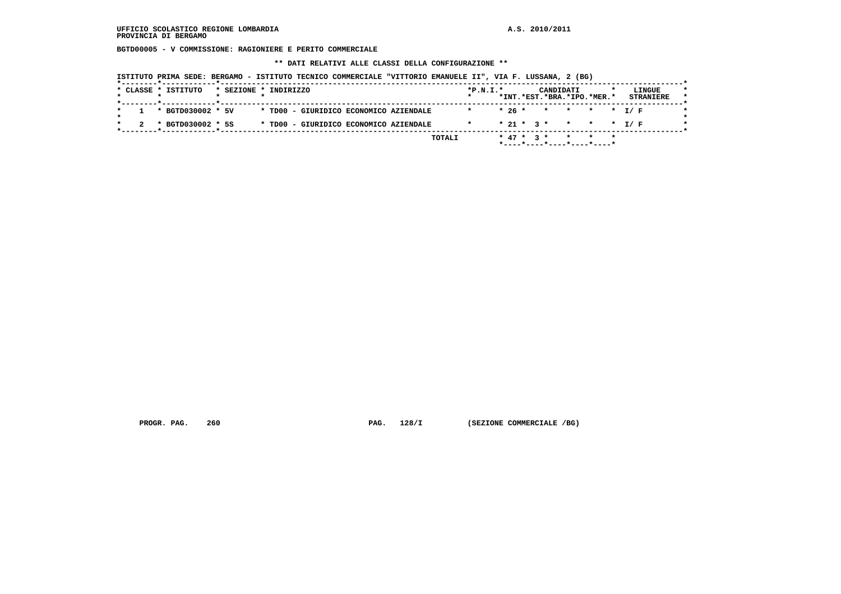**BGTD00005 - V COMMISSIONE: RAGIONIERE E PERITO COMMERCIALE**

 **\*\* DATI RELATIVI ALLE CLASSI DELLA CONFIGURAZIONE \*\***

| ISTITUTO PRIMA SEDE: BERGAMO - ISTITUTO TECNICO COMMERCIALE "VITTORIO EMANUELE II", VIA F. LUSSANA, 2 (BG) |  |  |  |  |  |  |  |  |  |  |  |  |  |  |
|------------------------------------------------------------------------------------------------------------|--|--|--|--|--|--|--|--|--|--|--|--|--|--|
|------------------------------------------------------------------------------------------------------------|--|--|--|--|--|--|--|--|--|--|--|--|--|--|

|  |                   |  |                                        |  |  |  | *INT.*EST.*BRA.*IPO.*MER.* |  | <b>STRANIERE</b> |
|--|-------------------|--|----------------------------------------|--|--|--|----------------------------|--|------------------|
|  | * BGTD030002 * 5V |  | * TD00 - GIURIDICO ECONOMICO AZIENDALE |  |  |  | $* 26 * * * * * * I/F$     |  |                  |
|  | * BGTD030002 * 5S |  | * TD00 - GIURIDICO ECONOMICO AZIENDALE |  |  |  | $* 21 * 3 * * * * * I/F$   |  |                  |

 **PROGR. PAG.** 260 **PAG.** 128/I (SEZIONE COMMERCIALE /BG)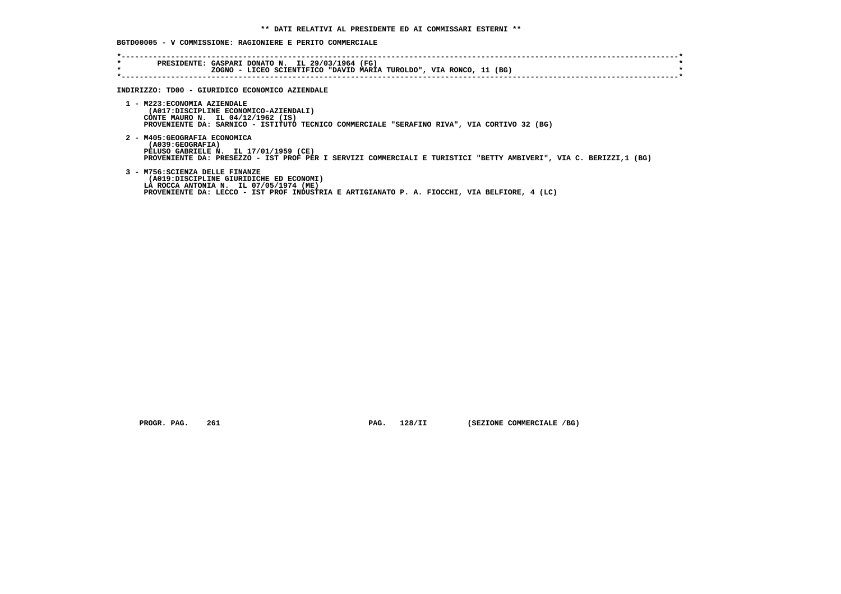# **BGTD00005 - V COMMISSIONE: RAGIONIERE E PERITO COMMERCIALE**

| $\star$<br>$\star$ | PRESIDENTE: GASPARI DONATO N. IL 29/03/1964 (FG)<br>ZOGNO - LICEO SCIENTIFICO "DAVID MARIA TUROLDO", VIA RONCO, 11 (BG)                                                                                              |
|--------------------|----------------------------------------------------------------------------------------------------------------------------------------------------------------------------------------------------------------------|
|                    | INDIRIZZO: TD00 - GIURIDICO ECONOMICO AZIENDALE                                                                                                                                                                      |
|                    | 1 - M223: ECONOMIA AZIENDALE<br>(A017:DISCIPLINE ECONOMICO-AZIENDALI)<br>CONTE MAURO N. IL 04/12/1962 (IS)<br>PROVENIENTE DA: SARNICO - ISTITUTO TECNICO COMMERCIALE "SERAFINO RIVA", VIA CORTIVO 32 (BG)            |
|                    | 2 - M405: GEOGRAFIA ECONOMICA<br>(A039:GEOGRAFIA)<br>PELUSO GABRIELE N. IL 17/01/1959 (CE)<br>PROVENIENTE DA: PRESEZZO - IST PROF PER I SERVIZI COMMERCIALI E TURISTICI "BETTY AMBIVERI", VIA C. BERIZZI,1 (BG)      |
|                    | 3 - M756: SCIENZA DELLE FINANZE<br>(A019:DISCIPLINE GIURIDICHE ED ECONOMI)<br>LA ROCCA ANTONIA N. IL 07/05/1974 (ME)<br>PROVENIENTE DA: LECCO - IST PROF INDUSTRIA E ARTIGIANATO P. A. FIOCCHI, VIA BELFIORE, 4 (LC) |

 **PROGR. PAG.** 261 **PAG. 128/II** (SEZIONE COMMERCIALE /BG)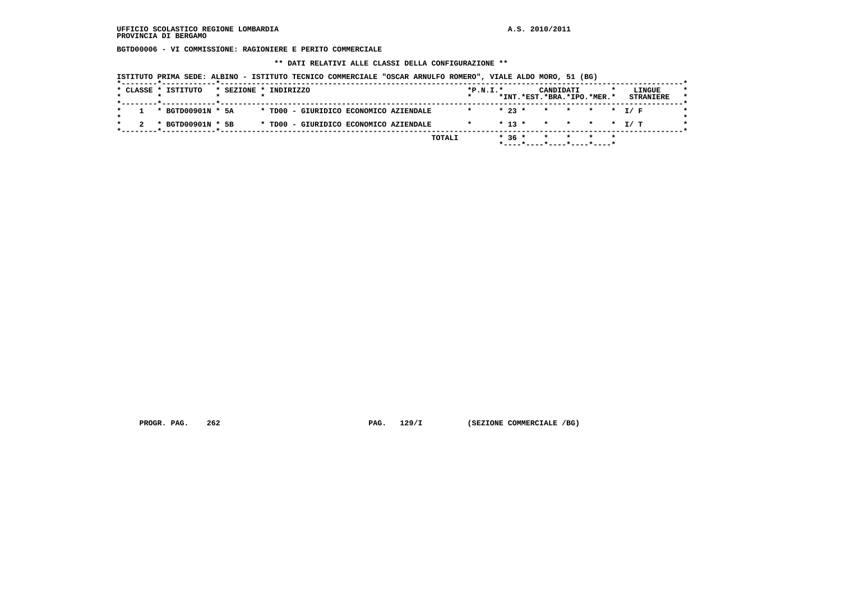**BGTD00006 - VI COMMISSIONE: RAGIONIERE E PERITO COMMERCIALE**

 **\*\* DATI RELATIVI ALLE CLASSI DELLA CONFIGURAZIONE \*\***

 **ISTITUTO PRIMA SEDE: ALBINO - ISTITUTO TECNICO COMMERCIALE "OSCAR ARNULFO ROMERO", VIALE ALDO MORO, 51 (BG)**

| * CLASSE * ISTITUTO   |  | * SEZIONE * INDIRIZZO                  | $*P.N.I.*$      |  | CANDIDATI<br>*INT.*EST.*BRA.*IPO.*MER.* |  | LINGUE<br><b>STRANIERE</b> |
|-----------------------|--|----------------------------------------|-----------------|--|-----------------------------------------|--|----------------------------|
| $1 * BGTD00901N * 5A$ |  | * TD00 - GIURIDICO ECONOMICO AZIENDALE | $\star$ $\star$ |  | $* 23 * * * * * * * I/F$                |  |                            |
| * BGTD00901N * 5B     |  | * TD00 - GIURIDICO ECONOMICO AZIENDALE |                 |  |                                         |  |                            |

 **PROGR. PAG.** 262 **PAG.** 129/I (SEZIONE COMMERCIALE /BG)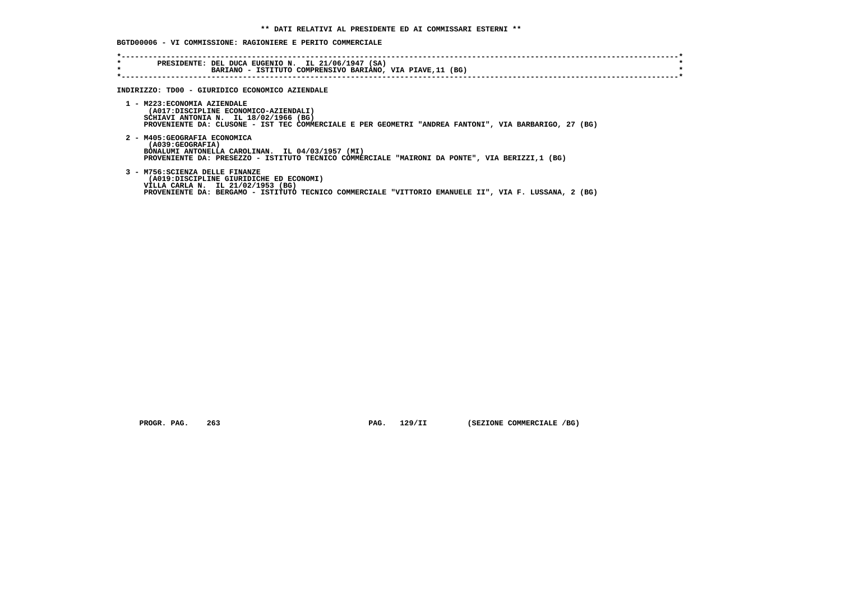**BGTD00006 - VI COMMISSIONE: RAGIONIERE E PERITO COMMERCIALE**

| $\star$<br>$\star$ | PRESIDENTE: DEL DUCA EUGENIO N. IL 21/06/1947 (SA)<br>BARIANO - ISTITUTO COMPRENSIVO BARIANO, VIA PIAVE, 11 (BG)                                                                                                         |
|--------------------|--------------------------------------------------------------------------------------------------------------------------------------------------------------------------------------------------------------------------|
|                    | INDIRIZZO: TD00 - GIURIDICO ECONOMICO AZIENDALE                                                                                                                                                                          |
|                    | 1 - M223: ECONOMIA AZIENDALE<br>(A017:DISCIPLINE ECONOMICO-AZIENDALI)<br>SCHIAVI ANTONIA N. IL 18/02/1966 (BG)<br>PROVENIENTE DA: CLUSONE - IST TEC COMMERCIALE E PER GEOMETRI "ANDREA FANTONI", VIA BARBARIGO, 27 (BG)  |
|                    | 2 - M405: GEOGRAFIA ECONOMICA<br>(A039:GEOGRAFIA)<br>BONALUMI ANTONELLA CAROLINAN. IL 04/03/1957 (MI)<br>PROVENIENTE DA: PRESEZZO - ISTITUTO TECNICO COMMERCIALE "MAIRONI DA PONTE", VIA BERIZZI,1 (BG)                  |
|                    | 3 - M756: SCIENZA DELLE FINANZE<br>(A019:DISCIPLINE GIURIDICHE ED ECONOMI)<br>VILLA CARLA N. IL 21/02/1953 (BG)<br>PROVENIENTE DA: BERGAMO - ISTITUTO TECNICO COMMERCIALE "VITTORIO EMANUELE II", VIA F. LUSSANA, 2 (BG) |

 **PROGR. PAG.** 263 **PAG.** 129/II (SEZIONE COMMERCIALE /BG)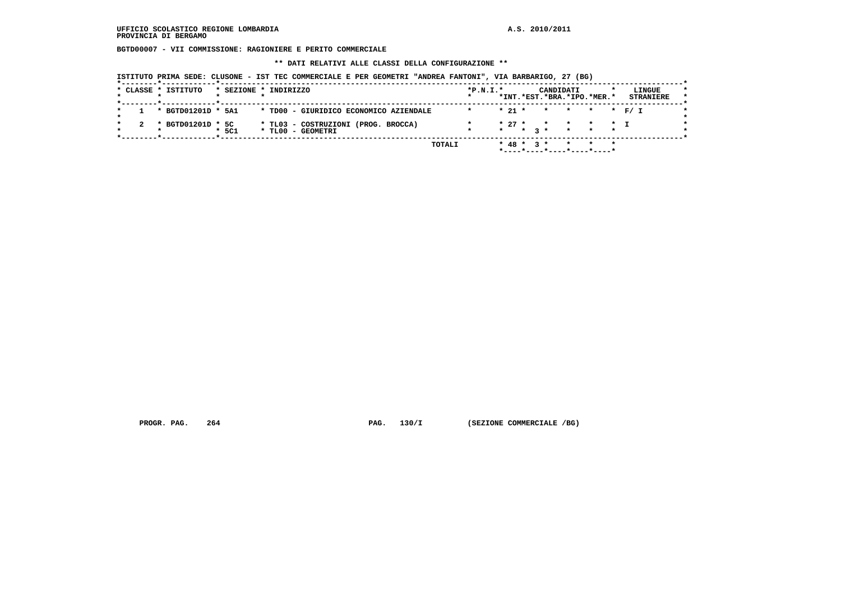#### **UFFICIO SCOLASTICO REGIONE LOMBARDIA A.S. 2010/2011 PROVINCIA DI BERGAMO**

 **BGTD00007 - VII COMMISSIONE: RAGIONIERE E PERITO COMMERCIALE**

 **\*\* DATI RELATIVI ALLE CLASSI DELLA CONFIGURAZIONE \*\***

 **ISTITUTO PRIMA SEDE: CLUSONE - IST TEC COMMERCIALE E PER GEOMETRI "ANDREA FANTONI", VIA BARBARIGO, 27 (BG)**

| * CLASSE * ISTITUTO |         | * SEZIONE * INDIRIZZO                                    | $*P.N.T.*$ |         |          |  | CANDIDATI | *INT.*EST.*BRA.*IPO.*MER.*                             | LINGUE<br><b>STRANIERE</b> |
|---------------------|---------|----------------------------------------------------------|------------|---------|----------|--|-----------|--------------------------------------------------------|----------------------------|
| * BGTD01201D * 5A1  |         | * TD00 - GIURIDICO ECONOMICO AZIENDALE                   | $\star$    |         | $* 21 *$ |  |           | * * * * F/T                                            |                            |
| * BGTD01201D * 5C   | $*$ 5C1 | * TL03 - COSTRUZIONI (PROG. BROCCA)<br>* TL00 - GEOMETRI |            | $\star$ | $* 27 *$ |  |           | * * * * T<br>$\star$ 3 $\star$ $\star$ $\star$ $\star$ |                            |

 **PROGR. PAG.** 264 **PAG.** 130/I (SEZIONE COMMERCIALE /BG)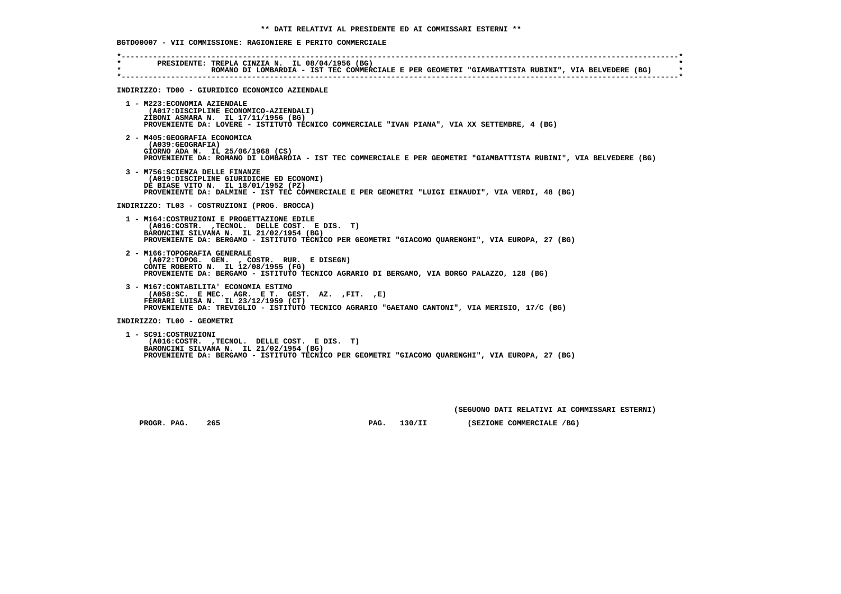**BGTD00007 - VII COMMISSIONE: RAGIONIERE E PERITO COMMERCIALE**

| $\star$<br>$\star$ | PRESIDENTE: TREPLA CINZIA N. IL 08/04/1956 (BG)<br>ROMANO DI LOMBARDIA - IST TEC COMMERCIALE E PER GEOMETRI "GIAMBATTISTA RUBINI", VIA BELVEDERE (BG)                                                                                      |
|--------------------|--------------------------------------------------------------------------------------------------------------------------------------------------------------------------------------------------------------------------------------------|
|                    | INDIRIZZO: TD00 - GIURIDICO ECONOMICO AZIENDALE                                                                                                                                                                                            |
|                    | 1 - M223: ECONOMIA AZIENDALE<br>(A017:DISCIPLINE ECONOMICO-AZIENDALI)<br>ZIBONI ASMARA N. IL 17/11/1956 (BG)<br>PROVENIENTE DA: LOVERE - ISTITUTO TECNICO COMMERCIALE "IVAN PIANA", VIA XX SETTEMBRE, 4 (BG)                               |
|                    | 2 - M405: GEOGRAFIA ECONOMICA<br>(A039:GEOGRAFIA)<br>GIORNO ADA N. IL 25/06/1968 (CS)<br>PROVENIENTE DA: ROMANO DI LOMBARDIA - IST TEC COMMERCIALE E PER GEOMETRI "GIAMBATTISTA RUBINI", VIA BELVEDERE (BG)                                |
|                    | 3 - M756: SCIENZA DELLE FINANZE<br>(A019:DISCIPLINE GIURIDICHE ED ECONOMI)<br>DE BIASE VITO N. IL 18/01/1952 (PZ)<br>PROVENIENTE DA: DALMINE - IST TEC COMMERCIALE E PER GEOMETRI "LUIGI EINAUDI", VIA VERDI, 48 (BG)                      |
|                    | INDIRIZZO: TL03 - COSTRUZIONI (PROG. BROCCA)                                                                                                                                                                                               |
|                    | 1 - M164: COSTRUZIONI E PROGETTAZIONE EDILE<br>(A016:COSTR. , TECNOL. DELLE COST. E DIS. T)<br>BARONCINI SILVANA N. IL 21/02/1954 (BG)<br>PROVENIENTE DA: BERGAMO - ISTITUTO TECNICO PER GEOMETRI "GIACOMO QUARENGHI", VIA EUROPA, 27 (BG) |
|                    | 2 - M166: TOPOGRAFIA GENERALE<br>(A072:TOPOG. GEN., COSTR. RUR. E DISEGN)<br>CONTE ROBERTO N. IL 12/08/1955 (FG)<br>PROVENIENTE DA: BERGAMO - ISTITUTO TECNICO AGRARIO DI BERGAMO, VIA BORGO PALAZZO, 128 (BG)                             |
|                    | 3 - M167: CONTABILITA' ECONOMIA ESTIMO<br>$(AO58:SC.$ E MEC. AGR. E T. GEST. AZ. $, FIT.$ $, E)$<br>FERRARI LUISA N. IL 23/12/1959 (CT)<br>PROVENIENTE DA: TREVIGLIO - ISTITUTO TECNICO AGRARIO "GAETANO CANTONI", VIA MERISIO, 17/C (BG)  |
|                    | INDIRIZZO: TL00 - GEOMETRI                                                                                                                                                                                                                 |
|                    | 1 - SC91:COSTRUZIONI<br>(A016:COSTR. , TECNOL. DELLE COST. E DIS. T)<br>BARONCINI SILVANA N. IL 21/02/1954 (BG)<br>PROVENIENTE DA: BERGAMO - ISTITUTO TECNICO PER GEOMETRI "GIACOMO QUARENGHI", VIA EUROPA, 27 (BG)                        |

 **(SEGUONO DATI RELATIVI AI COMMISSARI ESTERNI)**

 **PROGR. PAG.** 265 **PAG.** 130/II (SEZIONE COMMERCIALE /BG)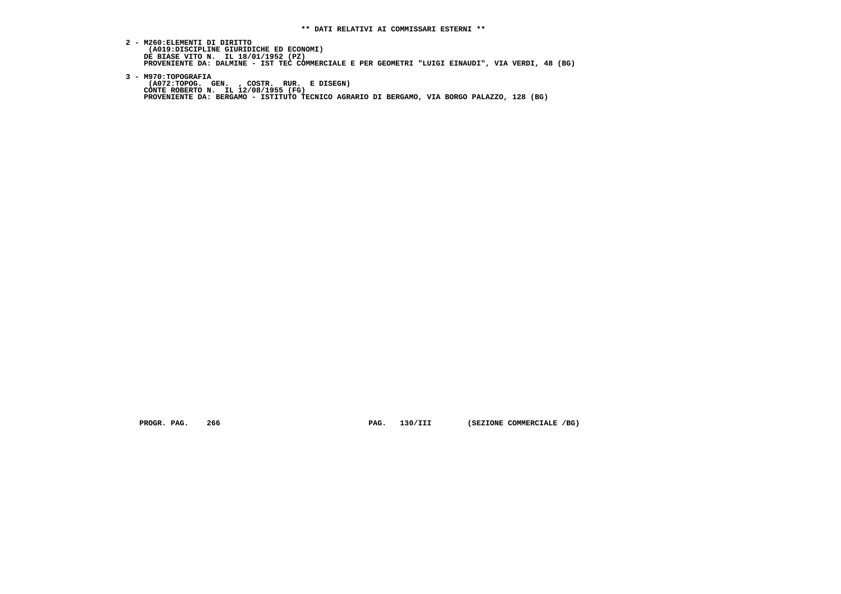**2 - M260:ELEMENTI DI DIRITTO**(A019:DISCIPLINE GIURIDICHE ED ECONOMI)<br>DE BIASE VITO N. IL 18/01/1952 (PZ)<br>PROVENIENTE DA: DALMINE - IST TEC COMMERCIALE E PER GEOMETRI "LUIGI EINAUDI", VIA VERDI, 48 (BG)

 **3 - M970:TOPOGRAFIA (A072:TOPOG. GEN. , COSTR. RUR. E DISEGN) CONTE ROBERTO N. IL 12/08/1955 (FG) PROVENIENTE DA: BERGAMO - ISTITUTO TECNICO AGRARIO DI BERGAMO, VIA BORGO PALAZZO, 128 (BG)**

PROGR. PAG. 266 **PROGRAM PAG. 130/III (SEZIONE COMMERCIALE** /BG)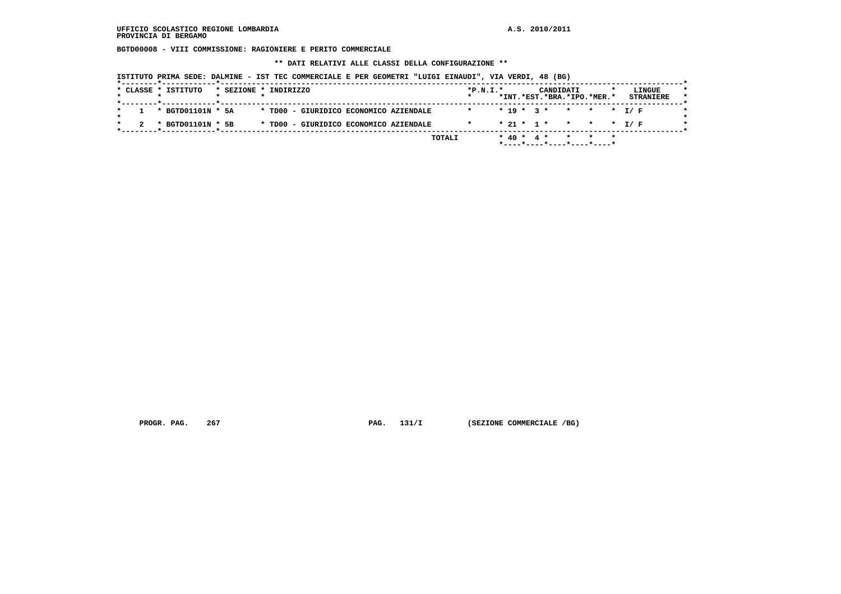**BGTD00008 - VIII COMMISSIONE: RAGIONIERE E PERITO COMMERCIALE**

 **\*\* DATI RELATIVI ALLE CLASSI DELLA CONFIGURAZIONE \*\***

| ISTITUTO PRIMA SEDE: DALMINE - IST TEC COMMERCIALE E PER GEOMETRI "LUIGI EINAUDI", VIA VERDI, 48 (BG) |  |  |  |  |  |  |  |  |
|-------------------------------------------------------------------------------------------------------|--|--|--|--|--|--|--|--|
|-------------------------------------------------------------------------------------------------------|--|--|--|--|--|--|--|--|

|                   |  |                                        |         |  |                          | *INT.*EST.*BRA.*IPO.*MER.* | <b>STRANIERE</b> |
|-------------------|--|----------------------------------------|---------|--|--------------------------|----------------------------|------------------|
| * BGTD01101N * 5A |  | * TD00 - GIURIDICO ECONOMICO AZIENDALE | $\star$ |  | $* 19 * 3 * * * * * I/F$ |                            |                  |
| * BGTD01101N * 5B |  | * TD00 - GIURIDICO ECONOMICO AZIENDALE |         |  | $* 21 * 1 * * * * * I/F$ |                            |                  |

 **PROGR. PAG.** 267 **PAG. 131/I** (SEZIONE COMMERCIALE /BG)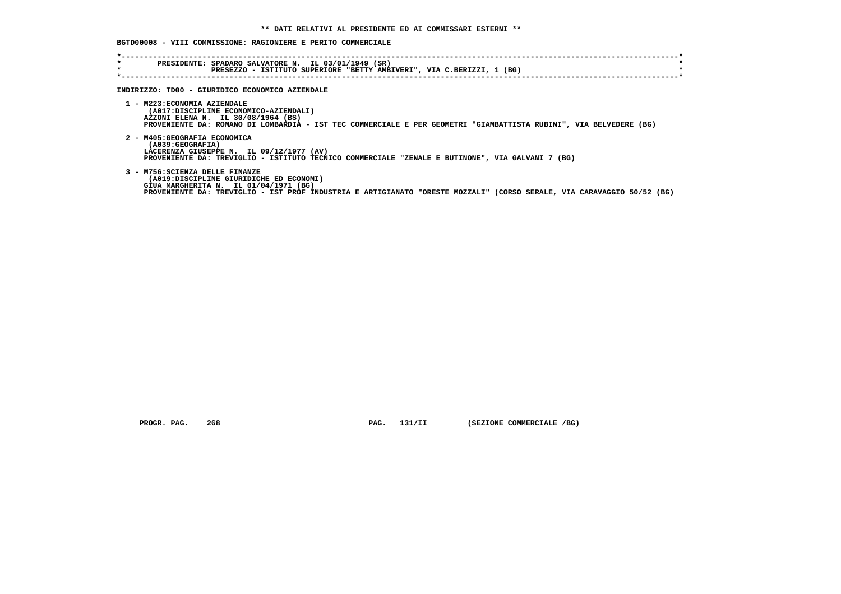# **BGTD00008 - VIII COMMISSIONE: RAGIONIERE E PERITO COMMERCIALE**

| $\star$<br>$\star$ | PRESIDENTE: SPADARO SALVATORE N. IL 03/01/1949 (SR)<br>PRESEZZO - ISTITUTO SUPERIORE "BETTY AMBIVERI", VIA C.BERIZZI, 1 (BG)                                                                                                                  |
|--------------------|-----------------------------------------------------------------------------------------------------------------------------------------------------------------------------------------------------------------------------------------------|
|                    | INDIRIZZO: TD00 - GIURIDICO ECONOMICO AZIENDALE                                                                                                                                                                                               |
|                    | 1 - M223: ECONOMIA AZIENDALE<br>(A017:DISCIPLINE ECONOMICO-AZIENDALI)<br>AZZONI ELENA N. IL 30/08/1964 (BS)<br>PROVENIENTE DA: ROMANO DI LOMBARDIA - IST TEC COMMERCIALE E PER GEOMETRI "GIAMBATTISTA RUBINI", VIA BELVEDERE (BG)             |
|                    | 2 - M405: GEOGRAFIA ECONOMICA<br>(A039:GEOGRAFIA)<br>LACERENZA GIUSEPPE N. IL 09/12/1977 (AV)<br>PROVENIENTE DA: TREVIGLIO - ISTITUTO TECNICO COMMERCIALE "ZENALE E BUTINONE", VIA GALVANI 7 (BG)                                             |
|                    | 3 - M756: SCIENZA DELLE FINANZE<br>(A019:DISCIPLINE GIURIDICHE ED ECONOMI)<br>GIUA MARGHERITA N. IL 01/04/1971 (BG)<br>PROVENIENTE DA: TREVIGLIO - IST PROF INDUSTRIA E ARTIGIANATO "ORESTE MOZZALI" (CORSO SERALE, VIA CARAVAGGIO 50/52 (BG) |

 **PROGR. PAG.** 268 **PAG.** 131/II (SEZIONE COMMERCIALE /BG)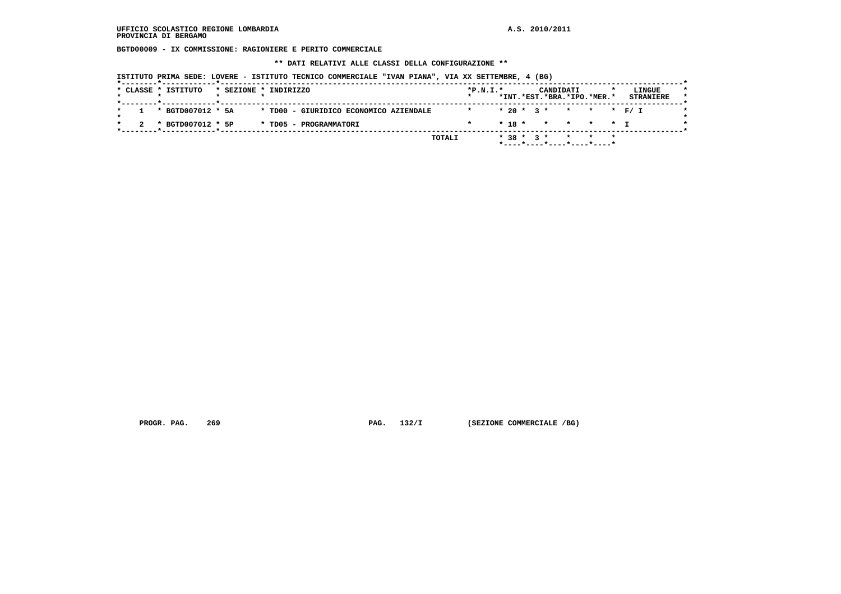**BGTD00009 - IX COMMISSIONE: RAGIONIERE E PERITO COMMERCIALE**

 **\*\* DATI RELATIVI ALLE CLASSI DELLA CONFIGURAZIONE \*\***

 **ISTITUTO PRIMA SEDE: LOVERE - ISTITUTO TECNICO COMMERCIALE "IVAN PIANA", VIA XX SETTEMBRE, 4 (BG)**

| *INT.*EST.*BRA.*IPO.*MER.*<br>$1 * BGTD007012 * 5A$<br>* TD00 - GIURIDICO ECONOMICO AZIENDALE<br>$* 20 * 3 * * * * * * F / I$<br>$\star$<br>* BGTD007012 * 5P<br>$* 18 * * * * * * T$<br>* TD05 - PROGRAMMATORI | $*P.N.T.*$ |  | CANDIDATI |              |  | LINGUE                              |
|-----------------------------------------------------------------------------------------------------------------------------------------------------------------------------------------------------------------|------------|--|-----------|--------------|--|-------------------------------------|
|                                                                                                                                                                                                                 |            |  |           |              |  | <b>STRANIERE</b>                    |
|                                                                                                                                                                                                                 |            |  |           |              |  |                                     |
|                                                                                                                                                                                                                 |            |  |           |              |  |                                     |
| TOTALI                                                                                                                                                                                                          |            |  |           | $* 38 * 3 *$ |  | * * *<br>*----*----*----*----*----* |

 **PROGR. PAG.** 269 **PAG.** 132/I (SEZIONE COMMERCIALE /BG)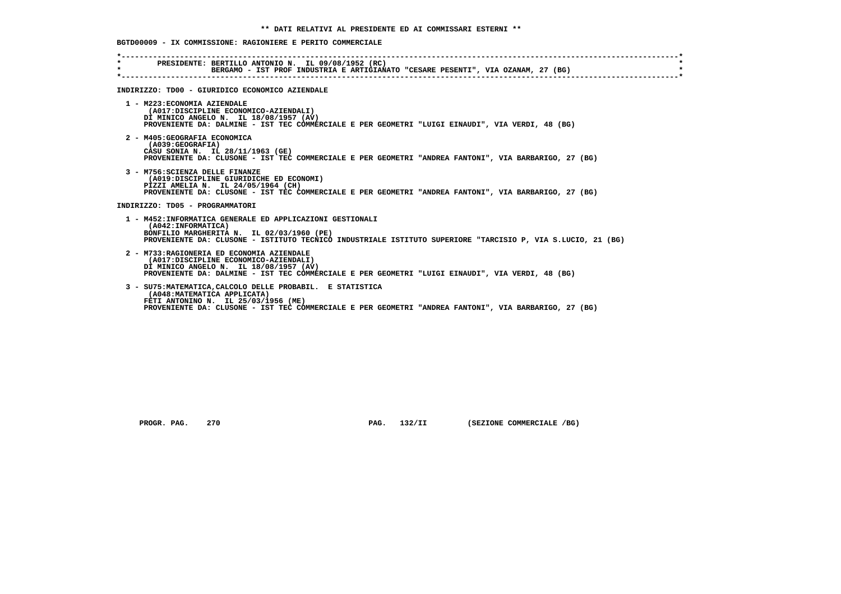#### **BGTD00009 - IX COMMISSIONE: RAGIONIERE E PERITO COMMERCIALE**

| $\star$ | PRESIDENTE: BERTILLO ANTONIO N. IL 09/08/1952 (RC)<br>BERGAMO - IST PROF INDUSTRIA E ARTIGIANATO "CESARE PESENTI", VIA OZANAM, 27 (BG)                                                                                                      |
|---------|---------------------------------------------------------------------------------------------------------------------------------------------------------------------------------------------------------------------------------------------|
|         | INDIRIZZO: TD00 - GIURIDICO ECONOMICO AZIENDALE                                                                                                                                                                                             |
|         | 1 - M223: ECONOMIA AZIENDALE<br>(A017:DISCIPLINE ECONOMICO-AZIENDALI)<br>DI MINICO ANGELO N. IL 18/08/1957 (AV)<br>PROVENIENTE DA: DALMINE - IST TEC COMMERCIALE E PER GEOMETRI "LUIGI EINAUDI", VIA VERDI, 48 (BG)                         |
|         | 2 - M405: GEOGRAFIA ECONOMICA<br>(A039; GEOGRAPH)<br>CASU SONIA N. IL 28/11/1963 (GE)<br>PROVENIENTE DA: CLUSONE - IST TEC COMMERCIALE E PER GEOMETRI "ANDREA FANTONI", VIA BARBARIGO, 27 (BG)                                              |
|         | 3 - M756: SCIENZA DELLE FINANZE<br>(A019:DISCIPLINE GIURIDICHE ED ECONOMI)<br>PIZZI AMELIA N. IL 24/05/1964 (CH)<br>PROVENIENTE DA: CLUSONE - IST TEC COMMERCIALE E PER GEOMETRI "ANDREA FANTONI", VIA BARBARIGO, 27 (BG)                   |
|         | INDIRIZZO: TD05 - PROGRAMMATORI                                                                                                                                                                                                             |
|         | 1 - M452:INFORMATICA GENERALE ED APPLICAZIONI GESTIONALI<br>(A042: INFORMATICA)<br>BONFILIO MARGHERITA N. IL 02/03/1960 (PE)<br>PROVENIENTE DA: CLUSONE - ISTITUTO TECNICO INDUSTRIALE ISTITUTO SUPERIORE "TARCISIO P, VIA S.LUCIO, 21 (BG) |
|         | 2 - M733: RAGIONERIA ED ECONOMIA AZIENDALE<br>(A017:DISCIPLINE ECONOMICO-AZIENDALI)<br>DI MINICO ANGELO N. IL 18/08/1957 (AV)<br>PROVENIENTE DA: DALMINE - IST TEC COMMERCIALE E PER GEOMETRI "LUIGI EINAUDI", VIA VERDI, 48 (BG)           |
|         | 3 - SU75: MATEMATICA, CALCOLO DELLE PROBABIL. E STATISTICA<br>(A048: MATEMATICA APPLICATA)<br>FETI ANTONINO N. IL 25/03/1956 (ME)<br>PROVENIENTE DA: CLUSONE - IST TEC COMMERCIALE E PER GEOMETRI "ANDREA FANTONI", VIA BARBARIGO, 27 (BG)  |

 **PROGR. PAG.** 270 **PAG.** 132/II (SEZIONE COMMERCIALE /BG)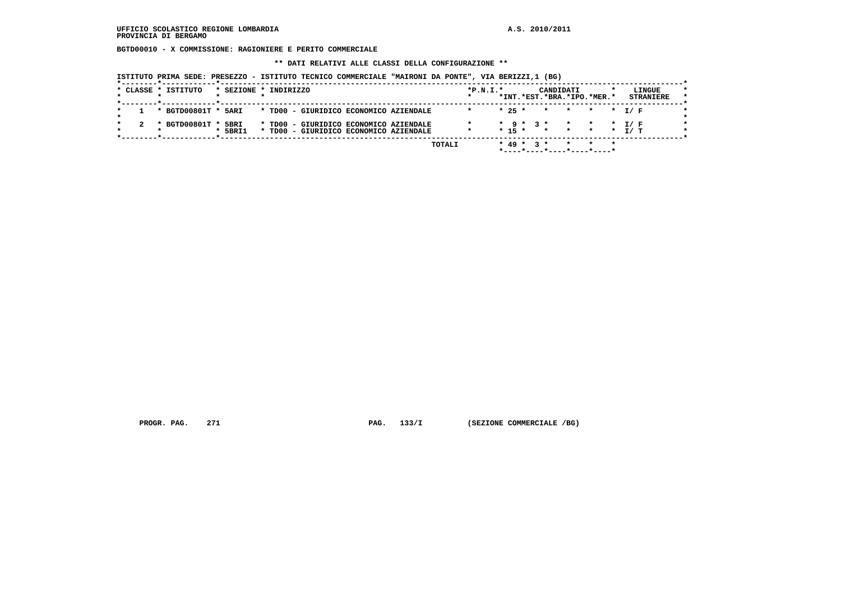**BGTD00010 - X COMMISSIONE: RAGIONIERE E PERITO COMMERCIALE**

 **\*\* DATI RELATIVI ALLE CLASSI DELLA CONFIGURAZIONE \*\***

 **ISTITUTO PRIMA SEDE: PRESEZZO - ISTITUTO TECNICO COMMERCIALE "MAIRONI DA PONTE", VIA BERIZZI,1 (BG)**

|  | * CLASSE * ISTITUTO | * SEZIONE * INDIRIZZO |  |  |                                                                                  |        | $*P.N.T.*$ |          |                 | CANDIDATI    |                 | *INT.*EST.*BRA.*IPO.*MER.*            | LINGUE<br><b>STRANIERE</b> |  |
|--|---------------------|-----------------------|--|--|----------------------------------------------------------------------------------|--------|------------|----------|-----------------|--------------|-----------------|---------------------------------------|----------------------------|--|
|  | * BGTD00801T *      | 5ARI                  |  |  | * TD00 - GIURIDICO ECONOMICO AZIENDALE                                           |        |            | $* 25 *$ |                 | $\mathbf{r}$ | $\mathbf{r}$    | $\star$                               | * T/F                      |  |
|  | * BGTD00801T *      | 5BRI<br>5BRI1         |  |  | * TD00 - GIURIDICO ECONOMICO AZIENDALE<br>* TD00 - GIURIDICO ECONOMICO AZIENDALE |        |            | $* 15 *$ | $*$ 9 $*$ 3 $*$ |              | $\star$ $\star$ | $\mathbf{r}$<br>* * * *               | T/ F<br>T/ T               |  |
|  |                     |                       |  |  |                                                                                  | TOTALI |            |          | $* 49 * 3 *$    |              |                 | $\star$<br>*----*----*----*----*----* |                            |  |

 **PROGR. PAG.** 271 **PAG.** 133/I (SEZIONE COMMERCIALE /BG)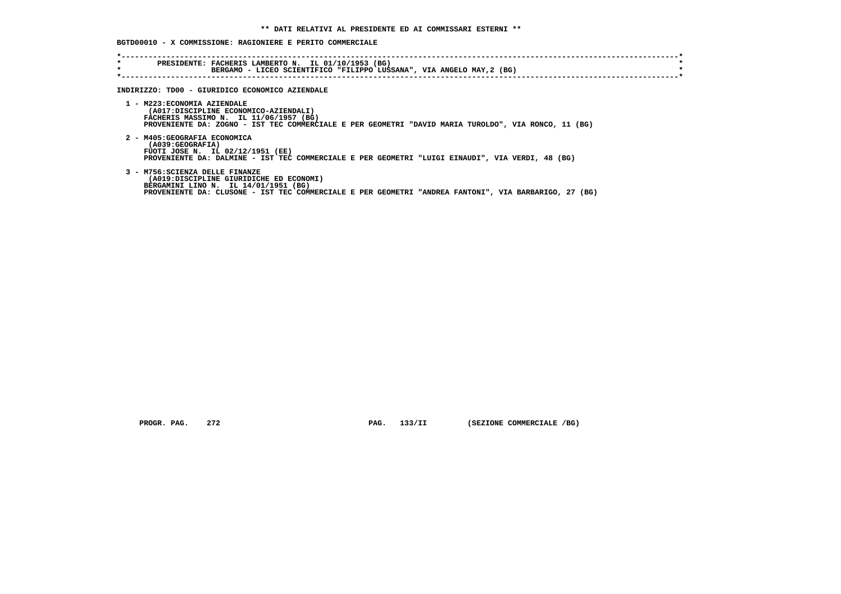# **BGTD00010 - X COMMISSIONE: RAGIONIERE E PERITO COMMERCIALE**

| PRESIDENTE: FACHERIS LAMBERTO N. IL 01/10/1953 (BG)<br>BERGAMO - LICEO SCIENTIFICO "FILIPPO LUSSANA", VIA ANGELO MAY, 2 (BG)                  |
|-----------------------------------------------------------------------------------------------------------------------------------------------|
|                                                                                                                                               |
| INDIRIZZO: TD00 - GIURIDICO ECONOMICO AZIENDALE                                                                                               |
| 1 - M223: ECONOMIA AZIENDALE                                                                                                                  |
| (A017:DISCIPLINE ECONOMICO-AZIENDALI)<br>FACHERIS MASSIMO N. IL 11/06/1957 (BG)                                                               |
| PROVENIENTE DA: ZOGNO - IST TEC COMMERCIALE E PER GEOMETRI "DAVID MARIA TUROLDO", VIA RONCO, 11 (BG)                                          |
|                                                                                                                                               |
| 2 - M405: GEOGRAFIA ECONOMICA<br>(A039:GEOGRAFIA)                                                                                             |
| FUOTI JOSE N. IL 02/12/1951 (EE)                                                                                                              |
| PROVENIENTE DA: DALMINE - IST TEC COMMERCIALE E PER GEOMETRI "LUIGI EINAUDI", VIA VERDI, 48 (BG)                                              |
| 3 - M756: SCIENZA DELLE FINANZE                                                                                                               |
| (A019:DISCIPLINE GIURIDICHE ED ECONOMI)                                                                                                       |
| BERGAMINI LINO N. IL 14/01/1951 (BG)<br>PROVENIENTE DA: CLUSONE - IST TEC COMMERCIALE E PER GEOMETRI "ANDREA FANTONI", VIA BARBARIGO, 27 (BG) |
|                                                                                                                                               |
|                                                                                                                                               |

 **PROGR. PAG.** 272 **PAG.** 133/II (SEZIONE COMMERCIALE /BG)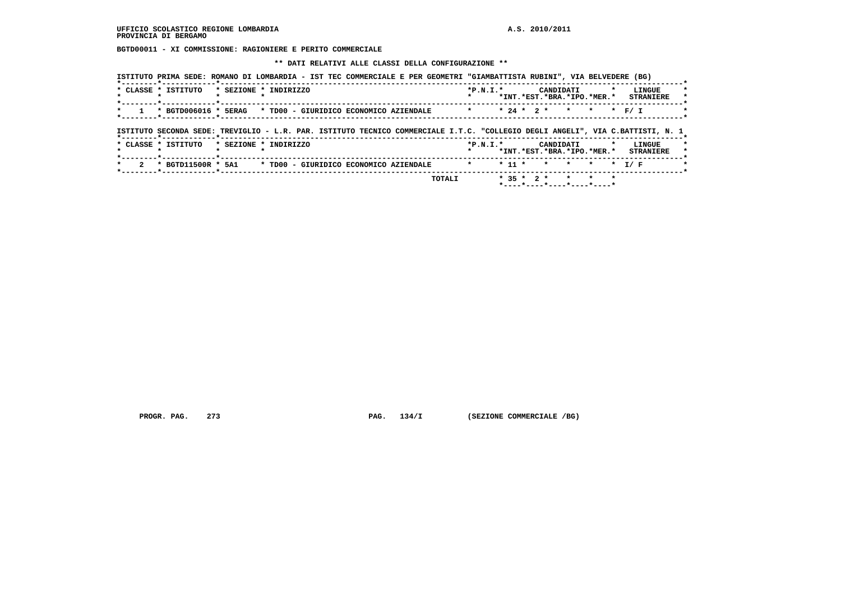**BGTD00011 - XI COMMISSIONE: RAGIONIERE E PERITO COMMERCIALE**

 **\*\* DATI RELATIVI ALLE CLASSI DELLA CONFIGURAZIONE \*\***

|                           | * CLASSE * ISTITUTO                                                                                                            | * SEZIONE * INDIRIZZO |                                        |  |  |         | $*P.N.T.*$ |          | CANDIDATI        | *INT.*EST.*BRA.*IPO.*MER.* |         |         | LINGUE<br><b>STRANIERE</b> |
|---------------------------|--------------------------------------------------------------------------------------------------------------------------------|-----------------------|----------------------------------------|--|--|---------|------------|----------|------------------|----------------------------|---------|---------|----------------------------|
|                           | * BGTD006016 * 5ERAG * TD00 - GIURIDICO ECONOMICO AZIENDALE                                                                    |                       |                                        |  |  | $\star$ |            |          | $* 24 * 2 * * *$ |                            |         |         |                            |
|                           |                                                                                                                                |                       |                                        |  |  |         |            |          |                  |                            |         |         |                            |
|                           |                                                                                                                                |                       |                                        |  |  |         |            |          |                  |                            |         |         |                            |
|                           | ISTITUTO SECONDA SEDE: TREVIGLIO - L.R. PAR. ISTITUTO TECNICO COMMERCIALE I.T.C. "COLLEGIO DEGLI ANGELI", VIA C.BATTISTI, N. 1 |                       |                                        |  |  |         |            |          |                  |                            |         |         |                            |
|                           | * CLASSE * ISTITUTO                                                                                                            | * SEZIONE * INDIRIZZO |                                        |  |  |         | $*P.N.T.*$ |          | CANDIDATI        |                            |         |         | LINGUE                     |
| $\star$                   |                                                                                                                                |                       |                                        |  |  |         |            |          |                  | *INT.*EST.*BRA.*IPO.*MER.* |         |         | <b>STRANIERE</b>           |
| $\overline{2}$<br>$\star$ | * BGTD11500R * 5A1                                                                                                             |                       | * TD00 - GIURIDICO ECONOMICO AZIENDALE |  |  | $\star$ |            | $* 11 *$ | $\star$ $\star$  |                            | $\star$ | $\star$ | T / F                      |

 **PROGR. PAG.** 273 **PAG.** 134/I (SEZIONE COMMERCIALE /BG)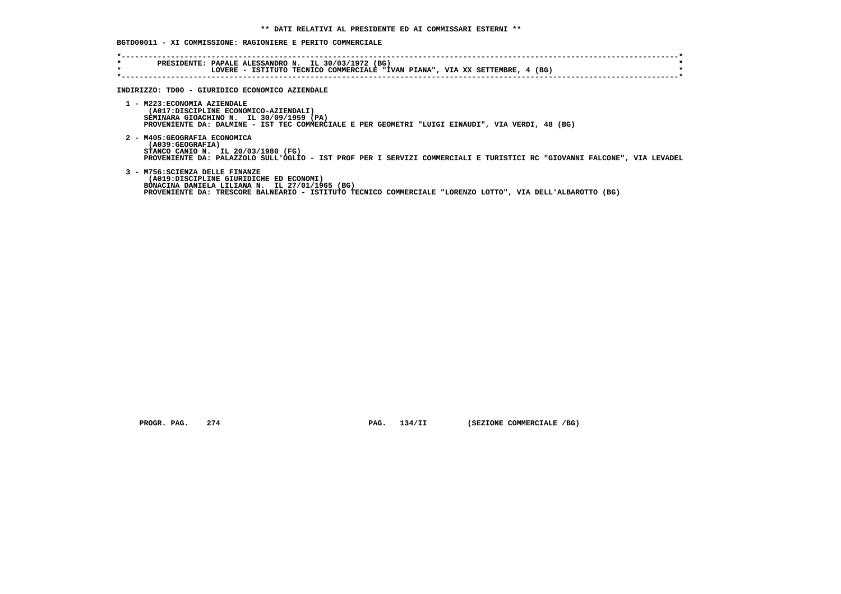# **BGTD00011 - XI COMMISSIONE: RAGIONIERE E PERITO COMMERCIALE**

| $\star$ | PRESIDENTE: PAPALE ALESSANDRO N. IL 30/03/1972 (BG)                                                                      |
|---------|--------------------------------------------------------------------------------------------------------------------------|
| $\star$ | LOVERE - ISTITUTO TECNICO COMMERCIALE "IVAN PIANA", VIA XX SETTEMBRE, 4 (BG)                                             |
|         |                                                                                                                          |
|         |                                                                                                                          |
|         | INDIRIZZO: TD00 - GIURIDICO ECONOMICO AZIENDALE                                                                          |
|         |                                                                                                                          |
|         | 1 - M223: ECONOMIA AZIENDALE                                                                                             |
|         |                                                                                                                          |
|         | (A017:DISCIPLINE ECONOMICO-AZIENDALI)                                                                                    |
|         | SEMINARA GIOACHINO N. IL 30/09/1959 (PA)                                                                                 |
|         | PROVENIENTE DA: DALMINE - IST TEC COMMERCIALE E PER GEOMETRI "LUIGI EINAUDI", VIA VERDI, 48 (BG)                         |
|         |                                                                                                                          |
|         | 2 - M405: GEOGRAFIA ECONOMICA                                                                                            |
|         | (A039:GEOGRAFIA)                                                                                                         |
|         | STANCO CANIO N. IL 20/03/1980 (FG)                                                                                       |
|         | PROVENIENTE DA: PALAZZOLO SULL'OGLIO - IST PROF PER I SERVIZI COMMERCIALI E TURISTICI RC "GIOVANNI FALCONE", VIA LEVADEL |
|         |                                                                                                                          |
|         | 3 - M756: SCIENZA DELLE FINANZE                                                                                          |
|         | (A019:DISCIPLINE GIURIDICHE ED ECONOMI)                                                                                  |
|         | BONACINA DANIELA LILIANA N. IL 27/01/1965 (BG)                                                                           |
|         | PROVENIENTE DA: TRESCORE BALNEARIO - ISTITUTO TECNICO COMMERCIALE "LORENZO LOTTO", VIA DELL'ALBAROTTO (BG)               |
|         |                                                                                                                          |

 **PROGR. PAG.** 274 **PAG.** 134/II (SEZIONE COMMERCIALE /BG)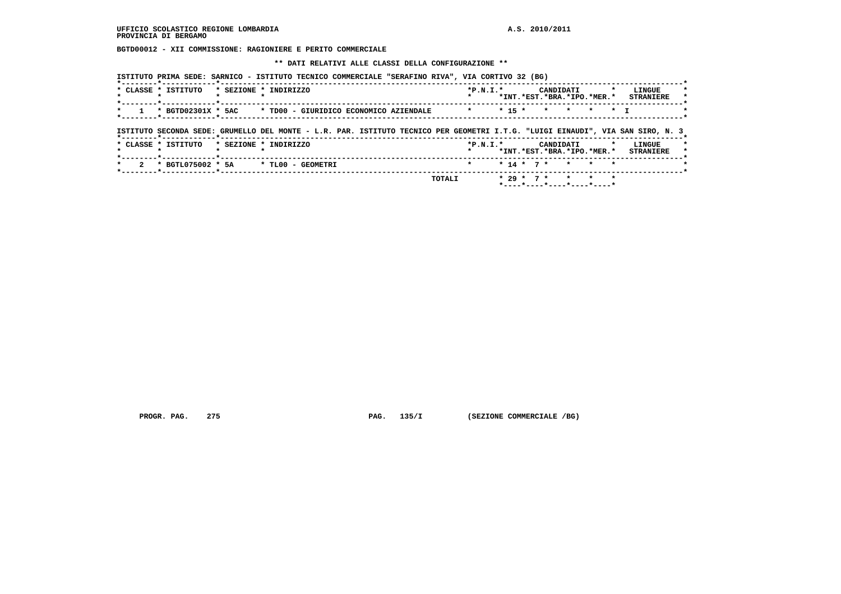**BGTD00012 - XII COMMISSIONE: RAGIONIERE E PERITO COMMERCIALE**

 **\*\* DATI RELATIVI ALLE CLASSI DELLA CONFIGURAZIONE \*\***

 **ISTITUTO PRIMA SEDE: SARNICO - ISTITUTO TECNICO COMMERCIALE "SERAFINO RIVA", VIA CORTIVO 32 (BG)**

|                     |                                      |                                                                                                                                |            |              |                 | *INT.*EST.*BRA.*IPO.*MER.* |                 |                | <b>STRANIERE</b> |
|---------------------|--------------------------------------|--------------------------------------------------------------------------------------------------------------------------------|------------|--------------|-----------------|----------------------------|-----------------|----------------|------------------|
| $\star$             | *--------*------------*----          | * BGTD02301X * 5AC * TD00 - GIURIDICO ECONOMICO AZIENDALE * *                                                                  |            | $* 15 *$     | $\star$ $\star$ |                            | $\star$         | $\star$ $\tau$ |                  |
|                     |                                      |                                                                                                                                |            |              |                 |                            |                 |                |                  |
|                     |                                      |                                                                                                                                |            |              |                 |                            |                 |                |                  |
|                     | --------*------------*-------------- | ISTITUTO SECONDA SEDE: GRUMELLO DEL MONTE - L.R. PAR. ISTITUTO TECNICO PER GEOMETRI I.T.G. "LUIGI EINAUDI", VIA SAN SIRO, N. 3 |            |              |                 |                            |                 |                |                  |
| * CLASSE * ISTITUTO |                                      | * SEZIONE * INDIRIZZO                                                                                                          | $*P.N.T.*$ |              | CANDIDATI       |                            |                 |                | LINGUE           |
|                     |                                      |                                                                                                                                |            |              |                 | *INT.*EST.*BRA.*IPO.*MER.* |                 |                |                  |
| $\star$             | 2 * BGTL075002 * 5A                  | * TLOO - GEOMETRI                                                                                                              | $\star$    | $* 14 * 7 *$ |                 | $\star$                    | $\star$ $\star$ |                | <b>STRANIERE</b> |

 **PROGR. PAG.** 275 **PAG.** 135/I (SEZIONE COMMERCIALE /BG)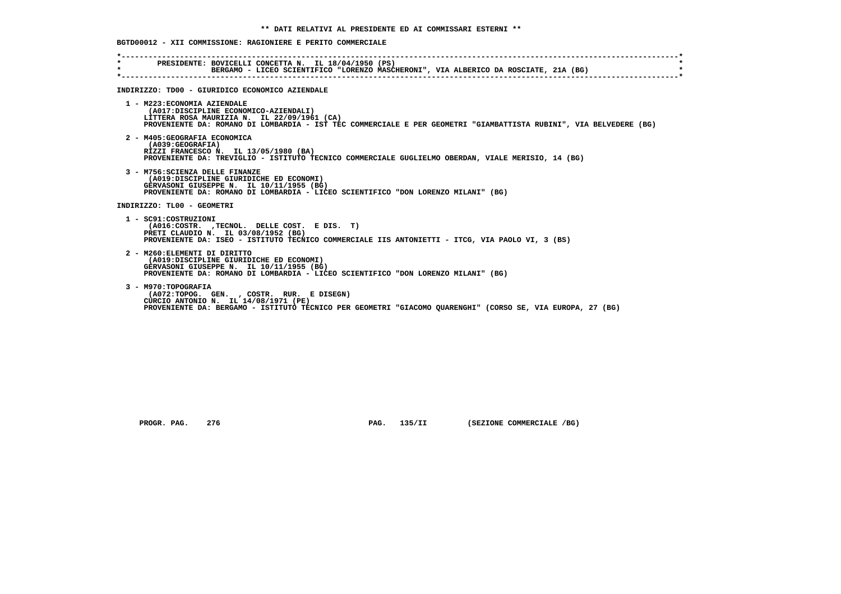|  | BGTD00012 - XII COMMISSIONE: RAGIONIERE E PERITO COMMERCIALE |  |  |  |
|--|--------------------------------------------------------------|--|--|--|
|  |                                                              |  |  |  |

| PRESIDENTE: BOVICELLI CONCETTA N. IL 18/04/1950 (PS)<br>BERGAMO - LICEO SCIENTIFICO "LORENZO MASCHERONI", VIA ALBERICO DA ROSCIATE, 21A (BG)<br>INDIRIZZO: TD00 - GIURIDICO ECONOMICO AZIENDALE<br>1 - M223: ECONOMIA AZIENDALE<br>(A017:DISCIPLINE ECONOMICO-AZIENDALI)<br>LITTERA ROSA MAURIZIA N. IL 22/09/1961 (CA)<br>PROVENIENTE DA: ROMANO DI LOMBARDIA - IST TEC COMMERCIALE E PER GEOMETRI "GIAMBATTISTA RUBINI", VIA BELVEDERE (BG)<br>2 - M405: GEOGRAFIA ECONOMICA<br>(A039: GEOGRAFIA)<br>RIZZI FRANCESCO N. IL 13/05/1980 (BA)<br>PROVENIENTE DA: TREVIGLIO - ISTITUTO TECNICO COMMERCIALE GUGLIELMO OBERDAN, VIALE MERISIO, 14 (BG)<br>3 - M756: SCIENZA DELLE FINANZE<br>(A019:DISCIPLINE GIURIDICHE ED ECONOMI)<br>GERVASONI GIUSEPPE N. IL 10/11/1955 (BG)<br>PROVENIENTE DA: ROMANO DI LOMBARDIA - LICEO SCIENTIFICO "DON LORENZO MILANI" (BG)<br>INDIRIZZO: TL00 - GEOMETRI<br>1 - SC91:COSTRUZIONI<br>(A016:COSTR. ,TECNOL. DELLE COST. E DIS. T)<br>PRETI CLAUDIO N. IL 03/08/1952 (BG)<br>PROVENIENTE DA: ISEO - ISTITUTO TECNICO COMMERCIALE IIS ANTONIETTI - ITCG, VIA PAOLO VI, 3 (BS)<br>2 - M260: ELEMENTI DI DIRITTO<br>(A019:DISCIPLINE GIURIDICHE ED ECONOMI)<br>GERVASONI GIUSEPPE N. IL 10/11/1955 (BG)<br>PROVENIENTE DA: ROMANO DI LOMBARDIA - LICEO SCIENTIFICO "DON LORENZO MILANI" (BG)<br>3 - M970: TOPOGRAFIA<br>(A072:TOPOG. GEN., COSTR. RUR. E DISEGN)<br>CURCIO ANTONIO N. IL 14/08/1971 (PE)<br>PROVENIENTE DA: BERGAMO - ISTITUTO TECNICO PER GEOMETRI "GIACOMO QUARENGHI" (CORSO SE, VIA EUROPA, 27 (BG) |         |  |
|---------------------------------------------------------------------------------------------------------------------------------------------------------------------------------------------------------------------------------------------------------------------------------------------------------------------------------------------------------------------------------------------------------------------------------------------------------------------------------------------------------------------------------------------------------------------------------------------------------------------------------------------------------------------------------------------------------------------------------------------------------------------------------------------------------------------------------------------------------------------------------------------------------------------------------------------------------------------------------------------------------------------------------------------------------------------------------------------------------------------------------------------------------------------------------------------------------------------------------------------------------------------------------------------------------------------------------------------------------------------------------------------------------------------------------------------------------------------------------------------------------------------------------------------------------|---------|--|
|                                                                                                                                                                                                                                                                                                                                                                                                                                                                                                                                                                                                                                                                                                                                                                                                                                                                                                                                                                                                                                                                                                                                                                                                                                                                                                                                                                                                                                                                                                                                                         | $\star$ |  |
|                                                                                                                                                                                                                                                                                                                                                                                                                                                                                                                                                                                                                                                                                                                                                                                                                                                                                                                                                                                                                                                                                                                                                                                                                                                                                                                                                                                                                                                                                                                                                         |         |  |
|                                                                                                                                                                                                                                                                                                                                                                                                                                                                                                                                                                                                                                                                                                                                                                                                                                                                                                                                                                                                                                                                                                                                                                                                                                                                                                                                                                                                                                                                                                                                                         |         |  |
|                                                                                                                                                                                                                                                                                                                                                                                                                                                                                                                                                                                                                                                                                                                                                                                                                                                                                                                                                                                                                                                                                                                                                                                                                                                                                                                                                                                                                                                                                                                                                         |         |  |
|                                                                                                                                                                                                                                                                                                                                                                                                                                                                                                                                                                                                                                                                                                                                                                                                                                                                                                                                                                                                                                                                                                                                                                                                                                                                                                                                                                                                                                                                                                                                                         |         |  |
|                                                                                                                                                                                                                                                                                                                                                                                                                                                                                                                                                                                                                                                                                                                                                                                                                                                                                                                                                                                                                                                                                                                                                                                                                                                                                                                                                                                                                                                                                                                                                         |         |  |
|                                                                                                                                                                                                                                                                                                                                                                                                                                                                                                                                                                                                                                                                                                                                                                                                                                                                                                                                                                                                                                                                                                                                                                                                                                                                                                                                                                                                                                                                                                                                                         |         |  |
|                                                                                                                                                                                                                                                                                                                                                                                                                                                                                                                                                                                                                                                                                                                                                                                                                                                                                                                                                                                                                                                                                                                                                                                                                                                                                                                                                                                                                                                                                                                                                         |         |  |
|                                                                                                                                                                                                                                                                                                                                                                                                                                                                                                                                                                                                                                                                                                                                                                                                                                                                                                                                                                                                                                                                                                                                                                                                                                                                                                                                                                                                                                                                                                                                                         |         |  |

 **PROGR. PAG.** 276 **PAG. 135/II (SEZIONE COMMERCIALE /BG)**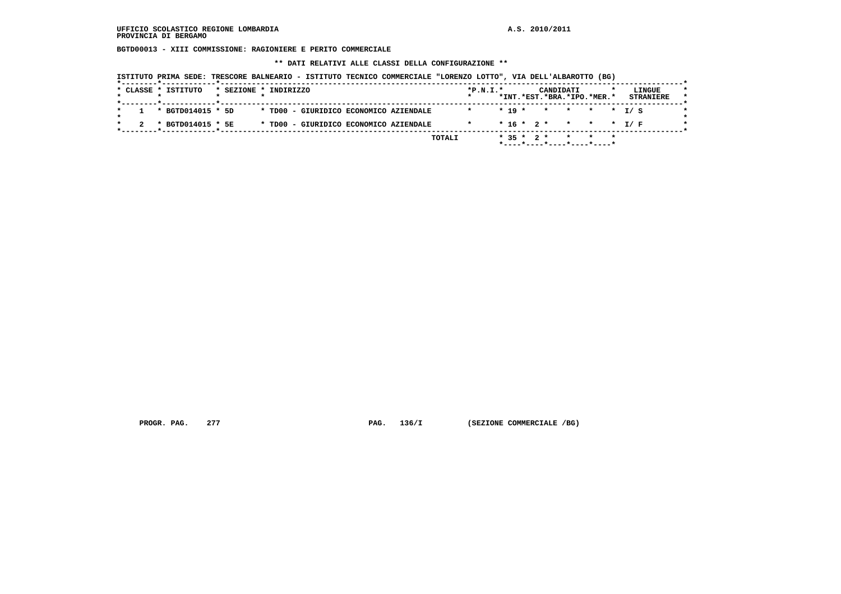**BGTD00013 - XIII COMMISSIONE: RAGIONIERE E PERITO COMMERCIALE**

 **\*\* DATI RELATIVI ALLE CLASSI DELLA CONFIGURAZIONE \*\***

| ISTITUTO PRIMA SEDE: TRESCORE BALNEARIO - ISTITUTO TECNICO COMMERCIALE "LORENZO LOTTO", VIA DELL'ALBAROTTO (BG) |  |  |  |  |  |  |  |  |  |  |  |  |  |  |  |  |
|-----------------------------------------------------------------------------------------------------------------|--|--|--|--|--|--|--|--|--|--|--|--|--|--|--|--|
|-----------------------------------------------------------------------------------------------------------------|--|--|--|--|--|--|--|--|--|--|--|--|--|--|--|--|

|  | * CLASSE * ISTITUTO | * SEZIONE * INDIRIZZO |  |                                        |  |        | $*P.N.T.*$ |  |              | CANDIDATI<br>*INT.*EST.*BRA.*IPO.*MER.* |  |  | LINGUE<br><b>STRANIERE</b> | $\star$<br>$\star$ |
|--|---------------------|-----------------------|--|----------------------------------------|--|--------|------------|--|--------------|-----------------------------------------|--|--|----------------------------|--------------------|
|  | * BGTD014015 * 5D   |                       |  | * TD00 - GIURIDICO ECONOMICO AZIENDALE |  |        |            |  |              | $* 19 * * * * * * T / S$                |  |  |                            |                    |
|  | * BGTD014015 * 5E   |                       |  | * TD00 - GIURIDICO ECONOMICO AZIENDALE |  |        |            |  |              | $* 16 * 2 * * * * * 1/F$                |  |  |                            |                    |
|  |                     |                       |  |                                        |  | TOTALI |            |  | $* 35 * 2 *$ | *----*----*----*----*----*              |  |  |                            |                    |

 **PROGR. PAG.** 277 **PAG.** 136/I (SEZIONE COMMERCIALE /BG)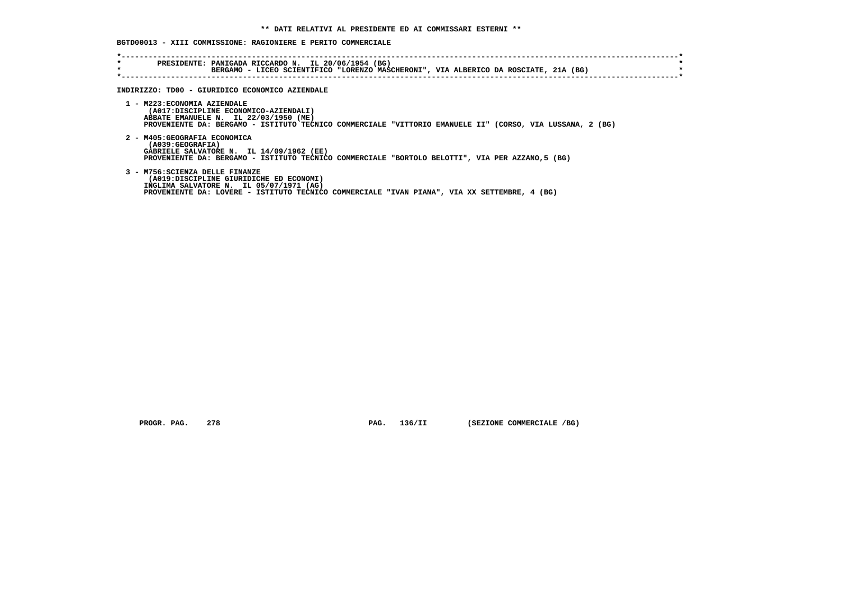# **BGTD00013 - XIII COMMISSIONE: RAGIONIERE E PERITO COMMERCIALE**

| $\star$<br>$\star$ | PRESIDENTE: PANIGADA RICCARDO N. IL 20/06/1954 (BG)<br>BERGAMO - LICEO SCIENTIFICO "LORENZO MASCHERONI", VIA ALBERICO DA ROSCIATE, 21A (BG)                                                                                 |
|--------------------|-----------------------------------------------------------------------------------------------------------------------------------------------------------------------------------------------------------------------------|
|                    | INDIRIZZO: TD00 - GIURIDICO ECONOMICO AZIENDALE                                                                                                                                                                             |
|                    | 1 - M223: ECONOMIA AZIENDALE<br>(A017:DISCIPLINE ECONOMICO-AZIENDALI)<br>ABBATE EMANUELE N. IL 22/03/1950 (ME)<br>PROVENIENTE DA: BERGAMO - ISTITUTO TECNICO COMMERCIALE "VITTORIO EMANUELE II" (CORSO, VIA LUSSANA, 2 (BG) |
|                    | 2 - M405: GEOGRAFIA ECONOMICA<br>(A039:GEOGRAFIA)<br>GABRIELE SALVATORE N. IL 14/09/1962 (EE)<br>PROVENIENTE DA: BERGAMO - ISTITUTO TECNICO COMMERCIALE "BORTOLO BELOTTI", VIA PER AZZANO, 5 (BG)                           |
|                    | 3 - M756: SCIENZA DELLE FINANZE<br>(A019:DISCIPLINE GIURIDICHE ED ECONOMI)<br>INGLIMA SALVATORE N. IL 05/07/1971 (AG)<br>PROVENIENTE DA: LOVERE - ISTITUTO TECNICO COMMERCIALE "IVAN PIANA", VIA XX SETTEMBRE, 4 (BG)       |

 **PROGR. PAG.** 278 **PAG.** 136/II (SEZIONE COMMERCIALE /BG)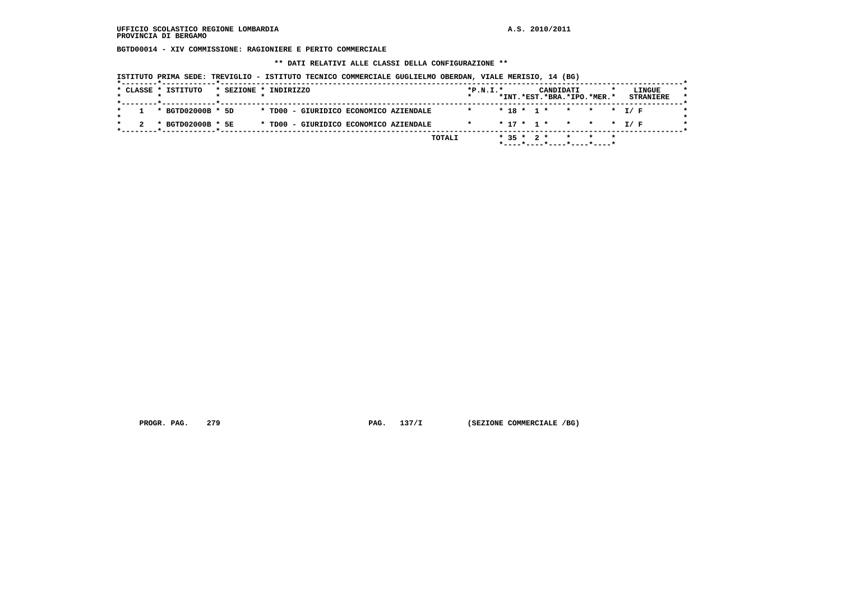**BGTD00014 - XIV COMMISSIONE: RAGIONIERE E PERITO COMMERCIALE**

 **\*\* DATI RELATIVI ALLE CLASSI DELLA CONFIGURAZIONE \*\***

| ISTITUTO PRIMA SEDE: TREVIGLIO - ISTITUTO TECNICO COMMERCIALE GUGLIELMO OBERDAN, VIALE MERISIO, 14 (BG) |  |  |  |  |  |  |
|---------------------------------------------------------------------------------------------------------|--|--|--|--|--|--|
|---------------------------------------------------------------------------------------------------------|--|--|--|--|--|--|

| * BGTD02000B * 5D |  |                                        |         |  |  |                          |  |
|-------------------|--|----------------------------------------|---------|--|--|--------------------------|--|
|                   |  | * TD00 - GIURIDICO ECONOMICO AZIENDALE | $\star$ |  |  | $* 18 * 1 * * * * * I/F$ |  |
| * BGTD02000B * 5E |  | * TD00 - GIURIDICO ECONOMICO AZIENDALE |         |  |  | $* 17 * 1 * * * * * I/F$ |  |

 **PROGR. PAG.** 279 **PAG.** 137/I (SEZIONE COMMERCIALE /BG)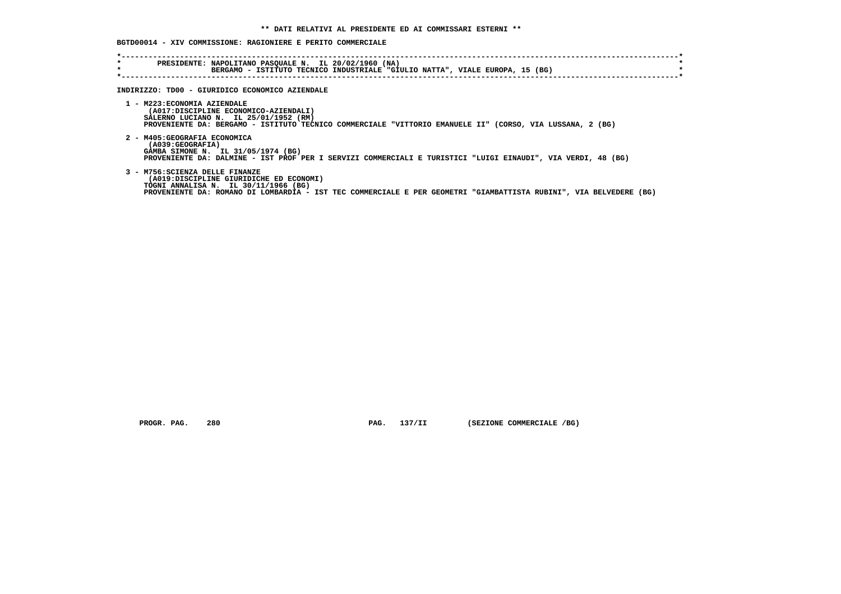# **BGTD00014 - XIV COMMISSIONE: RAGIONIERE E PERITO COMMERCIALE**

| $\star$<br>$\star$ | PRESIDENTE: NAPOLITANO PASQUALE N. IL 20/02/1960 (NA)<br>BERGAMO - ISTITUTO TECNICO INDUSTRIALE "GIULIO NATTA", VIALE EUROPA, 15 (BG)                                                                                                    |
|--------------------|------------------------------------------------------------------------------------------------------------------------------------------------------------------------------------------------------------------------------------------|
|                    | INDIRIZZO: TD00 - GIURIDICO ECONOMICO AZIENDALE                                                                                                                                                                                          |
|                    | 1 - M223: ECONOMIA AZIENDALE<br>(A017:DISCIPLINE ECONOMICO-AZIENDALI)<br>SALERNO LUCIANO N. IL 25/01/1952 (RM)<br>PROVENIENTE DA: BERGAMO - ISTITUTO TECNICO COMMERCIALE "VITTORIO EMANUELE II" (CORSO, VIA LUSSANA, 2 (BG)              |
|                    | 2 - M405: GEOGRAFIA ECONOMICA<br>(A039:GEOGRAFIA)<br>GAMBA SIMONE N. IL 31/05/1974 (BG)<br>PROVENIENTE DA: DALMINE - IST PROF PER I SERVIZI COMMERCIALI E TURISTICI "LUIGI EINAUDI", VIA VERDI, 48 (BG)                                  |
|                    | 3 - M756: SCIENZA DELLE FINANZE<br>(A019:DISCIPLINE GIURIDICHE ED ECONOMI)<br>TOGNI ANNALISA N. IL 30/11/1966 (BG)<br>PROVENIENTE DA: ROMANO DI LOMBARDIA - IST TEC COMMERCIALE E PER GEOMETRI "GIAMBATTISTA RUBINI", VIA BELVEDERE (BG) |

 **PROGR. PAG.** 280 **PAG.** 137/II (SEZIONE COMMERCIALE /BG)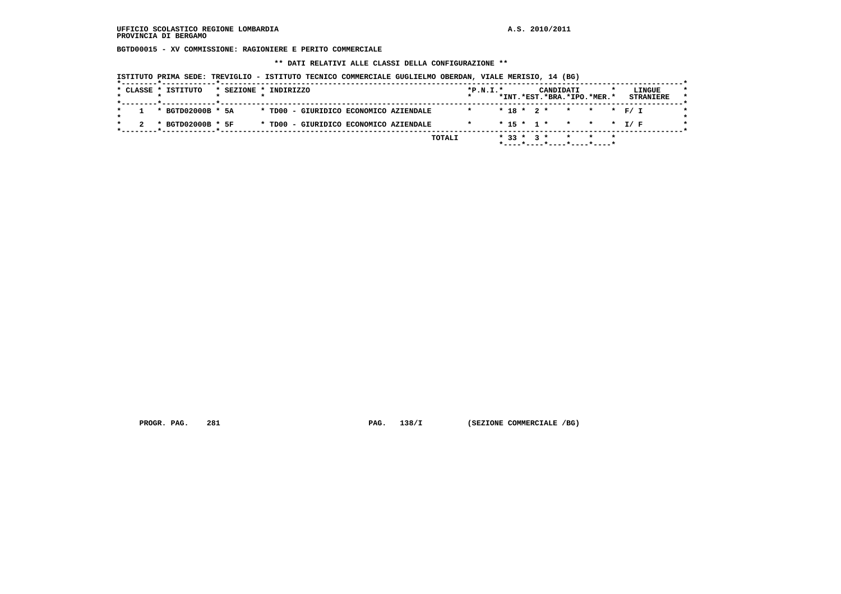**BGTD00015 - XV COMMISSIONE: RAGIONIERE E PERITO COMMERCIALE**

 **\*\* DATI RELATIVI ALLE CLASSI DELLA CONFIGURAZIONE \*\***

| ISTITUTO PRIMA SEDE: TREVIGLIO - ISTITUTO TECNICO COMMERCIALE GUGLIELMO OBERDAN, VIALE MERISIO, 14 (BG) |  |  |  |  |  |  |  |  |  |
|---------------------------------------------------------------------------------------------------------|--|--|--|--|--|--|--|--|--|
|---------------------------------------------------------------------------------------------------------|--|--|--|--|--|--|--|--|--|

| $* 18 * 2 * * * * * * F / I$<br>* BGTD02000B * 5A<br>* TD00 - GIURIDICO ECONOMICO AZIENDALE<br>* TD00 - GIURIDICO ECONOMICO AZIENDALE<br>* BGTD02000B * 5F<br>$* 15 * 1 * * * * * I/F$ | * CLASSE * ISTITUTO | * SEZIONE * INDIRIZZO | $*P.N.T.*$ |  | CANDIDATI<br>*INT.*EST.*BRA.*IPO.*MER.* |  | LINGUE<br><b>STRANIERE</b> |
|----------------------------------------------------------------------------------------------------------------------------------------------------------------------------------------|---------------------|-----------------------|------------|--|-----------------------------------------|--|----------------------------|
|                                                                                                                                                                                        |                     |                       |            |  |                                         |  |                            |
|                                                                                                                                                                                        |                     |                       |            |  |                                         |  |                            |

 **PROGR. PAG.** 281 **PAG.** 138/I (SEZIONE COMMERCIALE /BG)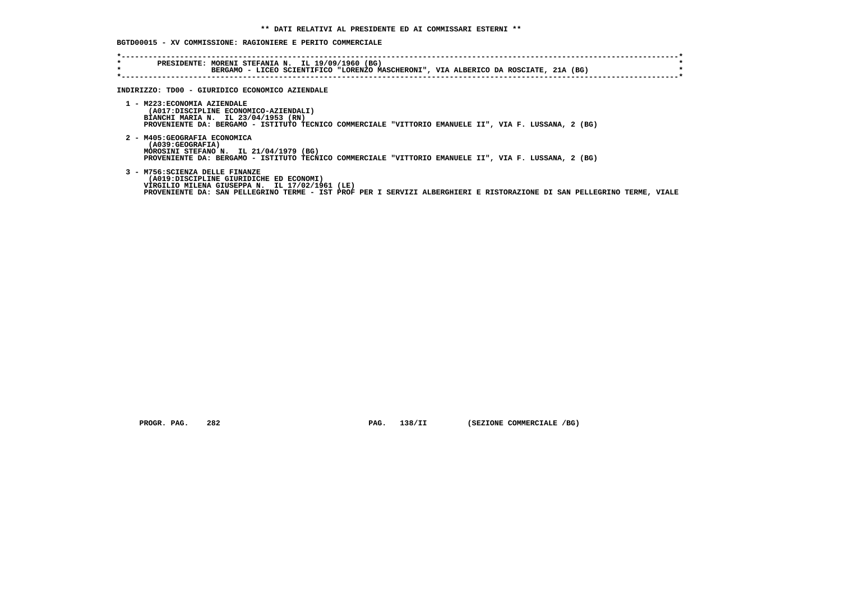## **BGTD00015 - XV COMMISSIONE: RAGIONIERE E PERITO COMMERCIALE**

| $\star$<br>$\star$ | PRESIDENTE: MORENI STEFANIA N. IL 19/09/1960 (BG)<br>BERGAMO - LICEO SCIENTIFICO "LORENZO MASCHERONI", VIA ALBERICO DA ROSCIATE, 21A (BG)                                                                                                               |
|--------------------|---------------------------------------------------------------------------------------------------------------------------------------------------------------------------------------------------------------------------------------------------------|
|                    | INDIRIZZO: TD00 - GIURIDICO ECONOMICO AZIENDALE                                                                                                                                                                                                         |
|                    | 1 - M223: ECONOMIA AZIENDALE<br>(A017:DISCIPLINE ECONOMICO-AZIENDALI)<br>BIANCHI MARIA N. IL 23/04/1953 (RN)<br>PROVENIENTE DA: BERGAMO - ISTITUTO TECNICO COMMERCIALE "VITTORIO EMANUELE II", VIA F. LUSSANA, 2 (BG)                                   |
|                    | 2 - M405: GEOGRAFIA ECONOMICA<br>(A039:GEOGRAFIA)<br>MOROSINI STEFANO N. IL 21/04/1979 (BG)<br>PROVENIENTE DA: BERGAMO - ISTITUTO TECNICO COMMERCIALE "VITTORIO EMANUELE II", VIA F. LUSSANA, 2 (BG)                                                    |
|                    | 3 - M756: SCIENZA DELLE FINANZE<br>(A019:DISCIPLINE GIURIDICHE ED ECONOMI)<br>VIRGILIO MILENA GIUSEPPA N. IL 17/02/1961 (LE)<br>PROVENIENTE DA: SAN PELLEGRINO TERME - IST PROF PER I SERVIZI ALBERGHIERI E RISTORAZIONE DI SAN PELLEGRINO TERME, VIALE |

 **PROGR. PAG.** 282 **PAG.** 138/II (SEZIONE COMMERCIALE /BG)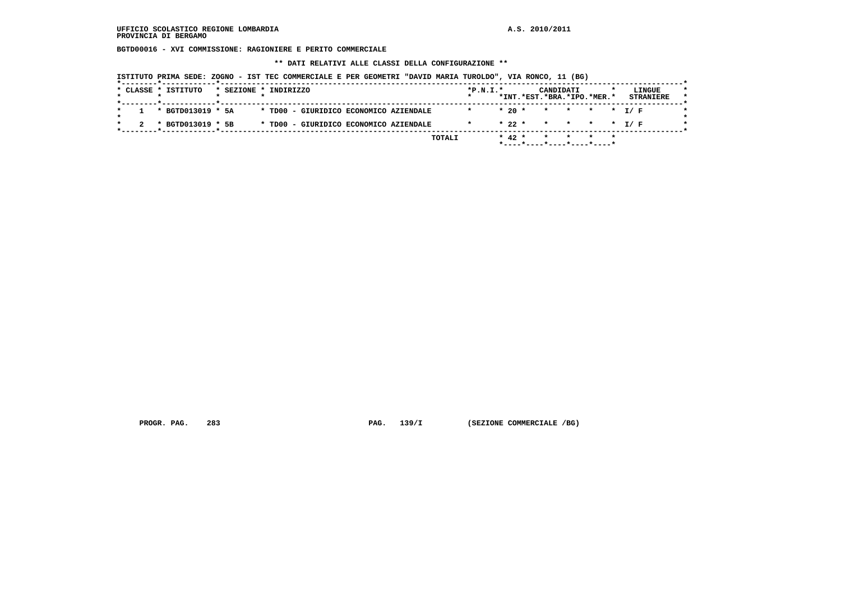**BGTD00016 - XVI COMMISSIONE: RAGIONIERE E PERITO COMMERCIALE**

 **\*\* DATI RELATIVI ALLE CLASSI DELLA CONFIGURAZIONE \*\***

 **ISTITUTO PRIMA SEDE: ZOGNO - IST TEC COMMERCIALE E PER GEOMETRI "DAVID MARIA TUROLDO", VIA RONCO, 11 (BG)**

|                   |  |                                        | $\star$ |          | CANDIDATI<br>*INT.*EST.*BRA.*IPO.*MER.* |  | LINGUE<br><b>STRANIERE</b> |
|-------------------|--|----------------------------------------|---------|----------|-----------------------------------------|--|----------------------------|
| * BGTD013019 * 5A |  | * TD00 - GIURIDICO ECONOMICO AZIENDALE |         | $*20$ *  | * * * * T/F                             |  |                            |
| * BGTD013019 * 5B |  | * TD00 - GIURIDICO ECONOMICO AZIENDALE |         | $* 22 *$ | * * * * T/F                             |  |                            |

 **PROGR. PAG.** 283 **PAG.** 139/I (SEZIONE COMMERCIALE /BG)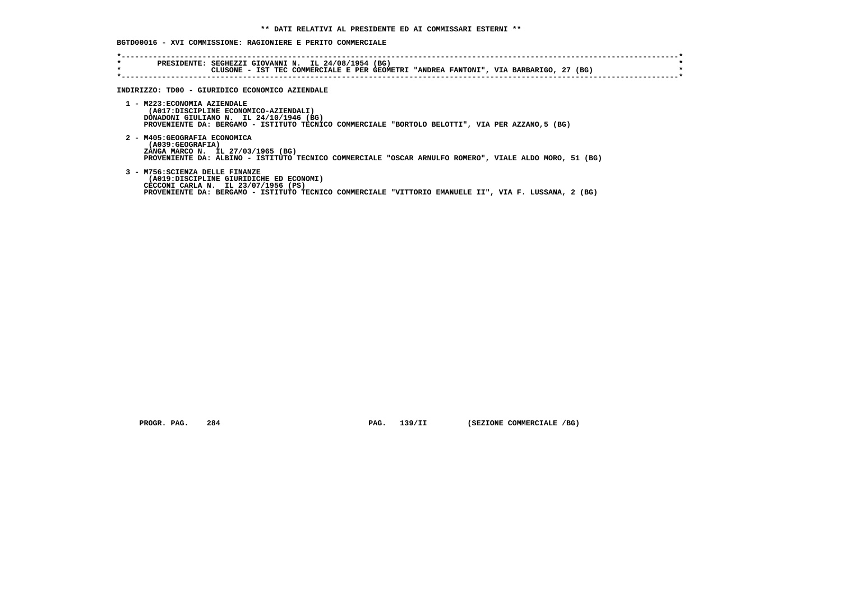# **BGTD00016 - XVI COMMISSIONE: RAGIONIERE E PERITO COMMERCIALE**

| $\star$<br>$\star$ | PRESIDENTE: SEGHEZZI GIOVANNI N. IL 24/08/1954 (BG)<br>CLUSONE - IST TEC COMMERCIALE E PER GEOMETRI "ANDREA FANTONI", VIA BARBARIGO, 27 (BG)                                                                               |
|--------------------|----------------------------------------------------------------------------------------------------------------------------------------------------------------------------------------------------------------------------|
|                    | INDIRIZZO: TD00 - GIURIDICO ECONOMICO AZIENDALE                                                                                                                                                                            |
|                    | 1 - M223: ECONOMIA AZIENDALE<br>(A017:DISCIPLINE ECONOMICO-AZIENDALI)<br>DONADONI GIULIANO N. IL 24/10/1946 (BG)<br>PROVENIENTE DA: BERGAMO - ISTITUTO TECNICO COMMERCIALE "BORTOLO BELOTTI", VIA PER AZZANO, 5 (BG)       |
|                    | 2 - M405: GEOGRAFIA ECONOMICA<br>(A039:GEOGRAFIA)<br>ZANGA MARCO N. IL 27/03/1965 (BG)<br>PROVENIENTE DA: ALBINO - ISTITUTO TECNICO COMMERCIALE "OSCAR ARNULFO ROMERO", VIALE ALDO MORO, 51 (BG)                           |
|                    | 3 - M756: SCIENZA DELLE FINANZE<br>(A019:DISCIPLINE GIURIDICHE ED ECONOMI)<br>CECCONI CARLA N. IL 23/07/1956 (PS)<br>PROVENIENTE DA: BERGAMO - ISTITUTO TECNICO COMMERCIALE "VITTORIO EMANUELE II", VIA F. LUSSANA, 2 (BG) |

 **PROGR. PAG.** 284 **PAG.** 139/II (SEZIONE COMMERCIALE /BG)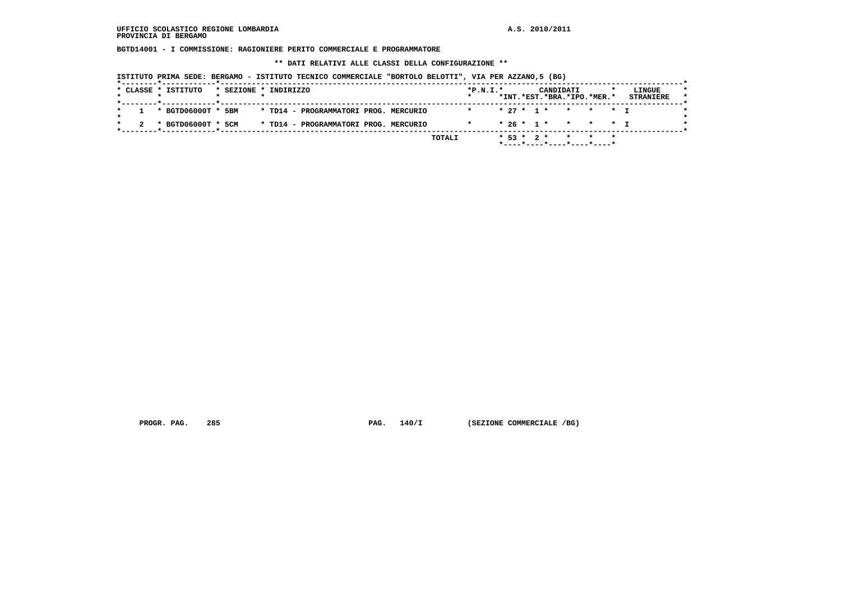**BGTD14001 - I COMMISSIONE: RAGIONIERE PERITO COMMERCIALE E PROGRAMMATORE**

 **\*\* DATI RELATIVI ALLE CLASSI DELLA CONFIGURAZIONE \*\***

 **ISTITUTO PRIMA SEDE: BERGAMO - ISTITUTO TECNICO COMMERCIALE "BORTOLO BELOTTI", VIA PER AZZANO,5 (BG)**

|  | * CLASSE * ISTITUTO | * SEZIONE * INDIRIZZO |  |                                       |  |        | $*P.N.T.*$ |  |              | CANDIDATI |                            | LINGUE           |
|--|---------------------|-----------------------|--|---------------------------------------|--|--------|------------|--|--------------|-----------|----------------------------|------------------|
|  |                     |                       |  |                                       |  |        |            |  |              |           | *INT.*EST.*BRA.*IPO.*MER.* | <b>STRANIERE</b> |
|  | * BGTD06000T * 5BM  |                       |  | * TD14 - PROGRAMMATORI PROG. MERCURIO |  |        |            |  |              |           | $* 27 * 1 * * * * * 1$     |                  |
|  | * BGTD06000T * 5CM  |                       |  | * TD14 - PROGRAMMATORI PROG. MERCURIO |  |        |            |  |              |           | * 26 * 1 * * * * * T       |                  |
|  |                     |                       |  |                                       |  | TOTALI |            |  | $* 53 * 2 *$ |           |                            |                  |

 **PROGR. PAG.** 285 **PAG.** 140/I (SEZIONE COMMERCIALE /BG)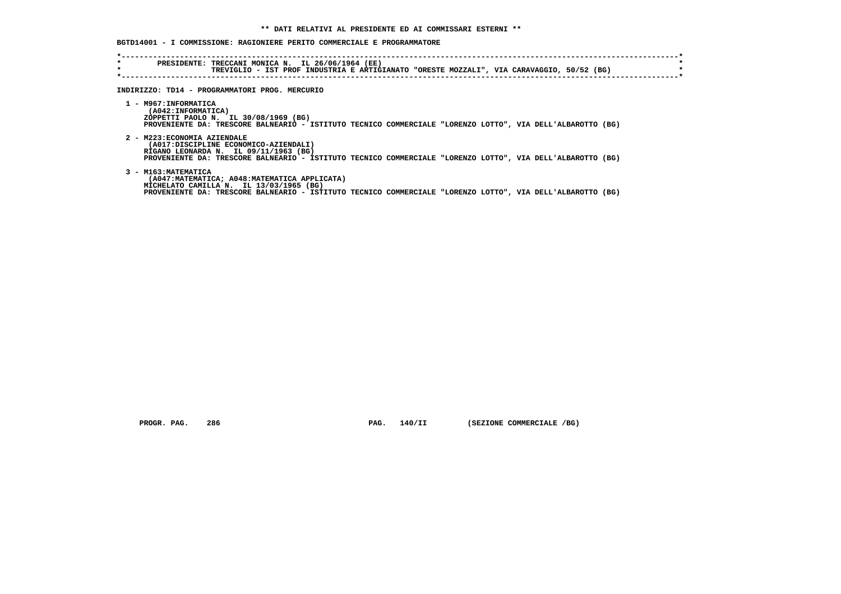## **BGTD14001 - I COMMISSIONE: RAGIONIERE PERITO COMMERCIALE E PROGRAMMATORE**

| $\star$ | PRESIDENTE: TRECCANI MONICA N. IL 26/06/1964 (EE)<br>TREVIGLIO - IST PROF INDUSTRIA E ARTIGIANATO "ORESTE MOZZALI", VIA CARAVAGGIO, 50/52 (BG)                                                                                  |
|---------|---------------------------------------------------------------------------------------------------------------------------------------------------------------------------------------------------------------------------------|
|         | INDIRIZZO: TD14 - PROGRAMMATORI PROG. MERCURIO                                                                                                                                                                                  |
|         | 1 - M967: INFORMATICA<br>(A042:INFORMATICA)<br>ZOPPETTI PAOLO N. IL 30/08/1969 (BG)<br>PROVENIENTE DA: TRESCORE BALNEARIO - ISTITUTO TECNICO COMMERCIALE "LORENZO LOTTO", VIA DELL'ALBAROTTO (BG)                               |
|         | 2 - M223: ECONOMIA AZIENDALE<br>(A017:DISCIPLINE ECONOMICO-AZIENDALI)<br>RIGANO LEONARDA N. IL 09/11/1963 (BG)<br>PROVENIENTE DA: TRESCORE BALNEARIO - ISTITUTO TECNICO COMMERCIALE "LORENZO LOTTO", VIA DELL'ALBAROTTO (BG)    |
|         | 3 - M163: MATEMATICA<br>(A047: MATEMATICA; A048: MATEMATICA APPLICATA)<br>MICHELATO CAMILLA N. IL 13/03/1965 (BG)<br>PROVENIENTE DA: TRESCORE BALNEARIO - ISTITUTO TECNICO COMMERCIALE "LORENZO LOTTO", VIA DELL'ALBAROTTO (BG) |

 **PROGR. PAG.** 286 **PAG. 140/II** (SEZIONE COMMERCIALE /BG)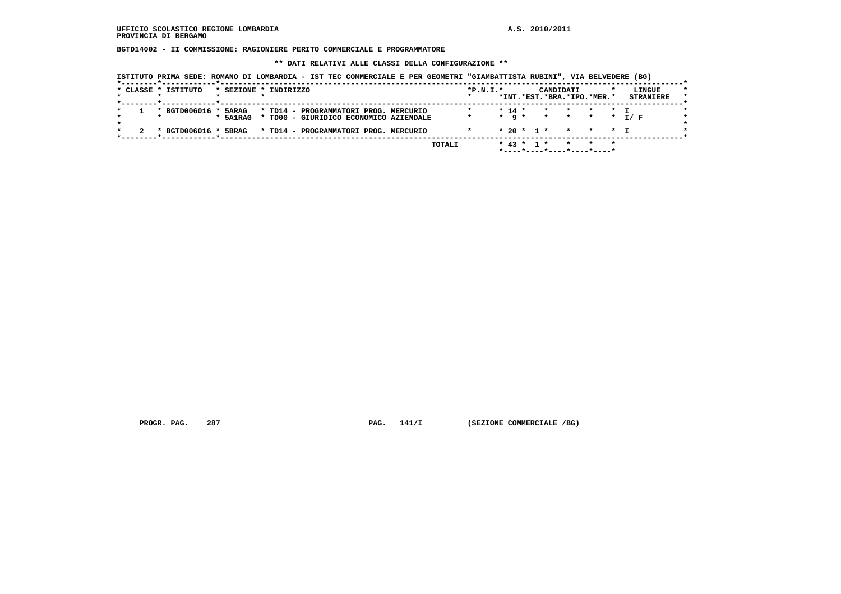#### **UFFICIO SCOLASTICO REGIONE LOMBARDIA A.S. 2010/2011 PROVINCIA DI BERGAMO**

 **BGTD14002 - II COMMISSIONE: RAGIONIERE PERITO COMMERCIALE E PROGRAMMATORE**

 **\*\* DATI RELATIVI ALLE CLASSI DELLA CONFIGURAZIONE \*\***

|  | ISTITUTO PRIMA SEDE: ROMANO DI LOMBARDIA - IST TEC COMMERCIALE E PER GEOMETRI "GIAMBATTISTA RUBINI", VIA BELVEDERE (BG) |  |
|--|-------------------------------------------------------------------------------------------------------------------------|--|
|  |                                                                                                                         |  |

|  | * CLASSE * ISTITUTO  | * SEZIONE * INDIRIZZO |  |                                        |        | $*P.N.T.*$ |                   |                  | CANDIDATI | *INT.*EST.*BRA.*IPO.*MER.* | LINGUE<br><b>STRANIERE</b> | $\star$ |
|--|----------------------|-----------------------|--|----------------------------------------|--------|------------|-------------------|------------------|-----------|----------------------------|----------------------------|---------|
|  |                      |                       |  |                                        |        |            |                   |                  |           |                            |                            |         |
|  | * BGTD006016 * 5ARAG |                       |  | * TD14 - PROGRAMMATORI PROG. MERCURIO  |        |            | $* 14 *$          |                  |           | * * * * T                  |                            |         |
|  |                      | * 5A1RAG              |  | * TD00 - GIURIDICO ECONOMICO AZIENDALE |        | $\star$    | $\star$ q $\star$ |                  |           |                            | * * * * T/F                | $\star$ |
|  |                      |                       |  |                                        |        |            |                   |                  |           |                            |                            |         |
|  | * BGTD006016 *       | 5BRAG                 |  | * TD14 - PROGRAMMATORI PROG. MERCURIO  |        |            |                   |                  |           | $* 20 * 1 * * * * * 1$     |                            |         |
|  |                      |                       |  |                                        |        |            |                   |                  |           |                            |                            |         |
|  |                      |                       |  |                                        | TOTALI |            |                   | $*$ 43 $*$ 1 $*$ |           | $\star$ $\star$            |                            |         |
|  |                      |                       |  |                                        |        |            |                   |                  |           |                            |                            |         |

 **PROGR. PAG.** 287 **PAG. 141/I** (SEZIONE COMMERCIALE /BG)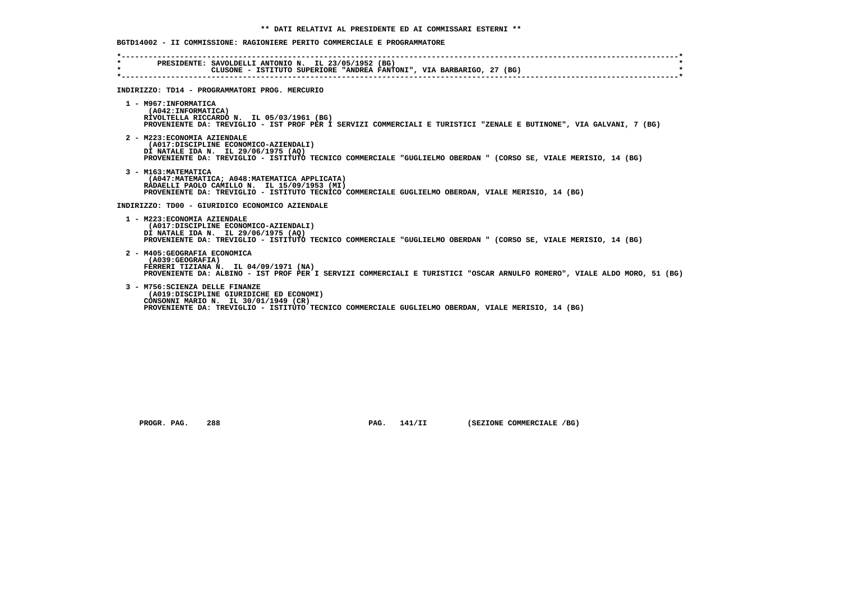## **BGTD14002 - II COMMISSIONE: RAGIONIERE PERITO COMMERCIALE E PROGRAMMATORE**

| $\star$<br>$\star$ | PRESIDENTE: SAVOLDELLI ANTONIO N. IL 23/05/1952 (BG)<br>CLUSONE - ISTITUTO SUPERIORE "ANDREA FANTONI", VIA BARBARIGO, 27 (BG)                                                                                                   |
|--------------------|---------------------------------------------------------------------------------------------------------------------------------------------------------------------------------------------------------------------------------|
|                    | INDIRIZZO: TD14 - PROGRAMMATORI PROG. MERCURIO                                                                                                                                                                                  |
|                    | 1 - M967: INFORMATICA<br>(A042:INFORMATICA)<br>RIVOLTELLA RICCARDO N. IL 05/03/1961 (BG)<br>PROVENIENTE DA: TREVIGLIO - IST PROF PER I SERVIZI COMMERCIALI E TURISTICI "ZENALE E BUTINONE", VIA GALVANI, 7 (BG)                 |
|                    | 2 - M223: ECONOMIA AZIENDALE<br>(A017:DISCIPLINE ECONOMICO-AZIENDALI)<br>DI NATALE IDA N. IL 29/06/1975 (AQ)<br>PROVENIENTE DA: TREVIGLIO - ISTITUTO TECNICO COMMERCIALE "GUGLIELMO OBERDAN " (CORSO SE, VIALE MERISIO, 14 (BG) |
|                    | 3 - M163: MATEMATICA<br>(A047: MATEMATICA: A048: MATEMATICA APPLICATA)<br>RADAELLI PAOLO CAMILLO N. IL 15/09/1953 (MI)<br>PROVENIENTE DA: TREVIGLIO - ISTITUTO TECNICO COMMERCIALE GUGLIELMO OBERDAN, VIALE MERISIO, 14 (BG)    |
|                    | INDIRIZZO: TD00 - GIURIDICO ECONOMICO AZIENDALE                                                                                                                                                                                 |
|                    | 1 - M223: ECONOMIA AZIENDALE<br>(A017:DISCIPLINE ECONOMICO-AZIENDALI)<br>DI NATALE IDA N. IL 29/06/1975 (AO)<br>PROVENIENTE DA: TREVIGLIO - ISTITUTO TECNICO COMMERCIALE "GUGLIELMO OBERDAN " (CORSO SE, VIALE MERISIO, 14 (BG) |
|                    | 2 - M405: GEOGRAFIA ECONOMICA<br>(A039:GEOGRAFIA)<br>FERRERI TIZIANA N. IL 04/09/1971 (NA)<br>PROVENIENTE DA: ALBINO - IST PROF PER I SERVIZI COMMERCIALI E TURISTICI "OSCAR ARNULFO ROMERO", VIALE ALDO MORO, 51 (BG)          |
|                    | 3 - M756: SCIENZA DELLE FINANZE<br>(A019:DISCIPLINE GIURIDICHE ED ECONOMI)<br>CONSONNI MARIO N. IL 30/01/1949 (CR)<br>PROVENIENTE DA: TREVIGLIO - ISTITUTO TECNICO COMMERCIALE GUGLIELMO OBERDAN, VIALE MERISIO, 14 (BG)        |

 **PROGR. PAG.** 288 **PAG. 141/II** (SEZIONE COMMERCIALE /BG)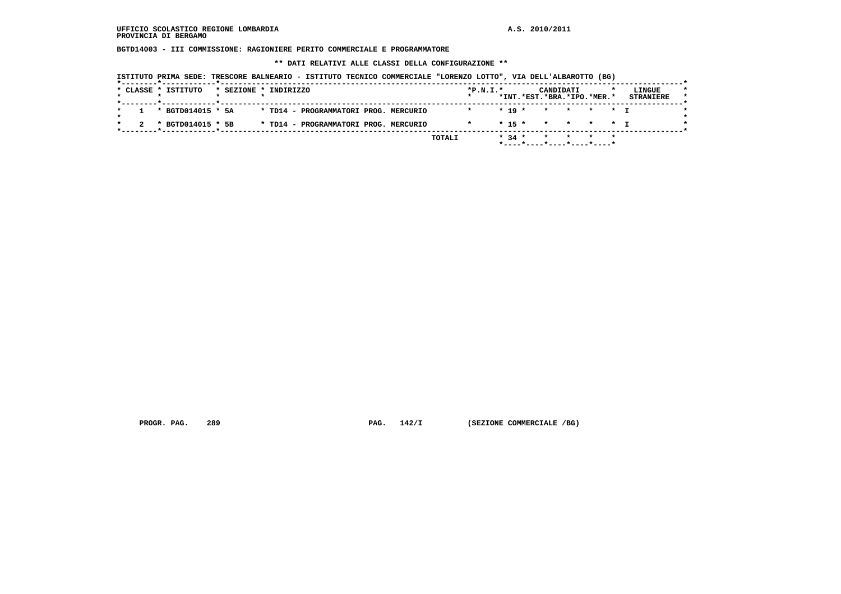**BGTD14003 - III COMMISSIONE: RAGIONIERE PERITO COMMERCIALE E PROGRAMMATORE**

 **\*\* DATI RELATIVI ALLE CLASSI DELLA CONFIGURAZIONE \*\***

| ISTITUTO PRIMA SEDE: TRESCORE BALNEARIO - ISTITUTO TECNICO COMMERCIALE "LORENZO LOTTO", VIA DELL'ALBAROTTO (BG) |
|-----------------------------------------------------------------------------------------------------------------|
|-----------------------------------------------------------------------------------------------------------------|

|  | * CLASSE * ISTITUTO | * SEZIONE * INDIRIZZO |  |                                       |  |               | $*P.N.T.*$ |          | CANDIDATI                  |  | LINGUE           |
|--|---------------------|-----------------------|--|---------------------------------------|--|---------------|------------|----------|----------------------------|--|------------------|
|  |                     |                       |  |                                       |  |               |            |          | *INT.*EST.*BRA.*IPO.*MER.* |  | <b>STRANIERE</b> |
|  | * BGTD014015 * 5A   |                       |  | * TD14 - PROGRAMMATORI PROG. MERCURIO |  |               |            | $* 19 *$ | * * * * * T                |  |                  |
|  | * BGTD014015 * 5B   |                       |  | * TD14 - PROGRAMMATORI PROG. MERCURIO |  |               |            |          | $* 15 * * * * * * T$       |  |                  |
|  |                     |                       |  |                                       |  | <b>TOTALI</b> |            | $* 34 *$ |                            |  |                  |

 **PROGR. PAG.** 289 **PAG.** 142/I (SEZIONE COMMERCIALE /BG)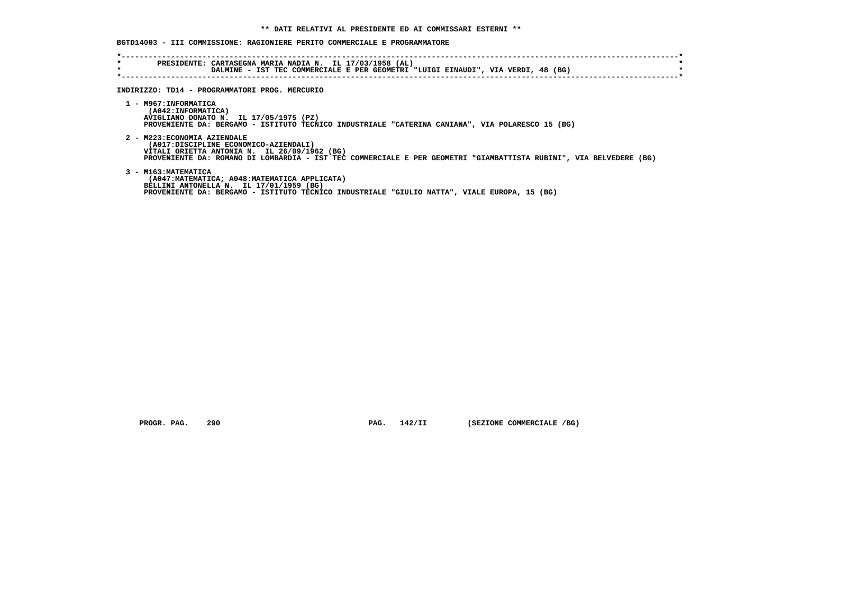### **BGTD14003 - III COMMISSIONE: RAGIONIERE PERITO COMMERCIALE E PROGRAMMATORE**

| *<br>$\star$ | PRESIDENTE: CARTASEGNA MARIA NADIA N. IL 17/03/1958 (AL)<br>DALMINE - IST TEC COMMERCIALE E PER GEOMETRI "LUIGI EINAUDI", VIA VERDI, 48 (BG)                                                                                                |
|--------------|---------------------------------------------------------------------------------------------------------------------------------------------------------------------------------------------------------------------------------------------|
|              | INDIRIZZO: TD14 - PROGRAMMATORI PROG. MERCURIO                                                                                                                                                                                              |
|              | 1 - M967: INFORMATICA<br>(A042: INFORMATICA)<br>AVIGLIANO DONATO N. IL 17/05/1975 (PZ)<br>PROVENIENTE DA: BERGAMO - ISTITUTO TECNICO INDUSTRIALE "CATERINA CANIANA", VIA POLARESCO 15 (BG)                                                  |
|              | 2 - M223: ECONOMIA AZIENDALE<br>(A017:DISCIPLINE ECONOMICO-AZIENDALI)<br>VITALI ORIETTA ANTONIA N. IL 26/09/1962 (BG)<br>PROVENIENTE DA: ROMANO DI LOMBARDIA - IST TEC COMMERCIALE E PER GEOMETRI "GIAMBATTISTA RUBINI", VIA BELVEDERE (BG) |
|              | 3 - M163: MATEMATICA<br>(A047:MATEMATICA; A048:MATEMATICA APPLICATA)<br>BELLINI ANTONELLA N. IL 17/01/1959 (BG)<br>PROVENIENTE DA: BERGAMO - ISTITUTO TECNICO INDUSTRIALE "GIULIO NATTA", VIALE EUROPA, 15 (BG)                             |

 **PROGR. PAG.** 290 **PAG.** 142/II (SEZIONE COMMERCIALE /BG)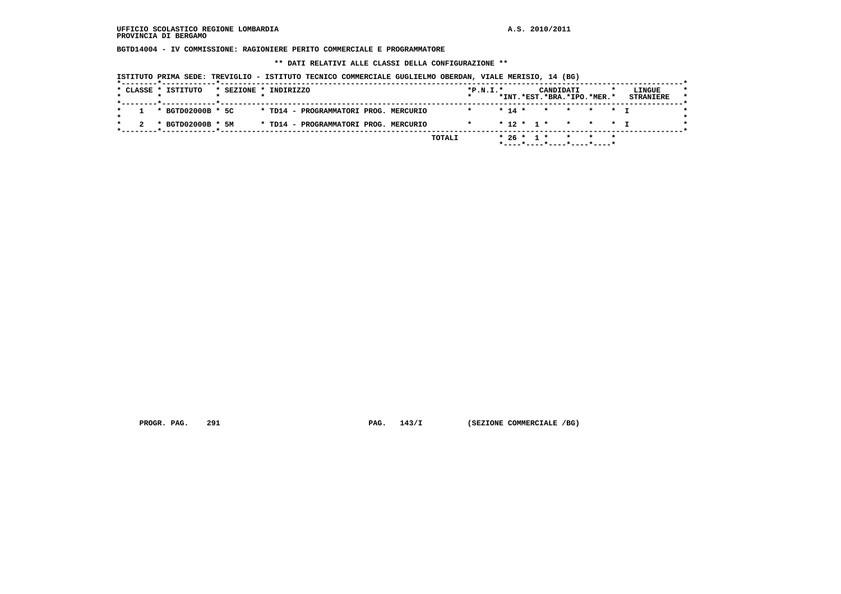**BGTD14004 - IV COMMISSIONE: RAGIONIERE PERITO COMMERCIALE E PROGRAMMATORE**

 **\*\* DATI RELATIVI ALLE CLASSI DELLA CONFIGURAZIONE \*\***

| ISTITUTO PRIMA SEDE: TREVIGLIO - ISTITUTO TECNICO COMMERCIALE GUGLIELMO OBERDAN, VIALE MERISIO, 14 (BG) |  |  |  |  |  |  |
|---------------------------------------------------------------------------------------------------------|--|--|--|--|--|--|
|---------------------------------------------------------------------------------------------------------|--|--|--|--|--|--|

| * BGTD02000B * 5C | * TD14 - PROGRAMMATORI PROG. MERCURIO | * 74 * * * * * T                    |
|-------------------|---------------------------------------|-------------------------------------|
| * BGTD02000B * 5M | * TD14 - PROGRAMMATORI PROG. MERCURIO | $* 12 * 1 * * * * * * 1$<br>$\star$ |

 **PROGR. PAG.** 291 **PAG.** 143/I (SEZIONE COMMERCIALE /BG)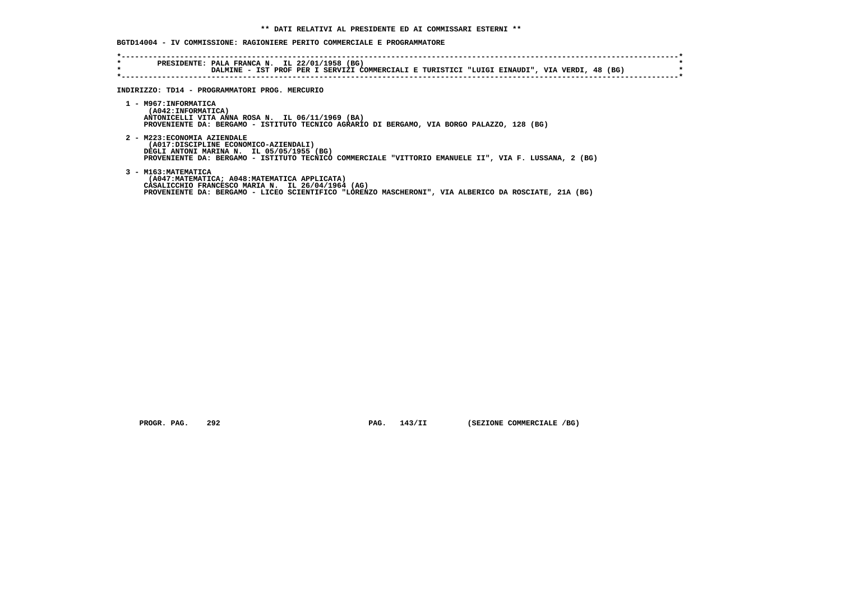### **BGTD14004 - IV COMMISSIONE: RAGIONIERE PERITO COMMERCIALE E PROGRAMMATORE**

| *<br>$\star$ | PRESIDENTE: PALA FRANCA N. IL 22/01/1958 (BG)<br>DALMINE - IST PROF PER I SERVIZI COMMERCIALI E TURISTICI "LUIGI EINAUDI", VIA VERDI, 48 (BG)                                                                                       |
|--------------|-------------------------------------------------------------------------------------------------------------------------------------------------------------------------------------------------------------------------------------|
|              | INDIRIZZO: TD14 - PROGRAMMATORI PROG. MERCURIO                                                                                                                                                                                      |
|              | 1 - M967: INFORMATICA<br>(A042:INFORMATICA)<br>ANTONICELLI VITA ANNA ROSA N. IL 06/11/1969 (BA)<br>PROVENIENTE DA: BERGAMO - ISTITUTO TECNICO AGRARIO DI BERGAMO, VIA BORGO PALAZZO, 128 (BG)                                       |
|              | 2 - M223: ECONOMIA AZIENDALE<br>(A017:DISCIPLINE ECONOMICO-AZIENDALI)<br>DEGLI ANTONI MARINA N. IL 05/05/1955 (BG)<br>PROVENIENTE DA: BERGAMO - ISTITUTO TECNICO COMMERCIALE "VITTORIO EMANUELE II", VIA F. LUSSANA, 2 (BG)         |
|              | 3 - M163: MATEMATICA<br>(A047: MATEMATICA; A048: MATEMATICA APPLICATA)<br>CASALICCHIO FRANCESCO MARIA N. IL 26/04/1964 (AG)<br>PROVENIENTE DA: BERGAMO - LICEO SCIENTIFICO "LORENZO MASCHERONI", VIA ALBERICO DA ROSCIATE, 21A (BG) |

 **PROGR. PAG.** 292 **PAG.** 143/II (SEZIONE COMMERCIALE /BG)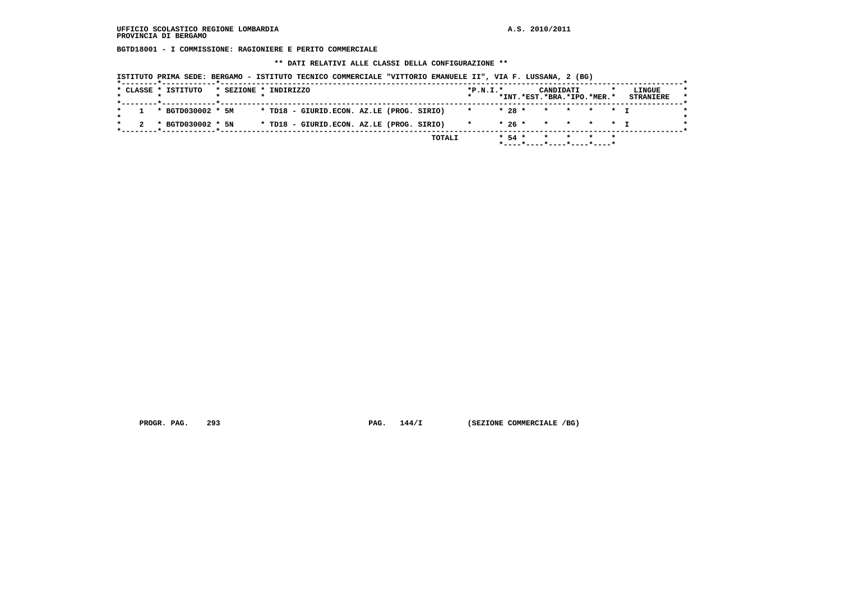**BGTD18001 - I COMMISSIONE: RAGIONIERE E PERITO COMMERCIALE**

 **\*\* DATI RELATIVI ALLE CLASSI DELLA CONFIGURAZIONE \*\***

|   | * CLASSE * ISTITUTO   | * SEZIONE * INDIRIZZO |  |                                           |  | $*P.N.T.*$ |  | CANDIDATI<br>*INT.*EST.*BRA.*IPO.*MER.* |  | LINGUE<br><b>STRANIERE</b> |
|---|-----------------------|-----------------------|--|-------------------------------------------|--|------------|--|-----------------------------------------|--|----------------------------|
|   | $1 * BGTD030002 * 5M$ |                       |  | * TD18 - GIURID.ECON. AZ.LE (PROG. SIRIO) |  |            |  | * 28 * * * * * * T                      |  |                            |
| 2 | * BGTD030002 * 5N     |                       |  | * TD18 - GIURID.ECON. AZ.LE (PROG. SIRIO) |  |            |  | * 26 * * * * * T                        |  |                            |

 **PROGR. PAG.** 293 **PAG.** 144/I (SEZIONE COMMERCIALE /BG)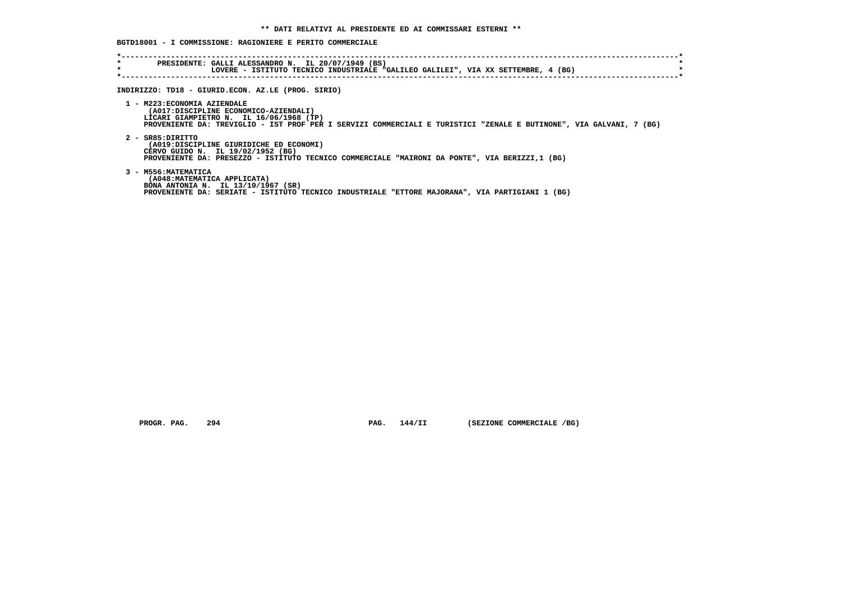### **BGTD18001 - I COMMISSIONE: RAGIONIERE E PERITO COMMERCIALE**

| $\star$<br>$\star$ | PRESIDENTE: GALLI ALESSANDRO N. IL 20/07/1949 (BS)<br>LOVERE - ISTITUTO TECNICO INDUSTRIALE "GALILEO GALILEI", VIA XX SETTEMBRE, 4 (BG) |
|--------------------|-----------------------------------------------------------------------------------------------------------------------------------------|
|                    |                                                                                                                                         |
|                    |                                                                                                                                         |
|                    | INDIRIZZO: TD18 - GIURID.ECON. AZ.LE (PROG. SIRIO)                                                                                      |
|                    |                                                                                                                                         |
|                    | 1 - M223: ECONOMIA AZIENDALE                                                                                                            |
|                    | (A017:DISCIPLINE ECONOMICO-AZIENDALI)                                                                                                   |
|                    | LICARI GIAMPIETRO N. IL 16/06/1968 (TP)                                                                                                 |
|                    | PROVENIENTE DA: TREVIGLIO - IST PROF PER I SERVIZI COMMERCIALI E TURISTICI "ZENALE E BUTINONE", VIA GALVANI, 7 (BG)                     |
|                    |                                                                                                                                         |
|                    | 2 - SR85:DIRITTO                                                                                                                        |
|                    | (A019:DISCIPLINE GIURIDICHE ED ECONOMI)                                                                                                 |
|                    | CERVO GUIDO N. IL 19/02/1952 (BG)                                                                                                       |
|                    | PROVENIENTE DA: PRESEZZO - ISTITUTO TECNICO COMMERCIALE "MAIRONI DA PONTE", VIA BERIZZI,1 (BG)                                          |
|                    |                                                                                                                                         |
|                    | 3 - M556: MATEMATICA                                                                                                                    |
|                    | (A048: MATEMATICA APPLICATA)                                                                                                            |
|                    | BONA ANTONIA N. IL 13/10/1967 (SR)                                                                                                      |
|                    | PROVENIENTE DA: SERIATE - ISTITUTO TECNICO INDUSTRIALE "ETTORE MAJORANA", VIA PARTIGIANI 1 (BG)                                         |
|                    |                                                                                                                                         |
|                    |                                                                                                                                         |

 **PROGR. PAG.** 294 **PAG.** 144/II (SEZIONE COMMERCIALE /BG)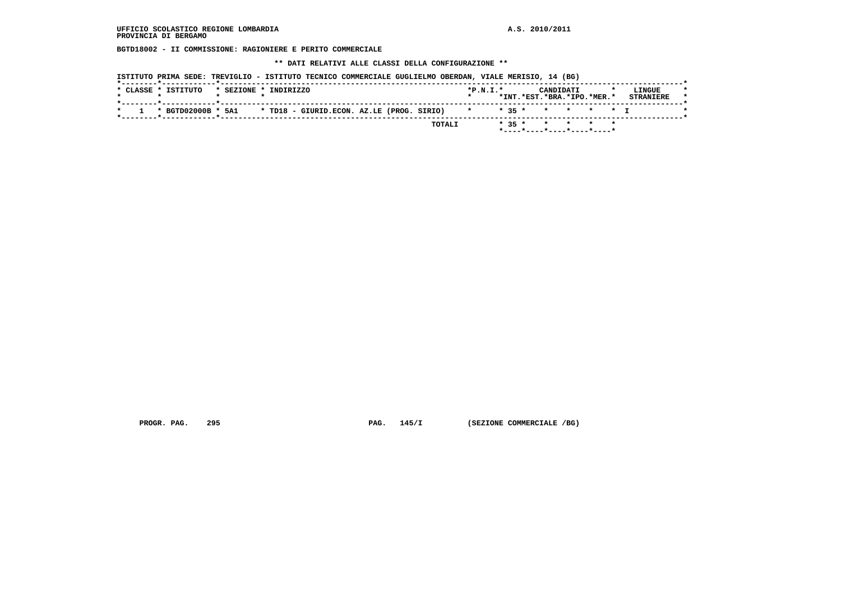**BGTD18002 - II COMMISSIONE: RAGIONIERE E PERITO COMMERCIALE**

 **\*\* DATI RELATIVI ALLE CLASSI DELLA CONFIGURAZIONE \*\***

|                                                                                  |                            | LINGUE           |
|----------------------------------------------------------------------------------|----------------------------|------------------|
|                                                                                  | *INT.*EST.*BRA.*IPO.*MER.* | <b>STRANIERE</b> |
| * BGTD02000B * 5A1 * TD18 - GIURID.ECON. AZ.LE (PROG. SIRIO) * * * * * * * * * I |                            |                  |

 **PROGR. PAG.** 295 **PAG.** 145/I (SEZIONE COMMERCIALE /BG)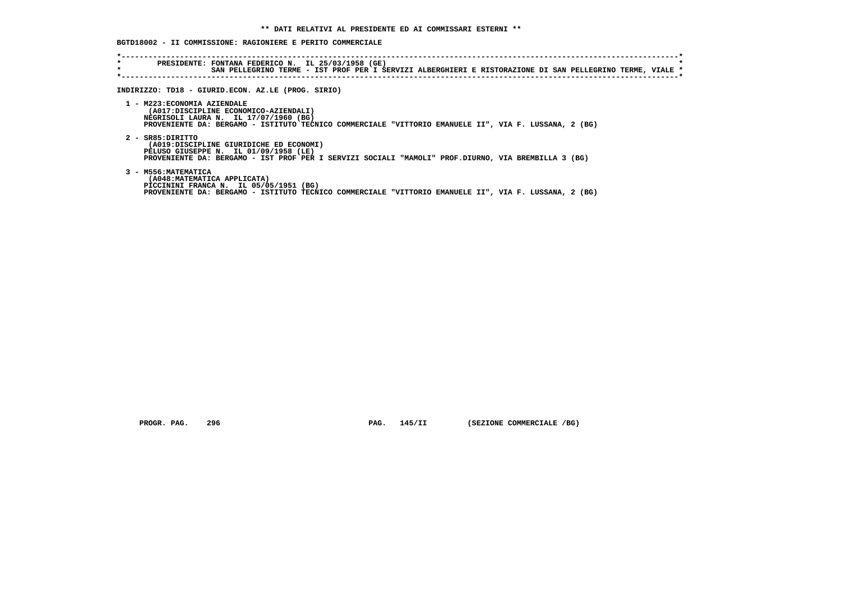### **BGTD18002 - II COMMISSIONE: RAGIONIERE E PERITO COMMERCIALE**

| SAN PELLEGRINO TERME - IST PROF PER I SERVIZI ALBERGHIERI E RISTORAZIONE DI SAN PELLEGRINO TERME, VIALE<br>INDIRIZZO: TD18 - GIURID.ECON. AZ.LE (PROG. SIRIO)                                                           |
|-------------------------------------------------------------------------------------------------------------------------------------------------------------------------------------------------------------------------|
| 1 - M223: ECONOMIA AZIENDALE<br>(A017:DISCIPLINE ECONOMICO-AZIENDALI)<br>NEGRISOLI LAURA N. IL 17/07/1960 (BG)<br>PROVENIENTE DA: BERGAMO - ISTITUTO TECNICO COMMERCIALE "VITTORIO EMANUELE II", VIA F. LUSSANA, 2 (BG) |
| 2 - SR85:DIRITTO<br>(A019:DISCIPLINE GIURIDICHE ED ECONOMI)<br>PELUSO GIUSEPPE N. IL 01/09/1958 (LE)<br>PROVENIENTE DA: BERGAMO - IST PROF PER I SERVIZI SOCIALI "MAMOLI" PROF.DIURNO, VIA BREMBILLA 3 (BG)             |
| 3 - M556: MATEMATICA<br>(A048: MATEMATICA APPLICATA)<br>PICCININI FRANCA N. IL 05/05/1951 (BG)<br>PROVENIENTE DA: BERGAMO - ISTITUTO TECNICO COMMERCIALE "VITTORIO EMANUELE II", VIA F. LUSSANA, 2 (BG)                 |

 **PROGR. PAG.** 296 **PAG.** 145/II (SEZIONE COMMERCIALE /BG)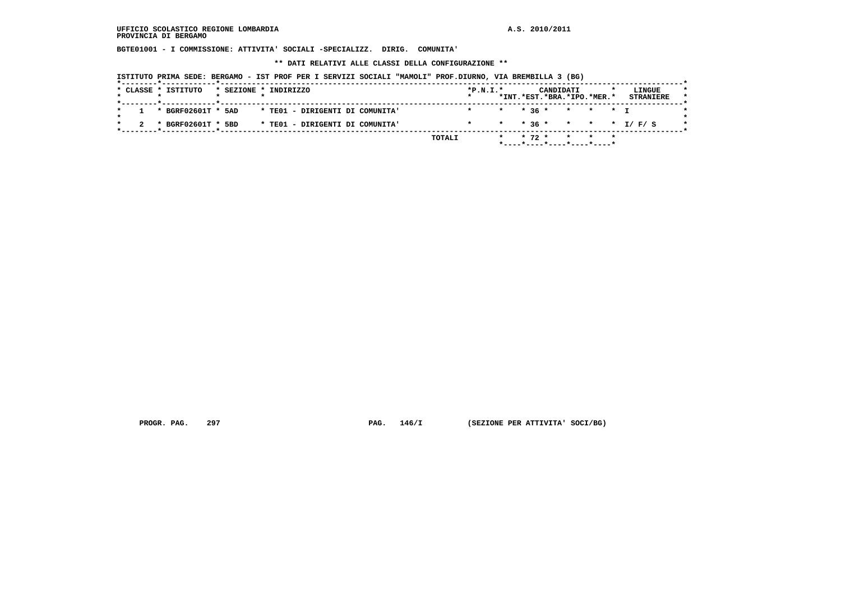**BGTE01001 - I COMMISSIONE: ATTIVITA' SOCIALI -SPECIALIZZ. DIRIG. COMUNITA'**

 **\*\* DATI RELATIVI ALLE CLASSI DELLA CONFIGURAZIONE \*\***

 **ISTITUTO PRIMA SEDE: BERGAMO - IST PROF PER I SERVIZI SOCIALI "MAMOLI" PROF.DIURNO, VIA BREMBILLA 3 (BG)**

| $*P.N.T.*$<br>LINGUE<br>CANDIDATI              |
|------------------------------------------------|
| *INT.*EST.*BRA.*IPO.*MER.*<br><b>STRANIERE</b> |
| $*$ $*$ 36 $*$ $*$ $*$ $*$ T                   |
| * * 36 * * * * * I/F/S                         |
| $*$ 72 $*$<br>TOTALI<br>$\star$<br>$\star$ .   |
|                                                |

 **PROGR. PAG.** 297 **PROGR. 297 PAG. 146/I** (SEZIONE PER ATTIVITA' SOCI/BG)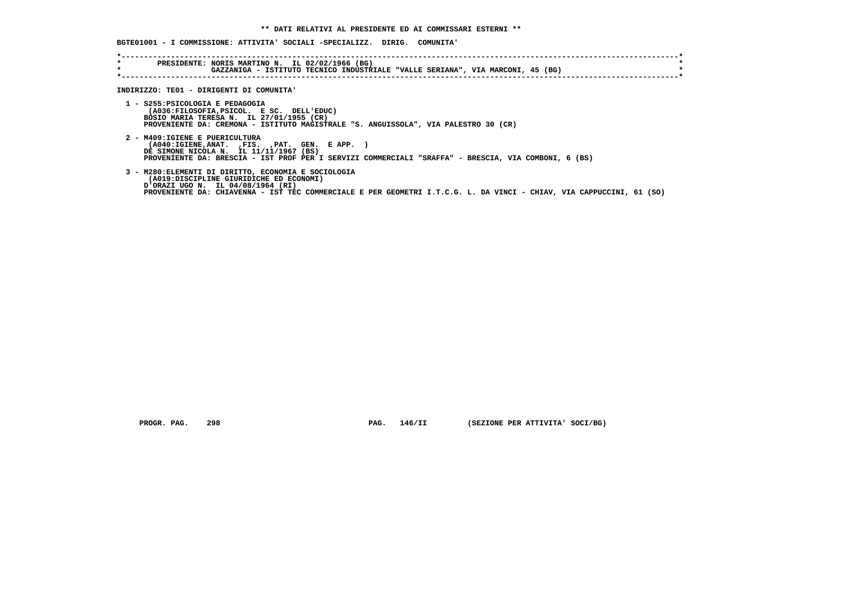# **BGTE01001 - I COMMISSIONE: ATTIVITA' SOCIALI -SPECIALIZZ. DIRIG. COMUNITA'**

| $\star$<br>$\star$ | PRESIDENTE: NORIS MARTINO N. IL 02/02/1966 (BG)<br>GAZZANIGA - ISTITUTO TECNICO INDUSTRIALE "VALLE SERIANA", VIA MARCONI, 45 (BG)                                                                                                                            |
|--------------------|--------------------------------------------------------------------------------------------------------------------------------------------------------------------------------------------------------------------------------------------------------------|
|                    | INDIRIZZO: TE01 - DIRIGENTI DI COMUNITA'                                                                                                                                                                                                                     |
|                    | 1 - S255: PSICOLOGIA E PEDAGOGIA<br>(A036:FILOSOFIA, PSICOL. E SC. DELL'EDUC)<br>BOSIO MARIA TERESA N. IL 27/01/1955 (CR)<br>PROVENIENTE DA: CREMONA - ISTITUTO MAGISTRALE "S. ANGUISSOLA", VIA PALESTRO 30 (CR)                                             |
|                    | 2 - M409: IGIENE E PUERICULTURA<br>(A040:IGIENE,ANAT. ,FIS. ,PAT. GEN. E APP. )<br>DE SIMONE NICOLA N. IL 11/11/1967 (BS)<br>PROVENIENTE DA: BRESCIA - IST PROF PER I SERVIZI COMMERCIALI "SRAFFA" - BRESCIA, VIA COMBONI, 6 (BS)                            |
|                    | 3 - M280: ELEMENTI DI DIRITTO, ECONOMIA E SOCIOLOGIA<br>(A019:DISCIPLINE GIURIDICHE ED ECONOMI)<br>D'ORAZI UGO N. IL 04/08/1964 (RI)<br>PROVENIENTE DA: CHIAVENNA - IST TEC COMMERCIALE E PER GEOMETRI I.T.C.G. L. DA VINCI - CHIAV, VIA CAPPUCCINI, 61 (SO) |

 **PROGR. PAG. 298 PAG. 146/II (SEZIONE PER ATTIVITA' SOCI/BG)**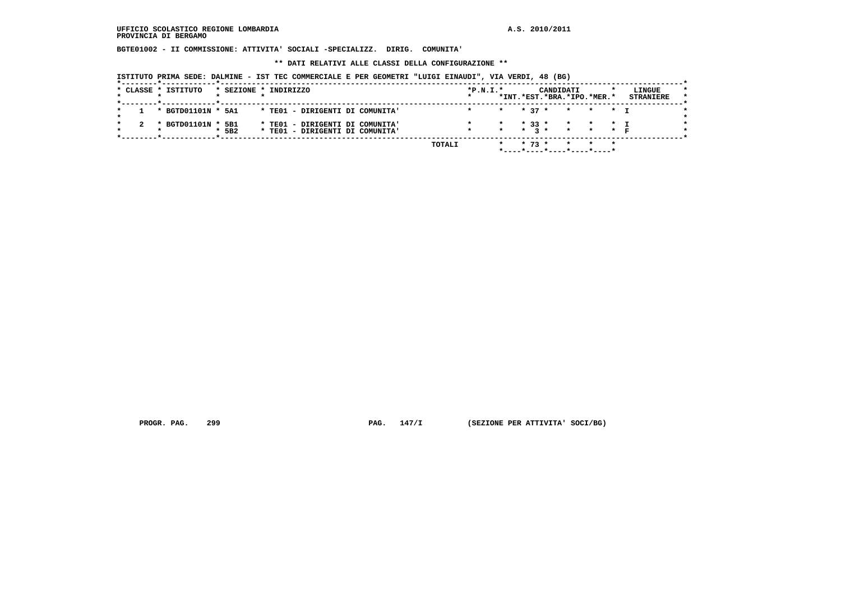**BGTE01002 - II COMMISSIONE: ATTIVITA' SOCIALI -SPECIALIZZ. DIRIG. COMUNITA'**

 **\*\* DATI RELATIVI ALLE CLASSI DELLA CONFIGURAZIONE \*\***

 **ISTITUTO PRIMA SEDE: DALMINE - IST TEC COMMERCIALE E PER GEOMETRI "LUIGI EINAUDI", VIA VERDI, 48 (BG)**

|  | * CLASSE * ISTITUTO | * SEZIONE * INDIRIZZO |  |                                 |  |        | $*P.N.I.*$ |  | CANDIDATI<br>*INT.*EST.*BRA.*IPO.*MER.*                                    |  | LINGUE<br><b>STRANIERE</b> |
|--|---------------------|-----------------------|--|---------------------------------|--|--------|------------|--|----------------------------------------------------------------------------|--|----------------------------|
|  | * BGTD01101N * 5A1  |                       |  | * TEO1 - DIRIGENTI DI COMUNITA' |  |        |            |  | * * 37 * * * * I                                                           |  |                            |
|  | * BGTD01101N * 5B1  |                       |  | * TEO1 - DIRIGENTI DI COMUNITA' |  |        |            |  | $\star$ $\star$ 33 $\star$ $\star$ $\star$ $\star$ $\star$ $\star$ $\star$ |  |                            |
|  |                     | 5B <sub>2</sub>       |  | * TEO1 - DIRIGENTI DI COMUNITA' |  |        |            |  | $*$ $*$ $3 *$ $*$ $*$ $*$ $*$                                              |  |                            |
|  |                     |                       |  |                                 |  | TOTALI |            |  | * * 73 * * * *                                                             |  |                            |
|  |                     |                       |  |                                 |  |        |            |  | *----*----*----*----*----*                                                 |  |                            |

 **PROGR. PAG.** 299 **PROGR. 2010 PAG. 147/I** (SEZIONE PER ATTIVITA' SOCI/BG)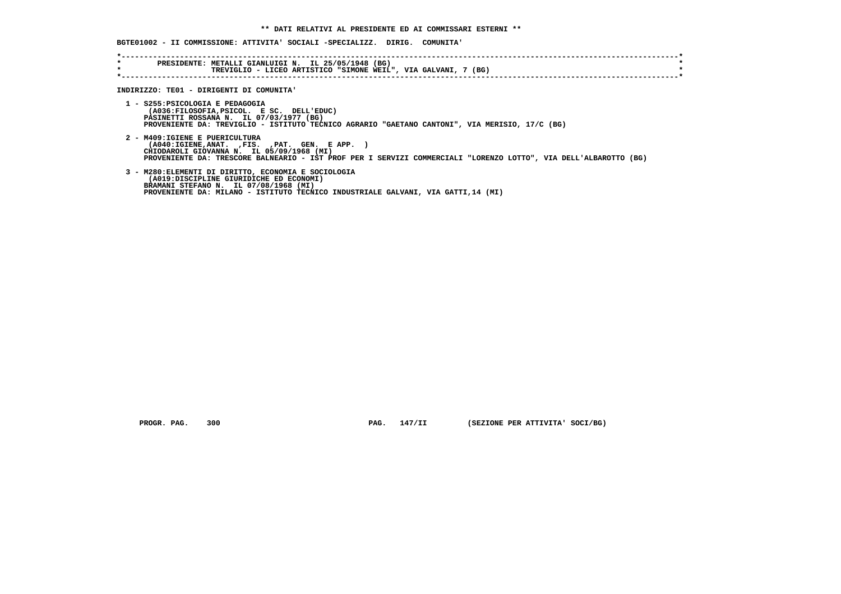### **BGTE01002 - II COMMISSIONE: ATTIVITA' SOCIALI -SPECIALIZZ. DIRIG. COMUNITA'**

| $\star$ | PRESIDENTE: METALLI GIANLUIGI N. IL 25/05/1948 (BG)<br>TREVIGLIO - LICEO ARTISTICO "SIMONE WEIL", VIA GALVANI, 7 (BG)                                                                                                                            |
|---------|--------------------------------------------------------------------------------------------------------------------------------------------------------------------------------------------------------------------------------------------------|
|         | INDIRIZZO: TE01 - DIRIGENTI DI COMUNITA'                                                                                                                                                                                                         |
|         | 1 - S255: PSICOLOGIA E PEDAGOGIA<br>(A036:FILOSOFIA, PSICOL. E SC. DELL'EDUC)<br>PASINETTI ROSSANA N. IL 07/03/1977 (BG)<br>PROVENIENTE DA: TREVIGLIO - ISTITUTO TECNICO AGRARIO "GAETANO CANTONI", VIA MERISIO, 17/C (BG)                       |
|         | 2 - M409: IGIENE E PUERICULTURA<br>(A040:IGIENE,ANAT. ,FIS. ,PAT. GEN. E APP. )<br>CHIODAROLI GIOVANNA N. IL 05/09/1968 (MI)<br>PROVENIENTE DA: TRESCORE BALNEARIO - IST PROF PER I SERVIZI COMMERCIALI "LORENZO LOTTO", VIA DELL'ALBAROTTO (BG) |
|         | 3 - M280: ELEMENTI DI DIRITTO, ECONOMIA E SOCIOLOGIA<br>(A019:DISCIPLINE GIURIDICHE ED ECONOMI)<br>BRAMANI STEFANO N. IL 07/08/1968 (MI)<br>PROVENIENTE DA: MILANO - ISTITUTO TECNICO INDUSTRIALE GALVANI, VIA GATTI, 14 (MI)                    |

 **PROGR. PAG. 300 PAG. 147/II (SEZIONE PER ATTIVITA' SOCI/BG)**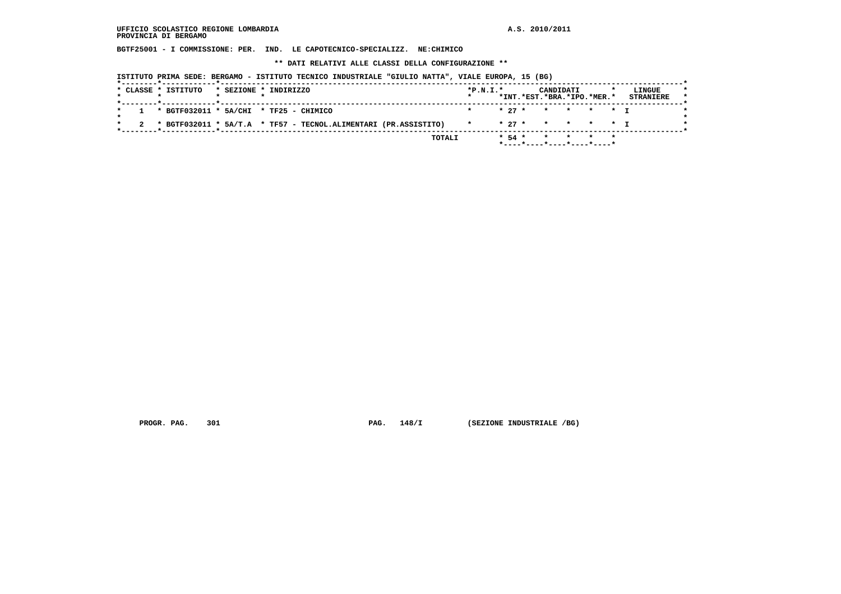**BGTF25001 - I COMMISSIONE: PER. IND. LE CAPOTECNICO-SPECIALIZZ. NE:CHIMICO**

 **\*\* DATI RELATIVI ALLE CLASSI DELLA CONFIGURAZIONE \*\***

 **ISTITUTO PRIMA SEDE: BERGAMO - ISTITUTO TECNICO INDUSTRIALE "GIULIO NATTA", VIALE EUROPA, 15 (BG)**

| * 27 * * * * * T<br>$1 * BGTF032011 * 5A/CHI * TF25 - CHIMICO$<br>* 27 * * * * * T<br>2 * BGTF032011 * 5A/T.A * TF57 - TECNOL.ALIMENTARI (PR.ASSISTITO)<br>$\star$ | * CLASSE * ISTITUTO |  | * SEZIONE * INDIRIZZO | $*P.N.T.*$ |  | CANDIDATI<br>*INT.*EST.*BRA.*IPO.*MER.* |  | LINGUE<br><b>STRANIERE</b> |
|--------------------------------------------------------------------------------------------------------------------------------------------------------------------|---------------------|--|-----------------------|------------|--|-----------------------------------------|--|----------------------------|
|                                                                                                                                                                    |                     |  |                       |            |  |                                         |  |                            |
|                                                                                                                                                                    |                     |  |                       |            |  |                                         |  |                            |

 **PROGR. PAG.** 301 **PAG.** 148/I (SEZIONE INDUSTRIALE /BG)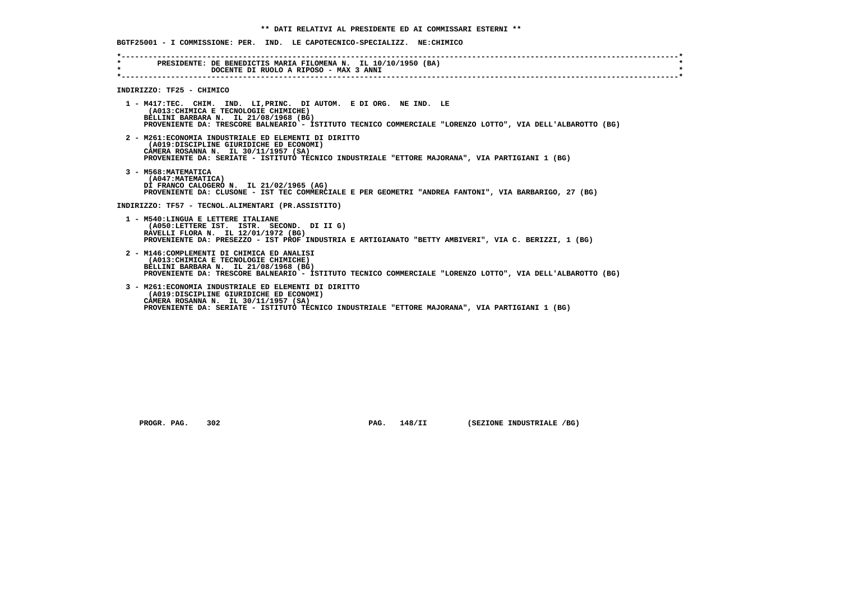| $\star$ and $\star$<br>$\star$ $\sim$ | PRESIDENTE: DE BENEDICTIS MARIA FILOMENA N. IL 10/10/1950 (BA)<br>DOCENTE DI RUOLO A RIPOSO - MAX 3 ANNI                                                                                                                                                           |
|---------------------------------------|--------------------------------------------------------------------------------------------------------------------------------------------------------------------------------------------------------------------------------------------------------------------|
|                                       | INDIRIZZO: TF25 - CHIMICO                                                                                                                                                                                                                                          |
|                                       | 1 - M417:TEC. CHIM. IND. LI, PRINC. DI AUTOM. E DI ORG. NE IND. LE<br>(A013: CHIMICA E TECNOLOGIE CHIMICHE)<br>BELLINI BARBARA N. IL 21/08/1968 (BG)<br>PROVENIENTE DA: TRESCORE BALNEARIO - ISTITUTO TECNICO COMMERCIALE "LORENZO LOTTO", VIA DELL'ALBAROTTO (BG) |
|                                       | 2 - M261: ECONOMIA INDUSTRIALE ED ELEMENTI DI DIRITTO<br>(A019:DISCIPLINE GIURIDICHE ED ECONOMI)<br>CAMERA ROSANNA N. IL 30/11/1957 (SA)<br>PROVENIENTE DA: SERIATE - ISTITUTO TECNICO INDUSTRIALE "ETTORE MAJORANA", VIA PARTIGIANI 1 (BG)                        |
|                                       | 3 - M568: MATEMATICA<br>(A047: MATEMATICA)<br>DI FRANCO CALOGERO N. IL 21/02/1965 (AG)<br>PROVENIENTE DA: CLUSONE - IST TEC COMMERCIALE E PER GEOMETRI "ANDREA FANTONI", VIA BARBARIGO, 27 (BG)                                                                    |
|                                       | INDIRIZZO: TF57 - TECNOL.ALIMENTARI (PR.ASSISTITO)                                                                                                                                                                                                                 |
|                                       | 1 - M540:LINGUA E LETTERE ITALIANE<br>(A050:LETTERE IST. ISTR. SECOND. DI II G)<br>RAVELLI FLORA N. IL 12/01/1972 (BG)<br>PROVENIENTE DA: PRESEZZO - IST PROF INDUSTRIA E ARTIGIANATO "BETTY AMBIVERI", VIA C. BERIZZI, 1 (BG)                                     |
|                                       | 2 - M146: COMPLEMENTI DI CHIMICA ED ANALISI<br>(A013: CHIMICA E TECNOLOGIE CHIMICHE)<br>BELLINI BARBARA N. IL 21/08/1968 (BG)<br>PROVENIENTE DA: TRESCORE BALNEARIO - ISTITUTO TECNICO COMMERCIALE "LORENZO LOTTO", VIA DELL'ALBAROTTO (BG)                        |
|                                       | 3 - M261: ECONOMIA INDUSTRIALE ED ELEMENTI DI DIRITTO<br>(A019:DISCIPLINE GIURIDICHE ED ECONOMI)<br>CAMERA ROSANNA N. IL 30/11/1957 (SA)<br>PROVENIENTE DA: SERIATE - ISTITUTO TECNICO INDUSTRIALE "ETTORE MAJORANA", VIA PARTIGIANI 1 (BG)                        |

 **PROGR. PAG.** 302 **PAG.** 148/II (SEZIONE INDUSTRIALE /BG)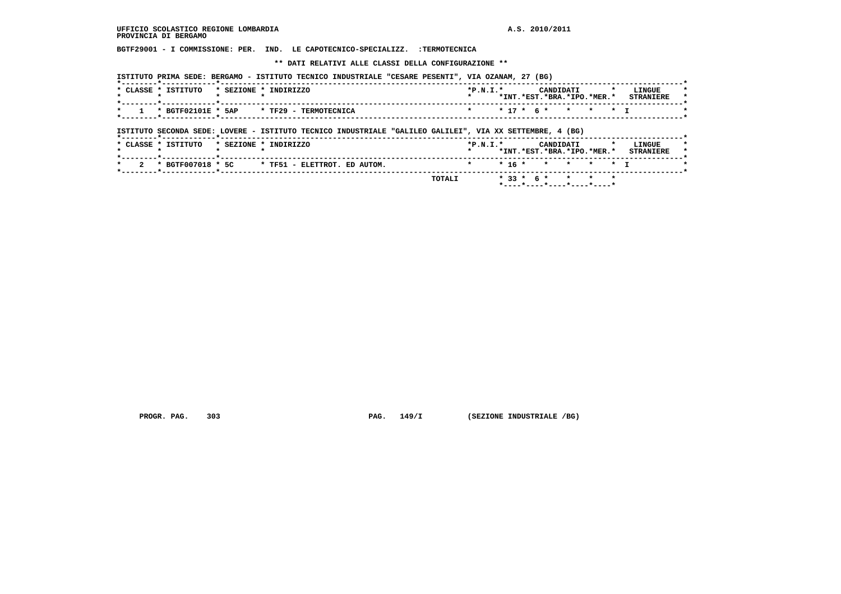**BGTF29001 - I COMMISSIONE: PER. IND. LE CAPOTECNICO-SPECIALIZZ. :TERMOTECNICA**

 **\*\* DATI RELATIVI ALLE CLASSI DELLA CONFIGURAZIONE \*\***

| CLASSE * ISTITUTO  | * SEZIONE * | INDIRIZZO             | $*P.N.T.*$ |  | CANDIDATI<br>*INT.*EST.*BRA.*IPO.*MER.* |  | LINGUE<br><b>STRANTERE</b> |  |
|--------------------|-------------|-----------------------|------------|--|-----------------------------------------|--|----------------------------|--|
| * BGTF02101E * 5AP |             | * TF29 - TERMOTECNICA |            |  | $* 17 * 6 * * * * * * 1$                |  |                            |  |

 **ISTITUTO SECONDA SEDE: LOVERE - ISTITUTO TECNICO INDUSTRIALE "GALILEO GALILEI", VIA XX SETTEMBRE, 4 (BG)**

| * CLASSE * ISTITUTO |  | * SEZIONE * INDIRIZZO                                                      | $*P.N.T.*$           |  |  | CANDIDATI |  | *INT.*EST.*BRA.*IPO.*MER.* | LINGUE<br><b>STRANTERE</b> | . . |
|---------------------|--|----------------------------------------------------------------------------|----------------------|--|--|-----------|--|----------------------------|----------------------------|-----|
|                     |  | $\star$ 2 $\star$ BGTF007018 $\star$ 5C $\star$ TF51 - ELETTROT. ED AUTOM. | * * 16 * * * * * * T |  |  |           |  |                            |                            |     |
|                     |  | TOTALI                                                                     |                      |  |  |           |  | $*33 * 6 * * * * * * *$    |                            |     |

 **PROGR. PAG. 303 PAG. 149/I (SEZIONE INDUSTRIALE /BG)**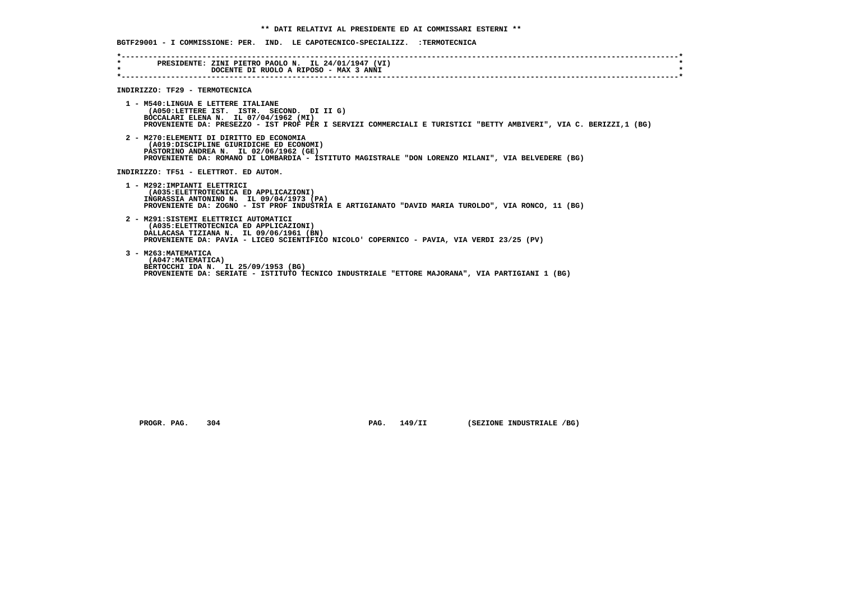|         | -----------------------------------                                                                                                                                                                                                           |  |
|---------|-----------------------------------------------------------------------------------------------------------------------------------------------------------------------------------------------------------------------------------------------|--|
| $\star$ | * PRESIDENTE: ZINI PIETRO PAOLO N. IL 24/01/1947 (VI)<br>DOCENTE DI RUOLO A RIPOSO - MAX 3 ANNI                                                                                                                                               |  |
|         | INDIRIZZO: TF29 - TERMOTECNICA                                                                                                                                                                                                                |  |
|         | 1 - M540:LINGUA E LETTERE ITALIANE<br>(A050:LETTERE IST. ISTR. SECOND. DI II G)<br>BOCCALARI ELENA N. IL 07/04/1962 (MI)<br>PROVENIENTE DA: PRESEZZO - IST PROF PER I SERVIZI COMMERCIALI E TURISTICI "BETTY AMBIVERI", VIA C. BERIZZI,1 (BG) |  |
|         | 2 - M270: ELEMENTI DI DIRITTO ED ECONOMIA<br>(A019:DISCIPLINE GIURIDICHE ED ECONOMI)<br>PASTORINO ANDREA N. IL 02/06/1962 (GE)<br>PROVENIENTE DA: ROMANO DI LOMBARDIA - ISTITUTO MAGISTRALE "DON LORENZO MILANI", VIA BELVEDERE (BG)          |  |
|         | INDIRIZZO: TF51 - ELETTROT. ED AUTOM.                                                                                                                                                                                                         |  |
|         | 1 - M292: IMPIANTI ELETTRICI<br>(A035: ELETTROTECNICA ED APPLICAZIONI)<br>INGRASSIA ANTONINO N. IL 09/04/1973 (PA)<br>PROVENIENTE DA: ZOGNO - IST PROF INDUSTRIA E ARTIGIANATO "DAVID MARIA TUROLDO", VIA RONCO, 11 (BG)                      |  |
|         | 2 - M291:SISTEMI ELETTRICI AUTOMATICI<br>(A035: ELETTROTECNICA ED APPLICAZIONI)<br>DALLACASA TIZIANA N. IL 09/06/1961 (BN)<br>PROVENIENTE DA: PAVIA - LICEO SCIENTIFICO NICOLO 'COPERNICO - PAVIA, VIA VERDI 23/25 (PV)                       |  |
|         | 3 - M263: MATEMATICA<br>(A047: MATEMATICA)<br>BERTOCCHI IDA N. IL 25/09/1953 (BG)<br>PROVENIENTE DA: SERIATE - ISTITUTO TECNICO INDUSTRIALE "ETTORE MAJORANA", VIA PARTIGIANI 1 (BG)                                                          |  |

 **PROGR. PAG.** 304 **PAG.** 149/II (SEZIONE INDUSTRIALE /BG)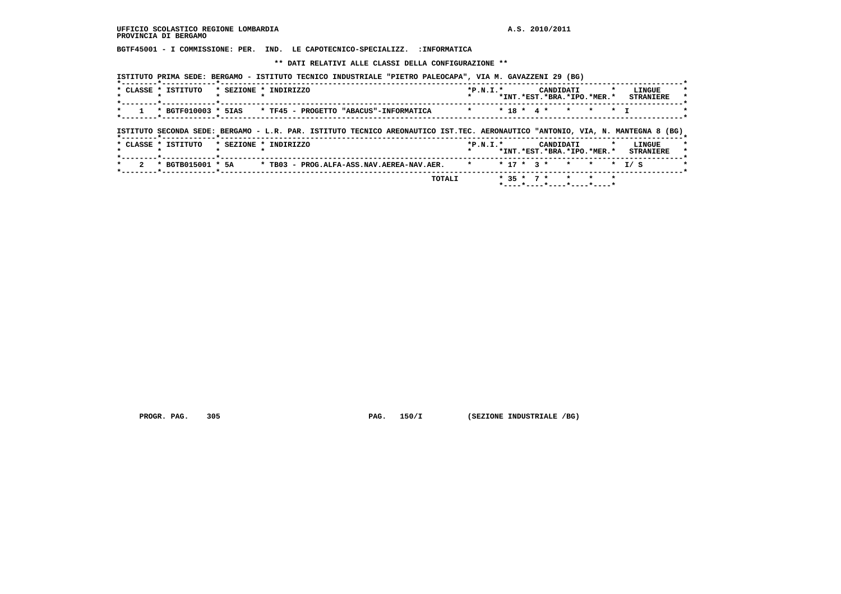**BGTF45001 - I COMMISSIONE: PER. IND. LE CAPOTECNICO-SPECIALIZZ. :INFORMATICA**

 **\*\* DATI RELATIVI ALLE CLASSI DELLA CONFIGURAZIONE \*\***

|                                 | * CLASSE * ISTITUTO                                                                                                            | * SEZIONE * INDIRIZZO                  |  |                                           |              | $*P.N.T.*$ |  |              | CANDIDATI                  |         |         |                | LINGUE           |  |
|---------------------------------|--------------------------------------------------------------------------------------------------------------------------------|----------------------------------------|--|-------------------------------------------|--------------|------------|--|--------------|----------------------------|---------|---------|----------------|------------------|--|
|                                 |                                                                                                                                |                                        |  |                                           |              |            |  |              | *INT.*EST.*BRA.*IPO.*MER.* |         |         |                | <b>STRANIERE</b> |  |
| $\star$                         | * BGTF010003 * 5IAS                                                                                                            | * TF45 - PROGETTO "ABACUS"-INFORMATICA |  |                                           |              | $\star$    |  | $* 18 * 4 *$ | $\star$                    | $\star$ |         | $\star$ $\tau$ |                  |  |
|                                 |                                                                                                                                |                                        |  |                                           |              |            |  |              |                            |         |         |                |                  |  |
|                                 | ISTITUTO SECONDA SEDE: BERGAMO - L.R. PAR. ISTITUTO TECNICO AREONAUTICO IST.TEC. AERONAUTICO "ANTONIO, VIA, N. MANTEGNA 8 (BG) |                                        |  |                                           |              |            |  |              |                            |         |         |                |                  |  |
|                                 | * CLASSE * ISTITUTO                                                                                                            | * SEZIONE * INDIRIZZO                  |  |                                           |              | $*P.N.T.*$ |  |              | CANDIDATI                  |         |         | $\star$        | LINGUE           |  |
|                                 |                                                                                                                                |                                        |  |                                           |              |            |  |              | *INT.*EST.*BRA.*IPO.*MER.* |         |         |                | <b>STRANIERE</b> |  |
| $\mathbf{2}^{\circ}$<br>$\star$ | * BGTB015001 * 5A                                                                                                              |                                        |  | * TB03 - PROG.ALFA-ASS.NAV.AEREA-NAV.AER. | $\mathbf{r}$ |            |  | $* 17 * 3 *$ | $\mathbf{r}$               | $\star$ |         | $\star$        | T / S            |  |
|                                 |                                                                                                                                |                                        |  |                                           | TOTALI       |            |  | $* 35 * 7 *$ | $\star$                    |         | $\star$ |                |                  |  |
|                                 |                                                                                                                                |                                        |  |                                           |              |            |  |              | *----*---*---*---*---*---- |         |         |                |                  |  |

 **PROGR. PAG.** 305 **PAG.** 150/I (SEZIONE INDUSTRIALE /BG)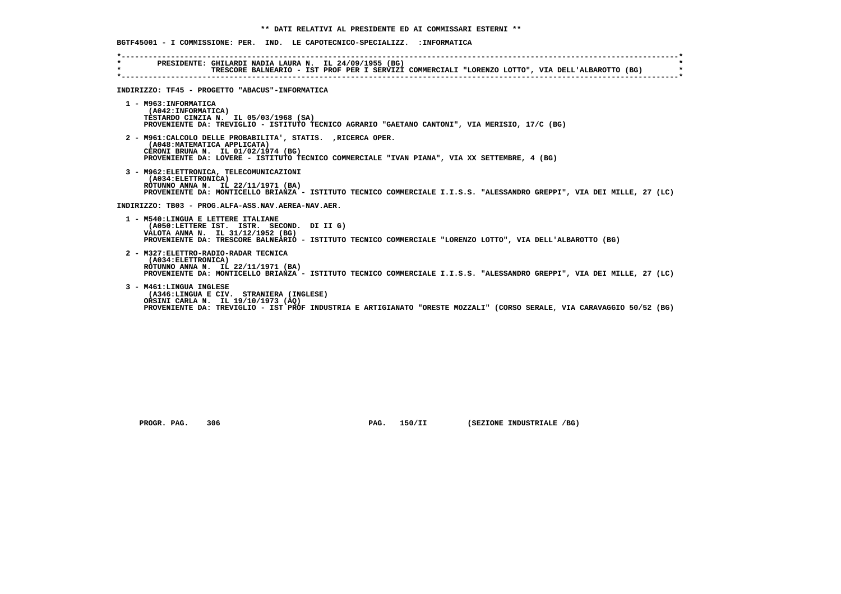| $\star$ . The set of $\star$<br>$\star$ | PRESIDENTE: GHILARDI NADIA LAURA N. IL 24/09/1955 (BG)<br>TRESCORE BALNEARIO - IST PROF PER I SERVIZI COMMERCIALI "LORENZO LOTTO", VIA DELL'ALBAROTTO (BG)                                                                                                                            |
|-----------------------------------------|---------------------------------------------------------------------------------------------------------------------------------------------------------------------------------------------------------------------------------------------------------------------------------------|
|                                         | INDIRIZZO: TF45 - PROGETTO "ABACUS"-INFORMATICA                                                                                                                                                                                                                                       |
|                                         | 1 - M963: INFORMATICA<br>(A042: INFORMATICA)<br>TESTARDO CINZIA N. IL 05/03/1968 (SA)<br>PROVENIENTE DA: TREVIGLIO - ISTITUTO TECNICO AGRARIO "GAETANO CANTONI", VIA MERISIO, 17/C (BG)                                                                                               |
|                                         | 2 - M961: CALCOLO DELLE PROBABILITA', STATIS. , RICERCA OPER.<br>(A048: MATEMATICA APPLICATA)<br>CERONI BRUNA N. IL 01/02/1974 (BG)<br>PROVENIENTE DA: LOVERE - ISTITUTO TECNICO COMMERCIALE "IVAN PIANA", VIA XX SETTEMBRE, 4 (BG)                                                   |
|                                         | 3 - M962: ELETTRONICA, TELECOMUNICAZIONI<br>(A034: ELETTRONICA)<br>ROTUNNO ANNA N. IL 22/11/1971 (BA)<br>PROVENIENTE DA: MONTICELLO BRIANZA - ISTITUTO TECNICO COMMERCIALE I.I.S.S. "ALESSANDRO GREPPI", VIA DEI MILLE, 27 (LC)<br>INDIRIZZO: TB03 - PROG.ALFA-ASS.NAV.AEREA-NAV.AER. |
|                                         | 1 - M540:LINGUA E LETTERE ITALIANE<br>(A050:LETTERE IST. ISTR. SECOND. DI II G)<br>VALOTA ANNA N. IL 31/12/1952 (BG)<br>PROVENIENTE DA: TRESCORE BALNEARIO - ISTITUTO TECNICO COMMERCIALE "LORENZO LOTTO", VIA DELL'ALBAROTTO (BG)                                                    |
|                                         | 2 - M327: ELETTRO-RADIO-RADAR TECNICA<br>(A034: ELETTRONICA)<br>ROTUNNO ANNA N. IL 22/11/1971 (BA)<br>PROVENIENTE DA: MONTICELLO BRIANZA - ISTITUTO TECNICO COMMERCIALE I.I.S.S. "ALESSANDRO GREPPI", VIA DEI MILLE, 27 (LC)                                                          |
|                                         | 3 - M461:LINGUA INGLESE<br>(A346:LINGUA E CIV. STRANIERA (INGLESE)<br>ORSINI CARLA N. IL 19/10/1973 (AO)<br>PROVENIENTE DA: TREVIGLIO - IST PROF INDUSTRIA E ARTIGIANATO "ORESTE MOZZALI" (CORSO SERALE, VIA CARAVAGGIO 50/52 (BG)                                                    |

 **PROGR. PAG.** 306 **PAG. 150/II** (SEZIONE INDUSTRIALE /BG)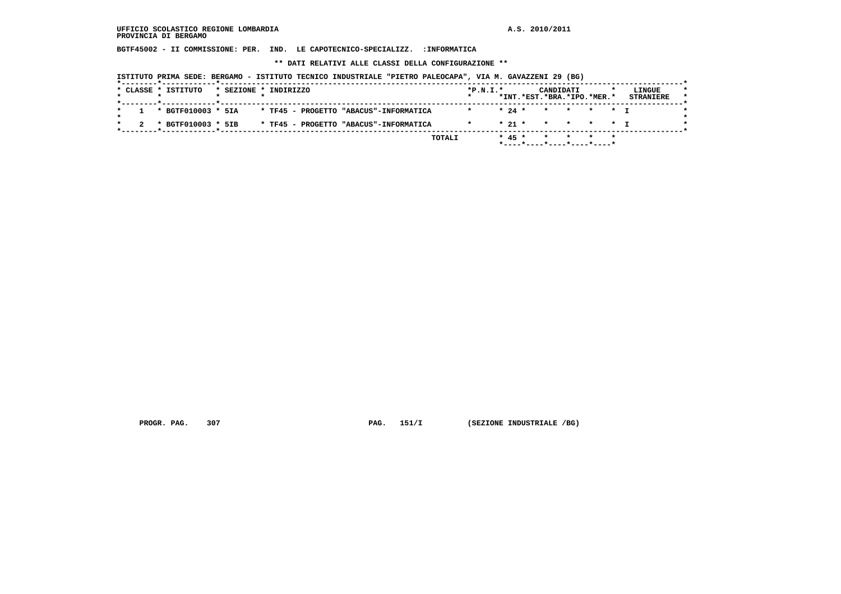**BGTF45002 - II COMMISSIONE: PER. IND. LE CAPOTECNICO-SPECIALIZZ. :INFORMATICA**

 **\*\* DATI RELATIVI ALLE CLASSI DELLA CONFIGURAZIONE \*\***

 **ISTITUTO PRIMA SEDE: BERGAMO - ISTITUTO TECNICO INDUSTRIALE "PIETRO PALEOCAPA", VIA M. GAVAZZENI 29 (BG)**

| $1 * BGTF010003 * 5IA$<br>* 24 * * * * * T<br>* TF45 - PROGETTO "ABACUS"-INFORMATICA<br>$* 21 * * * * * * + T$<br>* BGTF010003 * 5IB<br>* TF45 - PROGETTO "ABACUS"-INFORMATICA<br>$\mathbf{r}$ and $\mathbf{r}$ |  | * CLASSE * ISTITUTO |  | * SEZIONE * INDIRIZZO |  | $*P.N.I.*$ |  | CANDIDATI<br>*INT.*EST.*BRA.*IPO.*MER.* |  | LINGUE<br><b>STRANIERE</b> |  |
|-----------------------------------------------------------------------------------------------------------------------------------------------------------------------------------------------------------------|--|---------------------|--|-----------------------|--|------------|--|-----------------------------------------|--|----------------------------|--|
|                                                                                                                                                                                                                 |  |                     |  |                       |  |            |  |                                         |  |                            |  |
|                                                                                                                                                                                                                 |  |                     |  |                       |  |            |  |                                         |  |                            |  |

 **PROGR. PAG.** 307 **PAG.** 151/I (SEZIONE INDUSTRIALE /BG)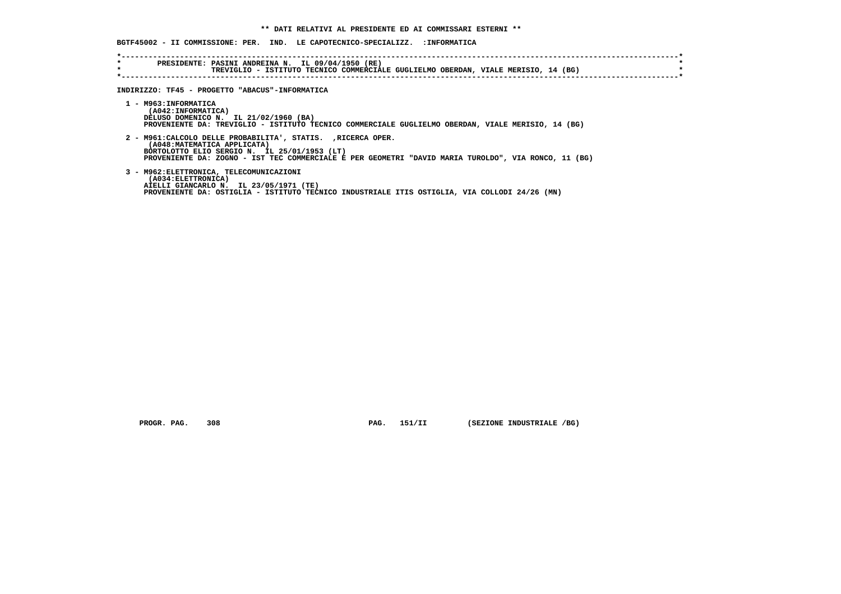**BGTF45002 - II COMMISSIONE: PER. IND. LE CAPOTECNICO-SPECIALIZZ. :INFORMATICA**

| $\star$ | PRESIDENTE: PASINI ANDREINA N. IL 09/04/1950 (RE)<br>TREVIGLIO - ISTITUTO TECNICO COMMERCIALE GUGLIELMO OBERDAN, VIALE MERISIO, 14 (BG) |
|---------|-----------------------------------------------------------------------------------------------------------------------------------------|
|         | INDIRIZZO: TF45 - PROGETTO "ABACUS"-INFORMATICA                                                                                         |
|         | 1 - M963: INFORMATICA                                                                                                                   |
|         | (A042: INFORMATICA)<br>DELUSO DOMENICO N. IL 21/02/1960 (BA)                                                                            |
|         | PROVENIENTE DA: TREVIGLIO - ISTITUTO TECNICO COMMERCIALE GUGLIELMO OBERDAN, VIALE MERISIO, 14 (BG)                                      |
|         | 2 - M961: CALCOLO DELLE PROBABILITA', STATIS. , RICERCA OPER.                                                                           |
|         | (A048:MATEMATICA APPLICATA)                                                                                                             |
|         | BORTOLOTTO ELIO SERGIO N. IL 25/01/1953 (LT)                                                                                            |
|         | PROVENIENTE DA: ZOGNO - IST TEC COMMERCIALE E PER GEOMETRI "DAVID MARIA TUROLDO", VIA RONCO, 11<br>(BG)                                 |

 **3 - M962:ELETTRONICA, TELECOMUNICAZIONI AIELLI GIANCARLO N. IL 23/05/1971 (TE) PROVENIENTE DA: OSTIGLIA - ISTITUTO TECNICO INDUSTRIALE ITIS OSTIGLIA, VIA COLLODI 24/26 (MN) (A034:ELETTRONICA)**

 **PROGR. PAG.** 308 **PAG. 151/II (SEZIONE INDUSTRIALE /BG)**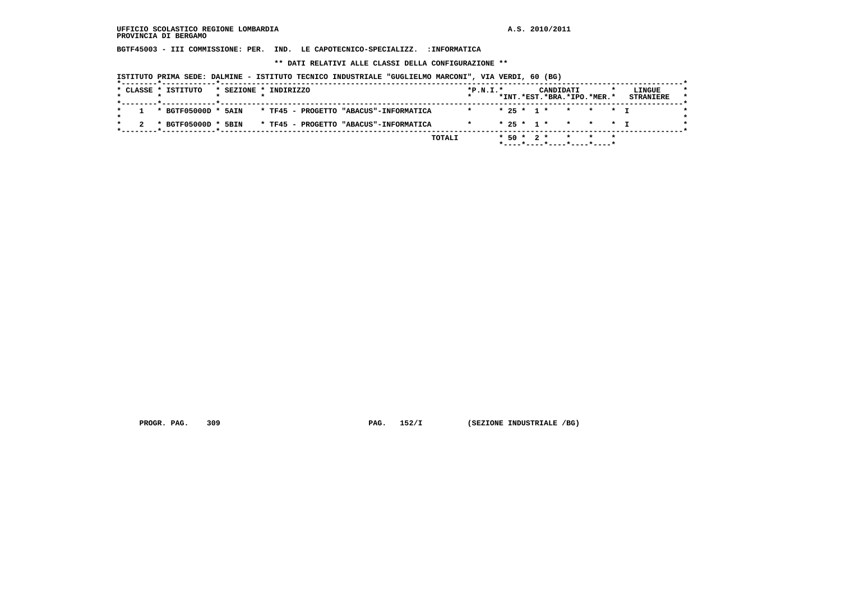**BGTF45003 - III COMMISSIONE: PER. IND. LE CAPOTECNICO-SPECIALIZZ. :INFORMATICA**

 **\*\* DATI RELATIVI ALLE CLASSI DELLA CONFIGURAZIONE \*\***

 **ISTITUTO PRIMA SEDE: DALMINE - ISTITUTO TECNICO INDUSTRIALE "GUGLIELMO MARCONI", VIA VERDI, 60 (BG)**

|   |  | * CLASSE * ISTITUTO     |  | * SEZIONE * INDIRIZZO |                                        |         | $*P.N.T.*$ |  |  | CANDIDATI |                            | LINGUE           |
|---|--|-------------------------|--|-----------------------|----------------------------------------|---------|------------|--|--|-----------|----------------------------|------------------|
|   |  |                         |  |                       |                                        |         |            |  |  |           | *INT.*EST.*BRA.*IPO.*MER.* | <b>STRANIERE</b> |
| * |  | $1 * BGTF05000D * 5AIN$ |  |                       | * TF45 - PROGETTO "ABACUS"-INFORMATICA | $\star$ |            |  |  |           | * 25 * 1 * * * * * T       |                  |
|   |  | * BGTF05000D * 5BIN     |  |                       | * TF45 - PROGETTO "ABACUS"-INFORMATICA |         | $\star$    |  |  |           | * 25 * 1 * * * * * T       |                  |
|   |  |                         |  |                       |                                        | TOTALI  |            |  |  |           | $*50 * 2 * * * * * * *$    |                  |
|   |  |                         |  |                       |                                        |         |            |  |  |           | *----*----*----*----*----* |                  |

 **PROGR. PAG.** 309 **PAG.** 152/I (SEZIONE INDUSTRIALE /BG)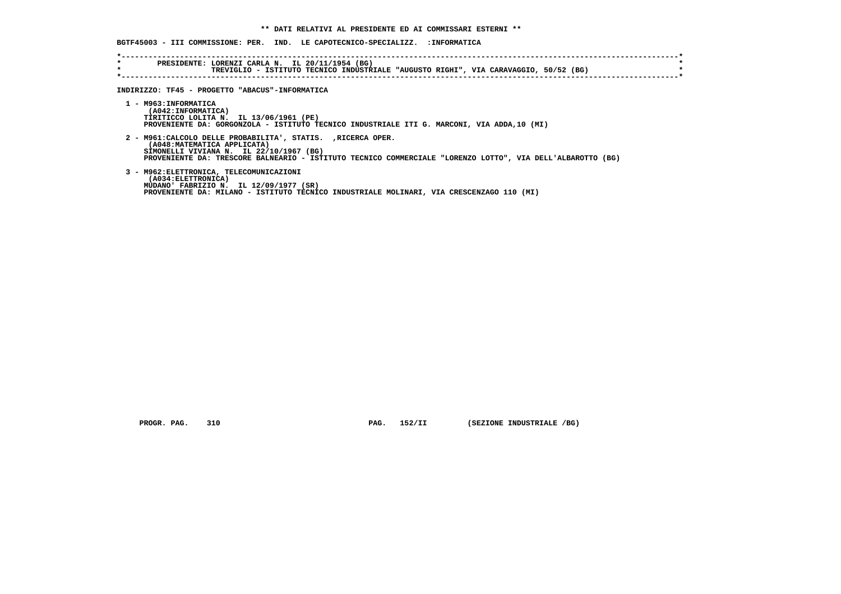|                    | BGTF45003 - III COMMISSIONE: PER. IND. LE CAPOTECNICO-SPECIALIZZ. :INFORMATICA                                                                                                                                                                         |
|--------------------|--------------------------------------------------------------------------------------------------------------------------------------------------------------------------------------------------------------------------------------------------------|
| $\star$<br>$\star$ | --------------------------<br>PRESIDENTE: LORENZI CARLA N. IL 20/11/1954 (BG)<br>TREVIGLIO - ISTITUTO TECNICO INDUSTRIALE "AUGUSTO RIGHI", VIA CARAVAGGIO, 50/52 (BG)                                                                                  |
|                    | INDIRIZZO: TF45 - PROGETTO "ABACUS"-INFORMATICA                                                                                                                                                                                                        |
|                    | 1 - M963: INFORMATICA<br>(A042:INFORMATICA)<br>TIRITICCO LOLITA N. IL 13/06/1961 (PE)<br>PROVENIENTE DA: GORGONZOLA - ISTITUTO TECNICO INDUSTRIALE ITI G. MARCONI, VIA ADDA,10 (MI)                                                                    |
|                    | 2 - M961: CALCOLO DELLE PROBABILITA', STATIS. , RICERCA OPER.<br>(A048: MATEMATICA APPLICATA)<br>SIMONELLI VIVIANA N. IL 22/10/1967 (BG)<br>PROVENIENTE DA: TRESCORE BALNEARIO - ISTITUTO TECNICO COMMERCIALE "LORENZO LOTTO", VIA DELL'ALBAROTTO (BG) |
|                    | 3 - M962: ELETTRONICA, TELECOMUNICAZIONI<br>(A034:ELETTRONICA)<br>MUDANO' FABRIZIO N. IL 12/09/1977 (SR)<br>PROVENIENTE DA: MILANO - ISTITUTO TECNICO INDUSTRIALE MOLINARI, VIA CRESCENZAGO 110 (MI)                                                   |

 **PROGR. PAG.** 310 **PAG.** 152/II (SEZIONE INDUSTRIALE /BG)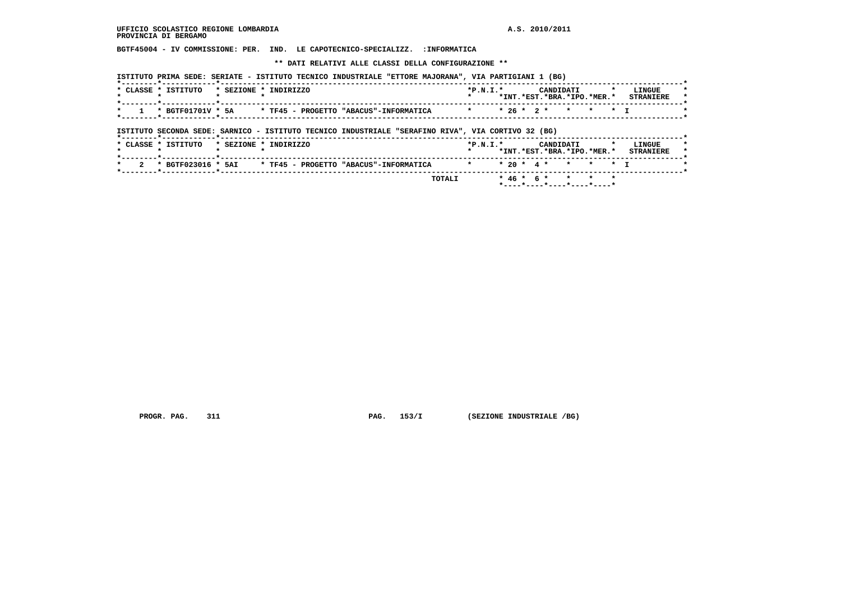**BGTF45004 - IV COMMISSIONE: PER. IND. LE CAPOTECNICO-SPECIALIZZ. :INFORMATICA**

 **\*\* DATI RELATIVI ALLE CLASSI DELLA CONFIGURAZIONE \*\***

|                       | ISTITUTO PRIMA SEDE: SERIATE - ISTITUTO TECNICO INDUSTRIALE "ETTORE MAJORANA", VIA PARTIGIANI 1 (BG) |                                                       |                                    |
|-----------------------|------------------------------------------------------------------------------------------------------|-------------------------------------------------------|------------------------------------|
|                       | CLASSE * ISTITUTO * SEZIONE * INDIRIZZO                                                              | $*P.N.T.*$<br>CANDIDATI<br>*INT.*EST.*BRA.*IPO.*MER.* | <b>T.TNGUE</b><br><b>STRANTERE</b> |
| * 1 * BGTF01701V * 5A | * TF45 - PROGETTO "ABACUS"-INFORMATICA                                                               | * * 26 * 2 * * * * * T                                |                                    |

 **ISTITUTO SECONDA SEDE: SARNICO - ISTITUTO TECNICO INDUSTRIALE "SERAFINO RIVA", VIA CORTIVO 32 (BG)**

|                                                           | *INT.*EST.*BRA.*IPO.*MER.*<br><b>STRANIERE</b> |
|-----------------------------------------------------------|------------------------------------------------|
| * BGTF023016 * 5AI * TF45 - PROGETTO "ABACUS"-INFORMATICA | * * 20 * 4 * * * * * T                         |
|                                                           | * 46 * 6 * * * * *<br>TOTALI                   |

 **PROGR. PAG.** 311 **PAG.** 153/I (SEZIONE INDUSTRIALE /BG)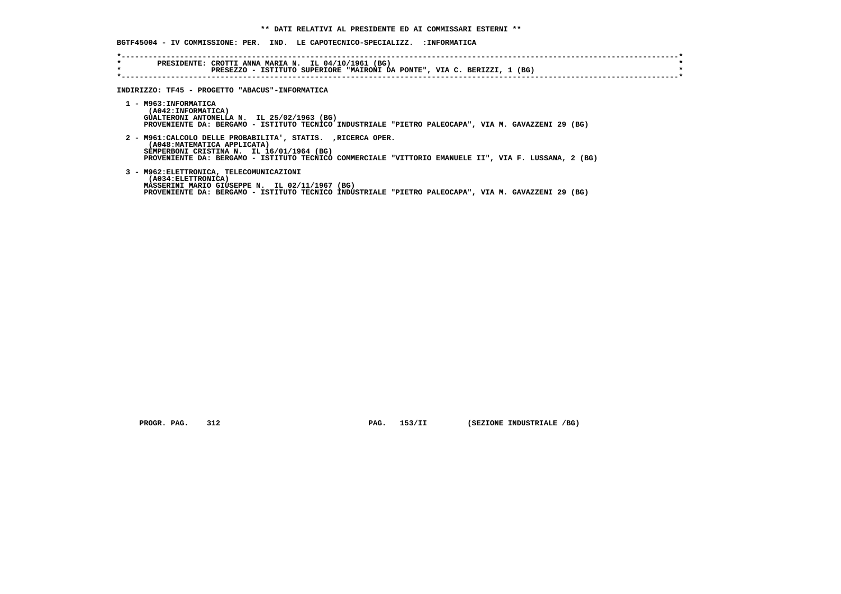|                    | BGTF45004 - IV COMMISSIONE: PER. IND. LE CAPOTECNICO-SPECIALIZZ. :INFORMATICA                                                                                                                                                                       |
|--------------------|-----------------------------------------------------------------------------------------------------------------------------------------------------------------------------------------------------------------------------------------------------|
| $\star$<br>$\star$ | PRESIDENTE: CROTTI ANNA MARIA N. IL 04/10/1961 (BG)<br>PRESEZZO - ISTITUTO SUPERIORE "MAIRONI DA PONTE", VIA C. BERIZZI, 1 (BG)                                                                                                                     |
|                    | INDIRIZZO: TF45 - PROGETTO "ABACUS"-INFORMATICA                                                                                                                                                                                                     |
|                    | 1 - M963: INFORMATICA<br>(A042: INFORMATICA)<br>GUALTERONI ANTONELLA N. IL 25/02/1963 (BG)<br>PROVENIENTE DA: BERGAMO - ISTITUTO TECNICO INDUSTRIALE "PIETRO PALEOCAPA", VIA M. GAVAZZENI 29 (BG)                                                   |
|                    | 2 - M961: CALCOLO DELLE PROBABILITA', STATIS. , RICERCA OPER.<br>(A048: MATEMATICA APPLICATA)<br>SEMPERBONI CRISTINA N. IL 16/01/1964 (BG)<br>PROVENIENTE DA: BERGAMO - ISTITUTO TECNICO COMMERCIALE "VITTORIO EMANUELE II", VIA F. LUSSANA, 2 (BG) |
|                    | 3 - M962: ELETTRONICA, TELECOMUNICAZIONI<br>(A034:ELETTRONICA)<br>MASSERINI MARIO GIUSEPPE N. IL 02/11/1967 (BG)<br>PROVENIENTE DA: BERGAMO - ISTITUTO TECNICO INDUSTRIALE "PIETRO PALEOCAPA", VIA M. GAVAZZENI 29 (BG)                             |

 **PROGR. PAG.** 312 **PAG.** 153/II (SEZIONE INDUSTRIALE /BG)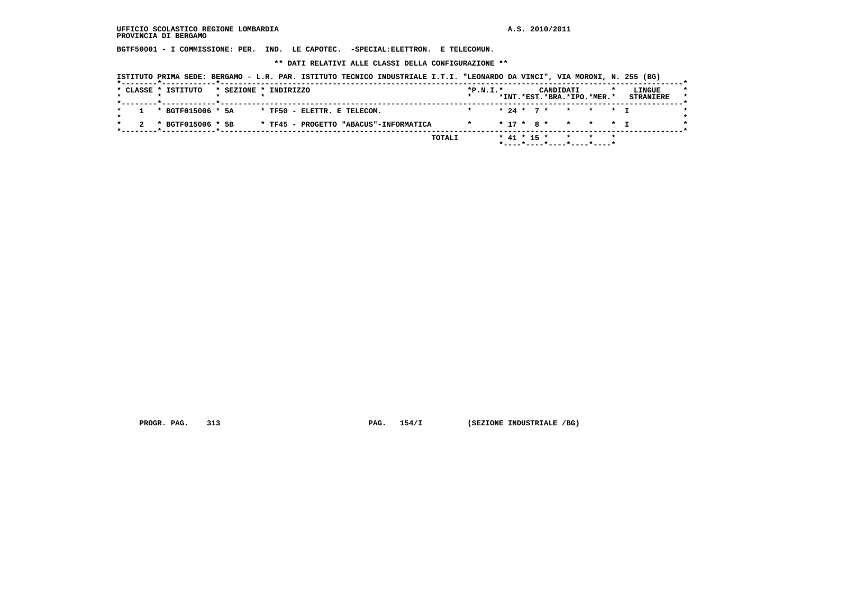**BGTF50001 - I COMMISSIONE: PER. IND. LE CAPOTEC. -SPECIAL:ELETTRON. E TELECOMUN.**

 **\*\* DATI RELATIVI ALLE CLASSI DELLA CONFIGURAZIONE \*\***

| * 24 * 7 * * * * T<br>* BGTF015006 * 5A<br>* TF50 - ELETTR. E TELECOM.                           |  |  | CANDIDATI<br>*INT.*EST.*BRA.*IPO.*MER.* | LINGUE<br><b>STRANIERE</b> |
|--------------------------------------------------------------------------------------------------|--|--|-----------------------------------------|----------------------------|
|                                                                                                  |  |  |                                         |                            |
| $* 17 * 8 * * * * * T$<br>* BGTF015006 * 5B<br>* TF45 - PROGETTO "ABACUS"-INFORMATICA<br>$\star$ |  |  |                                         |                            |

 **PROGR. PAG.** 313 **PAG.** 154/I (SEZIONE INDUSTRIALE /BG)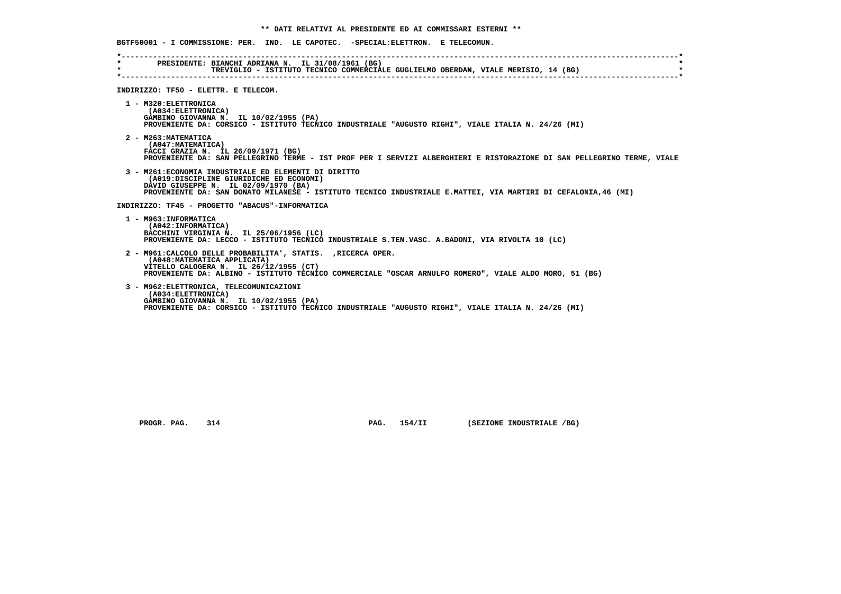**BGTF50001 - I COMMISSIONE: PER. IND. LE CAPOTEC. -SPECIAL:ELETTRON. E TELECOMUN. \*----------------------------------------------------------------------------------------------------------------------------\* \* PRESIDENTE: BIANCHI ADRIANA N. IL 31/08/1961 (BG) \* \* TREVIGLIO - ISTITUTO TECNICO COMMERCIALE GUGLIELMO OBERDAN, VIALE MERISIO, 14 (BG) \* \*----------------------------------------------------------------------------------------------------------------------------\* INDIRIZZO: TF50 - ELETTR. E TELECOM. 1 - M320:ELETTRONICA (A034:ELETTRONICA) GAMBINO GIOVANNA N. IL 10/02/1955 (PA) PROVENIENTE DA: CORSICO - ISTITUTO TECNICO INDUSTRIALE "AUGUSTO RIGHI", VIALE ITALIA N. 24/26 (MI) 2 - M263:MATEMATICA (A047:MATEMATICA) FACCI GRAZIA N. IL 26/09/1971 (BG) PROVENIENTE DA: SAN PELLEGRINO TERME - IST PROF PER I SERVIZI ALBERGHIERI E RISTORAZIONE DI SAN PELLEGRINO TERME, VIALE 3 - M261:ECONOMIA INDUSTRIALE ED ELEMENTI DI DIRITTO (A019:DISCIPLINE GIURIDICHE ED ECONOMI) DAVID GIUSEPPE N. IL 02/09/1970 (BA) PROVENIENTE DA: SAN DONATO MILANESE - ISTITUTO TECNICO INDUSTRIALE E.MATTEI, VIA MARTIRI DI CEFALONIA,46 (MI) INDIRIZZO: TF45 - PROGETTO "ABACUS"-INFORMATICA 1 - M963:INFORMATICA (A042:INFORMATICA) BACCHINI VIRGINIA N. IL 25/06/1956 (LC) PROVENIENTE DA: LECCO - ISTITUTO TECNICO INDUSTRIALE S.TEN.VASC. A.BADONI, VIA RIVOLTA 10 (LC) 2 - M961:CALCOLO DELLE PROBABILITA', STATIS. ,RICERCA OPER. (A048:MATEMATICA APPLICATA) VITELLO CALOGERA N. IL 26/12/1955 (CT) PROVENIENTE DA: ALBINO - ISTITUTO TECNICO COMMERCIALE "OSCAR ARNULFO ROMERO", VIALE ALDO MORO, 51 (BG) 3 - M962:ELETTRONICA, TELECOMUNICAZIONI (A034:ELETTRONICA) GAMBINO GIOVANNA N. IL 10/02/1955 (PA) PROVENIENTE DA: CORSICO - ISTITUTO TECNICO INDUSTRIALE "AUGUSTO RIGHI", VIALE ITALIA N. 24/26 (MI)**

 **PROGR. PAG. 314 PAG. 154/II (SEZIONE INDUSTRIALE /BG)**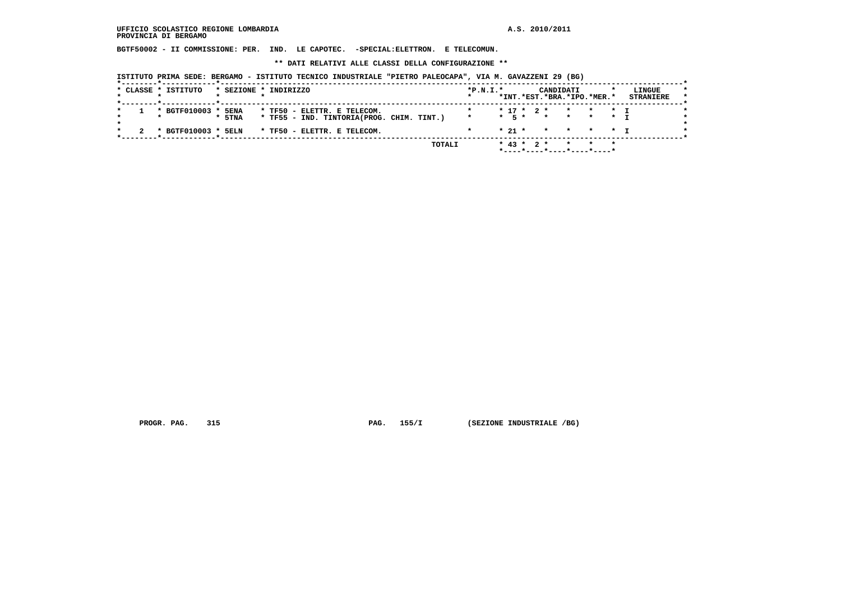**BGTF50002 - II COMMISSIONE: PER. IND. LE CAPOTEC. -SPECIAL:ELETTRON. E TELECOMUN.**

 **\*\* DATI RELATIVI ALLE CLASSI DELLA CONFIGURAZIONE \*\***

 **ISTITUTO PRIMA SEDE: BERGAMO - ISTITUTO TECNICO INDUSTRIALE "PIETRO PALEOCAPA", VIA M. GAVAZZENI 29 (BG)**

|  | * CLASSE * ISTITUTO |        | * SEZIONE * INDIRIZZO                     | $*P.N.I.*$ |            |                  | CANDIDATI<br>*INT.*EST.*BRA.*IPO.*MER.* |         |         |                | LINGUE<br><b>STRANIERE</b> | $\star$ |
|--|---------------------|--------|-------------------------------------------|------------|------------|------------------|-----------------------------------------|---------|---------|----------------|----------------------------|---------|
|  |                     |        |                                           |            |            |                  |                                         |         |         |                |                            |         |
|  | * BGTF010003 *      | 5ENA   | * TF50 - ELETTR. E TELECOM.               |            |            |                  | $* 17 * 2 *$                            | $\star$ | $\star$ | $\star$ $\tau$ |                            |         |
|  |                     | * 5TNA | * TF55 - IND. TINTORIA(PROG. CHIM. TINT.) | $\star$    |            |                  | * 5 * * * * * T                         |         |         |                |                            |         |
|  |                     |        |                                           |            |            |                  |                                         |         |         |                |                            |         |
|  | * BGTF010003 * 5ELN |        | * TF50 - ELETTR. E TELECOM.               |            | $*$ 21 $*$ |                  | * * * * T                               |         |         |                |                            |         |
|  |                     |        |                                           |            |            |                  |                                         |         |         |                |                            |         |
|  |                     |        | TOTALI                                    |            |            | $*$ 43 $*$ 2 $*$ |                                         |         |         | $\star$        |                            |         |
|  |                     |        |                                           |            |            |                  | *----*----*----*----*----               |         |         |                |                            |         |

 **PROGR. PAG.** 315 **PAG.** 155/I (SEZIONE INDUSTRIALE /BG)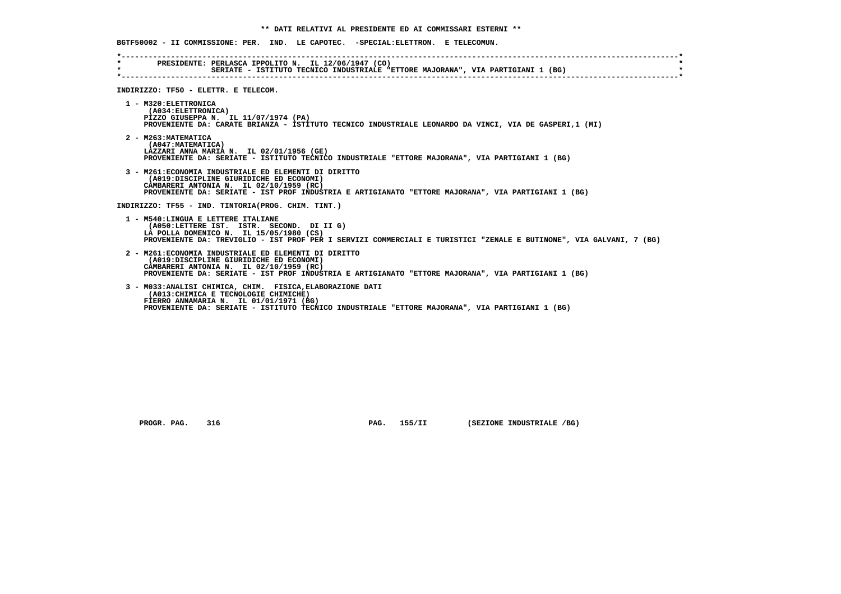**BGTF50002 - II COMMISSIONE: PER. IND. LE CAPOTEC. -SPECIAL:ELETTRON. E TELECOMUN. \*----------------------------------------------------------------------------------------------------------------------------\* \* PRESIDENTE: PERLASCA IPPOLITO N. IL 12/06/1947 (CO) \* \* SERIATE - ISTITUTO TECNICO INDUSTRIALE "ETTORE MAJORANA", VIA PARTIGIANI 1 (BG) \* \*----------------------------------------------------------------------------------------------------------------------------\* INDIRIZZO: TF50 - ELETTR. E TELECOM. 1 - M320:ELETTRONICA (A034:ELETTRONICA) PIZZO GIUSEPPA N. IL 11/07/1974 (PA) PROVENIENTE DA: CARATE BRIANZA - ISTITUTO TECNICO INDUSTRIALE LEONARDO DA VINCI, VIA DE GASPERI,1 (MI) 2 - M263:MATEMATICA (A047:MATEMATICA) LAZZARI ANNA MARIA N. IL 02/01/1956 (GE) PROVENIENTE DA: SERIATE - ISTITUTO TECNICO INDUSTRIALE "ETTORE MAJORANA", VIA PARTIGIANI 1 (BG) 3 - M261:ECONOMIA INDUSTRIALE ED ELEMENTI DI DIRITTO (A019:DISCIPLINE GIURIDICHE ED ECONOMI) CAMBARERI ANTONIA N. IL 02/10/1959 (RC) PROVENIENTE DA: SERIATE - IST PROF INDUSTRIA E ARTIGIANATO "ETTORE MAJORANA", VIA PARTIGIANI 1 (BG) INDIRIZZO: TF55 - IND. TINTORIA(PROG. CHIM. TINT.) 1 - M540:LINGUA E LETTERE ITALIANE (A050:LETTERE IST. ISTR. SECOND. DI II G) LA POLLA DOMENICO N. IL 15/05/1980 (CS) PROVENIENTE DA: TREVIGLIO - IST PROF PER I SERVIZI COMMERCIALI E TURISTICI "ZENALE E BUTINONE", VIA GALVANI, 7 (BG) 2 - M261:ECONOMIA INDUSTRIALE ED ELEMENTI DI DIRITTO (A019:DISCIPLINE GIURIDICHE ED ECONOMI) CAMBARERI ANTONIA N. IL 02/10/1959 (RC) PROVENIENTE DA: SERIATE - IST PROF INDUSTRIA E ARTIGIANATO "ETTORE MAJORANA", VIA PARTIGIANI 1 (BG) 3 - M033:ANALISI CHIMICA, CHIM. FISICA,ELABORAZIONE DATI (A013:CHIMICA E TECNOLOGIE CHIMICHE) FIERRO ANNAMARIA N. IL 01/01/1971 (BG) PROVENIENTE DA: SERIATE - ISTITUTO TECNICO INDUSTRIALE "ETTORE MAJORANA", VIA PARTIGIANI 1 (BG)**

 **PROGR. PAG.** 316 **PROGR. PAG. 155/II** (SEZIONE INDUSTRIALE /BG)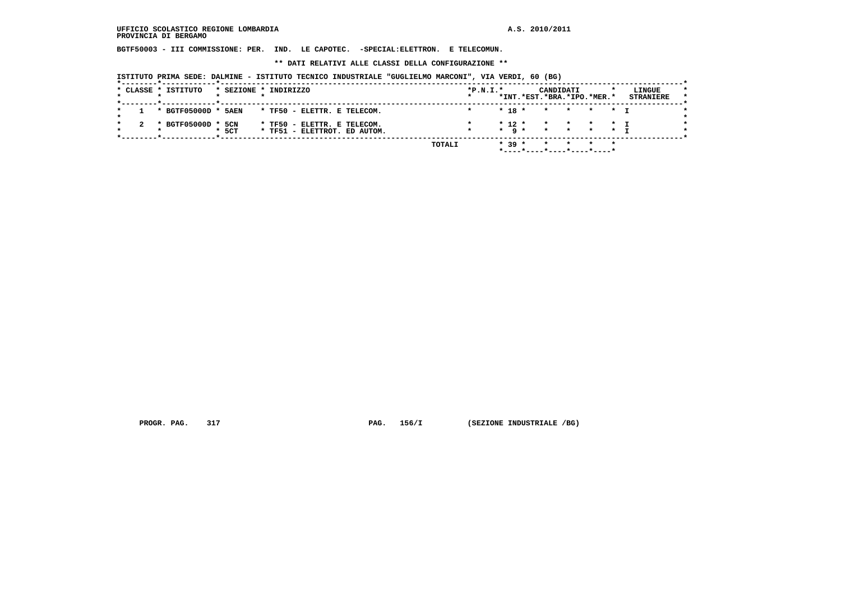**BGTF50003 - III COMMISSIONE: PER. IND. LE CAPOTEC. -SPECIAL:ELETTRON. E TELECOMUN.**

 **\*\* DATI RELATIVI ALLE CLASSI DELLA CONFIGURAZIONE \*\***

 **ISTITUTO PRIMA SEDE: DALMINE - ISTITUTO TECNICO INDUSTRIALE "GUGLIELMO MARCONI", VIA VERDI, 60 (BG)**

|  | * CLASSE * ISTITUTO |         | * SEZIONE * INDIRIZZO                                       |  |        | $*P.N.T.*$ |                                 | CANDIDATI<br>*INT.*EST.*BRA.*IPO.*MER.* |                    |                            |                      | LINGUE<br><b>STRANIERE</b> |
|--|---------------------|---------|-------------------------------------------------------------|--|--------|------------|---------------------------------|-----------------------------------------|--------------------|----------------------------|----------------------|----------------------------|
|  | * BGTF05000D *      | 5AEN    | * TF50 - ELETTR. E TELECOM.                                 |  |        |            | $* 18 *$                        | $\star$                                 | $\mathbf{x}$       | $\star$                    | $\star$ $\tau$       |                            |
|  | * BGTF05000D * 5CN  | $*$ 5CT | * TF50 - ELETTR. E TELECOM.<br>* TF51 - ELETTROT. ED AUTOM. |  |        |            | $*$ 12 $*$<br>$\star$ q $\star$ | $\star$<br>$\star$                      | $\star$<br>$\star$ | $\star$<br>$\star$ $\star$ | $\star$ T<br>$\star$ |                            |
|  |                     |         |                                                             |  | TOTALI |            | $* 39 *$                        | *----*----*----*----*----*              |                    |                            |                      |                            |

 **PROGR. PAG.** 317 **PAG.** 156/I (SEZIONE INDUSTRIALE /BG)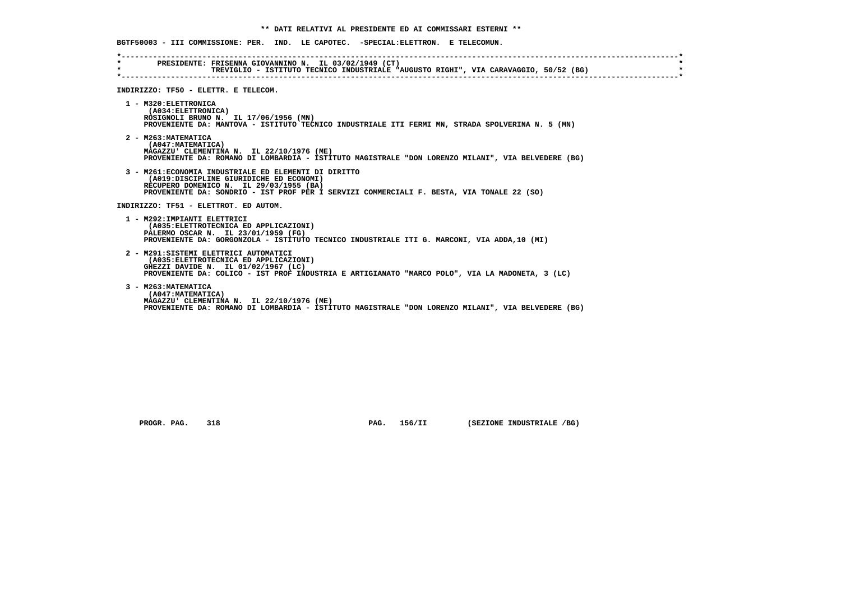**BGTF50003 - III COMMISSIONE: PER. IND. LE CAPOTEC. -SPECIAL:ELETTRON. E TELECOMUN. \*----------------------------------------------------------------------------------------------------------------------------\* \* PRESIDENTE: FRISENNA GIOVANNINO N. IL 03/02/1949 (CT) \* \* TREVIGLIO - ISTITUTO TECNICO INDUSTRIALE "AUGUSTO RIGHI", VIA CARAVAGGIO, 50/52 (BG) \* \*----------------------------------------------------------------------------------------------------------------------------\* INDIRIZZO: TF50 - ELETTR. E TELECOM. 1 - M320:ELETTRONICA (A034:ELETTRONICA) ROSIGNOLI BRUNO N. IL 17/06/1956 (MN) PROVENIENTE DA: MANTOVA - ISTITUTO TECNICO INDUSTRIALE ITI FERMI MN, STRADA SPOLVERINA N. 5 (MN) 2 - M263:MATEMATICA (A047:MATEMATICA) MAGAZZU' CLEMENTINA N. IL 22/10/1976 (ME) PROVENIENTE DA: ROMANO DI LOMBARDIA - ISTITUTO MAGISTRALE "DON LORENZO MILANI", VIA BELVEDERE (BG) 3 - M261:ECONOMIA INDUSTRIALE ED ELEMENTI DI DIRITTO (A019:DISCIPLINE GIURIDICHE ED ECONOMI) RECUPERO DOMENICO N. IL 29/03/1955 (BA) PROVENIENTE DA: SONDRIO - IST PROF PER I SERVIZI COMMERCIALI F. BESTA, VIA TONALE 22 (SO) INDIRIZZO: TF51 - ELETTROT. ED AUTOM. 1 - M292:IMPIANTI ELETTRICI (A035:ELETTROTECNICA ED APPLICAZIONI) PALERMO OSCAR N. IL 23/01/1959 (FG) PROVENIENTE DA: GORGONZOLA - ISTITUTO TECNICO INDUSTRIALE ITI G. MARCONI, VIA ADDA,10 (MI) 2 - M291:SISTEMI ELETTRICI AUTOMATICI (A035:ELETTROTECNICA ED APPLICAZIONI) GHEZZI DAVIDE N. IL 01/02/1967 (LC) PROVENIENTE DA: COLICO - IST PROF INDUSTRIA E ARTIGIANATO "MARCO POLO", VIA LA MADONETA, 3 (LC) 3 - M263:MATEMATICA (A047:MATEMATICA) MAGAZZU' CLEMENTINA N. IL 22/10/1976 (ME) PROVENIENTE DA: ROMANO DI LOMBARDIA - ISTITUTO MAGISTRALE "DON LORENZO MILANI", VIA BELVEDERE (BG)**

 **PROGR. PAG.** 318 **PROGR. PAG. 156/II** (SEZIONE INDUSTRIALE /BG)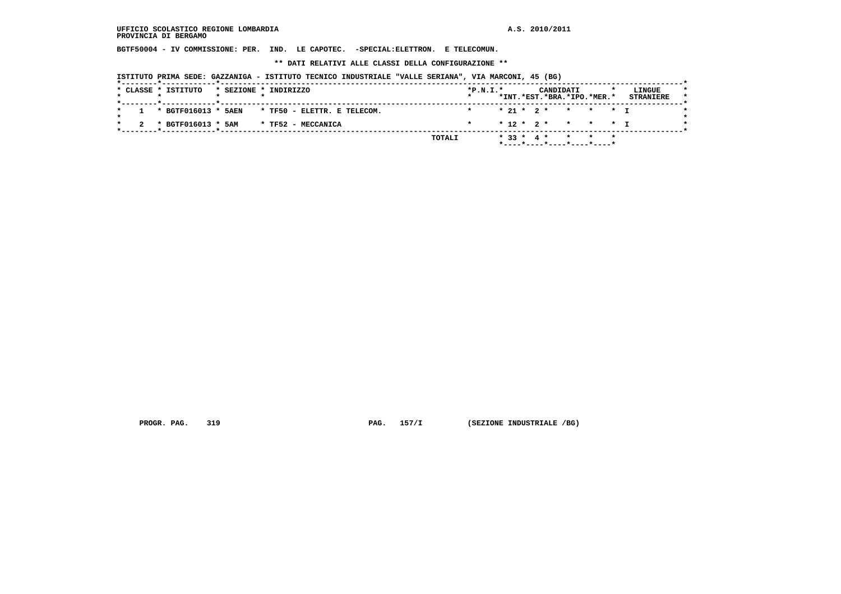**BGTF50004 - IV COMMISSIONE: PER. IND. LE CAPOTEC. -SPECIAL:ELETTRON. E TELECOMUN.**

 **\*\* DATI RELATIVI ALLE CLASSI DELLA CONFIGURAZIONE \*\***

 **ISTITUTO PRIMA SEDE: GAZZANIGA - ISTITUTO TECNICO INDUSTRIALE "VALLE SERIANA", VIA MARCONI, 45 (BG)**

| $* 21 * 2 * * * * * 1$<br>1 * BGTF016013 * 5AEN<br>* TF50 - ELETTR. E TELECOM.<br>$\star$<br>$* 12 * 2 * * * * * 1$<br>* BGTF016013 * 5AM<br>* TF52 - MECCANICA |  |
|-----------------------------------------------------------------------------------------------------------------------------------------------------------------|--|
|                                                                                                                                                                 |  |
|                                                                                                                                                                 |  |
|                                                                                                                                                                 |  |
| ___ <del>*</del> ____________ <b>__*</b> ________                                                                                                               |  |

 **PROGR. PAG.** 319 **PAG.** 157/I (SEZIONE INDUSTRIALE /BG)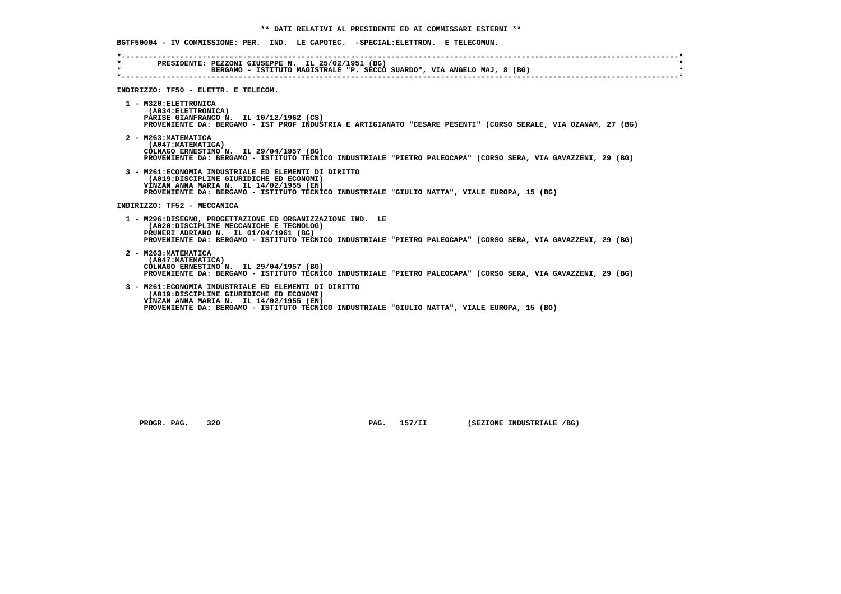**BGTF50004 - IV COMMISSIONE: PER. IND. LE CAPOTEC. -SPECIAL:ELETTRON. E TELECOMUN. \*----------------------------------------------------------------------------------------------------------------------------\* \* PRESIDENTE: PEZZONI GIUSEPPE N. IL 25/02/1951 (BG) \* \* BERGAMO - ISTITUTO MAGISTRALE "P. SECCO SUARDO", VIA ANGELO MAJ, 8 (BG) \* \*----------------------------------------------------------------------------------------------------------------------------\* INDIRIZZO: TF50 - ELETTR. E TELECOM. 1 - M320:ELETTRONICA (A034:ELETTRONICA) PARISE GIANFRANCO N. IL 10/12/1962 (CS) PROVENIENTE DA: BERGAMO - IST PROF INDUSTRIA E ARTIGIANATO "CESARE PESENTI" (CORSO SERALE, VIA OZANAM, 27 (BG) 2 - M263:MATEMATICA (A047:MATEMATICA) COLNAGO ERNESTINO N. IL 29/04/1957 (BG) PROVENIENTE DA: BERGAMO - ISTITUTO TECNICO INDUSTRIALE "PIETRO PALEOCAPA" (CORSO SERA, VIA GAVAZZENI, 29 (BG) 3 - M261:ECONOMIA INDUSTRIALE ED ELEMENTI DI DIRITTO (A019:DISCIPLINE GIURIDICHE ED ECONOMI) VINZAN ANNA MARIA N. IL 14/02/1955 (EN) PROVENIENTE DA: BERGAMO - ISTITUTO TECNICO INDUSTRIALE "GIULIO NATTA", VIALE EUROPA, 15 (BG) INDIRIZZO: TF52 - MECCANICA 1 - M296:DISEGNO, PROGETTAZIONE ED ORGANIZZAZIONE IND. LE (A020:DISCIPLINE MECCANICHE E TECNOLOG) PRUNERI ADRIANO N. IL 01/04/1961 (BG) PROVENIENTE DA: BERGAMO - ISTITUTO TECNICO INDUSTRIALE "PIETRO PALEOCAPA" (CORSO SERA, VIA GAVAZZENI, 29 (BG) 2 - M263:MATEMATICA (A047:MATEMATICA) COLNAGO ERNESTINO N. IL 29/04/1957 (BG) PROVENIENTE DA: BERGAMO - ISTITUTO TECNICO INDUSTRIALE "PIETRO PALEOCAPA" (CORSO SERA, VIA GAVAZZENI, 29 (BG) 3 - M261:ECONOMIA INDUSTRIALE ED ELEMENTI DI DIRITTO (A019:DISCIPLINE GIURIDICHE ED ECONOMI) VINZAN ANNA MARIA N. IL 14/02/1955 (EN) PROVENIENTE DA: BERGAMO - ISTITUTO TECNICO INDUSTRIALE "GIULIO NATTA", VIALE EUROPA, 15 (BG)**

 **PROGR. PAG.** 320 **PROGR. PAG. 157/II** (SEZIONE INDUSTRIALE /BG)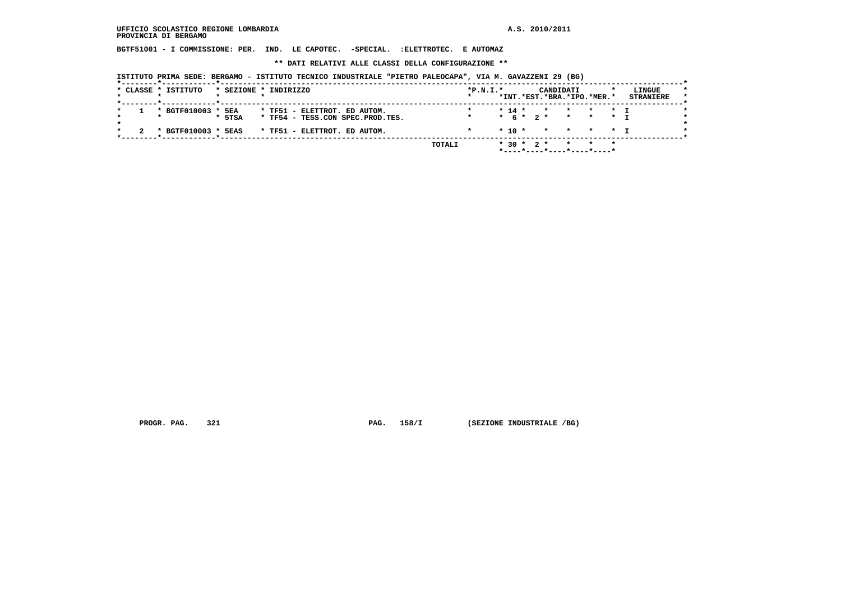**BGTF51001 - I COMMISSIONE: PER. IND. LE CAPOTEC. -SPECIAL. :ELETTROTEC. E AUTOMAZ**

 **\*\* DATI RELATIVI ALLE CLASSI DELLA CONFIGURAZIONE \*\***

 **ISTITUTO PRIMA SEDE: BERGAMO - ISTITUTO TECNICO INDUSTRIALE "PIETRO PALEOCAPA", VIA M. GAVAZZENI 29 (BG)**

| * BGTF010003 * 5EA<br>$* 14 *$<br>* TF51 - ELETTROT. ED AUTOM.<br>* * * I<br>$\mathbf{r}$<br>$* 6 * 2 * * * * * T$<br>* TF54 - TESS.CON SPEC.PROD.TES.<br>$*$ 5TSA<br>$\star$<br>$*$ 10 $*$<br>* BGTF010003 * 5EAS<br>* * * * T | * CLASSE * ISTITUTO |  | * SEZIONE * INDIRIZZO        | $*P.N.I.*$ |  |  | CANDIDATI<br>*INT.*EST.*BRA.*IPO.*MER.* |  | LINGUE<br><b>STRANIERE</b> | $\star$ |
|---------------------------------------------------------------------------------------------------------------------------------------------------------------------------------------------------------------------------------|---------------------|--|------------------------------|------------|--|--|-----------------------------------------|--|----------------------------|---------|
|                                                                                                                                                                                                                                 |                     |  |                              |            |  |  |                                         |  |                            |         |
|                                                                                                                                                                                                                                 |                     |  | * TF51 - ELETTROT. ED AUTOM. |            |  |  |                                         |  |                            |         |

 **PROGR. PAG.** 321 **PAG.** 158/I (SEZIONE INDUSTRIALE /BG)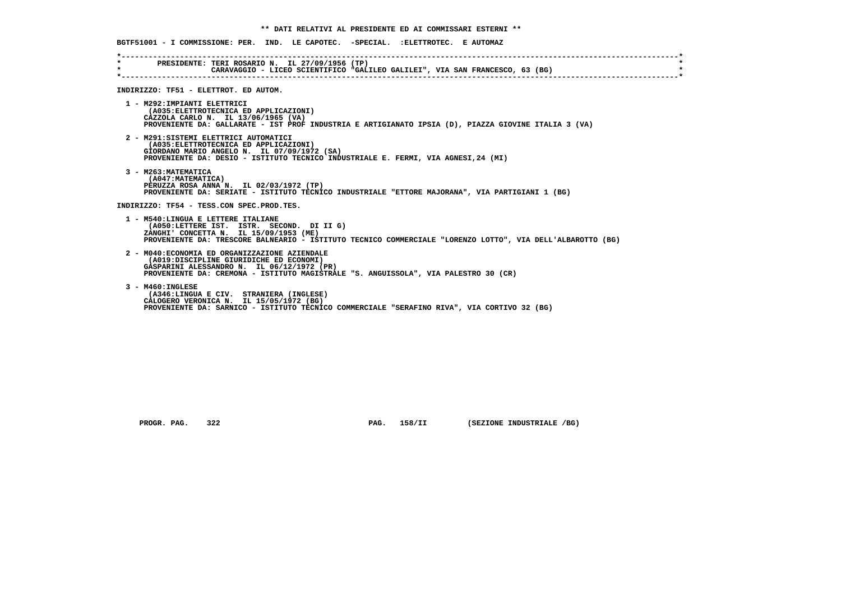|                                          | BGTF51001 - I COMMISSIONE: PER. IND. LE CAPOTEC. -SPECIAL. :ELETTROTEC. E AUTOMAZ                                                                                                                                                       |
|------------------------------------------|-----------------------------------------------------------------------------------------------------------------------------------------------------------------------------------------------------------------------------------------|
| $\star$ . The set of $\sim$<br>$\star$ . | PRESIDENTE: TERI ROSARIO N. IL 27/09/1956 (TP)<br>CARAVAGGIO - LICEO SCIENTIFICO "GALILEO GALILEI", VIA SAN FRANCESCO, 63 (BG)                                                                                                          |
|                                          | INDIRIZZO: TF51 - ELETTROT. ED AUTOM.                                                                                                                                                                                                   |
|                                          | 1 - M292: IMPIANTI ELETTRICI<br>(A035: ELETTROTECNICA ED APPLICAZIONI)<br>CAZZOLA CARLO N. IL 13/06/1965 (VA)<br>PROVENIENTE DA: GALLARATE - IST PROF INDUSTRIA E ARTIGIANATO IPSIA (D), PIAZZA GIOVINE ITALIA 3 (VA)                   |
|                                          | 2 - M291: SISTEMI ELETTRICI AUTOMATICI<br>(A035: ELETTROTECNICA ED APPLICAZIONI)<br>GIORDANO MARIO ANGELO N. IL 07/09/1972 (SA)<br>PROVENIENTE DA: DESIO - ISTITUTO TECNICO INDUSTRIALE E. FERMI, VIA AGNESI, 24 (MI)                   |
|                                          | 3 - M263: MATEMATICA<br>(A047:MATEMATICA)<br>PERUZZA ROSA ANNA N. IL 02/03/1972 (TP)<br>PROVENIENTE DA: SERIATE - ISTITUTO TECNICO INDUSTRIALE "ETTORE MAJORANA", VIA PARTIGIANI 1 (BG)                                                 |
|                                          | INDIRIZZO: TF54 - TESS.CON SPEC.PROD.TES.                                                                                                                                                                                               |
|                                          | 1 - M540:LINGUA E LETTERE ITALIANE<br>(A050:LETTERE IST. ISTR. SECOND. DI II G)<br>ZANGHI' CONCETTA N. IL 15/09/1953 (ME)<br>PROVENIENTE DA: TRESCORE BALNEARIO - ISTITUTO TECNICO COMMERCIALE "LORENZO LOTTO", VIA DELL'ALBAROTTO (BG) |
|                                          | 2 - M040: ECONOMIA ED ORGANIZZAZIONE AZIENDALE<br>(A019:DISCIPLINE GIURIDICHE ED ECONOMI)<br>GASPARINI ALESSANDRO N. IL 06/12/1972 (PR)<br>PROVENIENTE DA: CREMONA - ISTITUTO MAGISTRALE "S. ANGUISSOLA", VIA PALESTRO 30 (CR)          |
|                                          | 3 - M460: INGLESE<br>(A346:LINGUA E CIV. STRANIERA (INGLESE)<br>CALOGERO VERONICA N. IL 15/05/1972 (BG)<br>PROVENIENTE DA: SARNICO - ISTITUTO TECNICO COMMERCIALE "SERAFINO RIVA", VIA CORTIVO 32 (BG)                                  |

 **PROGR. PAG.** 322 **PAG.** 158/II (SEZIONE INDUSTRIALE /BG)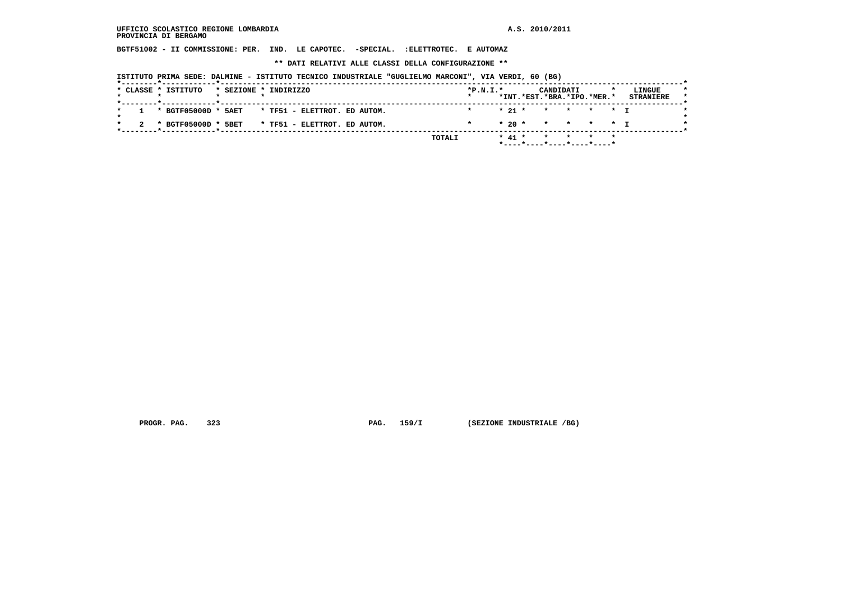**BGTF51002 - II COMMISSIONE: PER. IND. LE CAPOTEC. -SPECIAL. :ELETTROTEC. E AUTOMAZ**

 **\*\* DATI RELATIVI ALLE CLASSI DELLA CONFIGURAZIONE \*\***

 **ISTITUTO PRIMA SEDE: DALMINE - ISTITUTO TECNICO INDUSTRIALE "GUGLIELMO MARCONI", VIA VERDI, 60 (BG)**

|  | * CLASSE * ISTITUTO                            |                               | * SEZIONE * INDIRIZZO |  |  |  |                              |  |        | $*P.N.I.*$ |            | CANDIDATI | *INT.*EST.*BRA.*IPO.*MER.* | LINGUE<br><b>STRANIERE</b> |
|--|------------------------------------------------|-------------------------------|-----------------------|--|--|--|------------------------------|--|--------|------------|------------|-----------|----------------------------|----------------------------|
|  |                                                |                               |                       |  |  |  |                              |  |        |            |            |           |                            |                            |
|  | 1 * BGTF05000D * 5AET                          |                               |                       |  |  |  | * TF51 - ELETTROT. ED AUTOM. |  |        | $\star$    |            |           | * 21 * * * * * T           |                            |
|  |                                                |                               |                       |  |  |  |                              |  |        |            |            |           |                            |                            |
|  | * BGTF05000D * 5BET                            |                               |                       |  |  |  | * TF51 - ELETTROT. ED AUTOM. |  |        |            |            |           | $* 20 * * * * * * T$       |                            |
|  | ___ <b>*</b> ____________ <b>__*</b> _________ |                               |                       |  |  |  |                              |  |        |            |            |           |                            |                            |
|  |                                                |                               |                       |  |  |  |                              |  | TOTALI |            | $*$ 41 $*$ |           | * * * *                    |                            |
|  |                                                | $*$ ----*----*----*----*----* |                       |  |  |  |                              |  |        |            |            |           |                            |                            |

 **PROGR. PAG.** 323 **PAG.** 159/I (SEZIONE INDUSTRIALE /BG)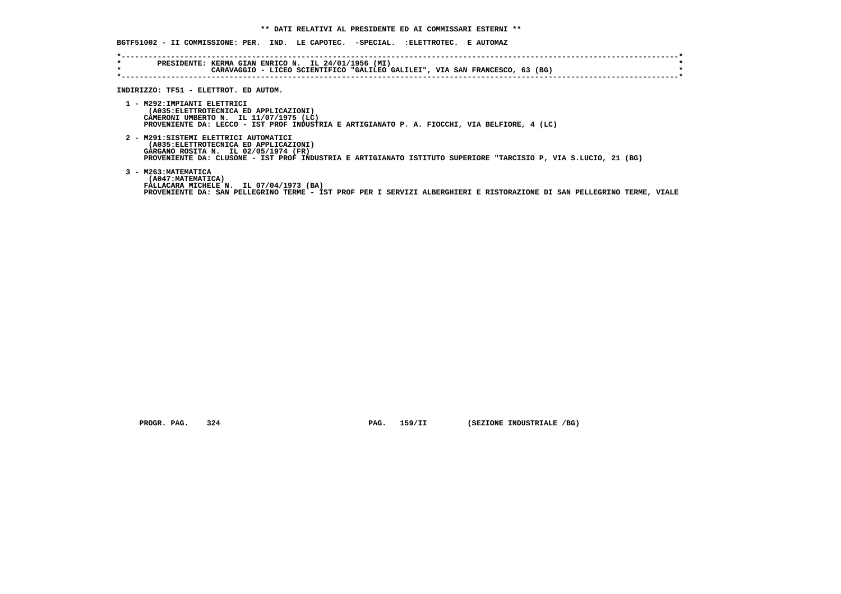**BGTF51002 - II COMMISSIONE: PER. IND. LE CAPOTEC. -SPECIAL. :ELETTROTEC. E AUTOMAZ**

| $\star$<br>$\star$ | PRESIDENTE: KERMA GIAN ENRICO N. IL 24/01/1956 (MI)<br>CARAVAGGIO - LICEO SCIENTIFICO "GALILEO GALILEI", VIA SAN FRANCESCO, 63 (BG)                                                                                                        |
|--------------------|--------------------------------------------------------------------------------------------------------------------------------------------------------------------------------------------------------------------------------------------|
|                    | INDIRIZZO: TF51 - ELETTROT. ED AUTOM.                                                                                                                                                                                                      |
|                    | 1 - M292: IMPIANTI ELETTRICI<br>(A035: ELETTROTECNICA ED APPLICAZIONI)<br>CAMERONI UMBERTO N. IL 11/07/1975 (LC)<br>PROVENIENTE DA: LECCO - IST PROF INDUSTRIA E ARTIGIANATO P. A. FIOCCHI, VIA BELFIORE, 4 (LC)                           |
|                    | 2 - M291:SISTEMI ELETTRICI AUTOMATICI<br>(A035: ELETTROTECNICA ED APPLICAZIONI)<br>GARGANO ROSITA N. IL 02/05/1974 (FR)<br>PROVENIENTE DA: CLUSONE - IST PROF INDUSTRIA E ARTIGIANATO ISTITUTO SUPERIORE "TARCISIO P, VIA S.LUCIO, 21 (BG) |
|                    | 3 - M263: MATEMATICA<br>(A047: MATEMATICA)<br>FALLACARA MICHELE N. IL 07/04/1973 (BA)<br>PROVENIENTE DA: SAN PELLEGRINO TERME - IST PROF PER I SERVIZI ALBERGHIERI E RISTORAZIONE DI SAN PELLEGRINO TERME, VIALE                           |

 **PROGR. PAG.** 324 **PAG.** 159/II (SEZIONE INDUSTRIALE /BG)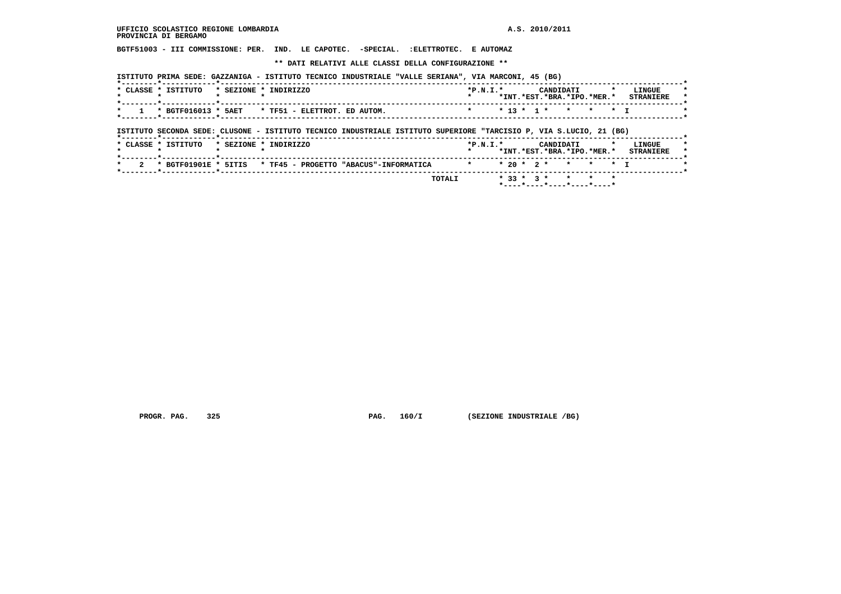**BGTF51003 - III COMMISSIONE: PER. IND. LE CAPOTEC. -SPECIAL. :ELETTROTEC. E AUTOMAZ**

 **\*\* DATI RELATIVI ALLE CLASSI DELLA CONFIGURAZIONE \*\***

 **ISTITUTO PRIMA SEDE: GAZZANIGA - ISTITUTO TECNICO INDUSTRIALE "VALLE SERIANA", VIA MARCONI, 45 (BG)**

| $\cdot$ CLASSE $\cdot$ . | ISTITUTO            | $\star$ SEZIONE $\cdot$ | INDIRIZZO                    | $*P.N.T.*$ | $*$ TNT | .*RST | CANDIDATI          | .*BRA.*TPO. | .*MFR.* | LINGUE<br><b>CTDANTPDF</b> | $\star$ |
|--------------------------|---------------------|-------------------------|------------------------------|------------|---------|-------|--------------------|-------------|---------|----------------------------|---------|
|                          | * BGTF016013 * 5AET |                         | * TF51 - ELETTROT. ED AUTOM. |            |         |       | * 13 * 1 * * * * T |             |         |                            |         |

 **ISTITUTO SECONDA SEDE: CLUSONE - ISTITUTO TECNICO INDUSTRIALE ISTITUTO SUPERIORE "TARCISIO P, VIA S.LUCIO, 21 (BG)**

| * 2 * BGTF01901E * 5ITIS * TF45 - PROGETTO "ABACUS"-INFORMATICA |        | * * 20 * 2 * * * * T |  |  |                           |  |  |
|-----------------------------------------------------------------|--------|----------------------|--|--|---------------------------|--|--|
|                                                                 | TOTALI |                      |  |  | $*33 * 3 * * * * * * * *$ |  |  |

 **PROGR. PAG. 325 PAG. 160/I (SEZIONE INDUSTRIALE /BG)**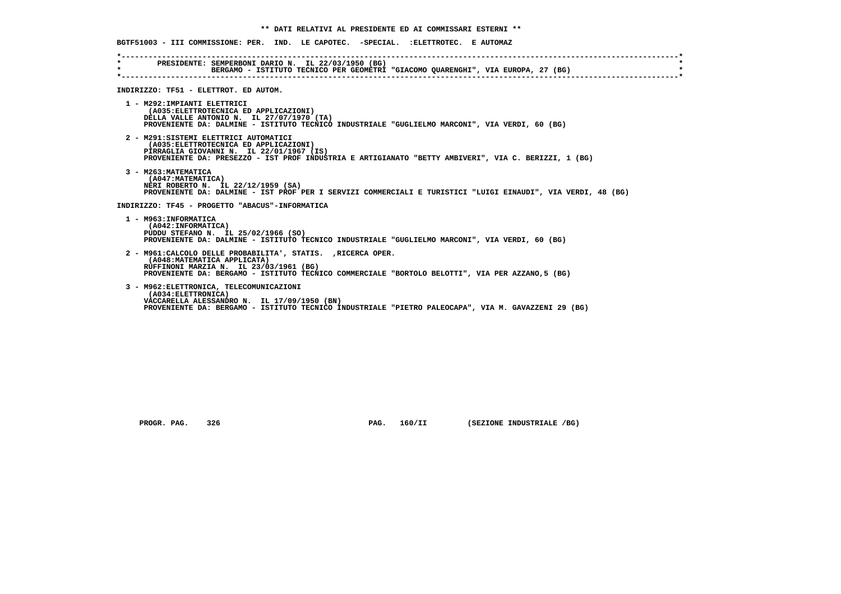**BGTF51003 - III COMMISSIONE: PER. IND. LE CAPOTEC. -SPECIAL. :ELETTROTEC. E AUTOMAZ \*----------------------------------------------------------------------------------------------------------------------------\* \* PRESIDENTE: SEMPERBONI DARIO N. IL 22/03/1950 (BG) \* BERGAMO - ISTITUTO TECNICO PER GEOMETRI "GIACOMO QUARENGHI", VIA EUROPA, 27 (BG) \*----------------------------------------------------------------------------------------------------------------------------\* INDIRIZZO: TF51 - ELETTROT. ED AUTOM. 1 - M292:IMPIANTI ELETTRICI (A035:ELETTROTECNICA ED APPLICAZIONI) DELLA VALLE ANTONIO N. IL 27/07/1970 (TA) PROVENIENTE DA: DALMINE - ISTITUTO TECNICO INDUSTRIALE "GUGLIELMO MARCONI", VIA VERDI, 60 (BG) 2 - M291:SISTEMI ELETTRICI AUTOMATICI (A035:ELETTROTECNICA ED APPLICAZIONI) PIRRAGLIA GIOVANNI N. IL 22/01/1967 (IS) PROVENIENTE DA: PRESEZZO - IST PROF INDUSTRIA E ARTIGIANATO "BETTY AMBIVERI", VIA C. BERIZZI, 1 (BG) 3 - M263:MATEMATICA (A047:MATEMATICA) NERI ROBERTO N. IL 22/12/1959 (SA) PROVENIENTE DA: DALMINE - IST PROF PER I SERVIZI COMMERCIALI E TURISTICI "LUIGI EINAUDI", VIA VERDI, 48 (BG) INDIRIZZO: TF45 - PROGETTO "ABACUS"-INFORMATICA 1 - M963:INFORMATICA (A042:INFORMATICA) PUDDU STEFANO N. IL 25/02/1966 (SO) PROVENIENTE DA: DALMINE - ISTITUTO TECNICO INDUSTRIALE "GUGLIELMO MARCONI", VIA VERDI, 60 (BG) 2 - M961:CALCOLO DELLE PROBABILITA', STATIS. ,RICERCA OPER. (A048:MATEMATICA APPLICATA) RUFFINONI MARZIA N. IL 23/03/1961 (BG) PROVENIENTE DA: BERGAMO - ISTITUTO TECNICO COMMERCIALE "BORTOLO BELOTTI", VIA PER AZZANO,5 (BG) 3 - M962:ELETTRONICA, TELECOMUNICAZIONI (A034:ELETTRONICA) VACCARELLA ALESSANDRO N. IL 17/09/1950 (BN) PROVENIENTE DA: BERGAMO - ISTITUTO TECNICO INDUSTRIALE "PIETRO PALEOCAPA", VIA M. GAVAZZENI 29 (BG)**

 **PROGR. PAG.** 326 **PROGR. PAG. 160/II** (SEZIONE INDUSTRIALE /BG)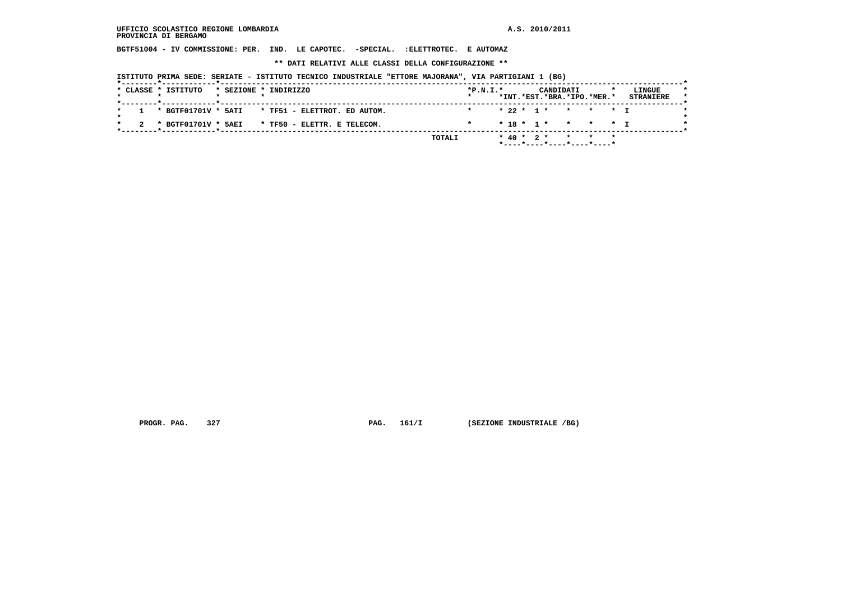**BGTF51004 - IV COMMISSIONE: PER. IND. LE CAPOTEC. -SPECIAL. :ELETTROTEC. E AUTOMAZ**

 **\*\* DATI RELATIVI ALLE CLASSI DELLA CONFIGURAZIONE \*\***

 **ISTITUTO PRIMA SEDE: SERIATE - ISTITUTO TECNICO INDUSTRIALE "ETTORE MAJORANA", VIA PARTIGIANI 1 (BG)**

|  | * CLASSE * ISTITUTO               |  | * SEZIONE * INDIRIZZO                                | $*P.N.I.*$ |  |  | CANDIDATI | *INT.*EST.*BRA.*IPO.*MER.* | LINGUE<br><b>STRANIERE</b> |
|--|-----------------------------------|--|------------------------------------------------------|------------|--|--|-----------|----------------------------|----------------------------|
|  |                                   |  |                                                      |            |  |  |           |                            |                            |
|  |                                   |  | $1$ * BGTF01701V * 5ATI * TF51 - ELETTROT. ED AUTOM. |            |  |  |           | * 22 * 1 * * * * T         |                            |
|  | ____*____________ <b>_</b> ______ |  | 2 * BGTF01701V * 5AEI * TF50 - ELETTR. E TELECOM.    |            |  |  |           | $* 18 * 1 * * * * * 1$     |                            |
|  |                                   |  | TOTALI                                               |            |  |  |           | $*$ 40 * 2 * * * *         |                            |
|  |                                   |  |                                                      |            |  |  |           | *----*----*----*----*----* |                            |

 **PROGR. PAG.** 327 **PAG. 161/I** (SEZIONE INDUSTRIALE /BG)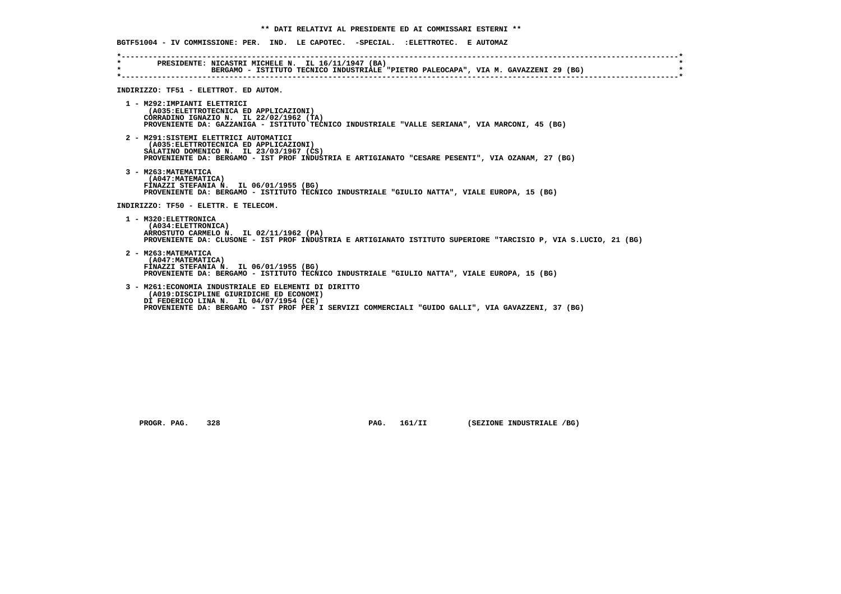|                                       | BGTF51004 - IV COMMISSIONE: PER. IND. LE CAPOTEC. -SPECIAL. :ELETTROTEC. E AUTOMAZ                                                                                                                                                               |
|---------------------------------------|--------------------------------------------------------------------------------------------------------------------------------------------------------------------------------------------------------------------------------------------------|
| $\star$ and $\star$<br>$\star$ $\sim$ | PRESIDENTE: NICASTRI MICHELE N. IL 16/11/1947 (BA)<br>BERGAMO - ISTITUTO TECNICO INDUSTRIALE "PIETRO PALEOCAPA", VIA M. GAVAZZENI 29 (BG)                                                                                                        |
|                                       | INDIRIZZO: TF51 - ELETTROT. ED AUTOM.                                                                                                                                                                                                            |
|                                       | 1 - M292: IMPIANTI ELETTRICI<br>(A035: ELETTROTECNICA ED APPLICAZIONI)<br>CORRADINO IGNAZIO N. IL 22/02/1962 (TA)<br>PROVENIENTE DA: GAZZANIGA - ISTITUTO TECNICO INDUSTRIALE "VALLE SERIANA", VIA MARCONI, 45 (BG)                              |
|                                       | 2 - M291: SISTEMI ELETTRICI AUTOMATICI<br>(A035: ELETTROTECNICA ED APPLICAZIONI)<br>SALATINO DOMENICO N. IL 23/03/1967 (CS)<br>PROVENIENTE DA: BERGAMO - IST PROF INDUSTRIA E ARTIGIANATO "CESARE PESENTI", VIA OZANAM, 27 (BG)                  |
|                                       | 3 - M263: MATEMATICA<br>(A047: MATEMATICA)<br>FINAZZI STEFANIA N. IL 06/01/1955 (BG)<br>PROVENIENTE DA: BERGAMO - ISTITUTO TECNICO INDUSTRIALE "GIULIO NATTA", VIALE EUROPA, 15 (BG)                                                             |
|                                       | INDIRIZZO: TF50 - ELETTR. E TELECOM.                                                                                                                                                                                                             |
|                                       | 1 - M320: ELETTRONICA<br>(A034: ELETTRONICA)<br>ARROSTUTO CARMELO N. IL 02/11/1962 (PA)<br>PROVENIENTE DA: CLUSONE - IST PROF INDUSTRIA E ARTIGIANATO ISTITUTO SUPERIORE "TARCISIO P, VIA S.LUCIO, 21 (BG)                                       |
|                                       | 2 - M263: MATEMATICA<br>(A047: MATEMATICA)<br>FINAZZI STEFANIA N. IL 06/01/1955 (BG)<br>PROVENIENTE DA: BERGAMO - ISTITUTO TECNICO INDUSTRIALE "GIULIO NATTA", VIALE EUROPA, 15 (BG)                                                             |
|                                       | 3 - M261: ECONOMIA INDUSTRIALE ED ELEMENTI DI DIRITTO<br>(A019:DISCIPLINE GIURIDICHE ED ECONOMI)<br>DI FEDERICO LINA N. IL 04/07/1954 (CE)<br>PROVENIENTE DA: BERGAMO - IST PROF PER I SERVIZI COMMERCIALI "GUIDO GALLI", VIA GAVAZZENI, 37 (BG) |

 **PROGR. PAG.** 328 **PAG. 161/II** (SEZIONE INDUSTRIALE /BG)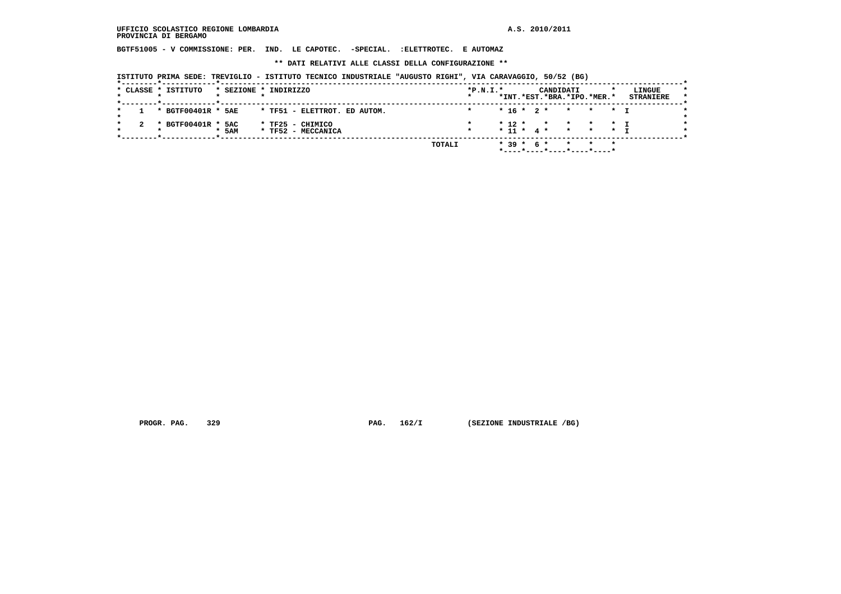**BGTF51005 - V COMMISSIONE: PER. IND. LE CAPOTEC. -SPECIAL. :ELETTROTEC. E AUTOMAZ**

 **\*\* DATI RELATIVI ALLE CLASSI DELLA CONFIGURAZIONE \*\***

 **ISTITUTO PRIMA SEDE: TREVIGLIO - ISTITUTO TECNICO INDUSTRIALE "AUGUSTO RIGHI", VIA CARAVAGGIO, 50/52 (BG)**

|     | * CLASSE * ISTITUTO |     | * SEZIONE * INDIRIZZO                  |        | $*P.N.I.*$ |  |            | CANDIDATI | *INT.*EST.*BRA.*IPO.*MER.*                    | LINGUE<br><b>STRANIERE</b> | $\star$ |
|-----|---------------------|-----|----------------------------------------|--------|------------|--|------------|-----------|-----------------------------------------------|----------------------------|---------|
|     | * BGTF00401R * 5AE  |     | * TF51 - ELETTROT. ED AUTOM.           |        |            |  |            |           | $* 16 * 2 * * * * * 1$                        |                            |         |
| -2. | * BGTF00401R * 5AC  | 5AM | * TF25 - CHIMICO<br>* TF52 - MECCANICA |        |            |  |            |           | $*12 * * * * * * I$<br>$* 11 * 4 * * * * * 1$ |                            |         |
|     |                     |     |                                        | TOTALI |            |  | * 39 * 6 * |           | * * *<br>$*$ ----*----*----*----*----*        |                            |         |

 **PROGR. PAG.** 329 **PAG.** 162/I (SEZIONE INDUSTRIALE /BG)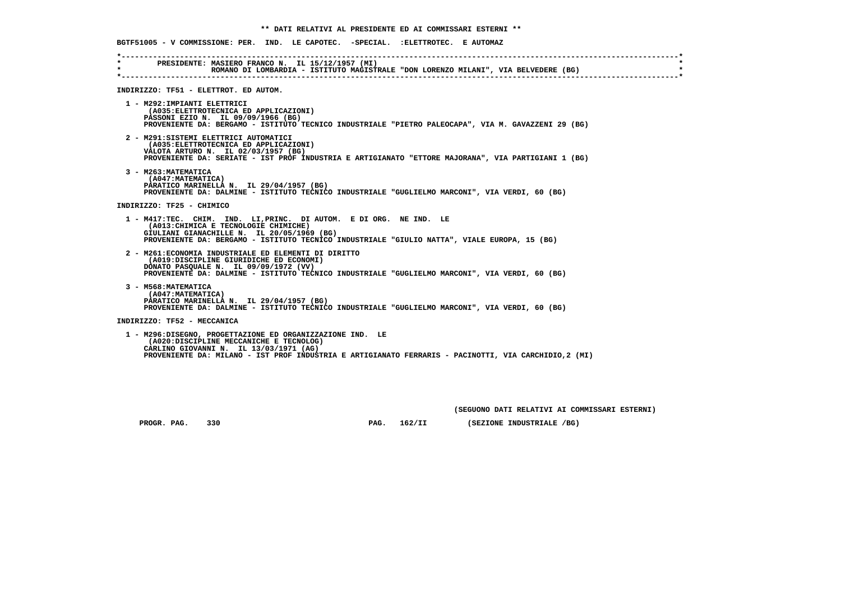**BGTF51005 - V COMMISSIONE: PER. IND. LE CAPOTEC. -SPECIAL. :ELETTROTEC. E AUTOMAZ \*----------------------------------------------------------------------------------------------------------------------------\* \* PRESIDENTE: MASIERO FRANCO N. IL 15/12/1957 (MI) \* \* ROMANO DI LOMBARDIA - ISTITUTO MAGISTRALE "DON LORENZO MILANI", VIA BELVEDERE (BG) \* \*----------------------------------------------------------------------------------------------------------------------------\* INDIRIZZO: TF51 - ELETTROT. ED AUTOM. 1 - M292:IMPIANTI ELETTRICI (A035:ELETTROTECNICA ED APPLICAZIONI) PASSONI EZIO N. IL 09/09/1966 (BG) PROVENIENTE DA: BERGAMO - ISTITUTO TECNICO INDUSTRIALE "PIETRO PALEOCAPA", VIA M. GAVAZZENI 29 (BG) 2 - M291:SISTEMI ELETTRICI AUTOMATICI (A035:ELETTROTECNICA ED APPLICAZIONI) VALOTA ARTURO N. IL 02/03/1957 (BG) PROVENIENTE DA: SERIATE - IST PROF INDUSTRIA E ARTIGIANATO "ETTORE MAJORANA", VIA PARTIGIANI 1 (BG) 3 - M263:MATEMATICA (A047:MATEMATICA) PARATICO MARINELLA N. IL 29/04/1957 (BG) PROVENIENTE DA: DALMINE - ISTITUTO TECNICO INDUSTRIALE "GUGLIELMO MARCONI", VIA VERDI, 60 (BG) INDIRIZZO: TF25 - CHIMICO 1 - M417:TEC. CHIM. IND. LI,PRINC. DI AUTOM. E DI ORG. NE IND. LE (A013:CHIMICA E TECNOLOGIE CHIMICHE) GIULIANI GIANACHILLE N. IL 20/05/1969 (BG) PROVENIENTE DA: BERGAMO - ISTITUTO TECNICO INDUSTRIALE "GIULIO NATTA", VIALE EUROPA, 15 (BG) 2 - M261:ECONOMIA INDUSTRIALE ED ELEMENTI DI DIRITTO (A019:DISCIPLINE GIURIDICHE ED ECONOMI) DONATO PASQUALE N. IL 09/09/1972 (VV) PROVENIENTE DA: DALMINE - ISTITUTO TECNICO INDUSTRIALE "GUGLIELMO MARCONI", VIA VERDI, 60 (BG) 3 - M568:MATEMATICA (A047:MATEMATICA) PARATICO MARINELLA N. IL 29/04/1957 (BG) PROVENIENTE DA: DALMINE - ISTITUTO TECNICO INDUSTRIALE "GUGLIELMO MARCONI", VIA VERDI, 60 (BG) INDIRIZZO: TF52 - MECCANICA 1 - M296:DISEGNO, PROGETTAZIONE ED ORGANIZZAZIONE IND. LE (A020:DISCIPLINE MECCANICHE E TECNOLOG) CARLINO GIOVANNI N. IL 13/03/1971 (AG) PROVENIENTE DA: MILANO - IST PROF INDUSTRIA E ARTIGIANATO FERRARIS - PACINOTTI, VIA CARCHIDIO,2 (MI)**

 **(SEGUONO DATI RELATIVI AI COMMISSARI ESTERNI)**

 **PROGR. PAG.** 330 **PAG. 162/II (SEZIONE INDUSTRIALE /BG)**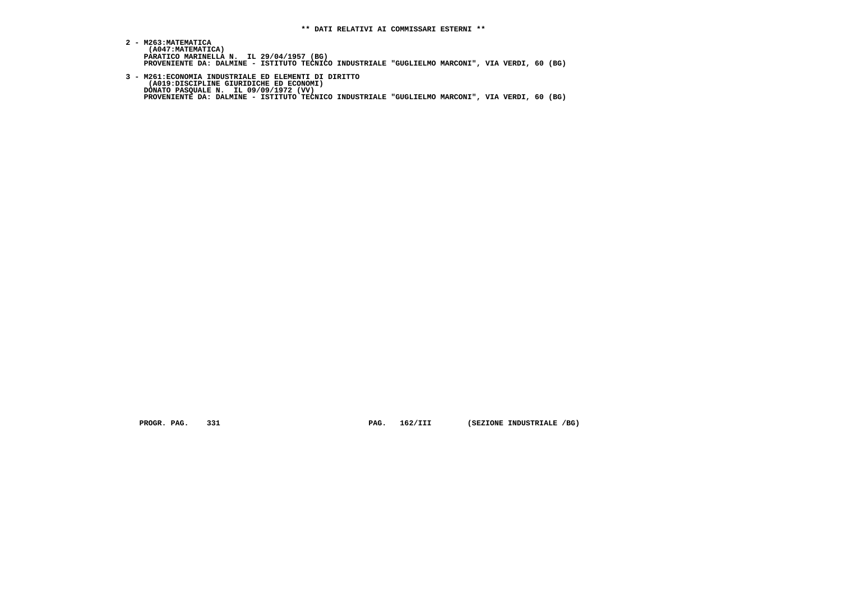- **2 M263:MATEMATICA (A047:MATEMATICA) PARATICO MARINELLA N. IL 29/04/1957 (BG) PROVENIENTE DA: DALMINE - ISTITUTO TECNICO INDUSTRIALE "GUGLIELMO MARCONI", VIA VERDI, 60 (BG)**
- **3 M261:ECONOMIA INDUSTRIALE ED ELEMENTI DI DIRITTO (A019:DISCIPLINE GIURIDICHE ED ECONOMI) DONATO PASQUALE N. IL 09/09/1972 (VV) PROVENIENTE DA: DALMINE - ISTITUTO TECNICO INDUSTRIALE "GUGLIELMO MARCONI", VIA VERDI, 60 (BG)**

 **PROGR. PAG.** 331 **PAG. 162/III (SEZIONE INDUSTRIALE /BG)**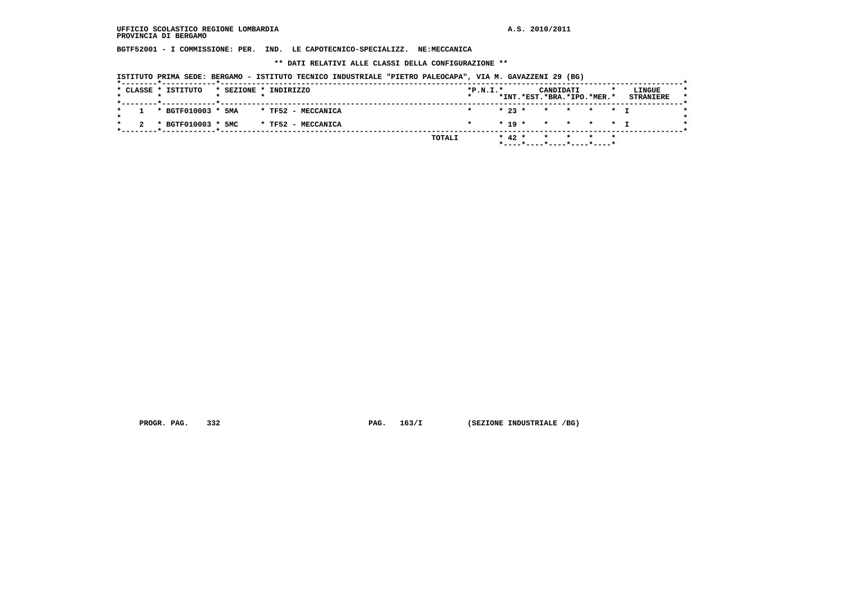**BGTF52001 - I COMMISSIONE: PER. IND. LE CAPOTECNICO-SPECIALIZZ. NE:MECCANICA**

 **\*\* DATI RELATIVI ALLE CLASSI DELLA CONFIGURAZIONE \*\***

 **ISTITUTO PRIMA SEDE: BERGAMO - ISTITUTO TECNICO INDUSTRIALE "PIETRO PALEOCAPA", VIA M. GAVAZZENI 29 (BG)**

|         |  | * CLASSE * ISTITUTO    |  | * SEZIONE * INDIRIZZO |        | $*P.N.T.*$<br>$\star$ |  |            | CANDIDATI                                                          |  | LINGUE           |  |
|---------|--|------------------------|--|-----------------------|--------|-----------------------|--|------------|--------------------------------------------------------------------|--|------------------|--|
|         |  |                        |  |                       |        |                       |  |            | *INT.*EST.*BRA.*IPO.*MER.*                                         |  | <b>STRANIERE</b> |  |
| $\star$ |  | $1 * BGTF010003 * 5MA$ |  | * TF52 - MECCANICA    |        |                       |  |            | $\star$ 23 $\star$ $\star$ $\star$ $\star$ $\star$ $\star$ $\star$ |  |                  |  |
|         |  | 2 * BGTF010003 * 5MC   |  | * TF52 - MECCANICA    |        | $\star$               |  |            | $* 19 * * * * * * T$                                               |  |                  |  |
|         |  |                        |  |                       | TOTALI |                       |  | $*$ 42 $*$ | * * * *                                                            |  |                  |  |
|         |  |                        |  |                       |        |                       |  |            | *----*----*----*----*----*                                         |  |                  |  |

 **PROGR. PAG.** 332 **PAG.** 163/I (SEZIONE INDUSTRIALE /BG)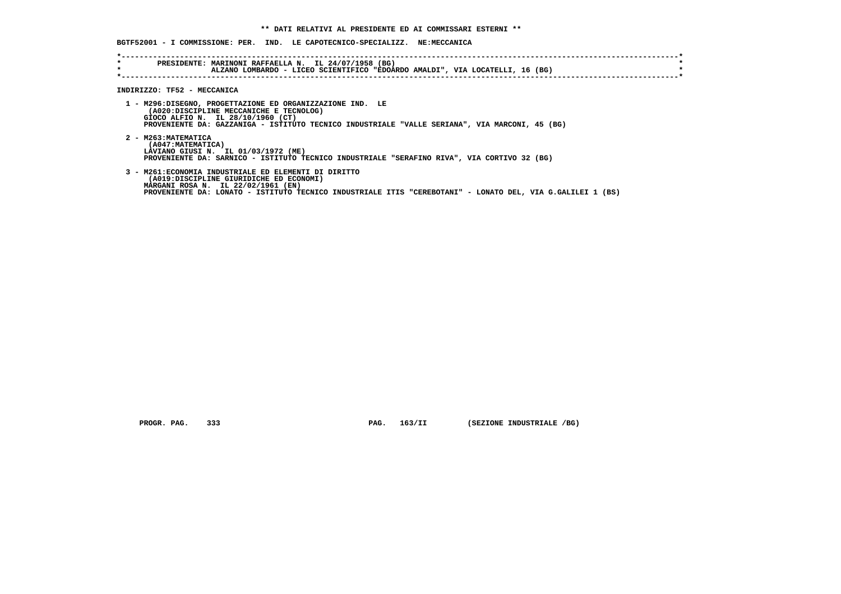**BGTF52001 - I COMMISSIONE: PER. IND. LE CAPOTECNICO-SPECIALIZZ. NE:MECCANICA**

| $\star$<br>$\star$ | PRESIDENTE: MARINONI RAFFAELLA N. IL 24/07/1958 (BG)<br>ALZANO LOMBARDO - LICEO SCIENTIFICO "EDOARDO AMALDI", VIA LOCATELLI, 16 (BG)                                                                                                                 |
|--------------------|------------------------------------------------------------------------------------------------------------------------------------------------------------------------------------------------------------------------------------------------------|
|                    |                                                                                                                                                                                                                                                      |
|                    | INDIRIZZO: TF52 - MECCANICA                                                                                                                                                                                                                          |
|                    | 1 - M296:DISEGNO, PROGETTAZIONE ED ORGANIZZAZIONE IND. LE<br>(A020:DISCIPLINE MECCANICHE E TECNOLOG)<br>GIOCO ALFIO N. IL 28/10/1960 (CT)<br>PROVENIENTE DA: GAZZANIGA - ISTITUTO TECNICO INDUSTRIALE "VALLE SERIANA", VIA MARCONI, 45 (BG)          |
|                    | 2 - M263: MATEMATICA<br>(A047: MATEMATICA)<br>LAVIANO GIUSI N. IL 01/03/1972 (ME)<br>PROVENIENTE DA: SARNICO - ISTITUTO TECNICO INDUSTRIALE "SERAFINO RIVA", VIA CORTIVO 32 (BG)                                                                     |
|                    | 3 - M261: ECONOMIA INDUSTRIALE ED ELEMENTI DI DIRITTO<br>(A019:DISCIPLINE GIURIDICHE ED ECONOMI)<br>MARGANI ROSA N. IL 22/02/1961 (EN)<br>PROVENIENTE DA: LONATO - ISTITUTO TECNICO INDUSTRIALE ITIS "CEREBOTANI" - LONATO DEL, VIA G.GALILEI 1 (BS) |

 **PROGR. PAG.** 333 **PAG. 163/II** (SEZIONE INDUSTRIALE /BG)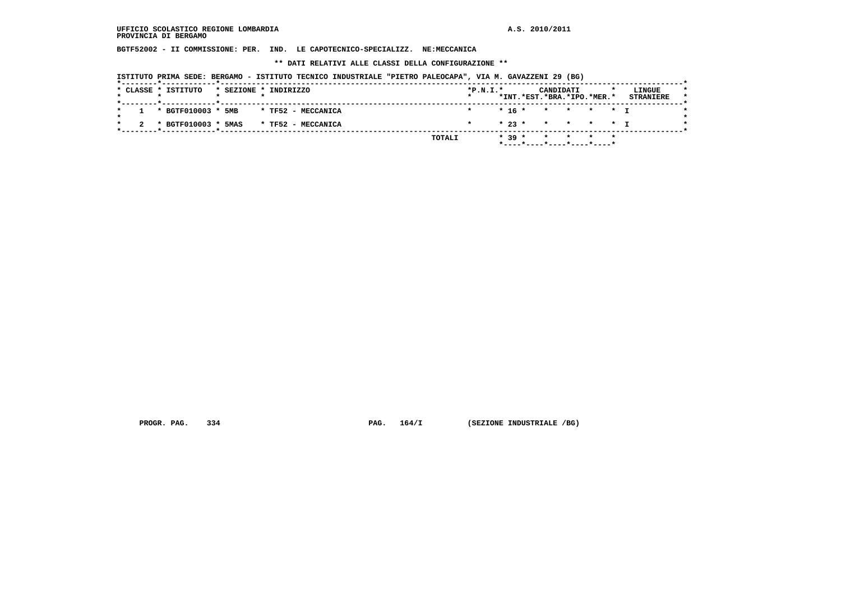**BGTF52002 - II COMMISSIONE: PER. IND. LE CAPOTECNICO-SPECIALIZZ. NE:MECCANICA**

 **\*\* DATI RELATIVI ALLE CLASSI DELLA CONFIGURAZIONE \*\***

 **ISTITUTO PRIMA SEDE: BERGAMO - ISTITUTO TECNICO INDUSTRIALE "PIETRO PALEOCAPA", VIA M. GAVAZZENI 29 (BG)**

|         |  | * CLASSE * ISTITUTO   |  | * SEZIONE * INDIRIZZO |        | $*P.N.T.*$ |          |                            | CANDIDATI |                         |  | LINGUE           |  |
|---------|--|-----------------------|--|-----------------------|--------|------------|----------|----------------------------|-----------|-------------------------|--|------------------|--|
|         |  |                       |  |                       |        |            |          | *INT.*EST.*BRA.*IPO.*MER.* |           |                         |  | <b>STRANIERE</b> |  |
| $\star$ |  | 1 * BGTF010003 * 5MB  |  | * TF52 - MECCANICA    |        | $\star$    |          | $* 16 * * * * * * T$       |           |                         |  |                  |  |
|         |  | 2 * BGTF010003 * 5MAS |  | * TF52 - MECCANICA    |        | $\star$    |          | $* 23 * * * * * * + T$     |           |                         |  |                  |  |
|         |  |                       |  |                       | TOTALI |            | $* 39 *$ |                            |           | $\star$ $\star$ $\star$ |  |                  |  |
|         |  |                       |  |                       |        |            |          | *----*----*----*----*----* |           |                         |  |                  |  |

 **PROGR. PAG.** 334 **PAG.** 164/I (SEZIONE INDUSTRIALE /BG)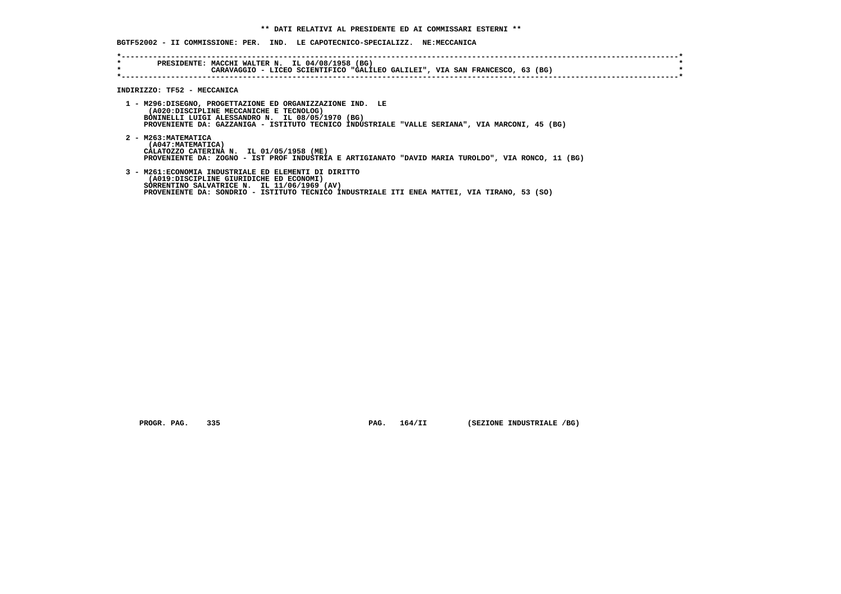|                    | BGTF52002 - II COMMISSIONE: PER. IND. LE CAPOTECNICO-SPECIALIZZ. NE:MECCANICA                                                                                                                                                                              |
|--------------------|------------------------------------------------------------------------------------------------------------------------------------------------------------------------------------------------------------------------------------------------------------|
| $\star$<br>$\star$ | PRESIDENTE: MACCHI WALTER N. IL 04/08/1958 (BG)<br>CARAVAGGIO - LICEO SCIENTIFICO "GALILEO GALILEI", VIA SAN FRANCESCO, 63 (BG)                                                                                                                            |
|                    | INDIRIZZO: TF52 - MECCANICA                                                                                                                                                                                                                                |
|                    | 1 - M296:DISEGNO, PROGETTAZIONE ED ORGANIZZAZIONE IND. LE<br>(A020:DISCIPLINE MECCANICHE E TECNOLOG)<br>BONINELLI LUIGI ALESSANDRO N. IL 08/05/1970 (BG)<br>PROVENIENTE DA: GAZZANIGA - ISTITUTO TECNICO INDUSTRIALE "VALLE SERIANA", VIA MARCONI, 45 (BG) |
|                    | 2 - M263: MATEMATICA<br>(A047: MATEMATICA)<br>CALATOZZO CATERINA N. IL 01/05/1958 (ME)<br>PROVENIENTE DA: ZOGNO - IST PROF INDUSTRIA E ARTIGIANATO "DAVID MARIA TUROLDO", VIA RONCO, 11 (BG)                                                               |
|                    | 3 - M261: ECONOMIA INDUSTRIALE ED ELEMENTI DI DIRITTO<br>(A019:DISCIPLINE GIURIDICHE ED ECONOMI)<br>SORRENTINO SALVATRICE N. IL 11/06/1969 (AV)<br>PROVENIENTE DA: SONDRIO - ISTITUTO TECNICO INDUSTRIALE ITI ENEA MATTEI, VIA TIRANO, 53 (SO)             |

 **PROGR. PAG. 335 PAG. 164/II (SEZIONE INDUSTRIALE /BG)**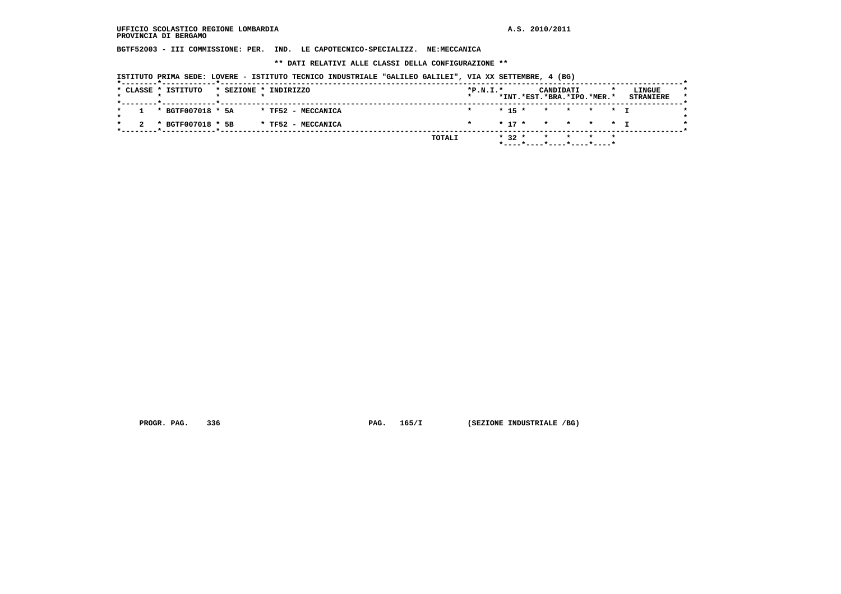**BGTF52003 - III COMMISSIONE: PER. IND. LE CAPOTECNICO-SPECIALIZZ. NE:MECCANICA**

 **\*\* DATI RELATIVI ALLE CLASSI DELLA CONFIGURAZIONE \*\***

 **ISTITUTO PRIMA SEDE: LOVERE - ISTITUTO TECNICO INDUSTRIALE "GALILEO GALILEI", VIA XX SETTEMBRE, 4 (BG)**

|  | * CLASSE * ISTITUTO   |  | * SEZIONE * INDIRIZZO |        | $*P.N.I.*$ |          | CANDIDATI                  |                 |  | LINGUE           |
|--|-----------------------|--|-----------------------|--------|------------|----------|----------------------------|-----------------|--|------------------|
|  |                       |  |                       |        |            |          | *INT.*EST.*BRA.*IPO.*MER.* |                 |  | <b>STRANIERE</b> |
|  | $1 * BGTF007018 * 5A$ |  | * TF52 - MECCANICA    |        |            |          | $* 15 * * * * * * T$       |                 |  |                  |
|  | * BGTF007018 * 5B     |  | * TF52 - MECCANICA    |        | $\star$    |          | $* 17 * * * * * * T$       |                 |  |                  |
|  |                       |  |                       | TOTALI |            | $* 32 *$ |                            | $\star$ $\star$ |  |                  |
|  |                       |  |                       |        |            |          | *----*----*----*----*----* |                 |  |                  |

 **PROGR. PAG.** 336 **PAG. 165/I (SEZIONE INDUSTRIALE /BG)**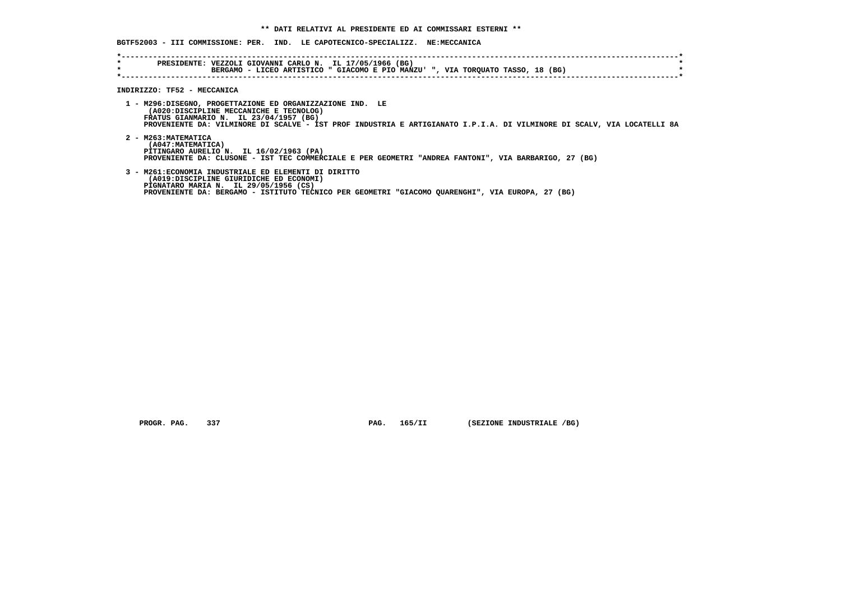**BGTF52003 - III COMMISSIONE: PER. IND. LE CAPOTECNICO-SPECIALIZZ. NE:MECCANICA**

| $\star$ | PRESIDENTE: VEZZOLI GIOVANNI CARLO N. IL 17/05/1966 (BG)<br>BERGAMO - LICEO ARTISTICO " GIACOMO E PIO MANZU' ", VIA TORQUATO TASSO, 18 (BG)                                                                                                                               |
|---------|---------------------------------------------------------------------------------------------------------------------------------------------------------------------------------------------------------------------------------------------------------------------------|
|         | INDIRIZZO: TF52 - MECCANICA                                                                                                                                                                                                                                               |
|         | 1 - M296:DISEGNO, PROGETTAZIONE ED ORGANIZZAZIONE IND. LE<br>(A020:DISCIPLINE MECCANICHE E TECNOLOG)<br>FRATUS GIANMARIO N. IL 23/04/1957 (BG)<br>PROVENIENTE DA: VILMINORE DI SCALVE - IST PROF INDUSTRIA E ARTIGIANATO I.P.I.A. DI VILMINORE DI SCALV, VIA LOCATELLI 8A |
|         | 2 - M263: MATEMATICA<br>(A047: MATEMATICA)<br>PITINGARO AURELIO N. IL 16/02/1963 (PA)<br>PROVENIENTE DA: CLUSONE - IST TEC COMMERCIALE E PER GEOMETRI "ANDREA FANTONI", VIA BARBARIGO, 27 (BG)                                                                            |
|         | 3 - M261: ECONOMIA INDUSTRIALE ED ELEMENTI DI DIRITTO<br>(A019:DISCIPLINE GIURIDICHE ED ECONOMI)<br>PIGNATARO MARIA N. IL 29/05/1956 (CS)<br>PROVENIENTE DA: BERGAMO - ISTITUTO TECNICO PER GEOMETRI "GIACOMO QUARENGHI", VIA EUROPA, 27 (BG)                             |

 **PROGR. PAG.** 337 **PAG. 165/II** (SEZIONE INDUSTRIALE /BG)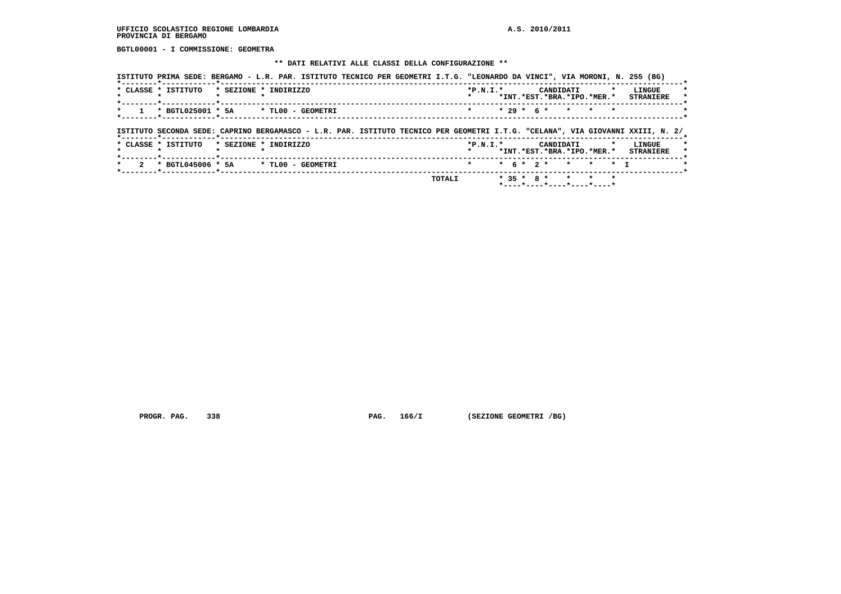**BGTL00001 - I COMMISSIONE: GEOMETRA**

#### **\*\* DATI RELATIVI ALLE CLASSI DELLA CONFIGURAZIONE \*\***

|           | * CLASSE * ISTITUTO                                                                                                            | * SEZIONE * INDIRIZZO |  |  | $*P.N.T.*$ |  |              |           | CANDIDATI<br>*INT.*EST.*BRA.*IPO.*MER.* |         | LINGUE<br><b>STRANIERE</b>           |
|-----------|--------------------------------------------------------------------------------------------------------------------------------|-----------------------|--|--|------------|--|--------------|-----------|-----------------------------------------|---------|--------------------------------------|
| $\star$ . | * BGTL025001 * 5A * TL00 - GEOMETRI                                                                                            |                       |  |  | $\star$    |  | $* 29 * 6 *$ |           | * * *                                   |         |                                      |
|           |                                                                                                                                |                       |  |  |            |  |              |           |                                         |         |                                      |
|           |                                                                                                                                |                       |  |  |            |  |              |           |                                         |         |                                      |
|           | ISTITUTO SECONDA SEDE: CAPRINO BERGAMASCO - L.R. PAR. ISTITUTO TECNICO PER GEOMETRI I.T.G. "CELANA", VIA GIOVANNI XXIII, N. 2/ |                       |  |  |            |  |              |           |                                         |         |                                      |
|           | * CLASSE * ISTITUTO * SEZIONE * INDIRIZZO                                                                                      |                       |  |  | $*P.N.T.*$ |  |              | CANDIDATI |                                         | $\star$ | LINGUE                               |
|           | $\cdot$                                                                                                                        |                       |  |  |            |  |              |           |                                         |         | *INT.*EST.*BRA.*IPO.*MER.* STRANIERE |

 **PROGR. PAG.** 338 **PAG.** 166/I (SEZIONE GEOMETRI /BG)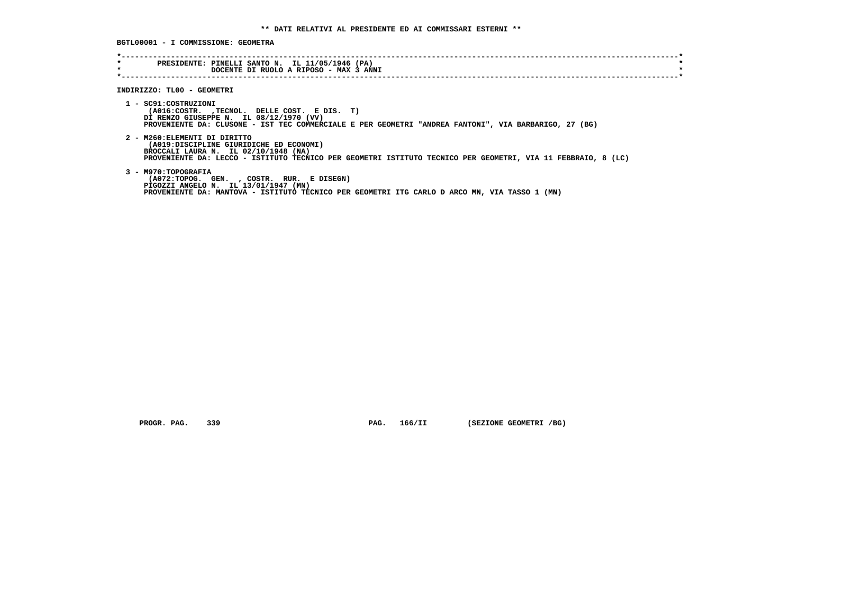**BGTL00001 - I COMMISSIONE: GEOMETRA**

| $\star$ | PRESIDENTE: PINELLI SANTO N. IL 11/05/1946 (PA)                                                              |
|---------|--------------------------------------------------------------------------------------------------------------|
| $\star$ | DOCENTE DI RUOLO A RIPOSO - MAX 3 ANNI                                                                       |
|         |                                                                                                              |
|         |                                                                                                              |
|         | INDIRIZZO: TL00 - GEOMETRI                                                                                   |
|         |                                                                                                              |
|         | 1 - SC91: COSTRUZIONI                                                                                        |
|         | (A016:COSTR. , TECNOL. DELLE COST. E DIS. T)                                                                 |
|         | DI RENZO GIUSEPPE N. IL 08/12/1970 (VV)                                                                      |
|         | PROVENIENTE DA: CLUSONE - IST TEC COMMERCIALE E PER GEOMETRI "ANDREA FANTONI", VIA BARBARIGO, 27 (BG)        |
|         | 2 - M260: ELEMENTI DI DIRITTO                                                                                |
|         | (A019:DISCIPLINE GIURIDICHE ED ECONOMI)                                                                      |
|         | BROCCALI LAURA N. IL 02/10/1948 (NA)                                                                         |
|         | PROVENIENTE DA: LECCO - ISTITUTO TECNICO PER GEOMETRI ISTITUTO TECNICO PER GEOMETRI, VIA 11 FEBBRAIO, 8 (LC) |
|         |                                                                                                              |
|         | 3 - M970: TOPOGRAFIA                                                                                         |
|         | (A072:TOPOG. GEN. , COSTR. RUR. E DISEGN)                                                                    |
|         | PIGOZZI ANGELO N. IL 13/01/1947 (MN)                                                                         |
|         | PROVENIENTE DA: MANTOVA - ISTITUTO TECNICO PER GEOMETRI ITG CARLO D ARCO MN, VIA TASSO 1 (MN)                |
|         |                                                                                                              |
|         |                                                                                                              |

 **PROGR. PAG.** 339 **PAG.** 166/II (SEZIONE GEOMETRI /BG)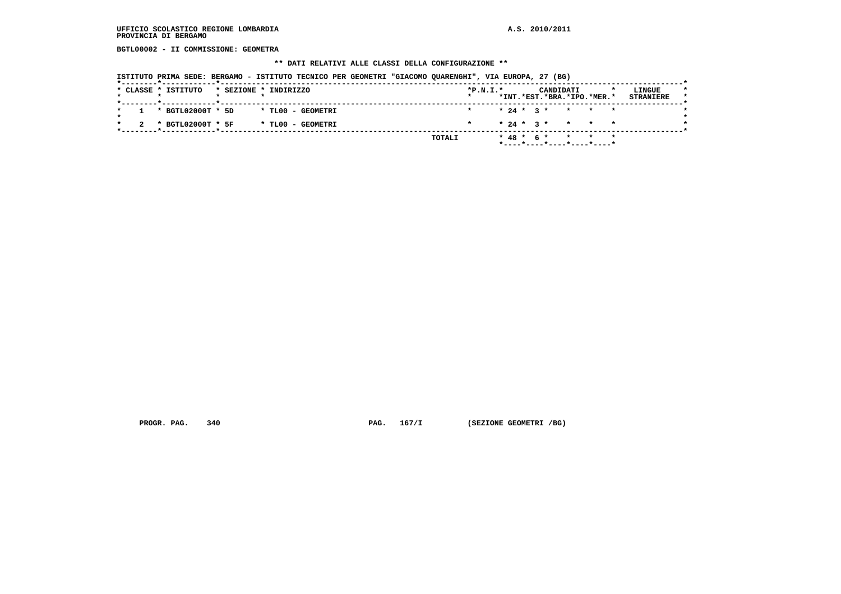**BGTL00002 - II COMMISSIONE: GEOMETRA**

#### **\*\* DATI RELATIVI ALLE CLASSI DELLA CONFIGURAZIONE \*\***

 **ISTITUTO PRIMA SEDE: BERGAMO - ISTITUTO TECNICO PER GEOMETRI "GIACOMO QUARENGHI", VIA EUROPA, 27 (BG)**

|  | * CLASSE * ISTITUTO   |  | * SEZIONE * INDIRIZZO | $*P.N.I.*$ |  |  | CANDIDATI | *INT.*EST.*BRA.*IPO.*MER.*                                | LINGUE<br><b>STRANIERE</b> |
|--|-----------------------|--|-----------------------|------------|--|--|-----------|-----------------------------------------------------------|----------------------------|
|  | $1 * BGTL02000T * 5D$ |  | * TLOO - GEOMETRI     |            |  |  |           | $* 24 * 3 * * * * * * *$                                  |                            |
|  | * BGTL02000T * 5F     |  | * TLOO - GEOMETRI     | $\star$    |  |  |           | $* 24 * 3 * * * * * * *$                                  |                            |
|  |                       |  | TOTALI                |            |  |  |           | $* 48 * 6 * * * * * * *$<br>$*$ ----*----*----*----*----* |                            |

 **PROGR. PAG.** 340 **PAG.** 167/I (SEZIONE GEOMETRI /BG)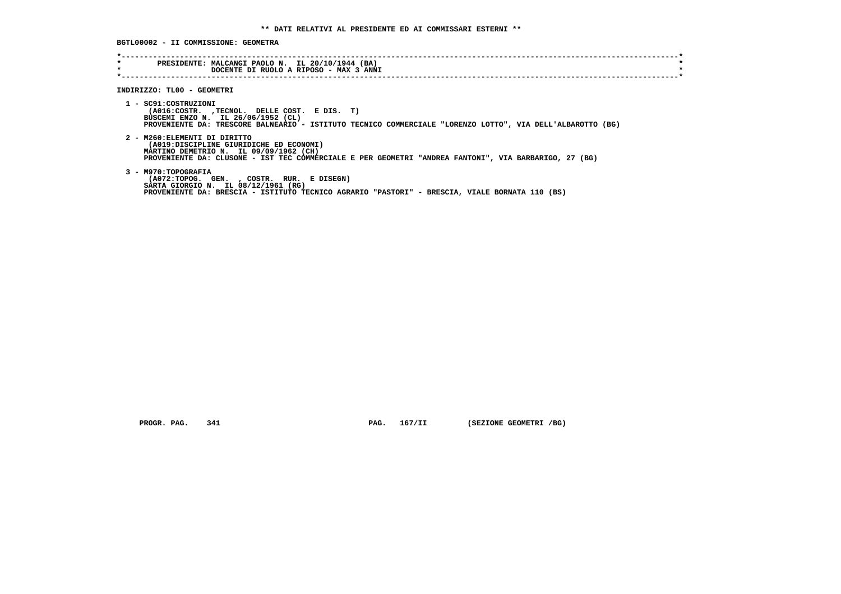**BGTL00002 - II COMMISSIONE: GEOMETRA**

| $\star$ | PRESIDENTE: MALCANGI PAOLO N. IL 20/10/1944 (BA)                                                           |
|---------|------------------------------------------------------------------------------------------------------------|
| $\star$ | DOCENTE DI RUOLO A RIPOSO - MAX 3 ANNI                                                                     |
|         |                                                                                                            |
|         |                                                                                                            |
|         | INDIRIZZO: TL00 - GEOMETRI                                                                                 |
|         |                                                                                                            |
|         | 1 - SC91:COSTRUZIONI                                                                                       |
|         | (A016:COSTR. , TECNOL. DELLE COST. E DIS. T)                                                               |
|         | BUSCEMI ENZO N. IL 26/06/1952 (CL)                                                                         |
|         | PROVENIENTE DA: TRESCORE BALNEARIO - ISTITUTO TECNICO COMMERCIALE "LORENZO LOTTO", VIA DELL'ALBAROTTO (BG) |
|         |                                                                                                            |
|         | 2 - M260: ELEMENTI DI DIRITTO                                                                              |
|         | (A019:DISCIPLINE GIURIDICHE ED ECONOMI)                                                                    |
|         | MARTINO DEMETRIO N. IL 09/09/1962 (CH)                                                                     |
|         | PROVENIENTE DA: CLUSONE - IST TEC COMMERCIALE E PER GEOMETRI "ANDREA FANTONI", VIA BARBARIGO, 27 (BG)      |
|         |                                                                                                            |
|         | 3 - M970: TOPOGRAFIA                                                                                       |
|         | (A072:TOPOG. GEN. , COSTR. RUR. E DISEGN)                                                                  |
|         | SARTA GIORGIO N. IL 08/12/1961 (RG)                                                                        |
|         | PROVENIENTE DA: BRESCIA - ISTITUTO TECNICO AGRARIO "PASTORI" - BRESCIA, VIALE BORNATA 110 (BS)             |
|         |                                                                                                            |
|         |                                                                                                            |

 **PROGR. PAG.** 341 **PAG.** 167/II (SEZIONE GEOMETRI /BG)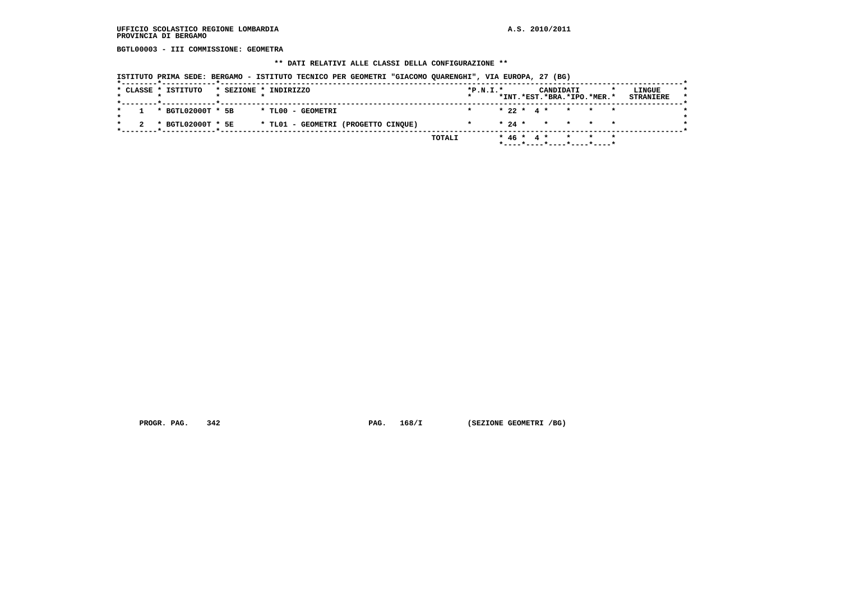**BGTL00003 - III COMMISSIONE: GEOMETRA**

# **\*\* DATI RELATIVI ALLE CLASSI DELLA CONFIGURAZIONE \*\***

|  |  |  |  |  |  |  |  |  |  |  | ISTITUTO PRIMA SEDE: BERGAMO - ISTITUTO TECNICO PER GEOMETRI "GIACOMO QUARENGHI", VIA EUROPA, 27 (BG) |  |  |  |  |  |
|--|--|--|--|--|--|--|--|--|--|--|-------------------------------------------------------------------------------------------------------|--|--|--|--|--|
|--|--|--|--|--|--|--|--|--|--|--|-------------------------------------------------------------------------------------------------------|--|--|--|--|--|

| $* 22 * 4 * * * * * * *$<br>* BGTL02000T * 5B<br>* TL00 - GEOMETRI<br>$\star$<br>$* 24 * * * * * * * * *$<br>* TL01 - GEOMETRI (PROGETTO CINQUE)<br>* BGTL02000T * 5E<br>$\star$ |  | * CLASSE * ISTITUTO |  | * SEZIONE * INDIRIZZO | $*P.N.T.*$<br>$\star$ |  |  | CANDIDATI | *INT.*EST.*BRA.*IPO.*MER.* | LINGUE<br><b>STRANIERE</b> |
|----------------------------------------------------------------------------------------------------------------------------------------------------------------------------------|--|---------------------|--|-----------------------|-----------------------|--|--|-----------|----------------------------|----------------------------|
|                                                                                                                                                                                  |  |                     |  |                       |                       |  |  |           |                            |                            |
|                                                                                                                                                                                  |  |                     |  |                       |                       |  |  |           |                            |                            |

 **PROGR. PAG.** 342 **PAG.** 168/I (SEZIONE GEOMETRI /BG)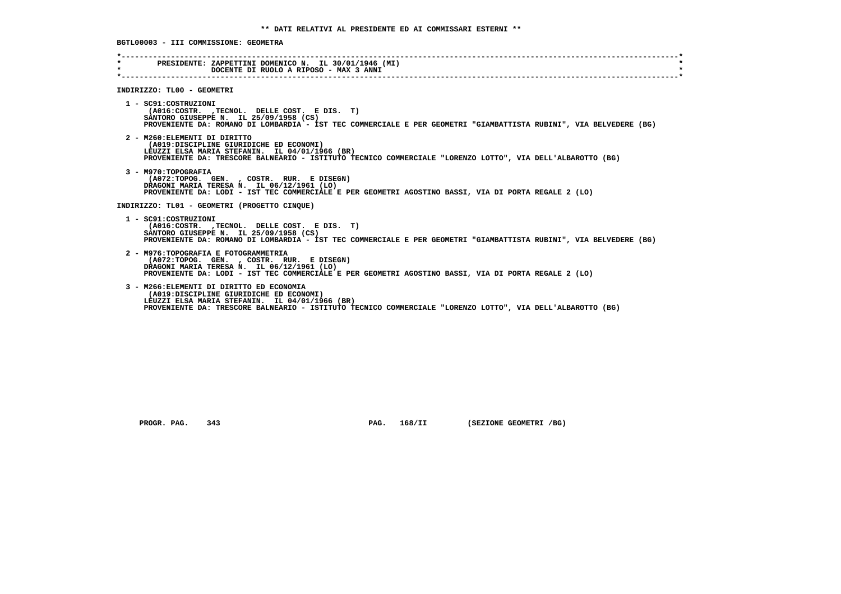| $\star$<br>$\star$ | PRESIDENTE: ZAPPETTINI DOMENICO N. IL 30/01/1946 (MI)<br>DOCENTE DI RUOLO A RIPOSO - MAX 3 ANNI                                                                                                                                                      |
|--------------------|------------------------------------------------------------------------------------------------------------------------------------------------------------------------------------------------------------------------------------------------------|
|                    |                                                                                                                                                                                                                                                      |
|                    | INDIRIZZO: TL00 - GEOMETRI                                                                                                                                                                                                                           |
|                    | 1 - SC91:COSTRUZIONI<br>(A016:COSTR. , TECNOL. DELLE COST. E DIS. T)<br>SANTORO GIUSEPPE N. IL 25/09/1958 (CS)<br>PROVENIENTE DA: ROMANO DI LOMBARDIA - IST TEC COMMERCIALE E PER GEOMETRI "GIAMBATTISTA RUBINI", VIA BELVEDERE (BG)                 |
|                    | 2 - M260: ELEMENTI DI DIRITTO<br>(A019:DISCIPLINE GIURIDICHE ED ECONOMI)<br>LEUZZI ELSA MARIA STEFANIN. IL 04/01/1966 (BR)<br>PROVENIENTE DA: TRESCORE BALNEARIO - ISTITUTO TECNICO COMMERCIALE "LORENZO LOTTO", VIA DELL'ALBAROTTO (BG)             |
|                    | 3 - M970: TOPOGRAFIA<br>(A072:TOPOG. GEN., COSTR. RUR. E DISEGN)<br>DRAGONI MARIA TERESA N. IL 06/12/1961 (LO)<br>PROVENIENTE DA: LODI - IST TEC COMMERCIALE E PER GEOMETRI AGOSTINO BASSI, VIA DI PORTA REGALE 2 (LO)                               |
|                    | INDIRIZZO: TL01 - GEOMETRI (PROGETTO CINQUE)                                                                                                                                                                                                         |
|                    | 1 - SC91: COSTRUZIONI<br>(A016:COSTR. ,TECNOL. DELLE COST. E DIS. T)<br>SANTORO GIUSEPPE N. IL 25/09/1958 (CS)<br>PROVENIENTE DA: ROMANO DI LOMBARDIA - IST TEC COMMERCIALE E PER GEOMETRI "GIAMBATTISTA RUBINI", VIA BELVEDERE (BG)                 |
|                    | 2 - M976: TOPOGRAFIA E FOTOGRAMMETRIA<br>(A072:TOPOG. GEN., COSTR. RUR. E DISEGN)<br>DRAGONI MARIA TERESA N. IL 06/12/1961 (LO)<br>PROVENIENTE DA: LODI - IST TEC COMMERCIALE E PER GEOMETRI AGOSTINO BASSI, VIA DI PORTA REGALE 2 (LO)              |
|                    | 3 - M266: ELEMENTI DI DIRITTO ED ECONOMIA<br>(A019:DISCIPLINE GIURIDICHE ED ECONOMI)<br>LEUZZI ELSA MARIA STEFANIN. IL 04/01/1966 (BR)<br>PROVENIENTE DA: TRESCORE BALNEARIO - ISTITUTO TECNICO COMMERCIALE "LORENZO LOTTO", VIA DELL'ALBAROTTO (BG) |

 **BGTL00003 - III COMMISSIONE: GEOMETRA**

 **PROGR. PAG.** 343 **PAG.** 168/II (SEZIONE GEOMETRI /BG)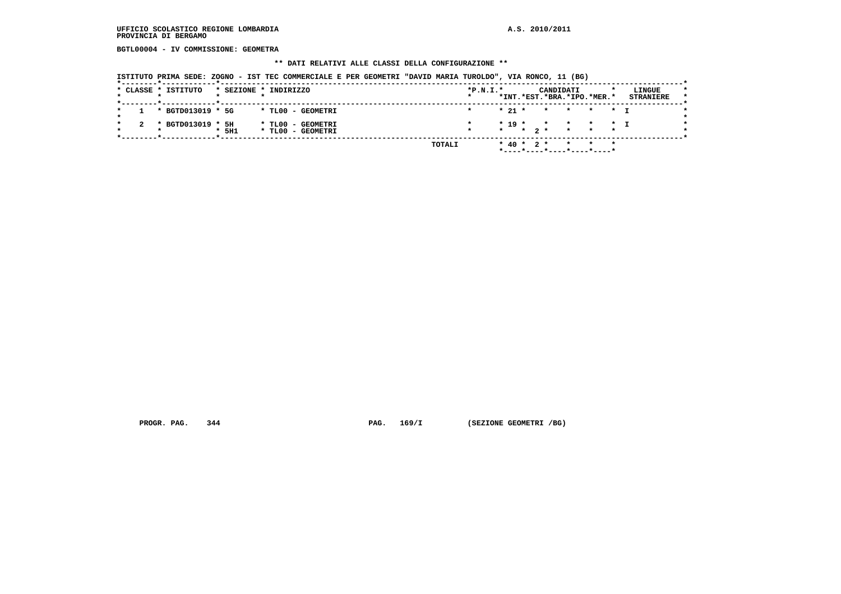**BGTL00004 - IV COMMISSIONE: GEOMETRA**

#### **\*\* DATI RELATIVI ALLE CLASSI DELLA CONFIGURAZIONE \*\***

 **ISTITUTO PRIMA SEDE: ZOGNO - IST TEC COMMERCIALE E PER GEOMETRI "DAVID MARIA TUROLDO", VIA RONCO, 11 (BG)**

|              | * CLASSE * ISTITUTO | * SEZIONE * INDIRIZZO |  |                                        |        | $*P.N.T.*$ |  |                  | CANDIDATI<br>*INT.*EST.*BRA.*IPO.*MER.*                                  |                 |         | LINGUE<br><b>STRANIERE</b> |  |
|--------------|---------------------|-----------------------|--|----------------------------------------|--------|------------|--|------------------|--------------------------------------------------------------------------|-----------------|---------|----------------------------|--|
| $\mathbf{1}$ | * BGTD013019 * 5G   |                       |  | * TLOO - GEOMETRI                      |        |            |  |                  | $* 21 * * * * * * T$                                                     |                 |         |                            |  |
|              | * BGTD013019 * 5H   | 5H1                   |  | * TLOO - GEOMETRI<br>* TL00 - GEOMETRI |        |            |  |                  | $* 19 * * * * * * 1$<br>$\star$ $\star$ $2\star$ $\star$ $\star$ $\star$ |                 |         |                            |  |
|              |                     |                       |  |                                        | TOTALI |            |  | $*$ 40 $*$ 2 $*$ | *----*----*----*----*----*                                               | $\star$ $\star$ | $\star$ |                            |  |

 **PROGR. PAG.** 344 **PAG.** 169/I (SEZIONE GEOMETRI /BG)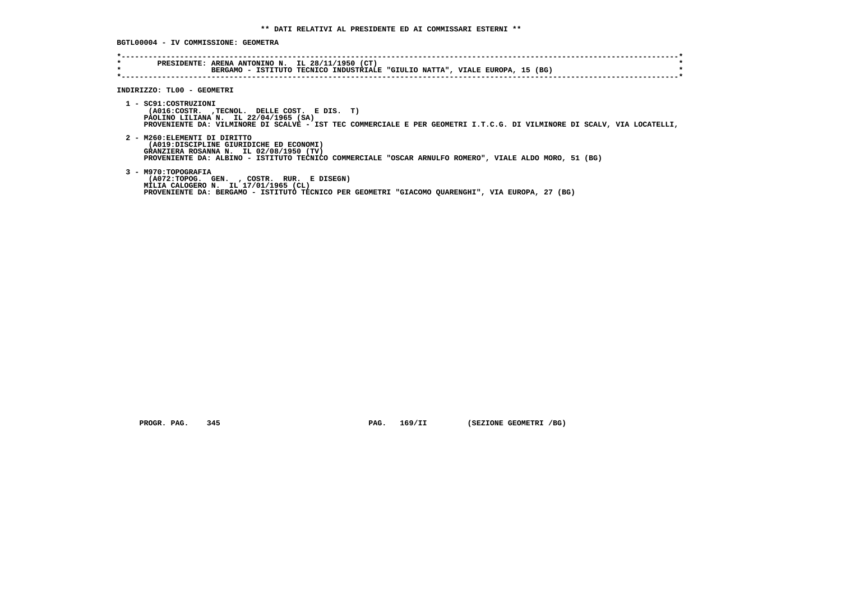**BGTL00004 - IV COMMISSIONE: GEOMETRA**

| $\star$<br>$\star$ | PRESIDENTE: ARENA ANTONINO N. IL 28/11/1950 (CT)<br>BERGAMO - ISTITUTO TECNICO INDUSTRIALE "GIULIO NATTA", VIALE EUROPA, 15 (BG)                                                                                                         |
|--------------------|------------------------------------------------------------------------------------------------------------------------------------------------------------------------------------------------------------------------------------------|
|                    | INDIRIZZO: TLOO - GEOMETRI                                                                                                                                                                                                               |
|                    | 1 - SC91:COSTRUZIONI<br>(A016:COSTR. , TECNOL. DELLE COST. E DIS. T)<br>PAOLINO LILIANA N. IL 22/04/1965 (SA)<br>PROVENIENTE DA: VILMINORE DI SCALVE - IST TEC COMMERCIALE E PER GEOMETRI I.T.C.G. DI VILMINORE DI SCALV, VIA LOCATELLI, |
|                    | 2 - M260: ELEMENTI DI DIRITTO<br>(A019:DISCIPLINE GIURIDICHE ED ECONOMI)<br>GRANZIERA ROSANNA N. IL 02/08/1950 (TV)<br>PROVENIENTE DA: ALBINO - ISTITUTO TECNICO COMMERCIALE "OSCAR ARNULFO ROMERO", VIALE ALDO MORO, 51 (BG)            |
|                    | 3 - M970: TOPOGRAFIA<br>(A072:TOPOG. GEN. , COSTR. RUR. E DISEGN)<br>MILIA CALOGERO N. IL 17/01/1965 (CL)<br>PROVENIENTE DA: BERGAMO - ISTITUTO TECNICO PER GEOMETRI "GIACOMO QUARENGHI", VIA EUROPA, 27 (BG)                            |

 **PROGR. PAG.** 345 **PAG.** 169/II (SEZIONE GEOMETRI /BG)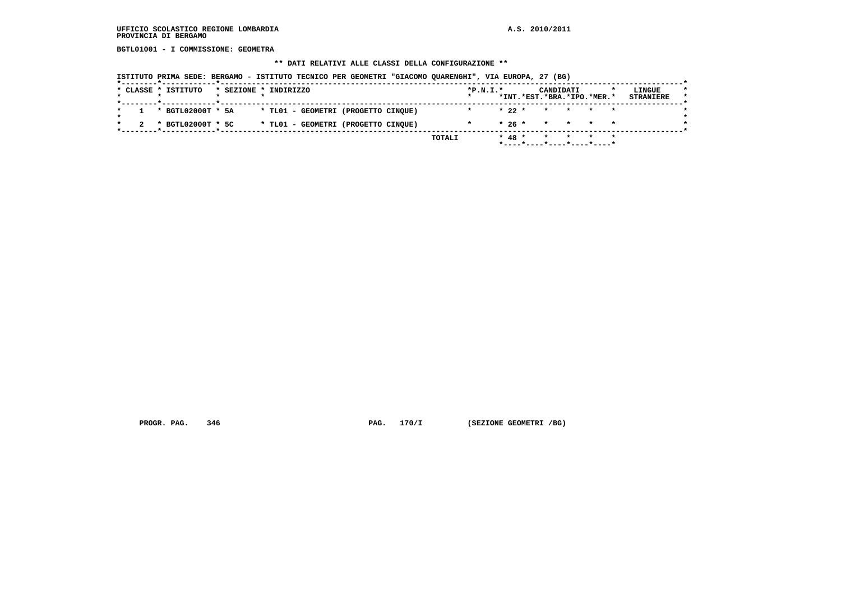**BGTL01001 - I COMMISSIONE: GEOMETRA**

# **\*\* DATI RELATIVI ALLE CLASSI DELLA CONFIGURAZIONE \*\***

| * CLASSE * ISTITUTO   | * SEZIONE * INDIRIZZO |  |                                     |  | $*P.N.T.*$ |          | CANDIDATI                  |  | LINGUE           |
|-----------------------|-----------------------|--|-------------------------------------|--|------------|----------|----------------------------|--|------------------|
|                       |                       |  |                                     |  |            |          | *INT.*EST.*BRA.*IPO.*MER.* |  | <b>STRANIERE</b> |
| $1 * BGTL02000T * 5A$ |                       |  | * TL01 - GEOMETRI (PROGETTO CINOUE) |  | $\star$    | $* 22 *$ | * * * *                    |  |                  |
| * BGTL02000T * 5C     |                       |  | * TL01 - GEOMETRI (PROGETTO CINQUE) |  |            | $*26*$   | * * * *                    |  |                  |

 **PROGR. PAG.** 346 **PAG.** 170/I (SEZIONE GEOMETRI /BG)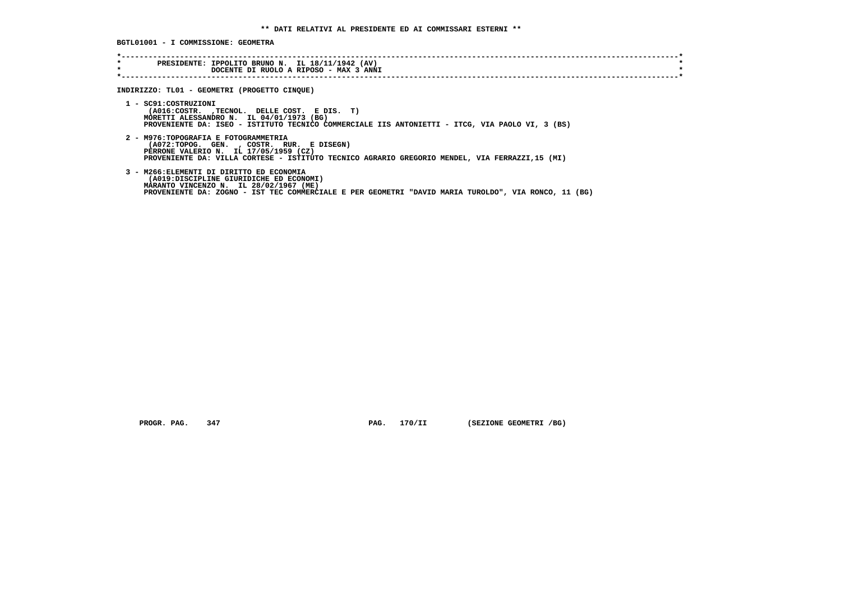**BGTL01001 - I COMMISSIONE: GEOMETRA**

| $\star$<br>$\star$ | PRESIDENTE: IPPOLITO BRUNO N. IL 18/11/1942 (AV)<br>DOCENTE DI RUOLO A RIPOSO - MAX 3 ANNI                                                                                                                                             |
|--------------------|----------------------------------------------------------------------------------------------------------------------------------------------------------------------------------------------------------------------------------------|
|                    | INDIRIZZO: TL01 - GEOMETRI (PROGETTO CINQUE)                                                                                                                                                                                           |
|                    | 1 - SC91: COSTRUZIONI<br>(A016:COSTR. , TECNOL. DELLE COST. E DIS. T)<br>MORETTI ALESSANDRO N. IL 04/01/1973 (BG)<br>PROVENIENTE DA: ISEO - ISTITUTO TECNICO COMMERCIALE IIS ANTONIETTI - ITCG, VIA PAOLO VI, 3 (BS)                   |
|                    | 2 - M976: TOPOGRAFIA E FOTOGRAMMETRIA<br>(A072:TOPOG. GEN., COSTR. RUR. E DISEGN)<br>PERRONE VALERIO N. IL 17/05/1959 (CZ)<br>PROVENIENTE DA: VILLA CORTESE - ISTITUTO TECNICO AGRARIO GREGORIO MENDEL, VIA FERRAZZI,15 (MI)           |
|                    | 3 - M266: ELEMENTI DI DIRITTO ED ECONOMIA<br>(A019:DISCIPLINE GIURIDICHE ED ECONOMI)<br>MARANTO VINCENZO N. IL 28/02/1967 (ME)<br>PROVENIENTE DA: ZOGNO - IST TEC COMMERCIALE E PER GEOMETRI "DAVID MARIA TUROLDO", VIA RONCO, 11 (BG) |

 **PROGR. PAG.** 347 **PAG.** 170/II (SEZIONE GEOMETRI /BG)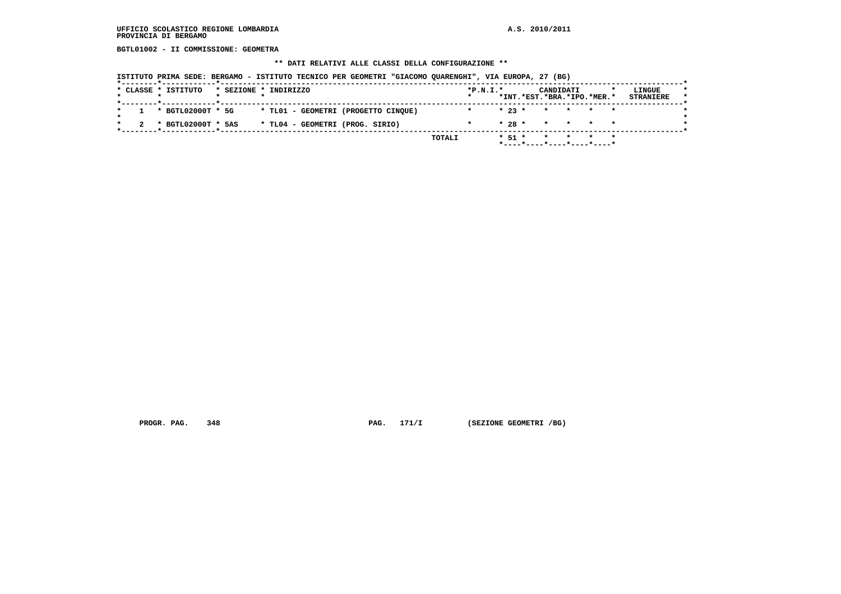**BGTL01002 - II COMMISSIONE: GEOMETRA**

## **\*\* DATI RELATIVI ALLE CLASSI DELLA CONFIGURAZIONE \*\***

| * CLASSE * ISTITUTO   | * SEZIONE * INDIRIZZO |  |                                     |  | $*P.N.T.*$ |          | CANDIDATI<br>*INT.*EST.*BRA.*IPO.*MER.* |  | LINGUE<br><b>STRANIERE</b> |
|-----------------------|-----------------------|--|-------------------------------------|--|------------|----------|-----------------------------------------|--|----------------------------|
|                       |                       |  |                                     |  |            |          |                                         |  |                            |
| $1 * BGTL02000T * 5G$ |                       |  | * TL01 - GEOMETRI (PROGETTO CINQUE) |  |            | $* 23 *$ | * * * *                                 |  |                            |
| * BGTL02000T * 5AS    |                       |  | * TL04 - GEOMETRI (PROG. SIRIO)     |  |            |          | $* 28 * * * * * * * *$                  |  |                            |

 **PROGR. PAG.** 348 **PAG.** 171/I (SEZIONE GEOMETRI /BG)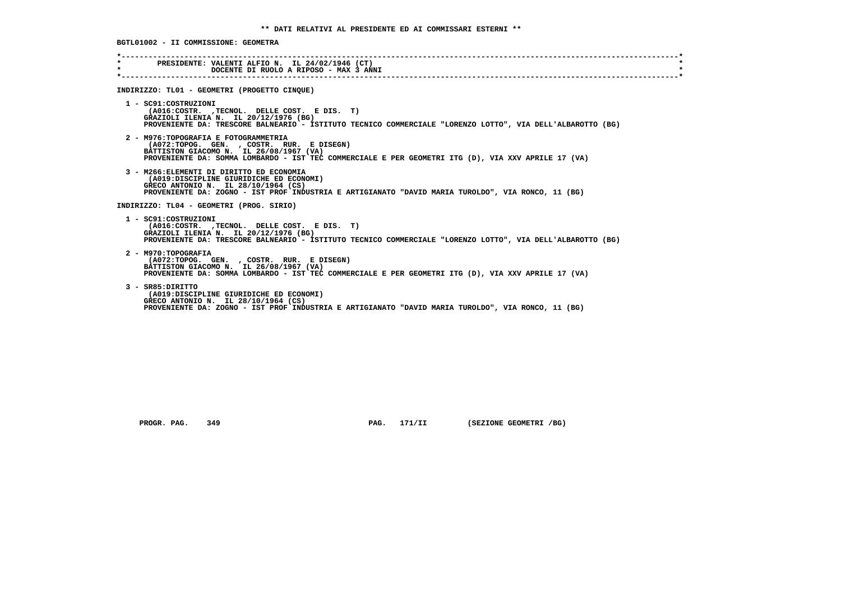|         | * PRESIDENTE: VALENTI ALFIO N. IL 24/02/1946 (CT)                                                                                                   |  |
|---------|-----------------------------------------------------------------------------------------------------------------------------------------------------|--|
| $\star$ | DOCENTE DI RUOLO A RIPOSO - MAX 3 ANNI                                                                                                              |  |
|         |                                                                                                                                                     |  |
|         | INDIRIZZO: TL01 - GEOMETRI (PROGETTO CINQUE)                                                                                                        |  |
|         | 1 - SC91:COSTRUZIONI                                                                                                                                |  |
|         | (A016:COSTR. , TECNOL. DELLE COST. E DIS. T)                                                                                                        |  |
|         | GRAZIOLI ILENIA N. IL 20/12/1976 (BG)<br>PROVENIENTE DA: TRESCORE BALNEARIO - ISTITUTO TECNICO COMMERCIALE "LORENZO LOTTO", VIA DELL'ALBAROTTO (BG) |  |
|         |                                                                                                                                                     |  |
|         | 2 - M976: TOPOGRAFIA E FOTOGRAMMETRIA                                                                                                               |  |
|         | (A072:TOPOG. GEN., COSTR. RUR. E DISEGN)                                                                                                            |  |
|         | BATTISTON GIACOMO N. IL 26/08/1967 (VA)<br>PROVENIENTE DA: SOMMA LOMBARDO - IST TEC COMMERCIALE E PER GEOMETRI ITG (D), VIA XXV APRILE 17 (VA)      |  |
|         |                                                                                                                                                     |  |
|         | 3 - M266: ELEMENTI DI DIRITTO ED ECONOMIA                                                                                                           |  |
|         | (A019:DISCIPLINE GIURIDICHE ED ECONOMI)<br>GRECO ANTONIO N. IL 28/10/1964 (CS)                                                                      |  |
|         | PROVENIENTE DA: ZOGNO - IST PROF INDUSTRIA E ARTIGIANATO "DAVID MARIA TUROLDO", VIA RONCO, 11 (BG)                                                  |  |
|         |                                                                                                                                                     |  |
|         | INDIRIZZO: TL04 - GEOMETRI (PROG. SIRIO)                                                                                                            |  |
|         | 1 - SC91:COSTRUZIONI                                                                                                                                |  |
|         | (A016:COSTR. ,TECNOL. DELLE COST. E DIS. T)                                                                                                         |  |
|         | GRAZIOLI ILENIA N. IL 20/12/1976 (BG)                                                                                                               |  |
|         | PROVENIENTE DA: TRESCORE BALNEARIO - ISTITUTO TECNICO COMMERCIALE "LORENZO LOTTO", VIA DELL'ALBAROTTO (BG)                                          |  |
|         | 2 - M970: TOPOGRAFIA                                                                                                                                |  |
|         | (A072:TOPOG. GEN., COSTR. RUR. E DISEGN)                                                                                                            |  |
|         | BATTISTON GIACOMO N. IL 26/08/1967 (VA)<br>PROVENIENTE DA: SOMMA LOMBARDO - IST TEC COMMERCIALE E PER GEOMETRI ITG (D), VIA XXV APRILE 17 (VA)      |  |
|         |                                                                                                                                                     |  |
|         | 3 - SR85: DIRITTO                                                                                                                                   |  |
|         | (A019:DISCIPLINE GIURIDICHE ED ECONOMI)                                                                                                             |  |
|         | GRECO ANTONIO N. IL 28/10/1964 (CS)<br>PROVENIENTE DA: ZOGNO - IST PROF INDUSTRIA E ARTIGIANATO "DAVID MARIA TUROLDO", VIA RONCO, 11 (BG)           |  |

 **PROGR. PAG.** 349 **PAG.** 171/II (SEZIONE GEOMETRI /BG)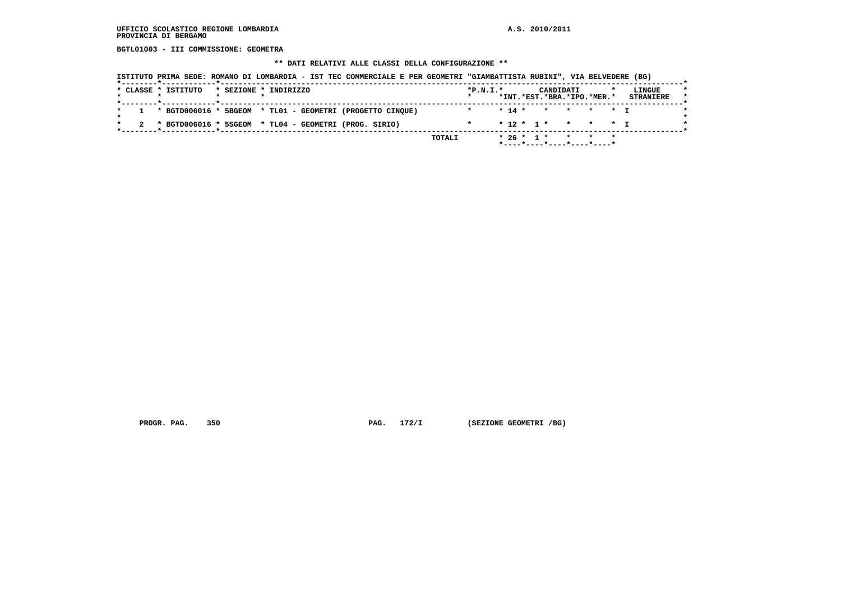**BGTL01003 - III COMMISSIONE: GEOMETRA**

# **\*\* DATI RELATIVI ALLE CLASSI DELLA CONFIGURAZIONE \*\***

| * CLASSE * ISTITUTO                                                                       | * SEZIONE * INDIRIZZO |  |                                                             | $*P.N.T.*$ |  | CANDIDATI<br>*INT.*EST.*BRA.*IPO.*MER.* |  | LINGUE<br><b>STRANIERE</b> |
|-------------------------------------------------------------------------------------------|-----------------------|--|-------------------------------------------------------------|------------|--|-----------------------------------------|--|----------------------------|
| . _ _ _ _ _ _ <del>*</del> _ _ _ _ _ _ _ _ _ _ _ <del>*</del> _ _ _ _ _ _ _ _ _ _ _ _     |                       |  | 1 * BGTD006016 * 5BGEOM * TL01 - GEOMETRI (PROGETTO CINQUE) |            |  | * 14 * * * * * T                        |  |                            |
| . _ _ _ _ <del>*</del> _ _ _ _ _ _ _ _ _ _ _ _ <del>*</del> _ _ _ _ _ _ _ _ _ _ _ _ _ _ _ |                       |  | $2$ * BGTD006016 * 5SGEOM * TL04 - GEOMETRI (PROG. SIRIO)   |            |  | $* 12 * 1 * * * * * 1$                  |  |                            |

 **PROGR. PAG.** 350 **PAG.** 172/I (SEZIONE GEOMETRI /BG)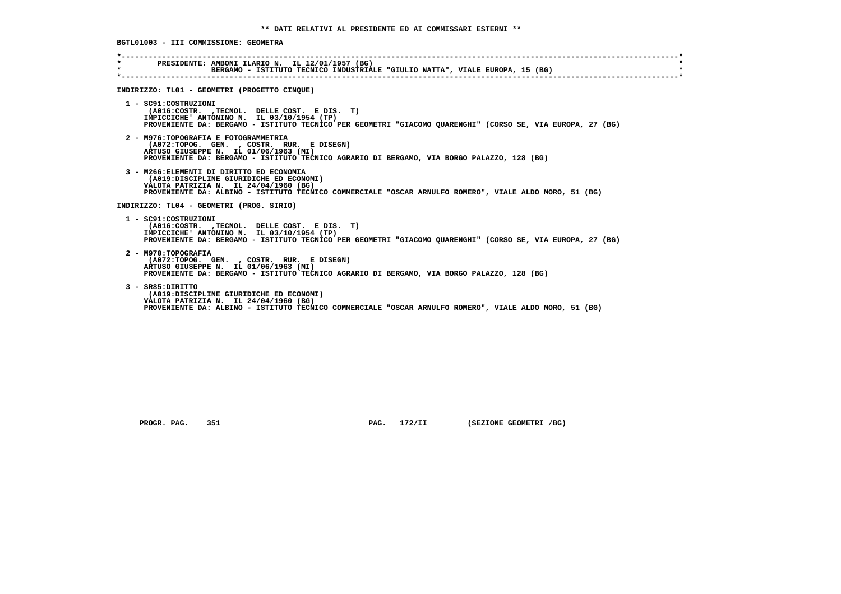**BGTL01003 - III COMMISSIONE: GEOMETRA \*----------------------------------------------------------------------------------------------------------------------------\* \* PRESIDENTE: AMBONI ILARIO N. IL 12/01/1957 (BG) \*BERGAMO - ISTITUTO TECNICO INDUSTRIALE "GIULIO NATTA", VIALE EUROPA, 15 (BG) \*----------------------------------------------------------------------------------------------------------------------------\* INDIRIZZO: TL01 - GEOMETRI (PROGETTO CINQUE) 1 - SC91:COSTRUZIONI (A016:COSTR. ,TECNOL. DELLE COST. E DIS. T) IMPICCICHE' ANTONINO N. IL 03/10/1954 (TP) PROVENIENTE DA: BERGAMO - ISTITUTO TECNICO PER GEOMETRI "GIACOMO QUARENGHI" (CORSO SE, VIA EUROPA, 27 (BG) 2 - M976:TOPOGRAFIA E FOTOGRAMMETRIA (A072:TOPOG. GEN. , COSTR. RUR. E DISEGN) ARTUSO GIUSEPPE N. IL 01/06/1963 (MI) PROVENIENTE DA: BERGAMO - ISTITUTO TECNICO AGRARIO DI BERGAMO, VIA BORGO PALAZZO, 128 (BG) 3 - M266:ELEMENTI DI DIRITTO ED ECONOMIA (A019:DISCIPLINE GIURIDICHE ED ECONOMI) VALOTA PATRIZIA N. IL 24/04/1960 (BG) PROVENIENTE DA: ALBINO - ISTITUTO TECNICO COMMERCIALE "OSCAR ARNULFO ROMERO", VIALE ALDO MORO, 51 (BG) INDIRIZZO: TL04 - GEOMETRI (PROG. SIRIO) 1 - SC91:COSTRUZIONI (A016:COSTR. ,TECNOL. DELLE COST. E DIS. T) IMPICCICHE' ANTONINO N. IL 03/10/1954 (TP) PROVENIENTE DA: BERGAMO - ISTITUTO TECNICO PER GEOMETRI "GIACOMO QUARENGHI" (CORSO SE, VIA EUROPA, 27 (BG) 2 - M970:TOPOGRAFIA (A072:TOPOG. GEN. , COSTR. RUR. E DISEGN) ARTUSO GIUSEPPE N. IL 01/06/1963 (MI) PROVENIENTE DA: BERGAMO - ISTITUTO TECNICO AGRARIO DI BERGAMO, VIA BORGO PALAZZO, 128 (BG) 3 - SR85:DIRITTO (A019:DISCIPLINE GIURIDICHE ED ECONOMI) VALOTA PATRIZIA N. IL 24/04/1960 (BG) PROVENIENTE DA: ALBINO - ISTITUTO TECNICO COMMERCIALE "OSCAR ARNULFO ROMERO", VIALE ALDO MORO, 51 (BG)**

PROGR. PAG. 351 **PROGR. PAG. 172/II** (SEZIONE GEOMETRI /BG)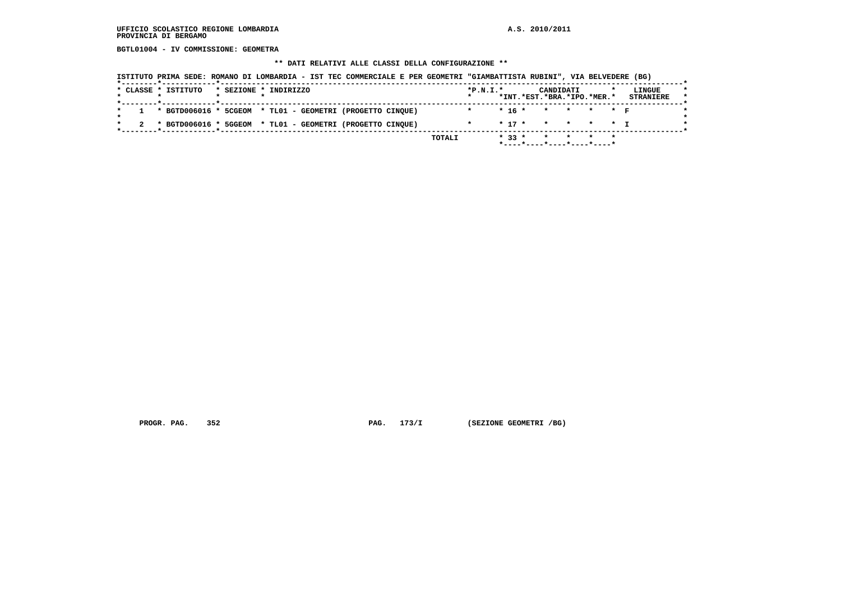**BGTL01004 - IV COMMISSIONE: GEOMETRA**

# **\*\* DATI RELATIVI ALLE CLASSI DELLA CONFIGURAZIONE \*\***

| * CLASSE * ISTITUTO                                                                       | * SEZIONE * INDIRIZZO |  |                                                             | $*P.N.T.*$ |            | CANDIDATI<br>*INT.*EST.*BRA.*IPO.*MER.* |  | LINGUE<br><b>STRANIERE</b> |
|-------------------------------------------------------------------------------------------|-----------------------|--|-------------------------------------------------------------|------------|------------|-----------------------------------------|--|----------------------------|
|                                                                                           |                       |  | 1 * BGTD006016 * 5CGEOM * TL01 - GEOMETRI (PROGETTO CINQUE) | $\star$    |            | $*$ 16 $*$ $*$ $*$ $*$ $*$ $*$          |  |                            |
| . _ _ _ _ <del>*</del> _ _ _ _ _ _ _ _ _ _ _ _ <del>*</del> _ _ _ _ _ _ _ _ _ _ _ _ _ _ _ |                       |  | * BGTD006016 * 5GGEOM * TL01 - GEOMETRI (PROGETTO CINQUE)   |            | $*$ 17 $*$ | * * * * T                               |  |                            |

 **PROGR. PAG.** 352 **PAG.** 173/I (SEZIONE GEOMETRI /BG)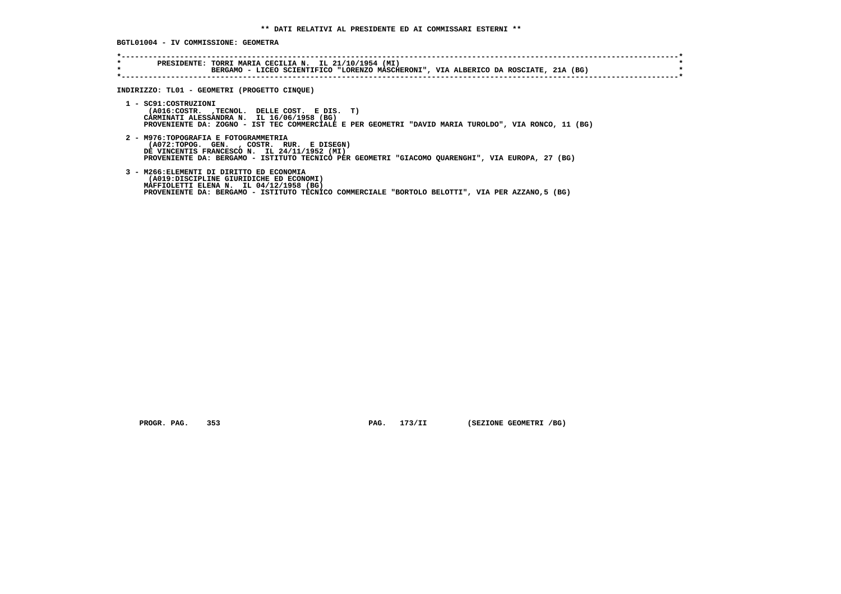**BGTL01004 - IV COMMISSIONE: GEOMETRA**

| INDIRIZZO: TL01 - GEOMETRI (PROGETTO CINQUE)                                                                                                                                                                                          |
|---------------------------------------------------------------------------------------------------------------------------------------------------------------------------------------------------------------------------------------|
| 1 - SC91:COSTRUZIONI<br>(A016:COSTR. , TECNOL. DELLE COST. E DIS. T)<br>CARMINATI ALESSANDRA N. IL 16/06/1958 (BG)<br>PROVENIENTE DA: ZOGNO - IST TEC COMMERCIALE E PER GEOMETRI "DAVID MARIA TUROLDO", VIA RONCO, 11 (BG)            |
| 2 - M976: TOPOGRAFIA E FOTOGRAMMETRIA<br>(A072:TOPOG. GEN., COSTR. RUR. E DISEGN)<br>DE VINCENTIS FRANCESCO N. IL 24/11/1952 (MI)<br>PROVENIENTE DA: BERGAMO - ISTITUTO TECNICO PER GEOMETRI "GIACOMO QUARENGHI", VIA EUROPA, 27 (BG) |
| 3 - M266: ELEMENTI DI DIRITTO ED ECONOMIA<br>(A019:DISCIPLINE GIURIDICHE ED ECONOMI)<br>MAFFIOLETTI ELENA N. IL 04/12/1958 (BG)<br>PROVENIENTE DA: BERGAMO - ISTITUTO TECNICO COMMERCIALE "BORTOLO BELOTTI", VIA PER AZZANO,5 (BG)    |

 **PROGR. PAG.** 353 **PAG.** 173/II (SEZIONE GEOMETRI /BG)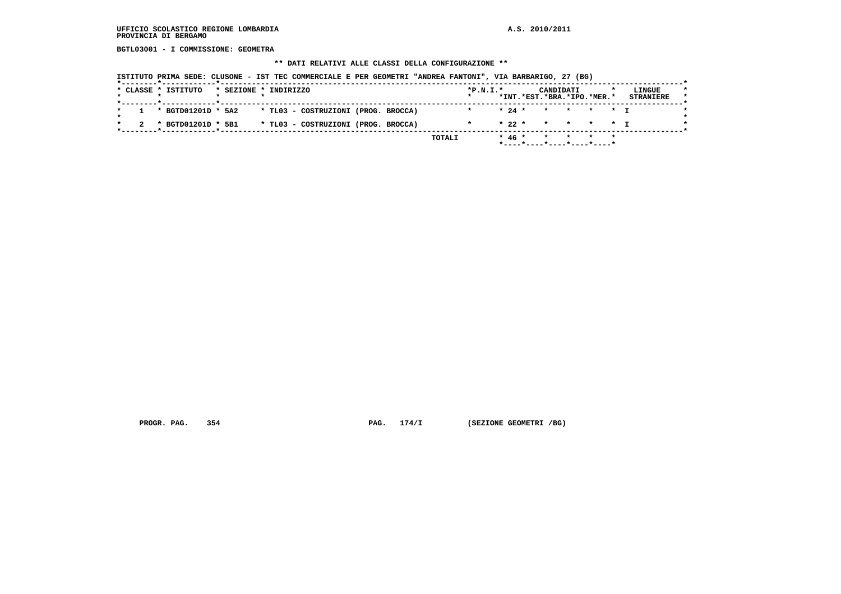**BGTL03001 - I COMMISSIONE: GEOMETRA**

## **\*\* DATI RELATIVI ALLE CLASSI DELLA CONFIGURAZIONE \*\***

|  | * CLASSE * ISTITUTO | * SEZIONE * INDIRIZZO |  |                                                          |  | $*P.N.I.*$ |  | CANDIDATI                  |  | LINGUE           |
|--|---------------------|-----------------------|--|----------------------------------------------------------|--|------------|--|----------------------------|--|------------------|
|  |                     |                       |  |                                                          |  |            |  | *INT.*EST.*BRA.*IPO.*MER.* |  | <b>STRANIERE</b> |
|  |                     |                       |  | 1 * BGTD01201D * 5A2 * TL03 - COSTRUZIONI (PROG. BROCCA) |  |            |  | * 24 * * * * * T           |  |                  |
|  | * BGTD01201D * 5B1  |                       |  | * TL03 - COSTRUZIONI (PROG. BROCCA)                      |  |            |  | $* 22 * * * * * * + T$     |  |                  |

 **PROGR. PAG.** 354 **PAG.** 174/I (SEZIONE GEOMETRI /BG)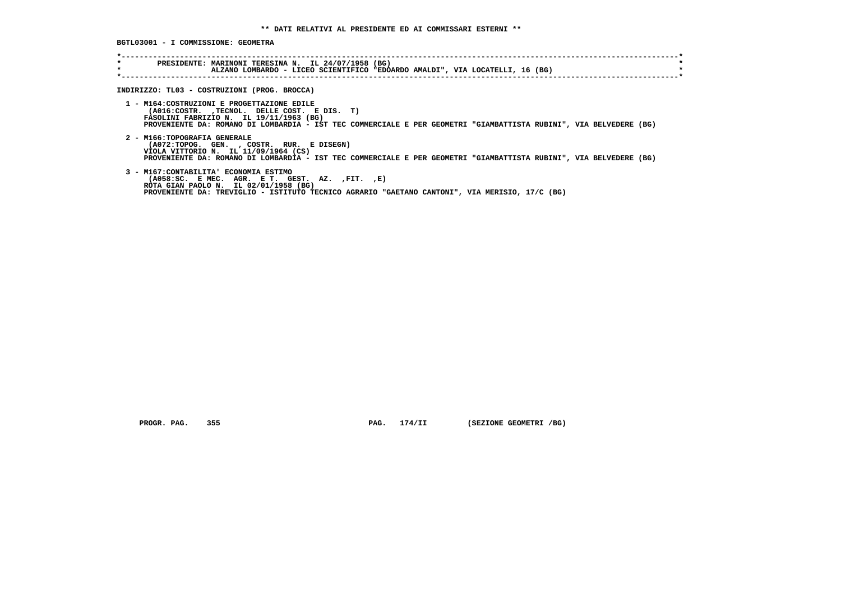**BGTL03001 - I COMMISSIONE: GEOMETRA \*----------------------------------------------------------------------------------------------------------------------------\* \* PRESIDENTE: MARINONI TERESINA N. IL 24/07/1958 (BG) \* \* ALZANO LOMBARDO - LICEO SCIENTIFICO "EDOARDO AMALDI", VIA LOCATELLI, 16 (BG) \* \*----------------------------------------------------------------------------------------------------------------------------\* INDIRIZZO: TL03 - COSTRUZIONI (PROG. BROCCA) 1 - M164:COSTRUZIONI E PROGETTAZIONE EDILE (A016:COSTR. ,TECNOL. DELLE COST. E DIS. T) FASOLINI FABRIZIO N. IL 19/11/1963 (BG) PROVENIENTE DA: ROMANO DI LOMBARDIA - IST TEC COMMERCIALE E PER GEOMETRI "GIAMBATTISTA RUBINI", VIA BELVEDERE (BG) 2 - M166:TOPOGRAFIA GENERALE (A072:TOPOG. GEN. , COSTR. RUR. E DISEGN) VIOLA VITTORIO N. IL 11/09/1964 (CS) PROVENIENTE DA: ROMANO DI LOMBARDIA - IST TEC COMMERCIALE E PER GEOMETRI "GIAMBATTISTA RUBINI", VIA BELVEDERE (BG) 3 - M167:CONTABILITA' ECONOMIA ESTIMO (A058:SC. E MEC. AGR. E T. GEST. AZ. ,FIT. ,E) ROTA GIAN PAOLO N. IL 02/01/1958 (BG) PROVENIENTE DA: TREVIGLIO - ISTITUTO TECNICO AGRARIO "GAETANO CANTONI", VIA MERISIO, 17/C (BG)**

 **PROGR. PAG. 355 PAG. 174/II (SEZIONE GEOMETRI /BG)**

 $\star$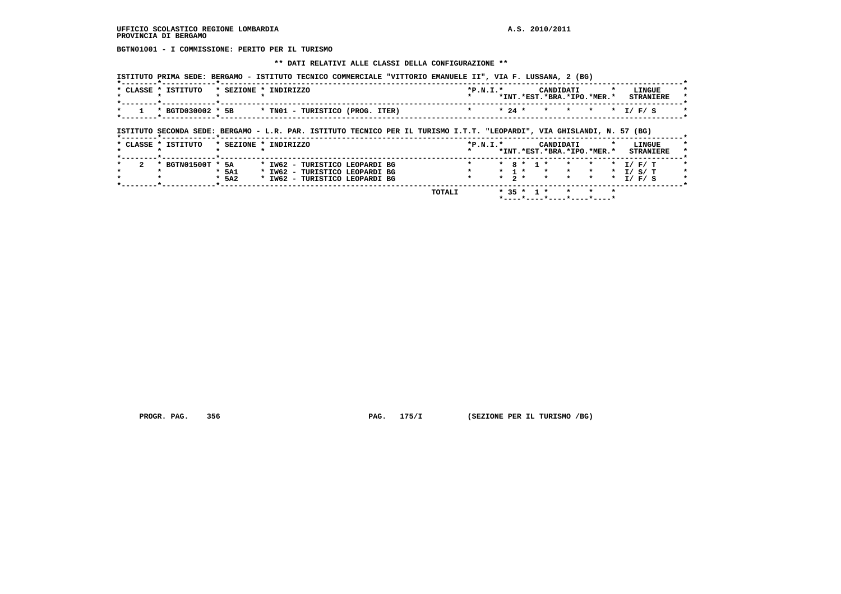**BGTN01001 - I COMMISSIONE: PERITO PER IL TURISMO**

#### **\*\* DATI RELATIVI ALLE CLASSI DELLA CONFIGURAZIONE \*\***

|                   |                                 | $*P.N.T.*$ |         | CANDIDATI                  |         | LINGUE               |
|-------------------|---------------------------------|------------|---------|----------------------------|---------|----------------------|
|                   |                                 |            |         | *INT.*EST.*BRA.*IPO.*MER.* |         | <b>STRANIERE</b>     |
| * BGTD030002 * 5B | * TN01 - TURISTICO (PROG. ITER) | $* 24 *$   | $\star$ | $\star$                    | $\star$ | I / F / S<br>$\star$ |

 **\*--------\*------------\*-------------------------------------------------------------------------------------------------------\***

 **TOTALI \* 35 \* 1 \* \* \* \* \*----\*----\*----\*----\*----\***

 **PROGR. PAG. 356 PAG. 175/I (SEZIONE PER IL TURISMO /BG)**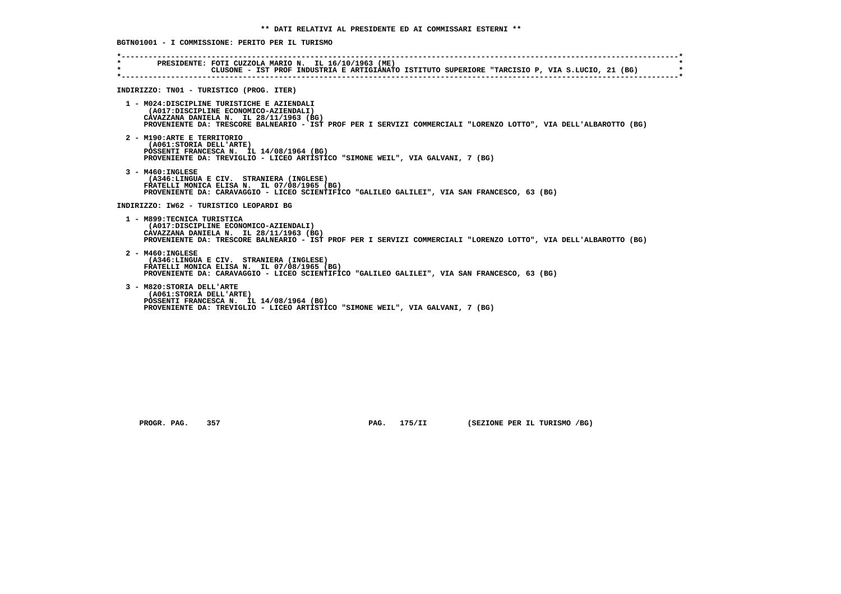**\*----------------------------------------------------------------------------------------------------------------------------\* \* PRESIDENTE: FOTI CUZZOLA MARIO N. IL 16/10/1963 (ME) \* \* CLUSONE - IST PROF INDUSTRIA E ARTIGIANATO ISTITUTO SUPERIORE "TARCISIO P, VIA S.LUCIO, 21 (BG) \* \*----------------------------------------------------------------------------------------------------------------------------\* INDIRIZZO: TN01 - TURISTICO (PROG. ITER) 1 - M024:DISCIPLINE TURISTICHE E AZIENDALI (A017:DISCIPLINE ECONOMICO-AZIENDALI) CAVAZZANA DANIELA N. IL 28/11/1963 (BG) PROVENIENTE DA: TRESCORE BALNEARIO - IST PROF PER I SERVIZI COMMERCIALI "LORENZO LOTTO", VIA DELL'ALBAROTTO (BG) 2 - M190:ARTE E TERRITORIO (A061:STORIA DELL'ARTE) POSSENTI FRANCESCA N. IL 14/08/1964 (BG) PROVENIENTE DA: TREVIGLIO - LICEO ARTISTICO "SIMONE WEIL", VIA GALVANI, 7 (BG) 3 - M460:INGLESE (A346:LINGUA E CIV. STRANIERA (INGLESE) FRATELLI MONICA ELISA N. IL 07/08/1965 (BG) PROVENIENTE DA: CARAVAGGIO - LICEO SCIENTIFICO "GALILEO GALILEI", VIA SAN FRANCESCO, 63 (BG) INDIRIZZO: IW62 - TURISTICO LEOPARDI BG 1 - M899:TECNICA TURISTICA (A017:DISCIPLINE ECONOMICO-AZIENDALI) CAVAZZANA DANIELA N. IL 28/11/1963 (BG) PROVENIENTE DA: TRESCORE BALNEARIO - IST PROF PER I SERVIZI COMMERCIALI "LORENZO LOTTO", VIA DELL'ALBAROTTO (BG) 2 - M460:INGLESE (A346:LINGUA E CIV. STRANIERA (INGLESE) FRATELLI MONICA ELISA N. IL 07/08/1965 (BG) PROVENIENTE DA: CARAVAGGIO - LICEO SCIENTIFICO "GALILEO GALILEI", VIA SAN FRANCESCO, 63 (BG) 3 - M820:STORIA DELL'ARTE (A061:STORIA DELL'ARTE) POSSENTI FRANCESCA N. IL 14/08/1964 (BG) PROVENIENTE DA: TREVIGLIO - LICEO ARTISTICO "SIMONE WEIL", VIA GALVANI, 7 (BG)**

 **BGTN01001 - I COMMISSIONE: PERITO PER IL TURISMO**

 **PROGR. PAG. 357 PAG. 175/II (SEZIONE PER IL TURISMO /BG)**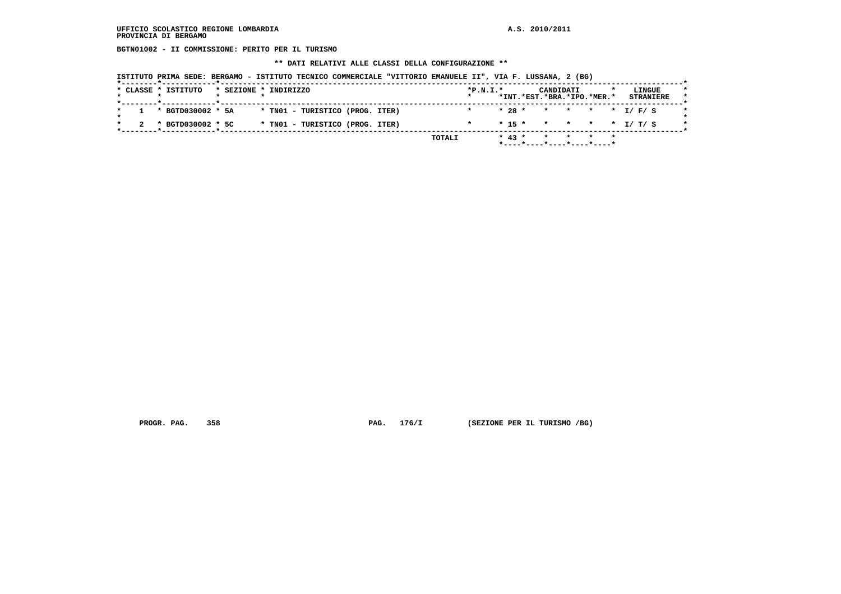**BGTN01002 - II COMMISSIONE: PERITO PER IL TURISMO**

 **\*\* DATI RELATIVI ALLE CLASSI DELLA CONFIGURAZIONE \*\***

|  | ISTITUTO PRIMA SEDE: BERGAMO - ISTITUTO TECNICO COMMERCIALE "VITTORIO EMANUELE II", VIA F. LUSSANA, 2 (BG) |
|--|------------------------------------------------------------------------------------------------------------|
|--|------------------------------------------------------------------------------------------------------------|

|  | * CLASSE * ISTITUTO |  | * SEZIONE * INDIRIZZO           |  |        | $*P.N.T.*$ |          | CANDIDATI<br>*INT.*EST.*BRA.*IPO.*MER.* |  |                  | LINGUE |  |
|--|---------------------|--|---------------------------------|--|--------|------------|----------|-----------------------------------------|--|------------------|--------|--|
|  |                     |  |                                 |  |        |            |          |                                         |  | <b>STRANIERE</b> |        |  |
|  | * BGTD030002 * 5A   |  | * TN01 - TURISTICO (PROG. ITER) |  |        |            |          | $* 28 * * * * * * I/F/S$                |  |                  |        |  |
|  | * BGTD030002 * 5C   |  | * TN01 - TURISTICO (PROG. ITER) |  |        |            |          | $* 15 * * * * * * I/T/S$                |  |                  |        |  |
|  |                     |  |                                 |  | TOTALI |            | $* 43 *$ | * * * *                                 |  |                  |        |  |
|  |                     |  |                                 |  |        |            |          | *----*----*----*----*----*              |  |                  |        |  |

 **PROGR. PAG. 358 PAG. 176/I (SEZIONE PER IL TURISMO /BG)**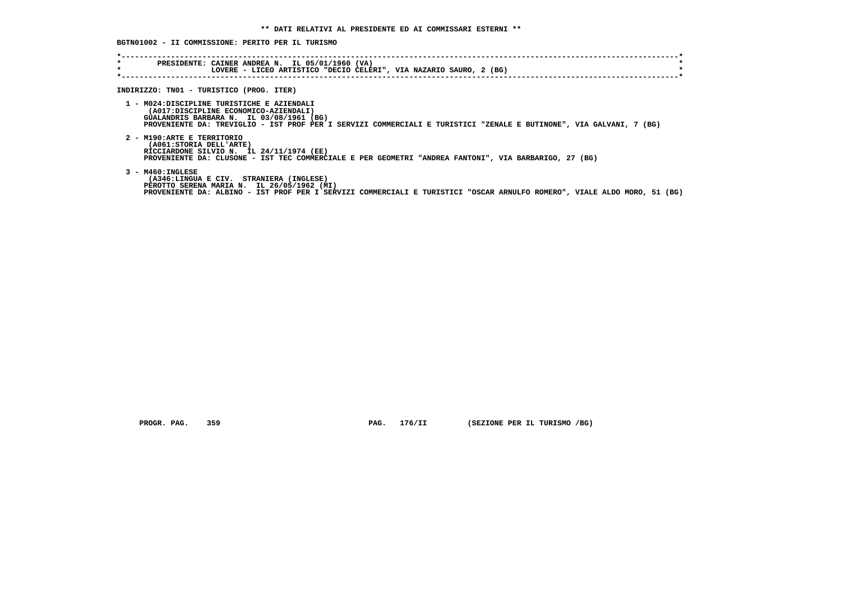**BGTN01002 - II COMMISSIONE: PERITO PER IL TURISMO**

| PRESIDENTE: CAINER ANDREA N. IL 05/01/1960 (VA)<br>LOVERE - LICEO ARTISTICO "DECIO CELERI", VIA NAZARIO SAURO, 2 (BG)                                                                                                                                   |
|---------------------------------------------------------------------------------------------------------------------------------------------------------------------------------------------------------------------------------------------------------|
| INDIRIZZO: TN01 - TURISTICO (PROG. ITER)                                                                                                                                                                                                                |
| 1 - MO24: DISCIPLINE TURISTICHE E AZIENDALI<br>(A017:DISCIPLINE ECONOMICO-AZIENDALI)<br>GUALANDRIS BARBARA N. IL 03/08/1961 (BG)<br>PROVENIENTE DA: TREVIGLIO - IST PROF PER I SERVIZI COMMERCIALI E TURISTICI "ZENALE E BUTINONE", VIA GALVANI, 7 (BG) |
| 2 - M190:ARTE E TERRITORIO<br>(A061: STORIA DELL'ARTE)<br>RICCIARDONE SILVIO N. IL 24/11/1974 (EE)<br>PROVENIENTE DA: CLUSONE - IST TEC COMMERCIALE E PER GEOMETRI "ANDREA FANTONI", VIA BARBARIGO, 27 (BG)                                             |
| $3 - M460 : INGLESE$<br>(A346:LINGUA E CIV. STRANIERA (INGLESE)<br>PEROTTO SERENA MARIA N. IL 26/05/1962 (MI)<br>PROVENIENTE DA: ALBINO - IST PROF PER I SERVIZI COMMERCIALI E TURISTICI "OSCAR ARNULFO ROMERO", VIALE ALDO MORO, 51 (BG)               |
|                                                                                                                                                                                                                                                         |

 **PROGR. PAG. 359 PAG. 176/II (SEZIONE PER IL TURISMO /BG)**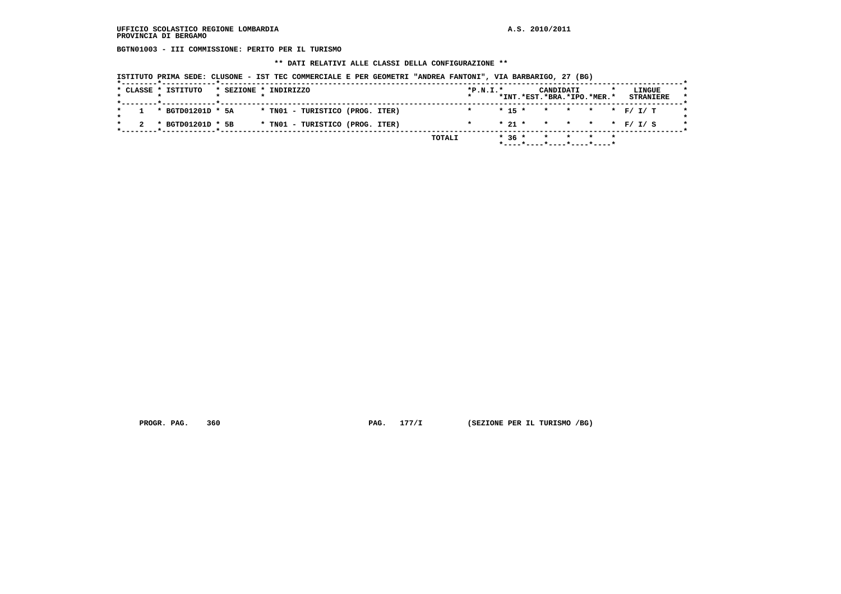**BGTN01003 - III COMMISSIONE: PERITO PER IL TURISMO**

 **\*\* DATI RELATIVI ALLE CLASSI DELLA CONFIGURAZIONE \*\***

|  |  | ISTITUTO PRIMA SEDE: CLUSONE - IST TEC COMMERCIALE E PER GEOMETRI "ANDREA FANTONI", VIA BARBARIGO, 27 (BG) |  |  |  |
|--|--|------------------------------------------------------------------------------------------------------------|--|--|--|
|--|--|------------------------------------------------------------------------------------------------------------|--|--|--|

|  | * CLASSE * ISTITUTO |  | * SEZIONE * INDIRIZZO           | $*P.N.T.*$ |  | CANDIDATI<br>*INT.*EST.*BRA.*IPO.*MER.*             |  |  | LINGUE<br><b>STRANIERE</b> |  |
|--|---------------------|--|---------------------------------|------------|--|-----------------------------------------------------|--|--|----------------------------|--|
|  | * BGTD01201D * 5A   |  | * TN01 - TURISTICO (PROG. ITER) |            |  | $* 15 * * * * * * F / I / T$                        |  |  |                            |  |
|  | * BGTD01201D * 5B   |  | * TNO1 - TURISTICO (PROG. ITER) |            |  | * 21 * * * * * * F/ I/ S                            |  |  |                            |  |
|  |                     |  | TOTALI                          |            |  | $*36 * * * * * * * *$<br>*----*----*----*----*----* |  |  |                            |  |

 **PROGR. PAG.** 360 **PAG.** 177/I (SEZIONE PER IL TURISMO /BG)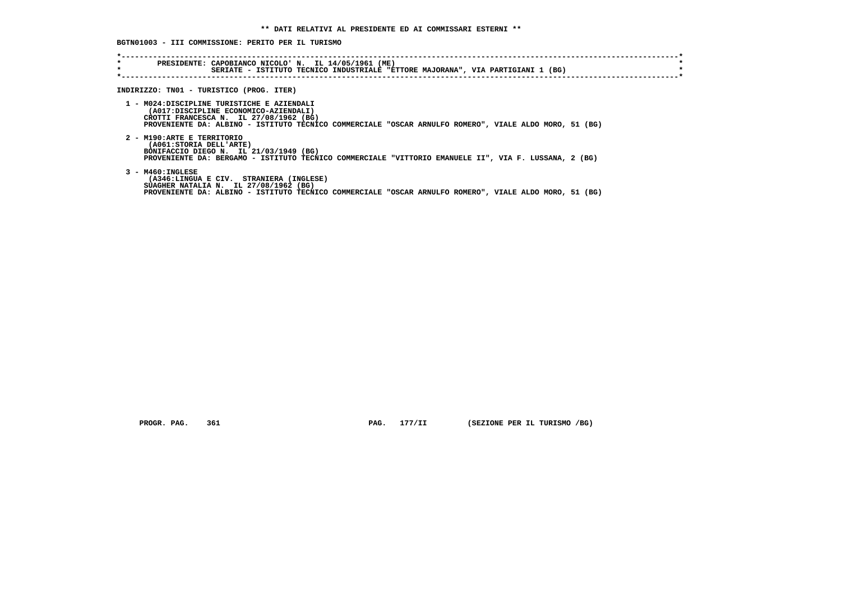**BGTN01003 - III COMMISSIONE: PERITO PER IL TURISMO**

| $\star$<br>$\star$ | PRESIDENTE: CAPOBIANCO NICOLO' N. IL 14/05/1961 (ME)<br>SERIATE - ISTITUTO TECNICO INDUSTRIALE "ETTORE MAJORANA", VIA PARTIGIANI 1 (BG)                                                                                                 |
|--------------------|-----------------------------------------------------------------------------------------------------------------------------------------------------------------------------------------------------------------------------------------|
|                    | INDIRIZZO: TN01 - TURISTICO (PROG. ITER)                                                                                                                                                                                                |
|                    | 1 - MO24:DISCIPLINE TURISTICHE E AZIENDALI<br>(A017:DISCIPLINE ECONOMICO-AZIENDALI)<br>CROTTI FRANCESCA N. IL 27/08/1962 (BG)<br>PROVENIENTE DA: ALBINO - ISTITUTO TECNICO COMMERCIALE "OSCAR ARNULFO ROMERO", VIALE ALDO MORO, 51 (BG) |
|                    | 2 - M190:ARTE E TERRITORIO<br>(A061: STORIA DELL'ARTE)<br>BONIFACCIO DIEGO N. IL 21/03/1949 (BG)<br>PROVENIENTE DA: BERGAMO - ISTITUTO TECNICO COMMERCIALE "VITTORIO EMANUELE II", VIA F. LUSSANA, 2 (BG)                               |
|                    | $3 - M460 : INGLESE$<br>(A346:LINGUA E CIV. STRANIERA (INGLESE)<br>SUAGHER NATALIA N. IL 27/08/1962 (BG)<br>PROVENIENTE DA: ALBINO - ISTITUTO TECNICO COMMERCIALE "OSCAR ARNULFO ROMERO", VIALE ALDO MORO, 51 (BG)                      |

 **PROGR. PAG. 361 PAG. 177/II (SEZIONE PER IL TURISMO /BG)**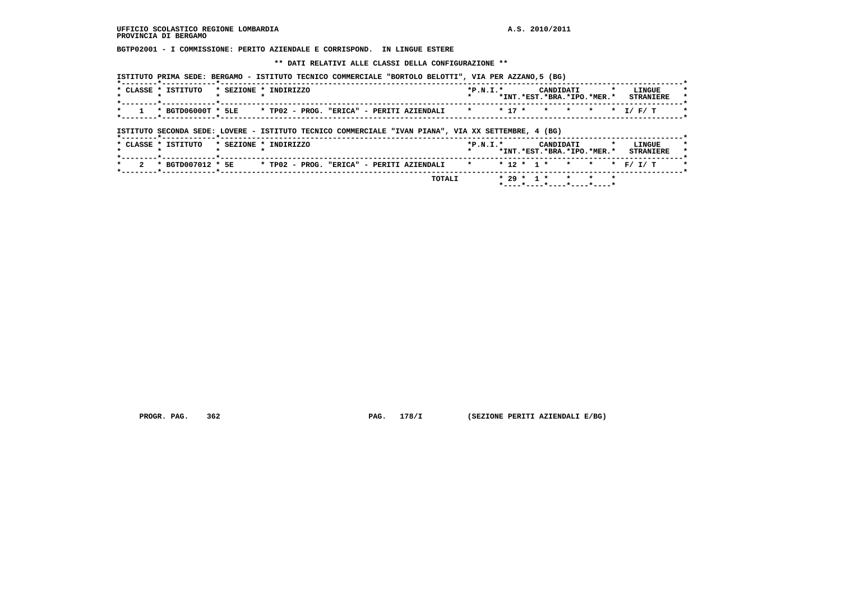**BGTP02001 - I COMMISSIONE: PERITO AZIENDALE E CORRISPOND. IN LINGUE ESTERE**

 **\*\* DATI RELATIVI ALLE CLASSI DELLA CONFIGURAZIONE \*\***

| [BE LETITUTO PRIMA SEDE: BERGAMO - ISTITUTO TECNICO COMMERCIALE "BORTOLO BELOTTI", VIA PER AZZANO,5 |  |  |  |  |  |  |  |  |  |  |  |  |  |  |
|-----------------------------------------------------------------------------------------------------|--|--|--|--|--|--|--|--|--|--|--|--|--|--|
|-----------------------------------------------------------------------------------------------------|--|--|--|--|--|--|--|--|--|--|--|--|--|--|

| CLASSE * ISTITUTO  | * SEZIONE * | INDIRIZZO                                                               | $*P.N.T.*$ |  | CANDIDATI<br>*INT.*EST.*BRA.*IPO.*MER.* |  | <b>LINGUE</b><br><b>STRANTERE</b> |  |
|--------------------|-------------|-------------------------------------------------------------------------|------------|--|-----------------------------------------|--|-----------------------------------|--|
| * BGTD06000T * 5LE |             | * TP02 - PROG.<br>"ERICA" - PERITI AZIENDALI * * 17 * * * * * * 1/ F/ T |            |  |                                         |  |                                   |  |

 **ISTITUTO SECONDA SEDE: LOVERE - ISTITUTO TECNICO COMMERCIALE "IVAN PIANA", VIA XX SETTEMBRE, 4 (BG)**

|          | * CLASSE * ISTITUTO |  | * SEZIONE * INDIRIZZO |  |                                                                          | $*P.N.T.*$ |  |  | CANDIDATI | *INT.*EST.*BRA.*IPO.*MER.* | LINGUE<br><b>STRANIERE</b> |  |
|----------|---------------------|--|-----------------------|--|--------------------------------------------------------------------------|------------|--|--|-----------|----------------------------|----------------------------|--|
| $\sim$ 2 | * BGTD007012 * 5E   |  |                       |  | * TP02 - PROG. "ERICA" - PERITI AZIENDALI * * * 12 * 1 * * * * * F/ I/ T |            |  |  |           |                            |                            |  |
|          |                     |  |                       |  | TOTALI                                                                   |            |  |  |           | $* 29 * 1 * * * * * * *$   |                            |  |

 **PROGR. PAG. 362 PAG. 178/I (SEZIONE PERITI AZIENDALI E/BG)**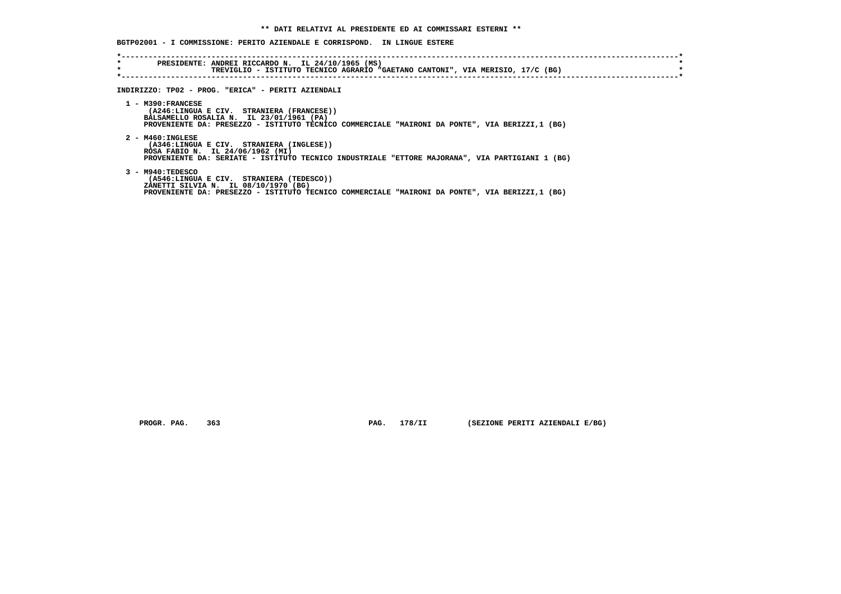## **BGTP02001 - I COMMISSIONE: PERITO AZIENDALE E CORRISPOND. IN LINGUE ESTERE**

| $\star$ | TREVIGLIO - ISTITUTO TECNICO AGRARIO "GAETANO CANTONI", VIA MERISIO, 17/C (BG)                                                                                                                                 |
|---------|----------------------------------------------------------------------------------------------------------------------------------------------------------------------------------------------------------------|
|         | INDIRIZZO: TP02 - PROG. "ERICA" - PERITI AZIENDALI                                                                                                                                                             |
|         | $1 - M390:FRANCESE$<br>(A246:LINGUA E CIV. STRANIERA (FRANCESE))<br>BALSAMELLO ROSALIA N. IL 23/01/1961 (PA)<br>PROVENIENTE DA: PRESEZZO - ISTITUTO TECNICO COMMERCIALE "MAIRONI DA PONTE", VIA BERIZZI,1 (BG) |
|         | $2 - M460 : INGLESE$<br>(A346:LINGUA E CIV. STRANIERA (INGLESE))<br>ROSA FABIO N. IL 24/06/1962 (MI)<br>PROVENIENTE DA: SERIATE - ISTITUTO TECNICO INDUSTRIALE "ETTORE MAJORANA", VIA PARTIGIANI 1 (BG)        |
|         | 3 - M940: TEDESCO<br>(A546:LINGUA E CIV. STRANIERA (TEDESCO))<br>ZANETTI SILVIA N. IL 08/10/1970 (BG)<br>PROVENIENTE DA: PRESEZZO - ISTITUTO TECNICO COMMERCIALE "MAIRONI DA PONTE", VIA BERIZZI,1 (BG)        |

 **PROGR. PAG. 363 PAG. 178/II (SEZIONE PERITI AZIENDALI E/BG)**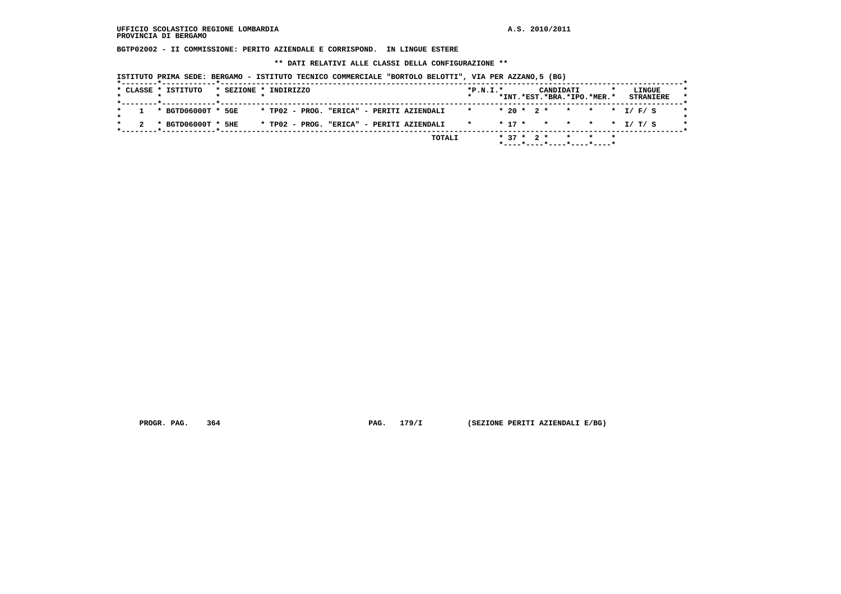**BGTP02002 - II COMMISSIONE: PERITO AZIENDALE E CORRISPOND. IN LINGUE ESTERE**

 **\*\* DATI RELATIVI ALLE CLASSI DELLA CONFIGURAZIONE \*\***

 **ISTITUTO PRIMA SEDE: BERGAMO - ISTITUTO TECNICO COMMERCIALE "BORTOLO BELOTTI", VIA PER AZZANO,5 (BG)**

|  | * CLASSE * ISTITUTO  | * SEZIONE * INDIRIZZO |  |  |  |                                           |        | $*P.N.I.*$              |  |  | CANDIDATI | *INT.*EST.*BRA.*IPO.*MER.* | <b>STRANIERE</b> | LINGUE |  |
|--|----------------------|-----------------------|--|--|--|-------------------------------------------|--------|-------------------------|--|--|-----------|----------------------------|------------------|--------|--|
|  |                      |                       |  |  |  |                                           |        |                         |  |  |           |                            |                  |        |  |
|  | 1 * BGTD06000T * 5GE |                       |  |  |  | * TP02 - PROG. "ERICA" - PERITI AZIENDALI |        |                         |  |  |           | $* 20 * 2 * * * * * I/F/S$ |                  |        |  |
|  |                      |                       |  |  |  |                                           |        |                         |  |  |           |                            |                  |        |  |
|  | * BGTD06000T * 5HE   |                       |  |  |  | * TP02 - PROG. "ERICA" - PERITI AZIENDALI |        | * * 17 * * * * * 1/ T/S |  |  |           |                            |                  |        |  |
|  |                      |                       |  |  |  |                                           |        |                         |  |  |           |                            |                  |        |  |
|  |                      |                       |  |  |  |                                           | TOTALI |                         |  |  |           | $* 37 * 2 * * * * * * *$   |                  |        |  |
|  |                      |                       |  |  |  |                                           |        |                         |  |  |           | *----*----*----*----*----* |                  |        |  |

 **PROGR. PAG. 364 PAG. 179/I (SEZIONE PERITI AZIENDALI E/BG)**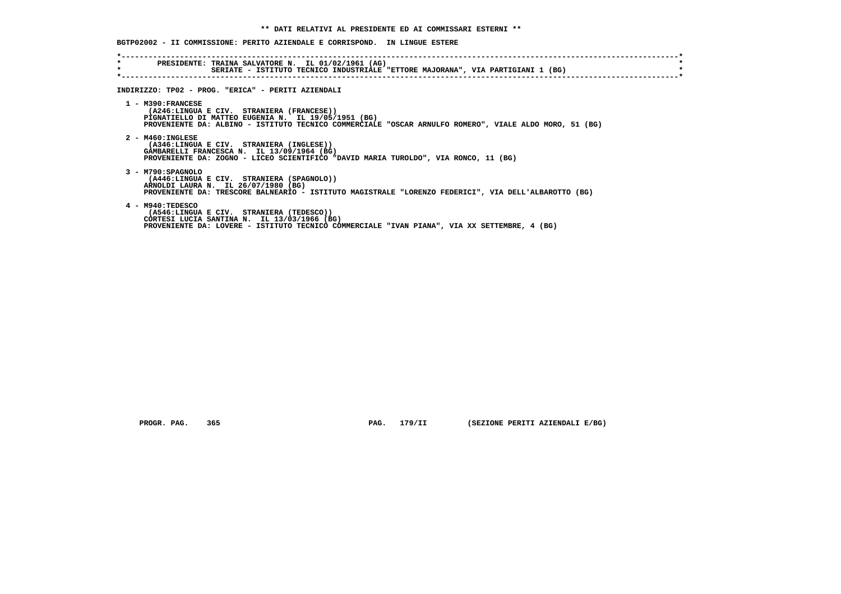| $\star$ | PRESIDENTE: TRAINA SALVATORE N. IL 01/02/1961 (AG)                                                                                                                                                                                |
|---------|-----------------------------------------------------------------------------------------------------------------------------------------------------------------------------------------------------------------------------------|
| $\star$ | SERIATE - ISTITUTO TECNICO INDUSTRIALE "ETTORE MAJORANA", VIA PARTIGIANI 1 (BG)                                                                                                                                                   |
|         | INDIRIZZO: TP02 - PROG. "ERICA" - PERITI AZIENDALI                                                                                                                                                                                |
|         | $1 - M390:FRANCESE$<br>(A246:LINGUA E CIV. STRANIERA (FRANCESE))<br>PIGNATIELLO DI MATTEO EUGENIA N. IL 19/05/1951 (BG)<br>PROVENIENTE DA: ALBINO - ISTITUTO TECNICO COMMERCIALE "OSCAR ARNULFO ROMERO", VIALE ALDO MORO, 51 (BG) |
|         | $2 - M460$ : INGLESE<br>(A346:LINGUA E CIV. STRANIERA (INGLESE))<br>GAMBARELLI FRANCESCA N. IL 13/09/1964 (BG)<br>PROVENIENTE DA: ZOGNO - LICEO SCIENTIFICO "DAVID MARIA TUROLDO", VIA RONCO, 11 (BG)                             |
|         | 3 - M790: SPAGNOLO<br>(A446:LINGUA E CIV. STRANIERA (SPAGNOLO))<br>ARNOLDI LAURA N. IL 26/07/1980 (BG)<br>PROVENIENTE DA: TRESCORE BALNEARIO - ISTITUTO MAGISTRALE "LORENZO FEDERICI", VIA DELL'ALBAROTTO (BG)                    |
|         | 4 - M940:TEDESCO<br>(A546:LINGUA E CIV. STRANIERA (TEDESCO))<br>CORTESI LUCIA SANTINA N. IL 13/03/1966 (BG)<br>PROVENIENTE DA: LOVERE - ISTITUTO TECNICO COMMERCIALE "IVAN PIANA", VIA XX SETTEMBRE, 4 (BG)                       |

 **PROGR. PAG. 365 PAG. 179/II (SEZIONE PERITI AZIENDALI E/BG)**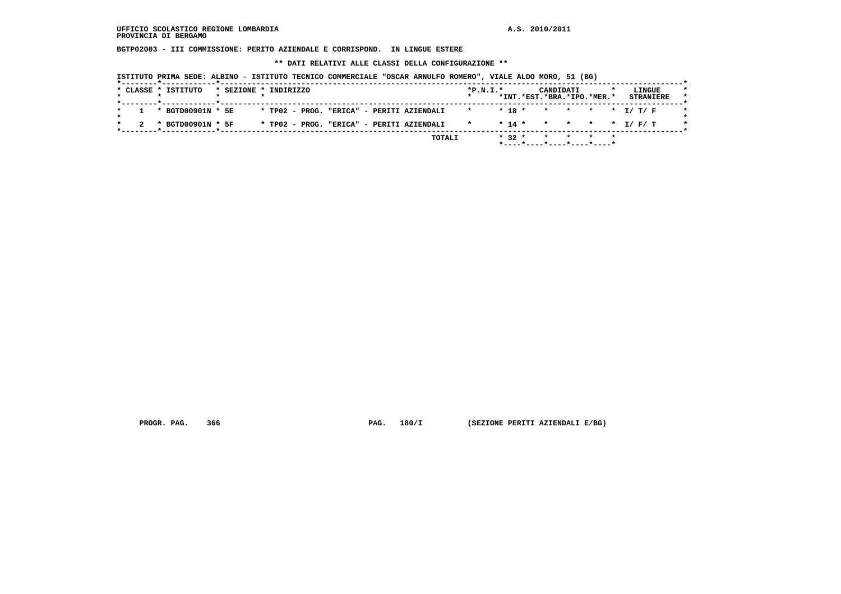**BGTP02003 - III COMMISSIONE: PERITO AZIENDALE E CORRISPOND. IN LINGUE ESTERE**

 **\*\* DATI RELATIVI ALLE CLASSI DELLA CONFIGURAZIONE \*\***

 **ISTITUTO PRIMA SEDE: ALBINO - ISTITUTO TECNICO COMMERCIALE "OSCAR ARNULFO ROMERO", VIALE ALDO MORO, 51 (BG)**

| $1 * BGTD00901N * 5E$<br>* TP02 - PROG. "ERICA" - PERITI AZIENDALI<br>* TP02 - PROG. "ERICA" - PERITI AZIENDALI<br>* BGTD00901N * 5F | * * 18 * * * * * * T/ T/ F   |            | *INT.*EST.*BRA.*IPO.*MER.* |  | <b>STRANIERE</b>         |  |
|--------------------------------------------------------------------------------------------------------------------------------------|------------------------------|------------|----------------------------|--|--------------------------|--|
|                                                                                                                                      |                              |            |                            |  |                          |  |
|                                                                                                                                      |                              |            |                            |  |                          |  |
|                                                                                                                                      | $\star$ . The set of $\star$ |            |                            |  | $* 14 * * * * * * I/F/T$ |  |
| TOTALI                                                                                                                               |                              | $*$ 32 $*$ | * * * *                    |  |                          |  |

 **PROGR. PAG. 366 PAG. 180/I (SEZIONE PERITI AZIENDALI E/BG)**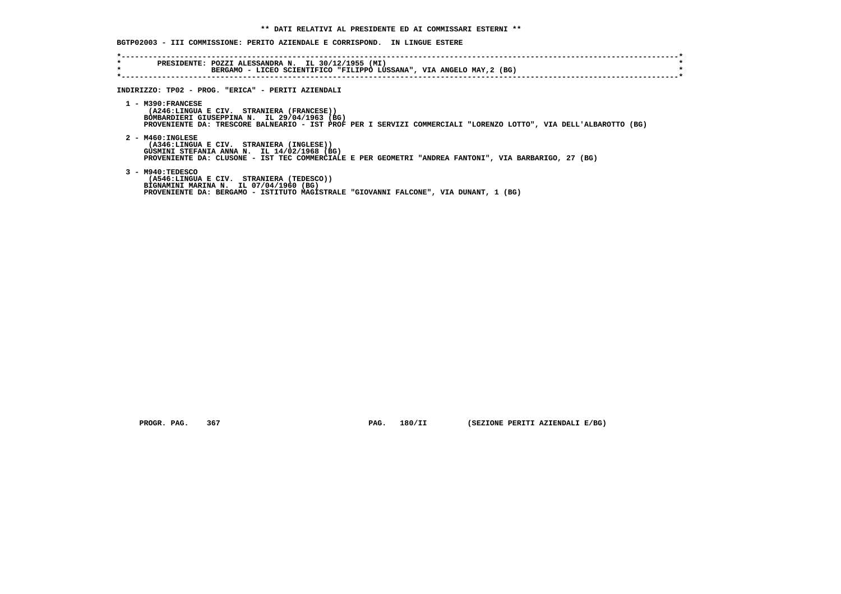## **BGTP02003 - III COMMISSIONE: PERITO AZIENDALE E CORRISPOND. IN LINGUE ESTERE**

| INDIRIZZO: TP02 - PROG. "ERICA" - PERITI AZIENDALI                                                                                                                                                                                   |
|--------------------------------------------------------------------------------------------------------------------------------------------------------------------------------------------------------------------------------------|
| $1 - M390:FRANCESE$<br>(A246:LINGUA E CIV. STRANIERA (FRANCESE))<br>BOMBARDIERI GIUSEPPINA N. IL 29/04/1963 (BG)<br>PROVENIENTE DA: TRESCORE BALNEARIO - IST PROF PER I SERVIZI COMMERCIALI "LORENZO LOTTO", VIA DELL'ALBAROTTO (BG) |
| $2 - M460 : INGLESE$<br>(A346:LINGUA E CIV. STRANIERA (INGLESE))<br>GUSMINI STEFANIA ANNA N. IL 14/02/1968 (BG)<br>PROVENIENTE DA: CLUSONE - IST TEC COMMERCIALE E PER GEOMETRI "ANDREA FANTONI", VIA BARBARIGO, 27 (BG)             |
| 3 - M940:TEDESCO<br>(A546:LINGUA E CIV. STRANIERA (TEDESCO))<br>BIGNAMINI MARINA N. IL 07/04/1960 (BG)<br>PROVENIENTE DA: BERGAMO - ISTITUTO MAGISTRALE "GIOVANNI FALCONE", VIA DUNANT, 1 (BG)                                       |

 **PROGR. PAG. 367 PAG. 180/II (SEZIONE PERITI AZIENDALI E/BG)**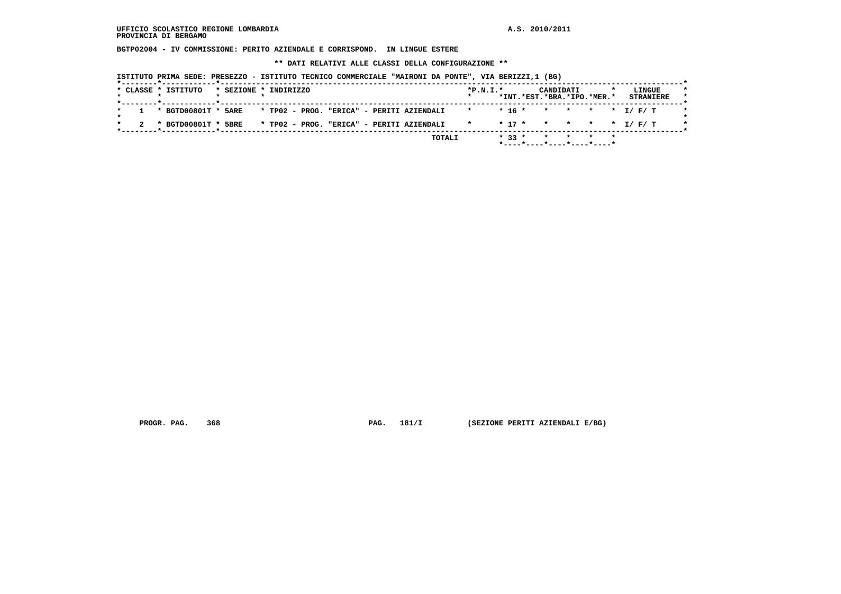**BGTP02004 - IV COMMISSIONE: PERITO AZIENDALE E CORRISPOND. IN LINGUE ESTERE**

 **\*\* DATI RELATIVI ALLE CLASSI DELLA CONFIGURAZIONE \*\***

 **ISTITUTO PRIMA SEDE: PRESEZZO - ISTITUTO TECNICO COMMERCIALE "MAIRONI DA PONTE", VIA BERIZZI,1 (BG)**

|  | * CLASSE * ISTITUTO   |  | * SEZIONE * INDIRIZZO                     |  |  |              | $*P.N.I.*$             |          | CANDIDATI | *INT.*EST.*BRA.*IPO.*MER.* | <b>STRANIERE</b> | LINGUE |  |
|--|-----------------------|--|-------------------------------------------|--|--|--------------|------------------------|----------|-----------|----------------------------|------------------|--------|--|
|  |                       |  |                                           |  |  |              |                        |          |           |                            |                  |        |  |
|  | 1 * BGTD00801T * 5ARE |  | * TP02 - PROG. "ERICA" - PERITI AZIENDALI |  |  | $\mathbf{r}$ |                        |          |           |                            |                  |        |  |
|  | * BGTD00801T * 5BRE   |  | * TP02 - PROG. "ERICA" - PERITI AZIENDALI |  |  |              | * * 17 * * * * * I/F/T |          |           |                            |                  |        |  |
|  |                       |  |                                           |  |  | TOTALI       |                        | $* 33 *$ |           | * * * *                    |                  |        |  |
|  |                       |  |                                           |  |  |              |                        |          |           | *----*----*----*----*----* |                  |        |  |

 **PROGR. PAG. 368 PAG. 181/I (SEZIONE PERITI AZIENDALI E/BG)**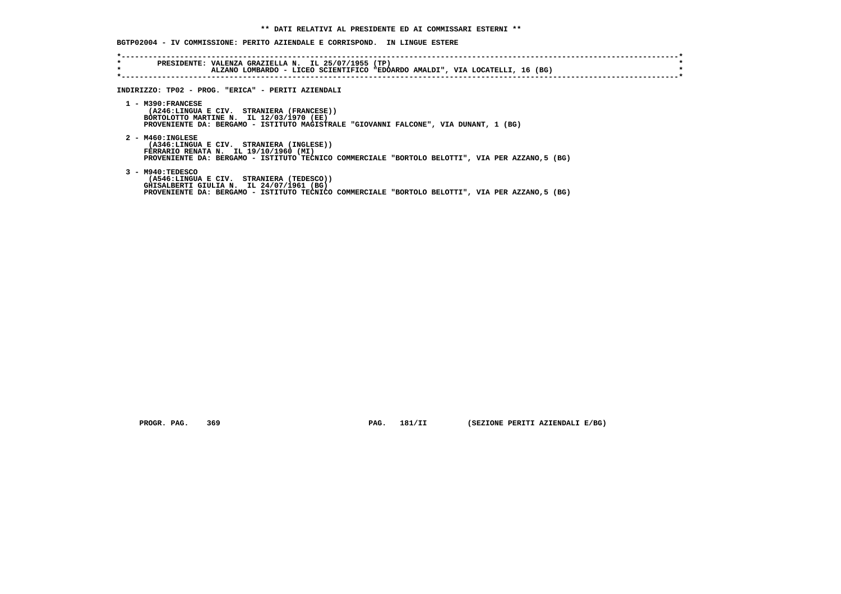## **BGTP02004 - IV COMMISSIONE: PERITO AZIENDALE E CORRISPOND. IN LINGUE ESTERE**

| * | PRESIDENTE: VALENZA GRAZIELLA N. IL 25/07/1955 (TP)<br>ALZANO LOMBARDO - LICEO SCIENTIFICO "EDOARDO AMALDI", VIA LOCATELLI, 16 (BG)                                                                             |
|---|-----------------------------------------------------------------------------------------------------------------------------------------------------------------------------------------------------------------|
|   | INDIRIZZO: TP02 - PROG. "ERICA" - PERITI AZIENDALI                                                                                                                                                              |
|   | $1 - M390 : FRANCESE$<br>(A246:LINGUA E CIV. STRANIERA (FRANCESE))<br>BORTOLOTTO MARTINE N. IL 12/03/1970 (EE)<br>PROVENIENTE DA: BERGAMO - ISTITUTO MAGISTRALE "GIOVANNI FALCONE", VIA DUNANT, 1 (BG)          |
|   | $2 - M460 : INGLESE$<br>(A346:LINGUA E CIV. STRANIERA (INGLESE))<br>FERRARIO RENATA N. IL 19/10/1960 (MI)<br>PROVENIENTE DA: BERGAMO - ISTITUTO TECNICO COMMERCIALE "BORTOLO BELOTTI", VIA PER AZZANO,5 (BG)    |
|   | $3 - M940 : TEDESCO$<br>(A546:LINGUA E CIV. STRANIERA (TEDESCO))<br>GHISALBERTI GIULIA N. IL 24/07/1961 (BG)<br>PROVENIENTE DA: BERGAMO - ISTITUTO TECNICO COMMERCIALE "BORTOLO BELOTTI", VIA PER AZZANO,5 (BG) |

 **PROGR. PAG. 369 PAG. 181/II (SEZIONE PERITI AZIENDALI E/BG)**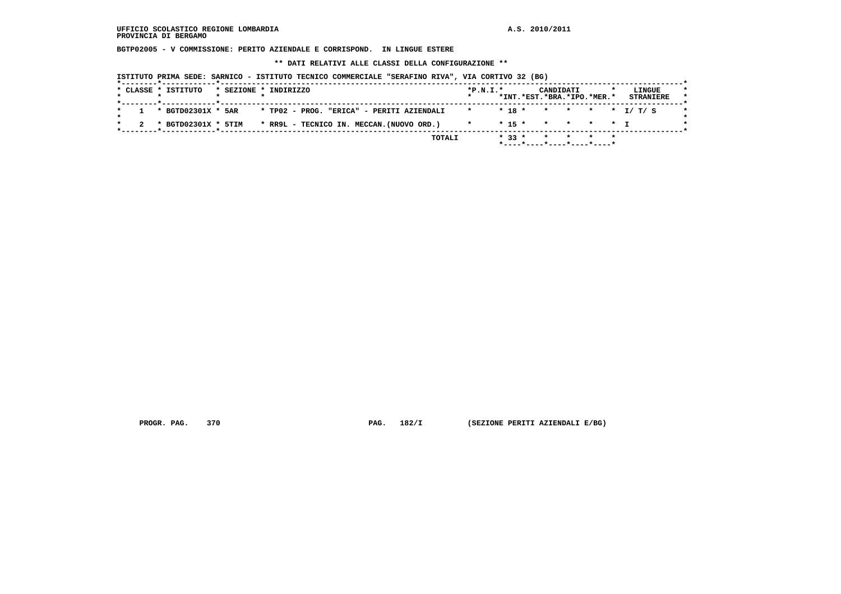**BGTP02005 - V COMMISSIONE: PERITO AZIENDALE E CORRISPOND. IN LINGUE ESTERE**

 **\*\* DATI RELATIVI ALLE CLASSI DELLA CONFIGURAZIONE \*\***

 **ISTITUTO PRIMA SEDE: SARNICO - ISTITUTO TECNICO COMMERCIALE "SERAFINO RIVA", VIA CORTIVO 32 (BG)**

|  | * CLASSE * ISTITUTO |  | * SEZIONE * INDIRIZZO                     | $*P.N.T.*$<br>$\star$ |          | CANDIDATI<br>*INT.*EST.*BRA.*IPO.*MER.*                         |       | LINGUE<br><b>STRANIERE</b> |  |
|--|---------------------|--|-------------------------------------------|-----------------------|----------|-----------------------------------------------------------------|-------|----------------------------|--|
|  | * BGTD02301X * 5AR  |  | * TP02 - PROG. "ERICA" - PERITI AZIENDALI |                       |          |                                                                 |       | $* 18 * * * * * * T/T/S$   |  |
|  | * BGTD02301X * 5TIM |  | * RR9L - TECNICO IN. MECCAN.(NUOVO ORD.)  | $\star$               |          | $* 15 * * * * * * + T$                                          |       |                            |  |
|  |                     |  | TOTALI                                    |                       | $* 33 *$ | $*$ - - - - $*$ - - - - $*$ - - - - $*$ - - - - $*$ - - - - $*$ | * * * |                            |  |

 **PROGR. PAG. 370 PAG. 182/I (SEZIONE PERITI AZIENDALI E/BG)**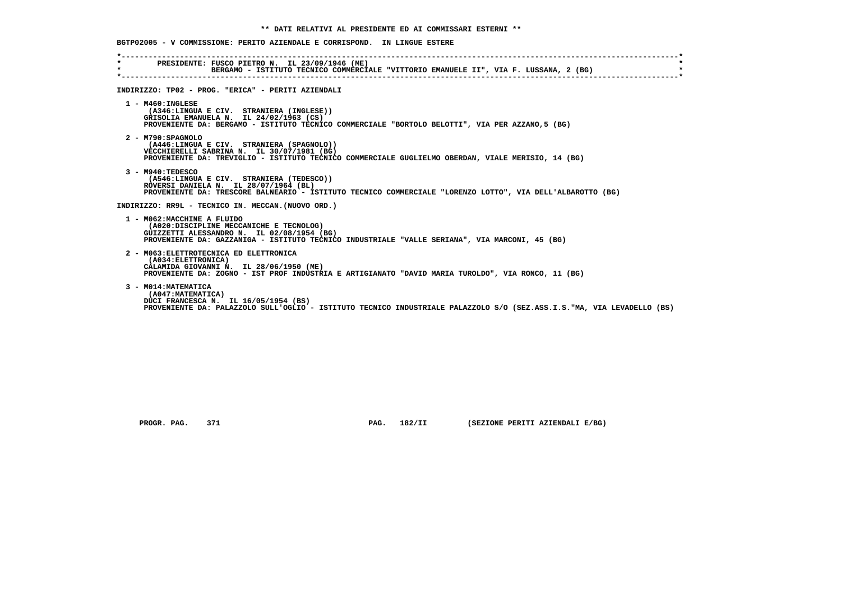|                                         | BGTP02005 - V COMMISSIONE: PERITO AZIENDALE E CORRISPOND. IN LINGUE ESTERE                                                                                                                                              |
|-----------------------------------------|-------------------------------------------------------------------------------------------------------------------------------------------------------------------------------------------------------------------------|
| $\star$ . The set of $\star$<br>$\star$ | PRESIDENTE: FUSCO PIETRO N. IL 23/09/1946 (ME)<br>BERGAMO - ISTITUTO TECNICO COMMERCIALE "VITTORIO EMANUELE II", VIA F. LUSSANA, 2 (BG)                                                                                 |
|                                         | INDIRIZZO: TP02 - PROG. "ERICA" - PERITI AZIENDALI                                                                                                                                                                      |
|                                         | $1 - M460 : INGLESE$<br>(A346:LINGUA E CIV. STRANIERA (INGLESE))<br>GRISOLIA EMANUELA N. IL 24/02/1963 (CS)<br>PROVENIENTE DA: BERGAMO - ISTITUTO TECNICO COMMERCIALE "BORTOLO BELOTTI", VIA PER AZZANO, 5 (BG)         |
|                                         | 2 - M790: SPAGNOLO<br>(A446:LINGUA E CIV. STRANIERA (SPAGNOLO))<br>VECCHIERELLI SABRINA N. IL 30/07/1981 (BG)<br>PROVENIENTE DA: TREVIGLIO - ISTITUTO TECNICO COMMERCIALE GUGLIELMO OBERDAN, VIALE MERISIO, 14 (BG)     |
|                                         | $3 - M940 : TEDESCO$<br>(A546:LINGUA E CIV. STRANIERA (TEDESCO))<br>ROVERSI DANIELA N. IL 28/07/1964 (BL)<br>PROVENIENTE DA: TRESCORE BALNEARIO - ISTITUTO TECNICO COMMERCIALE "LORENZO LOTTO", VIA DELL'ALBAROTTO (BG) |
|                                         | INDIRIZZO: RR9L - TECNICO IN. MECCAN. (NUOVO ORD.)                                                                                                                                                                      |
|                                         | 1 - MO62:MACCHINE A FLUIDO<br>(A020:DISCIPLINE MECCANICHE E TECNOLOG)<br>GUIZZETTI ALESSANDRO N. IL 02/08/1954 (BG)<br>PROVENIENTE DA: GAZZANIGA - ISTITUTO TECNICO INDUSTRIALE "VALLE SERIANA", VIA MARCONI, 45 (BG)   |
|                                         | 2 - M063: ELETTROTECNICA ED ELETTRONICA<br>(A034:ELETTRONICA)<br>CALAMIDA GIOVANNI N. IL 28/06/1950 (ME)<br>PROVENIENTE DA: ZOGNO - IST PROF INDUSTRIA E ARTIGIANATO "DAVID MARIA TUROLDO", VIA RONCO, 11 (BG)          |
|                                         | 3 - M014: MATEMATICA<br>(A047: MATEMATICA)<br>DUCI FRANCESCA N. IL 16/05/1954 (BS)<br>PROVENIENTE DA: PALAZZOLO SULL'OGLIO - ISTITUTO TECNICO INDUSTRIALE PALAZZOLO S/O (SEZ.ASS.I.S."MA, VIA LEVADELLO (BS)            |

 **PROGR. PAG. 371 PAG. 182/II (SEZIONE PERITI AZIENDALI E/BG)**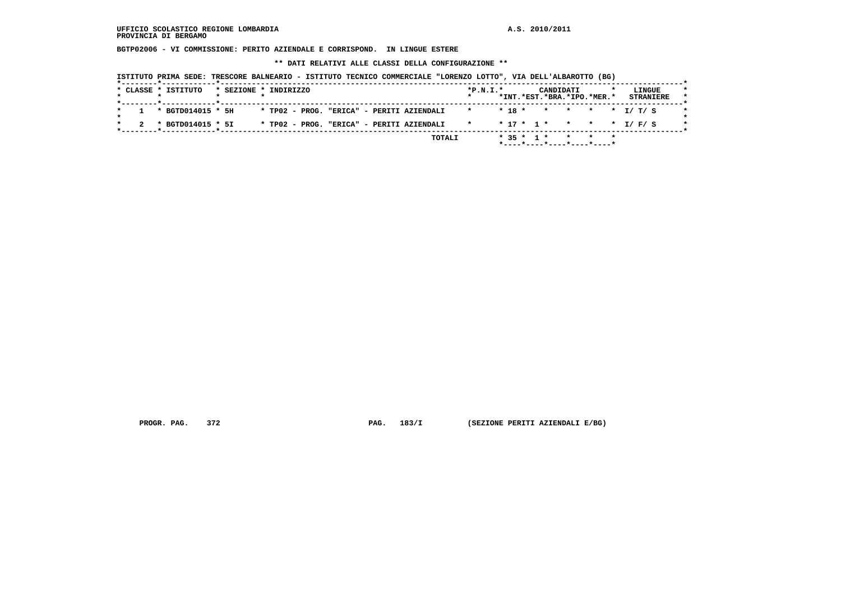**BGTP02006 - VI COMMISSIONE: PERITO AZIENDALE E CORRISPOND. IN LINGUE ESTERE**

 **\*\* DATI RELATIVI ALLE CLASSI DELLA CONFIGURAZIONE \*\***

 **ISTITUTO PRIMA SEDE: TRESCORE BALNEARIO - ISTITUTO TECNICO COMMERCIALE "LORENZO LOTTO", VIA DELL'ALBAROTTO (BG)**

| *INT.*EST.*BRA.*IPO.*MER.*<br><b>STRANIERE</b><br>* TP02 - PROG. "ERICA" - PERITI AZIENDALI<br>$1 * BGTD014015 * 5H$<br>* TP02 - PROG. "ERICA" - PERITI AZIENDALI * * * 17 * 1 * * * * * 1/ F/ S<br>* BGTD014015 * 5I | * CLASSE * ISTITUTO |  | * SEZIONE * INDIRIZZO |  |  | $*P.N.T.*$ |  |  | CANDIDATI |  |  | LINGUE |  |
|-----------------------------------------------------------------------------------------------------------------------------------------------------------------------------------------------------------------------|---------------------|--|-----------------------|--|--|------------|--|--|-----------|--|--|--------|--|
|                                                                                                                                                                                                                       |                     |  |                       |  |  |            |  |  |           |  |  |        |  |
|                                                                                                                                                                                                                       |                     |  |                       |  |  |            |  |  |           |  |  |        |  |
|                                                                                                                                                                                                                       |                     |  |                       |  |  |            |  |  |           |  |  |        |  |

 **PROGR. PAG. 372 PAG. 183/I (SEZIONE PERITI AZIENDALI E/BG)**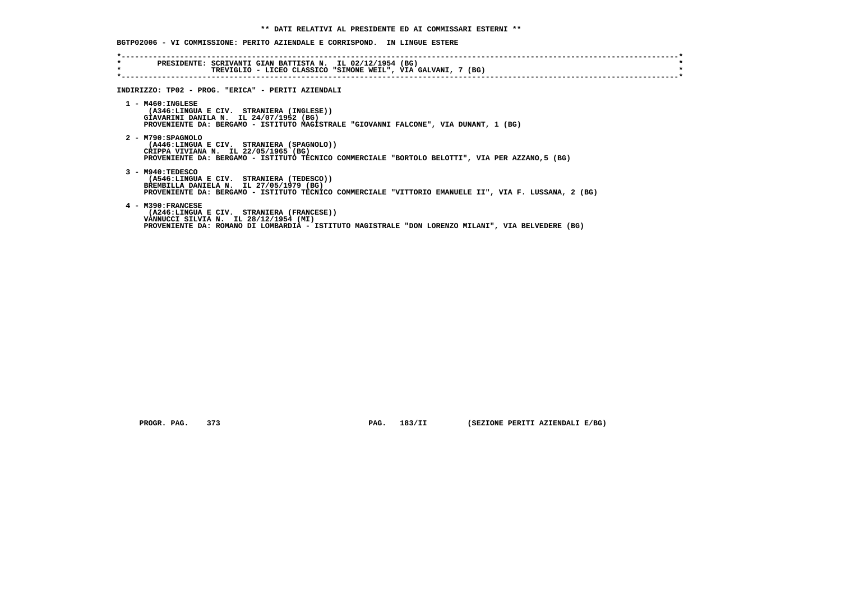| $\star$<br>$\star$ | PRESIDENTE: SCRIVANTI GIAN BATTISTA N. IL 02/12/1954 (BG)<br>TREVIGLIO - LICEO CLASSICO "SIMONE WEIL", VIA GALVANI, 7 (BG)                                                                                           |
|--------------------|----------------------------------------------------------------------------------------------------------------------------------------------------------------------------------------------------------------------|
|                    | INDIRIZZO: TP02 - PROG. "ERICA" - PERITI AZIENDALI                                                                                                                                                                   |
|                    | $1 - M460 : INGLESE$<br>(A346:LINGUA E CIV. STRANIERA (INGLESE))<br>GIAVARINI DANILA N. IL 24/07/1952 (BG)<br>PROVENIENTE DA: BERGAMO - ISTITUTO MAGISTRALE "GIOVANNI FALCONE", VIA DUNANT, 1 (BG)                   |
|                    | $2 - M790 : SPAGNOLO$<br>(A446:LINGUA E CIV. STRANIERA (SPAGNOLO))<br>CRIPPA VIVIANA N. IL 22/05/1965 (BG)<br>PROVENIENTE DA: BERGAMO - ISTITUTO TECNICO COMMERCIALE "BORTOLO BELOTTI", VIA PER AZZANO, 5 (BG)       |
|                    | $3 - M940 : TEDESCO$<br>(A546:LINGUA E CIV. STRANIERA (TEDESCO))<br>BREMBILLA DANIELA N. IL 27/05/1979 (BG)<br>PROVENIENTE DA: BERGAMO - ISTITUTO TECNICO COMMERCIALE "VITTORIO EMANUELE II", VIA F. LUSSANA, 2 (BG) |
|                    | 4 - M390: FRANCESE<br>(A246:LINGUA E CIV. STRANIERA (FRANCESE))<br>VANNUCCI SILVIA N. IL 28/12/1954 (MI)<br>PROVENIENTE DA: ROMANO DI LOMBARDIA - ISTITUTO MAGISTRALE "DON LORENZO MILANI", VIA BELVEDERE (BG)       |

 **PROGR. PAG. 373 PAG. 183/II (SEZIONE PERITI AZIENDALI E/BG)**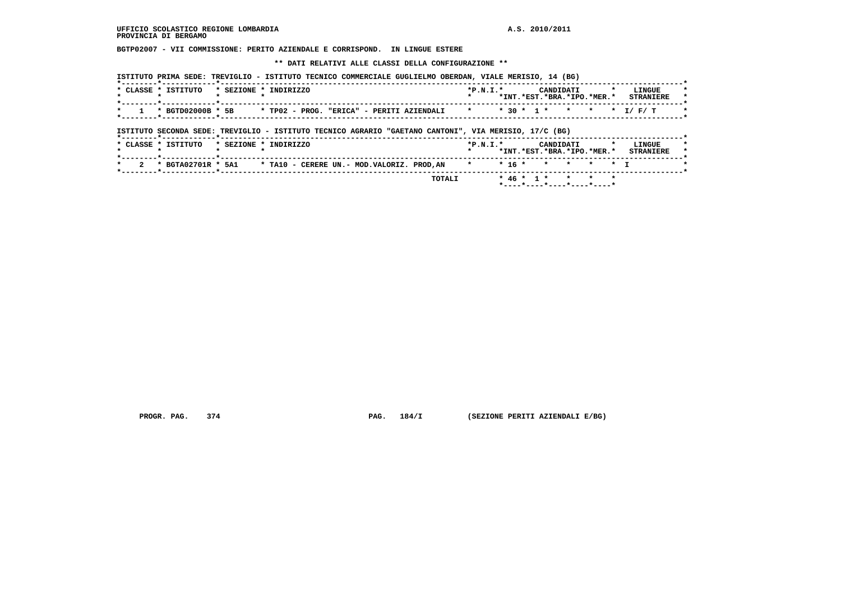**BGTP02007 - VII COMMISSIONE: PERITO AZIENDALE E CORRISPOND. IN LINGUE ESTERE**

 **\*\* DATI RELATIVI ALLE CLASSI DELLA CONFIGURAZIONE \*\***

|  |  |  |  |  |  |  | ISTITUTO PRIMA SEDE: TREVIGLIO - ISTITUTO TECNICO COMMERCIALE GUGLIELMO OBERDAN, VIALE MERISIO, 14 (BG) |  |  |  |  |  |  |  |
|--|--|--|--|--|--|--|---------------------------------------------------------------------------------------------------------|--|--|--|--|--|--|--|
|--|--|--|--|--|--|--|---------------------------------------------------------------------------------------------------------|--|--|--|--|--|--|--|

| CLASSE * ISTITUTO | $*$ SEZIONE $*$ | TNDTRTZZO                                                                       | $*P.N.T.*$ | CANDIDATI<br>*INT.*EST.*BRA.*IPO.*MER.* | <b>LINGUE</b><br><b>STRANTERE</b> |
|-------------------|-----------------|---------------------------------------------------------------------------------|------------|-----------------------------------------|-----------------------------------|
| $*$ BGTD02000B    | * 5B            | $*$ TP02 - PROG.<br>"ERICA" - PERITI AZIENDALI * * * 30 * 1 * * * * * * 1/ F/ T |            |                                         |                                   |

 **ISTITUTO SECONDA SEDE: TREVIGLIO - ISTITUTO TECNICO AGRARIO "GAETANO CANTONI", VIA MERISIO, 17/C (BG)**

|  | * CLASSE * ISTITUTO |  | * SEZIONE * INDIRIZZO                                                                 |        | $*P.N.I.*$ |  |  | CANDIDATI<br>*INT.*EST.*BRA.*IPO.*MER.* |  | LINGUE<br><b>STRANIERE</b> |  |
|--|---------------------|--|---------------------------------------------------------------------------------------|--------|------------|--|--|-----------------------------------------|--|----------------------------|--|
|  |                     |  | * BGTA02701R * 5A1 * TA10 - CERERE UN.- MOD.VALORIZ. PROD.AN * * * 16 * * * * * * * I |        |            |  |  |                                         |  |                            |  |
|  |                     |  |                                                                                       | TOTALI |            |  |  | $* 46 * 1 * * * * * * *$                |  |                            |  |

 **PROGR. PAG. 374 PAG. 184/I (SEZIONE PERITI AZIENDALI E/BG)**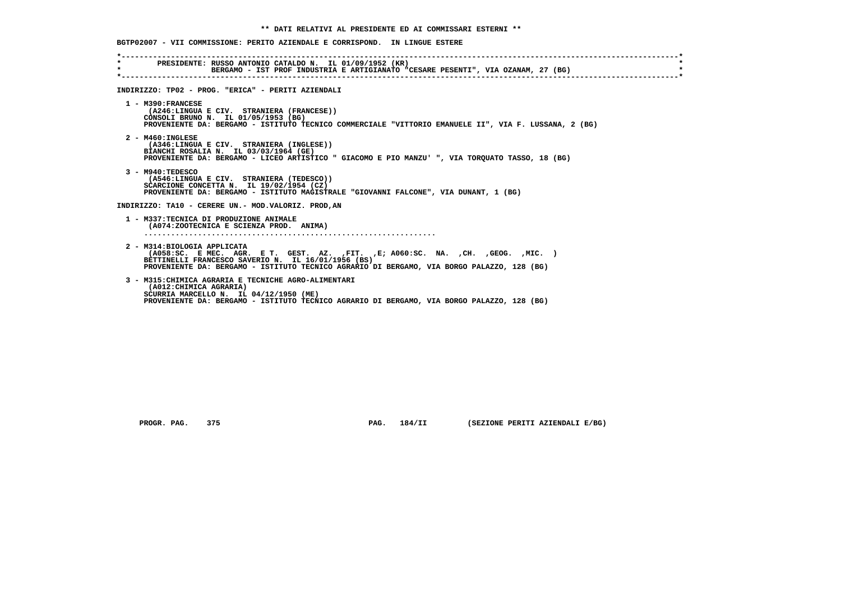| $\star$ . The set of $\sim$<br>$\star$ . | PRESIDENTE: RUSSO ANTONIO CATALDO N. IL 01/09/1952 (KR)<br>BERGAMO - IST PROF INDUSTRIA E ARTIGIANATO "CESARE PESENTI", VIA OZANAM, 27 (BG)                                                                                                                                |
|------------------------------------------|----------------------------------------------------------------------------------------------------------------------------------------------------------------------------------------------------------------------------------------------------------------------------|
|                                          | INDIRIZZO: TP02 - PROG. "ERICA" - PERITI AZIENDALI                                                                                                                                                                                                                         |
|                                          | 1 - M390: FRANCESE<br>(A246:LINGUA E CIV. STRANIERA (FRANCESE))<br>CONSOLI BRUNO N. IL 01/05/1953 (BG)<br>PROVENIENTE DA: BERGAMO - ISTITUTO TECNICO COMMERCIALE "VITTORIO EMANUELE II", VIA F. LUSSANA, 2 (BG)                                                            |
|                                          | $2 - M460$ : INGLESE<br>(A346:LINGUA E CIV. STRANIERA (INGLESE))<br>BIANCHI ROSALIA N. IL 03/03/1964 (GE)<br>PROVENIENTE DA: BERGAMO - LICEO ARTISTICO " GIACOMO E PIO MANZU' ", VIA TORQUATO TASSO, 18 (BG)                                                               |
|                                          | $3 - M940: TEDESCO$<br>(A546:LINGUA E CIV. STRANIERA (TEDESCO))<br>SCARCIONE CONCETTA N. IL 19/02/1954 (CZ)<br>PROVENIENTE DA: BERGAMO - ISTITUTO MAGISTRALE "GIOVANNI FALCONE", VIA DUNANT, 1 (BG)                                                                        |
|                                          | INDIRIZZO: TA10 - CERERE UN.- MOD.VALORIZ. PROD.AN                                                                                                                                                                                                                         |
|                                          | 1 - M337:TECNICA DI PRODUZIONE ANIMALE<br>(A074:ZOOTECNICA E SCIENZA PROD. ANIMA)                                                                                                                                                                                          |
|                                          | 2 - M314: BIOLOGIA APPLICATA<br>$(AD58:SC.$ EMEC. AGR. E T. GEST. AZ. , FIT. , E; A060: SC. NA. , CH. , GEOG. , MIC. )<br>BETTINELLI FRANCESCO SAVERIO N. IL 16/01/1956 (BS)<br>PROVENIENTE DA: BERGAMO - ISTITUTO TECNICO AGRARIO DI BERGAMO, VIA BORGO PALAZZO, 128 (BG) |
|                                          | 3 - M315: CHIMICA AGRARIA E TECNICHE AGRO-ALIMENTARI<br>(A012: CHIMICA AGRARIA)<br>SCURRIA MARCELLO N. IL 04/12/1950 (ME)<br>PROVENIENTE DA: BERGAMO - ISTITUTO TECNICO AGRARIO DI BERGAMO, VIA BORGO PALAZZO, 128 (BG)                                                    |

 **PROGR. PAG. 375 PAG. 184/II (SEZIONE PERITI AZIENDALI E/BG)**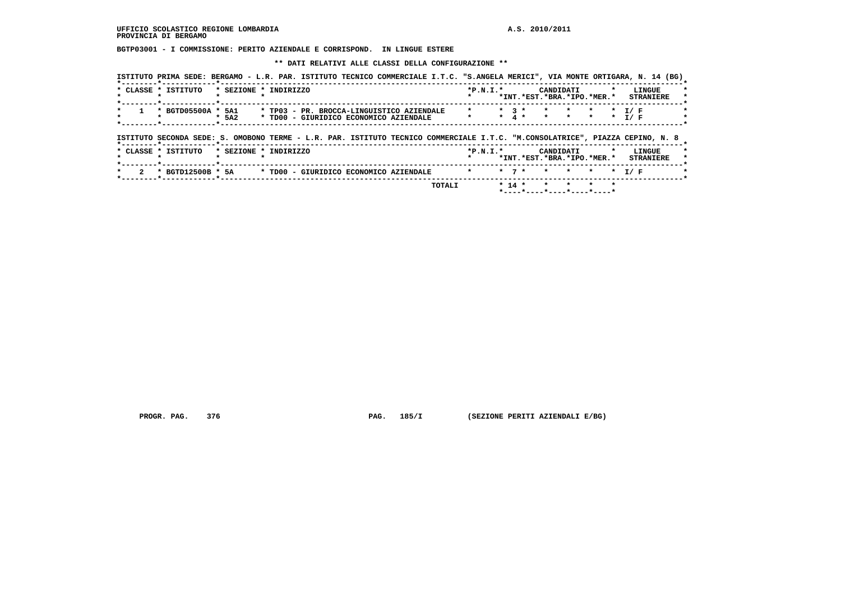**BGTP03001 - I COMMISSIONE: PERITO AZIENDALE E CORRISPOND. IN LINGUE ESTERE**

 **\*\* DATI RELATIVI ALLE CLASSI DELLA CONFIGURAZIONE \*\***

| * CLASSE * ISTITUTO | * SEZIONE * INDIRIZZO |                                        |                                                                                                                               |         | $*P.N.I.*$ |           | CANDIDATI<br>*INT.*EST.*BRA.*IPO.*MER.* |                    |                    |                    | LINGUE<br><b>STRANIERE</b> |
|---------------------|-----------------------|----------------------------------------|-------------------------------------------------------------------------------------------------------------------------------|---------|------------|-----------|-----------------------------------------|--------------------|--------------------|--------------------|----------------------------|
| * BGTD05500A *      | 5A1<br>$*$ 5A2        | * TD00 - GIURIDICO ECONOMICO AZIENDALE | * TP03 - PR. BROCCA-LINGUISTICO AZIENDALE                                                                                     | $\star$ |            | $*$ 3 $*$ | $*$ 4 $*$                               | $\star$<br>$\star$ | $\star$<br>$\star$ | $\star$<br>$\star$ | T / F<br>I / F             |
|                     |                       |                                        |                                                                                                                               |         |            |           |                                         |                    |                    |                    |                            |
|                     |                       |                                        | ISTITUTO SECONDA SEDE: S. OMOBONO TERME - L.R. PAR. ISTITUTO TECNICO COMMERCIALE I.T.C. "M.CONSOLATRICE", PIAZZA CEPINO, N. 8 |         |            |           |                                         |                    |                    |                    |                            |
| * CLASSE * ISTITUTO | * SEZIONE * INDIRIZZO |                                        |                                                                                                                               |         | $*P.N.I.*$ |           | CANDIDATI<br>*INT.*EST.*BRA.*IPO.*MER.* |                    |                    | $\star$            | LINGUE<br><b>STRANIERE</b> |

 **PROGR. PAG. 376 PAG. 185/I (SEZIONE PERITI AZIENDALI E/BG)**